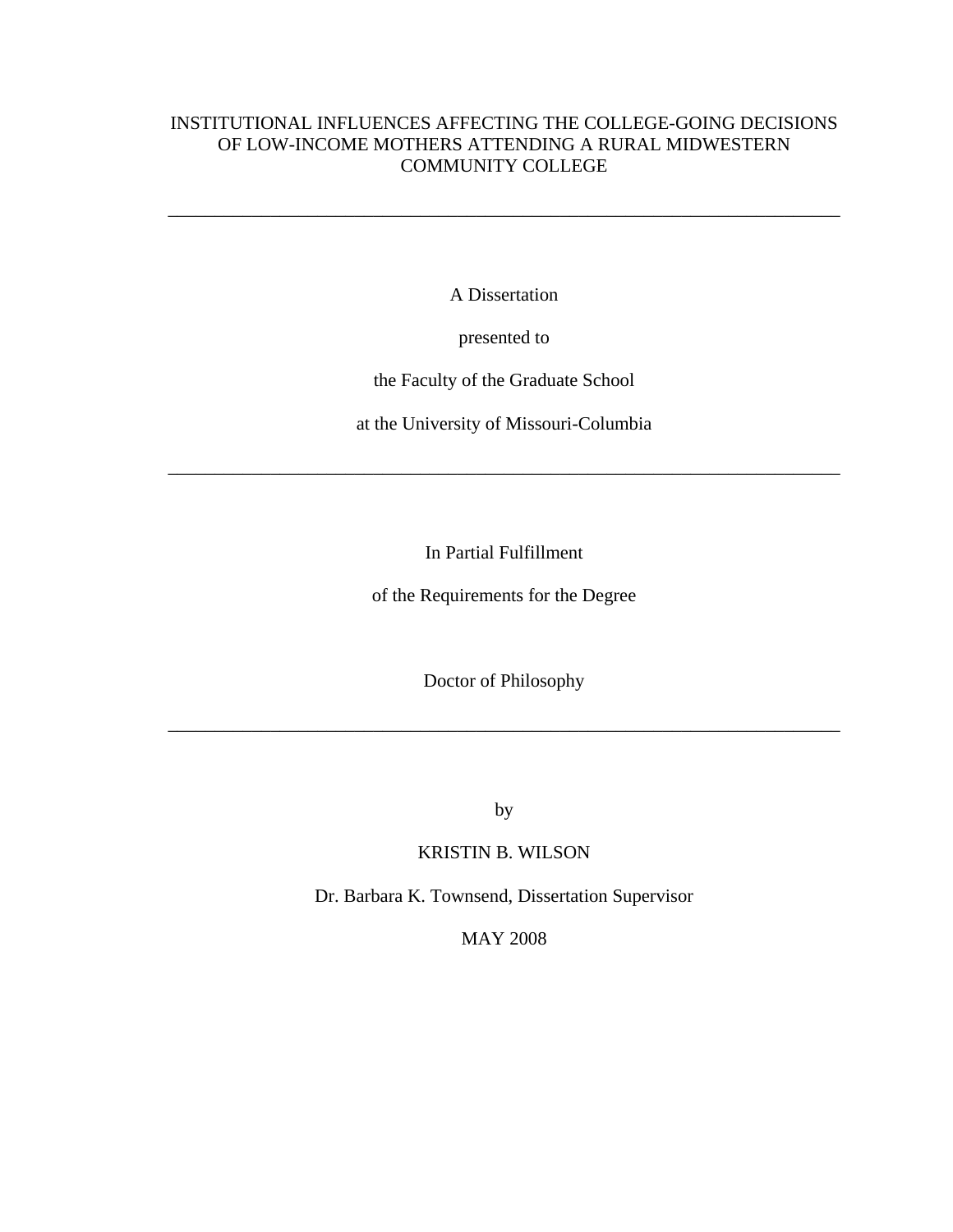# INSTITUTIONAL INFLUENCES AFFECTING THE COLLEGE-GOING DECISIONS OF LOW-INCOME MOTHERS ATTENDING A RURAL MIDWESTERN COMMUNITY COLLEGE

\_\_\_\_\_\_\_\_\_\_\_\_\_\_\_\_\_\_\_\_\_\_\_\_\_\_\_\_\_\_\_\_\_\_\_\_\_\_\_\_\_\_\_\_\_\_\_\_\_\_\_\_\_\_\_\_\_\_\_\_\_\_\_\_\_\_\_\_\_\_\_\_

A Dissertation

presented to

the Faculty of the Graduate School

at the University of Missouri-Columbia

\_\_\_\_\_\_\_\_\_\_\_\_\_\_\_\_\_\_\_\_\_\_\_\_\_\_\_\_\_\_\_\_\_\_\_\_\_\_\_\_\_\_\_\_\_\_\_\_\_\_\_\_\_\_\_\_\_\_\_\_\_\_\_\_\_\_\_\_\_\_\_\_

In Partial Fulfillment

of the Requirements for the Degree

Doctor of Philosophy

\_\_\_\_\_\_\_\_\_\_\_\_\_\_\_\_\_\_\_\_\_\_\_\_\_\_\_\_\_\_\_\_\_\_\_\_\_\_\_\_\_\_\_\_\_\_\_\_\_\_\_\_\_\_\_\_\_\_\_\_\_\_\_\_\_\_\_\_\_\_\_\_

by

KRISTIN B. WILSON

Dr. Barbara K. Townsend, Dissertation Supervisor

MAY 2008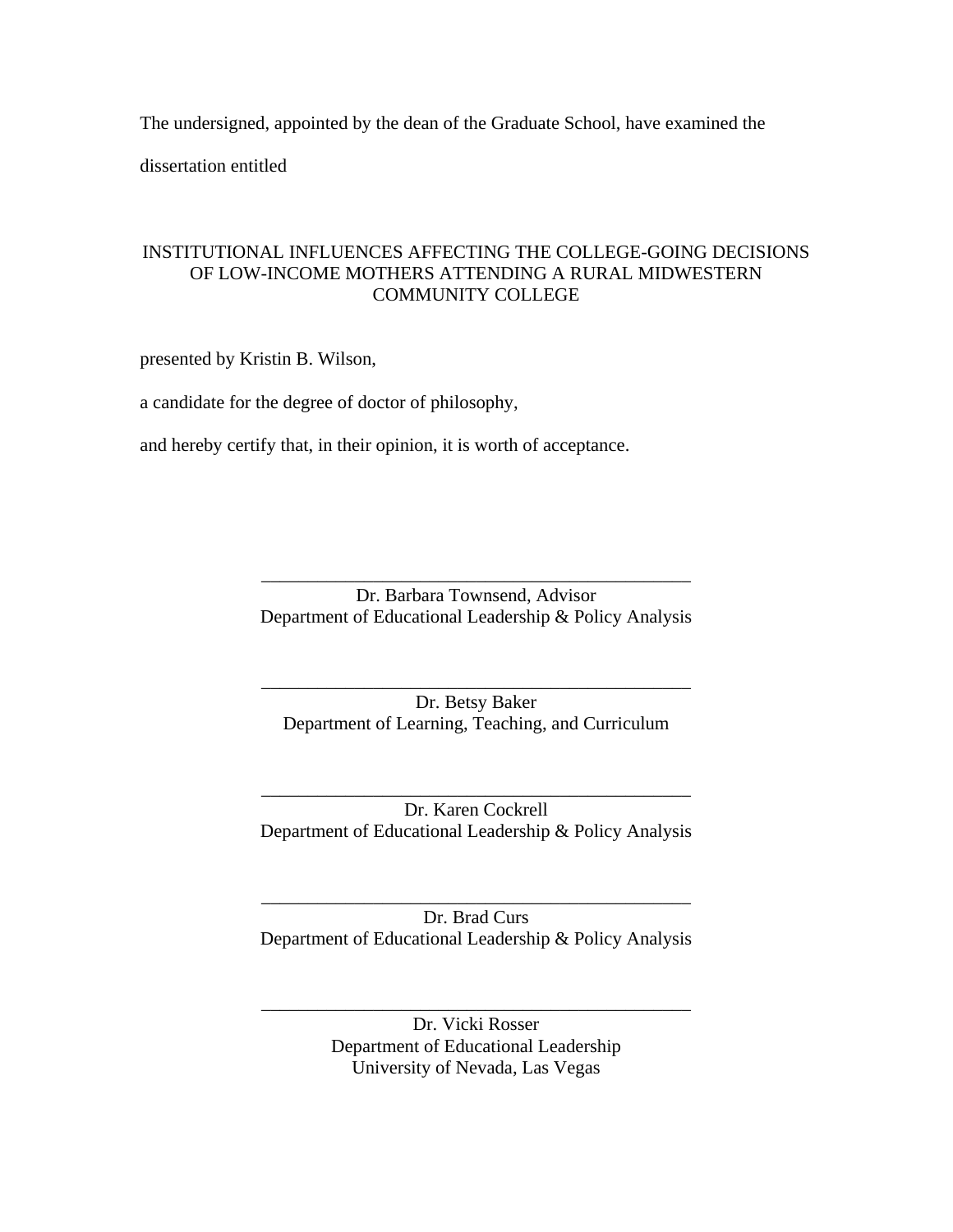The undersigned, appointed by the dean of the Graduate School, have examined the dissertation entitled

# INSTITUTIONAL INFLUENCES AFFECTING THE COLLEGE-GOING DECISIONS OF LOW-INCOME MOTHERS ATTENDING A RURAL MIDWESTERN COMMUNITY COLLEGE

presented by Kristin B. Wilson,

a candidate for the degree of doctor of philosophy,

and hereby certify that, in their opinion, it is worth of acceptance.

Dr. Barbara Townsend, Advisor Department of Educational Leadership & Policy Analysis

\_\_\_\_\_\_\_\_\_\_\_\_\_\_\_\_\_\_\_\_\_\_\_\_\_\_\_\_\_\_\_\_\_\_\_\_\_\_\_\_\_\_\_\_\_\_

Dr. Betsy Baker Department of Learning, Teaching, and Curriculum

\_\_\_\_\_\_\_\_\_\_\_\_\_\_\_\_\_\_\_\_\_\_\_\_\_\_\_\_\_\_\_\_\_\_\_\_\_\_\_\_\_\_\_\_\_\_

\_\_\_\_\_\_\_\_\_\_\_\_\_\_\_\_\_\_\_\_\_\_\_\_\_\_\_\_\_\_\_\_\_\_\_\_\_\_\_\_\_\_\_\_\_\_ Dr. Karen Cockrell Department of Educational Leadership & Policy Analysis

\_\_\_\_\_\_\_\_\_\_\_\_\_\_\_\_\_\_\_\_\_\_\_\_\_\_\_\_\_\_\_\_\_\_\_\_\_\_\_\_\_\_\_\_\_\_ Dr. Brad Curs Department of Educational Leadership & Policy Analysis

\_\_\_\_\_\_\_\_\_\_\_\_\_\_\_\_\_\_\_\_\_\_\_\_\_\_\_\_\_\_\_\_\_\_\_\_\_\_\_\_\_\_\_\_\_\_ Dr. Vicki Rosser Department of Educational Leadership University of Nevada, Las Vegas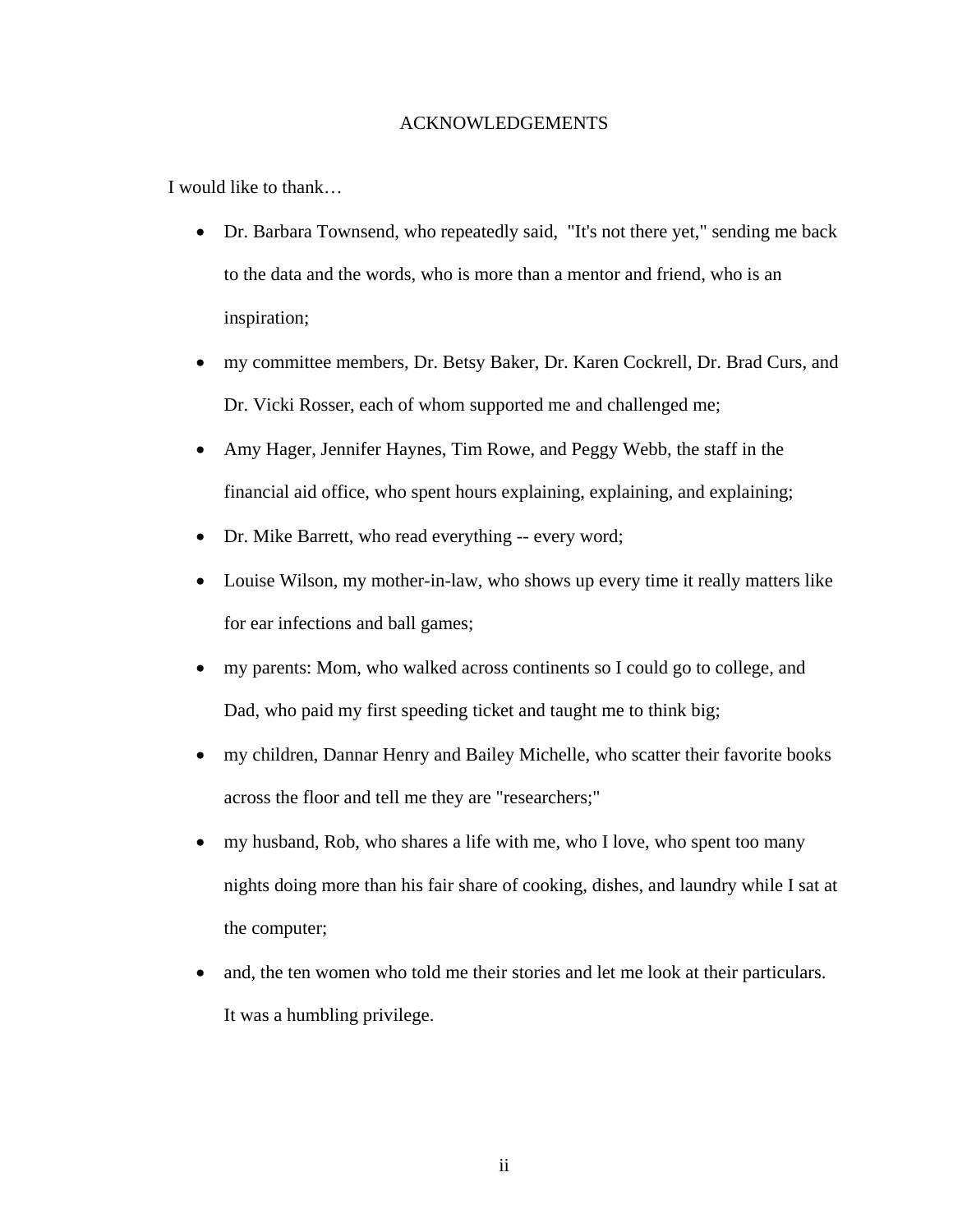# ACKNOWLEDGEMENTS

I would like to thank…

- Dr. Barbara Townsend, who repeatedly said, "It's not there yet," sending me back to the data and the words, who is more than a mentor and friend, who is an inspiration;
- my committee members, Dr. Betsy Baker, Dr. Karen Cockrell, Dr. Brad Curs, and Dr. Vicki Rosser, each of whom supported me and challenged me;
- Amy Hager, Jennifer Haynes, Tim Rowe, and Peggy Webb, the staff in the financial aid office, who spent hours explaining, explaining, and explaining;
- Dr. Mike Barrett, who read everything -- every word;
- Louise Wilson, my mother-in-law, who shows up every time it really matters like for ear infections and ball games;
- my parents: Mom, who walked across continents so I could go to college, and Dad, who paid my first speeding ticket and taught me to think big;
- my children, Dannar Henry and Bailey Michelle, who scatter their favorite books across the floor and tell me they are "researchers;"
- my husband, Rob, who shares a life with me, who I love, who spent too many nights doing more than his fair share of cooking, dishes, and laundry while I sat at the computer;
- and, the ten women who told me their stories and let me look at their particulars. It was a humbling privilege.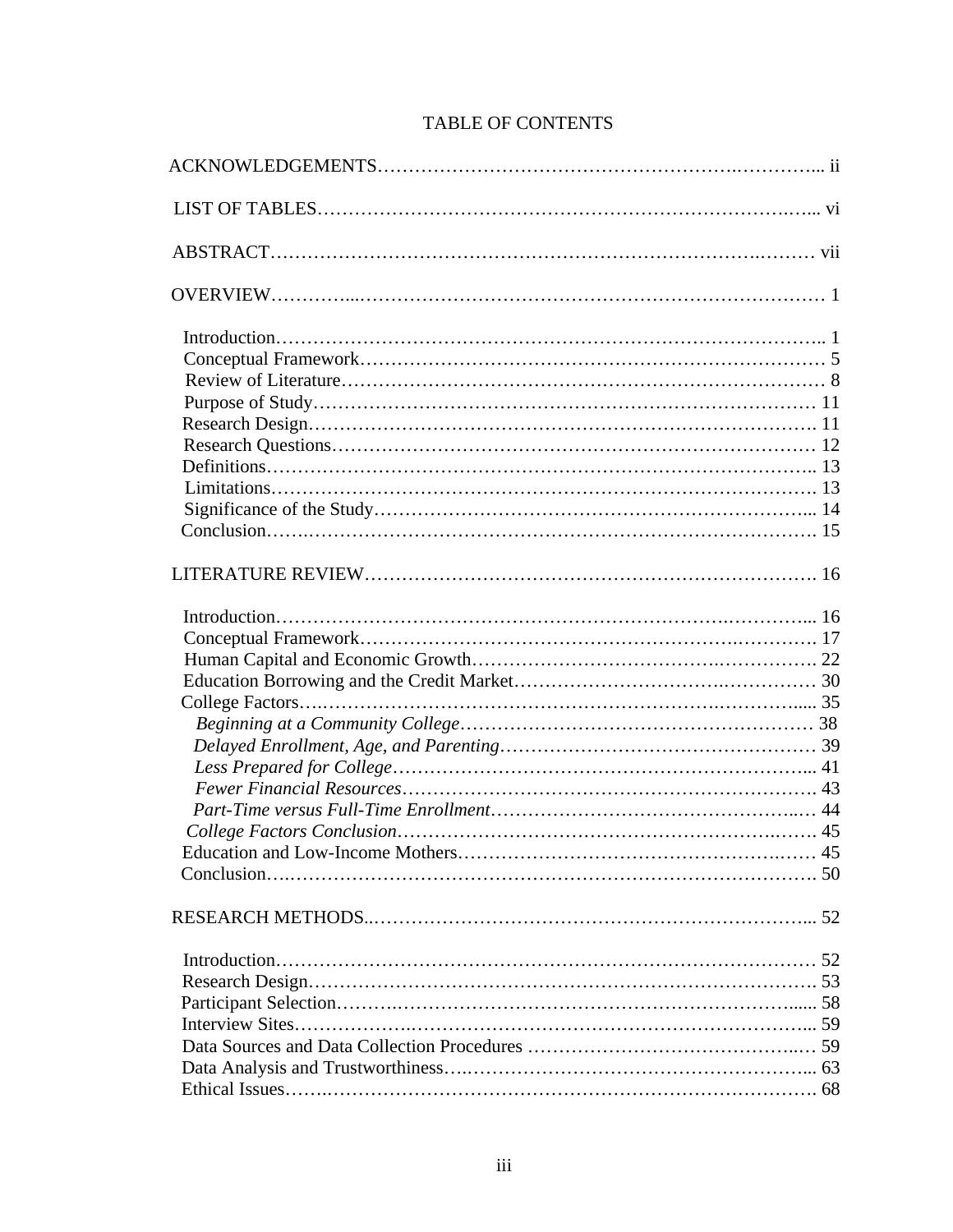# TABLE OF CONTENTS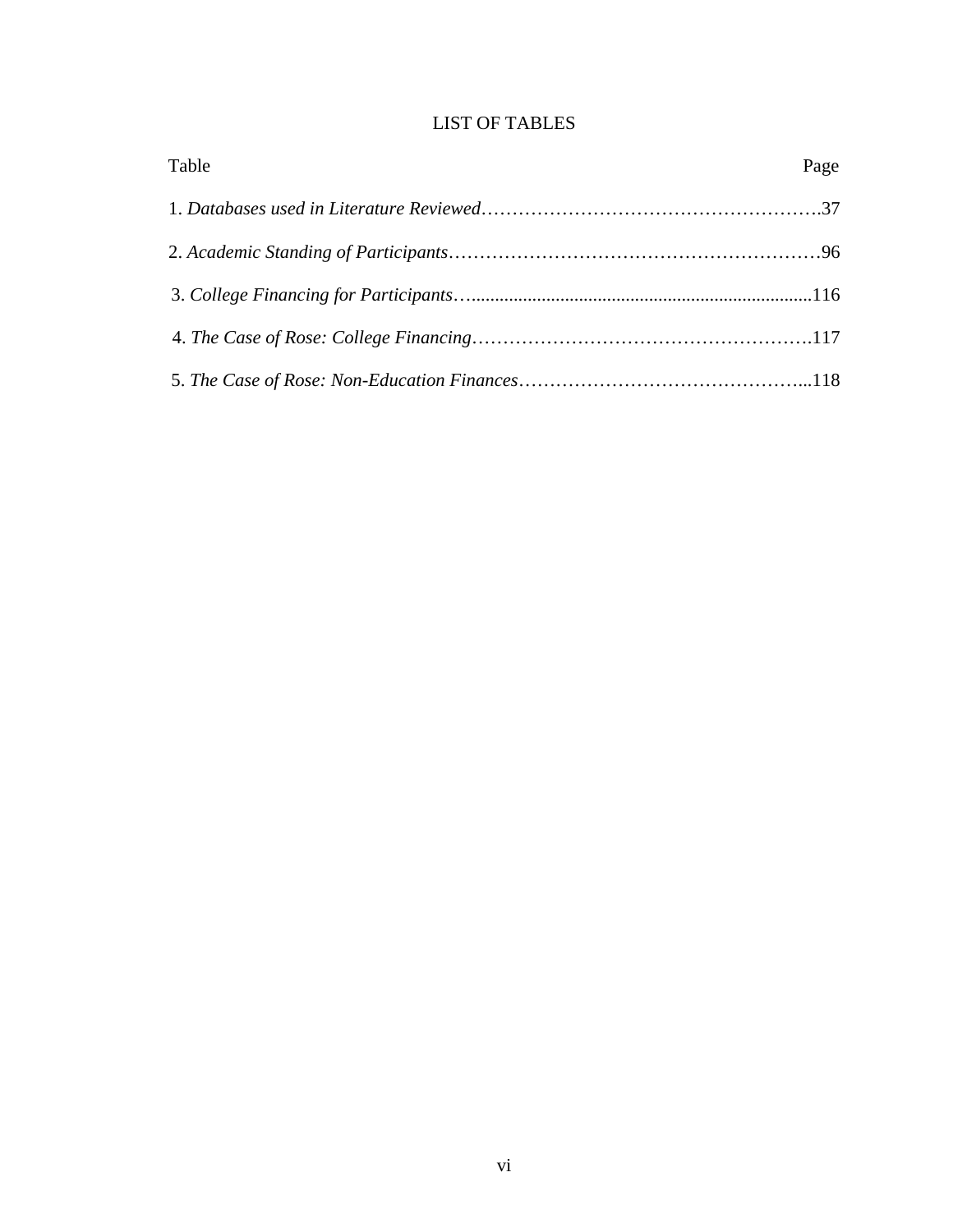# LIST OF TABLES

| Table | Page |
|-------|------|
|       |      |
|       |      |
|       |      |
|       |      |
|       |      |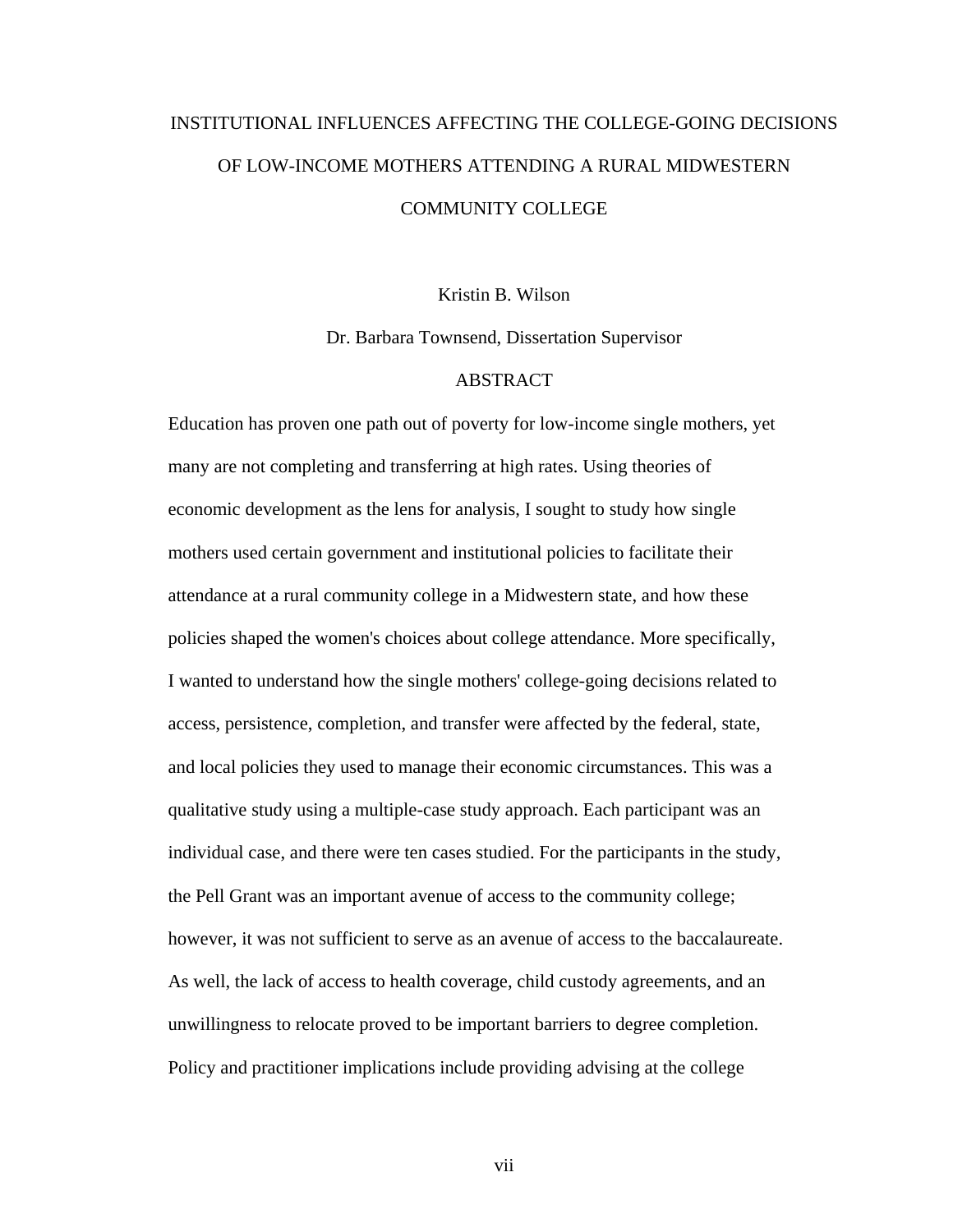# INSTITUTIONAL INFLUENCES AFFECTING THE COLLEGE-GOING DECISIONS OF LOW-INCOME MOTHERS ATTENDING A RURAL MIDWESTERN COMMUNITY COLLEGE

Kristin B. Wilson

Dr. Barbara Townsend, Dissertation Supervisor

# ABSTRACT

Education has proven one path out of poverty for low-income single mothers, yet many are not completing and transferring at high rates. Using theories of economic development as the lens for analysis, I sought to study how single mothers used certain government and institutional policies to facilitate their attendance at a rural community college in a Midwestern state, and how these policies shaped the women's choices about college attendance. More specifically, I wanted to understand how the single mothers' college-going decisions related to access, persistence, completion, and transfer were affected by the federal, state, and local policies they used to manage their economic circumstances. This was a qualitative study using a multiple-case study approach. Each participant was an individual case, and there were ten cases studied. For the participants in the study, the Pell Grant was an important avenue of access to the community college; however, it was not sufficient to serve as an avenue of access to the baccalaureate. As well, the lack of access to health coverage, child custody agreements, and an unwillingness to relocate proved to be important barriers to degree completion. Policy and practitioner implications include providing advising at the college

vii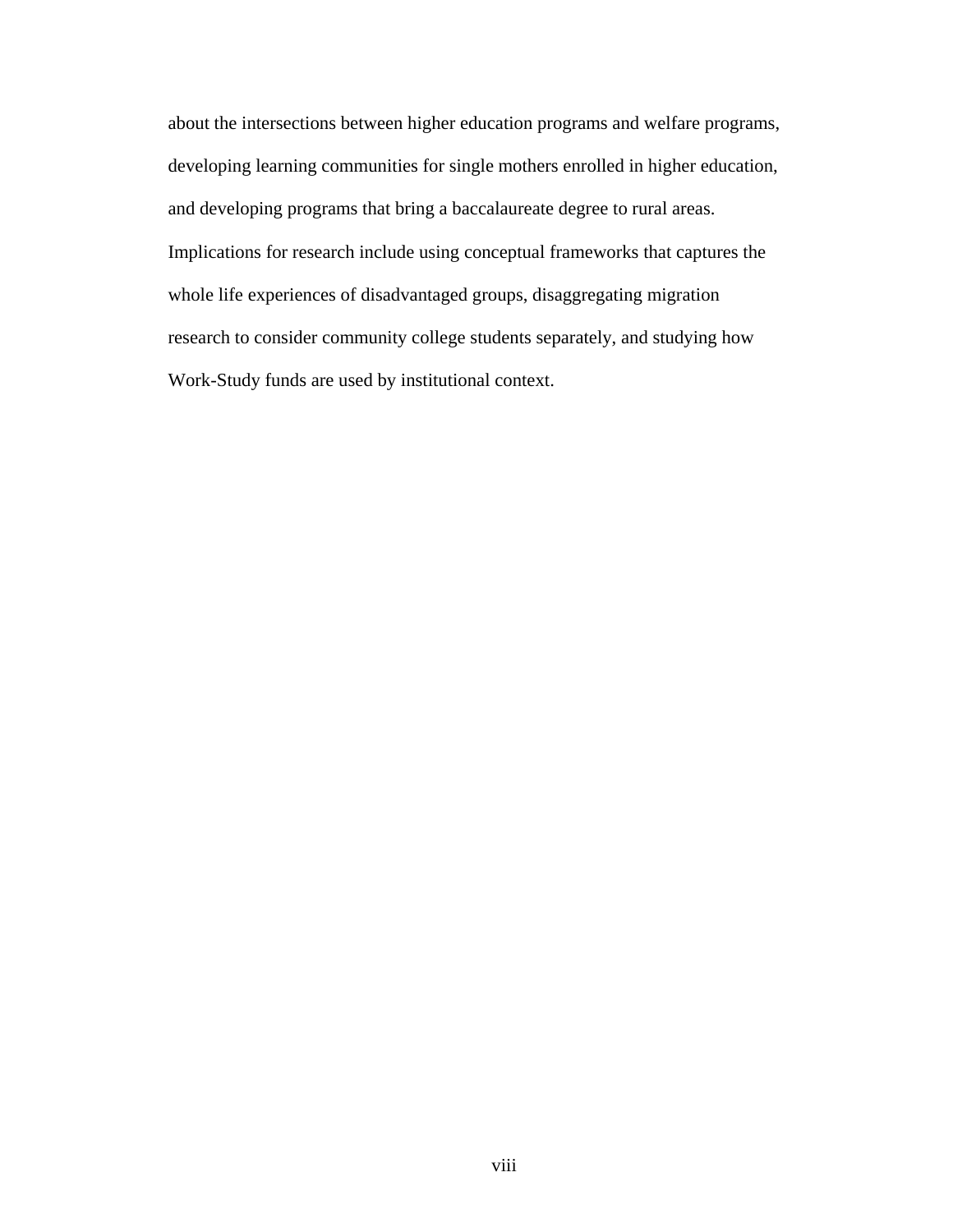about the intersections between higher education programs and welfare programs, developing learning communities for single mothers enrolled in higher education, and developing programs that bring a baccalaureate degree to rural areas. Implications for research include using conceptual frameworks that captures the whole life experiences of disadvantaged groups, disaggregating migration research to consider community college students separately, and studying how Work-Study funds are used by institutional context.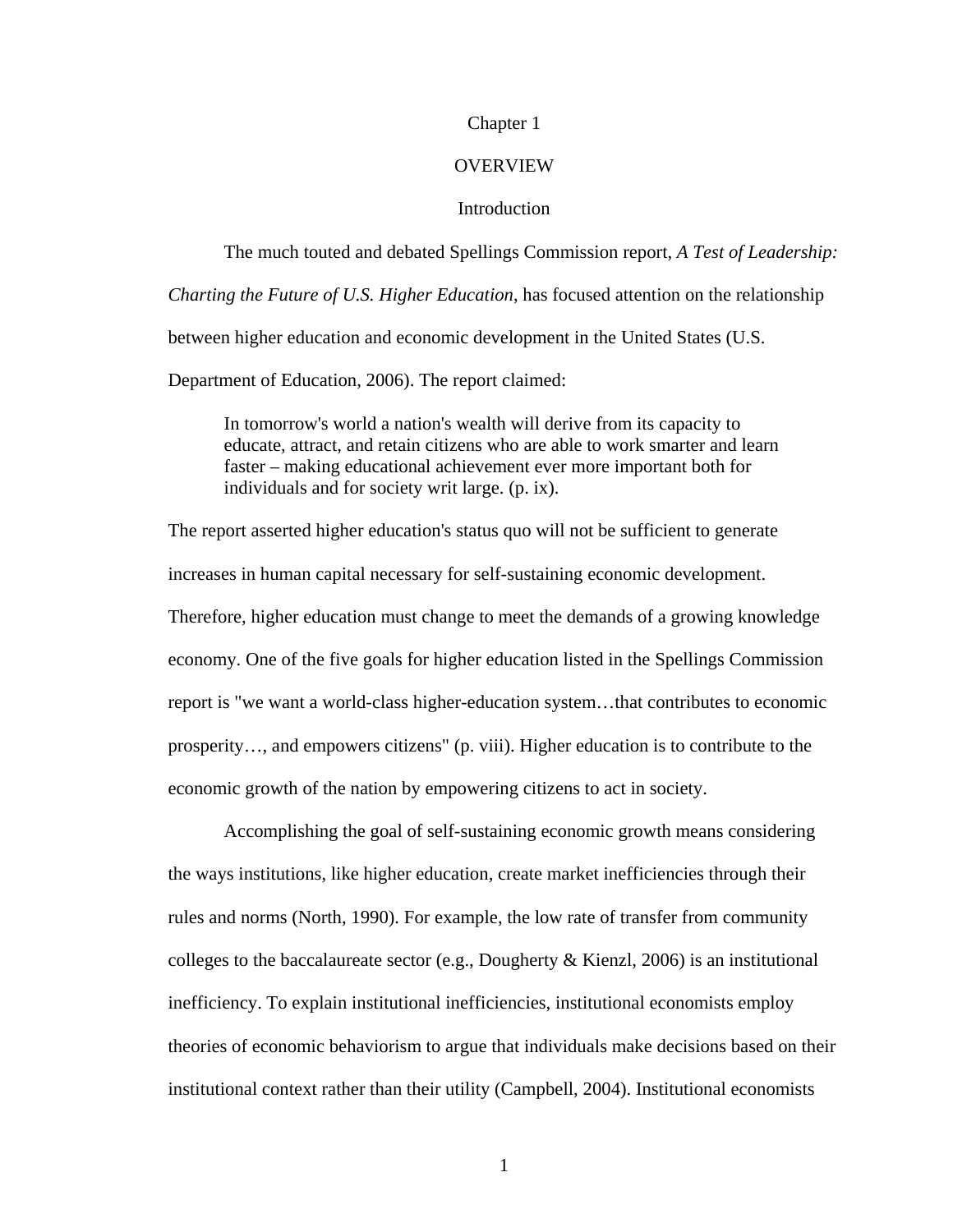# Chapter 1

## **OVERVIEW**

# **Introduction**

 The much touted and debated Spellings Commission report, *A Test of Leadership: Charting the Future of U.S. Higher Education*, has focused attention on the relationship between higher education and economic development in the United States (U.S. Department of Education, 2006). The report claimed:

 In tomorrow's world a nation's wealth will derive from its capacity to educate, attract, and retain citizens who are able to work smarter and learn faster – making educational achievement ever more important both for individuals and for society writ large. (p. ix).

The report asserted higher education's status quo will not be sufficient to generate increases in human capital necessary for self-sustaining economic development. Therefore, higher education must change to meet the demands of a growing knowledge economy. One of the five goals for higher education listed in the Spellings Commission report is "we want a world-class higher-education system…that contributes to economic prosperity…, and empowers citizens" (p. viii). Higher education is to contribute to the economic growth of the nation by empowering citizens to act in society.

 Accomplishing the goal of self-sustaining economic growth means considering the ways institutions, like higher education, create market inefficiencies through their rules and norms (North, 1990). For example, the low rate of transfer from community colleges to the baccalaureate sector (e.g., Dougherty & Kienzl, 2006) is an institutional inefficiency. To explain institutional inefficiencies, institutional economists employ theories of economic behaviorism to argue that individuals make decisions based on their institutional context rather than their utility (Campbell, 2004). Institutional economists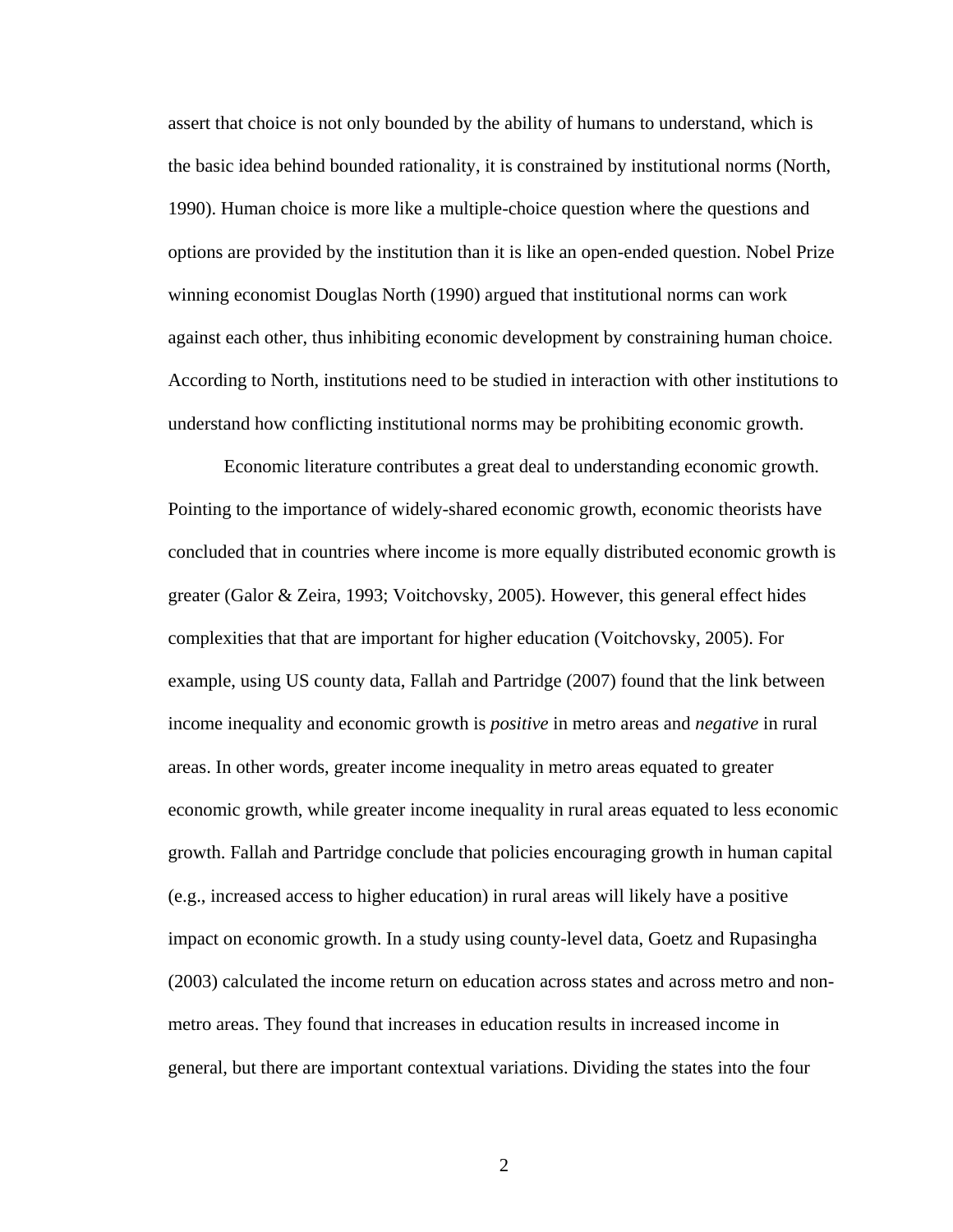assert that choice is not only bounded by the ability of humans to understand, which is the basic idea behind bounded rationality, it is constrained by institutional norms (North, 1990). Human choice is more like a multiple-choice question where the questions and options are provided by the institution than it is like an open-ended question. Nobel Prize winning economist Douglas North (1990) argued that institutional norms can work against each other, thus inhibiting economic development by constraining human choice. According to North, institutions need to be studied in interaction with other institutions to understand how conflicting institutional norms may be prohibiting economic growth.

 Economic literature contributes a great deal to understanding economic growth. Pointing to the importance of widely-shared economic growth, economic theorists have concluded that in countries where income is more equally distributed economic growth is greater (Galor & Zeira, 1993; Voitchovsky, 2005). However, this general effect hides complexities that that are important for higher education (Voitchovsky, 2005). For example, using US county data, Fallah and Partridge (2007) found that the link between income inequality and economic growth is *positive* in metro areas and *negative* in rural areas. In other words, greater income inequality in metro areas equated to greater economic growth, while greater income inequality in rural areas equated to less economic growth. Fallah and Partridge conclude that policies encouraging growth in human capital (e.g., increased access to higher education) in rural areas will likely have a positive impact on economic growth. In a study using county-level data, Goetz and Rupasingha (2003) calculated the income return on education across states and across metro and nonmetro areas. They found that increases in education results in increased income in general, but there are important contextual variations. Dividing the states into the four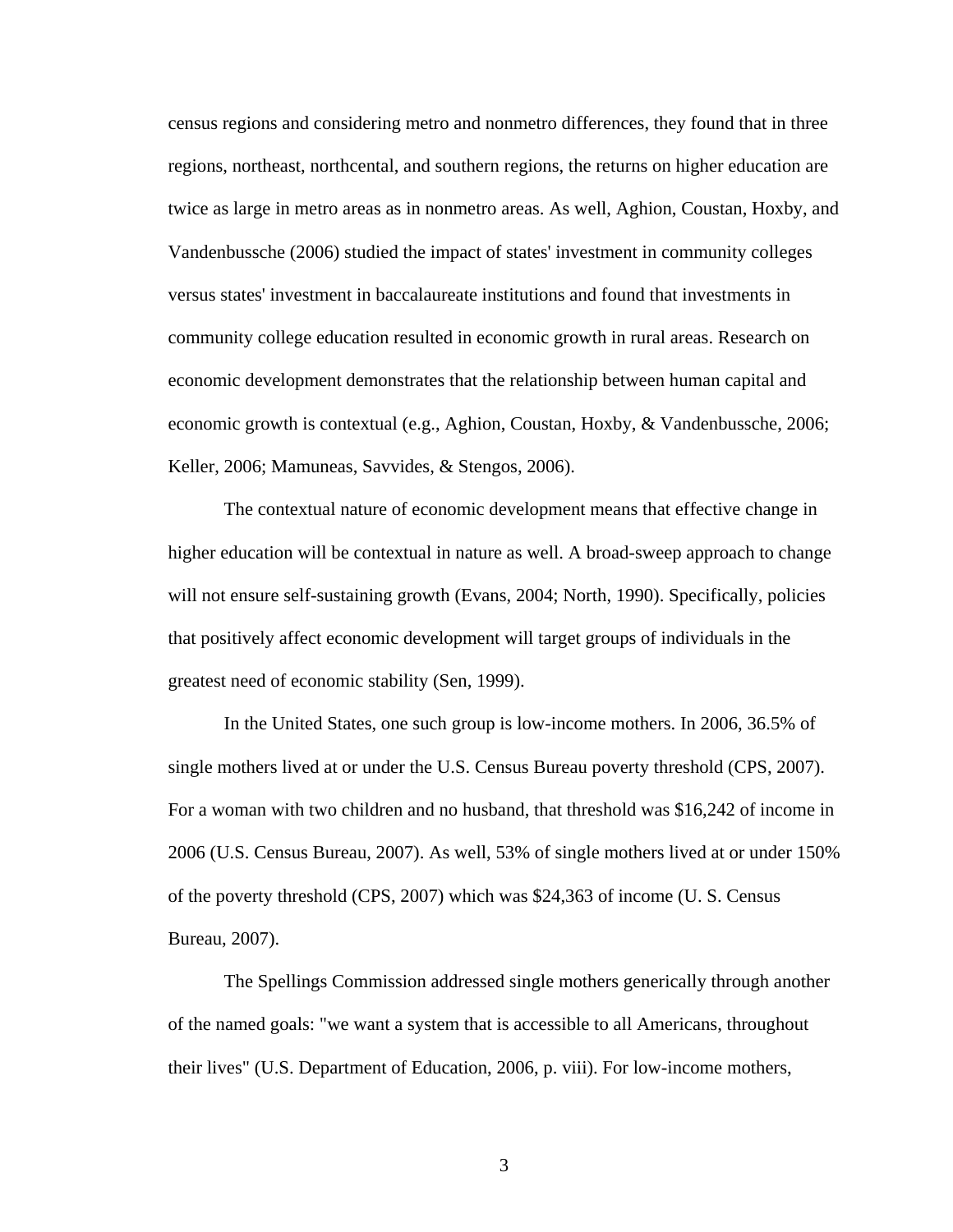census regions and considering metro and nonmetro differences, they found that in three regions, northeast, northcental, and southern regions, the returns on higher education are twice as large in metro areas as in nonmetro areas. As well, Aghion, Coustan, Hoxby, and Vandenbussche (2006) studied the impact of states' investment in community colleges versus states' investment in baccalaureate institutions and found that investments in community college education resulted in economic growth in rural areas. Research on economic development demonstrates that the relationship between human capital and economic growth is contextual (e.g., Aghion, Coustan, Hoxby, & Vandenbussche, 2006; Keller, 2006; Mamuneas, Savvides, & Stengos, 2006).

 The contextual nature of economic development means that effective change in higher education will be contextual in nature as well. A broad-sweep approach to change will not ensure self-sustaining growth (Evans, 2004; North, 1990). Specifically, policies that positively affect economic development will target groups of individuals in the greatest need of economic stability (Sen, 1999).

 In the United States, one such group is low-income mothers. In 2006, 36.5% of single mothers lived at or under the U.S. Census Bureau poverty threshold (CPS, 2007). For a woman with two children and no husband, that threshold was \$16,242 of income in 2006 (U.S. Census Bureau, 2007). As well, 53% of single mothers lived at or under 150% of the poverty threshold (CPS, 2007) which was \$24,363 of income (U. S. Census Bureau, 2007).

 The Spellings Commission addressed single mothers generically through another of the named goals: "we want a system that is accessible to all Americans, throughout their lives" (U.S. Department of Education, 2006, p. viii). For low-income mothers,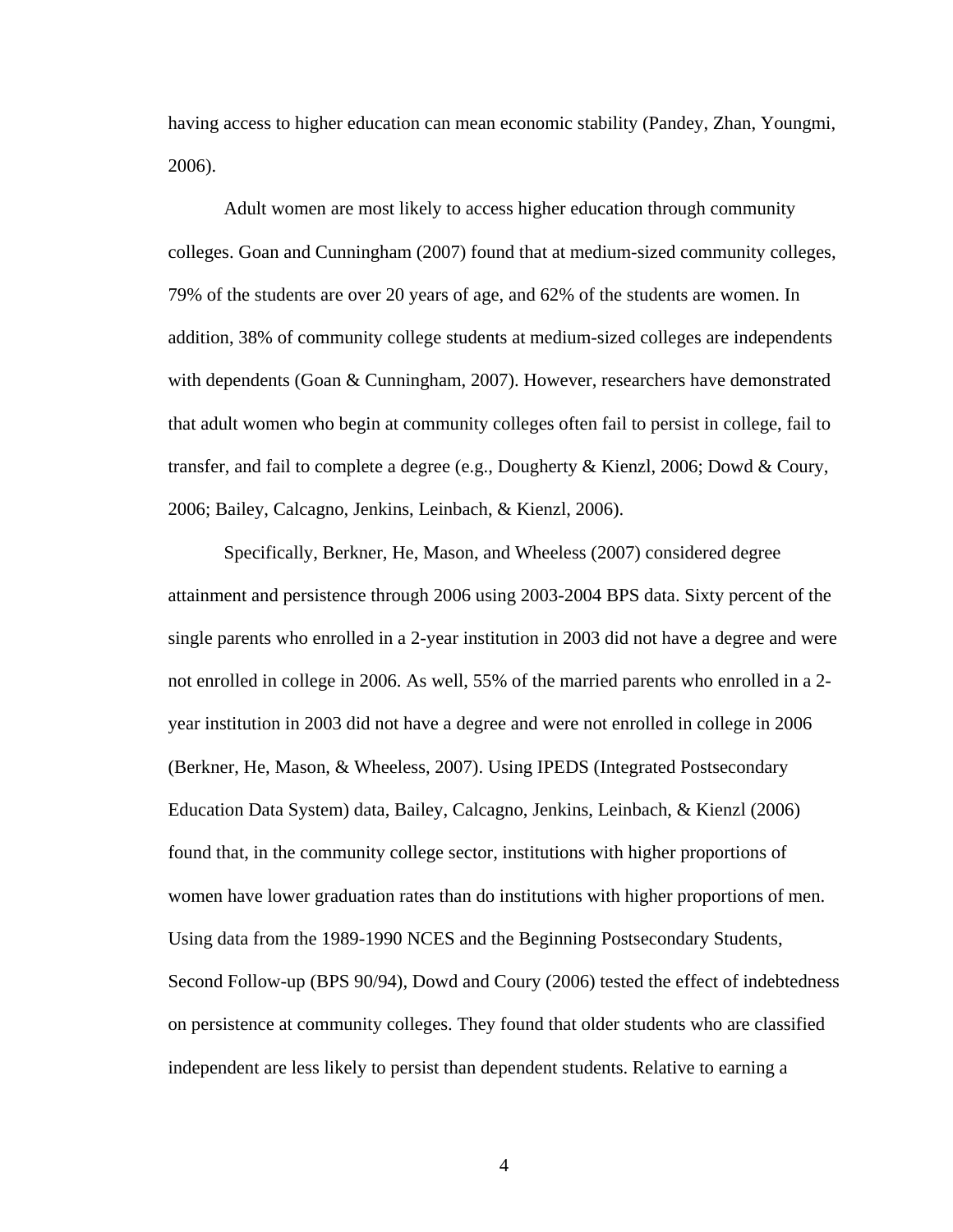having access to higher education can mean economic stability (Pandey, Zhan, Youngmi, 2006).

 Adult women are most likely to access higher education through community colleges. Goan and Cunningham (2007) found that at medium-sized community colleges, 79% of the students are over 20 years of age, and 62% of the students are women. In addition, 38% of community college students at medium-sized colleges are independents with dependents (Goan & Cunningham, 2007). However, researchers have demonstrated that adult women who begin at community colleges often fail to persist in college, fail to transfer, and fail to complete a degree (e.g., Dougherty & Kienzl, 2006; Dowd & Coury, 2006; Bailey, Calcagno, Jenkins, Leinbach, & Kienzl, 2006).

 Specifically, Berkner, He, Mason, and Wheeless (2007) considered degree attainment and persistence through 2006 using 2003-2004 BPS data. Sixty percent of the single parents who enrolled in a 2-year institution in 2003 did not have a degree and were not enrolled in college in 2006. As well, 55% of the married parents who enrolled in a 2 year institution in 2003 did not have a degree and were not enrolled in college in 2006 (Berkner, He, Mason, & Wheeless, 2007). Using IPEDS (Integrated Postsecondary Education Data System) data, Bailey, Calcagno, Jenkins, Leinbach, & Kienzl (2006) found that, in the community college sector, institutions with higher proportions of women have lower graduation rates than do institutions with higher proportions of men. Using data from the 1989-1990 NCES and the Beginning Postsecondary Students, Second Follow-up (BPS 90/94), Dowd and Coury (2006) tested the effect of indebtedness on persistence at community colleges. They found that older students who are classified independent are less likely to persist than dependent students. Relative to earning a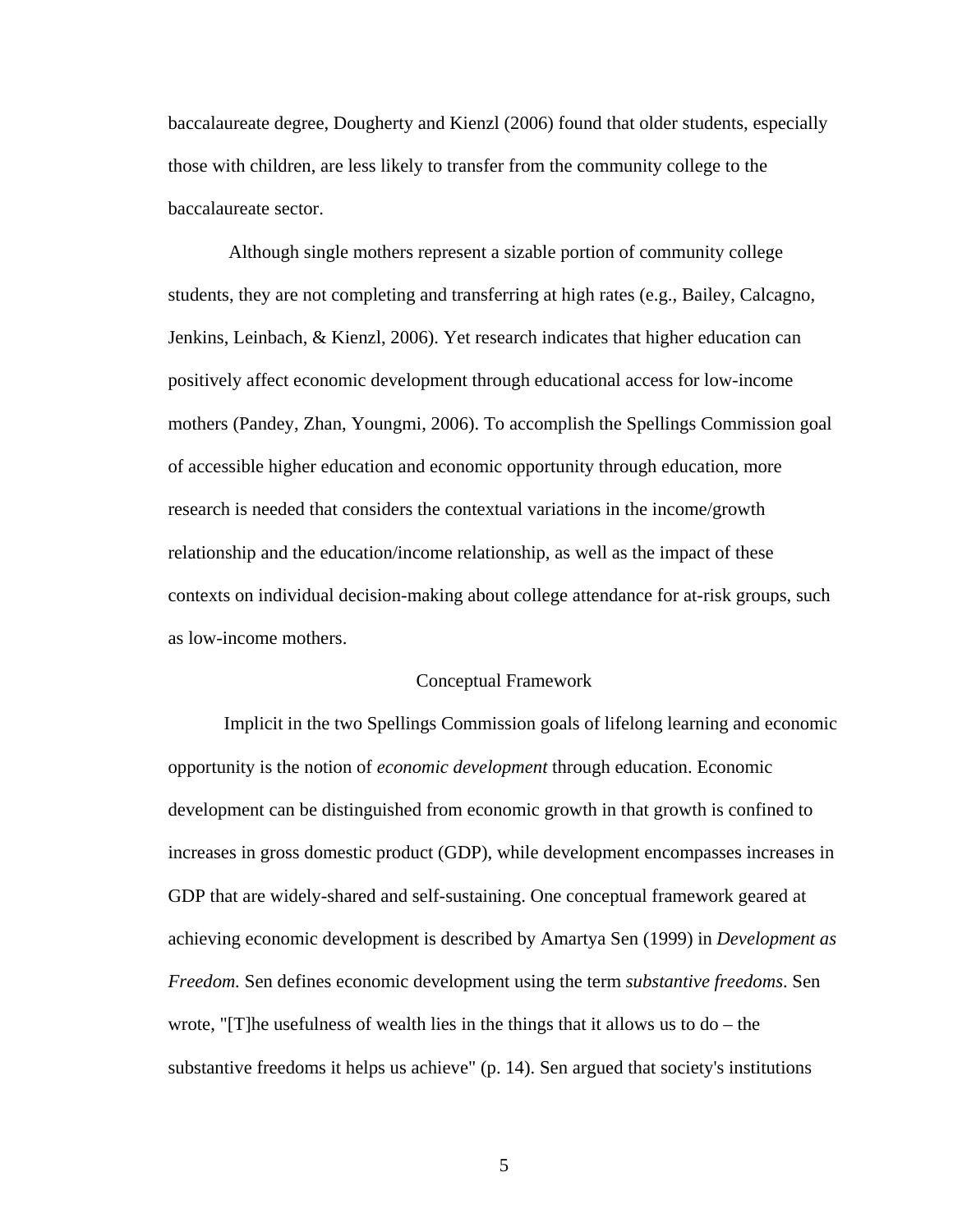baccalaureate degree, Dougherty and Kienzl (2006) found that older students, especially those with children, are less likely to transfer from the community college to the baccalaureate sector.

 Although single mothers represent a sizable portion of community college students, they are not completing and transferring at high rates (e.g., Bailey, Calcagno, Jenkins, Leinbach, & Kienzl, 2006). Yet research indicates that higher education can positively affect economic development through educational access for low-income mothers (Pandey, Zhan, Youngmi, 2006). To accomplish the Spellings Commission goal of accessible higher education and economic opportunity through education, more research is needed that considers the contextual variations in the income/growth relationship and the education/income relationship, as well as the impact of these contexts on individual decision-making about college attendance for at-risk groups, such as low-income mothers.

#### Conceptual Framework

 Implicit in the two Spellings Commission goals of lifelong learning and economic opportunity is the notion of *economic development* through education. Economic development can be distinguished from economic growth in that growth is confined to increases in gross domestic product (GDP), while development encompasses increases in GDP that are widely-shared and self-sustaining. One conceptual framework geared at achieving economic development is described by Amartya Sen (1999) in *Development as Freedom.* Sen defines economic development using the term *substantive freedoms*. Sen wrote, "[T]he usefulness of wealth lies in the things that it allows us to  $d\sigma$  – the substantive freedoms it helps us achieve" (p. 14). Sen argued that society's institutions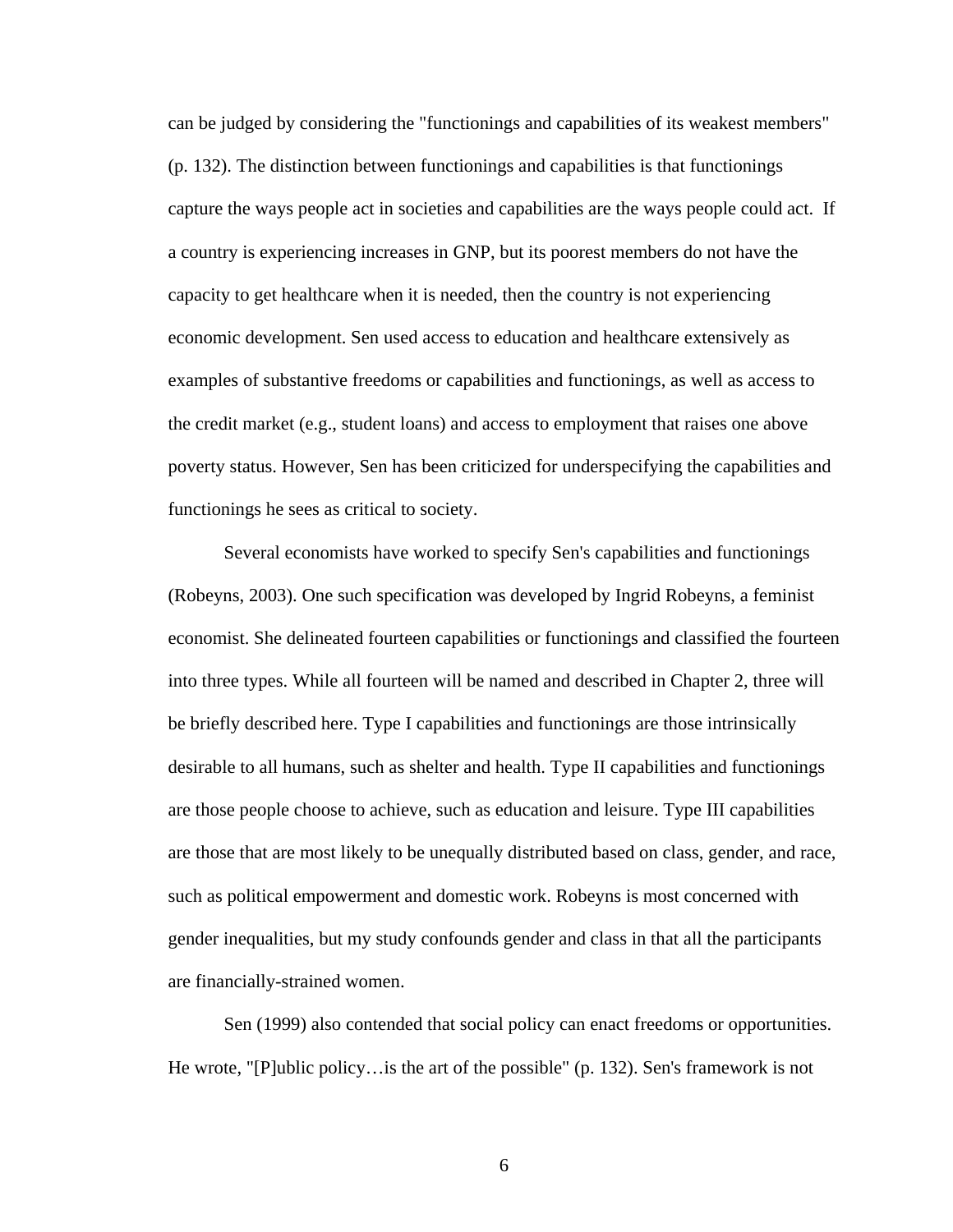can be judged by considering the "functionings and capabilities of its weakest members" (p. 132). The distinction between functionings and capabilities is that functionings capture the ways people act in societies and capabilities are the ways people could act. If a country is experiencing increases in GNP, but its poorest members do not have the capacity to get healthcare when it is needed, then the country is not experiencing economic development. Sen used access to education and healthcare extensively as examples of substantive freedoms or capabilities and functionings, as well as access to the credit market (e.g., student loans) and access to employment that raises one above poverty status. However, Sen has been criticized for underspecifying the capabilities and functionings he sees as critical to society.

 Several economists have worked to specify Sen's capabilities and functionings (Robeyns, 2003). One such specification was developed by Ingrid Robeyns, a feminist economist. She delineated fourteen capabilities or functionings and classified the fourteen into three types. While all fourteen will be named and described in Chapter 2, three will be briefly described here. Type I capabilities and functionings are those intrinsically desirable to all humans, such as shelter and health. Type II capabilities and functionings are those people choose to achieve, such as education and leisure. Type III capabilities are those that are most likely to be unequally distributed based on class, gender, and race, such as political empowerment and domestic work. Robeyns is most concerned with gender inequalities, but my study confounds gender and class in that all the participants are financially-strained women.

 Sen (1999) also contended that social policy can enact freedoms or opportunities. He wrote, "[P]ublic policy…is the art of the possible" (p. 132). Sen's framework is not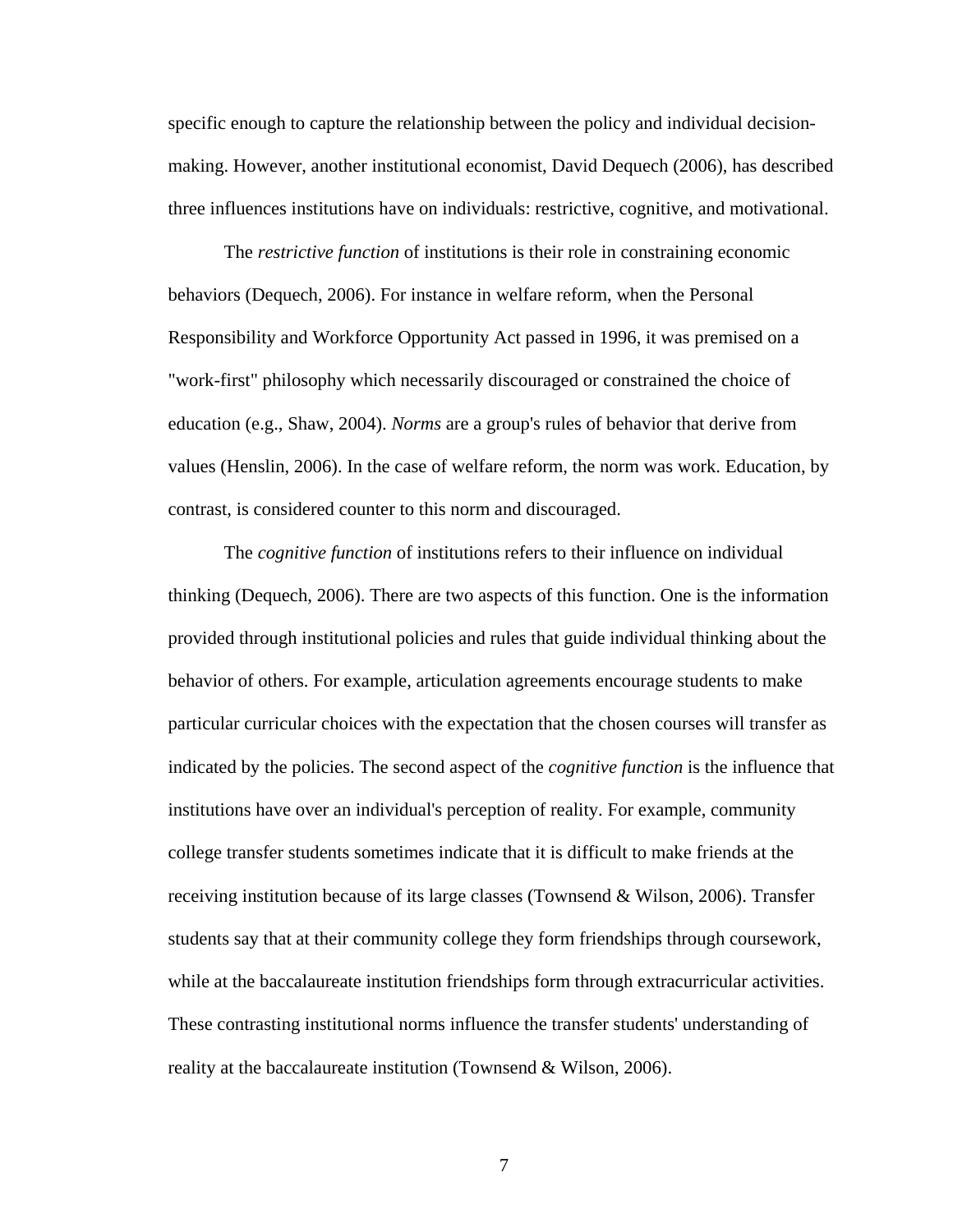specific enough to capture the relationship between the policy and individual decisionmaking. However, another institutional economist, David Dequech (2006), has described three influences institutions have on individuals: restrictive, cognitive, and motivational.

 The *restrictive function* of institutions is their role in constraining economic behaviors (Dequech, 2006). For instance in welfare reform, when the Personal Responsibility and Workforce Opportunity Act passed in 1996, it was premised on a "work-first" philosophy which necessarily discouraged or constrained the choice of education (e.g., Shaw, 2004). *Norms* are a group's rules of behavior that derive from values (Henslin, 2006). In the case of welfare reform, the norm was work. Education, by contrast, is considered counter to this norm and discouraged.

 The *cognitive function* of institutions refers to their influence on individual thinking (Dequech, 2006). There are two aspects of this function. One is the information provided through institutional policies and rules that guide individual thinking about the behavior of others. For example, articulation agreements encourage students to make particular curricular choices with the expectation that the chosen courses will transfer as indicated by the policies. The second aspect of the *cognitive function* is the influence that institutions have over an individual's perception of reality. For example, community college transfer students sometimes indicate that it is difficult to make friends at the receiving institution because of its large classes (Townsend & Wilson, 2006). Transfer students say that at their community college they form friendships through coursework, while at the baccalaureate institution friendships form through extracurricular activities. These contrasting institutional norms influence the transfer students' understanding of reality at the baccalaureate institution (Townsend & Wilson, 2006).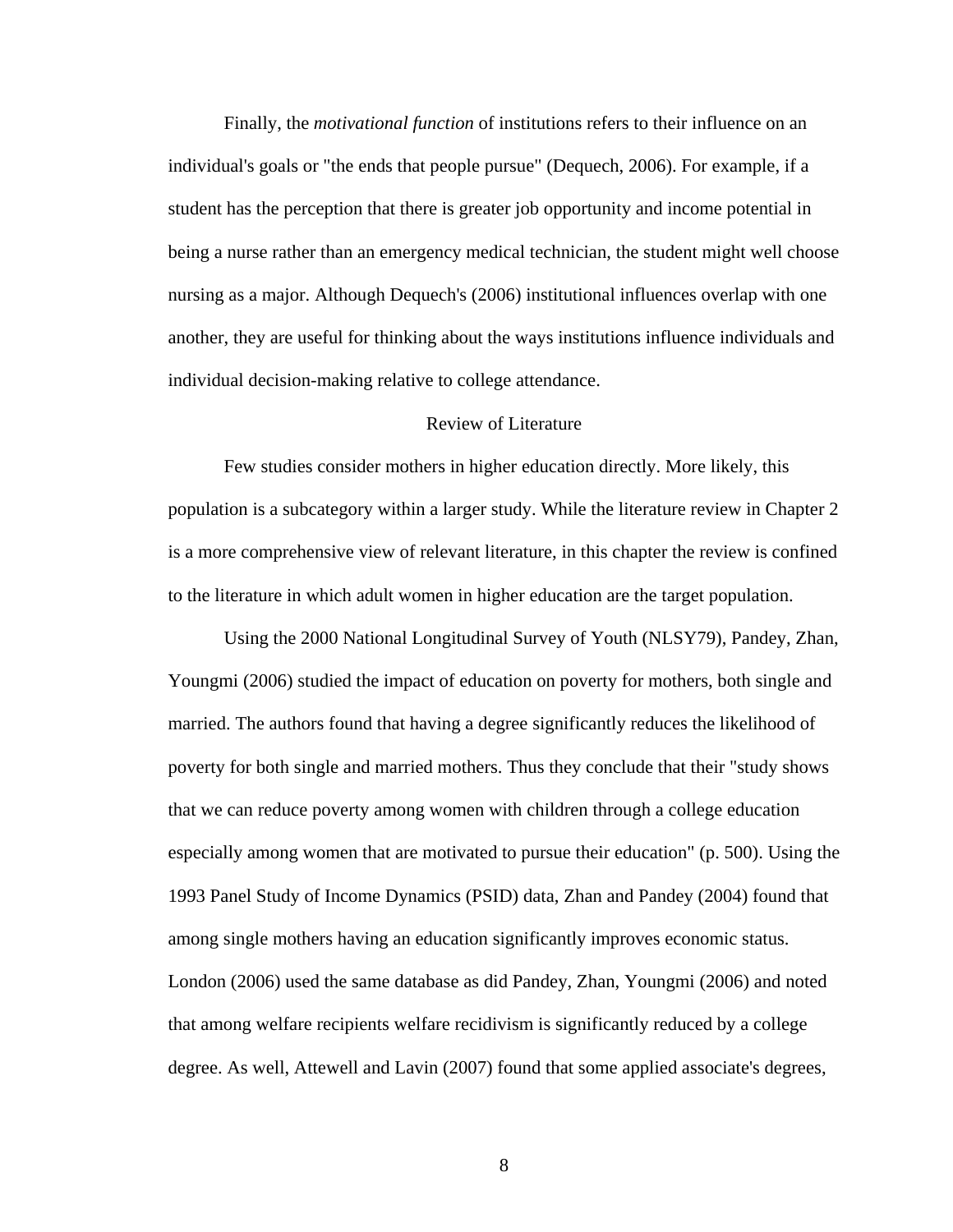Finally, the *motivational function* of institutions refers to their influence on an individual's goals or "the ends that people pursue" (Dequech, 2006). For example, if a student has the perception that there is greater job opportunity and income potential in being a nurse rather than an emergency medical technician, the student might well choose nursing as a major. Although Dequech's (2006) institutional influences overlap with one another, they are useful for thinking about the ways institutions influence individuals and individual decision-making relative to college attendance.

# Review of Literature

 Few studies consider mothers in higher education directly. More likely, this population is a subcategory within a larger study. While the literature review in Chapter 2 is a more comprehensive view of relevant literature, in this chapter the review is confined to the literature in which adult women in higher education are the target population.

 Using the 2000 National Longitudinal Survey of Youth (NLSY79), Pandey, Zhan, Youngmi (2006) studied the impact of education on poverty for mothers, both single and married. The authors found that having a degree significantly reduces the likelihood of poverty for both single and married mothers. Thus they conclude that their "study shows that we can reduce poverty among women with children through a college education especially among women that are motivated to pursue their education" (p. 500). Using the 1993 Panel Study of Income Dynamics (PSID) data, Zhan and Pandey (2004) found that among single mothers having an education significantly improves economic status. London (2006) used the same database as did Pandey, Zhan, Youngmi (2006) and noted that among welfare recipients welfare recidivism is significantly reduced by a college degree. As well, Attewell and Lavin (2007) found that some applied associate's degrees,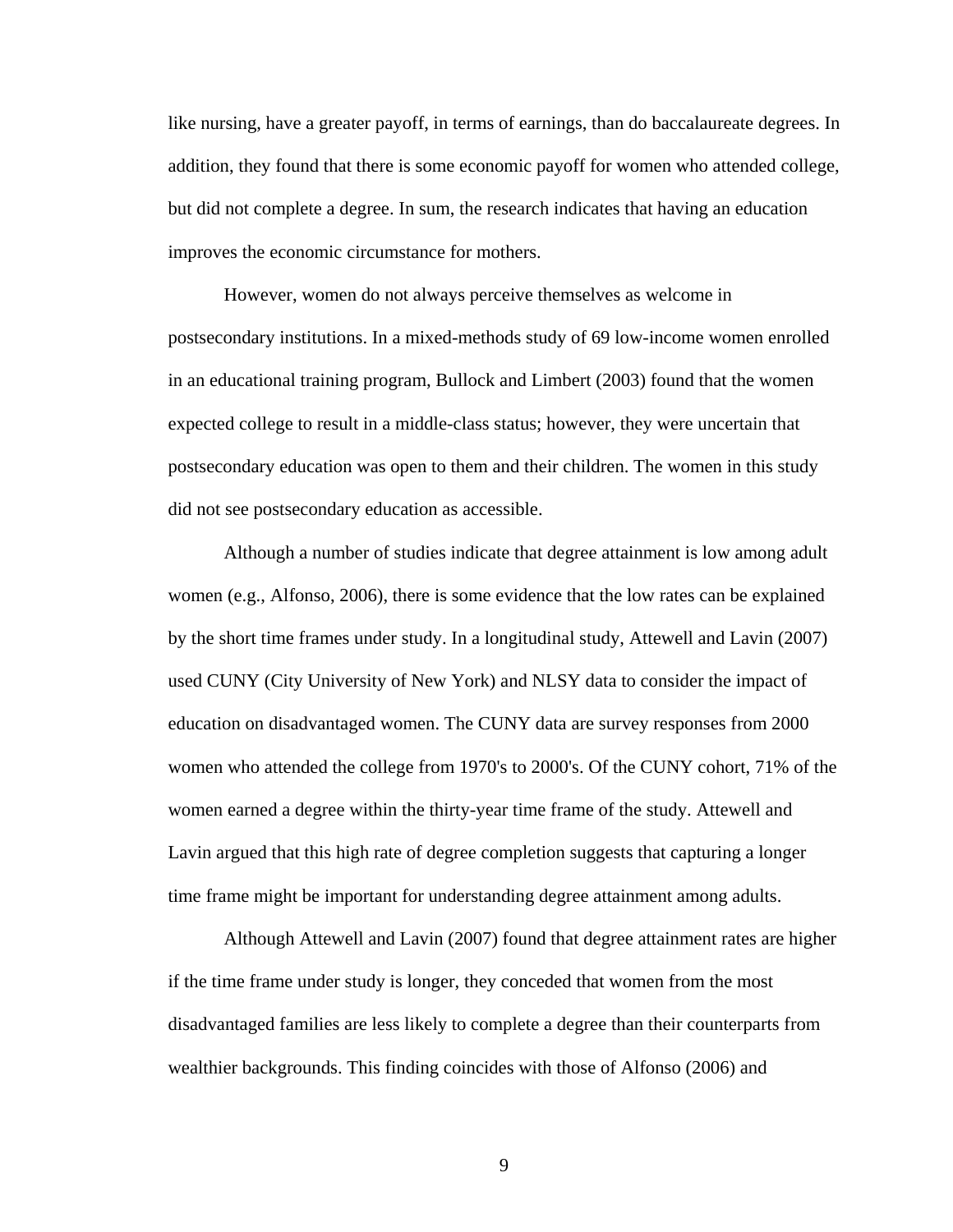like nursing, have a greater payoff, in terms of earnings, than do baccalaureate degrees. In addition, they found that there is some economic payoff for women who attended college, but did not complete a degree. In sum, the research indicates that having an education improves the economic circumstance for mothers.

 However, women do not always perceive themselves as welcome in postsecondary institutions. In a mixed-methods study of 69 low-income women enrolled in an educational training program, Bullock and Limbert (2003) found that the women expected college to result in a middle-class status; however, they were uncertain that postsecondary education was open to them and their children. The women in this study did not see postsecondary education as accessible.

 Although a number of studies indicate that degree attainment is low among adult women (e.g., Alfonso, 2006), there is some evidence that the low rates can be explained by the short time frames under study. In a longitudinal study, Attewell and Lavin (2007) used CUNY (City University of New York) and NLSY data to consider the impact of education on disadvantaged women. The CUNY data are survey responses from 2000 women who attended the college from 1970's to 2000's. Of the CUNY cohort, 71% of the women earned a degree within the thirty-year time frame of the study. Attewell and Lavin argued that this high rate of degree completion suggests that capturing a longer time frame might be important for understanding degree attainment among adults.

 Although Attewell and Lavin (2007) found that degree attainment rates are higher if the time frame under study is longer, they conceded that women from the most disadvantaged families are less likely to complete a degree than their counterparts from wealthier backgrounds. This finding coincides with those of Alfonso (2006) and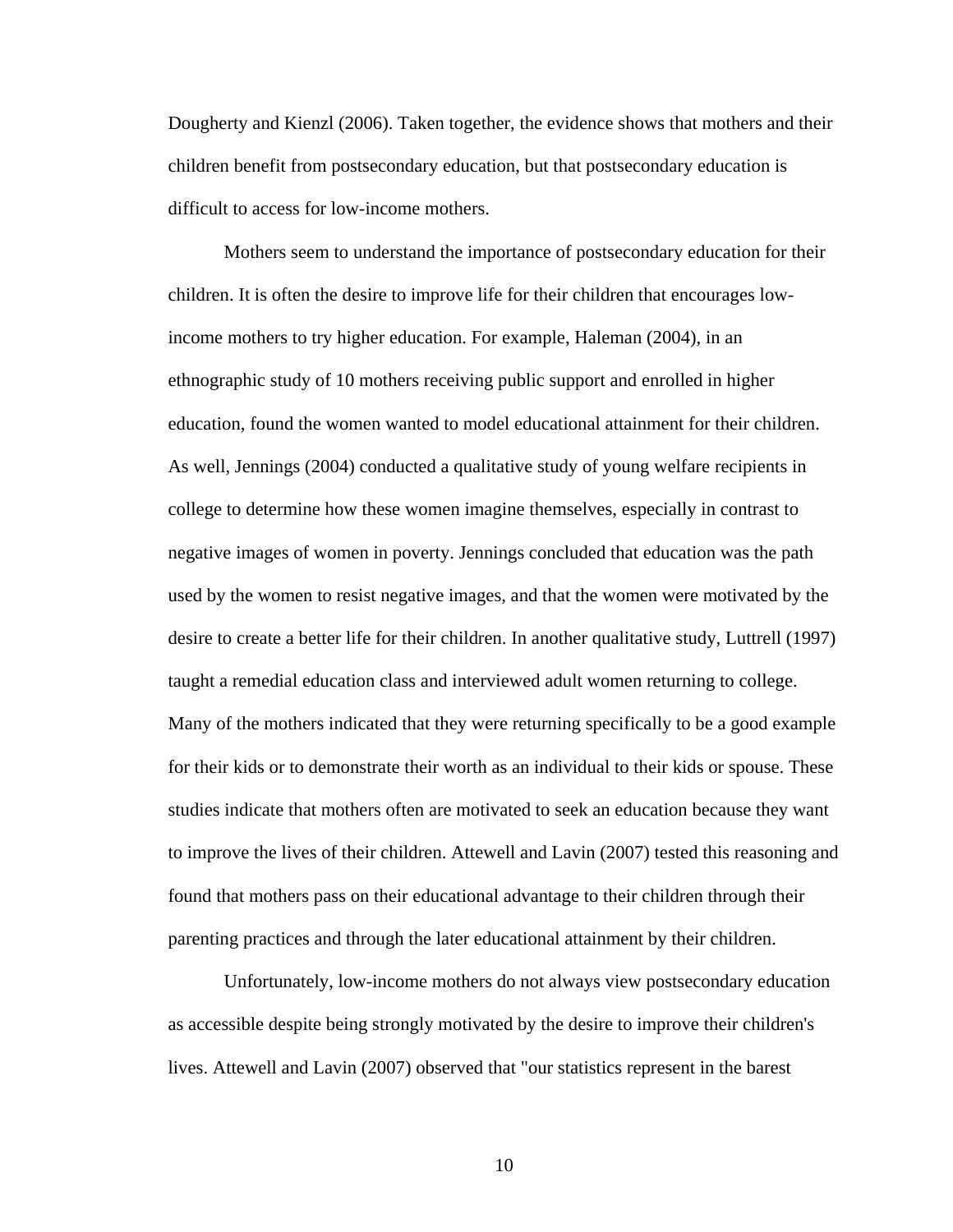Dougherty and Kienzl (2006). Taken together, the evidence shows that mothers and their children benefit from postsecondary education, but that postsecondary education is difficult to access for low-income mothers.

 Mothers seem to understand the importance of postsecondary education for their children. It is often the desire to improve life for their children that encourages lowincome mothers to try higher education. For example, Haleman (2004), in an ethnographic study of 10 mothers receiving public support and enrolled in higher education, found the women wanted to model educational attainment for their children. As well, Jennings (2004) conducted a qualitative study of young welfare recipients in college to determine how these women imagine themselves, especially in contrast to negative images of women in poverty. Jennings concluded that education was the path used by the women to resist negative images, and that the women were motivated by the desire to create a better life for their children. In another qualitative study, Luttrell (1997) taught a remedial education class and interviewed adult women returning to college. Many of the mothers indicated that they were returning specifically to be a good example for their kids or to demonstrate their worth as an individual to their kids or spouse. These studies indicate that mothers often are motivated to seek an education because they want to improve the lives of their children. Attewell and Lavin (2007) tested this reasoning and found that mothers pass on their educational advantage to their children through their parenting practices and through the later educational attainment by their children.

 Unfortunately, low-income mothers do not always view postsecondary education as accessible despite being strongly motivated by the desire to improve their children's lives. Attewell and Lavin (2007) observed that "our statistics represent in the barest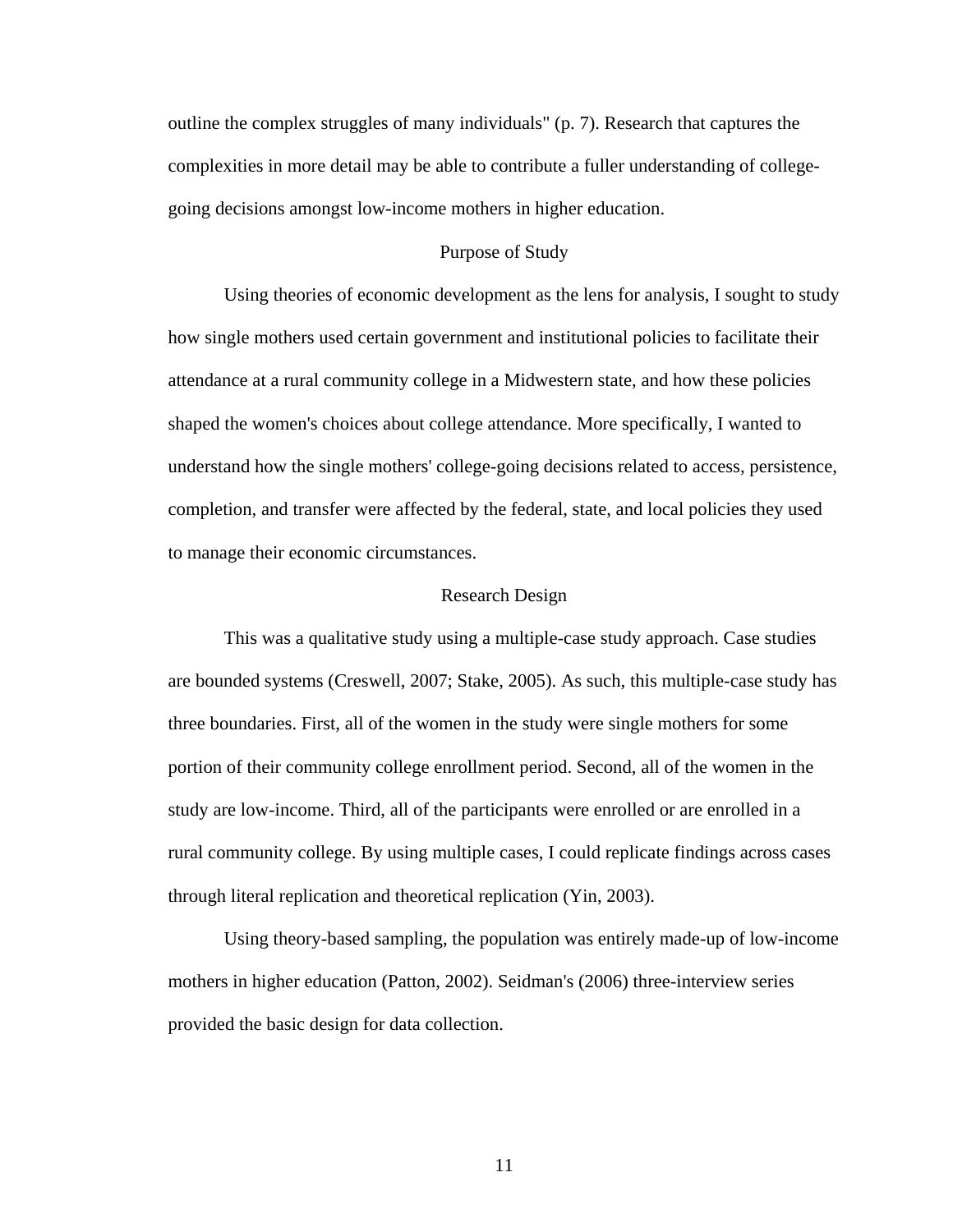outline the complex struggles of many individuals" (p. 7). Research that captures the complexities in more detail may be able to contribute a fuller understanding of collegegoing decisions amongst low-income mothers in higher education.

# Purpose of Study

 Using theories of economic development as the lens for analysis, I sought to study how single mothers used certain government and institutional policies to facilitate their attendance at a rural community college in a Midwestern state, and how these policies shaped the women's choices about college attendance. More specifically, I wanted to understand how the single mothers' college-going decisions related to access, persistence, completion, and transfer were affected by the federal, state, and local policies they used to manage their economic circumstances.

#### Research Design

 This was a qualitative study using a multiple-case study approach. Case studies are bounded systems (Creswell, 2007; Stake, 2005). As such, this multiple-case study has three boundaries. First, all of the women in the study were single mothers for some portion of their community college enrollment period. Second, all of the women in the study are low-income. Third, all of the participants were enrolled or are enrolled in a rural community college. By using multiple cases, I could replicate findings across cases through literal replication and theoretical replication (Yin, 2003).

 Using theory-based sampling, the population was entirely made-up of low-income mothers in higher education (Patton, 2002). Seidman's (2006) three-interview series provided the basic design for data collection.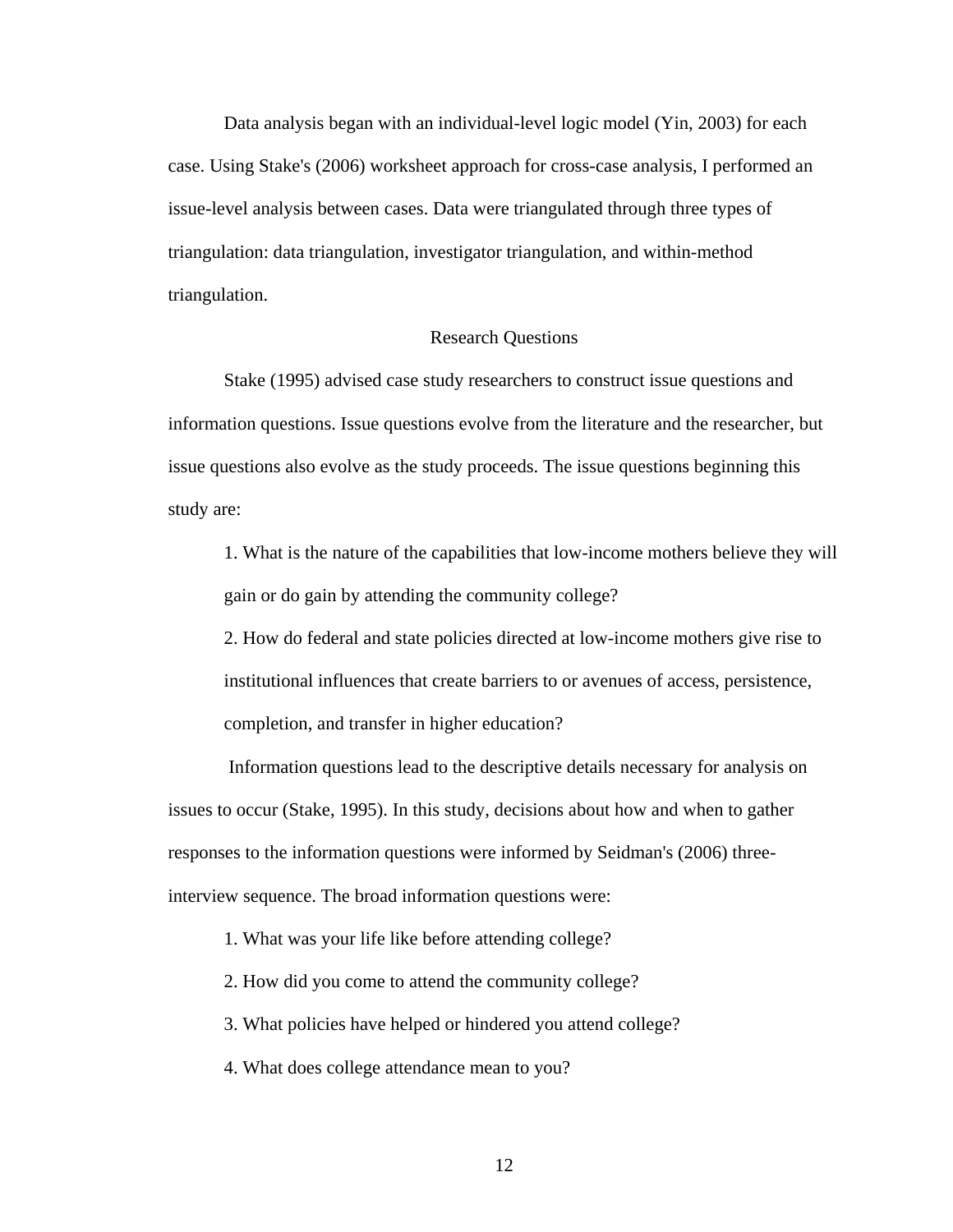Data analysis began with an individual-level logic model (Yin, 2003) for each case. Using Stake's (2006) worksheet approach for cross-case analysis, I performed an issue-level analysis between cases. Data were triangulated through three types of triangulation: data triangulation, investigator triangulation, and within-method triangulation.

# Research Questions

 Stake (1995) advised case study researchers to construct issue questions and information questions. Issue questions evolve from the literature and the researcher, but issue questions also evolve as the study proceeds. The issue questions beginning this study are:

 1. What is the nature of the capabilities that low-income mothers believe they will gain or do gain by attending the community college?

 2. How do federal and state policies directed at low-income mothers give rise to institutional influences that create barriers to or avenues of access, persistence, completion, and transfer in higher education?

 Information questions lead to the descriptive details necessary for analysis on issues to occur (Stake, 1995). In this study, decisions about how and when to gather responses to the information questions were informed by Seidman's (2006) threeinterview sequence. The broad information questions were:

1. What was your life like before attending college?

2. How did you come to attend the community college?

3. What policies have helped or hindered you attend college?

4. What does college attendance mean to you?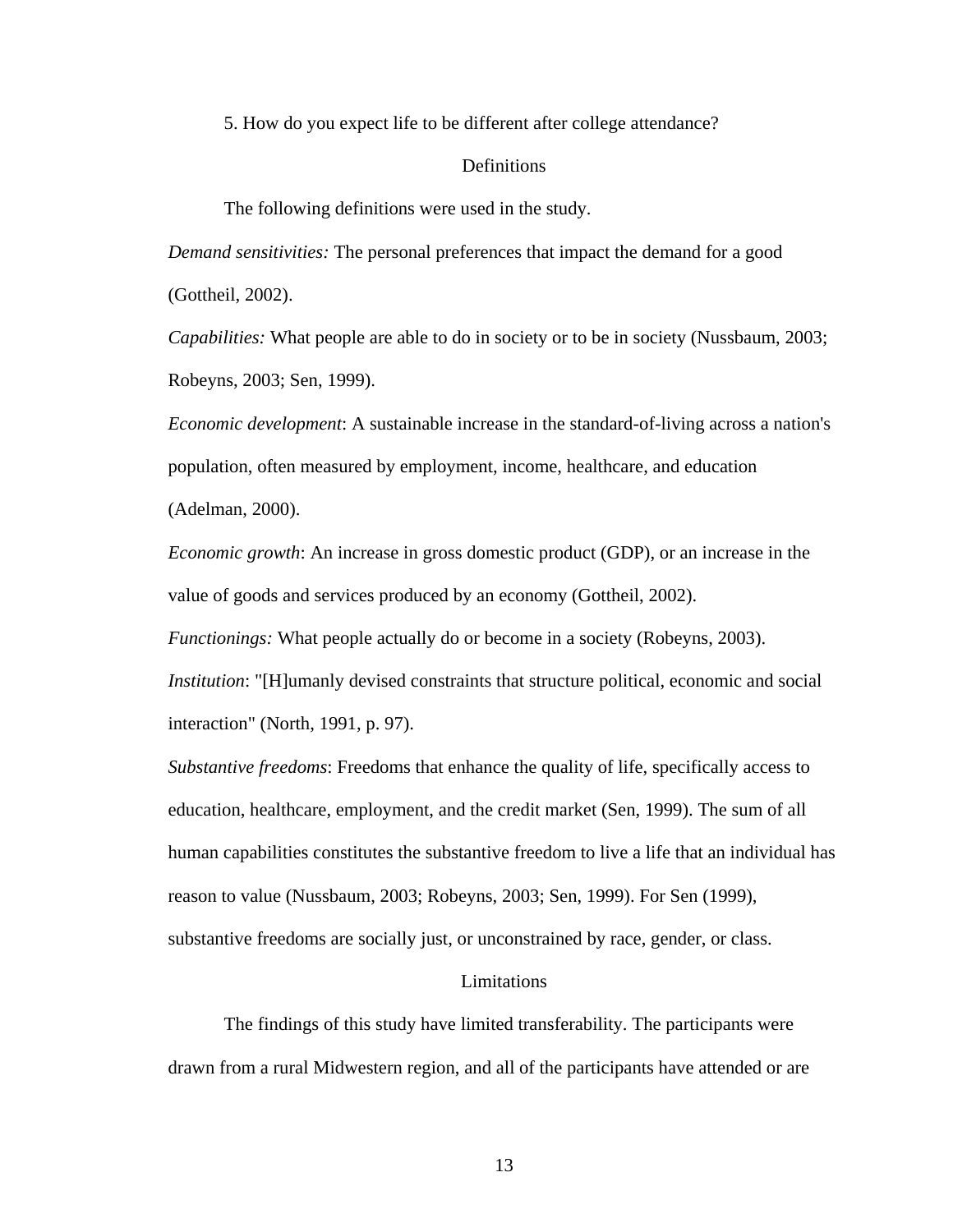5. How do you expect life to be different after college attendance?

# Definitions

The following definitions were used in the study.

*Demand sensitivities:* The personal preferences that impact the demand for a good (Gottheil, 2002).

*Capabilities:* What people are able to do in society or to be in society (Nussbaum, 2003; Robeyns, 2003; Sen, 1999).

*Economic development*: A sustainable increase in the standard-of-living across a nation's population, often measured by employment, income, healthcare, and education (Adelman, 2000).

*Economic growth*: An increase in gross domestic product (GDP), or an increase in the value of goods and services produced by an economy (Gottheil, 2002).

*Functionings:* What people actually do or become in a society (Robeyns, 2003).

*Institution*: "[H]umanly devised constraints that structure political, economic and social interaction" (North, 1991, p. 97).

*Substantive freedoms*: Freedoms that enhance the quality of life, specifically access to education, healthcare, employment, and the credit market (Sen, 1999). The sum of all human capabilities constitutes the substantive freedom to live a life that an individual has reason to value (Nussbaum, 2003; Robeyns, 2003; Sen, 1999). For Sen (1999), substantive freedoms are socially just, or unconstrained by race, gender, or class.

# Limitations

 The findings of this study have limited transferability. The participants were drawn from a rural Midwestern region, and all of the participants have attended or are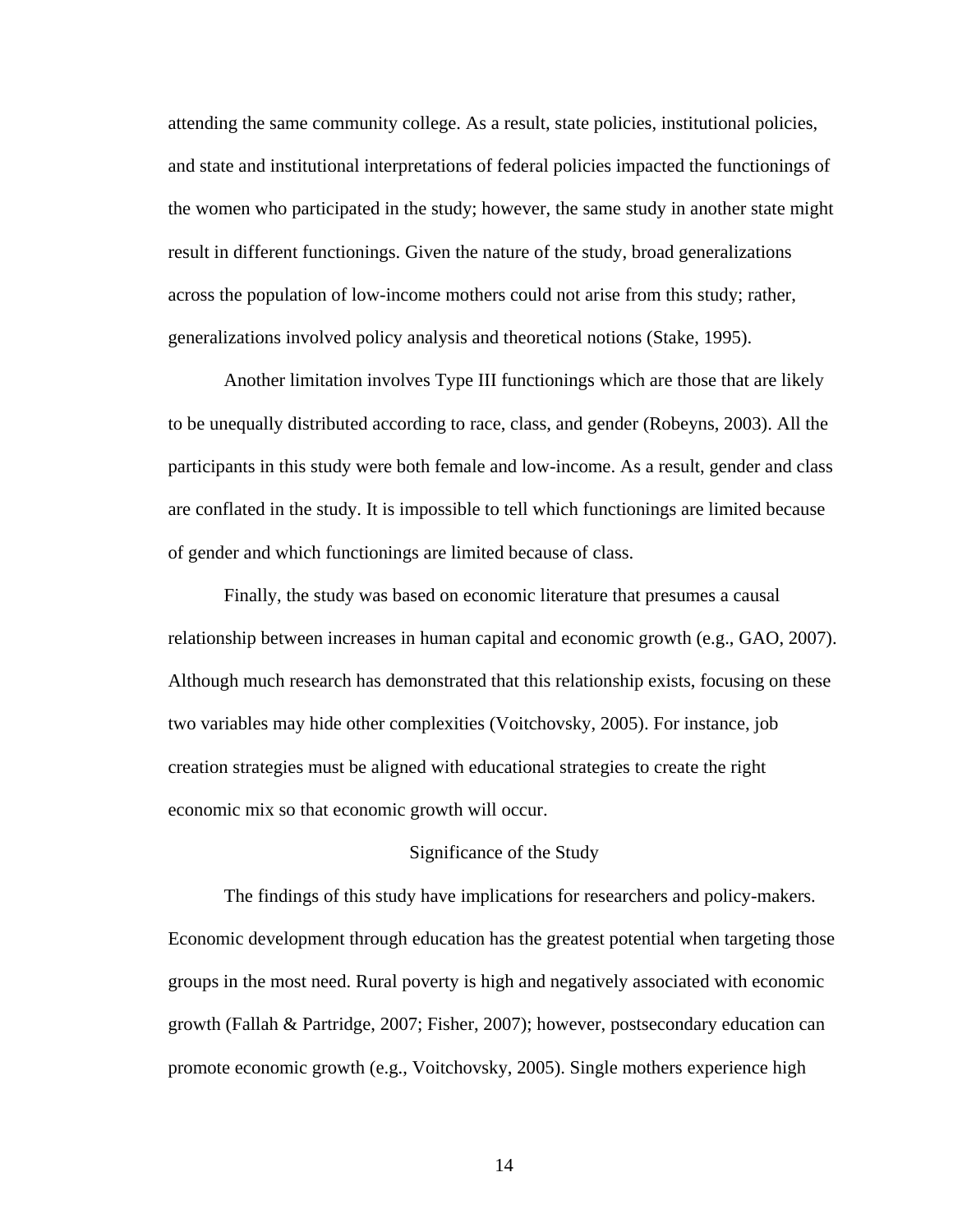attending the same community college. As a result, state policies, institutional policies, and state and institutional interpretations of federal policies impacted the functionings of the women who participated in the study; however, the same study in another state might result in different functionings. Given the nature of the study, broad generalizations across the population of low-income mothers could not arise from this study; rather, generalizations involved policy analysis and theoretical notions (Stake, 1995).

 Another limitation involves Type III functionings which are those that are likely to be unequally distributed according to race, class, and gender (Robeyns, 2003). All the participants in this study were both female and low-income. As a result, gender and class are conflated in the study. It is impossible to tell which functionings are limited because of gender and which functionings are limited because of class.

 Finally, the study was based on economic literature that presumes a causal relationship between increases in human capital and economic growth (e.g., GAO, 2007). Although much research has demonstrated that this relationship exists, focusing on these two variables may hide other complexities (Voitchovsky, 2005). For instance, job creation strategies must be aligned with educational strategies to create the right economic mix so that economic growth will occur.

#### Significance of the Study

 The findings of this study have implications for researchers and policy-makers. Economic development through education has the greatest potential when targeting those groups in the most need. Rural poverty is high and negatively associated with economic growth (Fallah & Partridge, 2007; Fisher, 2007); however, postsecondary education can promote economic growth (e.g., Voitchovsky, 2005). Single mothers experience high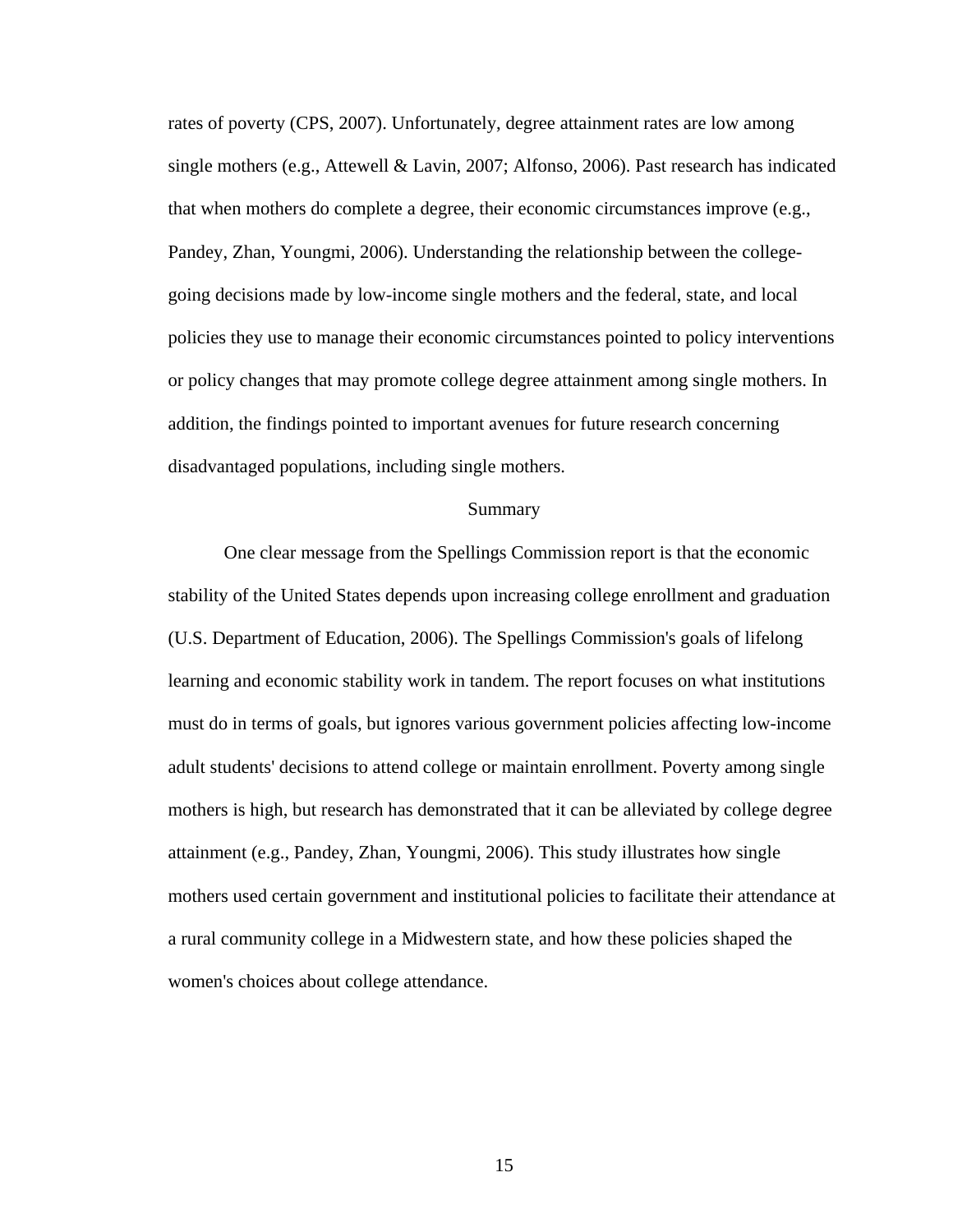rates of poverty (CPS, 2007). Unfortunately, degree attainment rates are low among single mothers (e.g., Attewell & Lavin, 2007; Alfonso, 2006). Past research has indicated that when mothers do complete a degree, their economic circumstances improve (e.g., Pandey, Zhan, Youngmi, 2006). Understanding the relationship between the collegegoing decisions made by low-income single mothers and the federal, state, and local policies they use to manage their economic circumstances pointed to policy interventions or policy changes that may promote college degree attainment among single mothers. In addition, the findings pointed to important avenues for future research concerning disadvantaged populations, including single mothers.

# Summary

 One clear message from the Spellings Commission report is that the economic stability of the United States depends upon increasing college enrollment and graduation (U.S. Department of Education, 2006). The Spellings Commission's goals of lifelong learning and economic stability work in tandem. The report focuses on what institutions must do in terms of goals, but ignores various government policies affecting low-income adult students' decisions to attend college or maintain enrollment. Poverty among single mothers is high, but research has demonstrated that it can be alleviated by college degree attainment (e.g., Pandey, Zhan, Youngmi, 2006). This study illustrates how single mothers used certain government and institutional policies to facilitate their attendance at a rural community college in a Midwestern state, and how these policies shaped the women's choices about college attendance.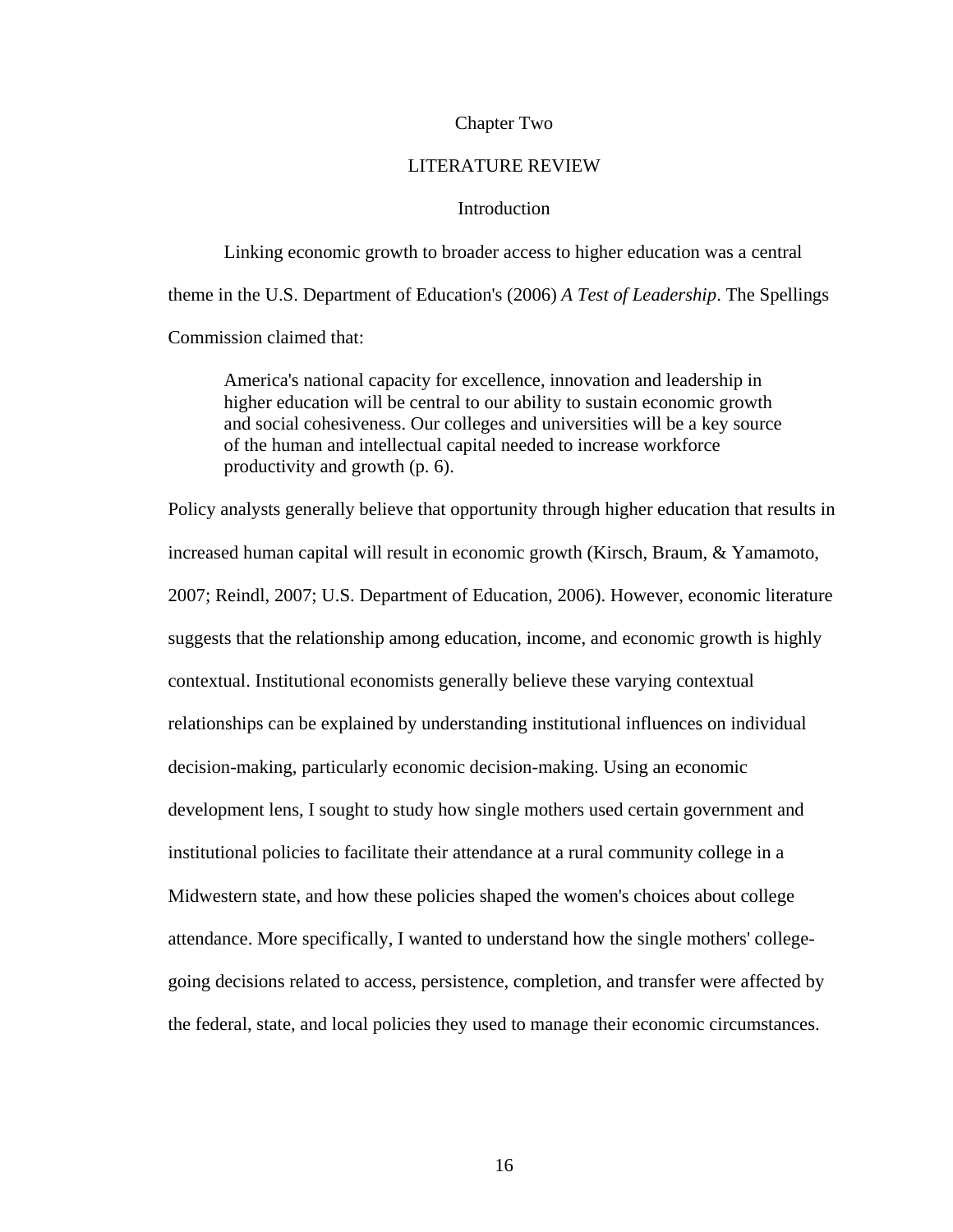# Chapter Two

# LITERATURE REVIEW

# **Introduction**

 Linking economic growth to broader access to higher education was a central theme in the U.S. Department of Education's (2006) *A Test of Leadership*. The Spellings Commission claimed that:

 America's national capacity for excellence, innovation and leadership in higher education will be central to our ability to sustain economic growth and social cohesiveness. Our colleges and universities will be a key source of the human and intellectual capital needed to increase workforce productivity and growth (p. 6).

Policy analysts generally believe that opportunity through higher education that results in increased human capital will result in economic growth (Kirsch, Braum, & Yamamoto, 2007; Reindl, 2007; U.S. Department of Education, 2006). However, economic literature suggests that the relationship among education, income, and economic growth is highly contextual. Institutional economists generally believe these varying contextual relationships can be explained by understanding institutional influences on individual decision-making, particularly economic decision-making. Using an economic development lens, I sought to study how single mothers used certain government and institutional policies to facilitate their attendance at a rural community college in a Midwestern state, and how these policies shaped the women's choices about college attendance. More specifically, I wanted to understand how the single mothers' collegegoing decisions related to access, persistence, completion, and transfer were affected by the federal, state, and local policies they used to manage their economic circumstances.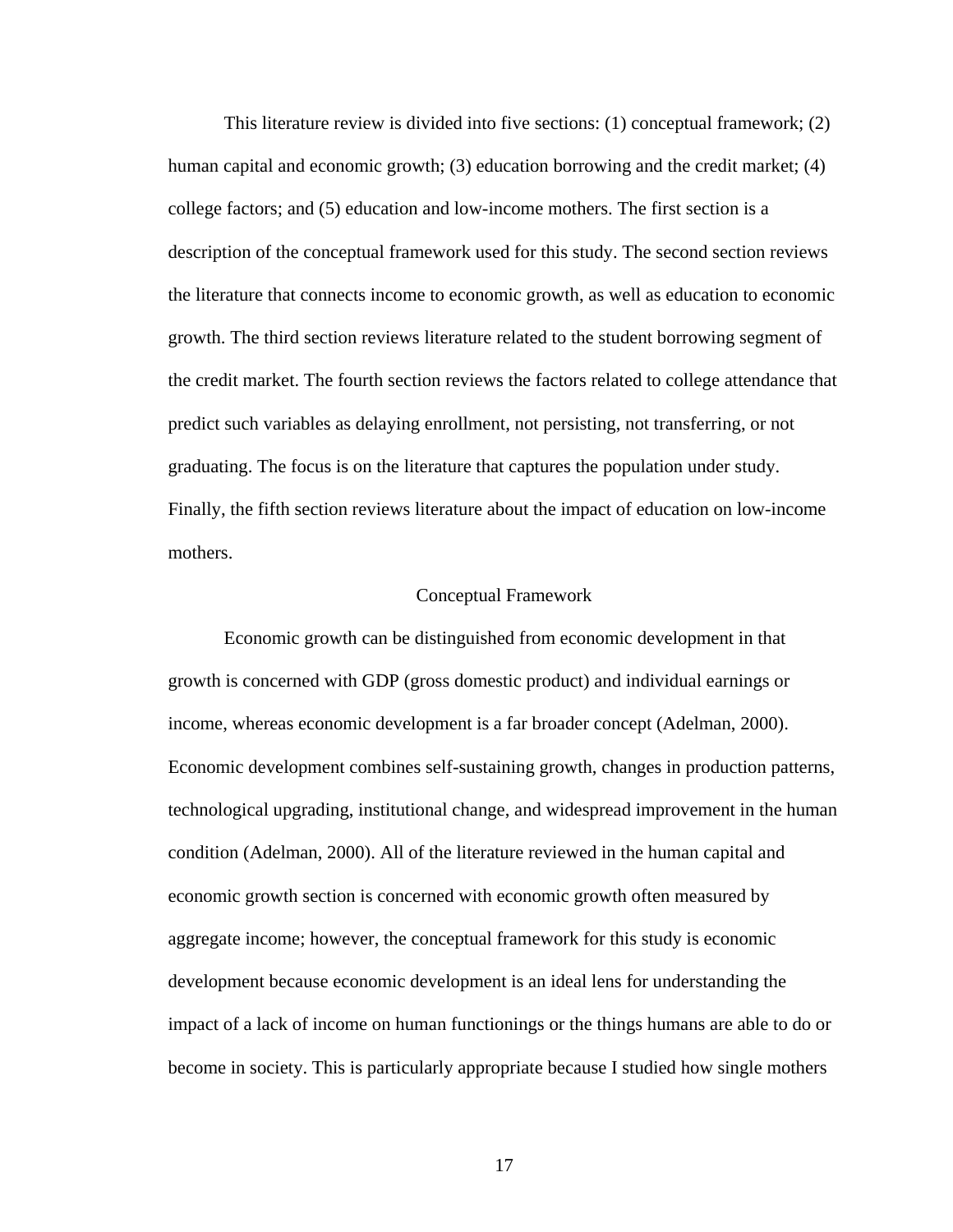This literature review is divided into five sections: (1) conceptual framework; (2) human capital and economic growth; (3) education borrowing and the credit market; (4) college factors; and (5) education and low-income mothers. The first section is a description of the conceptual framework used for this study. The second section reviews the literature that connects income to economic growth, as well as education to economic growth. The third section reviews literature related to the student borrowing segment of the credit market. The fourth section reviews the factors related to college attendance that predict such variables as delaying enrollment, not persisting, not transferring, or not graduating. The focus is on the literature that captures the population under study. Finally, the fifth section reviews literature about the impact of education on low-income mothers.

#### Conceptual Framework

 Economic growth can be distinguished from economic development in that growth is concerned with GDP (gross domestic product) and individual earnings or income, whereas economic development is a far broader concept (Adelman, 2000). Economic development combines self-sustaining growth, changes in production patterns, technological upgrading, institutional change, and widespread improvement in the human condition (Adelman, 2000). All of the literature reviewed in the human capital and economic growth section is concerned with economic growth often measured by aggregate income; however, the conceptual framework for this study is economic development because economic development is an ideal lens for understanding the impact of a lack of income on human functionings or the things humans are able to do or become in society. This is particularly appropriate because I studied how single mothers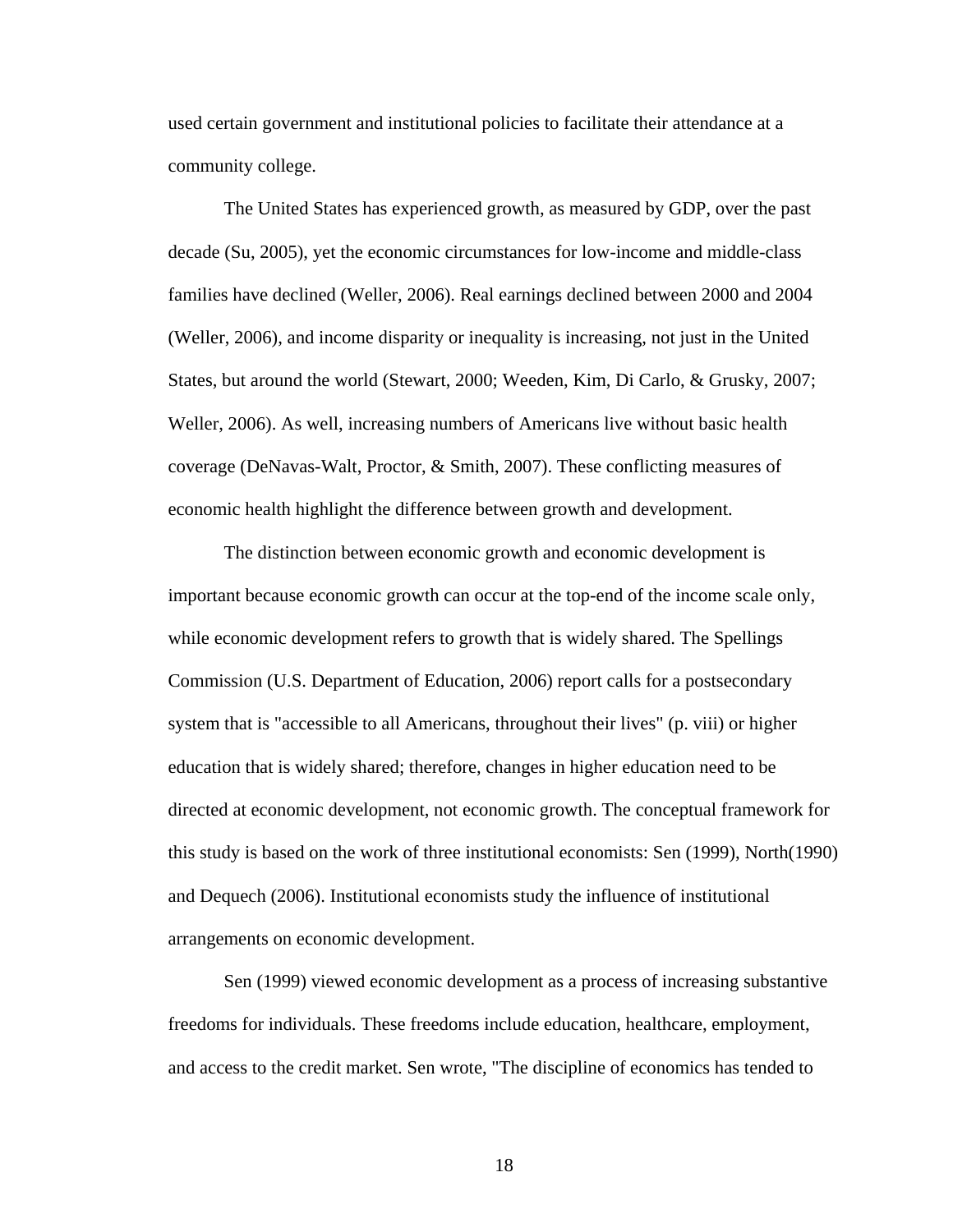used certain government and institutional policies to facilitate their attendance at a community college.

 The United States has experienced growth, as measured by GDP, over the past decade (Su, 2005), yet the economic circumstances for low-income and middle-class families have declined (Weller, 2006). Real earnings declined between 2000 and 2004 (Weller, 2006), and income disparity or inequality is increasing, not just in the United States, but around the world (Stewart, 2000; Weeden, Kim, Di Carlo, & Grusky, 2007; Weller, 2006). As well, increasing numbers of Americans live without basic health coverage (DeNavas-Walt, Proctor, & Smith, 2007). These conflicting measures of economic health highlight the difference between growth and development.

 The distinction between economic growth and economic development is important because economic growth can occur at the top-end of the income scale only, while economic development refers to growth that is widely shared. The Spellings Commission (U.S. Department of Education, 2006) report calls for a postsecondary system that is "accessible to all Americans, throughout their lives" (p. viii) or higher education that is widely shared; therefore, changes in higher education need to be directed at economic development, not economic growth. The conceptual framework for this study is based on the work of three institutional economists: Sen (1999), North(1990) and Dequech (2006). Institutional economists study the influence of institutional arrangements on economic development.

 Sen (1999) viewed economic development as a process of increasing substantive freedoms for individuals. These freedoms include education, healthcare, employment, and access to the credit market. Sen wrote, "The discipline of economics has tended to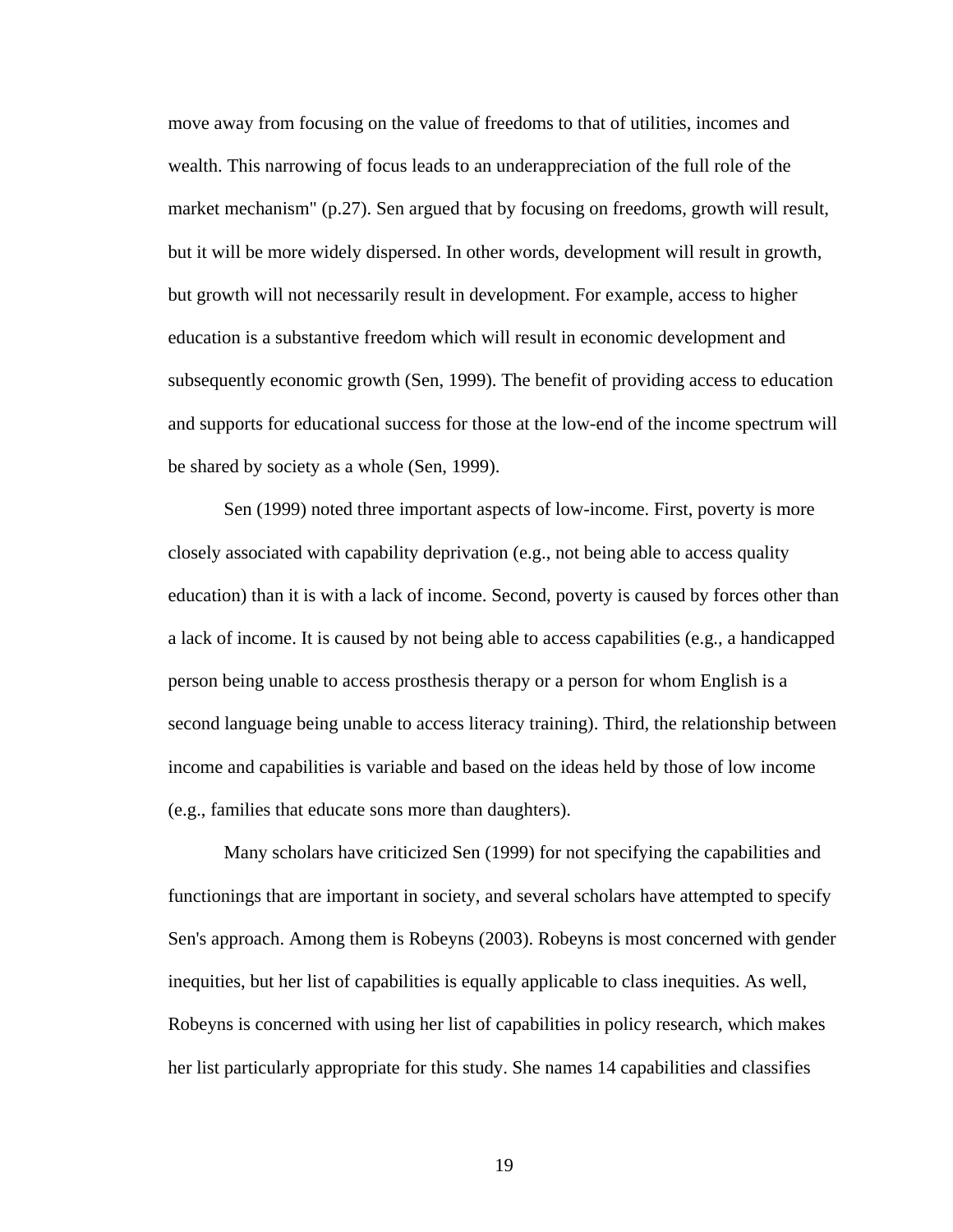move away from focusing on the value of freedoms to that of utilities, incomes and wealth. This narrowing of focus leads to an underappreciation of the full role of the market mechanism" (p.27). Sen argued that by focusing on freedoms, growth will result, but it will be more widely dispersed. In other words, development will result in growth, but growth will not necessarily result in development. For example, access to higher education is a substantive freedom which will result in economic development and subsequently economic growth (Sen, 1999). The benefit of providing access to education and supports for educational success for those at the low-end of the income spectrum will be shared by society as a whole (Sen, 1999).

 Sen (1999) noted three important aspects of low-income. First, poverty is more closely associated with capability deprivation (e.g., not being able to access quality education) than it is with a lack of income. Second, poverty is caused by forces other than a lack of income. It is caused by not being able to access capabilities (e.g., a handicapped person being unable to access prosthesis therapy or a person for whom English is a second language being unable to access literacy training). Third, the relationship between income and capabilities is variable and based on the ideas held by those of low income (e.g., families that educate sons more than daughters).

 Many scholars have criticized Sen (1999) for not specifying the capabilities and functionings that are important in society, and several scholars have attempted to specify Sen's approach. Among them is Robeyns (2003). Robeyns is most concerned with gender inequities, but her list of capabilities is equally applicable to class inequities. As well, Robeyns is concerned with using her list of capabilities in policy research, which makes her list particularly appropriate for this study. She names 14 capabilities and classifies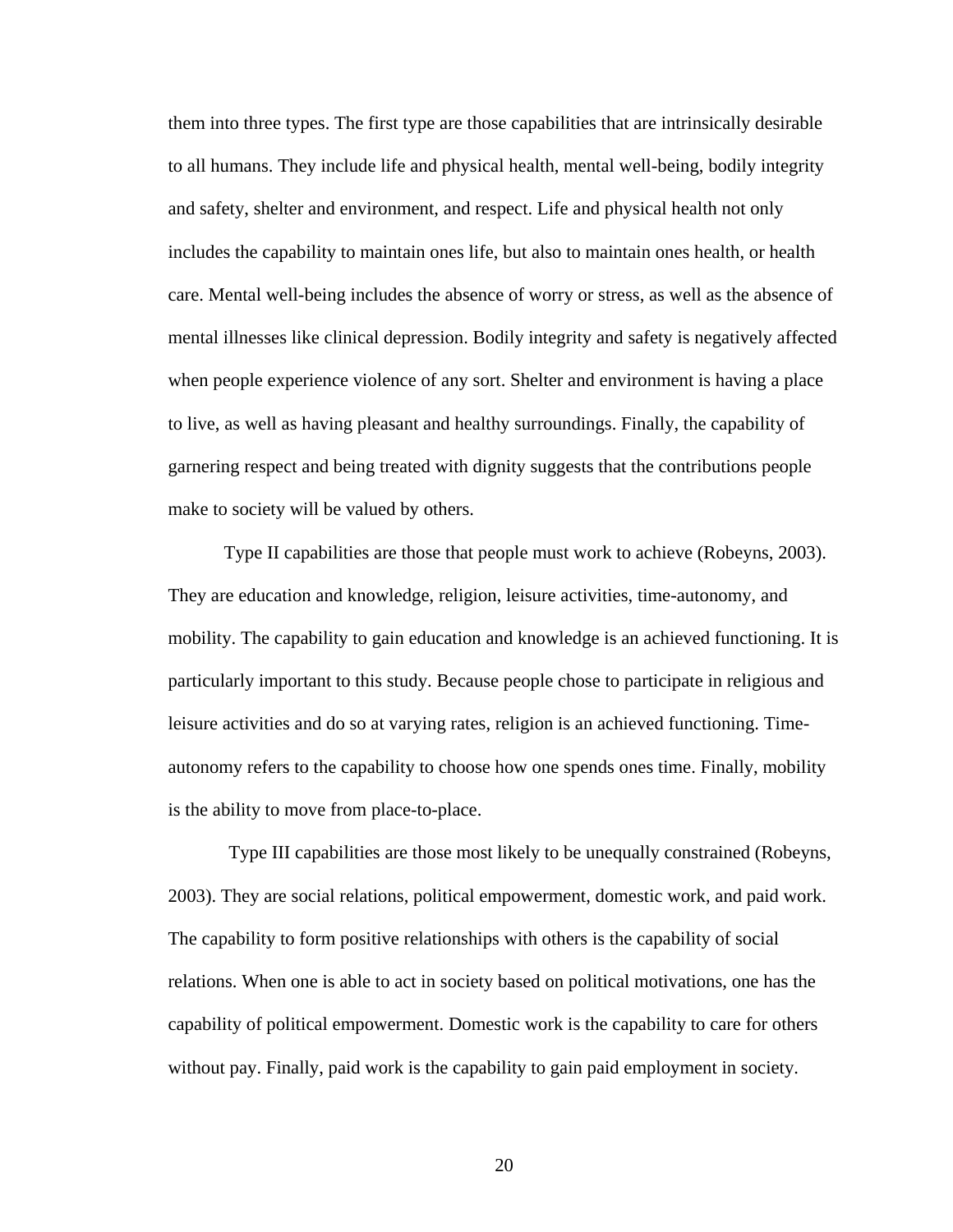them into three types. The first type are those capabilities that are intrinsically desirable to all humans. They include life and physical health, mental well-being, bodily integrity and safety, shelter and environment, and respect. Life and physical health not only includes the capability to maintain ones life, but also to maintain ones health, or health care. Mental well-being includes the absence of worry or stress, as well as the absence of mental illnesses like clinical depression. Bodily integrity and safety is negatively affected when people experience violence of any sort. Shelter and environment is having a place to live, as well as having pleasant and healthy surroundings. Finally, the capability of garnering respect and being treated with dignity suggests that the contributions people make to society will be valued by others.

 Type II capabilities are those that people must work to achieve (Robeyns, 2003). They are education and knowledge, religion, leisure activities, time-autonomy, and mobility. The capability to gain education and knowledge is an achieved functioning. It is particularly important to this study. Because people chose to participate in religious and leisure activities and do so at varying rates, religion is an achieved functioning. Timeautonomy refers to the capability to choose how one spends ones time. Finally, mobility is the ability to move from place-to-place.

 Type III capabilities are those most likely to be unequally constrained (Robeyns, 2003). They are social relations, political empowerment, domestic work, and paid work. The capability to form positive relationships with others is the capability of social relations. When one is able to act in society based on political motivations, one has the capability of political empowerment. Domestic work is the capability to care for others without pay. Finally, paid work is the capability to gain paid employment in society.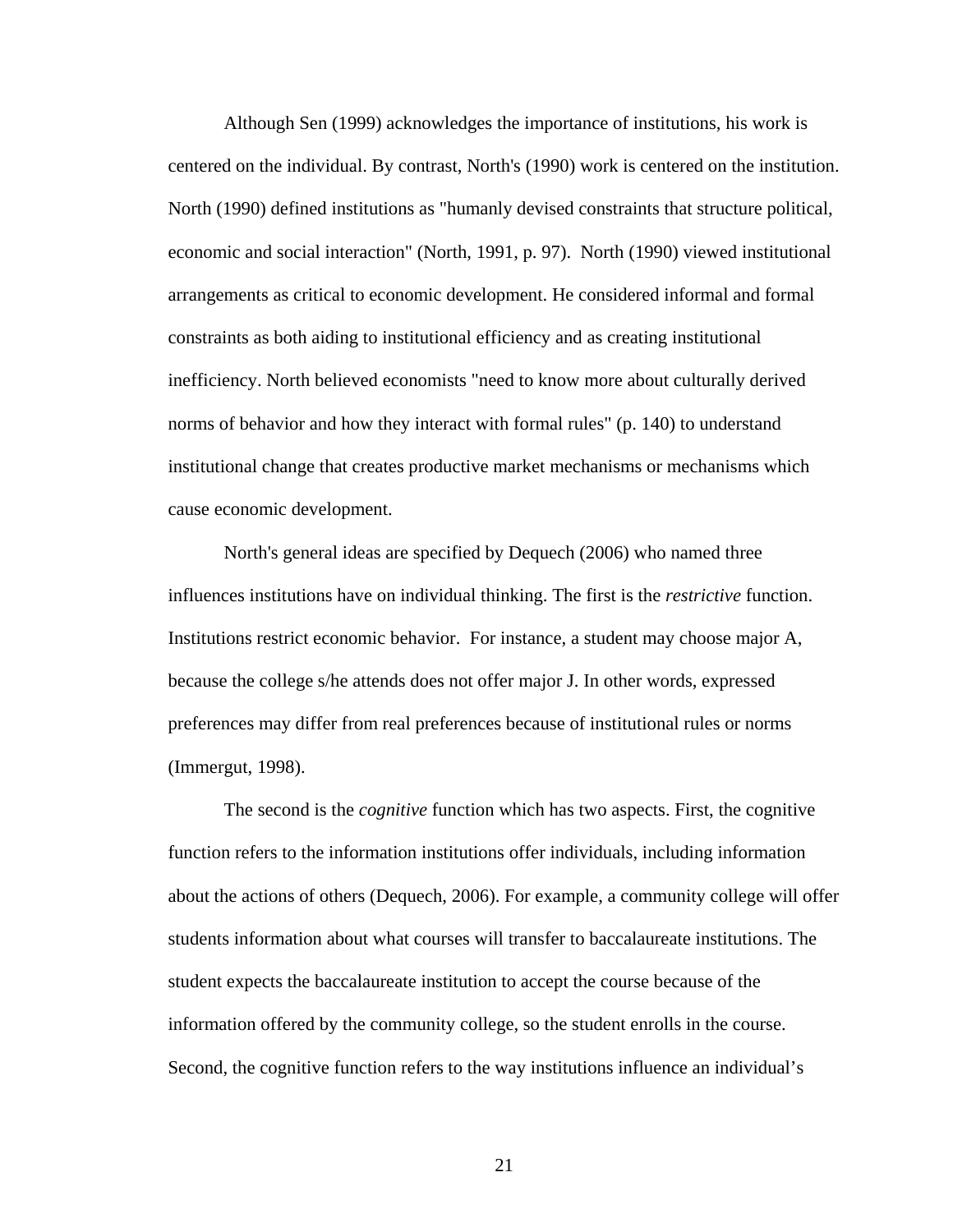Although Sen (1999) acknowledges the importance of institutions, his work is centered on the individual. By contrast, North's (1990) work is centered on the institution. North (1990) defined institutions as "humanly devised constraints that structure political, economic and social interaction" (North, 1991, p. 97). North (1990) viewed institutional arrangements as critical to economic development. He considered informal and formal constraints as both aiding to institutional efficiency and as creating institutional inefficiency. North believed economists "need to know more about culturally derived norms of behavior and how they interact with formal rules" (p. 140) to understand institutional change that creates productive market mechanisms or mechanisms which cause economic development.

 North's general ideas are specified by Dequech (2006) who named three influences institutions have on individual thinking. The first is the *restrictive* function. Institutions restrict economic behavior. For instance, a student may choose major A, because the college s/he attends does not offer major J. In other words, expressed preferences may differ from real preferences because of institutional rules or norms (Immergut, 1998).

The second is the *cognitive* function which has two aspects. First, the cognitive function refers to the information institutions offer individuals, including information about the actions of others (Dequech, 2006). For example, a community college will offer students information about what courses will transfer to baccalaureate institutions. The student expects the baccalaureate institution to accept the course because of the information offered by the community college, so the student enrolls in the course. Second, the cognitive function refers to the way institutions influence an individual's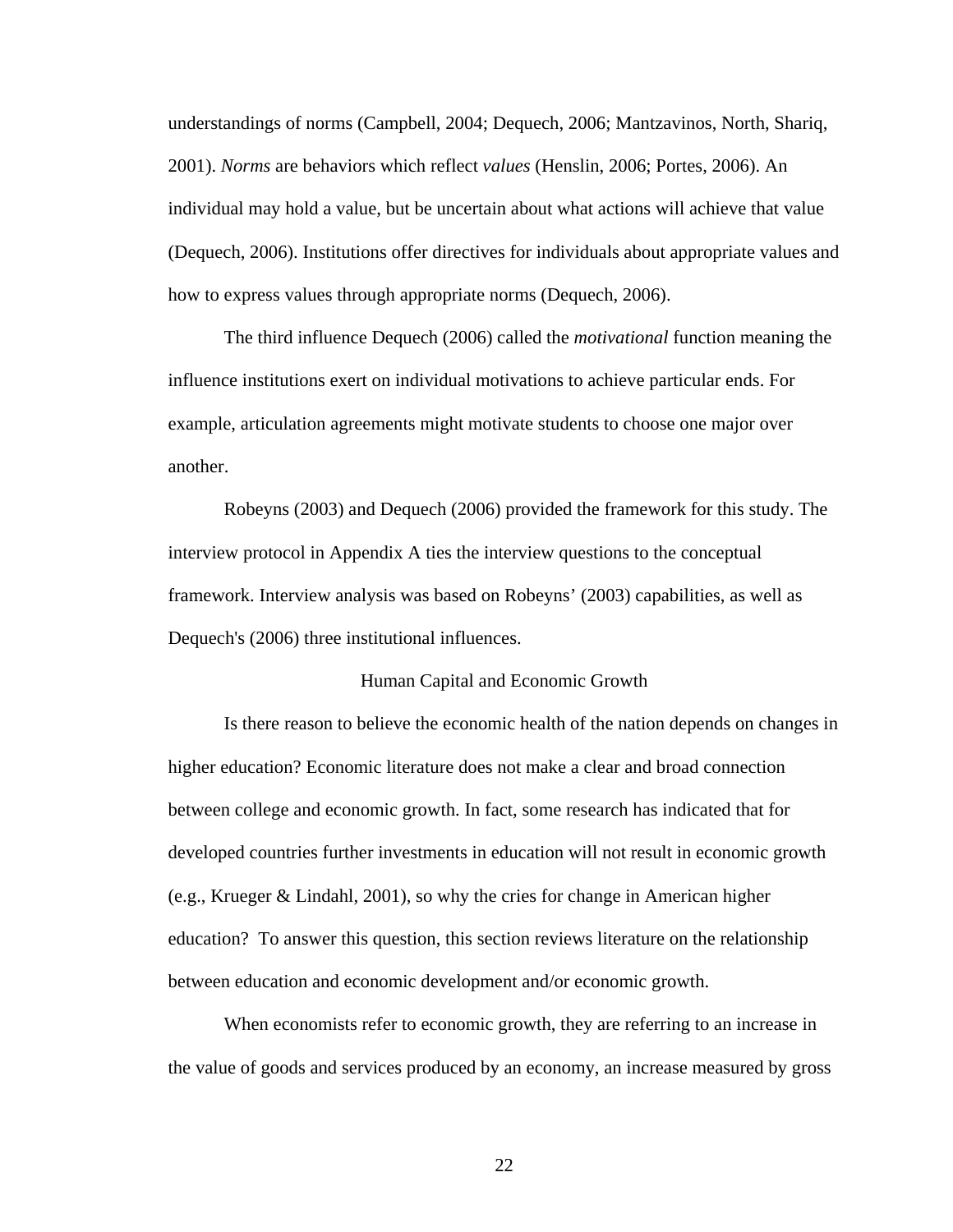understandings of norms (Campbell, 2004; Dequech, 2006; Mantzavinos, North, Shariq, 2001). *Norms* are behaviors which reflect *values* (Henslin, 2006; Portes, 2006). An individual may hold a value, but be uncertain about what actions will achieve that value (Dequech, 2006). Institutions offer directives for individuals about appropriate values and how to express values through appropriate norms (Dequech, 2006).

 The third influence Dequech (2006) called the *motivational* function meaning the influence institutions exert on individual motivations to achieve particular ends. For example, articulation agreements might motivate students to choose one major over another.

 Robeyns (2003) and Dequech (2006) provided the framework for this study. The interview protocol in Appendix A ties the interview questions to the conceptual framework. Interview analysis was based on Robeyns' (2003) capabilities, as well as Dequech's (2006) three institutional influences.

#### Human Capital and Economic Growth

Is there reason to believe the economic health of the nation depends on changes in higher education? Economic literature does not make a clear and broad connection between college and economic growth. In fact, some research has indicated that for developed countries further investments in education will not result in economic growth (e.g., Krueger & Lindahl, 2001), so why the cries for change in American higher education? To answer this question, this section reviews literature on the relationship between education and economic development and/or economic growth.

 When economists refer to economic growth, they are referring to an increase in the value of goods and services produced by an economy, an increase measured by gross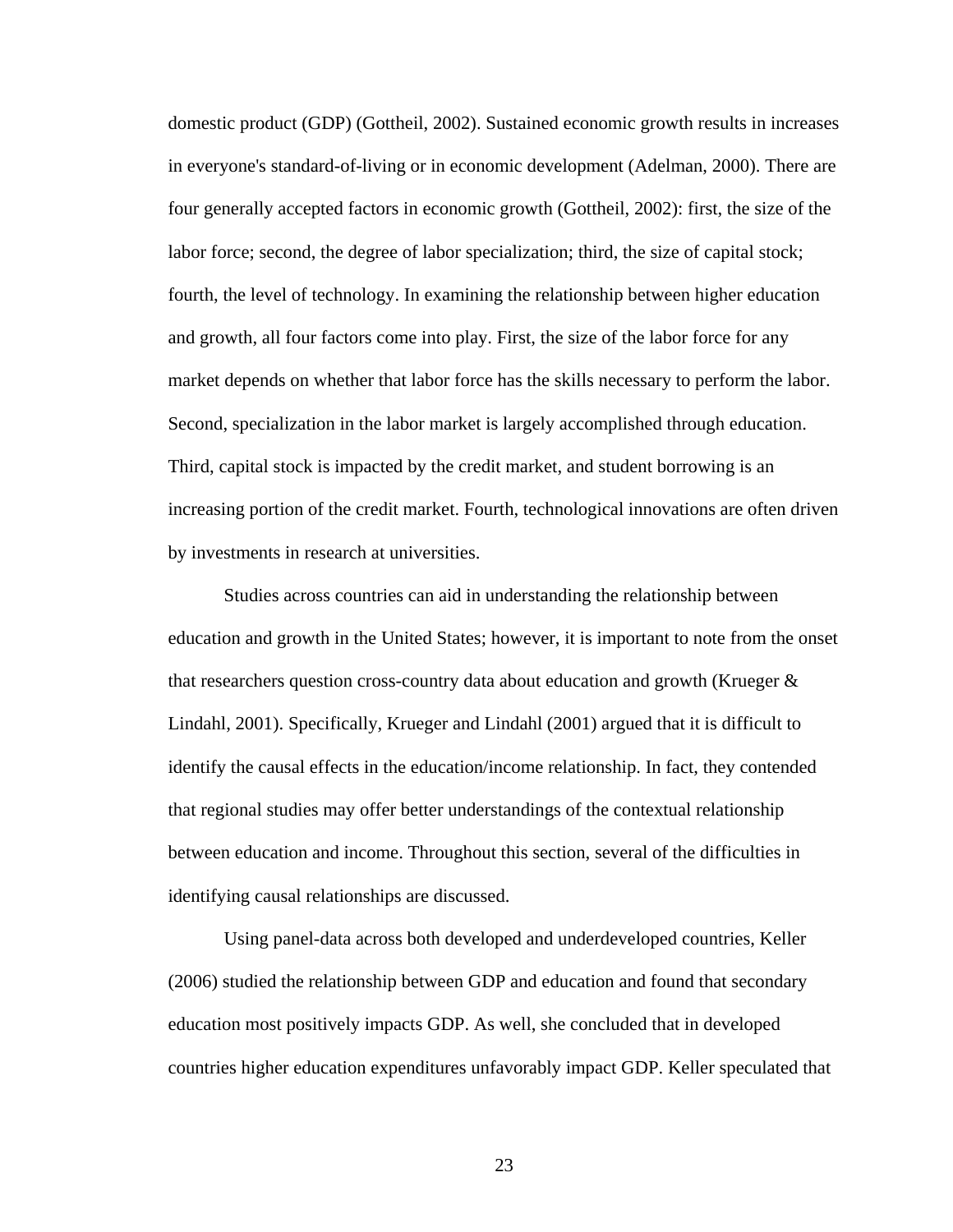domestic product (GDP) (Gottheil, 2002). Sustained economic growth results in increases in everyone's standard-of-living or in economic development (Adelman, 2000). There are four generally accepted factors in economic growth (Gottheil, 2002): first, the size of the labor force; second, the degree of labor specialization; third, the size of capital stock; fourth, the level of technology. In examining the relationship between higher education and growth, all four factors come into play. First, the size of the labor force for any market depends on whether that labor force has the skills necessary to perform the labor. Second, specialization in the labor market is largely accomplished through education. Third, capital stock is impacted by the credit market, and student borrowing is an increasing portion of the credit market. Fourth, technological innovations are often driven by investments in research at universities.

 Studies across countries can aid in understanding the relationship between education and growth in the United States; however, it is important to note from the onset that researchers question cross-country data about education and growth (Krueger & Lindahl, 2001). Specifically, Krueger and Lindahl (2001) argued that it is difficult to identify the causal effects in the education/income relationship. In fact, they contended that regional studies may offer better understandings of the contextual relationship between education and income. Throughout this section, several of the difficulties in identifying causal relationships are discussed.

 Using panel-data across both developed and underdeveloped countries, Keller (2006) studied the relationship between GDP and education and found that secondary education most positively impacts GDP. As well, she concluded that in developed countries higher education expenditures unfavorably impact GDP. Keller speculated that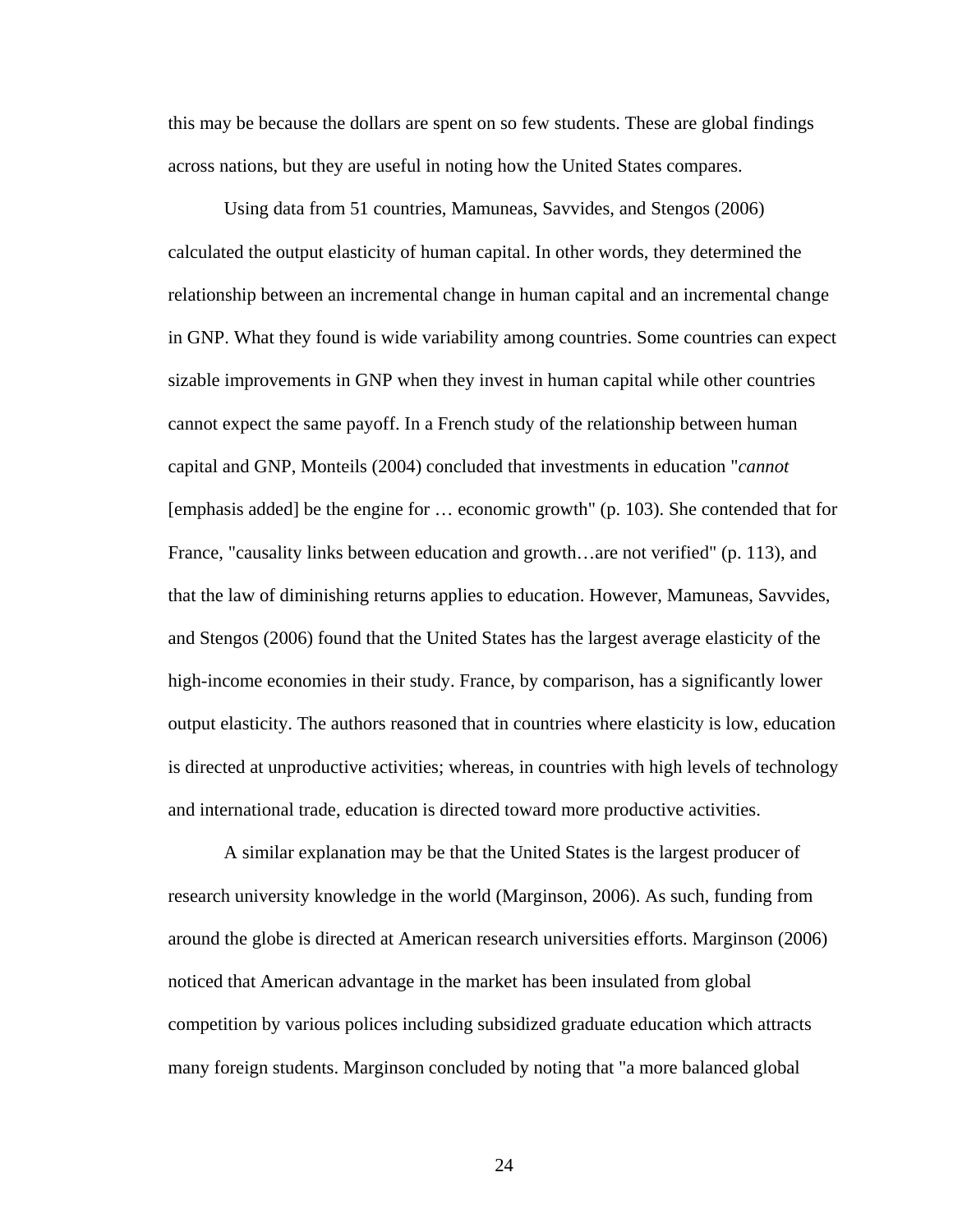this may be because the dollars are spent on so few students. These are global findings across nations, but they are useful in noting how the United States compares.

 Using data from 51 countries, Mamuneas, Savvides, and Stengos (2006) calculated the output elasticity of human capital. In other words, they determined the relationship between an incremental change in human capital and an incremental change in GNP. What they found is wide variability among countries. Some countries can expect sizable improvements in GNP when they invest in human capital while other countries cannot expect the same payoff. In a French study of the relationship between human capital and GNP, Monteils (2004) concluded that investments in education "*cannot* [emphasis added] be the engine for … economic growth" (p. 103). She contended that for France, "causality links between education and growth...are not verified" (p. 113), and that the law of diminishing returns applies to education. However, Mamuneas, Savvides, and Stengos (2006) found that the United States has the largest average elasticity of the high-income economies in their study. France, by comparison, has a significantly lower output elasticity. The authors reasoned that in countries where elasticity is low, education is directed at unproductive activities; whereas, in countries with high levels of technology and international trade, education is directed toward more productive activities.

 A similar explanation may be that the United States is the largest producer of research university knowledge in the world (Marginson, 2006). As such, funding from around the globe is directed at American research universities efforts. Marginson (2006) noticed that American advantage in the market has been insulated from global competition by various polices including subsidized graduate education which attracts many foreign students. Marginson concluded by noting that "a more balanced global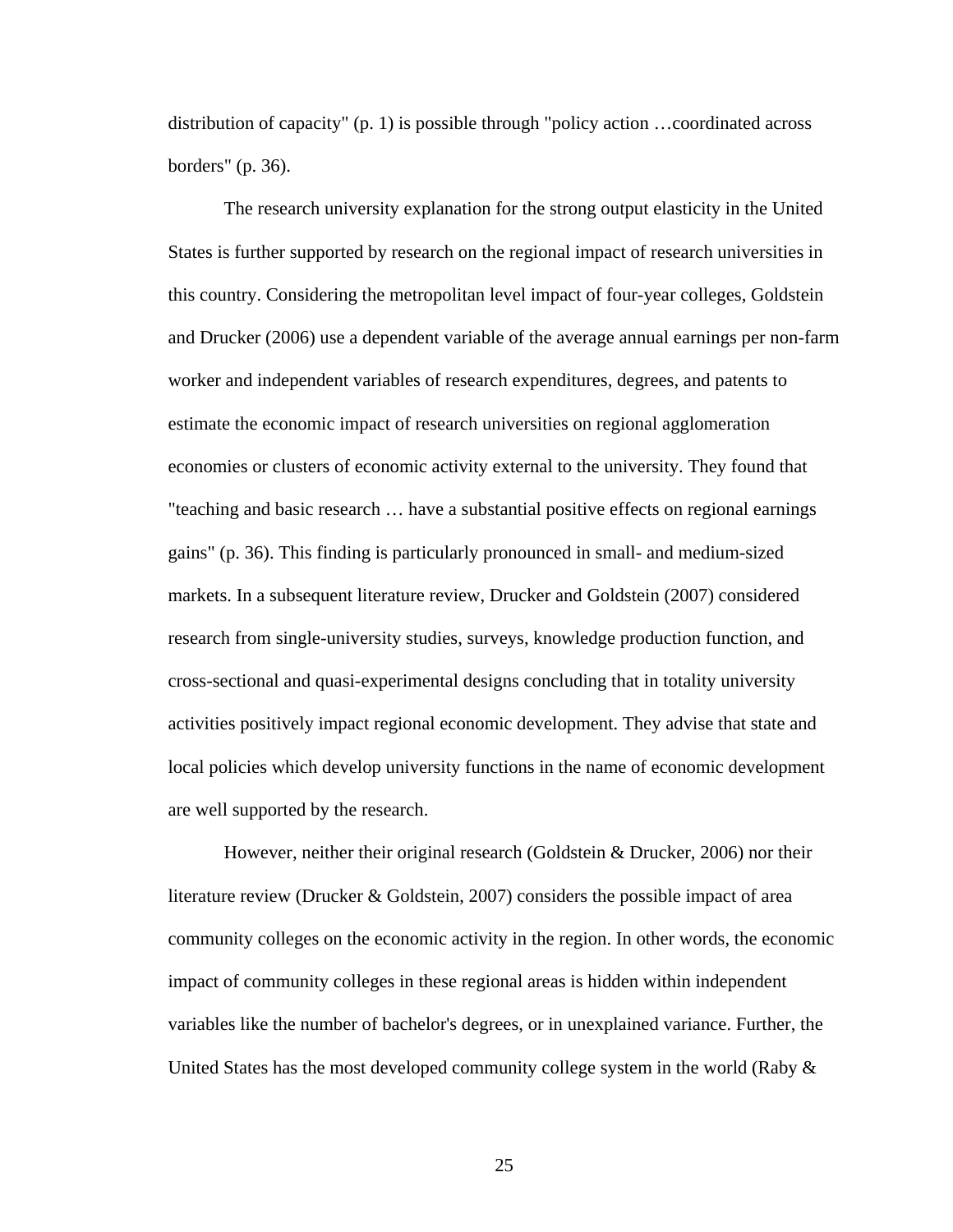distribution of capacity" (p. 1) is possible through "policy action …coordinated across borders" (p. 36).

 The research university explanation for the strong output elasticity in the United States is further supported by research on the regional impact of research universities in this country. Considering the metropolitan level impact of four-year colleges, Goldstein and Drucker (2006) use a dependent variable of the average annual earnings per non-farm worker and independent variables of research expenditures, degrees, and patents to estimate the economic impact of research universities on regional agglomeration economies or clusters of economic activity external to the university. They found that "teaching and basic research … have a substantial positive effects on regional earnings gains" (p. 36). This finding is particularly pronounced in small- and medium-sized markets. In a subsequent literature review, Drucker and Goldstein (2007) considered research from single-university studies, surveys, knowledge production function, and cross-sectional and quasi-experimental designs concluding that in totality university activities positively impact regional economic development. They advise that state and local policies which develop university functions in the name of economic development are well supported by the research.

 However, neither their original research (Goldstein & Drucker, 2006) nor their literature review (Drucker & Goldstein, 2007) considers the possible impact of area community colleges on the economic activity in the region. In other words, the economic impact of community colleges in these regional areas is hidden within independent variables like the number of bachelor's degrees, or in unexplained variance. Further, the United States has the most developed community college system in the world (Raby  $\&$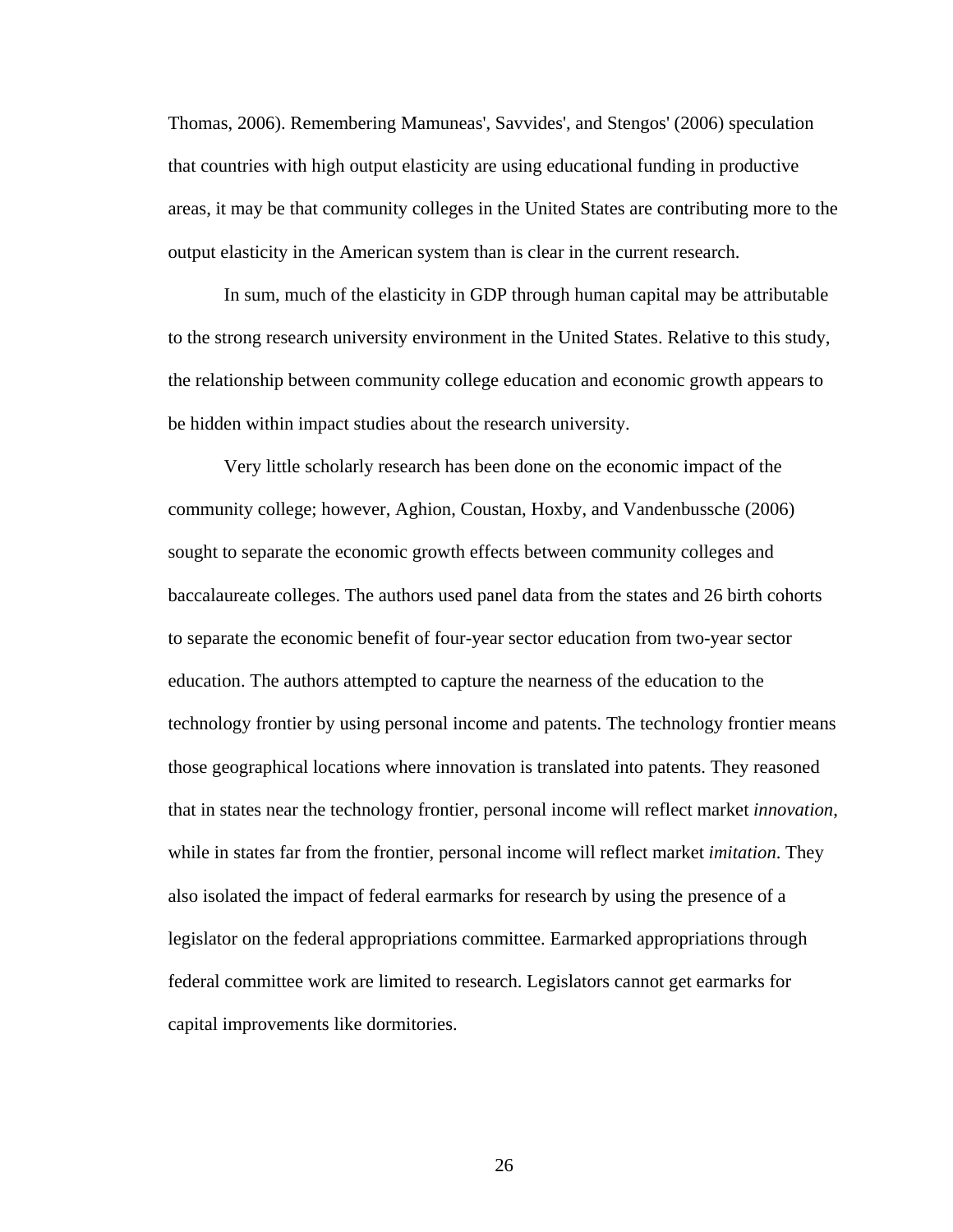Thomas, 2006). Remembering Mamuneas', Savvides', and Stengos' (2006) speculation that countries with high output elasticity are using educational funding in productive areas, it may be that community colleges in the United States are contributing more to the output elasticity in the American system than is clear in the current research.

 In sum, much of the elasticity in GDP through human capital may be attributable to the strong research university environment in the United States. Relative to this study, the relationship between community college education and economic growth appears to be hidden within impact studies about the research university.

 Very little scholarly research has been done on the economic impact of the community college; however, Aghion, Coustan, Hoxby, and Vandenbussche (2006) sought to separate the economic growth effects between community colleges and baccalaureate colleges. The authors used panel data from the states and 26 birth cohorts to separate the economic benefit of four-year sector education from two-year sector education. The authors attempted to capture the nearness of the education to the technology frontier by using personal income and patents. The technology frontier means those geographical locations where innovation is translated into patents. They reasoned that in states near the technology frontier, personal income will reflect market *innovation*, while in states far from the frontier, personal income will reflect market *imitation*. They also isolated the impact of federal earmarks for research by using the presence of a legislator on the federal appropriations committee. Earmarked appropriations through federal committee work are limited to research. Legislators cannot get earmarks for capital improvements like dormitories.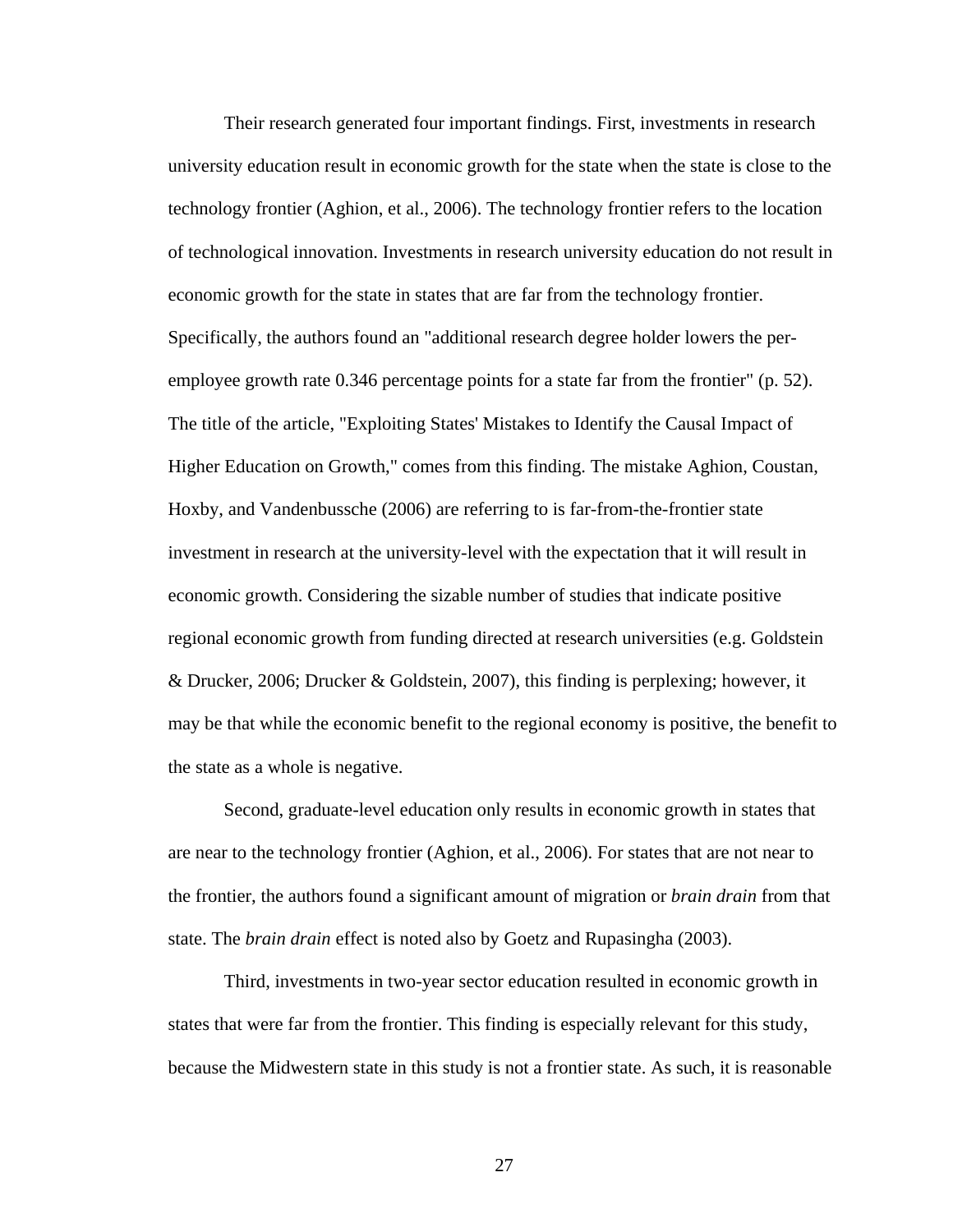Their research generated four important findings. First, investments in research university education result in economic growth for the state when the state is close to the technology frontier (Aghion, et al., 2006). The technology frontier refers to the location of technological innovation. Investments in research university education do not result in economic growth for the state in states that are far from the technology frontier. Specifically, the authors found an "additional research degree holder lowers the peremployee growth rate 0.346 percentage points for a state far from the frontier" (p. 52). The title of the article, "Exploiting States' Mistakes to Identify the Causal Impact of Higher Education on Growth," comes from this finding. The mistake Aghion, Coustan, Hoxby, and Vandenbussche (2006) are referring to is far-from-the-frontier state investment in research at the university-level with the expectation that it will result in economic growth. Considering the sizable number of studies that indicate positive regional economic growth from funding directed at research universities (e.g. Goldstein & Drucker, 2006; Drucker & Goldstein, 2007), this finding is perplexing; however, it may be that while the economic benefit to the regional economy is positive, the benefit to the state as a whole is negative.

 Second, graduate-level education only results in economic growth in states that are near to the technology frontier (Aghion, et al., 2006). For states that are not near to the frontier, the authors found a significant amount of migration or *brain drain* from that state. The *brain drain* effect is noted also by Goetz and Rupasingha (2003).

 Third, investments in two-year sector education resulted in economic growth in states that were far from the frontier. This finding is especially relevant for this study, because the Midwestern state in this study is not a frontier state. As such, it is reasonable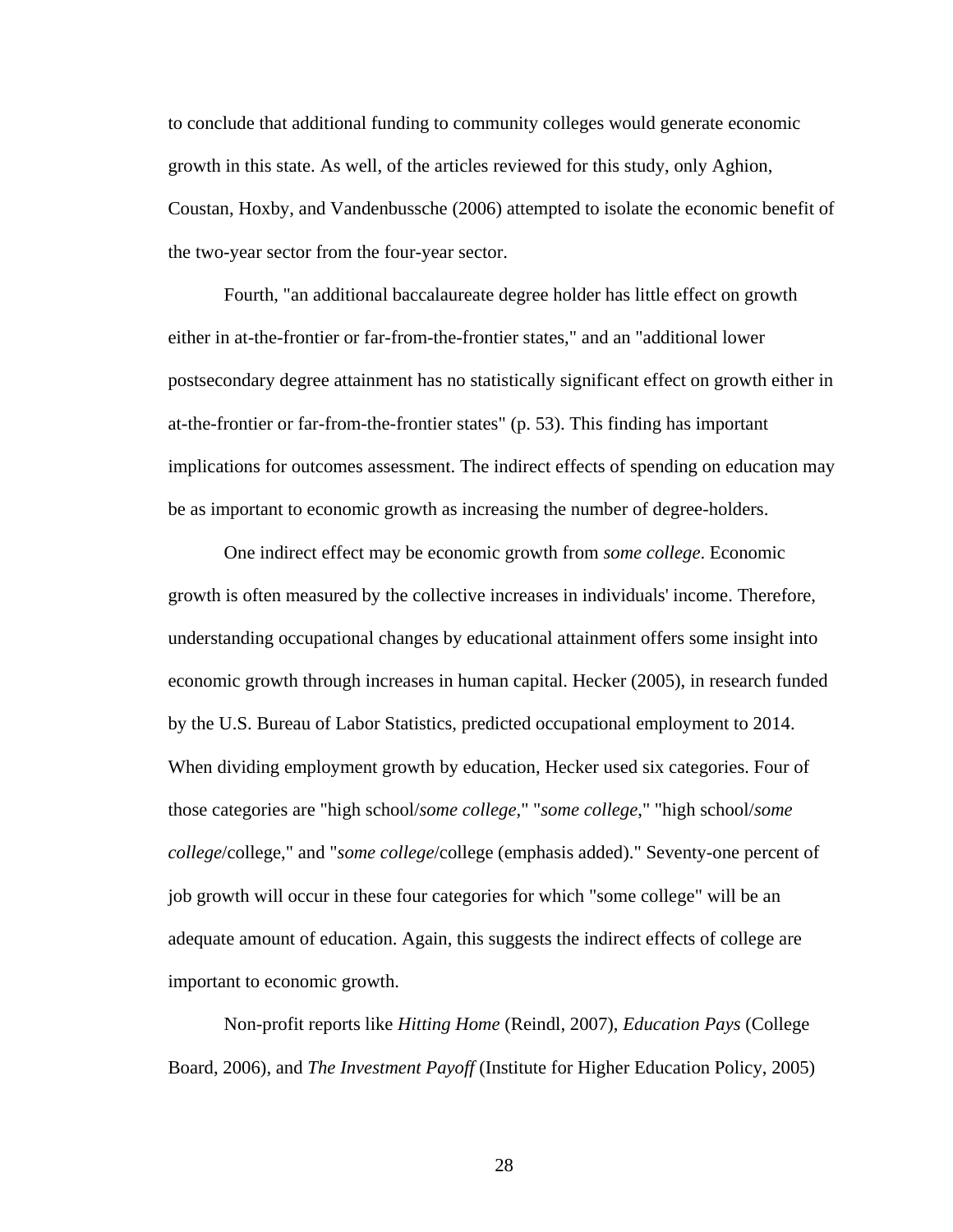to conclude that additional funding to community colleges would generate economic growth in this state. As well, of the articles reviewed for this study, only Aghion, Coustan, Hoxby, and Vandenbussche (2006) attempted to isolate the economic benefit of the two-year sector from the four-year sector.

 Fourth, "an additional baccalaureate degree holder has little effect on growth either in at-the-frontier or far-from-the-frontier states," and an "additional lower postsecondary degree attainment has no statistically significant effect on growth either in at-the-frontier or far-from-the-frontier states" (p. 53). This finding has important implications for outcomes assessment. The indirect effects of spending on education may be as important to economic growth as increasing the number of degree-holders.

 One indirect effect may be economic growth from *some college*. Economic growth is often measured by the collective increases in individuals' income. Therefore, understanding occupational changes by educational attainment offers some insight into economic growth through increases in human capital. Hecker (2005), in research funded by the U.S. Bureau of Labor Statistics, predicted occupational employment to 2014. When dividing employment growth by education, Hecker used six categories. Four of those categories are "high school/*some college*," "*some college*," "high school/*some college*/college," and "*some college*/college (emphasis added)." Seventy-one percent of job growth will occur in these four categories for which "some college" will be an adequate amount of education. Again, this suggests the indirect effects of college are important to economic growth.

 Non-profit reports like *Hitting Home* (Reindl, 2007), *Education Pays* (College Board, 2006), and *The Investment Payoff* (Institute for Higher Education Policy, 2005)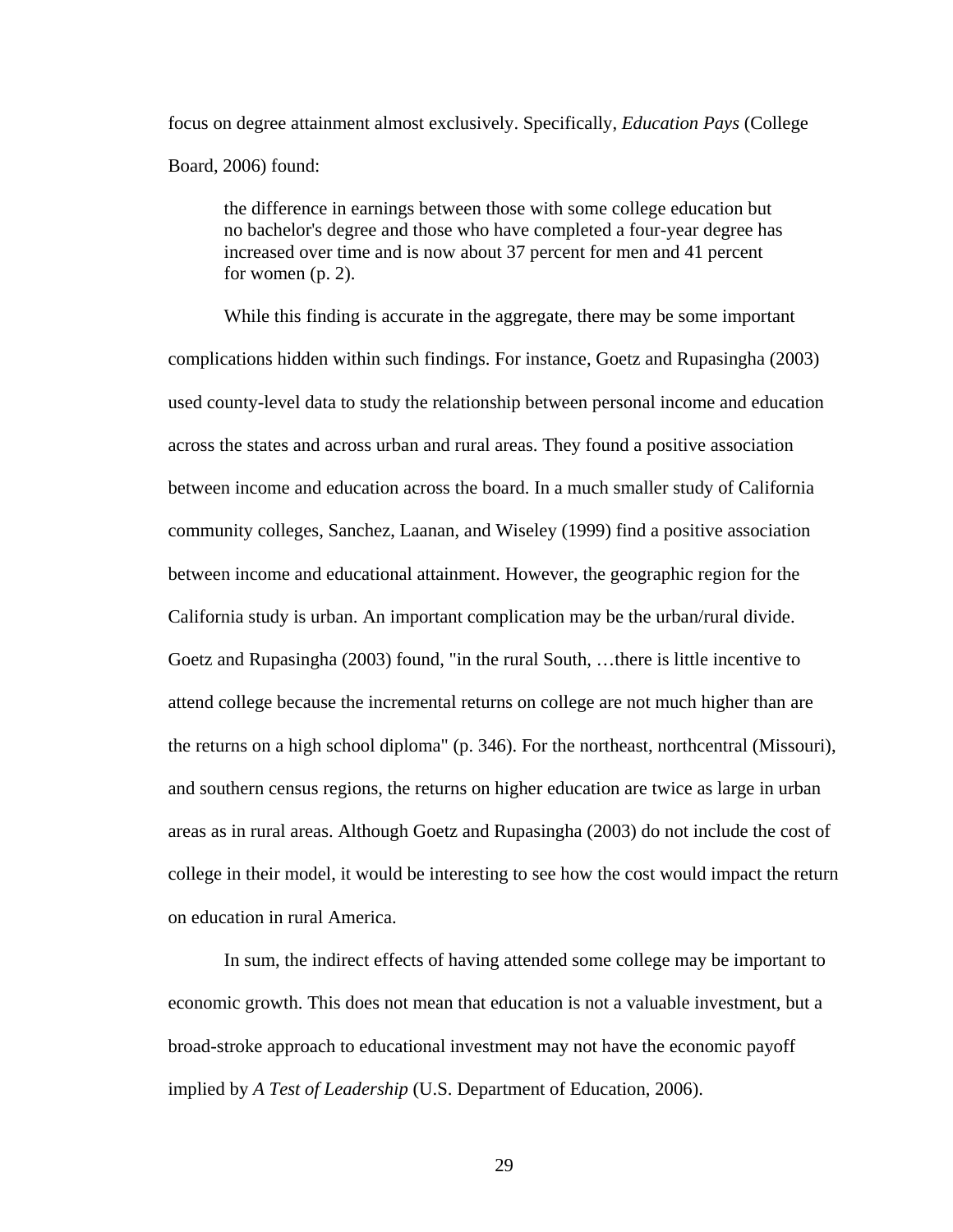focus on degree attainment almost exclusively. Specifically, *Education Pays* (College Board, 2006) found:

 the difference in earnings between those with some college education but no bachelor's degree and those who have completed a four-year degree has increased over time and is now about 37 percent for men and 41 percent for women (p. 2).

 While this finding is accurate in the aggregate, there may be some important complications hidden within such findings. For instance, Goetz and Rupasingha (2003) used county-level data to study the relationship between personal income and education across the states and across urban and rural areas. They found a positive association between income and education across the board. In a much smaller study of California community colleges, Sanchez, Laanan, and Wiseley (1999) find a positive association between income and educational attainment. However, the geographic region for the California study is urban. An important complication may be the urban/rural divide. Goetz and Rupasingha (2003) found, "in the rural South, …there is little incentive to attend college because the incremental returns on college are not much higher than are the returns on a high school diploma" (p. 346). For the northeast, northcentral (Missouri), and southern census regions, the returns on higher education are twice as large in urban areas as in rural areas. Although Goetz and Rupasingha (2003) do not include the cost of college in their model, it would be interesting to see how the cost would impact the return on education in rural America.

 In sum, the indirect effects of having attended some college may be important to economic growth. This does not mean that education is not a valuable investment, but a broad-stroke approach to educational investment may not have the economic payoff implied by *A Test of Leadership* (U.S. Department of Education, 2006).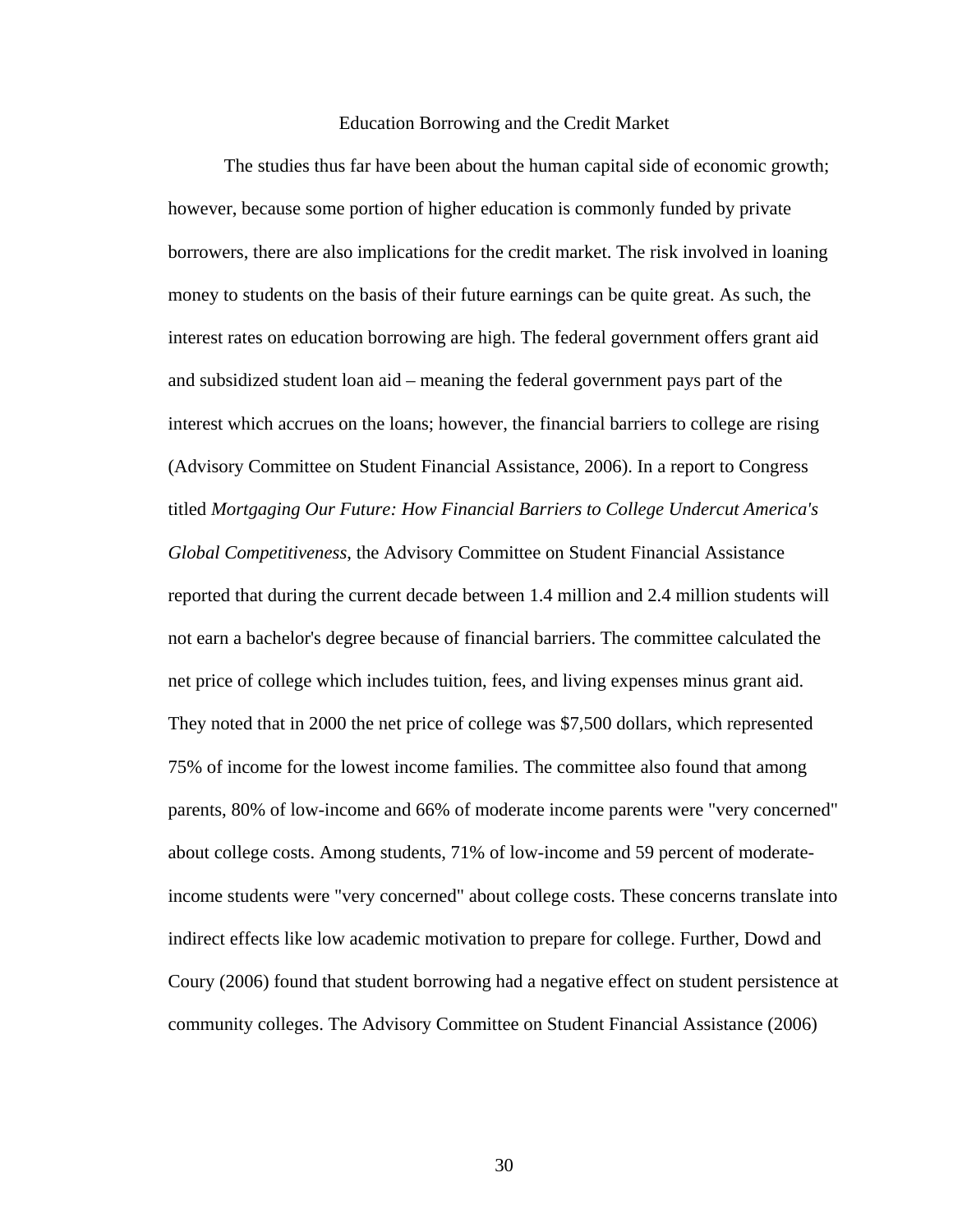#### Education Borrowing and the Credit Market

 The studies thus far have been about the human capital side of economic growth; however, because some portion of higher education is commonly funded by private borrowers, there are also implications for the credit market. The risk involved in loaning money to students on the basis of their future earnings can be quite great. As such, the interest rates on education borrowing are high. The federal government offers grant aid and subsidized student loan aid – meaning the federal government pays part of the interest which accrues on the loans; however, the financial barriers to college are rising (Advisory Committee on Student Financial Assistance, 2006). In a report to Congress titled *Mortgaging Our Future: How Financial Barriers to College Undercut America's Global Competitiveness*, the Advisory Committee on Student Financial Assistance reported that during the current decade between 1.4 million and 2.4 million students will not earn a bachelor's degree because of financial barriers. The committee calculated the net price of college which includes tuition, fees, and living expenses minus grant aid. They noted that in 2000 the net price of college was \$7,500 dollars, which represented 75% of income for the lowest income families. The committee also found that among parents, 80% of low-income and 66% of moderate income parents were "very concerned" about college costs. Among students, 71% of low-income and 59 percent of moderateincome students were "very concerned" about college costs. These concerns translate into indirect effects like low academic motivation to prepare for college. Further, Dowd and Coury (2006) found that student borrowing had a negative effect on student persistence at community colleges. The Advisory Committee on Student Financial Assistance (2006)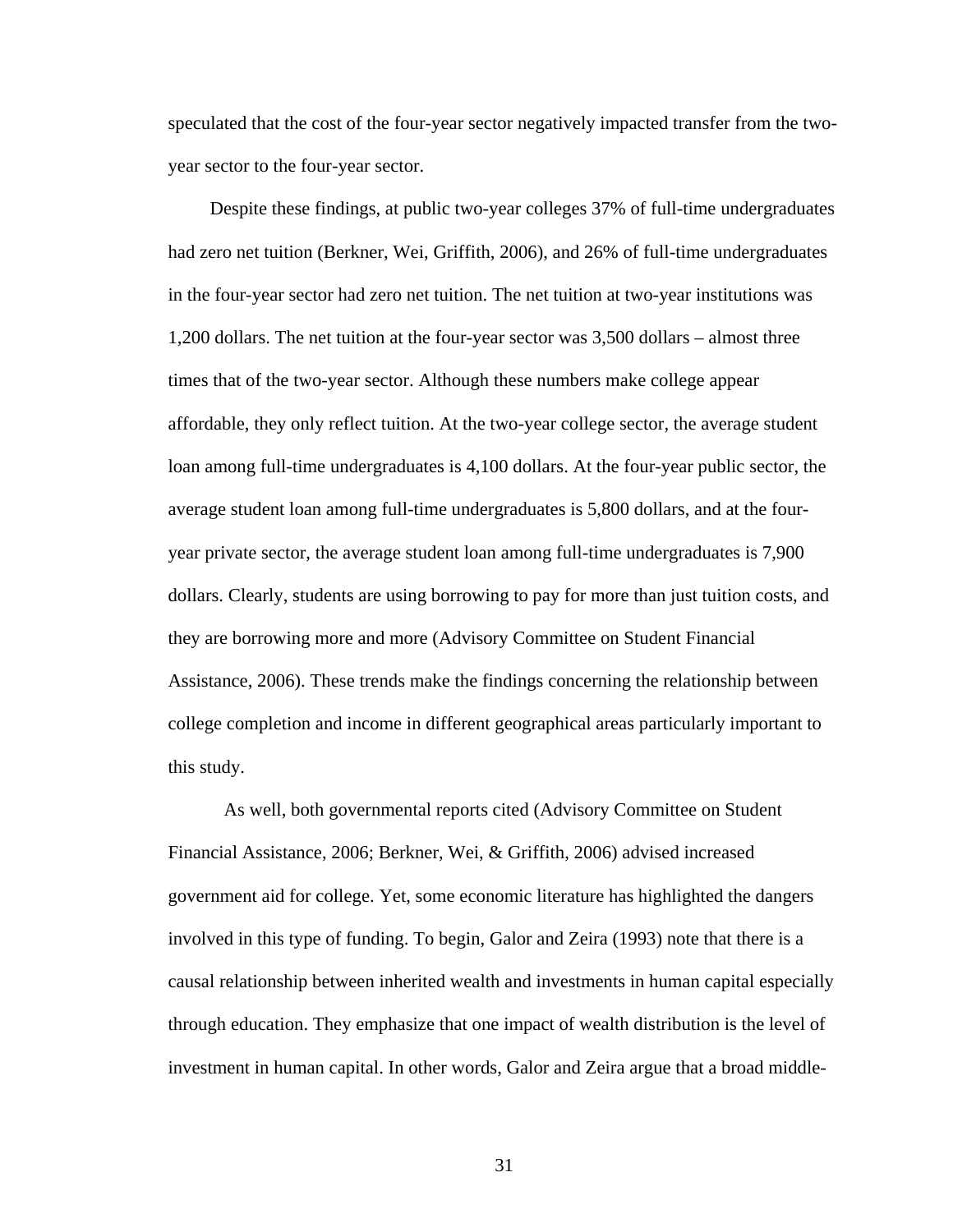speculated that the cost of the four-year sector negatively impacted transfer from the twoyear sector to the four-year sector.

 Despite these findings, at public two-year colleges 37% of full-time undergraduates had zero net tuition (Berkner, Wei, Griffith, 2006), and 26% of full-time undergraduates in the four-year sector had zero net tuition. The net tuition at two-year institutions was 1,200 dollars. The net tuition at the four-year sector was 3,500 dollars – almost three times that of the two-year sector. Although these numbers make college appear affordable, they only reflect tuition. At the two-year college sector, the average student loan among full-time undergraduates is 4,100 dollars. At the four-year public sector, the average student loan among full-time undergraduates is 5,800 dollars, and at the fouryear private sector, the average student loan among full-time undergraduates is 7,900 dollars. Clearly, students are using borrowing to pay for more than just tuition costs, and they are borrowing more and more (Advisory Committee on Student Financial Assistance, 2006). These trends make the findings concerning the relationship between college completion and income in different geographical areas particularly important to this study.

 As well, both governmental reports cited (Advisory Committee on Student Financial Assistance, 2006; Berkner, Wei, & Griffith, 2006) advised increased government aid for college. Yet, some economic literature has highlighted the dangers involved in this type of funding. To begin, Galor and Zeira (1993) note that there is a causal relationship between inherited wealth and investments in human capital especially through education. They emphasize that one impact of wealth distribution is the level of investment in human capital. In other words, Galor and Zeira argue that a broad middle-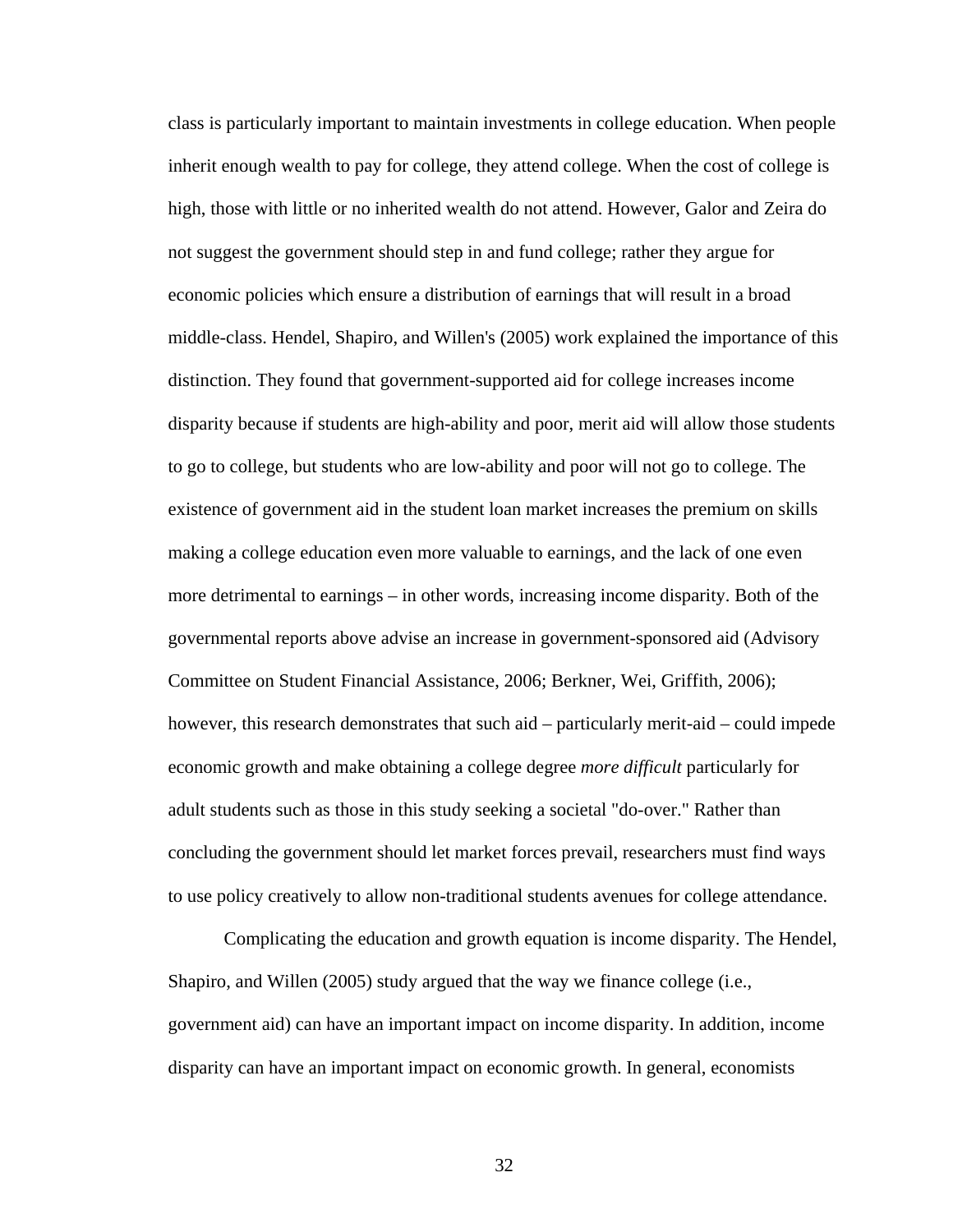class is particularly important to maintain investments in college education. When people inherit enough wealth to pay for college, they attend college. When the cost of college is high, those with little or no inherited wealth do not attend. However, Galor and Zeira do not suggest the government should step in and fund college; rather they argue for economic policies which ensure a distribution of earnings that will result in a broad middle-class. Hendel, Shapiro, and Willen's (2005) work explained the importance of this distinction. They found that government-supported aid for college increases income disparity because if students are high-ability and poor, merit aid will allow those students to go to college, but students who are low-ability and poor will not go to college. The existence of government aid in the student loan market increases the premium on skills making a college education even more valuable to earnings, and the lack of one even more detrimental to earnings – in other words, increasing income disparity. Both of the governmental reports above advise an increase in government-sponsored aid (Advisory Committee on Student Financial Assistance, 2006; Berkner, Wei, Griffith, 2006); however, this research demonstrates that such aid – particularly merit-aid – could impede economic growth and make obtaining a college degree *more difficult* particularly for adult students such as those in this study seeking a societal "do-over." Rather than concluding the government should let market forces prevail, researchers must find ways to use policy creatively to allow non-traditional students avenues for college attendance.

 Complicating the education and growth equation is income disparity. The Hendel, Shapiro, and Willen (2005) study argued that the way we finance college (i.e., government aid) can have an important impact on income disparity. In addition, income disparity can have an important impact on economic growth. In general, economists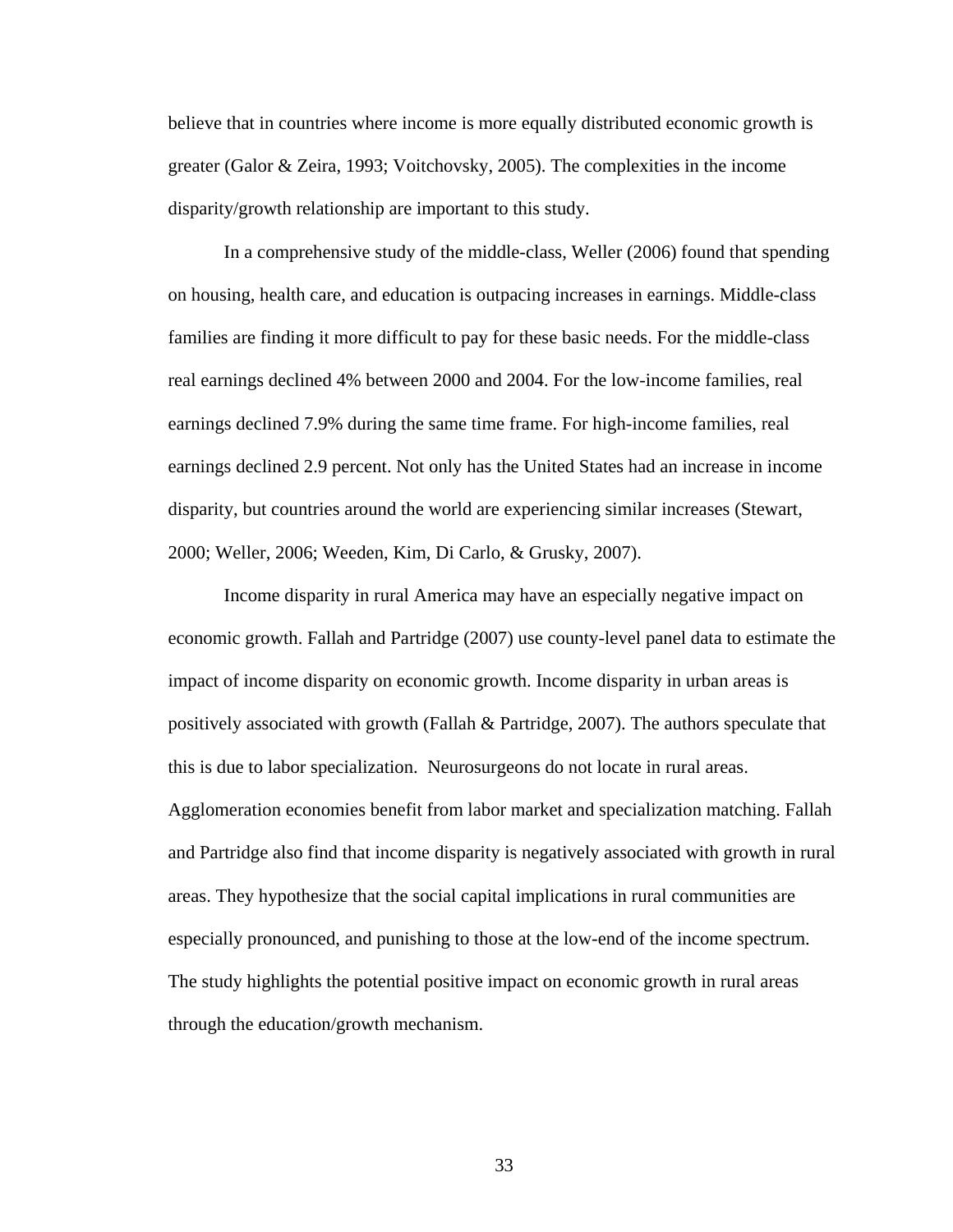believe that in countries where income is more equally distributed economic growth is greater (Galor & Zeira, 1993; Voitchovsky, 2005). The complexities in the income disparity/growth relationship are important to this study.

 In a comprehensive study of the middle-class, Weller (2006) found that spending on housing, health care, and education is outpacing increases in earnings. Middle-class families are finding it more difficult to pay for these basic needs. For the middle-class real earnings declined 4% between 2000 and 2004. For the low-income families, real earnings declined 7.9% during the same time frame. For high-income families, real earnings declined 2.9 percent. Not only has the United States had an increase in income disparity, but countries around the world are experiencing similar increases (Stewart, 2000; Weller, 2006; Weeden, Kim, Di Carlo, & Grusky, 2007).

 Income disparity in rural America may have an especially negative impact on economic growth. Fallah and Partridge (2007) use county-level panel data to estimate the impact of income disparity on economic growth. Income disparity in urban areas is positively associated with growth (Fallah & Partridge, 2007). The authors speculate that this is due to labor specialization. Neurosurgeons do not locate in rural areas. Agglomeration economies benefit from labor market and specialization matching. Fallah and Partridge also find that income disparity is negatively associated with growth in rural areas. They hypothesize that the social capital implications in rural communities are especially pronounced, and punishing to those at the low-end of the income spectrum. The study highlights the potential positive impact on economic growth in rural areas through the education/growth mechanism.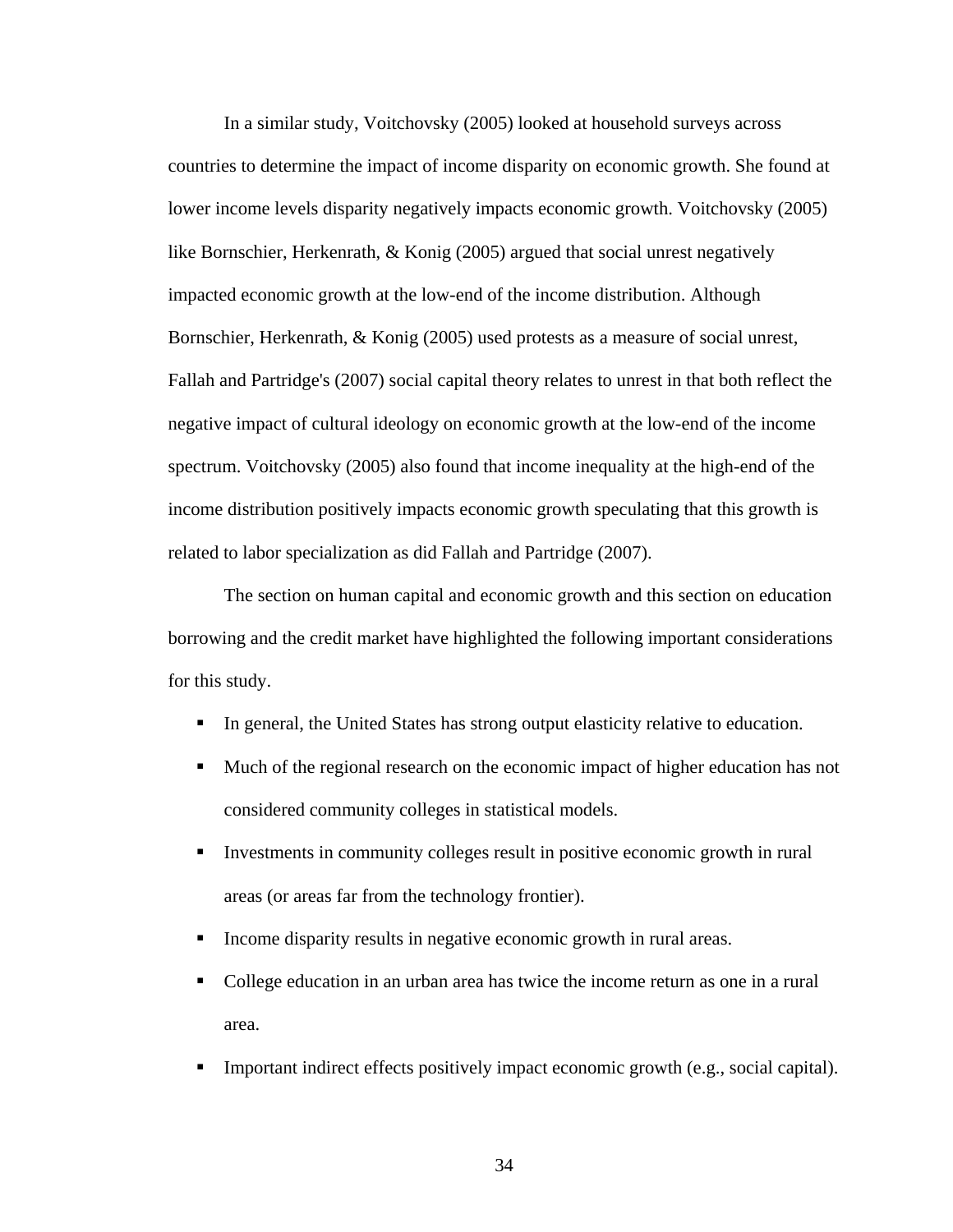In a similar study, Voitchovsky (2005) looked at household surveys across countries to determine the impact of income disparity on economic growth. She found at lower income levels disparity negatively impacts economic growth. Voitchovsky (2005) like Bornschier, Herkenrath, & Konig (2005) argued that social unrest negatively impacted economic growth at the low-end of the income distribution. Although Bornschier, Herkenrath, & Konig (2005) used protests as a measure of social unrest, Fallah and Partridge's (2007) social capital theory relates to unrest in that both reflect the negative impact of cultural ideology on economic growth at the low-end of the income spectrum. Voitchovsky (2005) also found that income inequality at the high-end of the income distribution positively impacts economic growth speculating that this growth is related to labor specialization as did Fallah and Partridge (2007).

 The section on human capital and economic growth and this section on education borrowing and the credit market have highlighted the following important considerations for this study.

- In general, the United States has strong output elasticity relative to education.
- Much of the regional research on the economic impact of higher education has not considered community colleges in statistical models.
- Investments in community colleges result in positive economic growth in rural areas (or areas far from the technology frontier).
- Income disparity results in negative economic growth in rural areas.
- College education in an urban area has twice the income return as one in a rural area.
- **IMPORTER INTERT Interfects in the interfects positively impact economic growth (e.g., social capital).**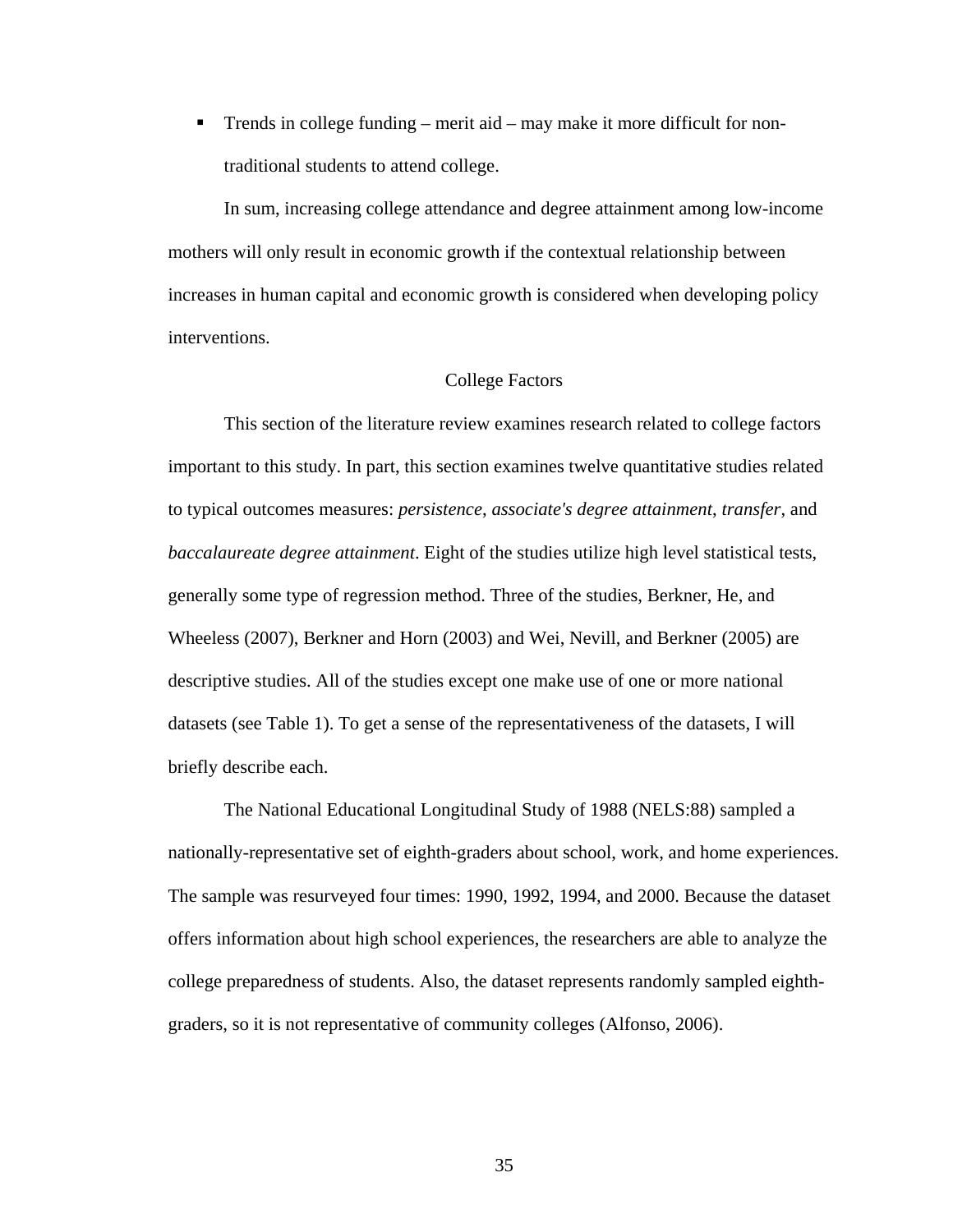■ Trends in college funding – merit aid – may make it more difficult for nontraditional students to attend college.

 In sum, increasing college attendance and degree attainment among low-income mothers will only result in economic growth if the contextual relationship between increases in human capital and economic growth is considered when developing policy interventions.

## College Factors

 This section of the literature review examines research related to college factors important to this study. In part, this section examines twelve quantitative studies related to typical outcomes measures: *persistence*, *associate's degree attainment*, *transfer*, and *baccalaureate degree attainment*. Eight of the studies utilize high level statistical tests, generally some type of regression method. Three of the studies, Berkner, He, and Wheeless (2007), Berkner and Horn (2003) and Wei, Nevill, and Berkner (2005) are descriptive studies. All of the studies except one make use of one or more national datasets (see Table 1). To get a sense of the representativeness of the datasets, I will briefly describe each.

 The National Educational Longitudinal Study of 1988 (NELS:88) sampled a nationally-representative set of eighth-graders about school, work, and home experiences. The sample was resurveyed four times: 1990, 1992, 1994, and 2000. Because the dataset offers information about high school experiences, the researchers are able to analyze the college preparedness of students. Also, the dataset represents randomly sampled eighthgraders, so it is not representative of community colleges (Alfonso, 2006).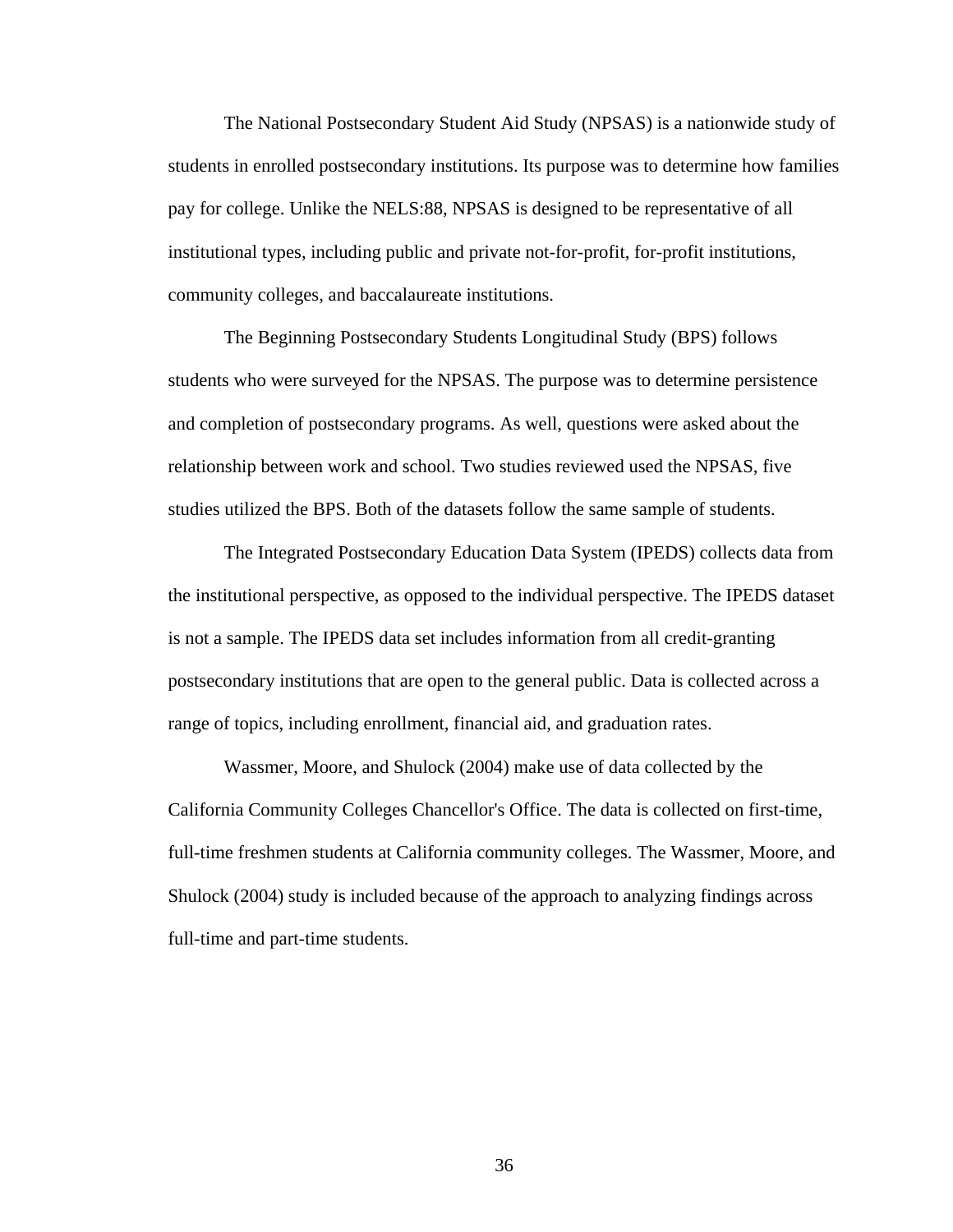The National Postsecondary Student Aid Study (NPSAS) is a nationwide study of students in enrolled postsecondary institutions. Its purpose was to determine how families pay for college. Unlike the NELS:88, NPSAS is designed to be representative of all institutional types, including public and private not-for-profit, for-profit institutions, community colleges, and baccalaureate institutions.

 The Beginning Postsecondary Students Longitudinal Study (BPS) follows students who were surveyed for the NPSAS. The purpose was to determine persistence and completion of postsecondary programs. As well, questions were asked about the relationship between work and school. Two studies reviewed used the NPSAS, five studies utilized the BPS. Both of the datasets follow the same sample of students.

 The Integrated Postsecondary Education Data System (IPEDS) collects data from the institutional perspective, as opposed to the individual perspective. The IPEDS dataset is not a sample. The IPEDS data set includes information from all credit-granting postsecondary institutions that are open to the general public. Data is collected across a range of topics, including enrollment, financial aid, and graduation rates.

 Wassmer, Moore, and Shulock (2004) make use of data collected by the California Community Colleges Chancellor's Office. The data is collected on first-time, full-time freshmen students at California community colleges. The Wassmer, Moore, and Shulock (2004) study is included because of the approach to analyzing findings across full-time and part-time students.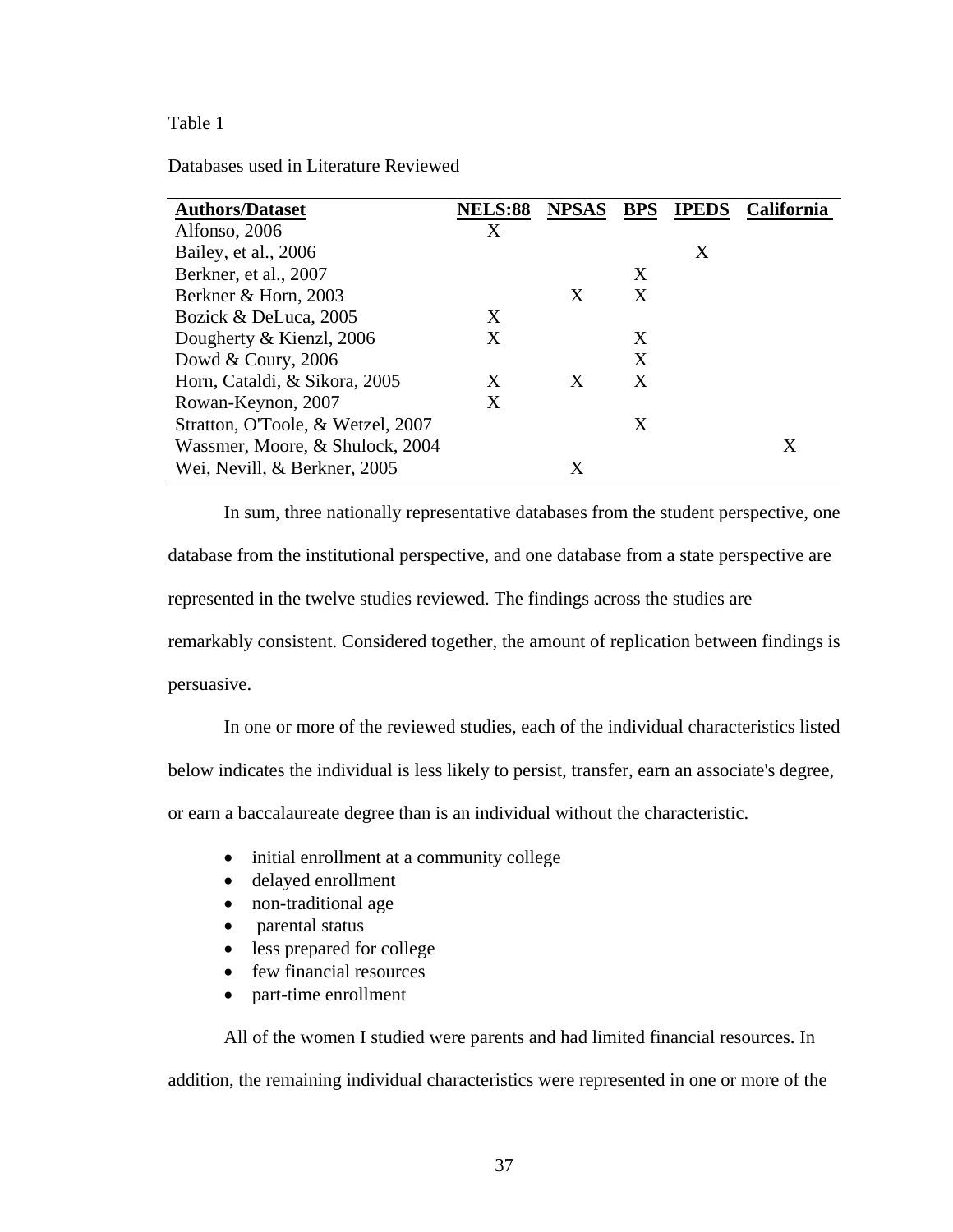# Table 1

Databases used in Literature Reviewed

| <b>Authors/Dataset</b>            | <b>NELS:88</b> | <b>NPSAS</b> | <b>BPS</b> | <b>IPEDS</b> | <b>California</b> |
|-----------------------------------|----------------|--------------|------------|--------------|-------------------|
| Alfonso, 2006                     | X              |              |            |              |                   |
| Bailey, et al., 2006              |                |              |            | X            |                   |
| Berkner, et al., 2007             |                |              | Χ          |              |                   |
| Berkner & Horn, 2003              |                | X            | X          |              |                   |
| Bozick & DeLuca, 2005             | X              |              |            |              |                   |
| Dougherty & Kienzl, 2006          | X              |              | Χ          |              |                   |
| Dowd & Coury, 2006                |                |              | X          |              |                   |
| Horn, Cataldi, & Sikora, 2005     | X              | X            | X          |              |                   |
| Rowan-Keynon, 2007                | X              |              |            |              |                   |
| Stratton, O'Toole, & Wetzel, 2007 |                |              | Χ          |              |                   |
| Wassmer, Moore, & Shulock, 2004   |                |              |            |              | X                 |
| Wei, Nevill, & Berkner, 2005      |                | Χ            |            |              |                   |

 In sum, three nationally representative databases from the student perspective, one database from the institutional perspective, and one database from a state perspective are represented in the twelve studies reviewed. The findings across the studies are remarkably consistent. Considered together, the amount of replication between findings is persuasive.

In one or more of the reviewed studies, each of the individual characteristics listed

below indicates the individual is less likely to persist, transfer, earn an associate's degree,

or earn a baccalaureate degree than is an individual without the characteristic.

- initial enrollment at a community college
- delayed enrollment
- non-traditional age
- parental status
- less prepared for college
- few financial resources
- part-time enrollment

 All of the women I studied were parents and had limited financial resources. In addition, the remaining individual characteristics were represented in one or more of the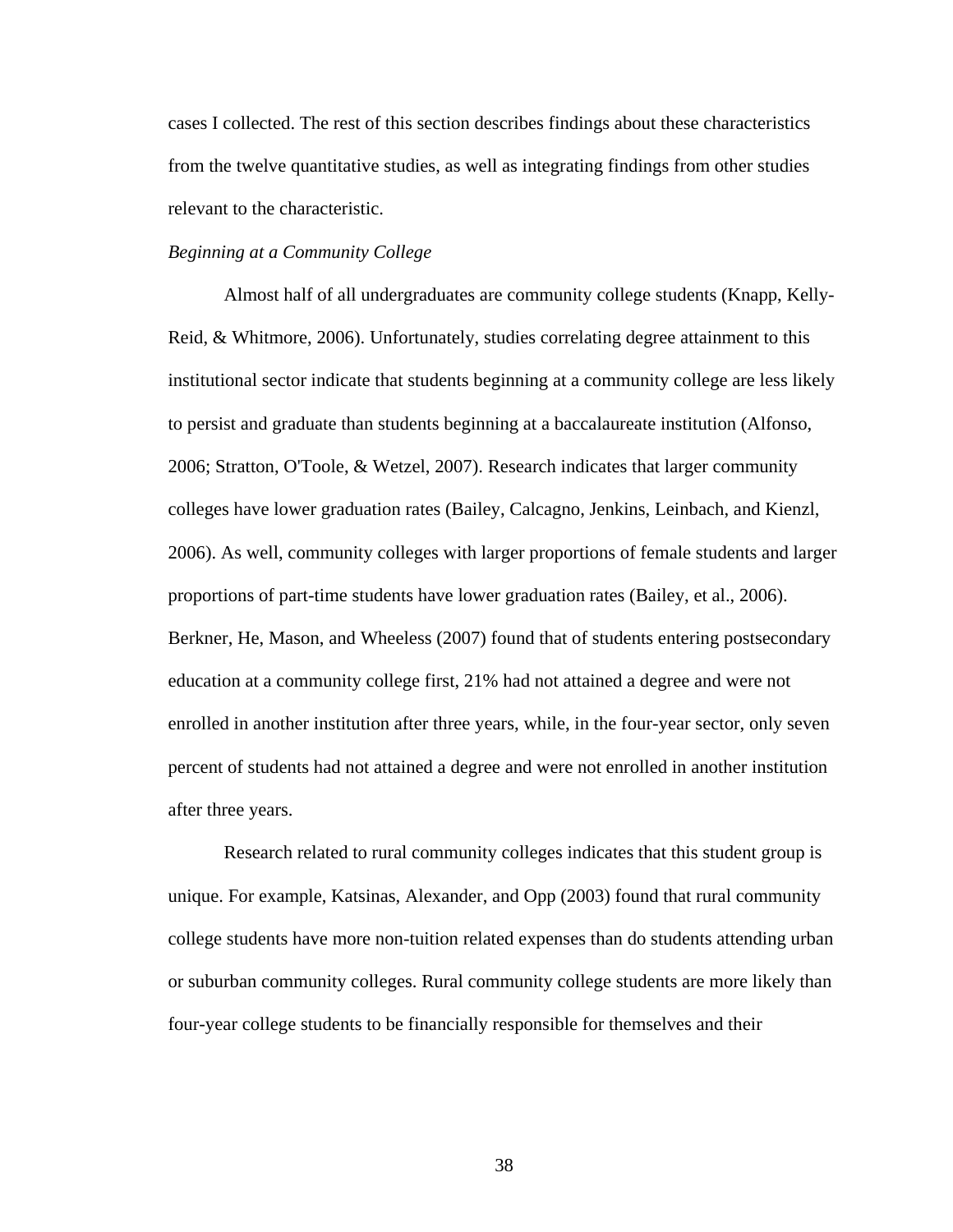cases I collected. The rest of this section describes findings about these characteristics from the twelve quantitative studies, as well as integrating findings from other studies relevant to the characteristic.

### *Beginning at a Community College*

 Almost half of all undergraduates are community college students (Knapp, Kelly-Reid, & Whitmore, 2006). Unfortunately, studies correlating degree attainment to this institutional sector indicate that students beginning at a community college are less likely to persist and graduate than students beginning at a baccalaureate institution (Alfonso, 2006; Stratton, O'Toole, & Wetzel, 2007). Research indicates that larger community colleges have lower graduation rates (Bailey, Calcagno, Jenkins, Leinbach, and Kienzl, 2006). As well, community colleges with larger proportions of female students and larger proportions of part-time students have lower graduation rates (Bailey, et al., 2006). Berkner, He, Mason, and Wheeless (2007) found that of students entering postsecondary education at a community college first, 21% had not attained a degree and were not enrolled in another institution after three years, while, in the four-year sector, only seven percent of students had not attained a degree and were not enrolled in another institution after three years.

 Research related to rural community colleges indicates that this student group is unique. For example, Katsinas, Alexander, and Opp (2003) found that rural community college students have more non-tuition related expenses than do students attending urban or suburban community colleges. Rural community college students are more likely than four-year college students to be financially responsible for themselves and their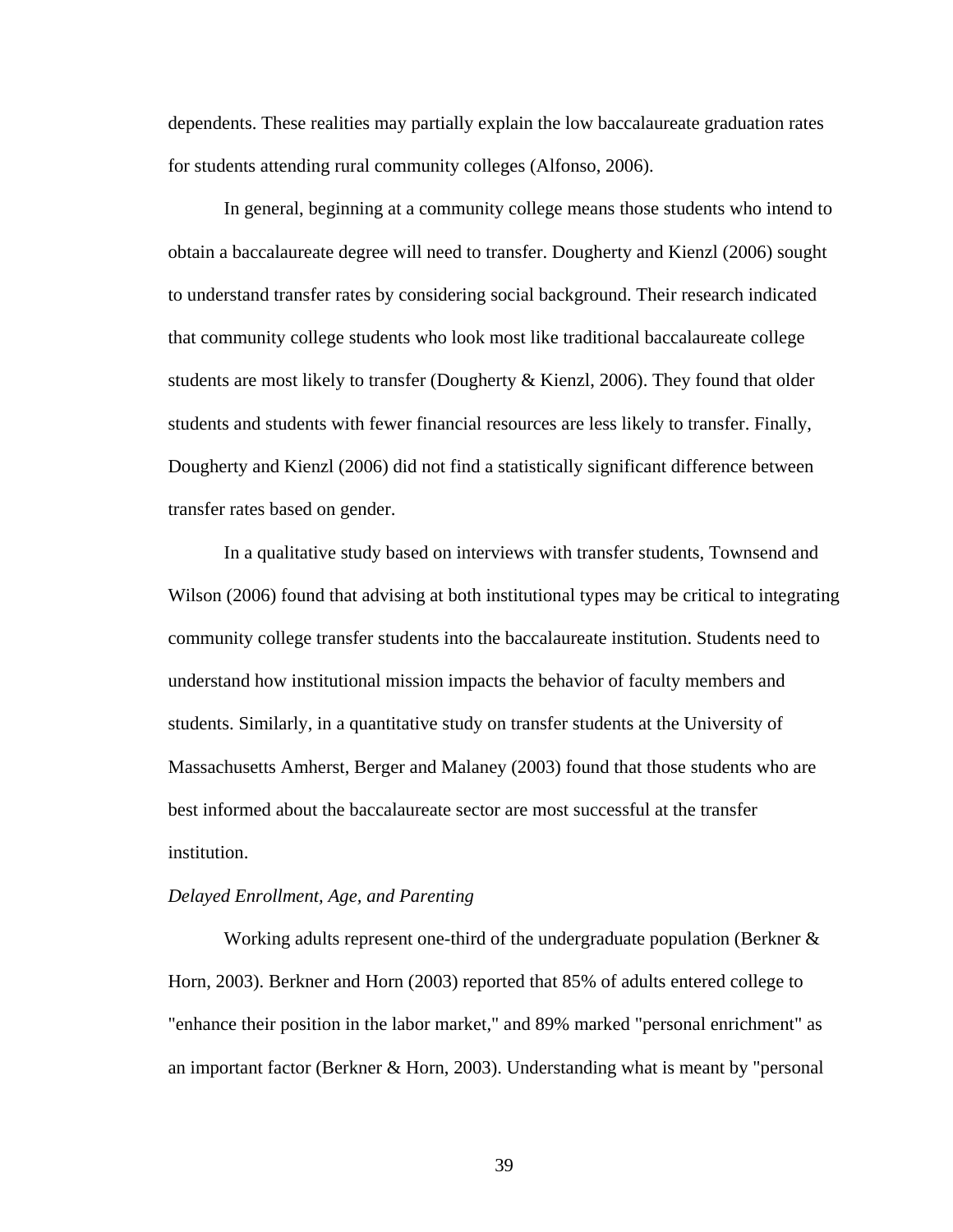dependents. These realities may partially explain the low baccalaureate graduation rates for students attending rural community colleges (Alfonso, 2006).

 In general, beginning at a community college means those students who intend to obtain a baccalaureate degree will need to transfer. Dougherty and Kienzl (2006) sought to understand transfer rates by considering social background. Their research indicated that community college students who look most like traditional baccalaureate college students are most likely to transfer (Dougherty & Kienzl, 2006). They found that older students and students with fewer financial resources are less likely to transfer. Finally, Dougherty and Kienzl (2006) did not find a statistically significant difference between transfer rates based on gender.

 In a qualitative study based on interviews with transfer students, Townsend and Wilson (2006) found that advising at both institutional types may be critical to integrating community college transfer students into the baccalaureate institution. Students need to understand how institutional mission impacts the behavior of faculty members and students. Similarly, in a quantitative study on transfer students at the University of Massachusetts Amherst, Berger and Malaney (2003) found that those students who are best informed about the baccalaureate sector are most successful at the transfer institution.

## *Delayed Enrollment, Age, and Parenting*

 Working adults represent one-third of the undergraduate population (Berkner & Horn, 2003). Berkner and Horn (2003) reported that 85% of adults entered college to "enhance their position in the labor market," and 89% marked "personal enrichment" as an important factor (Berkner & Horn, 2003). Understanding what is meant by "personal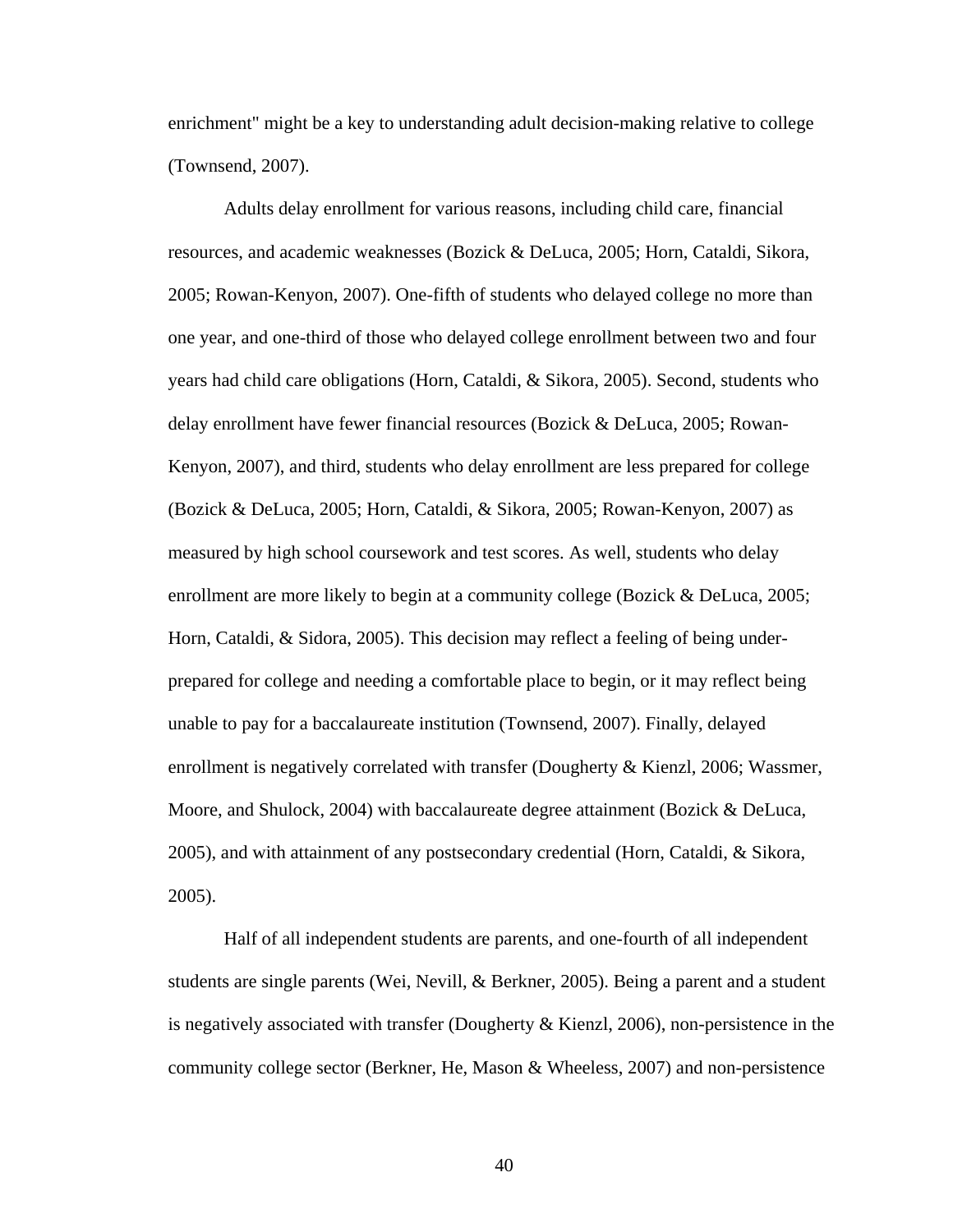enrichment" might be a key to understanding adult decision-making relative to college (Townsend, 2007).

 Adults delay enrollment for various reasons, including child care, financial resources, and academic weaknesses (Bozick & DeLuca, 2005; Horn, Cataldi, Sikora, 2005; Rowan-Kenyon, 2007). One-fifth of students who delayed college no more than one year, and one-third of those who delayed college enrollment between two and four years had child care obligations (Horn, Cataldi, & Sikora, 2005). Second, students who delay enrollment have fewer financial resources (Bozick & DeLuca, 2005; Rowan-Kenyon, 2007), and third, students who delay enrollment are less prepared for college (Bozick & DeLuca, 2005; Horn, Cataldi, & Sikora, 2005; Rowan-Kenyon, 2007) as measured by high school coursework and test scores. As well, students who delay enrollment are more likely to begin at a community college (Bozick & DeLuca, 2005; Horn, Cataldi, & Sidora, 2005). This decision may reflect a feeling of being underprepared for college and needing a comfortable place to begin, or it may reflect being unable to pay for a baccalaureate institution (Townsend, 2007). Finally, delayed enrollment is negatively correlated with transfer (Dougherty & Kienzl, 2006; Wassmer, Moore, and Shulock, 2004) with baccalaureate degree attainment (Bozick & DeLuca, 2005), and with attainment of any postsecondary credential (Horn, Cataldi, & Sikora, 2005).

 Half of all independent students are parents, and one-fourth of all independent students are single parents (Wei, Nevill, & Berkner, 2005). Being a parent and a student is negatively associated with transfer (Dougherty  $\&$  Kienzl, 2006), non-persistence in the community college sector (Berkner, He, Mason & Wheeless, 2007) and non-persistence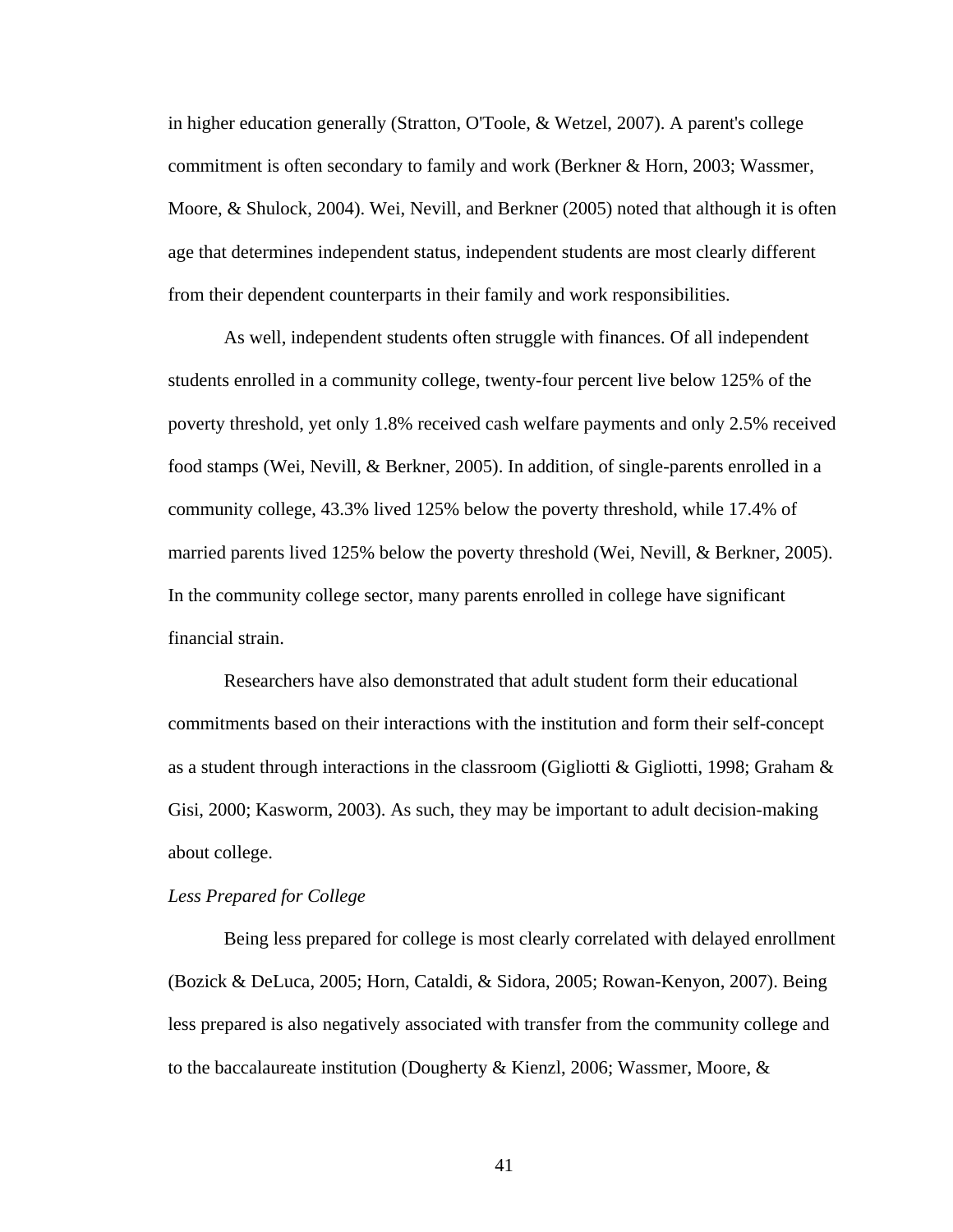in higher education generally (Stratton, O'Toole, & Wetzel, 2007). A parent's college commitment is often secondary to family and work (Berkner & Horn, 2003; Wassmer, Moore, & Shulock, 2004). Wei, Nevill, and Berkner (2005) noted that although it is often age that determines independent status, independent students are most clearly different from their dependent counterparts in their family and work responsibilities.

 As well, independent students often struggle with finances. Of all independent students enrolled in a community college, twenty-four percent live below 125% of the poverty threshold, yet only 1.8% received cash welfare payments and only 2.5% received food stamps (Wei, Nevill, & Berkner, 2005). In addition, of single-parents enrolled in a community college, 43.3% lived 125% below the poverty threshold, while 17.4% of married parents lived 125% below the poverty threshold (Wei, Nevill, & Berkner, 2005). In the community college sector, many parents enrolled in college have significant financial strain.

 Researchers have also demonstrated that adult student form their educational commitments based on their interactions with the institution and form their self-concept as a student through interactions in the classroom (Gigliotti & Gigliotti, 1998; Graham  $\&$ Gisi, 2000; Kasworm, 2003). As such, they may be important to adult decision-making about college.

#### *Less Prepared for College*

 Being less prepared for college is most clearly correlated with delayed enrollment (Bozick & DeLuca, 2005; Horn, Cataldi, & Sidora, 2005; Rowan-Kenyon, 2007). Being less prepared is also negatively associated with transfer from the community college and to the baccalaureate institution (Dougherty & Kienzl, 2006; Wassmer, Moore,  $\&$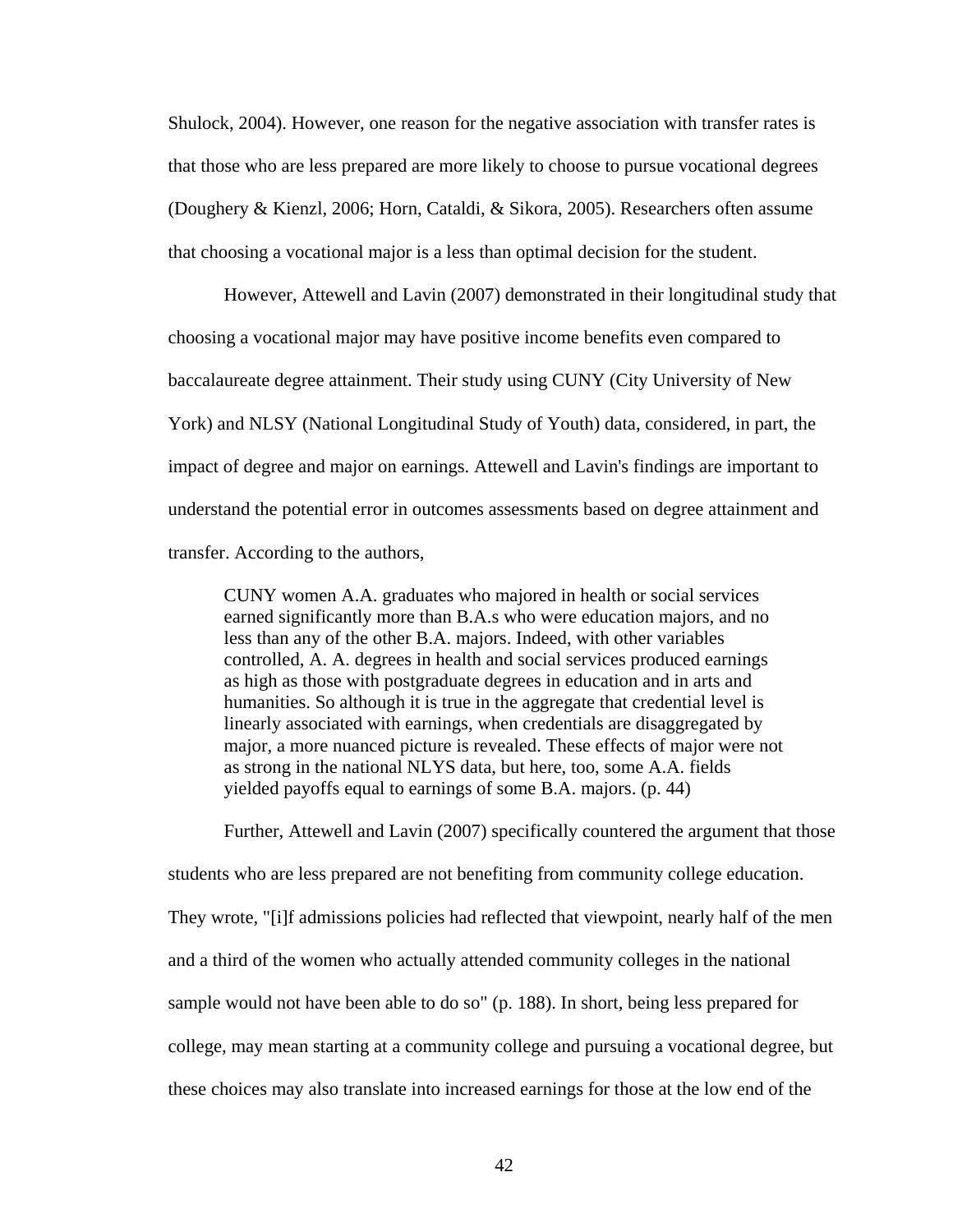Shulock, 2004). However, one reason for the negative association with transfer rates is that those who are less prepared are more likely to choose to pursue vocational degrees (Doughery & Kienzl, 2006; Horn, Cataldi, & Sikora, 2005). Researchers often assume that choosing a vocational major is a less than optimal decision for the student.

 However, Attewell and Lavin (2007) demonstrated in their longitudinal study that choosing a vocational major may have positive income benefits even compared to baccalaureate degree attainment. Their study using CUNY (City University of New York) and NLSY (National Longitudinal Study of Youth) data, considered, in part, the impact of degree and major on earnings. Attewell and Lavin's findings are important to understand the potential error in outcomes assessments based on degree attainment and transfer. According to the authors,

CUNY women A.A. graduates who majored in health or social services earned significantly more than B.A.s who were education majors, and no less than any of the other B.A. majors. Indeed, with other variables controlled, A. A. degrees in health and social services produced earnings as high as those with postgraduate degrees in education and in arts and humanities. So although it is true in the aggregate that credential level is linearly associated with earnings, when credentials are disaggregated by major, a more nuanced picture is revealed. These effects of major were not as strong in the national NLYS data, but here, too, some A.A. fields yielded payoffs equal to earnings of some B.A. majors. (p. 44)

 Further, Attewell and Lavin (2007) specifically countered the argument that those students who are less prepared are not benefiting from community college education. They wrote, "[i]f admissions policies had reflected that viewpoint, nearly half of the men and a third of the women who actually attended community colleges in the national sample would not have been able to do so" (p. 188). In short, being less prepared for college, may mean starting at a community college and pursuing a vocational degree, but these choices may also translate into increased earnings for those at the low end of the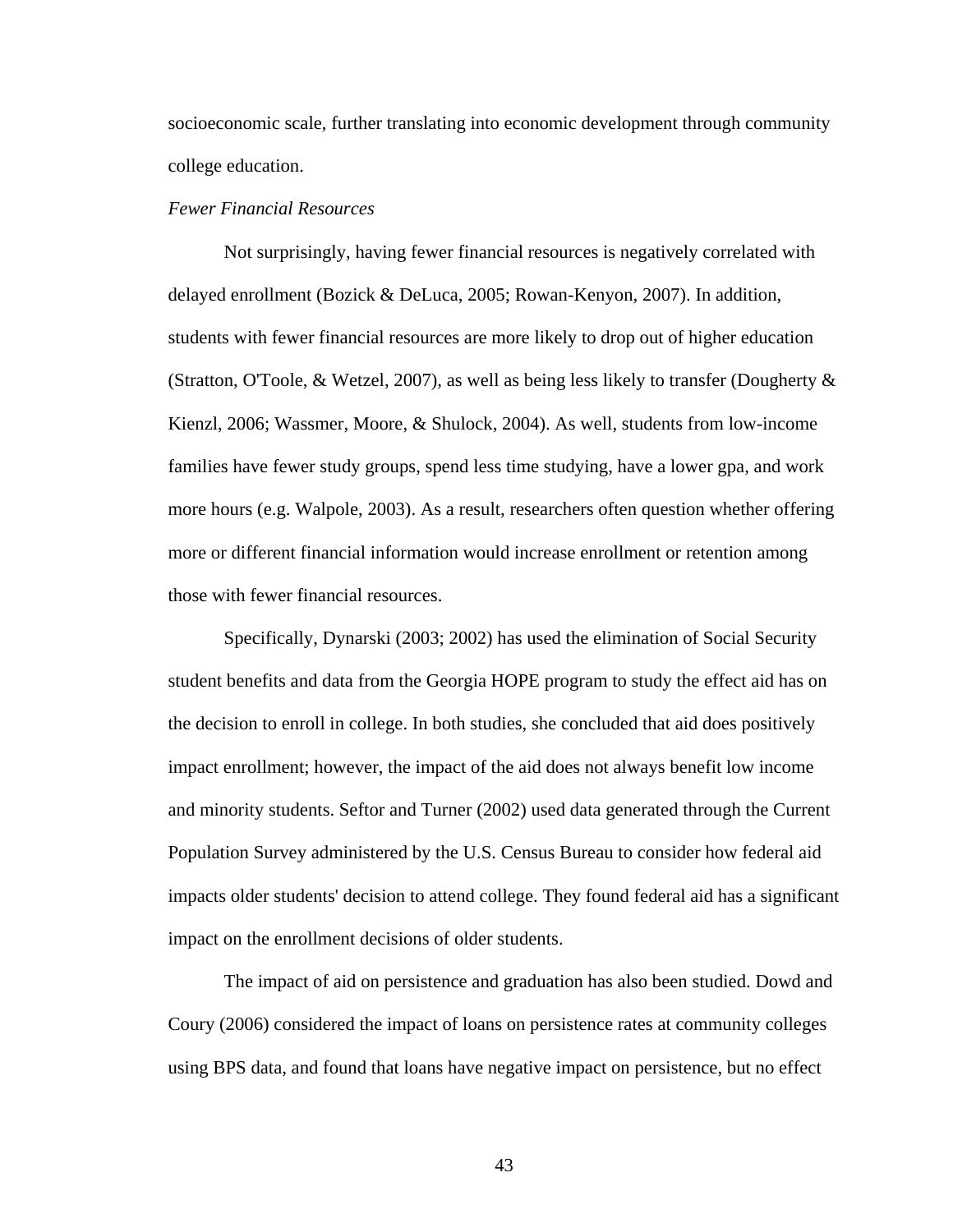socioeconomic scale, further translating into economic development through community college education.

## *Fewer Financial Resources*

 Not surprisingly, having fewer financial resources is negatively correlated with delayed enrollment (Bozick & DeLuca, 2005; Rowan-Kenyon, 2007). In addition, students with fewer financial resources are more likely to drop out of higher education (Stratton, O'Toole, & Wetzel, 2007), as well as being less likely to transfer (Dougherty  $\&$ Kienzl, 2006; Wassmer, Moore, & Shulock, 2004). As well, students from low-income families have fewer study groups, spend less time studying, have a lower gpa, and work more hours (e.g. Walpole, 2003). As a result, researchers often question whether offering more or different financial information would increase enrollment or retention among those with fewer financial resources.

 Specifically, Dynarski (2003; 2002) has used the elimination of Social Security student benefits and data from the Georgia HOPE program to study the effect aid has on the decision to enroll in college. In both studies, she concluded that aid does positively impact enrollment; however, the impact of the aid does not always benefit low income and minority students. Seftor and Turner (2002) used data generated through the Current Population Survey administered by the U.S. Census Bureau to consider how federal aid impacts older students' decision to attend college. They found federal aid has a significant impact on the enrollment decisions of older students.

 The impact of aid on persistence and graduation has also been studied. Dowd and Coury (2006) considered the impact of loans on persistence rates at community colleges using BPS data, and found that loans have negative impact on persistence, but no effect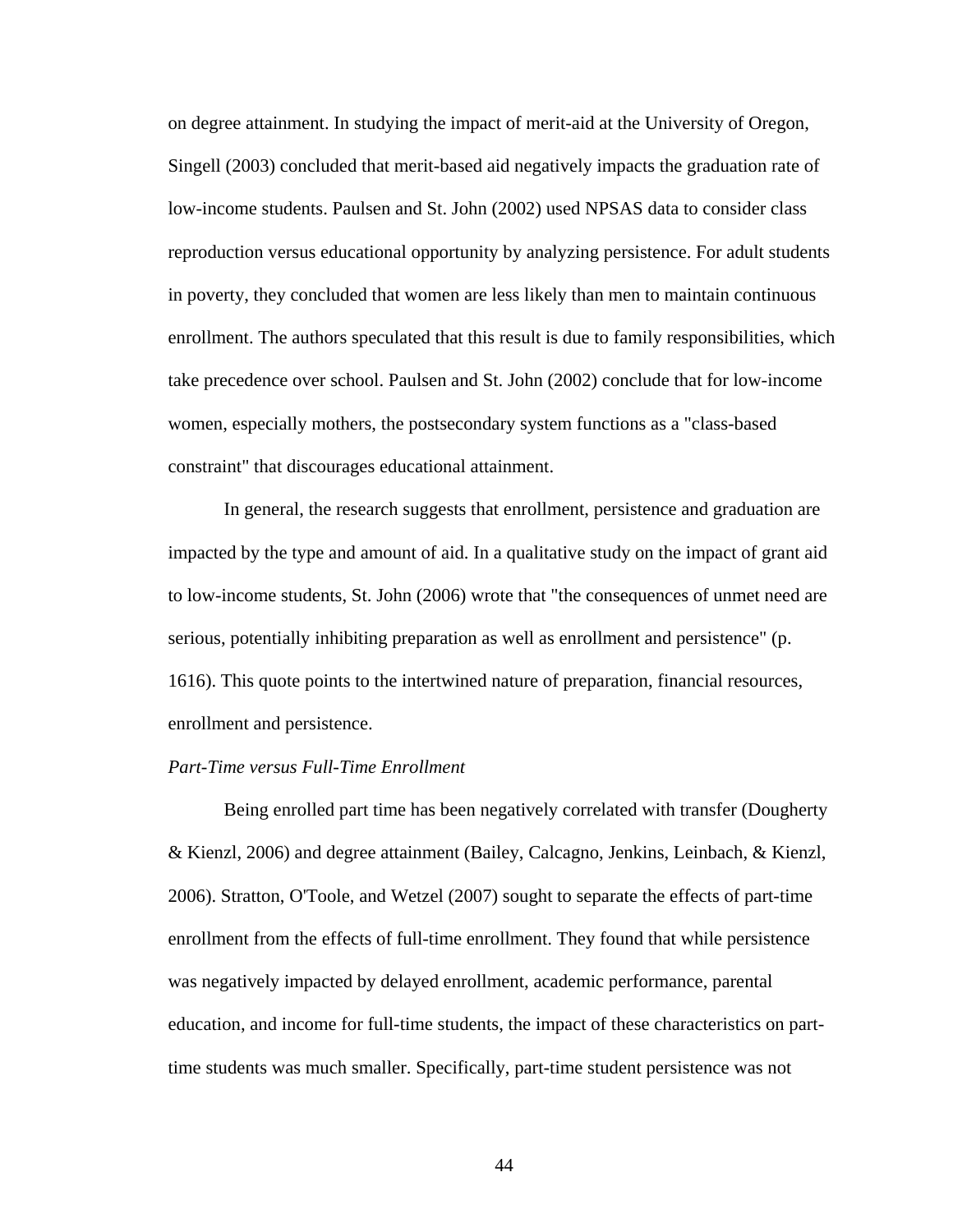on degree attainment. In studying the impact of merit-aid at the University of Oregon, Singell (2003) concluded that merit-based aid negatively impacts the graduation rate of low-income students. Paulsen and St. John (2002) used NPSAS data to consider class reproduction versus educational opportunity by analyzing persistence. For adult students in poverty, they concluded that women are less likely than men to maintain continuous enrollment. The authors speculated that this result is due to family responsibilities, which take precedence over school. Paulsen and St. John (2002) conclude that for low-income women, especially mothers, the postsecondary system functions as a "class-based constraint" that discourages educational attainment.

 In general, the research suggests that enrollment, persistence and graduation are impacted by the type and amount of aid. In a qualitative study on the impact of grant aid to low-income students, St. John (2006) wrote that "the consequences of unmet need are serious, potentially inhibiting preparation as well as enrollment and persistence" (p. 1616). This quote points to the intertwined nature of preparation, financial resources, enrollment and persistence.

## *Part-Time versus Full-Time Enrollment*

 Being enrolled part time has been negatively correlated with transfer (Dougherty & Kienzl, 2006) and degree attainment (Bailey, Calcagno, Jenkins, Leinbach, & Kienzl, 2006). Stratton, O'Toole, and Wetzel (2007) sought to separate the effects of part-time enrollment from the effects of full-time enrollment. They found that while persistence was negatively impacted by delayed enrollment, academic performance, parental education, and income for full-time students, the impact of these characteristics on parttime students was much smaller. Specifically, part-time student persistence was not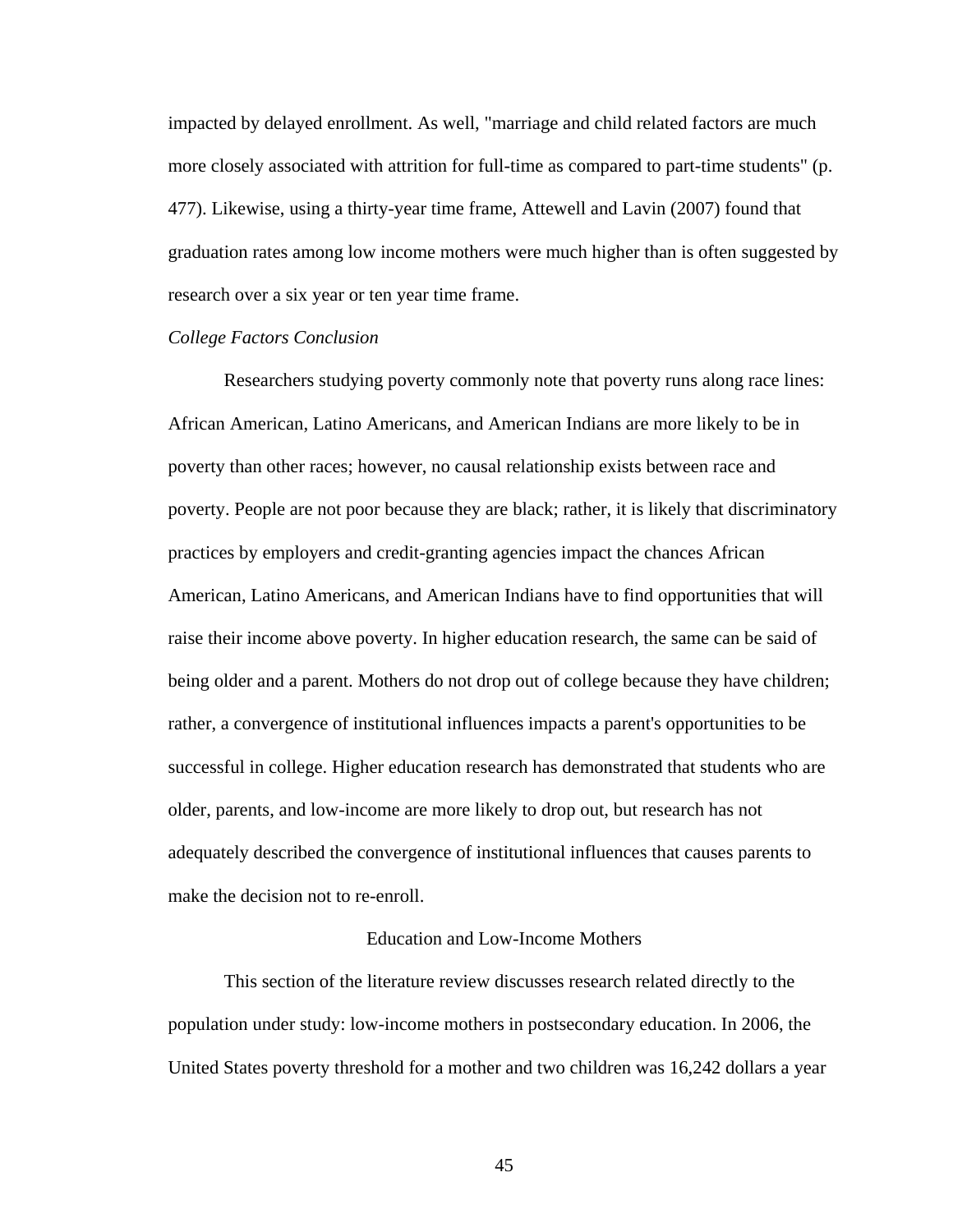impacted by delayed enrollment. As well, "marriage and child related factors are much more closely associated with attrition for full-time as compared to part-time students" (p. 477). Likewise, using a thirty-year time frame, Attewell and Lavin (2007) found that graduation rates among low income mothers were much higher than is often suggested by research over a six year or ten year time frame.

## *College Factors Conclusion*

 Researchers studying poverty commonly note that poverty runs along race lines: African American, Latino Americans, and American Indians are more likely to be in poverty than other races; however, no causal relationship exists between race and poverty. People are not poor because they are black; rather, it is likely that discriminatory practices by employers and credit-granting agencies impact the chances African American, Latino Americans, and American Indians have to find opportunities that will raise their income above poverty. In higher education research, the same can be said of being older and a parent. Mothers do not drop out of college because they have children; rather, a convergence of institutional influences impacts a parent's opportunities to be successful in college. Higher education research has demonstrated that students who are older, parents, and low-income are more likely to drop out, but research has not adequately described the convergence of institutional influences that causes parents to make the decision not to re-enroll.

### Education and Low-Income Mothers

 This section of the literature review discusses research related directly to the population under study: low-income mothers in postsecondary education. In 2006, the United States poverty threshold for a mother and two children was 16,242 dollars a year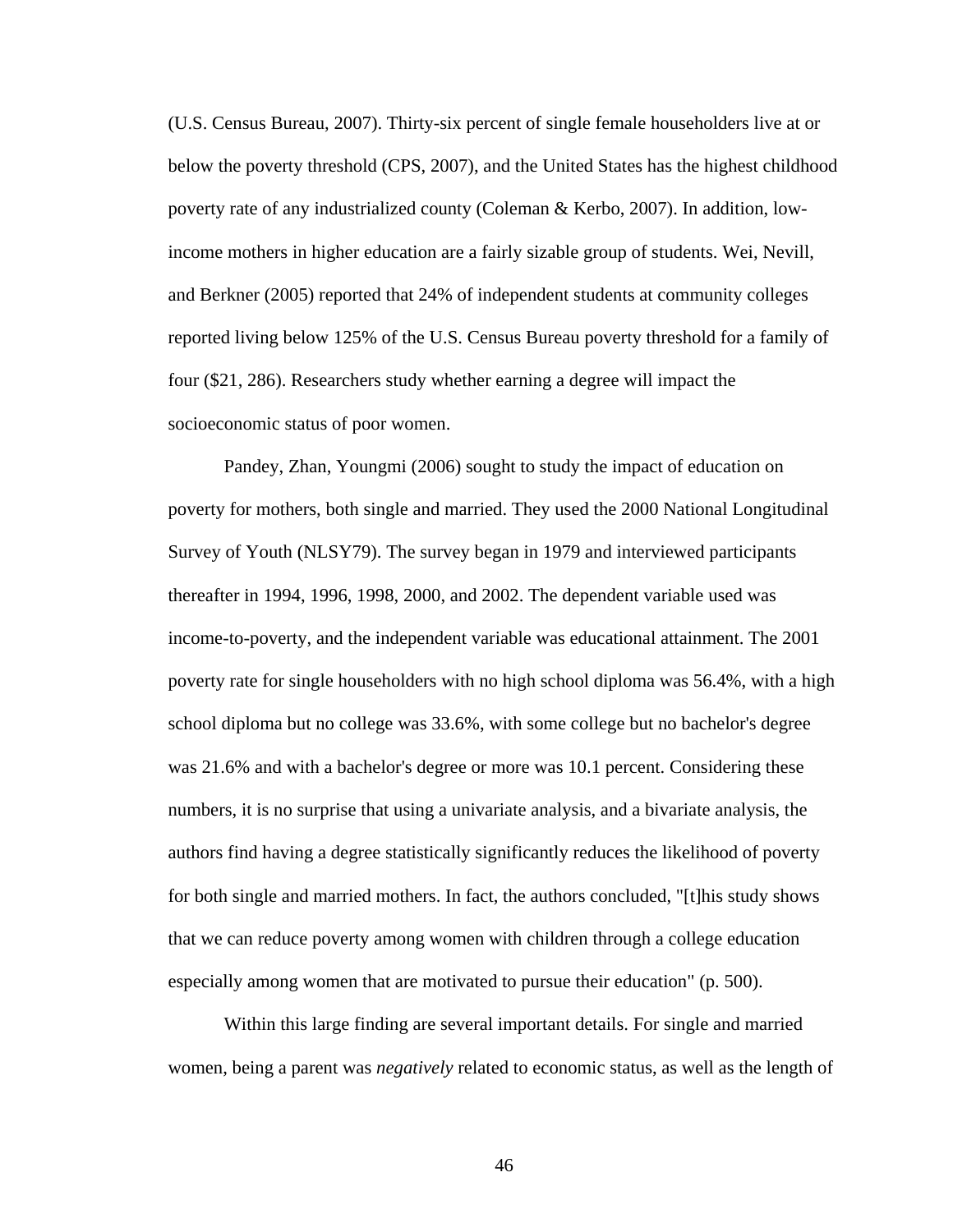(U.S. Census Bureau, 2007). Thirty-six percent of single female householders live at or below the poverty threshold (CPS, 2007), and the United States has the highest childhood poverty rate of any industrialized county (Coleman & Kerbo, 2007). In addition, lowincome mothers in higher education are a fairly sizable group of students. Wei, Nevill, and Berkner (2005) reported that 24% of independent students at community colleges reported living below 125% of the U.S. Census Bureau poverty threshold for a family of four (\$21, 286). Researchers study whether earning a degree will impact the socioeconomic status of poor women.

 Pandey, Zhan, Youngmi (2006) sought to study the impact of education on poverty for mothers, both single and married. They used the 2000 National Longitudinal Survey of Youth (NLSY79). The survey began in 1979 and interviewed participants thereafter in 1994, 1996, 1998, 2000, and 2002. The dependent variable used was income-to-poverty, and the independent variable was educational attainment. The 2001 poverty rate for single householders with no high school diploma was 56.4%, with a high school diploma but no college was 33.6%, with some college but no bachelor's degree was 21.6% and with a bachelor's degree or more was 10.1 percent. Considering these numbers, it is no surprise that using a univariate analysis, and a bivariate analysis, the authors find having a degree statistically significantly reduces the likelihood of poverty for both single and married mothers. In fact, the authors concluded, "[t]his study shows that we can reduce poverty among women with children through a college education especially among women that are motivated to pursue their education" (p. 500).

 Within this large finding are several important details. For single and married women, being a parent was *negatively* related to economic status, as well as the length of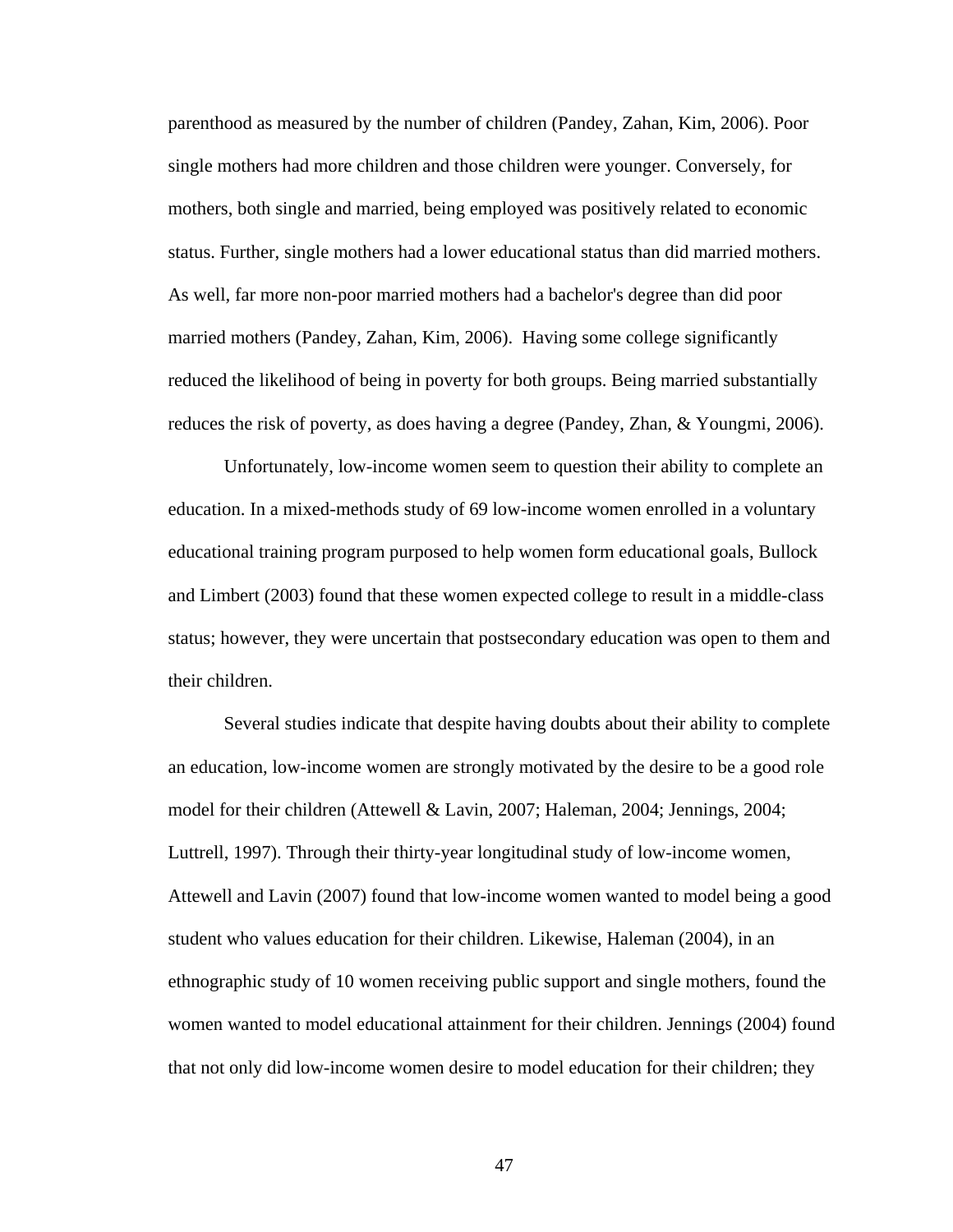parenthood as measured by the number of children (Pandey, Zahan, Kim, 2006). Poor single mothers had more children and those children were younger. Conversely, for mothers, both single and married, being employed was positively related to economic status. Further, single mothers had a lower educational status than did married mothers. As well, far more non-poor married mothers had a bachelor's degree than did poor married mothers (Pandey, Zahan, Kim, 2006). Having some college significantly reduced the likelihood of being in poverty for both groups. Being married substantially reduces the risk of poverty, as does having a degree (Pandey, Zhan, & Youngmi, 2006).

 Unfortunately, low-income women seem to question their ability to complete an education. In a mixed-methods study of 69 low-income women enrolled in a voluntary educational training program purposed to help women form educational goals, Bullock and Limbert (2003) found that these women expected college to result in a middle-class status; however, they were uncertain that postsecondary education was open to them and their children.

 Several studies indicate that despite having doubts about their ability to complete an education, low-income women are strongly motivated by the desire to be a good role model for their children (Attewell & Lavin, 2007; Haleman, 2004; Jennings, 2004; Luttrell, 1997). Through their thirty-year longitudinal study of low-income women, Attewell and Lavin (2007) found that low-income women wanted to model being a good student who values education for their children. Likewise, Haleman (2004), in an ethnographic study of 10 women receiving public support and single mothers, found the women wanted to model educational attainment for their children. Jennings (2004) found that not only did low-income women desire to model education for their children; they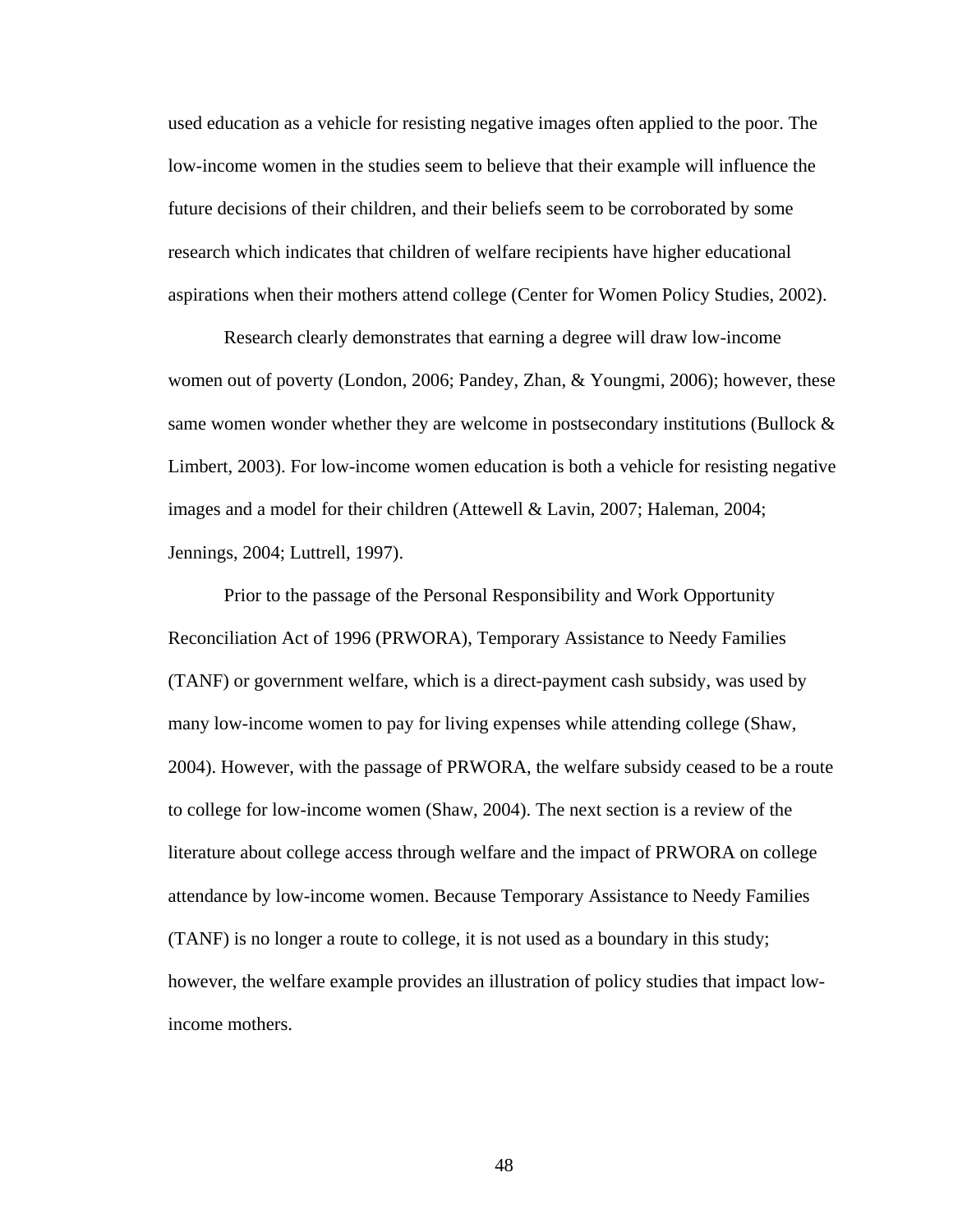used education as a vehicle for resisting negative images often applied to the poor. The low-income women in the studies seem to believe that their example will influence the future decisions of their children, and their beliefs seem to be corroborated by some research which indicates that children of welfare recipients have higher educational aspirations when their mothers attend college (Center for Women Policy Studies, 2002).

 Research clearly demonstrates that earning a degree will draw low-income women out of poverty (London, 2006; Pandey, Zhan, & Youngmi, 2006); however, these same women wonder whether they are welcome in postsecondary institutions (Bullock  $\&$ Limbert, 2003). For low-income women education is both a vehicle for resisting negative images and a model for their children (Attewell & Lavin, 2007; Haleman, 2004; Jennings, 2004; Luttrell, 1997).

 Prior to the passage of the Personal Responsibility and Work Opportunity Reconciliation Act of 1996 (PRWORA), Temporary Assistance to Needy Families (TANF) or government welfare, which is a direct-payment cash subsidy, was used by many low-income women to pay for living expenses while attending college (Shaw, 2004). However, with the passage of PRWORA, the welfare subsidy ceased to be a route to college for low-income women (Shaw, 2004). The next section is a review of the literature about college access through welfare and the impact of PRWORA on college attendance by low-income women. Because Temporary Assistance to Needy Families (TANF) is no longer a route to college, it is not used as a boundary in this study; however, the welfare example provides an illustration of policy studies that impact lowincome mothers.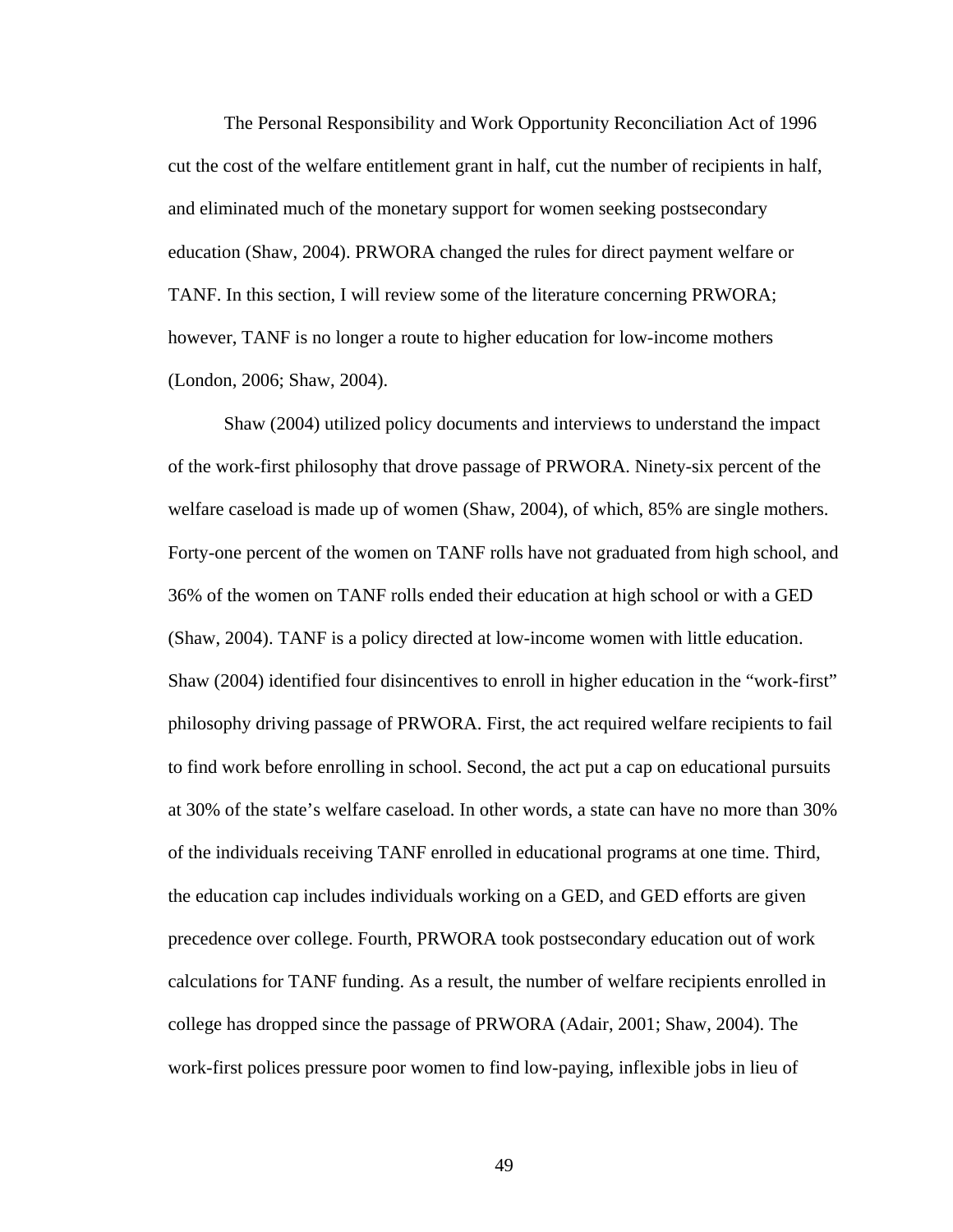The Personal Responsibility and Work Opportunity Reconciliation Act of 1996 cut the cost of the welfare entitlement grant in half, cut the number of recipients in half, and eliminated much of the monetary support for women seeking postsecondary education (Shaw, 2004). PRWORA changed the rules for direct payment welfare or TANF. In this section, I will review some of the literature concerning PRWORA; however, TANF is no longer a route to higher education for low-income mothers (London, 2006; Shaw, 2004).

 Shaw (2004) utilized policy documents and interviews to understand the impact of the work-first philosophy that drove passage of PRWORA. Ninety-six percent of the welfare caseload is made up of women (Shaw, 2004), of which, 85% are single mothers. Forty-one percent of the women on TANF rolls have not graduated from high school, and 36% of the women on TANF rolls ended their education at high school or with a GED (Shaw, 2004). TANF is a policy directed at low-income women with little education. Shaw (2004) identified four disincentives to enroll in higher education in the "work-first" philosophy driving passage of PRWORA. First, the act required welfare recipients to fail to find work before enrolling in school. Second, the act put a cap on educational pursuits at 30% of the state's welfare caseload. In other words, a state can have no more than 30% of the individuals receiving TANF enrolled in educational programs at one time. Third, the education cap includes individuals working on a GED, and GED efforts are given precedence over college. Fourth, PRWORA took postsecondary education out of work calculations for TANF funding. As a result, the number of welfare recipients enrolled in college has dropped since the passage of PRWORA (Adair, 2001; Shaw, 2004). The work-first polices pressure poor women to find low-paying, inflexible jobs in lieu of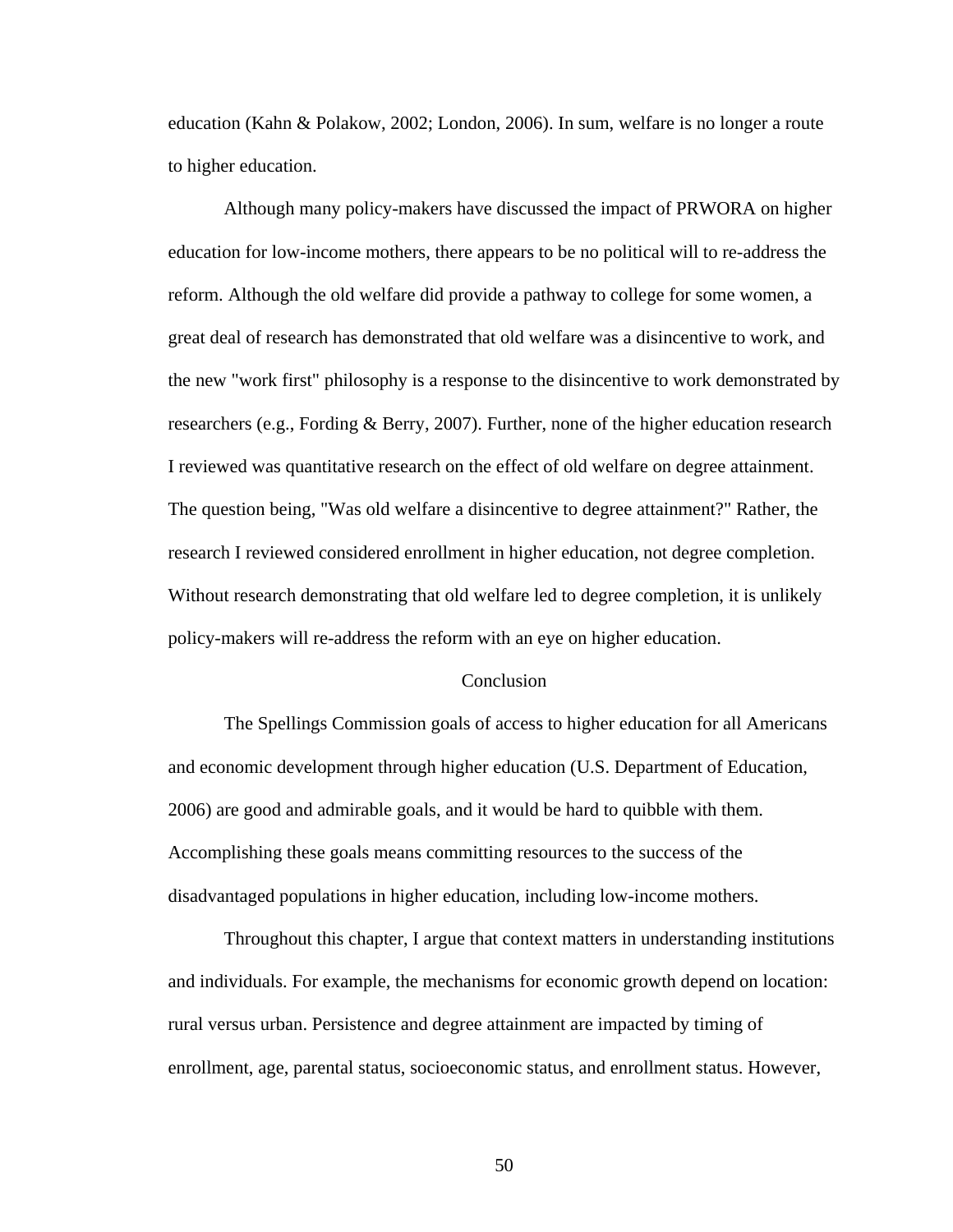education (Kahn & Polakow, 2002; London, 2006). In sum, welfare is no longer a route to higher education.

 Although many policy-makers have discussed the impact of PRWORA on higher education for low-income mothers, there appears to be no political will to re-address the reform. Although the old welfare did provide a pathway to college for some women, a great deal of research has demonstrated that old welfare was a disincentive to work, and the new "work first" philosophy is a response to the disincentive to work demonstrated by researchers (e.g., Fording & Berry, 2007). Further, none of the higher education research I reviewed was quantitative research on the effect of old welfare on degree attainment. The question being, "Was old welfare a disincentive to degree attainment?" Rather, the research I reviewed considered enrollment in higher education, not degree completion. Without research demonstrating that old welfare led to degree completion, it is unlikely policy-makers will re-address the reform with an eye on higher education.

### Conclusion

 The Spellings Commission goals of access to higher education for all Americans and economic development through higher education (U.S. Department of Education, 2006) are good and admirable goals, and it would be hard to quibble with them. Accomplishing these goals means committing resources to the success of the disadvantaged populations in higher education, including low-income mothers.

 Throughout this chapter, I argue that context matters in understanding institutions and individuals. For example, the mechanisms for economic growth depend on location: rural versus urban. Persistence and degree attainment are impacted by timing of enrollment, age, parental status, socioeconomic status, and enrollment status. However,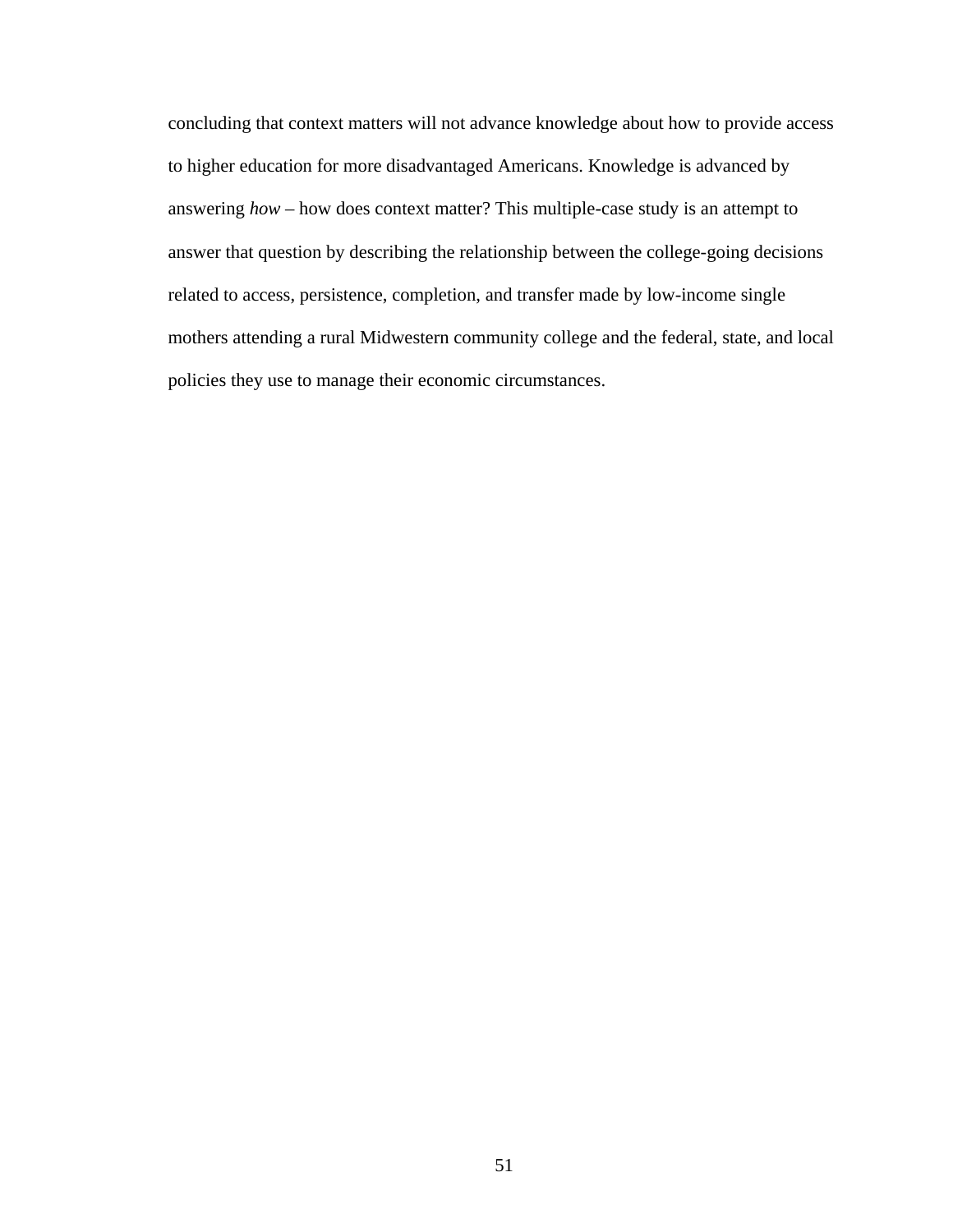concluding that context matters will not advance knowledge about how to provide access to higher education for more disadvantaged Americans. Knowledge is advanced by answering *how* – how does context matter? This multiple-case study is an attempt to answer that question by describing the relationship between the college-going decisions related to access, persistence, completion, and transfer made by low-income single mothers attending a rural Midwestern community college and the federal, state, and local policies they use to manage their economic circumstances.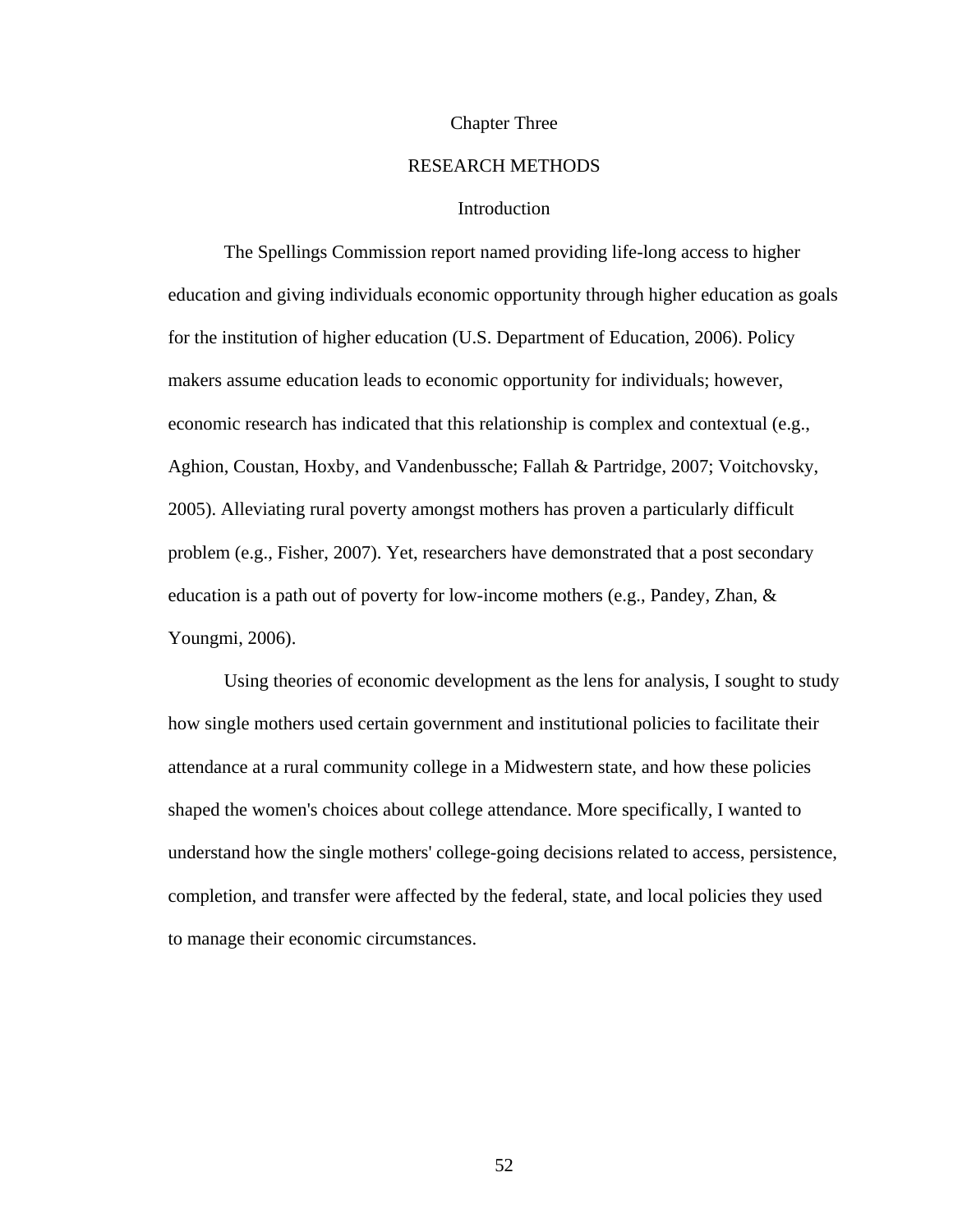### Chapter Three

# RESEARCH METHODS

## Introduction

 The Spellings Commission report named providing life-long access to higher education and giving individuals economic opportunity through higher education as goals for the institution of higher education (U.S. Department of Education, 2006). Policy makers assume education leads to economic opportunity for individuals; however, economic research has indicated that this relationship is complex and contextual (e.g., Aghion, Coustan, Hoxby, and Vandenbussche; Fallah & Partridge, 2007; Voitchovsky, 2005). Alleviating rural poverty amongst mothers has proven a particularly difficult problem (e.g., Fisher, 2007). Yet, researchers have demonstrated that a post secondary education is a path out of poverty for low-income mothers (e.g., Pandey, Zhan, & Youngmi, 2006).

 Using theories of economic development as the lens for analysis, I sought to study how single mothers used certain government and institutional policies to facilitate their attendance at a rural community college in a Midwestern state, and how these policies shaped the women's choices about college attendance. More specifically, I wanted to understand how the single mothers' college-going decisions related to access, persistence, completion, and transfer were affected by the federal, state, and local policies they used to manage their economic circumstances.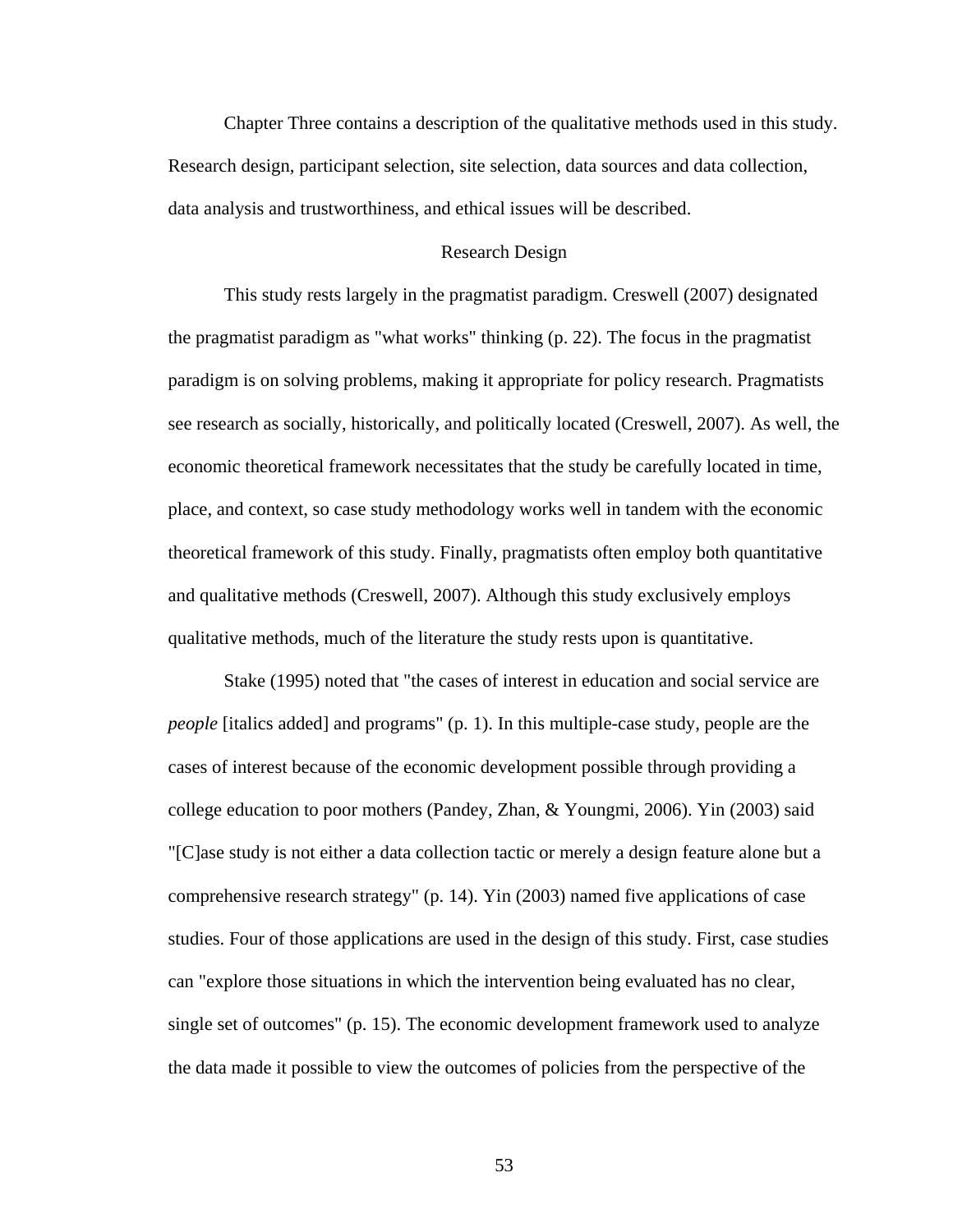Chapter Three contains a description of the qualitative methods used in this study. Research design, participant selection, site selection, data sources and data collection, data analysis and trustworthiness, and ethical issues will be described.

## Research Design

 This study rests largely in the pragmatist paradigm. Creswell (2007) designated the pragmatist paradigm as "what works" thinking (p. 22). The focus in the pragmatist paradigm is on solving problems, making it appropriate for policy research. Pragmatists see research as socially, historically, and politically located (Creswell, 2007). As well, the economic theoretical framework necessitates that the study be carefully located in time, place, and context, so case study methodology works well in tandem with the economic theoretical framework of this study. Finally, pragmatists often employ both quantitative and qualitative methods (Creswell, 2007). Although this study exclusively employs qualitative methods, much of the literature the study rests upon is quantitative.

 Stake (1995) noted that "the cases of interest in education and social service are *people* [italics added] and programs" (p. 1). In this multiple-case study, people are the cases of interest because of the economic development possible through providing a college education to poor mothers (Pandey, Zhan, & Youngmi, 2006). Yin (2003) said "[C]ase study is not either a data collection tactic or merely a design feature alone but a comprehensive research strategy" (p. 14). Yin (2003) named five applications of case studies. Four of those applications are used in the design of this study. First, case studies can "explore those situations in which the intervention being evaluated has no clear, single set of outcomes" (p. 15). The economic development framework used to analyze the data made it possible to view the outcomes of policies from the perspective of the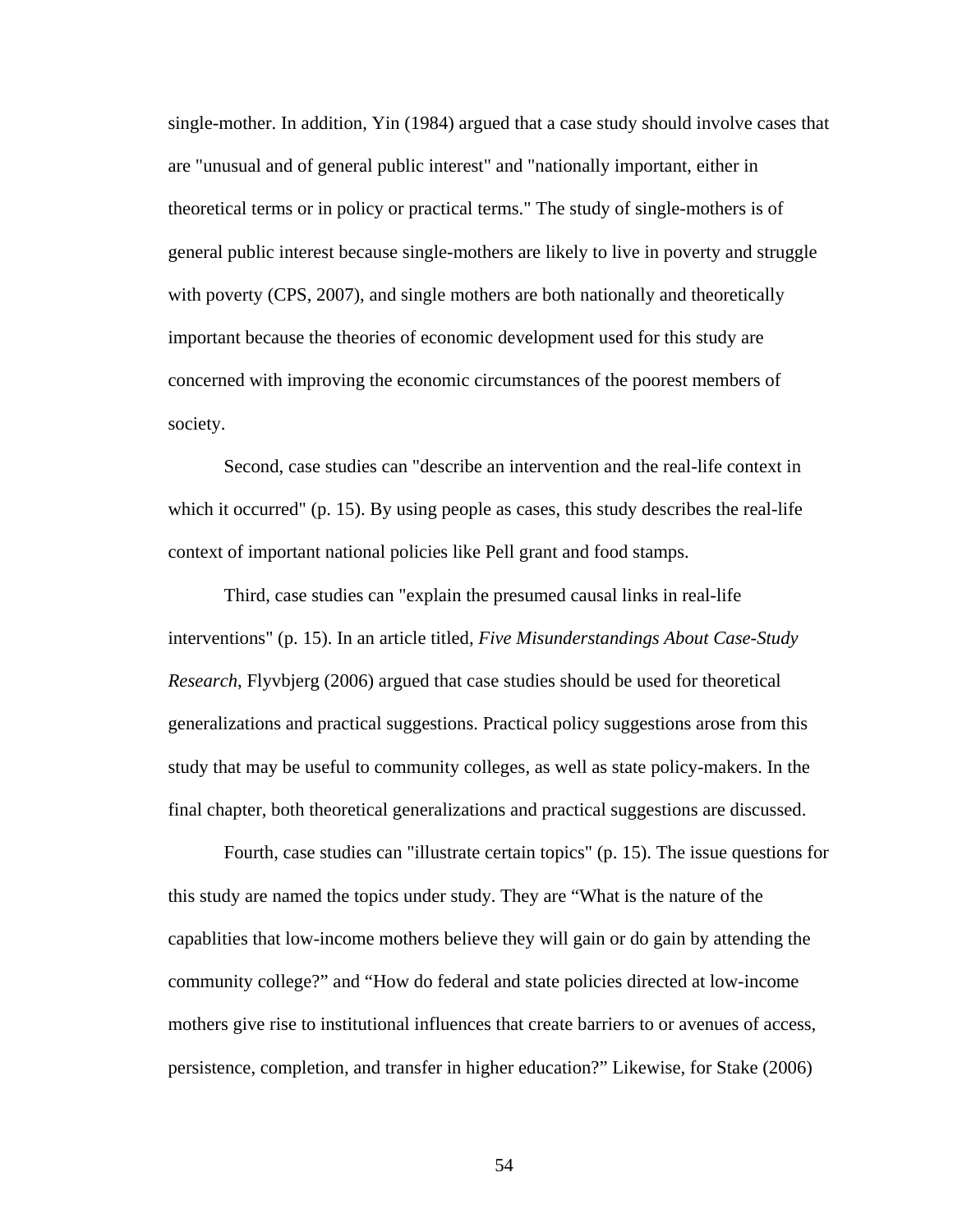single-mother. In addition, Yin (1984) argued that a case study should involve cases that are "unusual and of general public interest" and "nationally important, either in theoretical terms or in policy or practical terms." The study of single-mothers is of general public interest because single-mothers are likely to live in poverty and struggle with poverty (CPS, 2007), and single mothers are both nationally and theoretically important because the theories of economic development used for this study are concerned with improving the economic circumstances of the poorest members of society.

 Second, case studies can "describe an intervention and the real-life context in which it occurred" (p. 15). By using people as cases, this study describes the real-life context of important national policies like Pell grant and food stamps.

 Third, case studies can "explain the presumed causal links in real-life interventions" (p. 15). In an article titled, *Five Misunderstandings About Case-Study Research*, Flyvbjerg (2006) argued that case studies should be used for theoretical generalizations and practical suggestions. Practical policy suggestions arose from this study that may be useful to community colleges, as well as state policy-makers. In the final chapter, both theoretical generalizations and practical suggestions are discussed.

 Fourth, case studies can "illustrate certain topics" (p. 15). The issue questions for this study are named the topics under study. They are "What is the nature of the capablities that low-income mothers believe they will gain or do gain by attending the community college?" and "How do federal and state policies directed at low-income mothers give rise to institutional influences that create barriers to or avenues of access, persistence, completion, and transfer in higher education?" Likewise, for Stake (2006)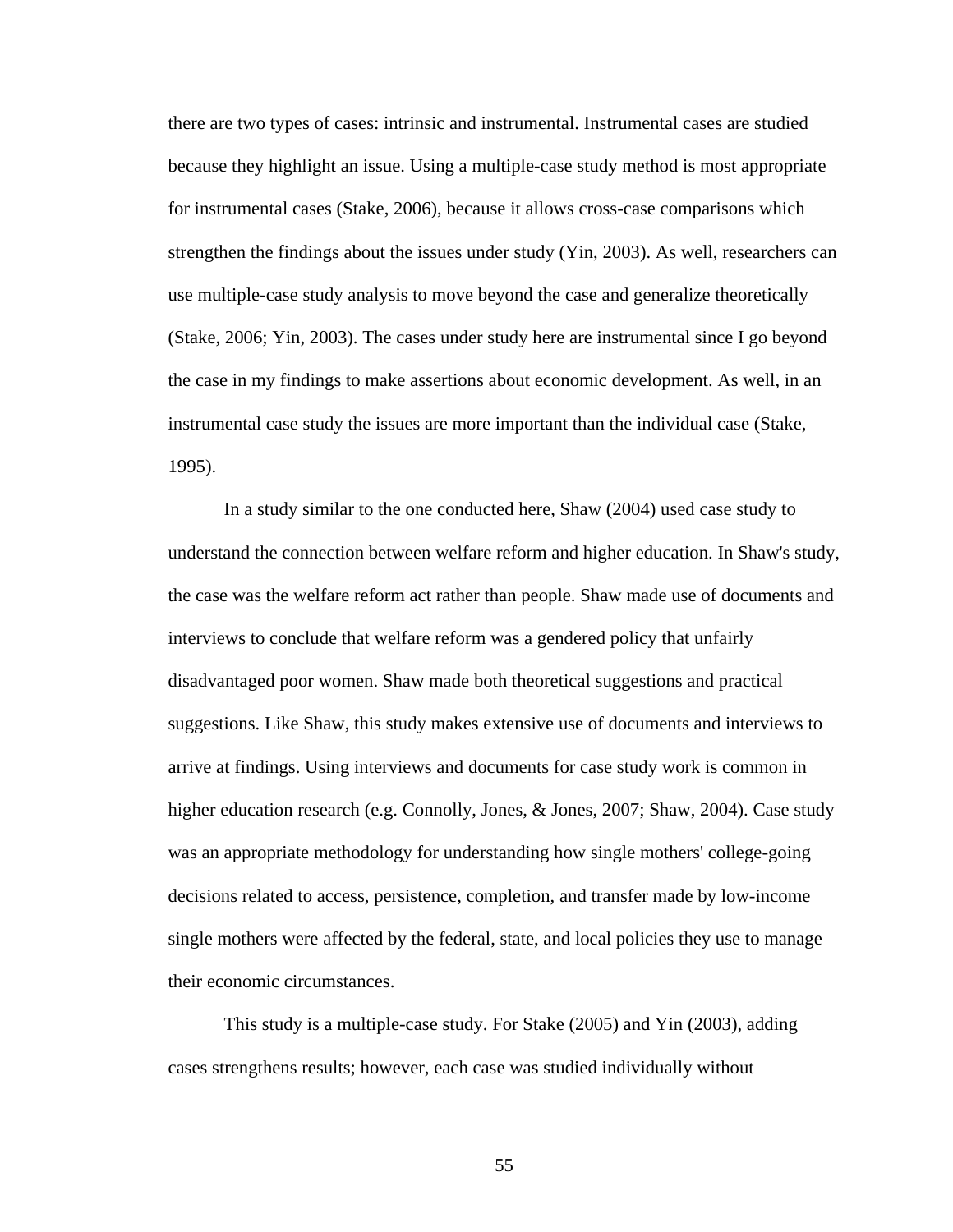there are two types of cases: intrinsic and instrumental. Instrumental cases are studied because they highlight an issue. Using a multiple-case study method is most appropriate for instrumental cases (Stake, 2006), because it allows cross-case comparisons which strengthen the findings about the issues under study (Yin, 2003). As well, researchers can use multiple-case study analysis to move beyond the case and generalize theoretically (Stake, 2006; Yin, 2003). The cases under study here are instrumental since I go beyond the case in my findings to make assertions about economic development. As well, in an instrumental case study the issues are more important than the individual case (Stake, 1995).

 In a study similar to the one conducted here, Shaw (2004) used case study to understand the connection between welfare reform and higher education. In Shaw's study, the case was the welfare reform act rather than people. Shaw made use of documents and interviews to conclude that welfare reform was a gendered policy that unfairly disadvantaged poor women. Shaw made both theoretical suggestions and practical suggestions. Like Shaw, this study makes extensive use of documents and interviews to arrive at findings. Using interviews and documents for case study work is common in higher education research (e.g. Connolly, Jones, & Jones, 2007; Shaw, 2004). Case study was an appropriate methodology for understanding how single mothers' college-going decisions related to access, persistence, completion, and transfer made by low-income single mothers were affected by the federal, state, and local policies they use to manage their economic circumstances.

This study is a multiple-case study. For Stake (2005) and Yin (2003), adding cases strengthens results; however, each case was studied individually without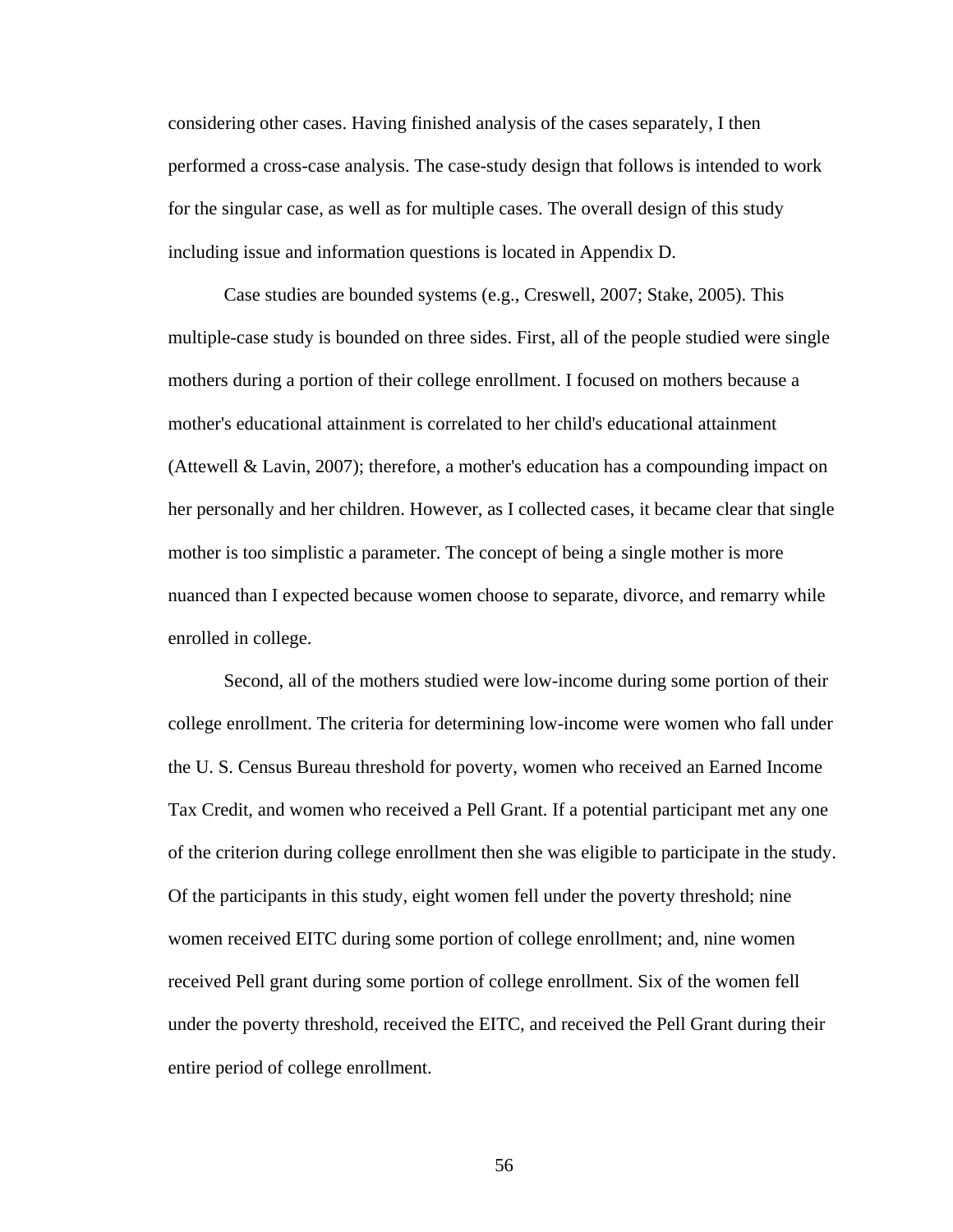considering other cases. Having finished analysis of the cases separately, I then performed a cross-case analysis. The case-study design that follows is intended to work for the singular case, as well as for multiple cases. The overall design of this study including issue and information questions is located in Appendix D.

 Case studies are bounded systems (e.g., Creswell, 2007; Stake, 2005). This multiple-case study is bounded on three sides. First, all of the people studied were single mothers during a portion of their college enrollment. I focused on mothers because a mother's educational attainment is correlated to her child's educational attainment (Attewell & Lavin, 2007); therefore, a mother's education has a compounding impact on her personally and her children. However, as I collected cases, it became clear that single mother is too simplistic a parameter. The concept of being a single mother is more nuanced than I expected because women choose to separate, divorce, and remarry while enrolled in college.

 Second, all of the mothers studied were low-income during some portion of their college enrollment. The criteria for determining low-income were women who fall under the U. S. Census Bureau threshold for poverty, women who received an Earned Income Tax Credit, and women who received a Pell Grant. If a potential participant met any one of the criterion during college enrollment then she was eligible to participate in the study. Of the participants in this study, eight women fell under the poverty threshold; nine women received EITC during some portion of college enrollment; and, nine women received Pell grant during some portion of college enrollment. Six of the women fell under the poverty threshold, received the EITC, and received the Pell Grant during their entire period of college enrollment.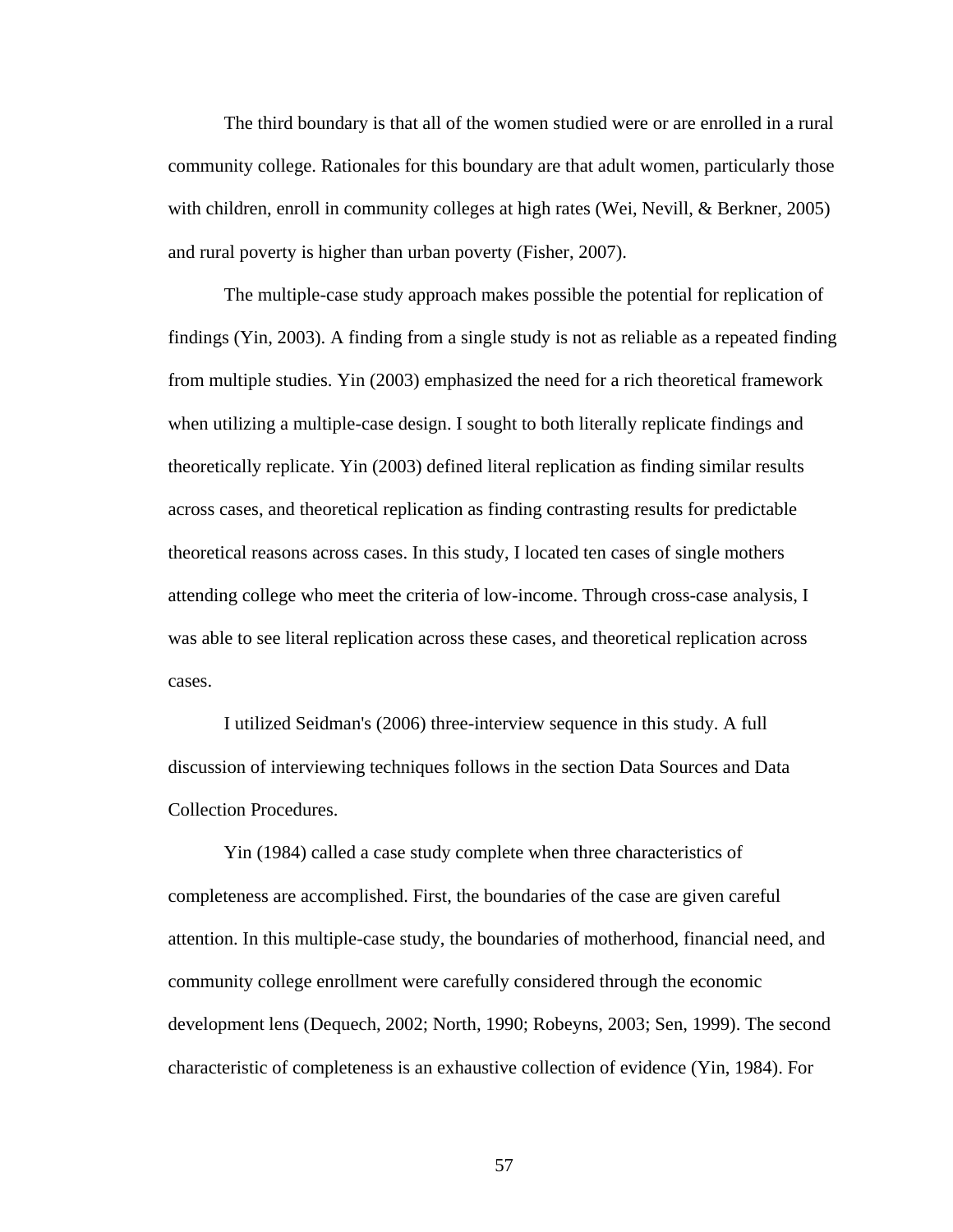The third boundary is that all of the women studied were or are enrolled in a rural community college. Rationales for this boundary are that adult women, particularly those with children, enroll in community colleges at high rates (Wei, Nevill, & Berkner, 2005) and rural poverty is higher than urban poverty (Fisher, 2007).

The multiple-case study approach makes possible the potential for replication of findings (Yin, 2003). A finding from a single study is not as reliable as a repeated finding from multiple studies. Yin (2003) emphasized the need for a rich theoretical framework when utilizing a multiple-case design. I sought to both literally replicate findings and theoretically replicate. Yin (2003) defined literal replication as finding similar results across cases, and theoretical replication as finding contrasting results for predictable theoretical reasons across cases. In this study, I located ten cases of single mothers attending college who meet the criteria of low-income. Through cross-case analysis, I was able to see literal replication across these cases, and theoretical replication across cases.

 I utilized Seidman's (2006) three-interview sequence in this study. A full discussion of interviewing techniques follows in the section Data Sources and Data Collection Procedures.

 Yin (1984) called a case study complete when three characteristics of completeness are accomplished. First, the boundaries of the case are given careful attention. In this multiple-case study, the boundaries of motherhood, financial need, and community college enrollment were carefully considered through the economic development lens (Dequech, 2002; North, 1990; Robeyns, 2003; Sen, 1999). The second characteristic of completeness is an exhaustive collection of evidence (Yin, 1984). For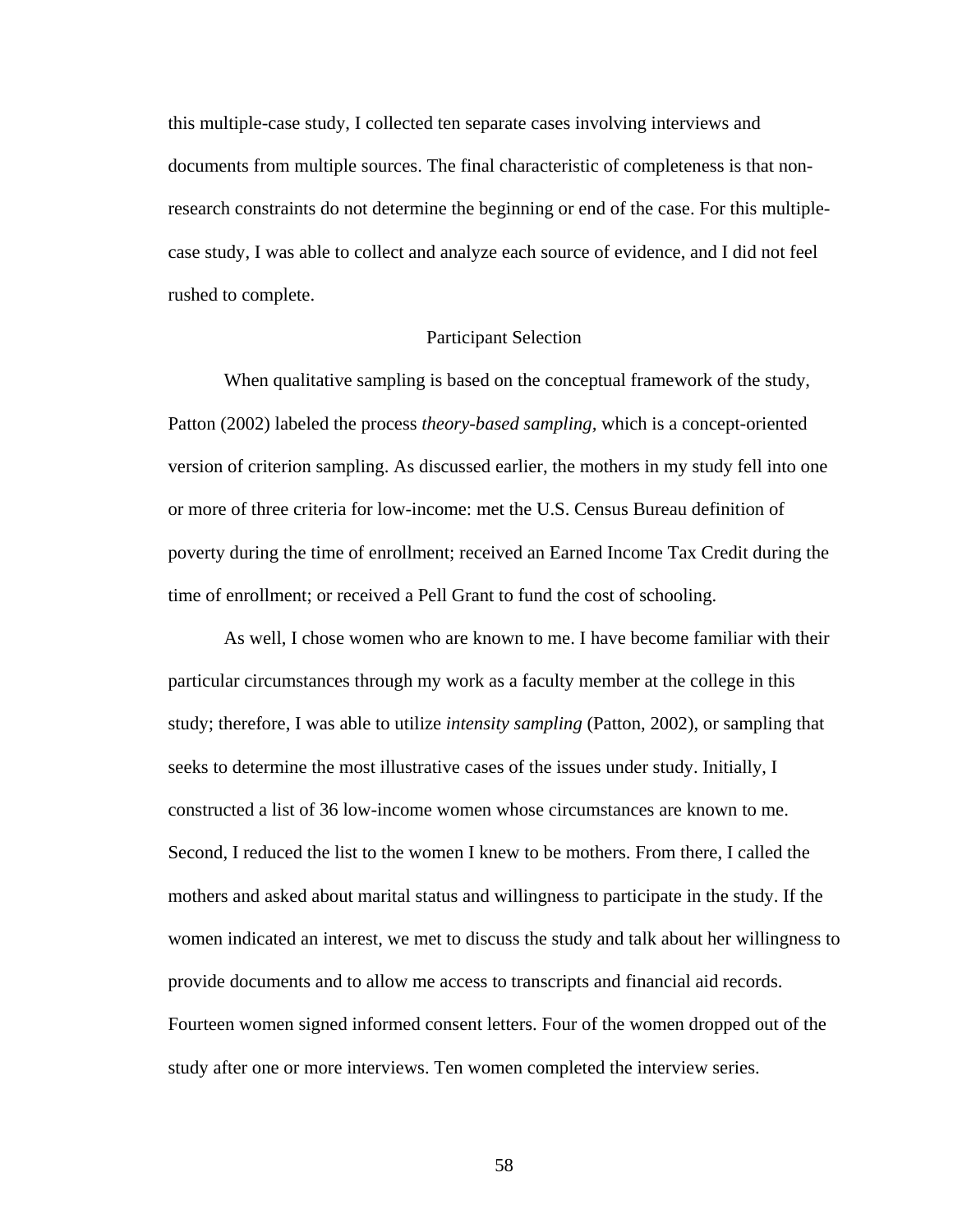this multiple-case study, I collected ten separate cases involving interviews and documents from multiple sources. The final characteristic of completeness is that nonresearch constraints do not determine the beginning or end of the case. For this multiplecase study, I was able to collect and analyze each source of evidence, and I did not feel rushed to complete.

# Participant Selection

 When qualitative sampling is based on the conceptual framework of the study, Patton (2002) labeled the process *theory-based sampling,* which is a concept-oriented version of criterion sampling. As discussed earlier, the mothers in my study fell into one or more of three criteria for low-income: met the U.S. Census Bureau definition of poverty during the time of enrollment; received an Earned Income Tax Credit during the time of enrollment; or received a Pell Grant to fund the cost of schooling.

 As well, I chose women who are known to me. I have become familiar with their particular circumstances through my work as a faculty member at the college in this study; therefore, I was able to utilize *intensity sampling* (Patton, 2002), or sampling that seeks to determine the most illustrative cases of the issues under study. Initially, I constructed a list of 36 low-income women whose circumstances are known to me. Second, I reduced the list to the women I knew to be mothers. From there, I called the mothers and asked about marital status and willingness to participate in the study. If the women indicated an interest, we met to discuss the study and talk about her willingness to provide documents and to allow me access to transcripts and financial aid records. Fourteen women signed informed consent letters. Four of the women dropped out of the study after one or more interviews. Ten women completed the interview series.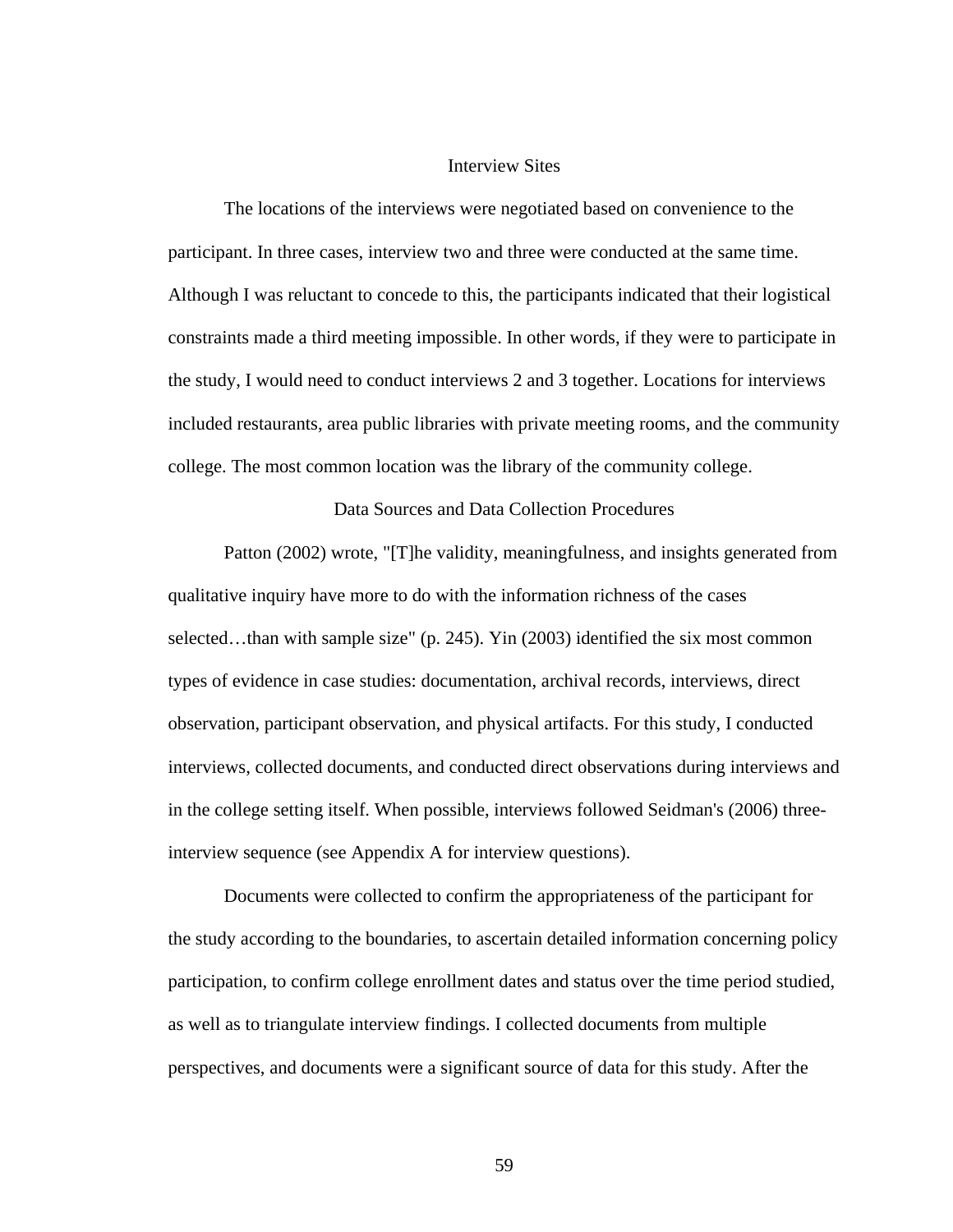### Interview Sites

 The locations of the interviews were negotiated based on convenience to the participant. In three cases, interview two and three were conducted at the same time. Although I was reluctant to concede to this, the participants indicated that their logistical constraints made a third meeting impossible. In other words, if they were to participate in the study, I would need to conduct interviews 2 and 3 together. Locations for interviews included restaurants, area public libraries with private meeting rooms, and the community college. The most common location was the library of the community college.

Data Sources and Data Collection Procedures

 Patton (2002) wrote, "[T]he validity, meaningfulness, and insights generated from qualitative inquiry have more to do with the information richness of the cases selected...than with sample size" (p. 245). Yin (2003) identified the six most common types of evidence in case studies: documentation, archival records, interviews, direct observation, participant observation, and physical artifacts. For this study, I conducted interviews, collected documents, and conducted direct observations during interviews and in the college setting itself. When possible, interviews followed Seidman's (2006) threeinterview sequence (see Appendix A for interview questions).

 Documents were collected to confirm the appropriateness of the participant for the study according to the boundaries, to ascertain detailed information concerning policy participation, to confirm college enrollment dates and status over the time period studied, as well as to triangulate interview findings. I collected documents from multiple perspectives, and documents were a significant source of data for this study. After the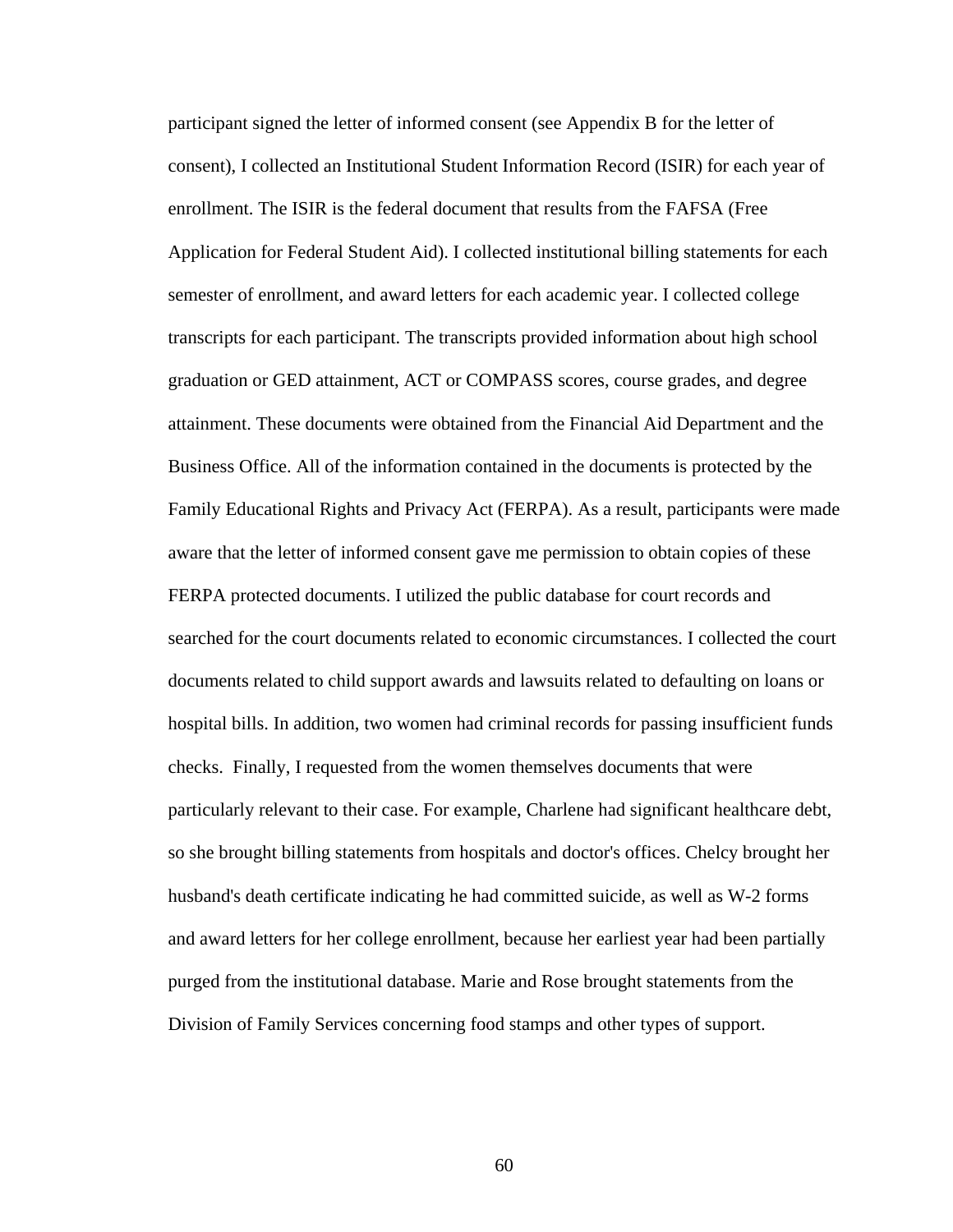participant signed the letter of informed consent (see Appendix B for the letter of consent), I collected an Institutional Student Information Record (ISIR) for each year of enrollment. The ISIR is the federal document that results from the FAFSA (Free Application for Federal Student Aid). I collected institutional billing statements for each semester of enrollment, and award letters for each academic year. I collected college transcripts for each participant. The transcripts provided information about high school graduation or GED attainment, ACT or COMPASS scores, course grades, and degree attainment. These documents were obtained from the Financial Aid Department and the Business Office. All of the information contained in the documents is protected by the Family Educational Rights and Privacy Act (FERPA). As a result, participants were made aware that the letter of informed consent gave me permission to obtain copies of these FERPA protected documents. I utilized the public database for court records and searched for the court documents related to economic circumstances. I collected the court documents related to child support awards and lawsuits related to defaulting on loans or hospital bills. In addition, two women had criminal records for passing insufficient funds checks. Finally, I requested from the women themselves documents that were particularly relevant to their case. For example, Charlene had significant healthcare debt, so she brought billing statements from hospitals and doctor's offices. Chelcy brought her husband's death certificate indicating he had committed suicide, as well as W-2 forms and award letters for her college enrollment, because her earliest year had been partially purged from the institutional database. Marie and Rose brought statements from the Division of Family Services concerning food stamps and other types of support.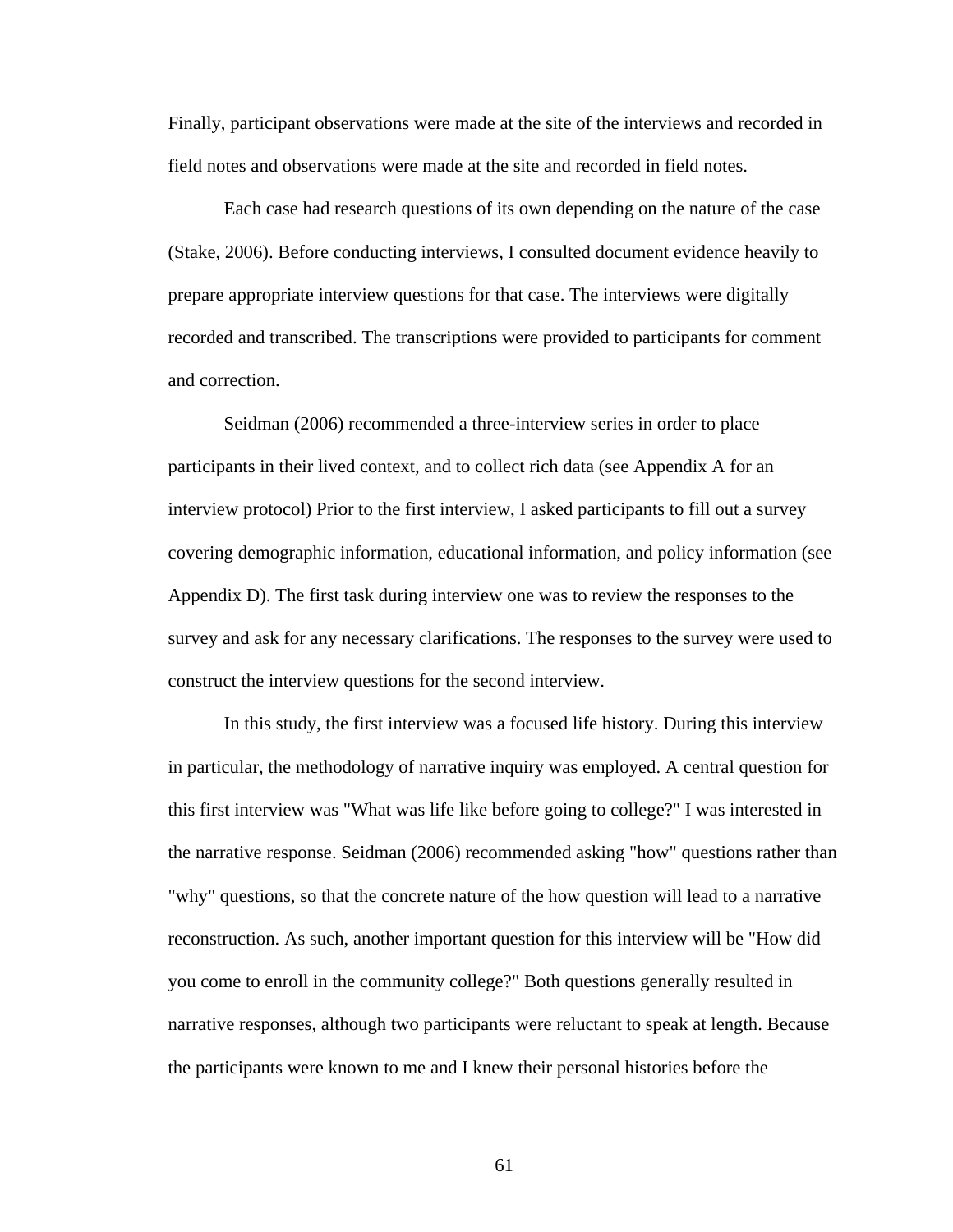Finally, participant observations were made at the site of the interviews and recorded in field notes and observations were made at the site and recorded in field notes.

 Each case had research questions of its own depending on the nature of the case (Stake, 2006). Before conducting interviews, I consulted document evidence heavily to prepare appropriate interview questions for that case. The interviews were digitally recorded and transcribed. The transcriptions were provided to participants for comment and correction.

 Seidman (2006) recommended a three-interview series in order to place participants in their lived context, and to collect rich data (see Appendix A for an interview protocol) Prior to the first interview, I asked participants to fill out a survey covering demographic information, educational information, and policy information (see Appendix D). The first task during interview one was to review the responses to the survey and ask for any necessary clarifications. The responses to the survey were used to construct the interview questions for the second interview.

 In this study, the first interview was a focused life history. During this interview in particular, the methodology of narrative inquiry was employed. A central question for this first interview was "What was life like before going to college?" I was interested in the narrative response. Seidman (2006) recommended asking "how" questions rather than "why" questions, so that the concrete nature of the how question will lead to a narrative reconstruction. As such, another important question for this interview will be "How did you come to enroll in the community college?" Both questions generally resulted in narrative responses, although two participants were reluctant to speak at length. Because the participants were known to me and I knew their personal histories before the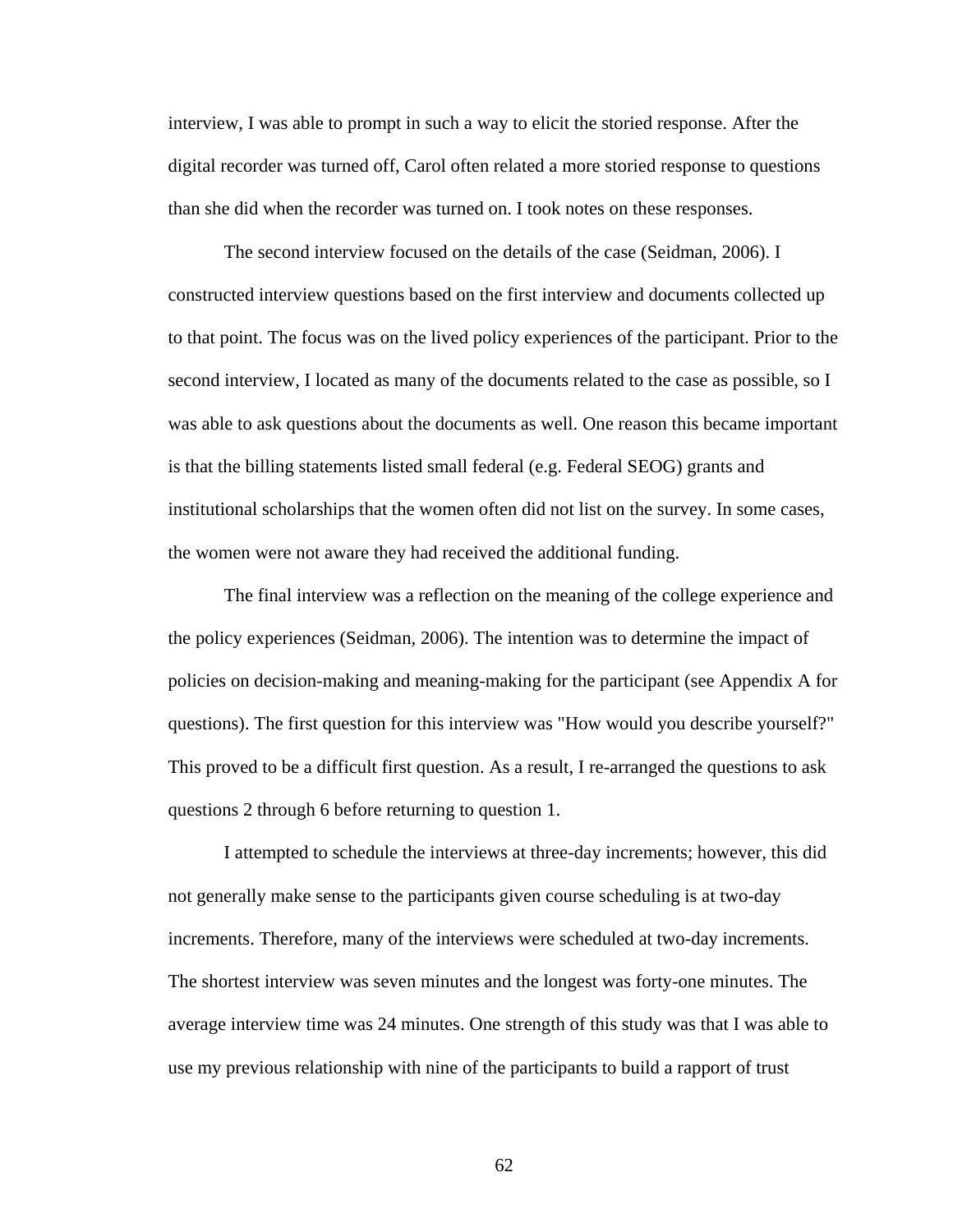interview, I was able to prompt in such a way to elicit the storied response. After the digital recorder was turned off, Carol often related a more storied response to questions than she did when the recorder was turned on. I took notes on these responses.

 The second interview focused on the details of the case (Seidman, 2006). I constructed interview questions based on the first interview and documents collected up to that point. The focus was on the lived policy experiences of the participant. Prior to the second interview, I located as many of the documents related to the case as possible, so I was able to ask questions about the documents as well. One reason this became important is that the billing statements listed small federal (e.g. Federal SEOG) grants and institutional scholarships that the women often did not list on the survey. In some cases, the women were not aware they had received the additional funding.

 The final interview was a reflection on the meaning of the college experience and the policy experiences (Seidman, 2006). The intention was to determine the impact of policies on decision-making and meaning-making for the participant (see Appendix A for questions). The first question for this interview was "How would you describe yourself?" This proved to be a difficult first question. As a result, I re-arranged the questions to ask questions 2 through 6 before returning to question 1.

 I attempted to schedule the interviews at three-day increments; however, this did not generally make sense to the participants given course scheduling is at two-day increments. Therefore, many of the interviews were scheduled at two-day increments. The shortest interview was seven minutes and the longest was forty-one minutes. The average interview time was 24 minutes. One strength of this study was that I was able to use my previous relationship with nine of the participants to build a rapport of trust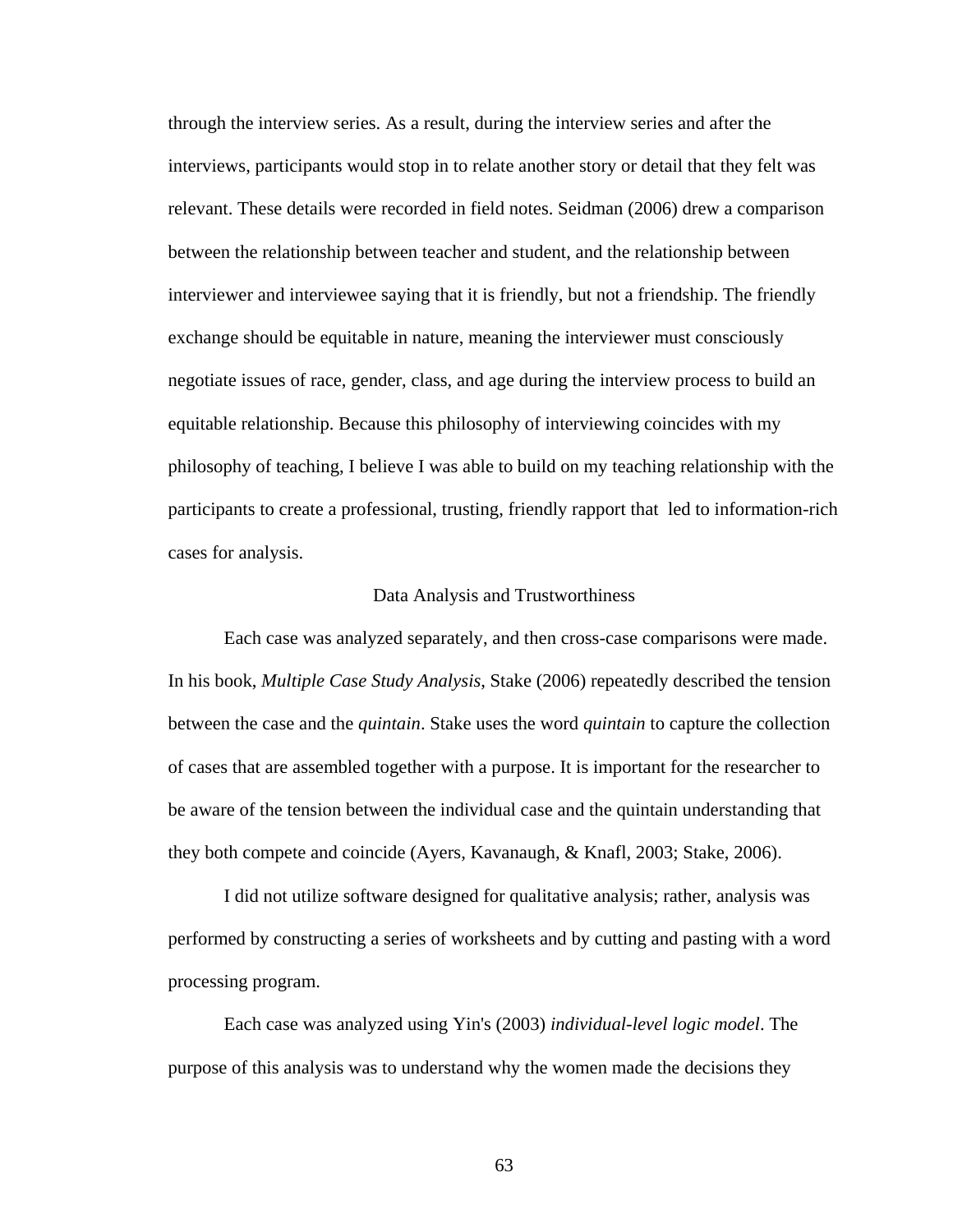through the interview series. As a result, during the interview series and after the interviews, participants would stop in to relate another story or detail that they felt was relevant. These details were recorded in field notes. Seidman (2006) drew a comparison between the relationship between teacher and student, and the relationship between interviewer and interviewee saying that it is friendly, but not a friendship. The friendly exchange should be equitable in nature, meaning the interviewer must consciously negotiate issues of race, gender, class, and age during the interview process to build an equitable relationship. Because this philosophy of interviewing coincides with my philosophy of teaching, I believe I was able to build on my teaching relationship with the participants to create a professional, trusting, friendly rapport that led to information-rich cases for analysis.

#### Data Analysis and Trustworthiness

 Each case was analyzed separately, and then cross-case comparisons were made. In his book, *Multiple Case Study Analysis*, Stake (2006) repeatedly described the tension between the case and the *quintain*. Stake uses the word *quintain* to capture the collection of cases that are assembled together with a purpose. It is important for the researcher to be aware of the tension between the individual case and the quintain understanding that they both compete and coincide (Ayers, Kavanaugh, & Knafl, 2003; Stake, 2006).

 I did not utilize software designed for qualitative analysis; rather, analysis was performed by constructing a series of worksheets and by cutting and pasting with a word processing program.

 Each case was analyzed using Yin's (2003) *individual-level logic model*. The purpose of this analysis was to understand why the women made the decisions they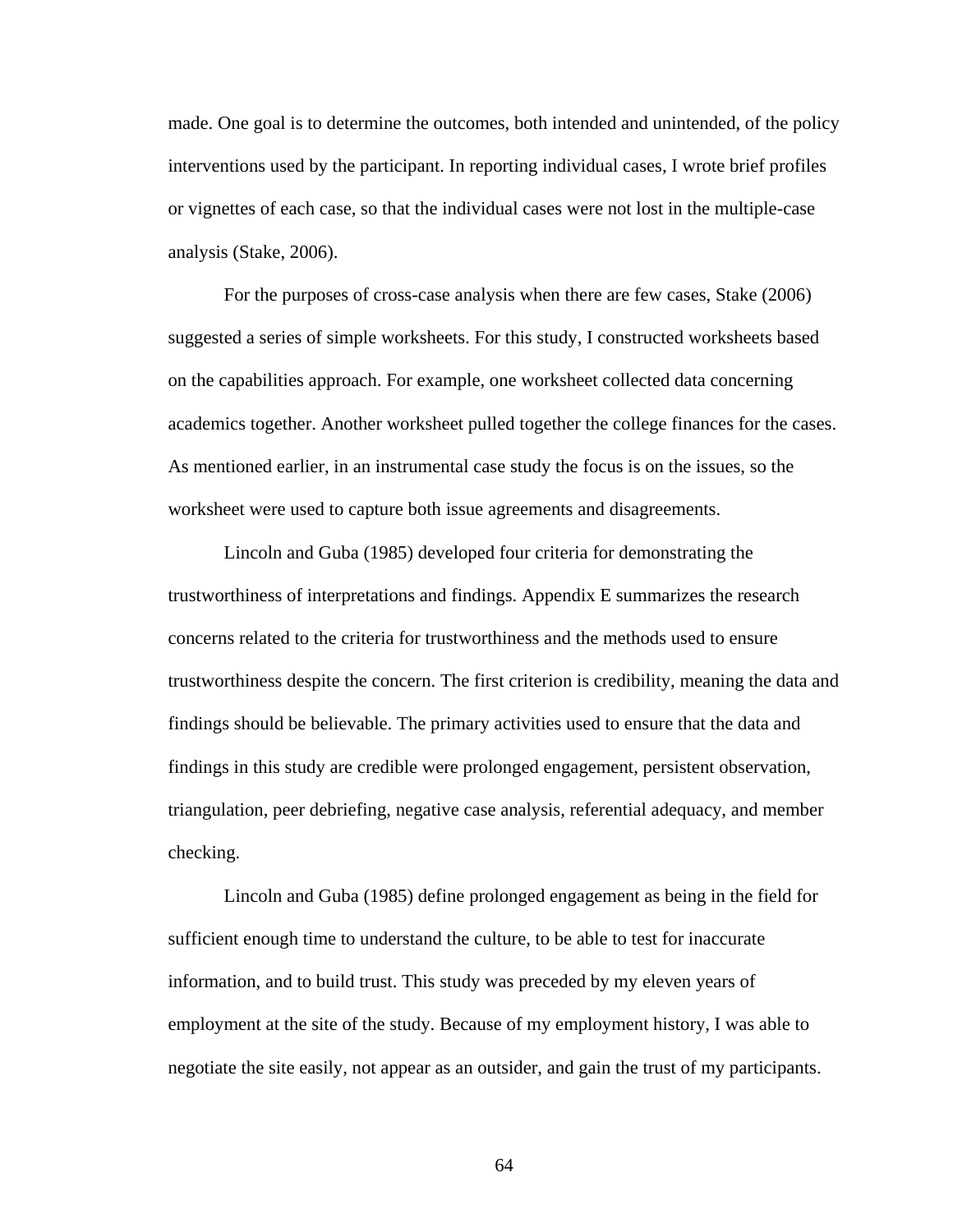made. One goal is to determine the outcomes, both intended and unintended, of the policy interventions used by the participant. In reporting individual cases, I wrote brief profiles or vignettes of each case, so that the individual cases were not lost in the multiple-case analysis (Stake, 2006).

For the purposes of cross-case analysis when there are few cases, Stake (2006) suggested a series of simple worksheets. For this study, I constructed worksheets based on the capabilities approach. For example, one worksheet collected data concerning academics together. Another worksheet pulled together the college finances for the cases. As mentioned earlier, in an instrumental case study the focus is on the issues, so the worksheet were used to capture both issue agreements and disagreements.

 Lincoln and Guba (1985) developed four criteria for demonstrating the trustworthiness of interpretations and findings. Appendix E summarizes the research concerns related to the criteria for trustworthiness and the methods used to ensure trustworthiness despite the concern. The first criterion is credibility, meaning the data and findings should be believable. The primary activities used to ensure that the data and findings in this study are credible were prolonged engagement, persistent observation, triangulation, peer debriefing, negative case analysis, referential adequacy, and member checking.

 Lincoln and Guba (1985) define prolonged engagement as being in the field for sufficient enough time to understand the culture, to be able to test for inaccurate information, and to build trust. This study was preceded by my eleven years of employment at the site of the study. Because of my employment history, I was able to negotiate the site easily, not appear as an outsider, and gain the trust of my participants.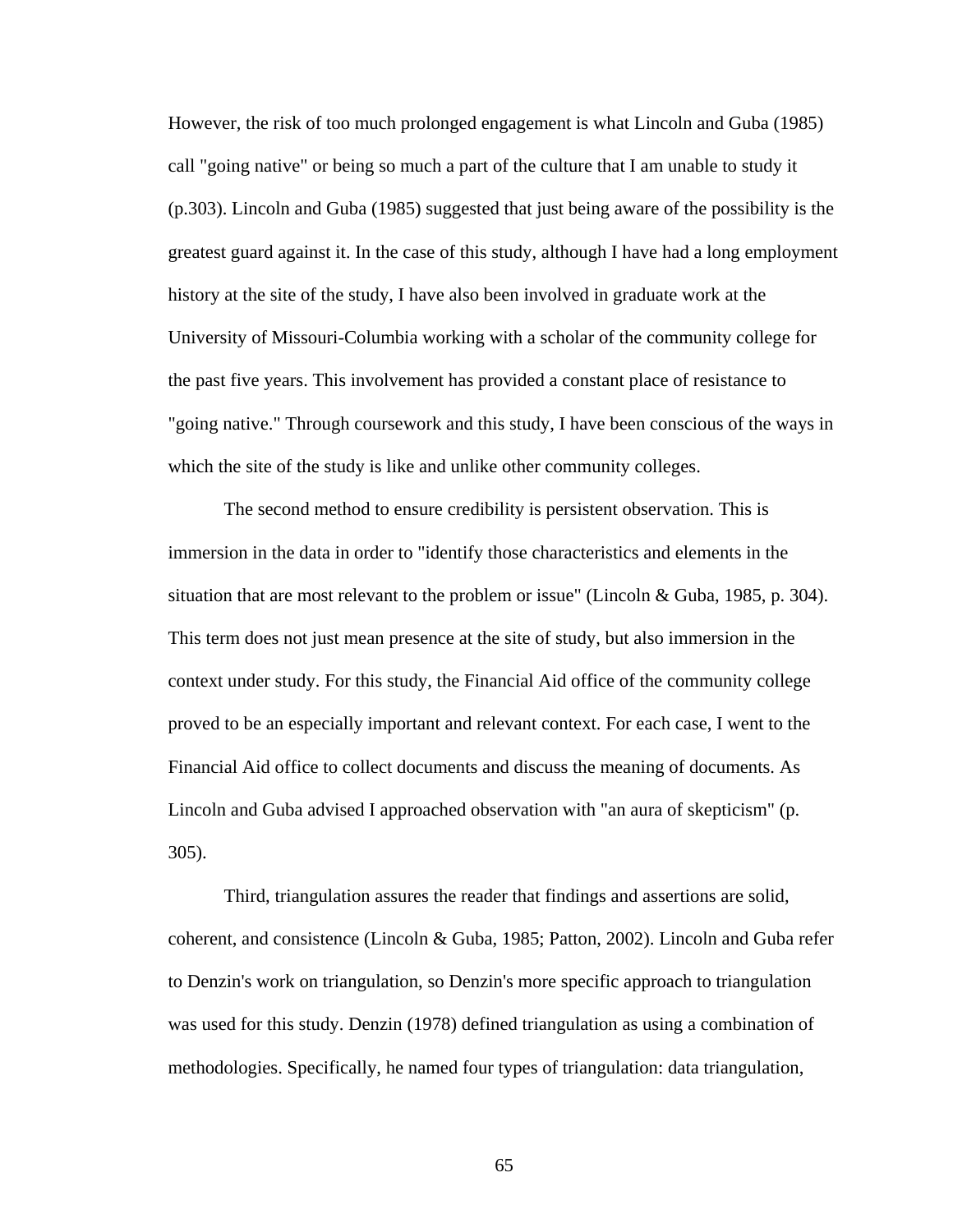However, the risk of too much prolonged engagement is what Lincoln and Guba (1985) call "going native" or being so much a part of the culture that I am unable to study it (p.303). Lincoln and Guba (1985) suggested that just being aware of the possibility is the greatest guard against it. In the case of this study, although I have had a long employment history at the site of the study, I have also been involved in graduate work at the University of Missouri-Columbia working with a scholar of the community college for the past five years. This involvement has provided a constant place of resistance to "going native." Through coursework and this study, I have been conscious of the ways in which the site of the study is like and unlike other community colleges.

 The second method to ensure credibility is persistent observation. This is immersion in the data in order to "identify those characteristics and elements in the situation that are most relevant to the problem or issue" (Lincoln & Guba, 1985, p. 304). This term does not just mean presence at the site of study, but also immersion in the context under study. For this study, the Financial Aid office of the community college proved to be an especially important and relevant context. For each case, I went to the Financial Aid office to collect documents and discuss the meaning of documents. As Lincoln and Guba advised I approached observation with "an aura of skepticism" (p. 305).

 Third, triangulation assures the reader that findings and assertions are solid, coherent, and consistence (Lincoln & Guba, 1985; Patton, 2002). Lincoln and Guba refer to Denzin's work on triangulation, so Denzin's more specific approach to triangulation was used for this study. Denzin (1978) defined triangulation as using a combination of methodologies. Specifically, he named four types of triangulation: data triangulation,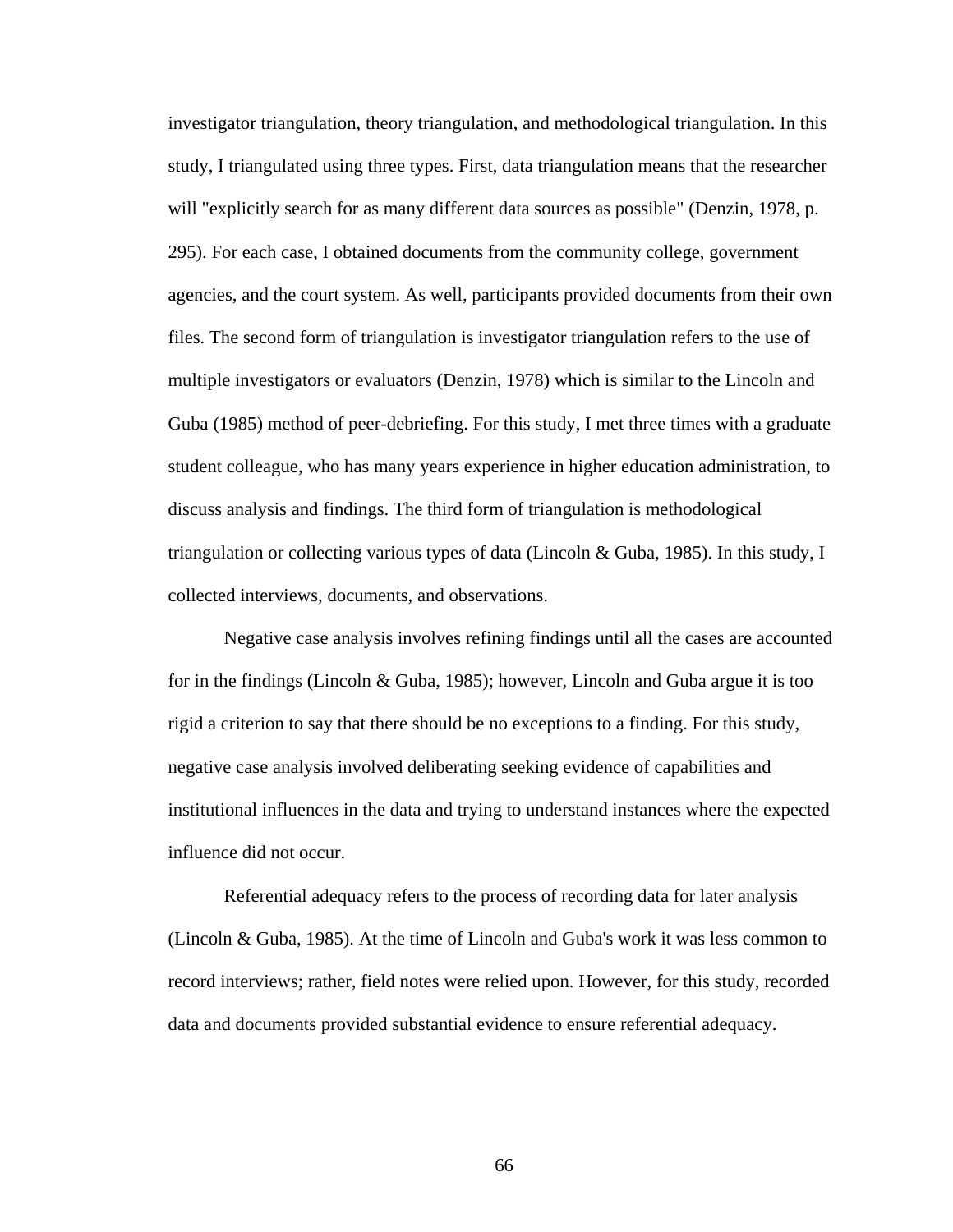investigator triangulation, theory triangulation, and methodological triangulation. In this study, I triangulated using three types. First, data triangulation means that the researcher will "explicitly search for as many different data sources as possible" (Denzin, 1978, p. 295). For each case, I obtained documents from the community college, government agencies, and the court system. As well, participants provided documents from their own files. The second form of triangulation is investigator triangulation refers to the use of multiple investigators or evaluators (Denzin, 1978) which is similar to the Lincoln and Guba (1985) method of peer-debriefing. For this study, I met three times with a graduate student colleague, who has many years experience in higher education administration, to discuss analysis and findings. The third form of triangulation is methodological triangulation or collecting various types of data (Lincoln & Guba, 1985). In this study, I collected interviews, documents, and observations.

 Negative case analysis involves refining findings until all the cases are accounted for in the findings (Lincoln & Guba, 1985); however, Lincoln and Guba argue it is too rigid a criterion to say that there should be no exceptions to a finding. For this study, negative case analysis involved deliberating seeking evidence of capabilities and institutional influences in the data and trying to understand instances where the expected influence did not occur.

 Referential adequacy refers to the process of recording data for later analysis (Lincoln & Guba, 1985). At the time of Lincoln and Guba's work it was less common to record interviews; rather, field notes were relied upon. However, for this study, recorded data and documents provided substantial evidence to ensure referential adequacy.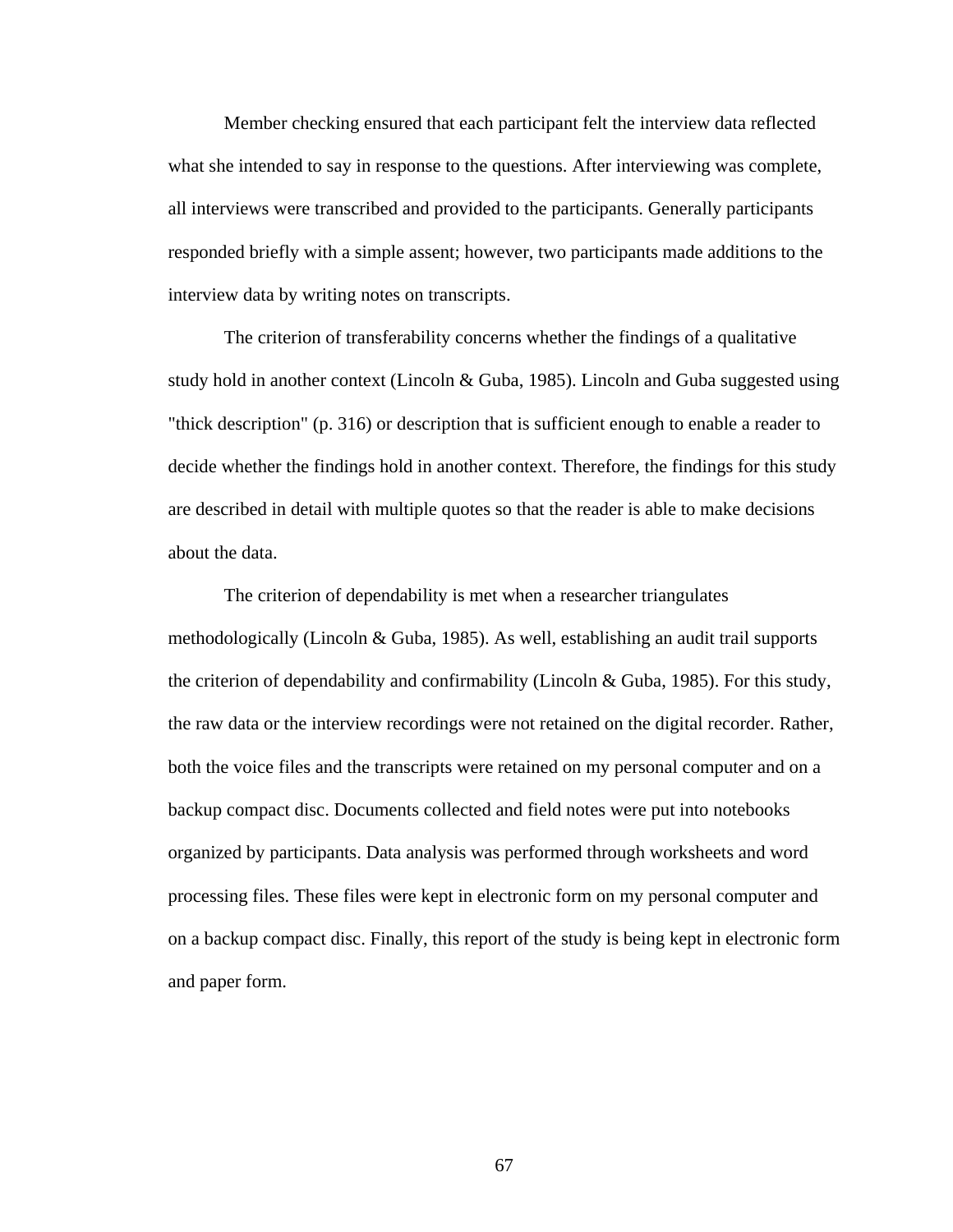Member checking ensured that each participant felt the interview data reflected what she intended to say in response to the questions. After interviewing was complete, all interviews were transcribed and provided to the participants. Generally participants responded briefly with a simple assent; however, two participants made additions to the interview data by writing notes on transcripts.

 The criterion of transferability concerns whether the findings of a qualitative study hold in another context (Lincoln & Guba, 1985). Lincoln and Guba suggested using "thick description" (p. 316) or description that is sufficient enough to enable a reader to decide whether the findings hold in another context. Therefore, the findings for this study are described in detail with multiple quotes so that the reader is able to make decisions about the data.

 The criterion of dependability is met when a researcher triangulates methodologically (Lincoln & Guba, 1985). As well, establishing an audit trail supports the criterion of dependability and confirmability (Lincoln & Guba, 1985). For this study, the raw data or the interview recordings were not retained on the digital recorder. Rather, both the voice files and the transcripts were retained on my personal computer and on a backup compact disc. Documents collected and field notes were put into notebooks organized by participants. Data analysis was performed through worksheets and word processing files. These files were kept in electronic form on my personal computer and on a backup compact disc. Finally, this report of the study is being kept in electronic form and paper form.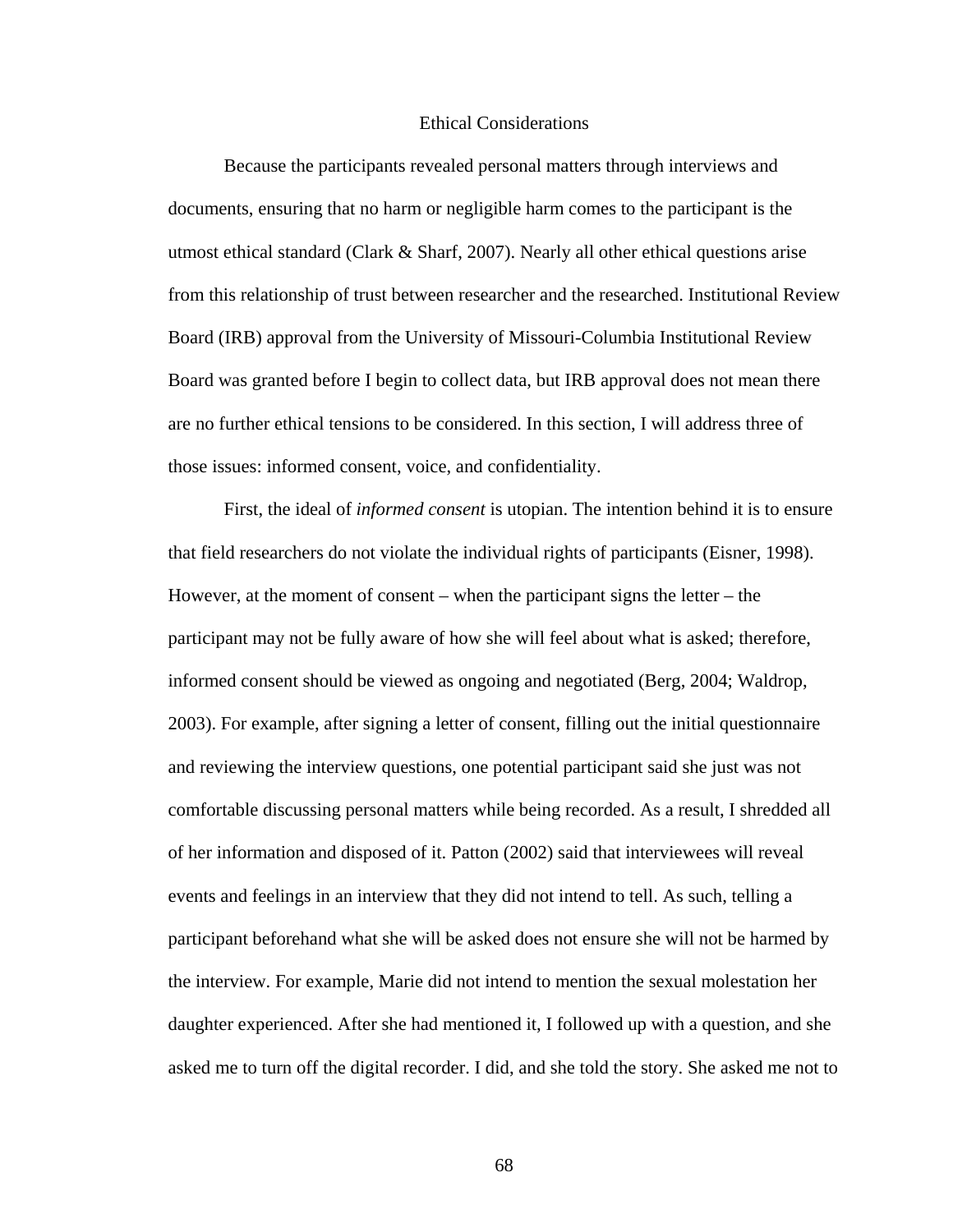## Ethical Considerations

 Because the participants revealed personal matters through interviews and documents, ensuring that no harm or negligible harm comes to the participant is the utmost ethical standard (Clark & Sharf, 2007). Nearly all other ethical questions arise from this relationship of trust between researcher and the researched. Institutional Review Board (IRB) approval from the University of Missouri-Columbia Institutional Review Board was granted before I begin to collect data, but IRB approval does not mean there are no further ethical tensions to be considered. In this section, I will address three of those issues: informed consent, voice, and confidentiality.

 First, the ideal of *informed consent* is utopian. The intention behind it is to ensure that field researchers do not violate the individual rights of participants (Eisner, 1998). However, at the moment of consent – when the participant signs the letter – the participant may not be fully aware of how she will feel about what is asked; therefore, informed consent should be viewed as ongoing and negotiated (Berg, 2004; Waldrop, 2003). For example, after signing a letter of consent, filling out the initial questionnaire and reviewing the interview questions, one potential participant said she just was not comfortable discussing personal matters while being recorded. As a result, I shredded all of her information and disposed of it. Patton (2002) said that interviewees will reveal events and feelings in an interview that they did not intend to tell. As such, telling a participant beforehand what she will be asked does not ensure she will not be harmed by the interview. For example, Marie did not intend to mention the sexual molestation her daughter experienced. After she had mentioned it, I followed up with a question, and she asked me to turn off the digital recorder. I did, and she told the story. She asked me not to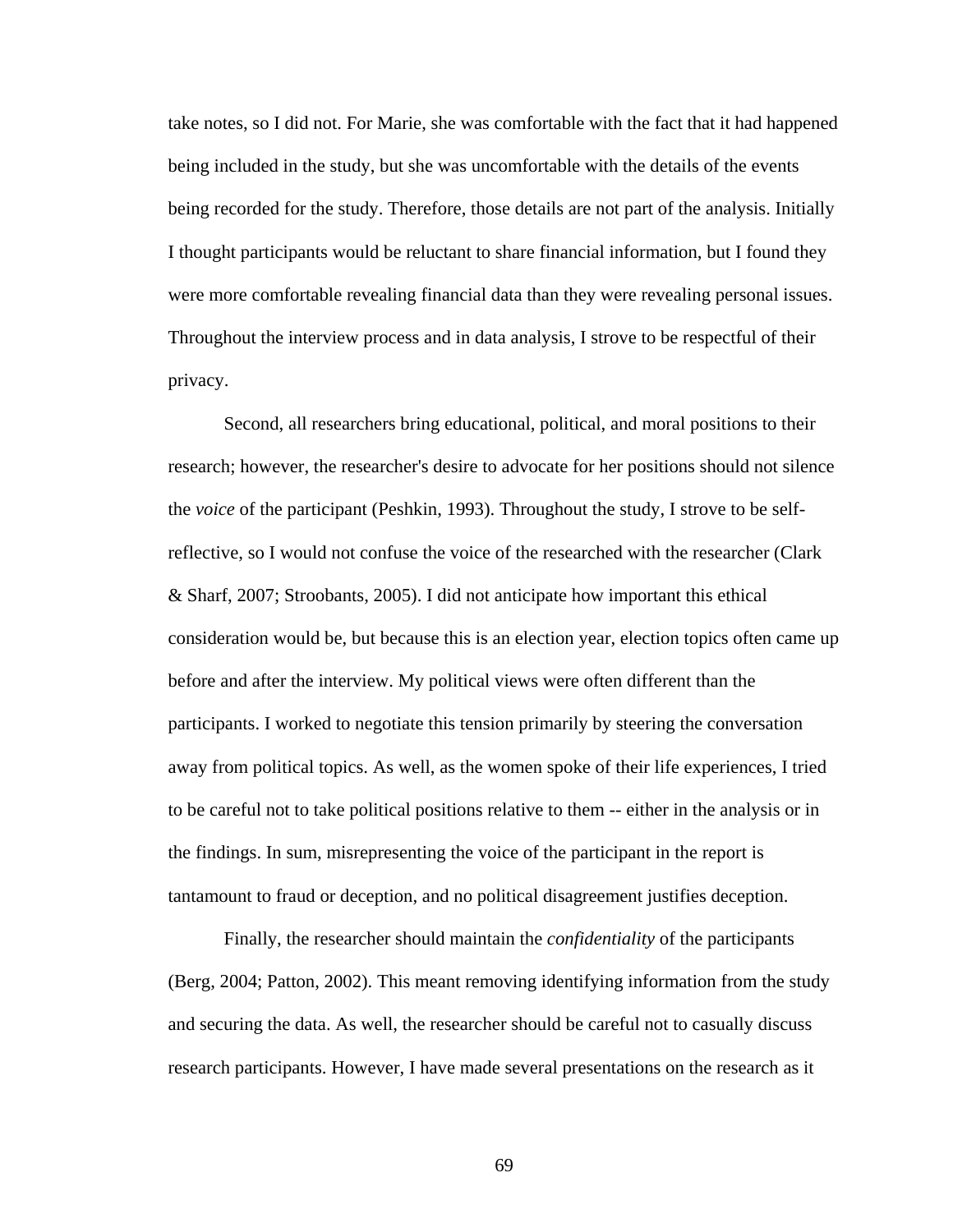take notes, so I did not. For Marie, she was comfortable with the fact that it had happened being included in the study, but she was uncomfortable with the details of the events being recorded for the study. Therefore, those details are not part of the analysis. Initially I thought participants would be reluctant to share financial information, but I found they were more comfortable revealing financial data than they were revealing personal issues. Throughout the interview process and in data analysis, I strove to be respectful of their privacy.

 Second, all researchers bring educational, political, and moral positions to their research; however, the researcher's desire to advocate for her positions should not silence the *voice* of the participant (Peshkin, 1993). Throughout the study, I strove to be selfreflective, so I would not confuse the voice of the researched with the researcher (Clark & Sharf, 2007; Stroobants, 2005). I did not anticipate how important this ethical consideration would be, but because this is an election year, election topics often came up before and after the interview. My political views were often different than the participants. I worked to negotiate this tension primarily by steering the conversation away from political topics. As well, as the women spoke of their life experiences, I tried to be careful not to take political positions relative to them -- either in the analysis or in the findings. In sum, misrepresenting the voice of the participant in the report is tantamount to fraud or deception, and no political disagreement justifies deception.

 Finally, the researcher should maintain the *confidentiality* of the participants (Berg, 2004; Patton, 2002). This meant removing identifying information from the study and securing the data. As well, the researcher should be careful not to casually discuss research participants. However, I have made several presentations on the research as it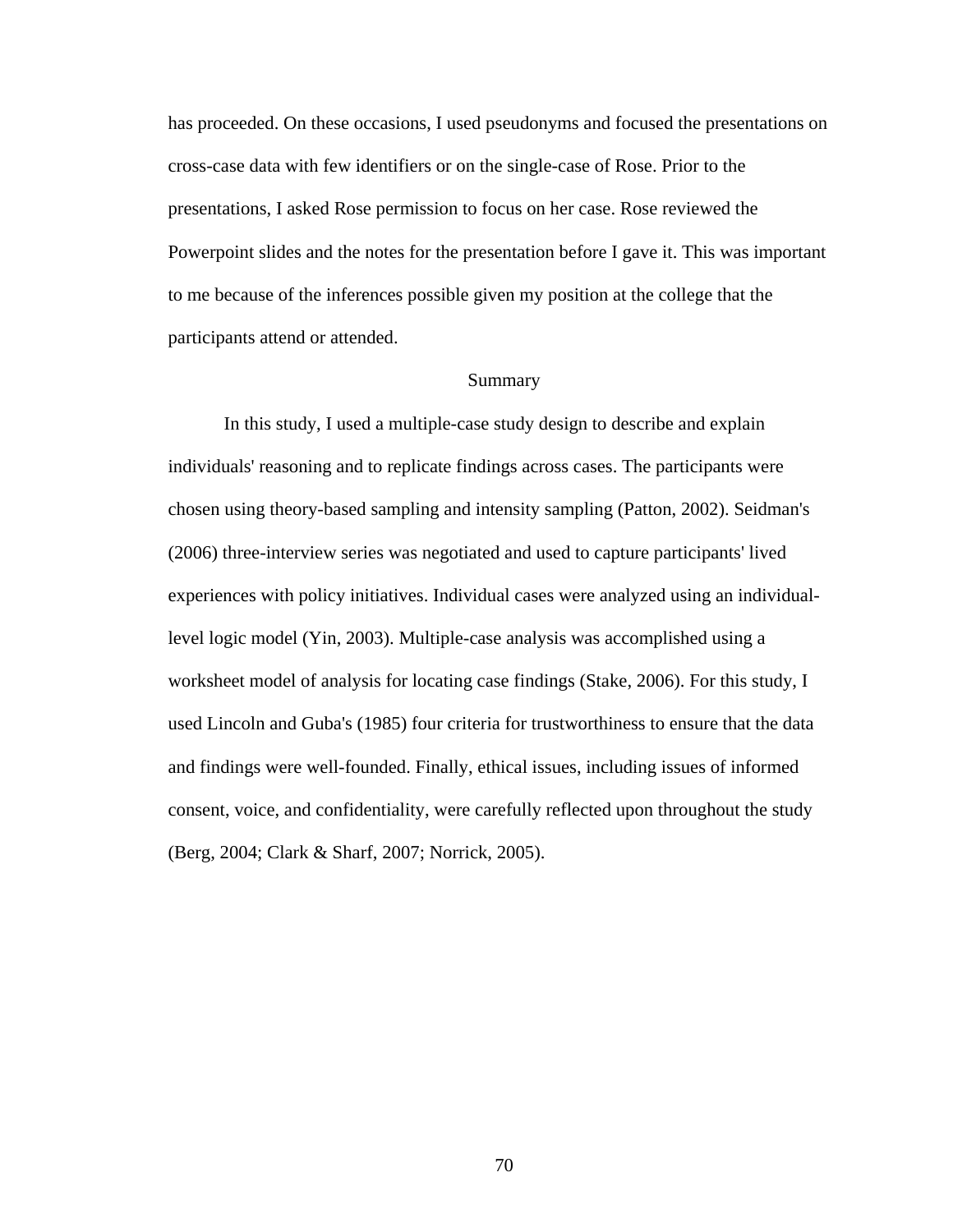has proceeded. On these occasions, I used pseudonyms and focused the presentations on cross-case data with few identifiers or on the single-case of Rose. Prior to the presentations, I asked Rose permission to focus on her case. Rose reviewed the Powerpoint slides and the notes for the presentation before I gave it. This was important to me because of the inferences possible given my position at the college that the participants attend or attended.

### Summary

 In this study, I used a multiple-case study design to describe and explain individuals' reasoning and to replicate findings across cases. The participants were chosen using theory-based sampling and intensity sampling (Patton, 2002). Seidman's (2006) three-interview series was negotiated and used to capture participants' lived experiences with policy initiatives. Individual cases were analyzed using an individuallevel logic model (Yin, 2003). Multiple-case analysis was accomplished using a worksheet model of analysis for locating case findings (Stake, 2006). For this study, I used Lincoln and Guba's (1985) four criteria for trustworthiness to ensure that the data and findings were well-founded. Finally, ethical issues, including issues of informed consent, voice, and confidentiality, were carefully reflected upon throughout the study (Berg, 2004; Clark & Sharf, 2007; Norrick, 2005).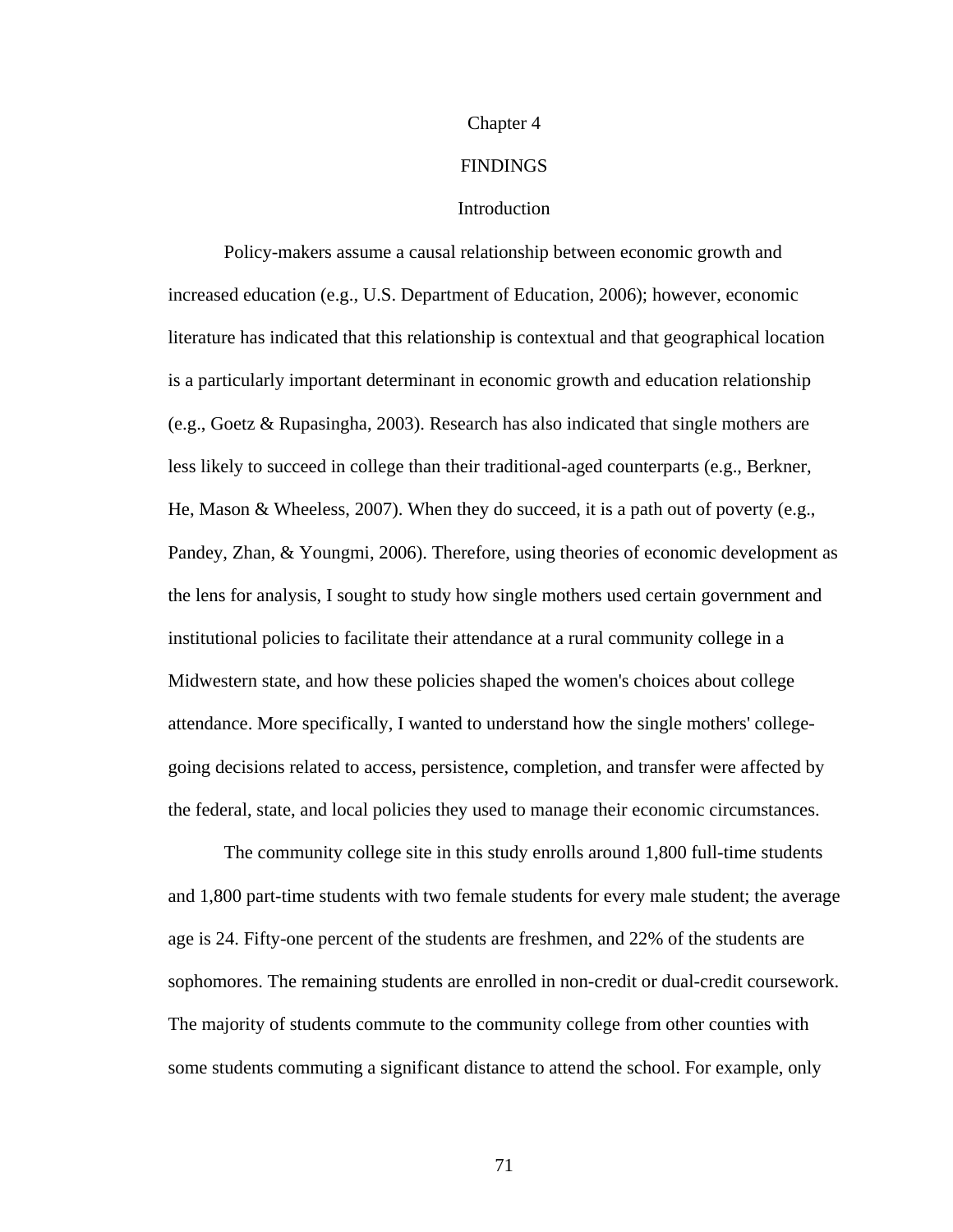#### Chapter 4

### FINDINGS

## Introduction

 Policy-makers assume a causal relationship between economic growth and increased education (e.g., U.S. Department of Education, 2006); however, economic literature has indicated that this relationship is contextual and that geographical location is a particularly important determinant in economic growth and education relationship (e.g., Goetz & Rupasingha, 2003). Research has also indicated that single mothers are less likely to succeed in college than their traditional-aged counterparts (e.g., Berkner, He, Mason & Wheeless, 2007). When they do succeed, it is a path out of poverty (e.g., Pandey, Zhan, & Youngmi, 2006). Therefore, using theories of economic development as the lens for analysis, I sought to study how single mothers used certain government and institutional policies to facilitate their attendance at a rural community college in a Midwestern state, and how these policies shaped the women's choices about college attendance. More specifically, I wanted to understand how the single mothers' collegegoing decisions related to access, persistence, completion, and transfer were affected by the federal, state, and local policies they used to manage their economic circumstances.

 The community college site in this study enrolls around 1,800 full-time students and 1,800 part-time students with two female students for every male student; the average age is 24. Fifty-one percent of the students are freshmen, and 22% of the students are sophomores. The remaining students are enrolled in non-credit or dual-credit coursework. The majority of students commute to the community college from other counties with some students commuting a significant distance to attend the school. For example, only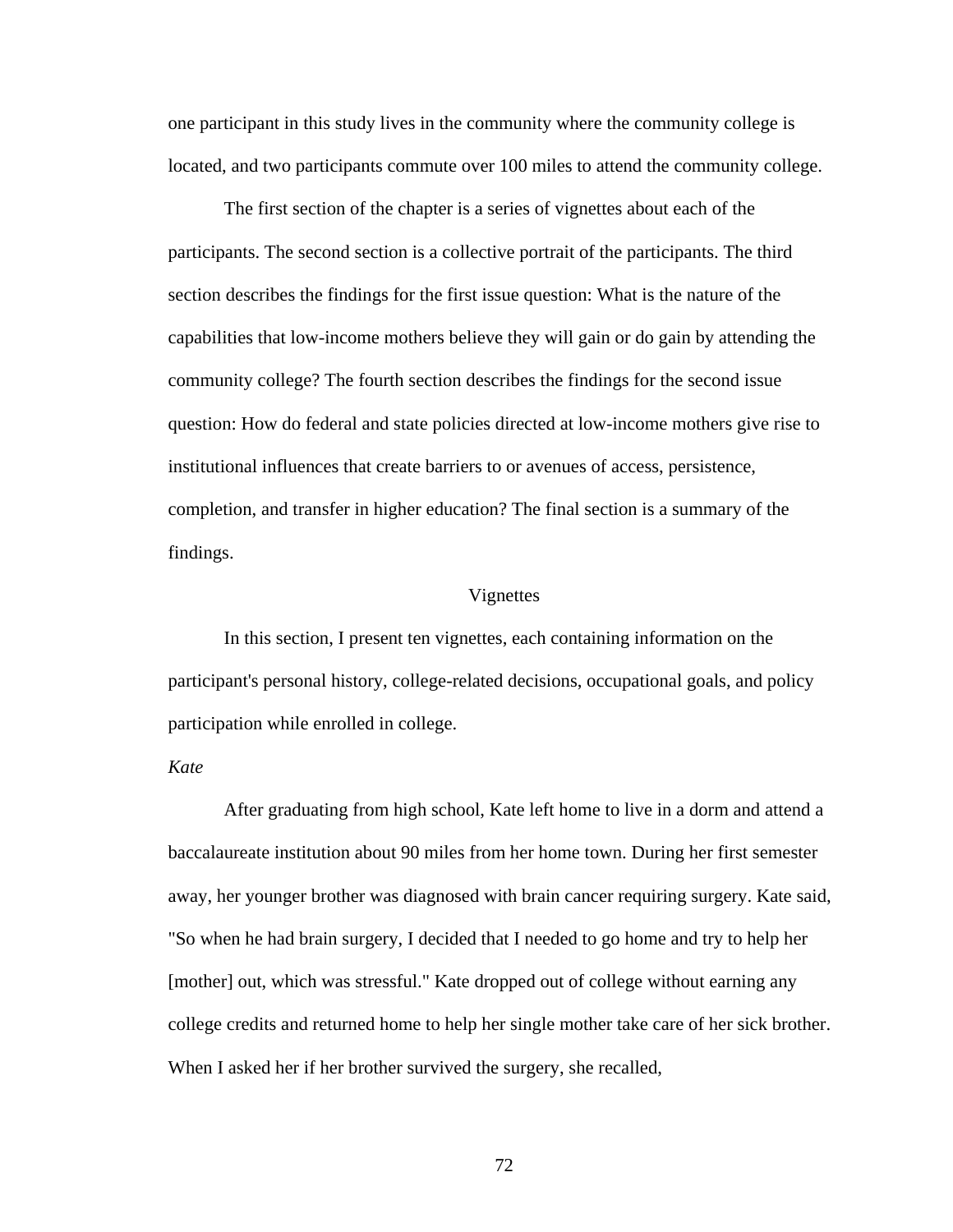one participant in this study lives in the community where the community college is located, and two participants commute over 100 miles to attend the community college.

 The first section of the chapter is a series of vignettes about each of the participants. The second section is a collective portrait of the participants. The third section describes the findings for the first issue question: What is the nature of the capabilities that low-income mothers believe they will gain or do gain by attending the community college? The fourth section describes the findings for the second issue question: How do federal and state policies directed at low-income mothers give rise to institutional influences that create barriers to or avenues of access, persistence, completion, and transfer in higher education? The final section is a summary of the findings.

#### Vignettes

 In this section, I present ten vignettes, each containing information on the participant's personal history, college-related decisions, occupational goals, and policy participation while enrolled in college.

## *Kate*

 After graduating from high school, Kate left home to live in a dorm and attend a baccalaureate institution about 90 miles from her home town. During her first semester away, her younger brother was diagnosed with brain cancer requiring surgery. Kate said, "So when he had brain surgery, I decided that I needed to go home and try to help her [mother] out, which was stressful." Kate dropped out of college without earning any college credits and returned home to help her single mother take care of her sick brother. When I asked her if her brother survived the surgery, she recalled,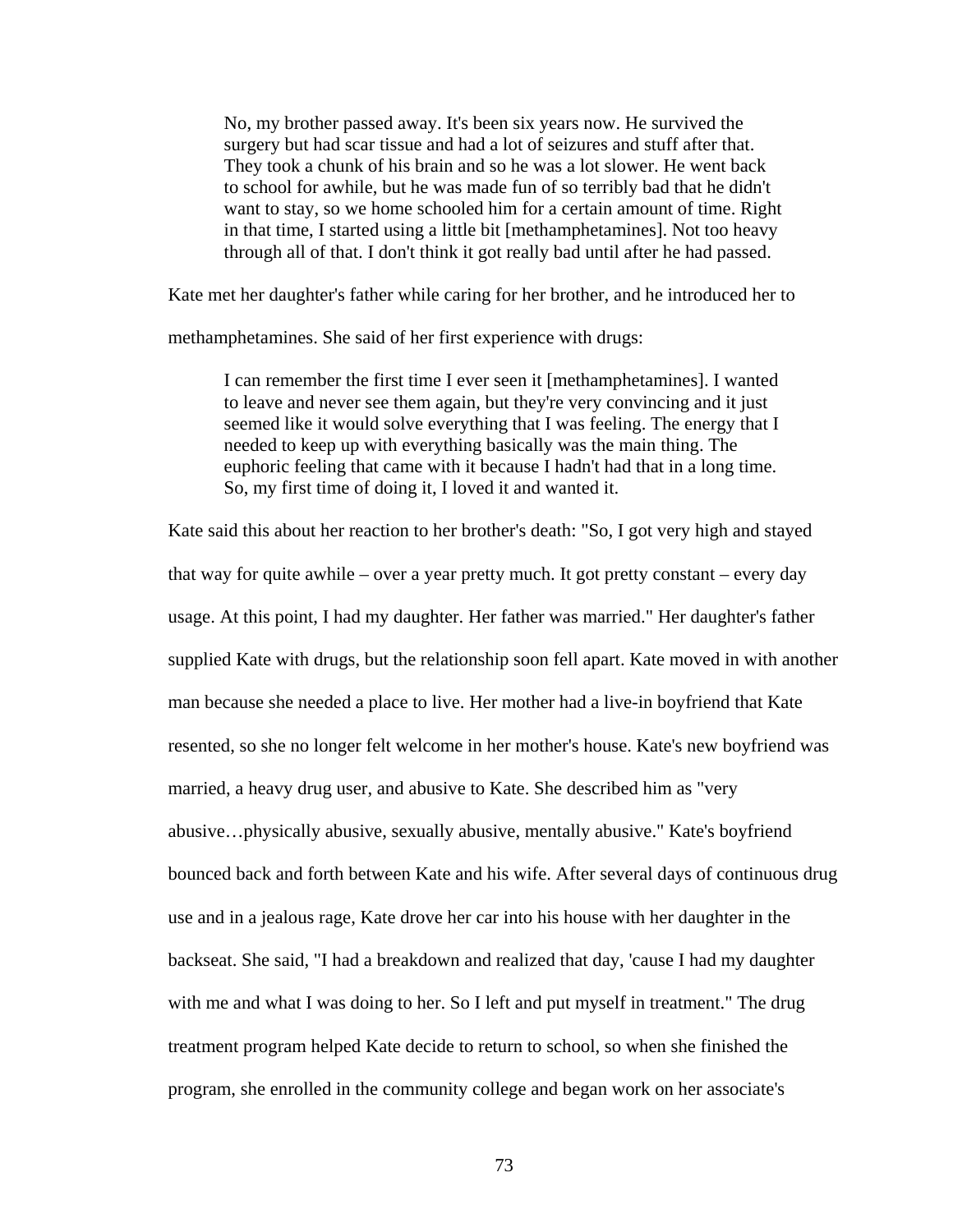No, my brother passed away. It's been six years now. He survived the surgery but had scar tissue and had a lot of seizures and stuff after that. They took a chunk of his brain and so he was a lot slower. He went back to school for awhile, but he was made fun of so terribly bad that he didn't want to stay, so we home schooled him for a certain amount of time. Right in that time, I started using a little bit [methamphetamines]. Not too heavy through all of that. I don't think it got really bad until after he had passed.

Kate met her daughter's father while caring for her brother, and he introduced her to

methamphetamines. She said of her first experience with drugs:

I can remember the first time I ever seen it [methamphetamines]. I wanted to leave and never see them again, but they're very convincing and it just seemed like it would solve everything that I was feeling. The energy that I needed to keep up with everything basically was the main thing. The euphoric feeling that came with it because I hadn't had that in a long time. So, my first time of doing it, I loved it and wanted it.

Kate said this about her reaction to her brother's death: "So, I got very high and stayed that way for quite awhile – over a year pretty much. It got pretty constant – every day usage. At this point, I had my daughter. Her father was married." Her daughter's father supplied Kate with drugs, but the relationship soon fell apart. Kate moved in with another man because she needed a place to live. Her mother had a live-in boyfriend that Kate resented, so she no longer felt welcome in her mother's house. Kate's new boyfriend was married, a heavy drug user, and abusive to Kate. She described him as "very abusive…physically abusive, sexually abusive, mentally abusive." Kate's boyfriend bounced back and forth between Kate and his wife. After several days of continuous drug use and in a jealous rage, Kate drove her car into his house with her daughter in the backseat. She said, "I had a breakdown and realized that day, 'cause I had my daughter with me and what I was doing to her. So I left and put myself in treatment." The drug treatment program helped Kate decide to return to school, so when she finished the program, she enrolled in the community college and began work on her associate's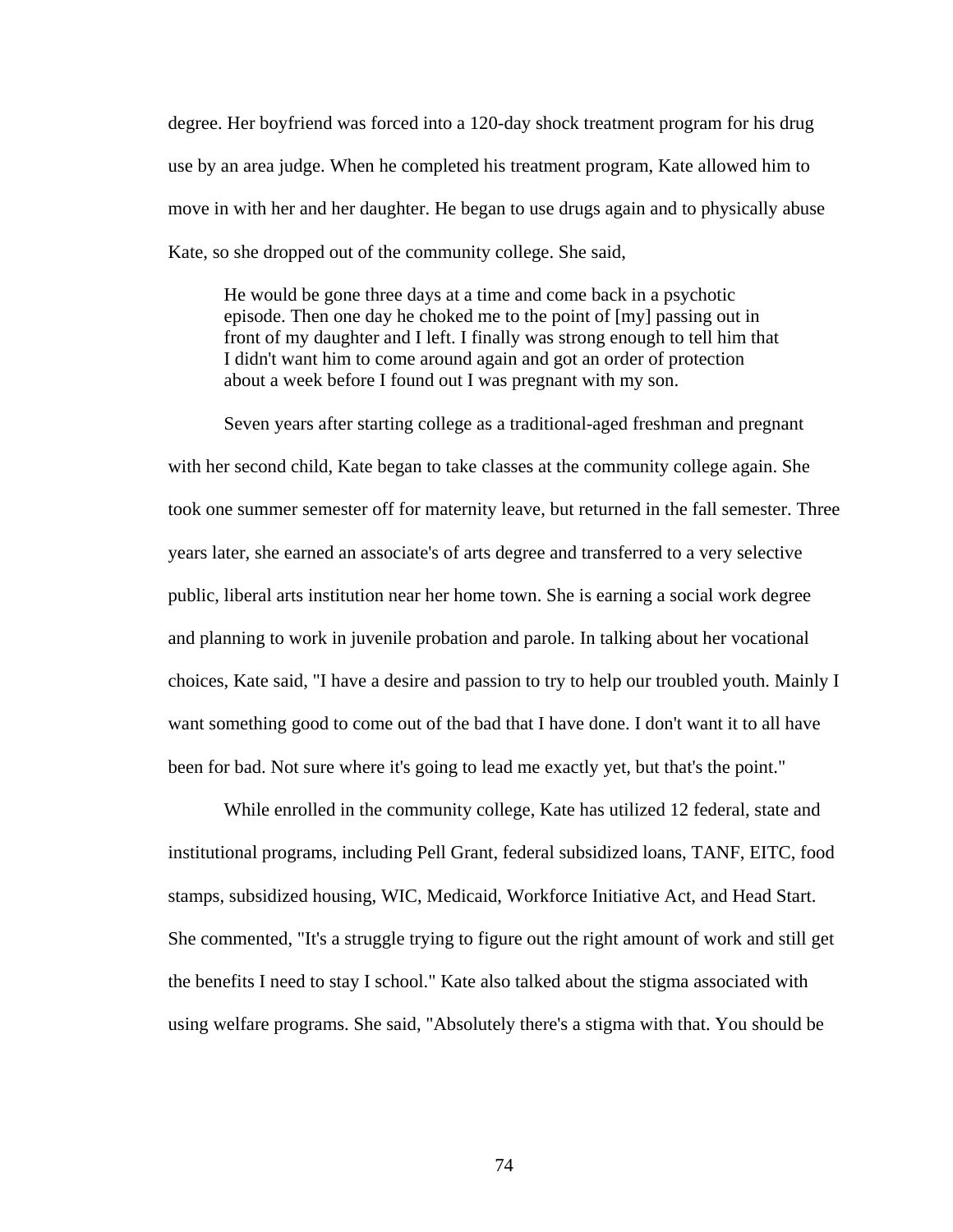degree. Her boyfriend was forced into a 120-day shock treatment program for his drug use by an area judge. When he completed his treatment program, Kate allowed him to move in with her and her daughter. He began to use drugs again and to physically abuse Kate, so she dropped out of the community college. She said,

He would be gone three days at a time and come back in a psychotic episode. Then one day he choked me to the point of [my] passing out in front of my daughter and I left. I finally was strong enough to tell him that I didn't want him to come around again and got an order of protection about a week before I found out I was pregnant with my son.

 Seven years after starting college as a traditional-aged freshman and pregnant with her second child, Kate began to take classes at the community college again. She took one summer semester off for maternity leave, but returned in the fall semester. Three years later, she earned an associate's of arts degree and transferred to a very selective public, liberal arts institution near her home town. She is earning a social work degree and planning to work in juvenile probation and parole. In talking about her vocational choices, Kate said, "I have a desire and passion to try to help our troubled youth. Mainly I want something good to come out of the bad that I have done. I don't want it to all have been for bad. Not sure where it's going to lead me exactly yet, but that's the point."

 While enrolled in the community college, Kate has utilized 12 federal, state and institutional programs, including Pell Grant, federal subsidized loans, TANF, EITC, food stamps, subsidized housing, WIC, Medicaid, Workforce Initiative Act, and Head Start. She commented, "It's a struggle trying to figure out the right amount of work and still get the benefits I need to stay I school." Kate also talked about the stigma associated with using welfare programs. She said, "Absolutely there's a stigma with that. You should be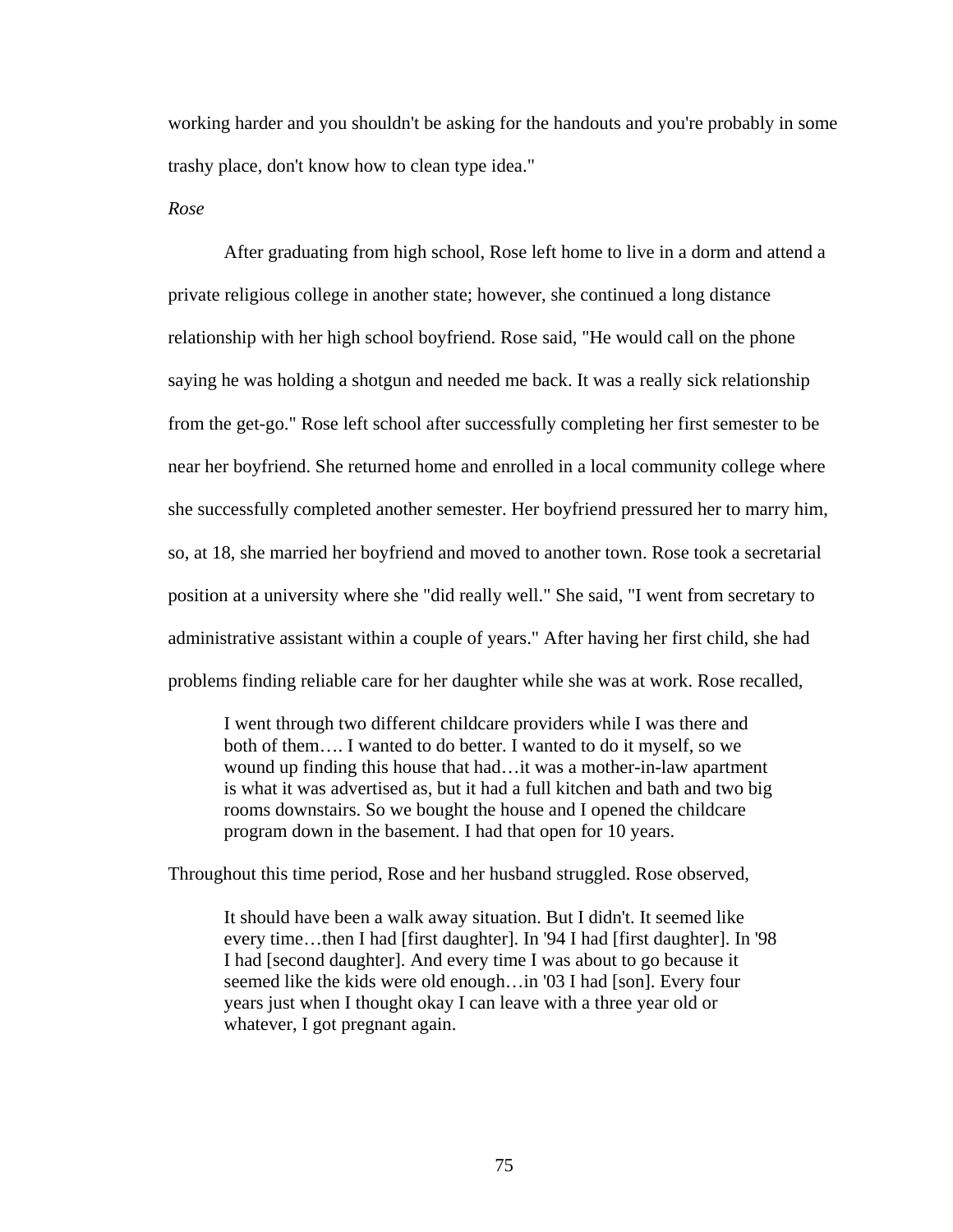working harder and you shouldn't be asking for the handouts and you're probably in some trashy place, don't know how to clean type idea."

*Rose* 

 After graduating from high school, Rose left home to live in a dorm and attend a private religious college in another state; however, she continued a long distance relationship with her high school boyfriend. Rose said, "He would call on the phone saying he was holding a shotgun and needed me back. It was a really sick relationship from the get-go." Rose left school after successfully completing her first semester to be near her boyfriend. She returned home and enrolled in a local community college where she successfully completed another semester. Her boyfriend pressured her to marry him, so, at 18, she married her boyfriend and moved to another town. Rose took a secretarial position at a university where she "did really well." She said, "I went from secretary to administrative assistant within a couple of years." After having her first child, she had problems finding reliable care for her daughter while she was at work. Rose recalled,

I went through two different childcare providers while I was there and both of them…. I wanted to do better. I wanted to do it myself, so we wound up finding this house that had…it was a mother-in-law apartment is what it was advertised as, but it had a full kitchen and bath and two big rooms downstairs. So we bought the house and I opened the childcare program down in the basement. I had that open for 10 years.

Throughout this time period, Rose and her husband struggled. Rose observed,

It should have been a walk away situation. But I didn't. It seemed like every time…then I had [first daughter]. In '94 I had [first daughter]. In '98 I had [second daughter]. And every time I was about to go because it seemed like the kids were old enough...in '03 I had [son]. Every four years just when I thought okay I can leave with a three year old or whatever, I got pregnant again.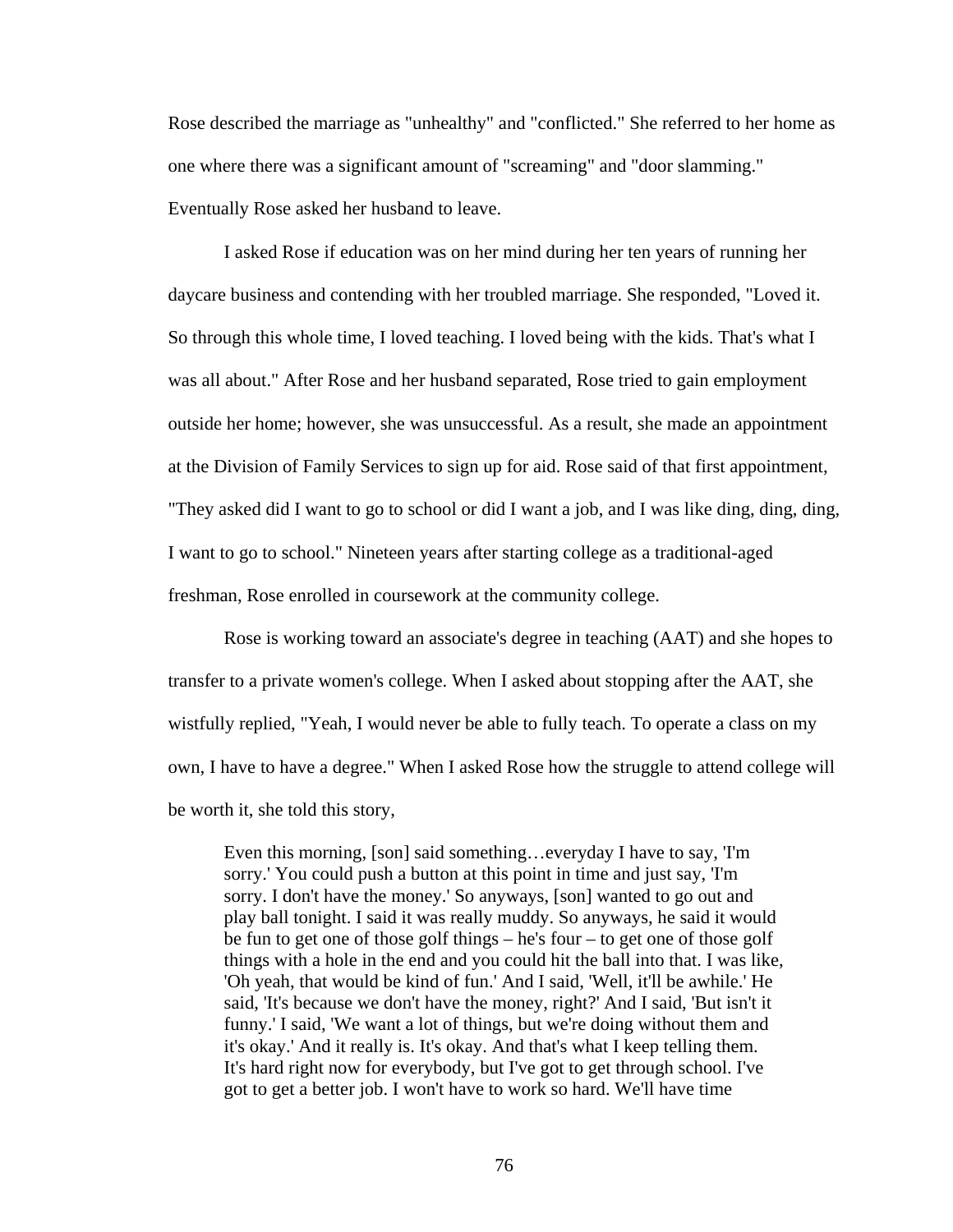Rose described the marriage as "unhealthy" and "conflicted." She referred to her home as one where there was a significant amount of "screaming" and "door slamming." Eventually Rose asked her husband to leave.

 I asked Rose if education was on her mind during her ten years of running her daycare business and contending with her troubled marriage. She responded, "Loved it. So through this whole time, I loved teaching. I loved being with the kids. That's what I was all about." After Rose and her husband separated, Rose tried to gain employment outside her home; however, she was unsuccessful. As a result, she made an appointment at the Division of Family Services to sign up for aid. Rose said of that first appointment, "They asked did I want to go to school or did I want a job, and I was like ding, ding, ding, I want to go to school." Nineteen years after starting college as a traditional-aged freshman, Rose enrolled in coursework at the community college.

 Rose is working toward an associate's degree in teaching (AAT) and she hopes to transfer to a private women's college. When I asked about stopping after the AAT, she wistfully replied, "Yeah, I would never be able to fully teach. To operate a class on my own, I have to have a degree." When I asked Rose how the struggle to attend college will be worth it, she told this story,

Even this morning, [son] said something…everyday I have to say, 'I'm sorry.' You could push a button at this point in time and just say, 'I'm sorry. I don't have the money.' So anyways, [son] wanted to go out and play ball tonight. I said it was really muddy. So anyways, he said it would be fun to get one of those golf things – he's four – to get one of those golf things with a hole in the end and you could hit the ball into that. I was like, 'Oh yeah, that would be kind of fun.' And I said, 'Well, it'll be awhile.' He said, 'It's because we don't have the money, right?' And I said, 'But isn't it funny.' I said, 'We want a lot of things, but we're doing without them and it's okay.' And it really is. It's okay. And that's what I keep telling them. It's hard right now for everybody, but I've got to get through school. I've got to get a better job. I won't have to work so hard. We'll have time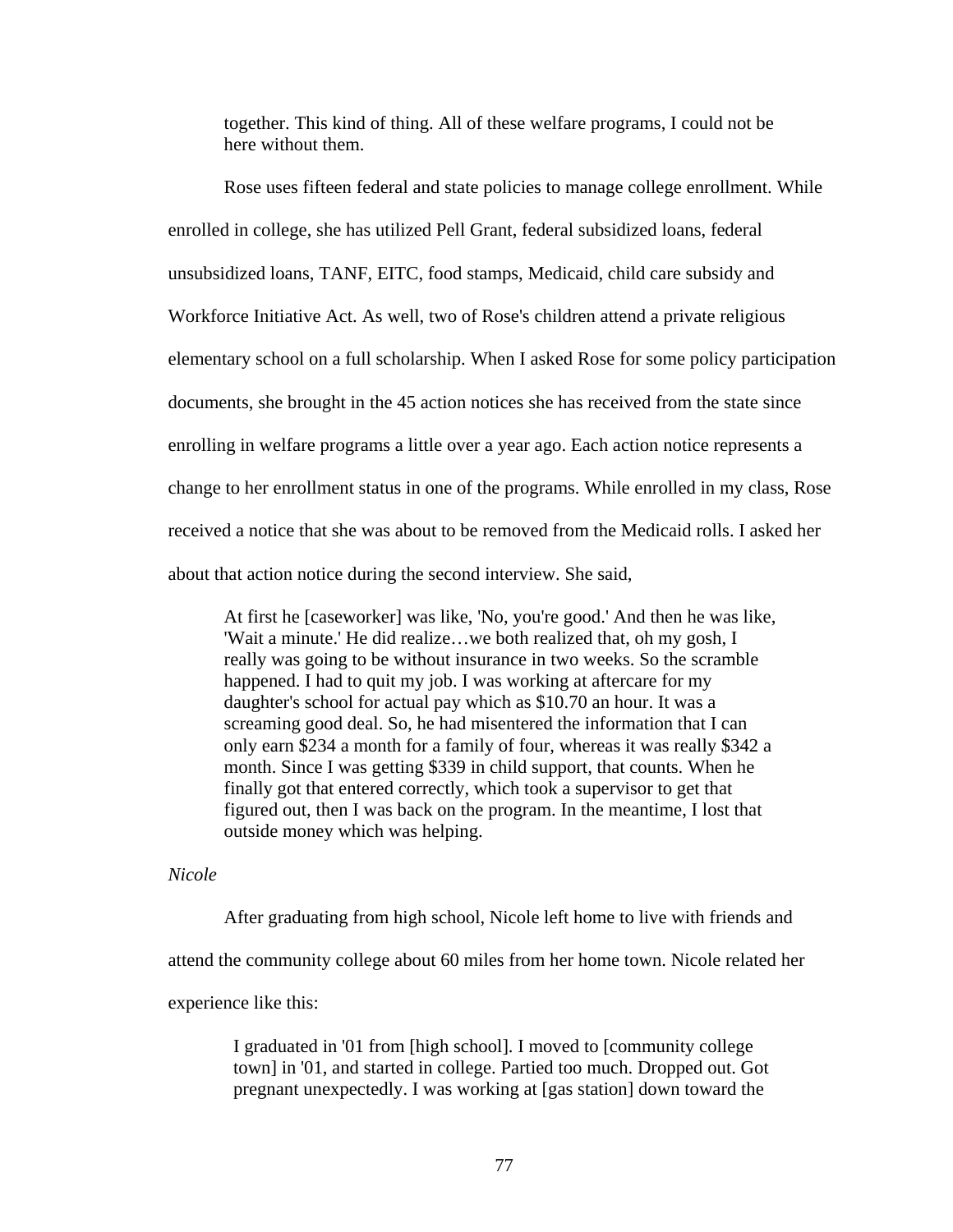together. This kind of thing. All of these welfare programs, I could not be here without them.

 Rose uses fifteen federal and state policies to manage college enrollment. While enrolled in college, she has utilized Pell Grant, federal subsidized loans, federal unsubsidized loans, TANF, EITC, food stamps, Medicaid, child care subsidy and Workforce Initiative Act. As well, two of Rose's children attend a private religious elementary school on a full scholarship. When I asked Rose for some policy participation documents, she brought in the 45 action notices she has received from the state since enrolling in welfare programs a little over a year ago. Each action notice represents a change to her enrollment status in one of the programs. While enrolled in my class, Rose received a notice that she was about to be removed from the Medicaid rolls. I asked her about that action notice during the second interview. She said,

At first he [caseworker] was like, 'No, you're good.' And then he was like, 'Wait a minute.' He did realize…we both realized that, oh my gosh, I really was going to be without insurance in two weeks. So the scramble happened. I had to quit my job. I was working at aftercare for my daughter's school for actual pay which as \$10.70 an hour. It was a screaming good deal. So, he had misentered the information that I can only earn \$234 a month for a family of four, whereas it was really \$342 a month. Since I was getting \$339 in child support, that counts. When he finally got that entered correctly, which took a supervisor to get that figured out, then I was back on the program. In the meantime, I lost that outside money which was helping.

*Nicole* 

 After graduating from high school, Nicole left home to live with friends and attend the community college about 60 miles from her home town. Nicole related her experience like this:

> I graduated in '01 from [high school]. I moved to [community college town] in '01, and started in college. Partied too much. Dropped out. Got pregnant unexpectedly. I was working at [gas station] down toward the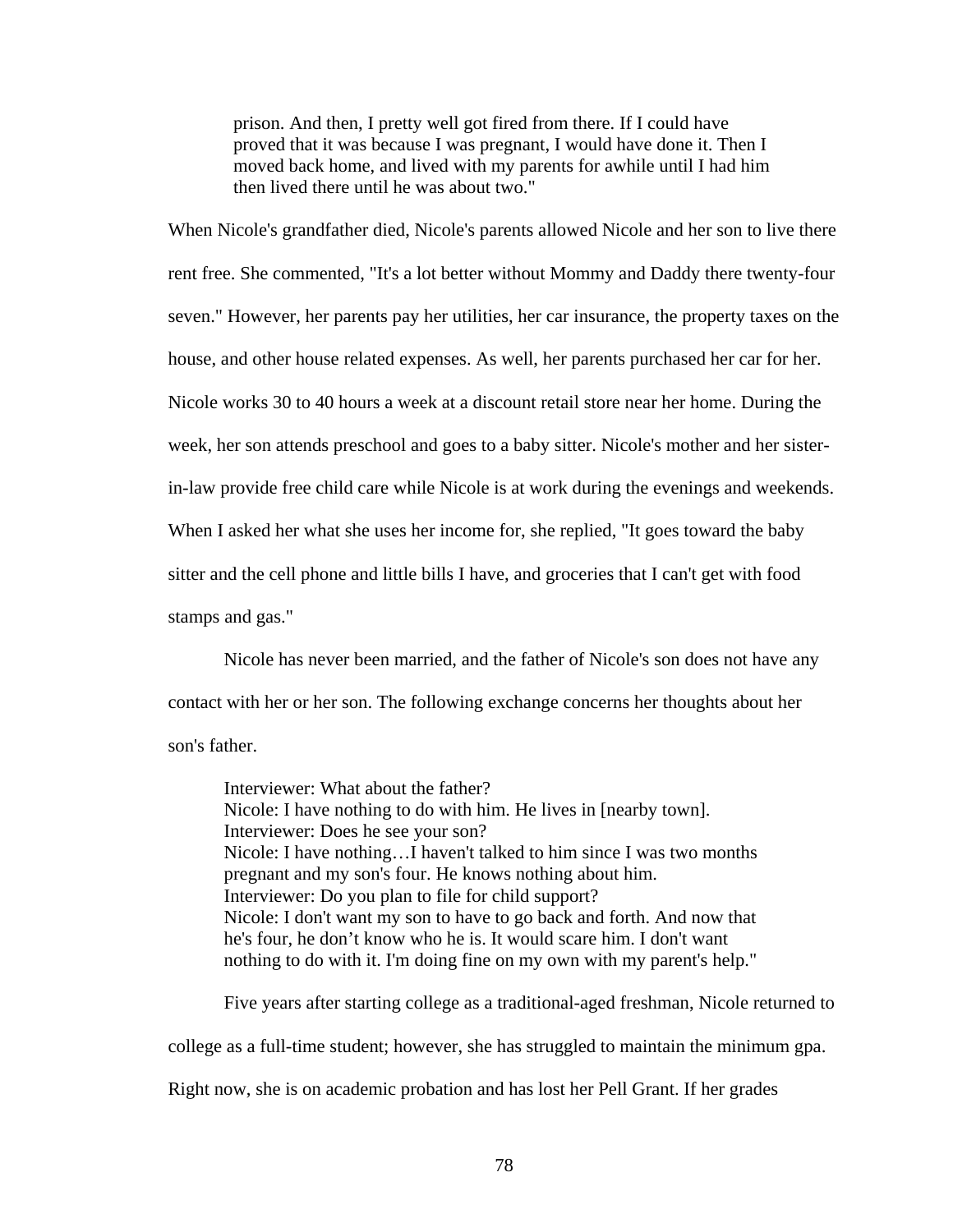prison. And then, I pretty well got fired from there. If I could have proved that it was because I was pregnant, I would have done it. Then I moved back home, and lived with my parents for awhile until I had him then lived there until he was about two."

When Nicole's grandfather died, Nicole's parents allowed Nicole and her son to live there rent free. She commented, "It's a lot better without Mommy and Daddy there twenty-four seven." However, her parents pay her utilities, her car insurance, the property taxes on the house, and other house related expenses. As well, her parents purchased her car for her. Nicole works 30 to 40 hours a week at a discount retail store near her home. During the week, her son attends preschool and goes to a baby sitter. Nicole's mother and her sisterin-law provide free child care while Nicole is at work during the evenings and weekends. When I asked her what she uses her income for, she replied, "It goes toward the baby sitter and the cell phone and little bills I have, and groceries that I can't get with food stamps and gas."

 Nicole has never been married, and the father of Nicole's son does not have any contact with her or her son. The following exchange concerns her thoughts about her son's father.

Interviewer: What about the father? Nicole: I have nothing to do with him. He lives in [nearby town]. Interviewer: Does he see your son? Nicole: I have nothing…I haven't talked to him since I was two months pregnant and my son's four. He knows nothing about him. Interviewer: Do you plan to file for child support? Nicole: I don't want my son to have to go back and forth. And now that he's four, he don't know who he is. It would scare him. I don't want nothing to do with it. I'm doing fine on my own with my parent's help."

 Five years after starting college as a traditional-aged freshman, Nicole returned to college as a full-time student; however, she has struggled to maintain the minimum gpa. Right now, she is on academic probation and has lost her Pell Grant. If her grades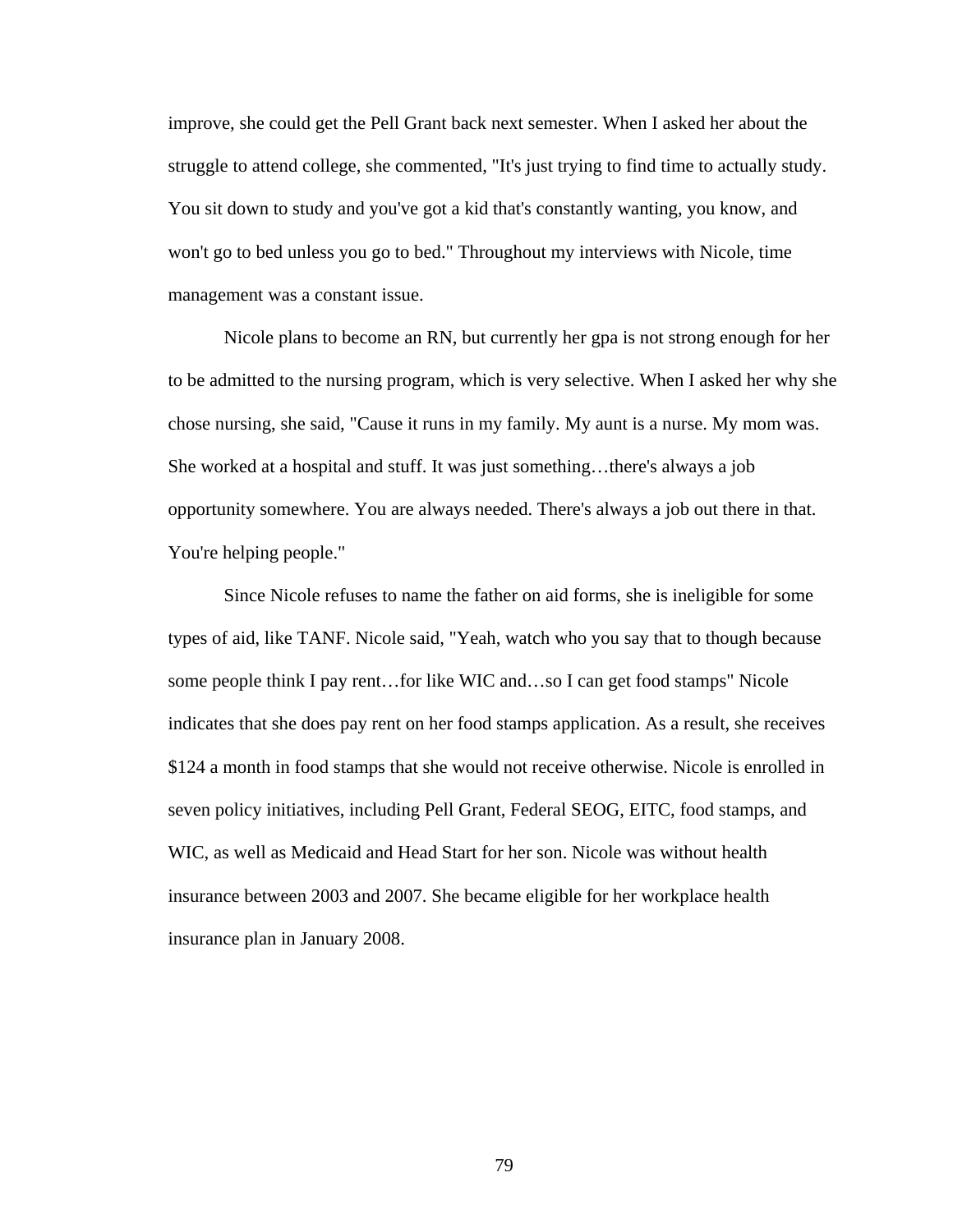improve, she could get the Pell Grant back next semester. When I asked her about the struggle to attend college, she commented, "It's just trying to find time to actually study. You sit down to study and you've got a kid that's constantly wanting, you know, and won't go to bed unless you go to bed." Throughout my interviews with Nicole, time management was a constant issue.

 Nicole plans to become an RN, but currently her gpa is not strong enough for her to be admitted to the nursing program, which is very selective. When I asked her why she chose nursing, she said, "Cause it runs in my family. My aunt is a nurse. My mom was. She worked at a hospital and stuff. It was just something…there's always a job opportunity somewhere. You are always needed. There's always a job out there in that. You're helping people."

 Since Nicole refuses to name the father on aid forms, she is ineligible for some types of aid, like TANF. Nicole said, "Yeah, watch who you say that to though because some people think I pay rent…for like WIC and…so I can get food stamps" Nicole indicates that she does pay rent on her food stamps application. As a result, she receives \$124 a month in food stamps that she would not receive otherwise. Nicole is enrolled in seven policy initiatives, including Pell Grant, Federal SEOG, EITC, food stamps, and WIC, as well as Medicaid and Head Start for her son. Nicole was without health insurance between 2003 and 2007. She became eligible for her workplace health insurance plan in January 2008.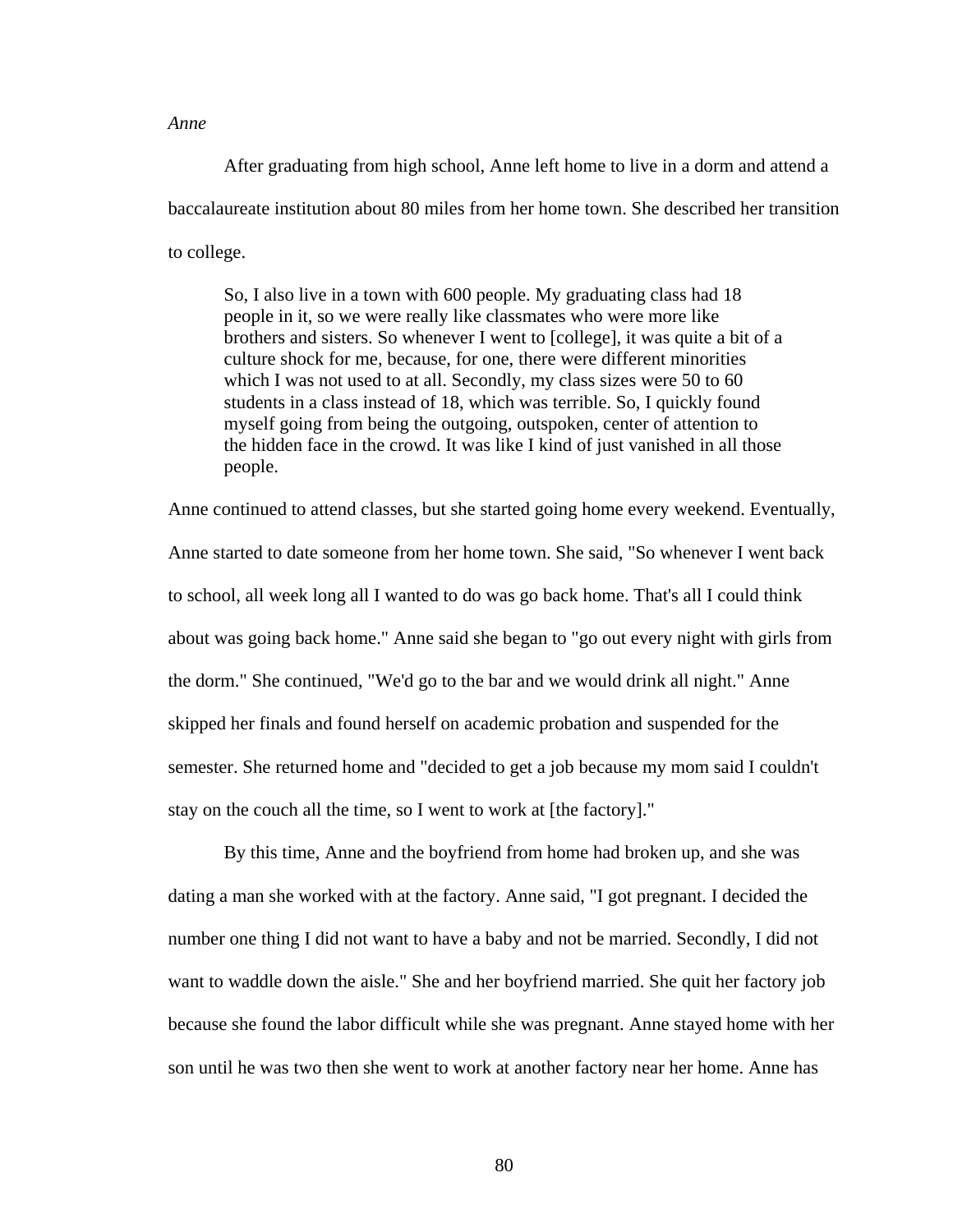### *Anne*

 After graduating from high school, Anne left home to live in a dorm and attend a baccalaureate institution about 80 miles from her home town. She described her transition to college.

So, I also live in a town with 600 people. My graduating class had 18 people in it, so we were really like classmates who were more like brothers and sisters. So whenever I went to [college], it was quite a bit of a culture shock for me, because, for one, there were different minorities which I was not used to at all. Secondly, my class sizes were 50 to 60 students in a class instead of 18, which was terrible. So, I quickly found myself going from being the outgoing, outspoken, center of attention to the hidden face in the crowd. It was like I kind of just vanished in all those people.

Anne continued to attend classes, but she started going home every weekend. Eventually, Anne started to date someone from her home town. She said, "So whenever I went back to school, all week long all I wanted to do was go back home. That's all I could think about was going back home." Anne said she began to "go out every night with girls from the dorm." She continued, "We'd go to the bar and we would drink all night." Anne skipped her finals and found herself on academic probation and suspended for the semester. She returned home and "decided to get a job because my mom said I couldn't stay on the couch all the time, so I went to work at [the factory]."

 By this time, Anne and the boyfriend from home had broken up, and she was dating a man she worked with at the factory. Anne said, "I got pregnant. I decided the number one thing I did not want to have a baby and not be married. Secondly, I did not want to waddle down the aisle." She and her boyfriend married. She quit her factory job because she found the labor difficult while she was pregnant. Anne stayed home with her son until he was two then she went to work at another factory near her home. Anne has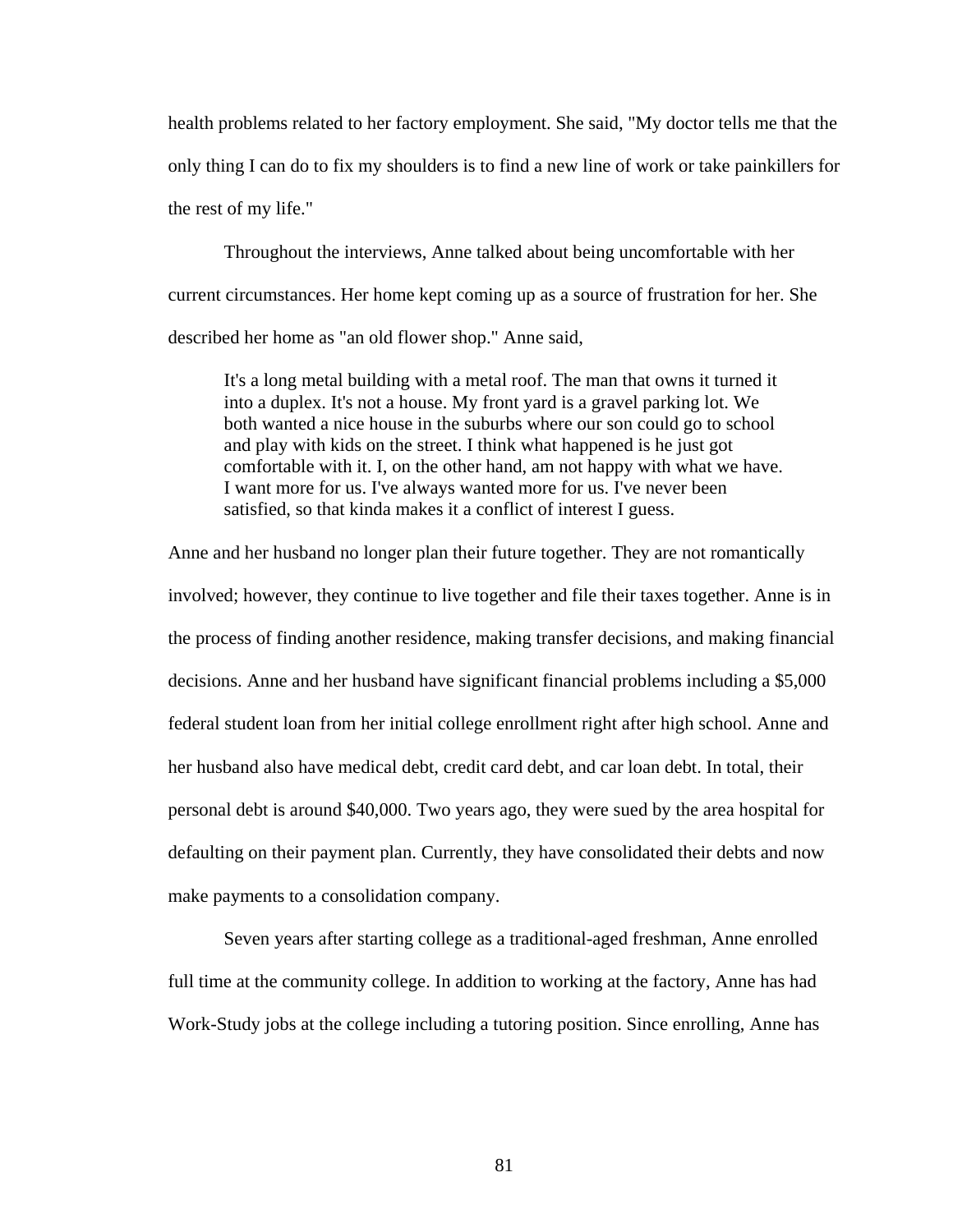health problems related to her factory employment. She said, "My doctor tells me that the only thing I can do to fix my shoulders is to find a new line of work or take painkillers for the rest of my life."

 Throughout the interviews, Anne talked about being uncomfortable with her current circumstances. Her home kept coming up as a source of frustration for her. She described her home as "an old flower shop." Anne said,

It's a long metal building with a metal roof. The man that owns it turned it into a duplex. It's not a house. My front yard is a gravel parking lot. We both wanted a nice house in the suburbs where our son could go to school and play with kids on the street. I think what happened is he just got comfortable with it. I, on the other hand, am not happy with what we have. I want more for us. I've always wanted more for us. I've never been satisfied, so that kinda makes it a conflict of interest I guess.

Anne and her husband no longer plan their future together. They are not romantically involved; however, they continue to live together and file their taxes together. Anne is in the process of finding another residence, making transfer decisions, and making financial decisions. Anne and her husband have significant financial problems including a \$5,000 federal student loan from her initial college enrollment right after high school. Anne and her husband also have medical debt, credit card debt, and car loan debt. In total, their personal debt is around \$40,000. Two years ago, they were sued by the area hospital for defaulting on their payment plan. Currently, they have consolidated their debts and now make payments to a consolidation company.

 Seven years after starting college as a traditional-aged freshman, Anne enrolled full time at the community college. In addition to working at the factory, Anne has had Work-Study jobs at the college including a tutoring position. Since enrolling, Anne has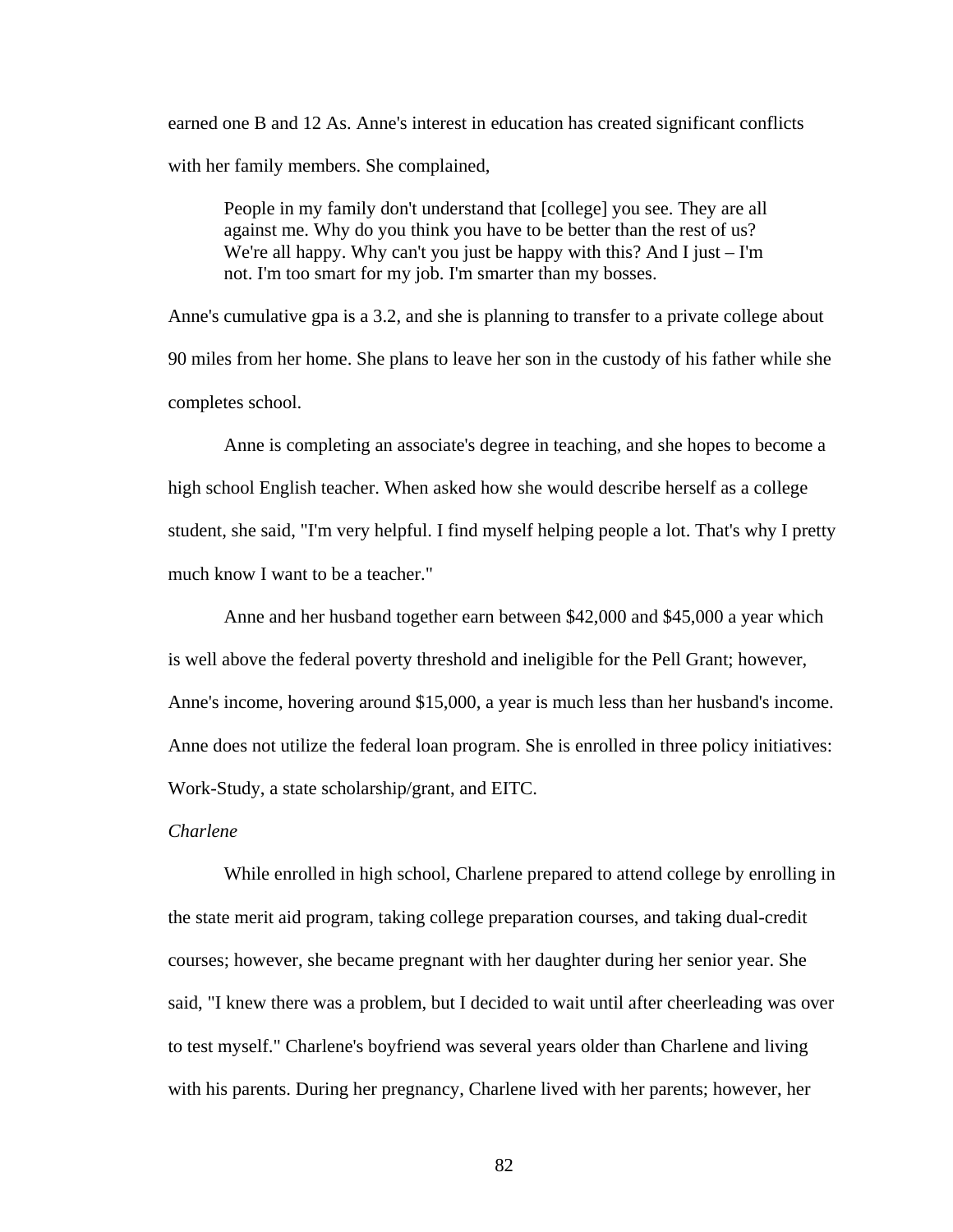earned one B and 12 As. Anne's interest in education has created significant conflicts with her family members. She complained,

People in my family don't understand that [college] you see. They are all against me. Why do you think you have to be better than the rest of us? We're all happy. Why can't you just be happy with this? And I just  $-$  I'm not. I'm too smart for my job. I'm smarter than my bosses.

Anne's cumulative gpa is a 3.2, and she is planning to transfer to a private college about 90 miles from her home. She plans to leave her son in the custody of his father while she completes school.

 Anne is completing an associate's degree in teaching, and she hopes to become a high school English teacher. When asked how she would describe herself as a college student, she said, "I'm very helpful. I find myself helping people a lot. That's why I pretty much know I want to be a teacher."

 Anne and her husband together earn between \$42,000 and \$45,000 a year which is well above the federal poverty threshold and ineligible for the Pell Grant; however, Anne's income, hovering around \$15,000, a year is much less than her husband's income. Anne does not utilize the federal loan program. She is enrolled in three policy initiatives: Work-Study, a state scholarship/grant, and EITC.

# *Charlene*

 While enrolled in high school, Charlene prepared to attend college by enrolling in the state merit aid program, taking college preparation courses, and taking dual-credit courses; however, she became pregnant with her daughter during her senior year. She said, "I knew there was a problem, but I decided to wait until after cheerleading was over to test myself." Charlene's boyfriend was several years older than Charlene and living with his parents. During her pregnancy, Charlene lived with her parents; however, her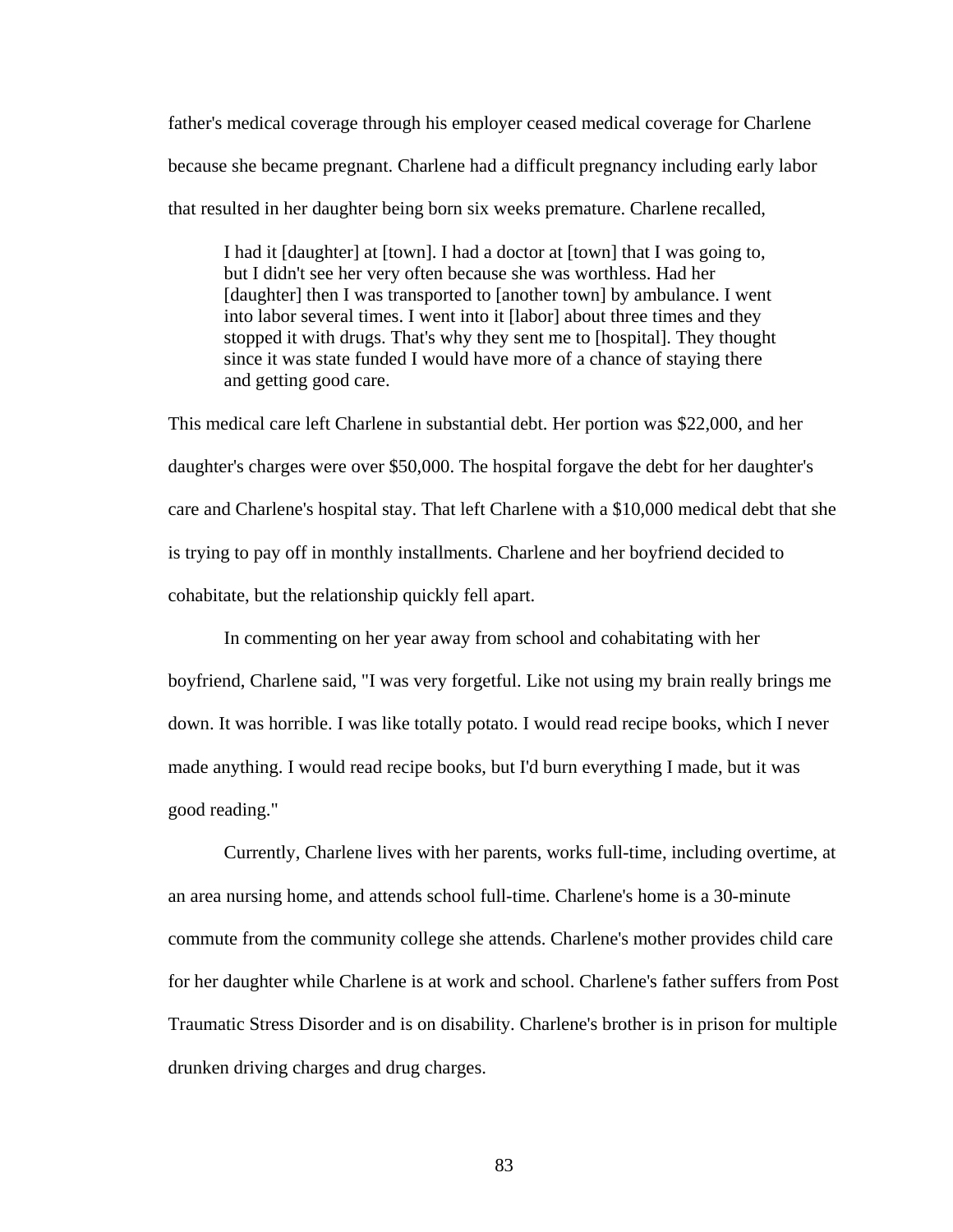father's medical coverage through his employer ceased medical coverage for Charlene because she became pregnant. Charlene had a difficult pregnancy including early labor that resulted in her daughter being born six weeks premature. Charlene recalled,

I had it [daughter] at [town]. I had a doctor at [town] that I was going to, but I didn't see her very often because she was worthless. Had her [daughter] then I was transported to [another town] by ambulance. I went into labor several times. I went into it [labor] about three times and they stopped it with drugs. That's why they sent me to [hospital]. They thought since it was state funded I would have more of a chance of staying there and getting good care.

This medical care left Charlene in substantial debt. Her portion was \$22,000, and her daughter's charges were over \$50,000. The hospital forgave the debt for her daughter's care and Charlene's hospital stay. That left Charlene with a \$10,000 medical debt that she is trying to pay off in monthly installments. Charlene and her boyfriend decided to cohabitate, but the relationship quickly fell apart.

 In commenting on her year away from school and cohabitating with her boyfriend, Charlene said, "I was very forgetful. Like not using my brain really brings me down. It was horrible. I was like totally potato. I would read recipe books, which I never made anything. I would read recipe books, but I'd burn everything I made, but it was good reading."

 Currently, Charlene lives with her parents, works full-time, including overtime, at an area nursing home, and attends school full-time. Charlene's home is a 30-minute commute from the community college she attends. Charlene's mother provides child care for her daughter while Charlene is at work and school. Charlene's father suffers from Post Traumatic Stress Disorder and is on disability. Charlene's brother is in prison for multiple drunken driving charges and drug charges.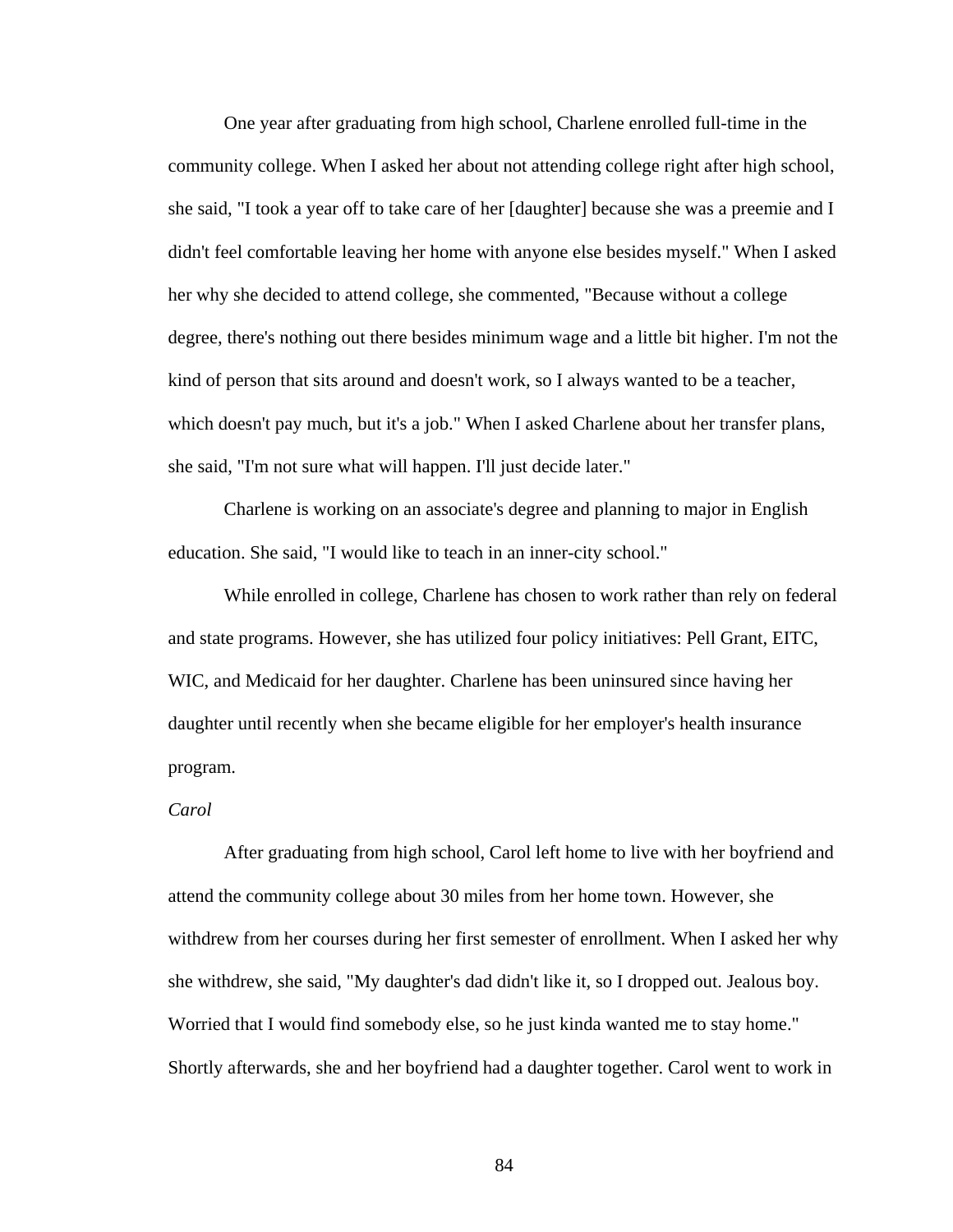One year after graduating from high school, Charlene enrolled full-time in the community college. When I asked her about not attending college right after high school, she said, "I took a year off to take care of her [daughter] because she was a preemie and I didn't feel comfortable leaving her home with anyone else besides myself." When I asked her why she decided to attend college, she commented, "Because without a college degree, there's nothing out there besides minimum wage and a little bit higher. I'm not the kind of person that sits around and doesn't work, so I always wanted to be a teacher, which doesn't pay much, but it's a job." When I asked Charlene about her transfer plans, she said, "I'm not sure what will happen. I'll just decide later."

 Charlene is working on an associate's degree and planning to major in English education. She said, "I would like to teach in an inner-city school."

 While enrolled in college, Charlene has chosen to work rather than rely on federal and state programs. However, she has utilized four policy initiatives: Pell Grant, EITC, WIC, and Medicaid for her daughter. Charlene has been uninsured since having her daughter until recently when she became eligible for her employer's health insurance program.

## *Carol*

 After graduating from high school, Carol left home to live with her boyfriend and attend the community college about 30 miles from her home town. However, she withdrew from her courses during her first semester of enrollment. When I asked her why she withdrew, she said, "My daughter's dad didn't like it, so I dropped out. Jealous boy. Worried that I would find somebody else, so he just kinda wanted me to stay home." Shortly afterwards, she and her boyfriend had a daughter together. Carol went to work in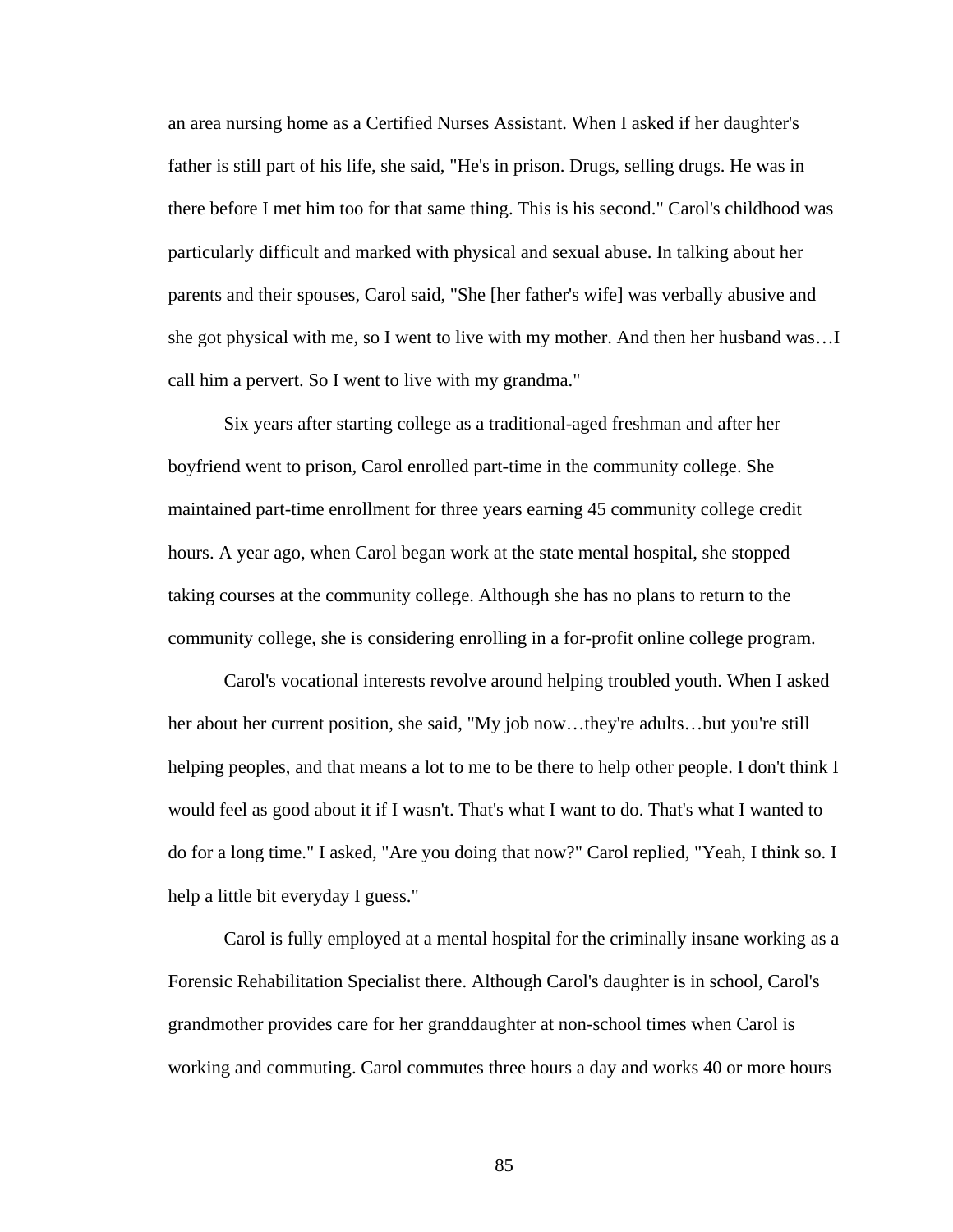an area nursing home as a Certified Nurses Assistant. When I asked if her daughter's father is still part of his life, she said, "He's in prison. Drugs, selling drugs. He was in there before I met him too for that same thing. This is his second." Carol's childhood was particularly difficult and marked with physical and sexual abuse. In talking about her parents and their spouses, Carol said, "She [her father's wife] was verbally abusive and she got physical with me, so I went to live with my mother. And then her husband was…I call him a pervert. So I went to live with my grandma."

 Six years after starting college as a traditional-aged freshman and after her boyfriend went to prison, Carol enrolled part-time in the community college. She maintained part-time enrollment for three years earning 45 community college credit hours. A year ago, when Carol began work at the state mental hospital, she stopped taking courses at the community college. Although she has no plans to return to the community college, she is considering enrolling in a for-profit online college program.

 Carol's vocational interests revolve around helping troubled youth. When I asked her about her current position, she said, "My job now...they're adults...but you're still helping peoples, and that means a lot to me to be there to help other people. I don't think I would feel as good about it if I wasn't. That's what I want to do. That's what I wanted to do for a long time." I asked, "Are you doing that now?" Carol replied, "Yeah, I think so. I help a little bit everyday I guess."

 Carol is fully employed at a mental hospital for the criminally insane working as a Forensic Rehabilitation Specialist there. Although Carol's daughter is in school, Carol's grandmother provides care for her granddaughter at non-school times when Carol is working and commuting. Carol commutes three hours a day and works 40 or more hours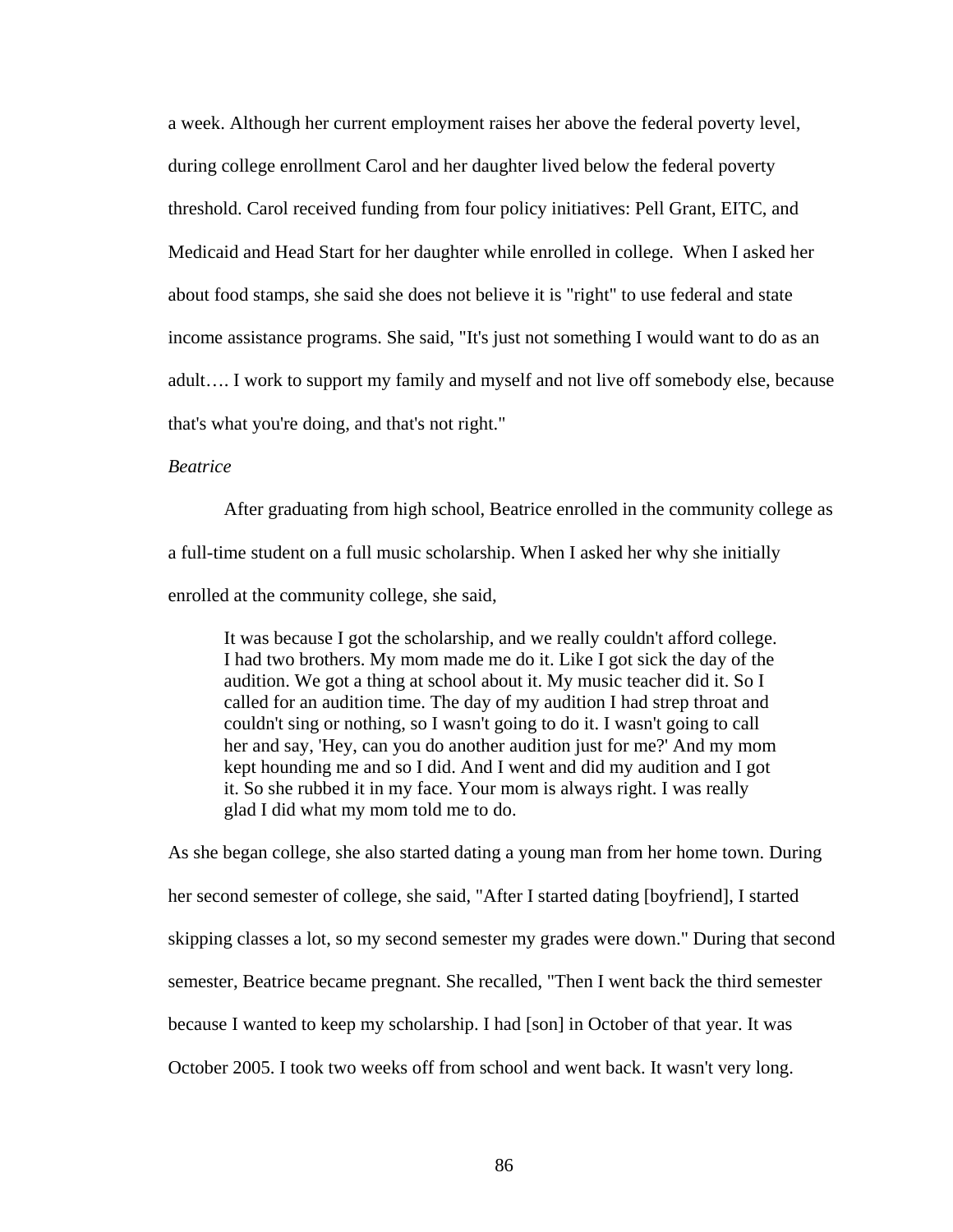a week. Although her current employment raises her above the federal poverty level, during college enrollment Carol and her daughter lived below the federal poverty threshold. Carol received funding from four policy initiatives: Pell Grant, EITC, and Medicaid and Head Start for her daughter while enrolled in college. When I asked her about food stamps, she said she does not believe it is "right" to use federal and state income assistance programs. She said, "It's just not something I would want to do as an adult…. I work to support my family and myself and not live off somebody else, because that's what you're doing, and that's not right."

## *Beatrice*

 After graduating from high school, Beatrice enrolled in the community college as a full-time student on a full music scholarship. When I asked her why she initially enrolled at the community college, she said,

It was because I got the scholarship, and we really couldn't afford college. I had two brothers. My mom made me do it. Like I got sick the day of the audition. We got a thing at school about it. My music teacher did it. So I called for an audition time. The day of my audition I had strep throat and couldn't sing or nothing, so I wasn't going to do it. I wasn't going to call her and say, 'Hey, can you do another audition just for me?' And my mom kept hounding me and so I did. And I went and did my audition and I got it. So she rubbed it in my face. Your mom is always right. I was really glad I did what my mom told me to do.

As she began college, she also started dating a young man from her home town. During her second semester of college, she said, "After I started dating [boyfriend], I started skipping classes a lot, so my second semester my grades were down." During that second semester, Beatrice became pregnant. She recalled, "Then I went back the third semester because I wanted to keep my scholarship. I had [son] in October of that year. It was October 2005. I took two weeks off from school and went back. It wasn't very long.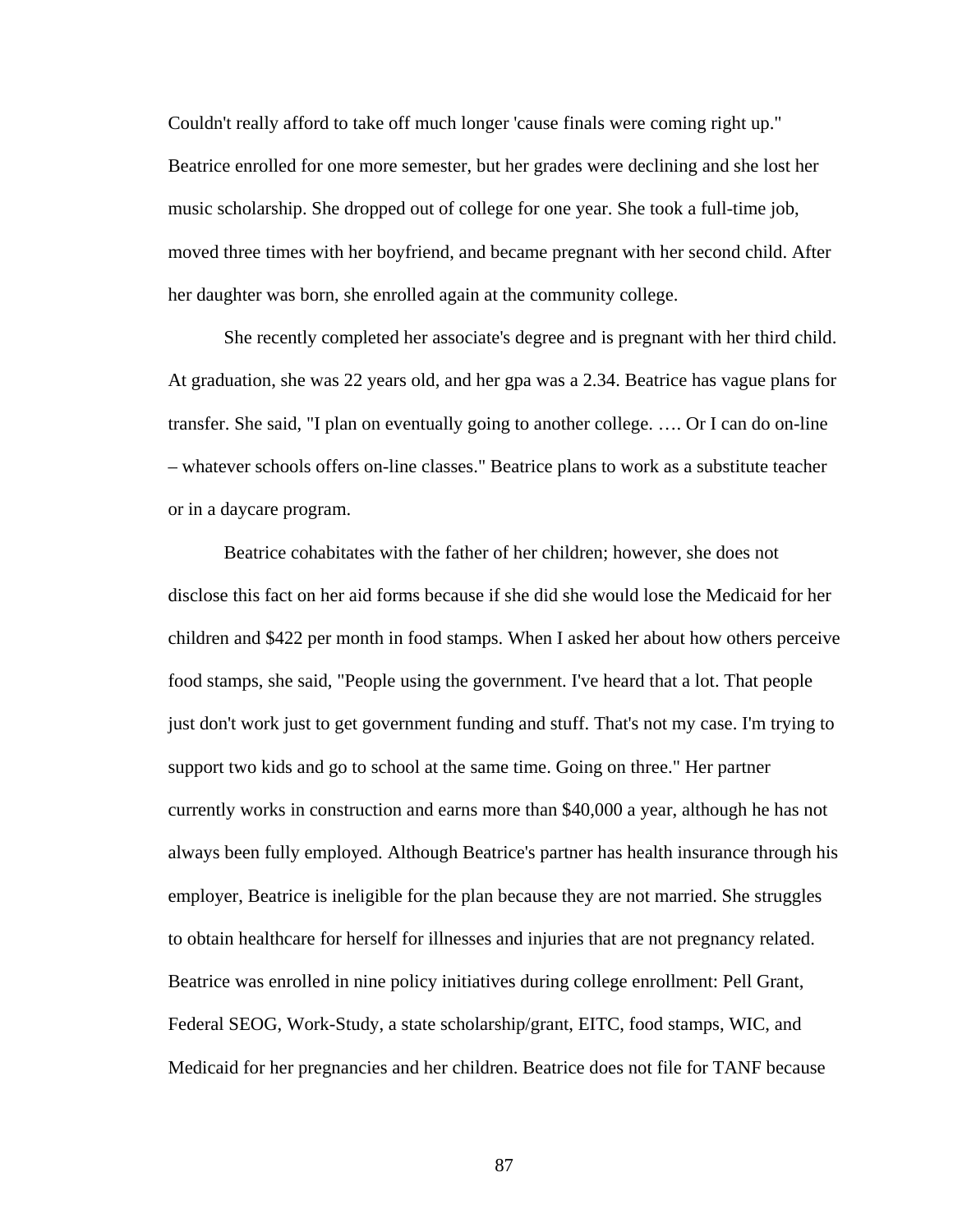Couldn't really afford to take off much longer 'cause finals were coming right up." Beatrice enrolled for one more semester, but her grades were declining and she lost her music scholarship. She dropped out of college for one year. She took a full-time job, moved three times with her boyfriend, and became pregnant with her second child. After her daughter was born, she enrolled again at the community college.

 She recently completed her associate's degree and is pregnant with her third child. At graduation, she was 22 years old, and her gpa was a 2.34. Beatrice has vague plans for transfer. She said, "I plan on eventually going to another college. …. Or I can do on-line – whatever schools offers on-line classes." Beatrice plans to work as a substitute teacher or in a daycare program.

 Beatrice cohabitates with the father of her children; however, she does not disclose this fact on her aid forms because if she did she would lose the Medicaid for her children and \$422 per month in food stamps. When I asked her about how others perceive food stamps, she said, "People using the government. I've heard that a lot. That people just don't work just to get government funding and stuff. That's not my case. I'm trying to support two kids and go to school at the same time. Going on three." Her partner currently works in construction and earns more than \$40,000 a year, although he has not always been fully employed. Although Beatrice's partner has health insurance through his employer, Beatrice is ineligible for the plan because they are not married. She struggles to obtain healthcare for herself for illnesses and injuries that are not pregnancy related. Beatrice was enrolled in nine policy initiatives during college enrollment: Pell Grant, Federal SEOG, Work-Study, a state scholarship/grant, EITC, food stamps, WIC, and Medicaid for her pregnancies and her children. Beatrice does not file for TANF because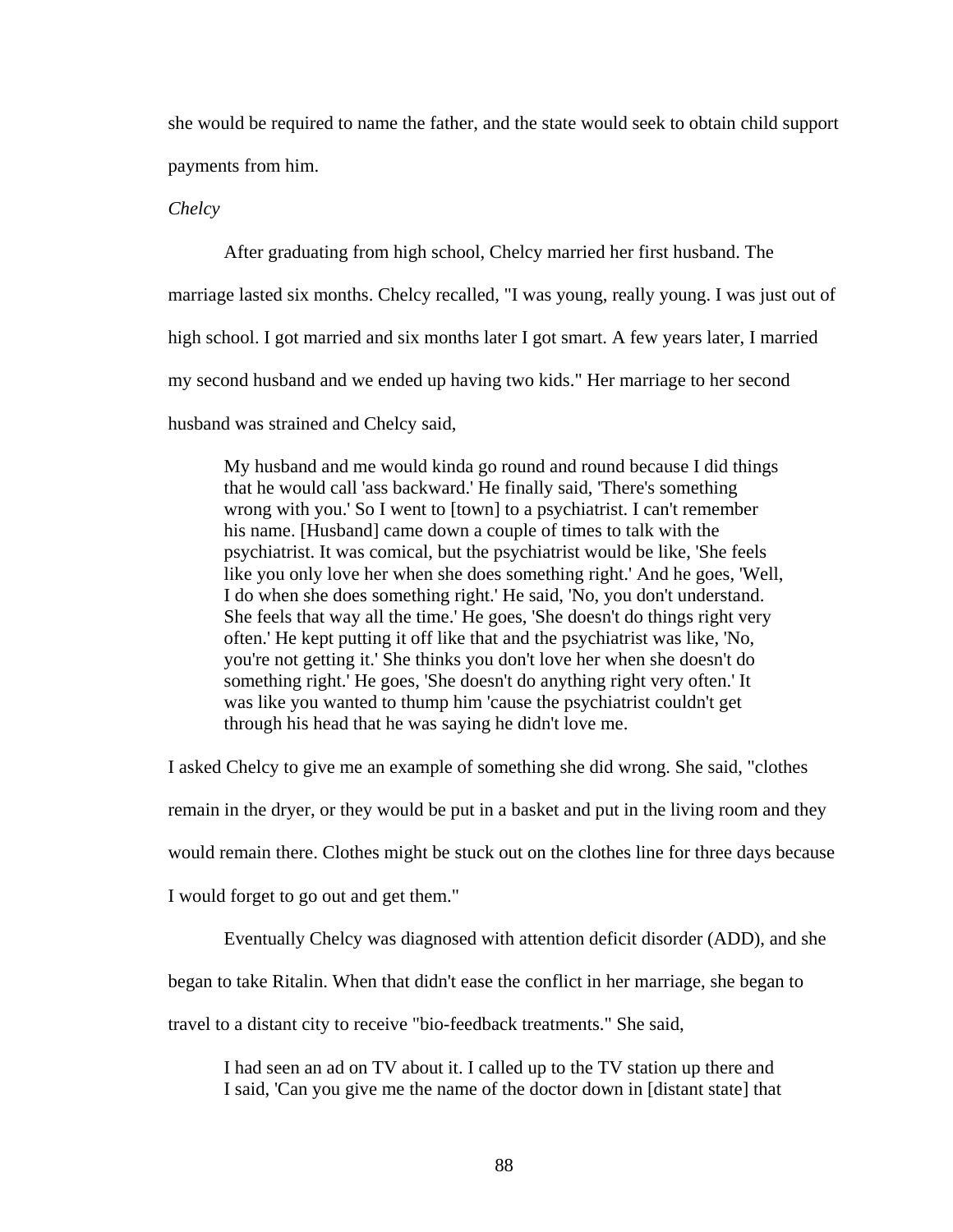she would be required to name the father, and the state would seek to obtain child support payments from him.

*Chelcy* 

After graduating from high school, Chelcy married her first husband. The

marriage lasted six months. Chelcy recalled, "I was young, really young. I was just out of

high school. I got married and six months later I got smart. A few years later, I married

my second husband and we ended up having two kids." Her marriage to her second

husband was strained and Chelcy said,

My husband and me would kinda go round and round because I did things that he would call 'ass backward.' He finally said, 'There's something wrong with you.' So I went to [town] to a psychiatrist. I can't remember his name. [Husband] came down a couple of times to talk with the psychiatrist. It was comical, but the psychiatrist would be like, 'She feels like you only love her when she does something right.' And he goes, 'Well, I do when she does something right.' He said, 'No, you don't understand. She feels that way all the time.' He goes, 'She doesn't do things right very often.' He kept putting it off like that and the psychiatrist was like, 'No, you're not getting it.' She thinks you don't love her when she doesn't do something right.' He goes, 'She doesn't do anything right very often.' It was like you wanted to thump him 'cause the psychiatrist couldn't get through his head that he was saying he didn't love me.

I asked Chelcy to give me an example of something she did wrong. She said, "clothes

remain in the dryer, or they would be put in a basket and put in the living room and they

would remain there. Clothes might be stuck out on the clothes line for three days because

I would forget to go out and get them."

Eventually Chelcy was diagnosed with attention deficit disorder (ADD), and she

began to take Ritalin. When that didn't ease the conflict in her marriage, she began to

travel to a distant city to receive "bio-feedback treatments." She said,

I had seen an ad on TV about it. I called up to the TV station up there and I said, 'Can you give me the name of the doctor down in [distant state] that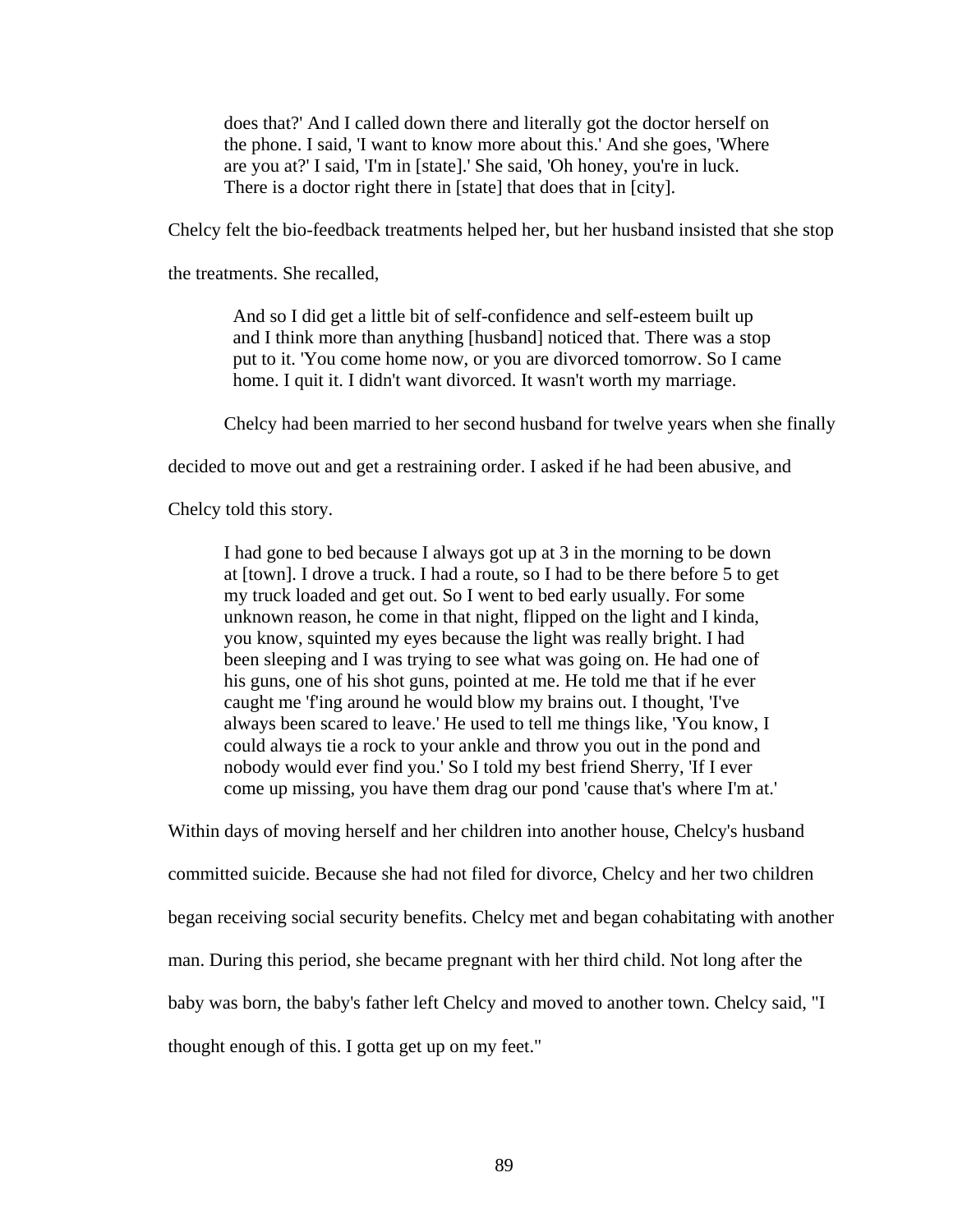does that?' And I called down there and literally got the doctor herself on the phone. I said, 'I want to know more about this.' And she goes, 'Where are you at?' I said, 'I'm in [state].' She said, 'Oh honey, you're in luck. There is a doctor right there in [state] that does that in [city].

Chelcy felt the bio-feedback treatments helped her, but her husband insisted that she stop

the treatments. She recalled,

And so I did get a little bit of self-confidence and self-esteem built up and I think more than anything [husband] noticed that. There was a stop put to it. 'You come home now, or you are divorced tomorrow. So I came home. I quit it. I didn't want divorced. It wasn't worth my marriage.

Chelcy had been married to her second husband for twelve years when she finally

decided to move out and get a restraining order. I asked if he had been abusive, and

Chelcy told this story.

I had gone to bed because I always got up at 3 in the morning to be down at [town]. I drove a truck. I had a route, so I had to be there before 5 to get my truck loaded and get out. So I went to bed early usually. For some unknown reason, he come in that night, flipped on the light and I kinda, you know, squinted my eyes because the light was really bright. I had been sleeping and I was trying to see what was going on. He had one of his guns, one of his shot guns, pointed at me. He told me that if he ever caught me 'f'ing around he would blow my brains out. I thought, 'I've always been scared to leave.' He used to tell me things like, 'You know, I could always tie a rock to your ankle and throw you out in the pond and nobody would ever find you.' So I told my best friend Sherry, 'If I ever come up missing, you have them drag our pond 'cause that's where I'm at.'

Within days of moving herself and her children into another house, Chelcy's husband committed suicide. Because she had not filed for divorce, Chelcy and her two children began receiving social security benefits. Chelcy met and began cohabitating with another man. During this period, she became pregnant with her third child. Not long after the baby was born, the baby's father left Chelcy and moved to another town. Chelcy said, "I thought enough of this. I gotta get up on my feet."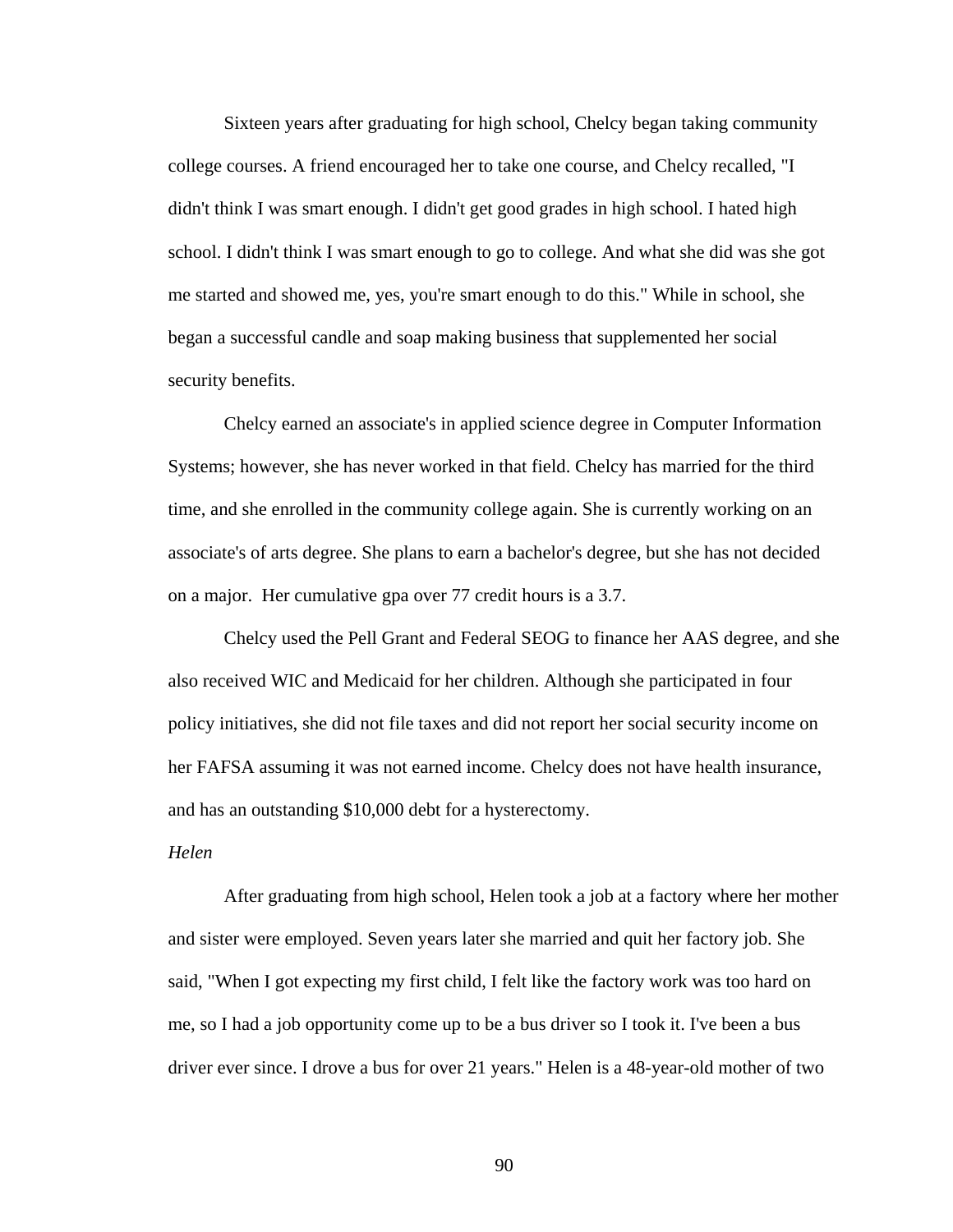Sixteen years after graduating for high school, Chelcy began taking community college courses. A friend encouraged her to take one course, and Chelcy recalled, "I didn't think I was smart enough. I didn't get good grades in high school. I hated high school. I didn't think I was smart enough to go to college. And what she did was she got me started and showed me, yes, you're smart enough to do this." While in school, she began a successful candle and soap making business that supplemented her social security benefits.

 Chelcy earned an associate's in applied science degree in Computer Information Systems; however, she has never worked in that field. Chelcy has married for the third time, and she enrolled in the community college again. She is currently working on an associate's of arts degree. She plans to earn a bachelor's degree, but she has not decided on a major. Her cumulative gpa over 77 credit hours is a 3.7.

 Chelcy used the Pell Grant and Federal SEOG to finance her AAS degree, and she also received WIC and Medicaid for her children. Although she participated in four policy initiatives, she did not file taxes and did not report her social security income on her FAFSA assuming it was not earned income. Chelcy does not have health insurance, and has an outstanding \$10,000 debt for a hysterectomy.

## *Helen*

After graduating from high school, Helen took a job at a factory where her mother and sister were employed. Seven years later she married and quit her factory job. She said, "When I got expecting my first child, I felt like the factory work was too hard on me, so I had a job opportunity come up to be a bus driver so I took it. I've been a bus driver ever since. I drove a bus for over 21 years." Helen is a 48-year-old mother of two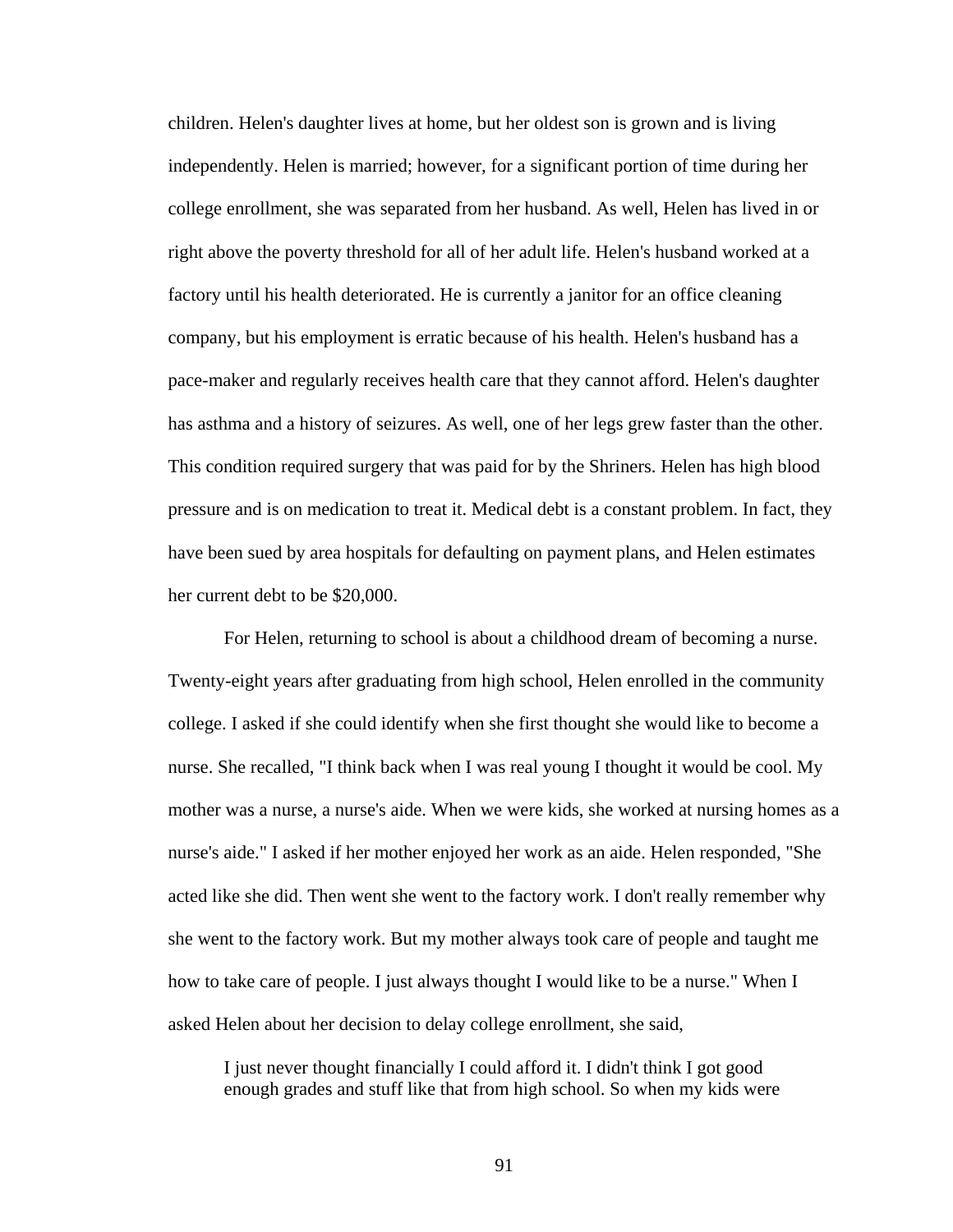children. Helen's daughter lives at home, but her oldest son is grown and is living independently. Helen is married; however, for a significant portion of time during her college enrollment, she was separated from her husband. As well, Helen has lived in or right above the poverty threshold for all of her adult life. Helen's husband worked at a factory until his health deteriorated. He is currently a janitor for an office cleaning company, but his employment is erratic because of his health. Helen's husband has a pace-maker and regularly receives health care that they cannot afford. Helen's daughter has asthma and a history of seizures. As well, one of her legs grew faster than the other. This condition required surgery that was paid for by the Shriners. Helen has high blood pressure and is on medication to treat it. Medical debt is a constant problem. In fact, they have been sued by area hospitals for defaulting on payment plans, and Helen estimates her current debt to be \$20,000.

 For Helen, returning to school is about a childhood dream of becoming a nurse. Twenty-eight years after graduating from high school, Helen enrolled in the community college. I asked if she could identify when she first thought she would like to become a nurse. She recalled, "I think back when I was real young I thought it would be cool. My mother was a nurse, a nurse's aide. When we were kids, she worked at nursing homes as a nurse's aide." I asked if her mother enjoyed her work as an aide. Helen responded, "She acted like she did. Then went she went to the factory work. I don't really remember why she went to the factory work. But my mother always took care of people and taught me how to take care of people. I just always thought I would like to be a nurse." When I asked Helen about her decision to delay college enrollment, she said,

I just never thought financially I could afford it. I didn't think I got good enough grades and stuff like that from high school. So when my kids were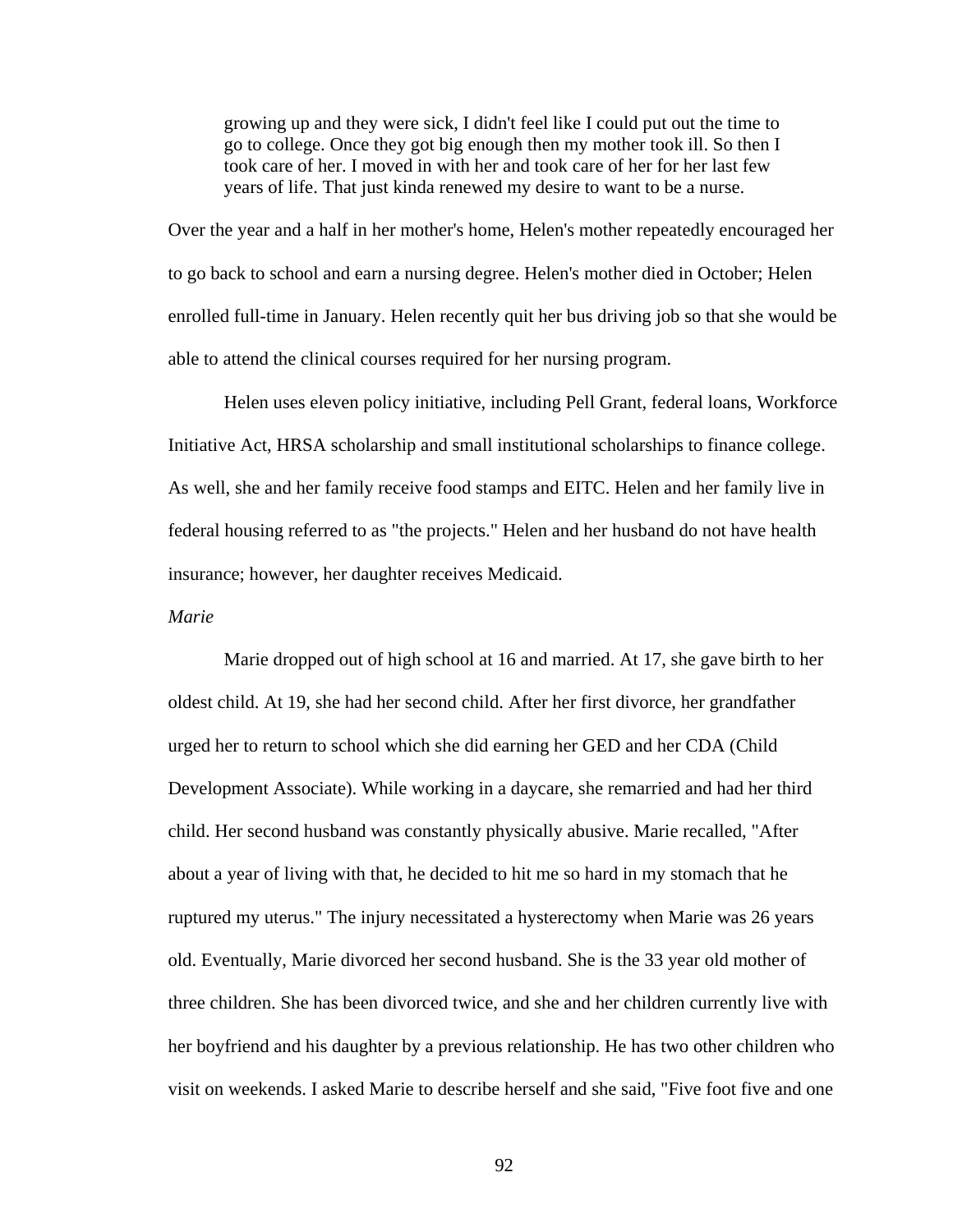growing up and they were sick, I didn't feel like I could put out the time to go to college. Once they got big enough then my mother took ill. So then I took care of her. I moved in with her and took care of her for her last few years of life. That just kinda renewed my desire to want to be a nurse.

Over the year and a half in her mother's home, Helen's mother repeatedly encouraged her to go back to school and earn a nursing degree. Helen's mother died in October; Helen enrolled full-time in January. Helen recently quit her bus driving job so that she would be able to attend the clinical courses required for her nursing program.

Helen uses eleven policy initiative, including Pell Grant, federal loans, Workforce Initiative Act, HRSA scholarship and small institutional scholarships to finance college. As well, she and her family receive food stamps and EITC. Helen and her family live in federal housing referred to as "the projects." Helen and her husband do not have health insurance; however, her daughter receives Medicaid.

# *Marie*

 Marie dropped out of high school at 16 and married. At 17, she gave birth to her oldest child. At 19, she had her second child. After her first divorce, her grandfather urged her to return to school which she did earning her GED and her CDA (Child Development Associate). While working in a daycare, she remarried and had her third child. Her second husband was constantly physically abusive. Marie recalled, "After about a year of living with that, he decided to hit me so hard in my stomach that he ruptured my uterus." The injury necessitated a hysterectomy when Marie was 26 years old. Eventually, Marie divorced her second husband. She is the 33 year old mother of three children. She has been divorced twice, and she and her children currently live with her boyfriend and his daughter by a previous relationship. He has two other children who visit on weekends. I asked Marie to describe herself and she said, "Five foot five and one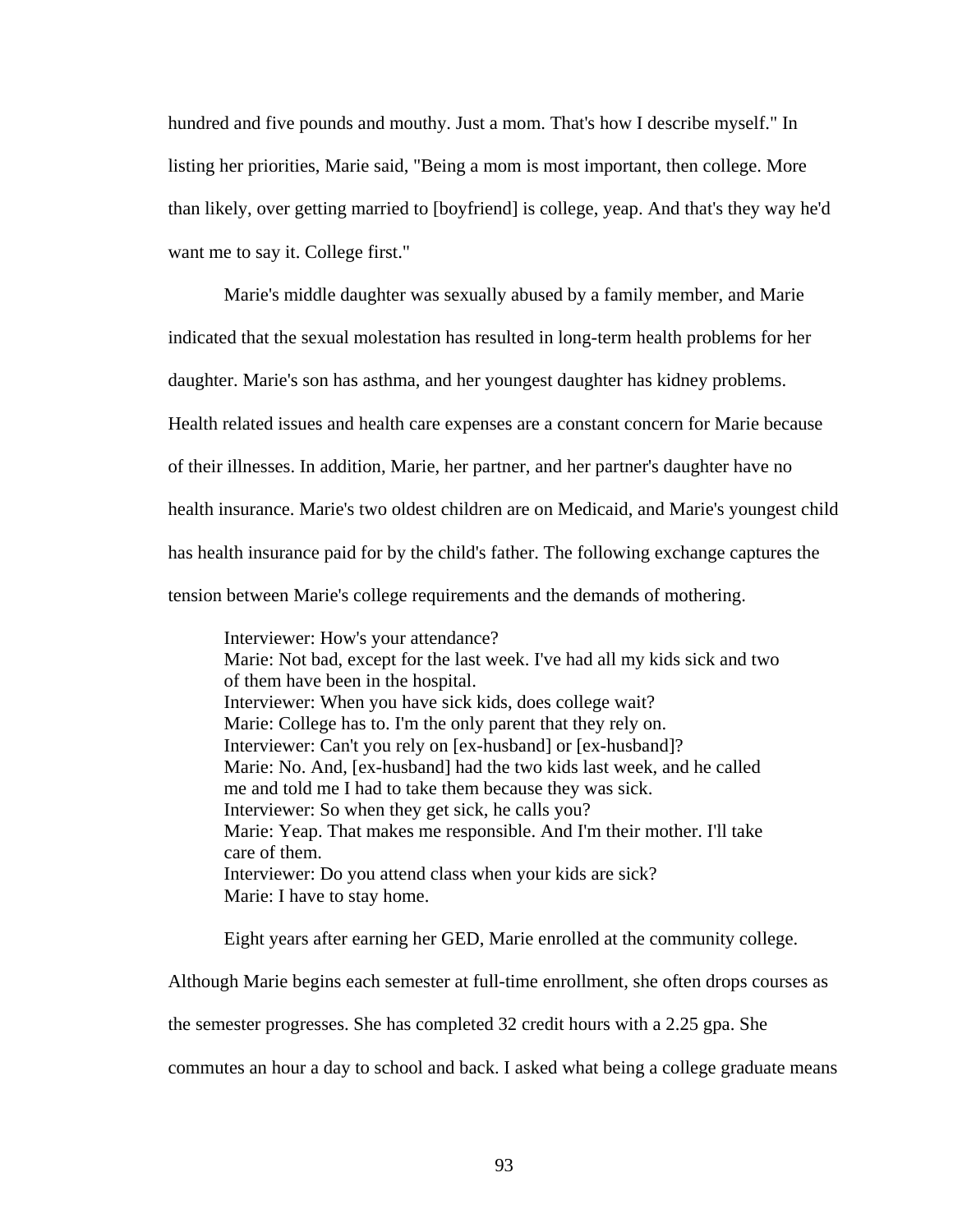hundred and five pounds and mouthy. Just a mom. That's how I describe myself." In listing her priorities, Marie said, "Being a mom is most important, then college. More than likely, over getting married to [boyfriend] is college, yeap. And that's they way he'd want me to say it. College first."

 Marie's middle daughter was sexually abused by a family member, and Marie indicated that the sexual molestation has resulted in long-term health problems for her daughter. Marie's son has asthma, and her youngest daughter has kidney problems. Health related issues and health care expenses are a constant concern for Marie because of their illnesses. In addition, Marie, her partner, and her partner's daughter have no health insurance. Marie's two oldest children are on Medicaid, and Marie's youngest child has health insurance paid for by the child's father. The following exchange captures the tension between Marie's college requirements and the demands of mothering.

Interviewer: How's your attendance? Marie: Not bad, except for the last week. I've had all my kids sick and two of them have been in the hospital. Interviewer: When you have sick kids, does college wait? Marie: College has to. I'm the only parent that they rely on. Interviewer: Can't you rely on [ex-husband] or [ex-husband]? Marie: No. And, [ex-husband] had the two kids last week, and he called me and told me I had to take them because they was sick. Interviewer: So when they get sick, he calls you? Marie: Yeap. That makes me responsible. And I'm their mother. I'll take care of them. Interviewer: Do you attend class when your kids are sick? Marie: I have to stay home.

Eight years after earning her GED, Marie enrolled at the community college.

Although Marie begins each semester at full-time enrollment, she often drops courses as

the semester progresses. She has completed 32 credit hours with a 2.25 gpa. She

commutes an hour a day to school and back. I asked what being a college graduate means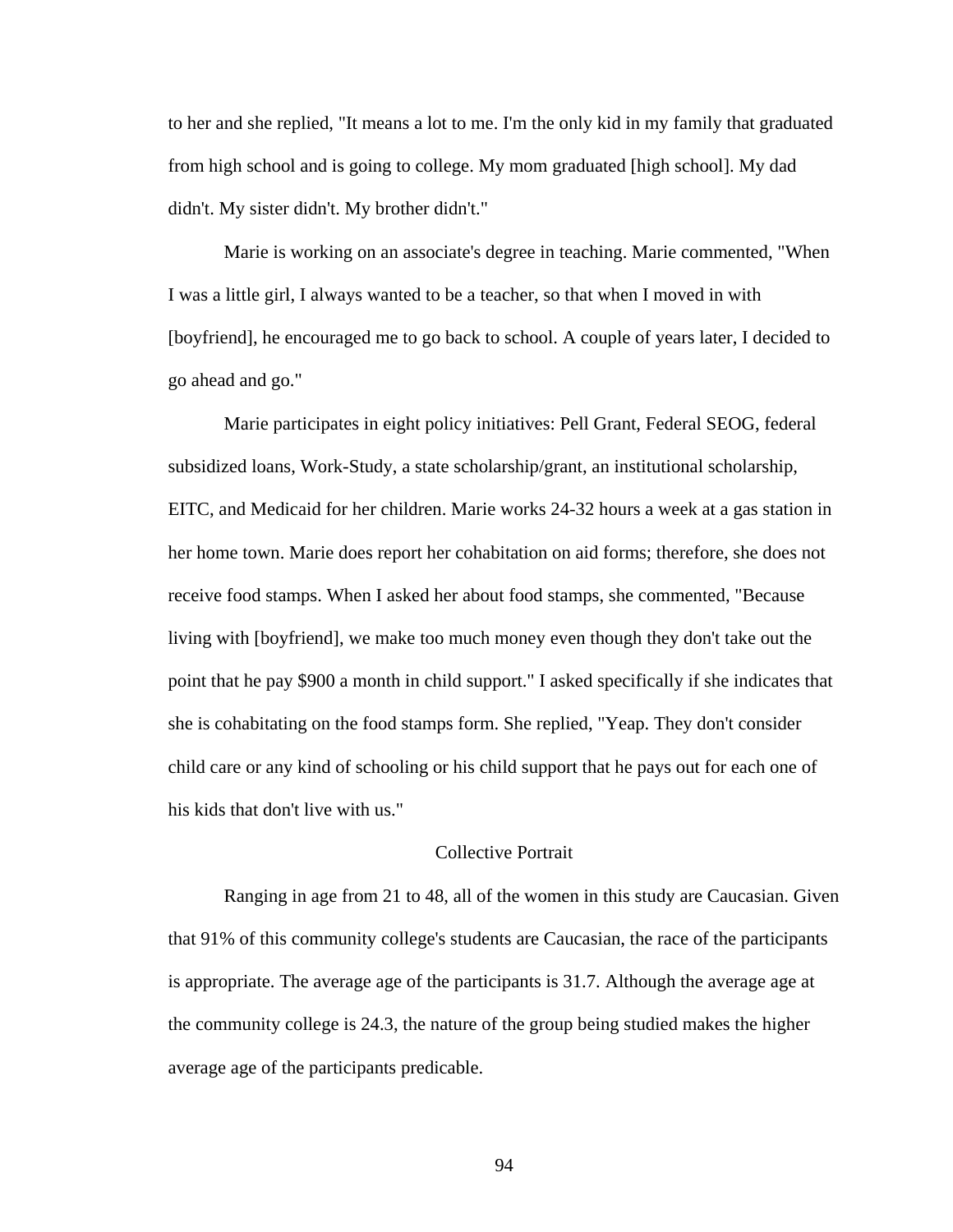to her and she replied, "It means a lot to me. I'm the only kid in my family that graduated from high school and is going to college. My mom graduated [high school]. My dad didn't. My sister didn't. My brother didn't."

 Marie is working on an associate's degree in teaching. Marie commented, "When I was a little girl, I always wanted to be a teacher, so that when I moved in with [boyfriend], he encouraged me to go back to school. A couple of years later, I decided to go ahead and go."

 Marie participates in eight policy initiatives: Pell Grant, Federal SEOG, federal subsidized loans, Work-Study, a state scholarship/grant, an institutional scholarship, EITC, and Medicaid for her children. Marie works 24-32 hours a week at a gas station in her home town. Marie does report her cohabitation on aid forms; therefore, she does not receive food stamps. When I asked her about food stamps, she commented, "Because living with [boyfriend], we make too much money even though they don't take out the point that he pay \$900 a month in child support." I asked specifically if she indicates that she is cohabitating on the food stamps form. She replied, "Yeap. They don't consider child care or any kind of schooling or his child support that he pays out for each one of his kids that don't live with us."

## Collective Portrait

 Ranging in age from 21 to 48, all of the women in this study are Caucasian. Given that 91% of this community college's students are Caucasian, the race of the participants is appropriate. The average age of the participants is 31.7. Although the average age at the community college is 24.3, the nature of the group being studied makes the higher average age of the participants predicable.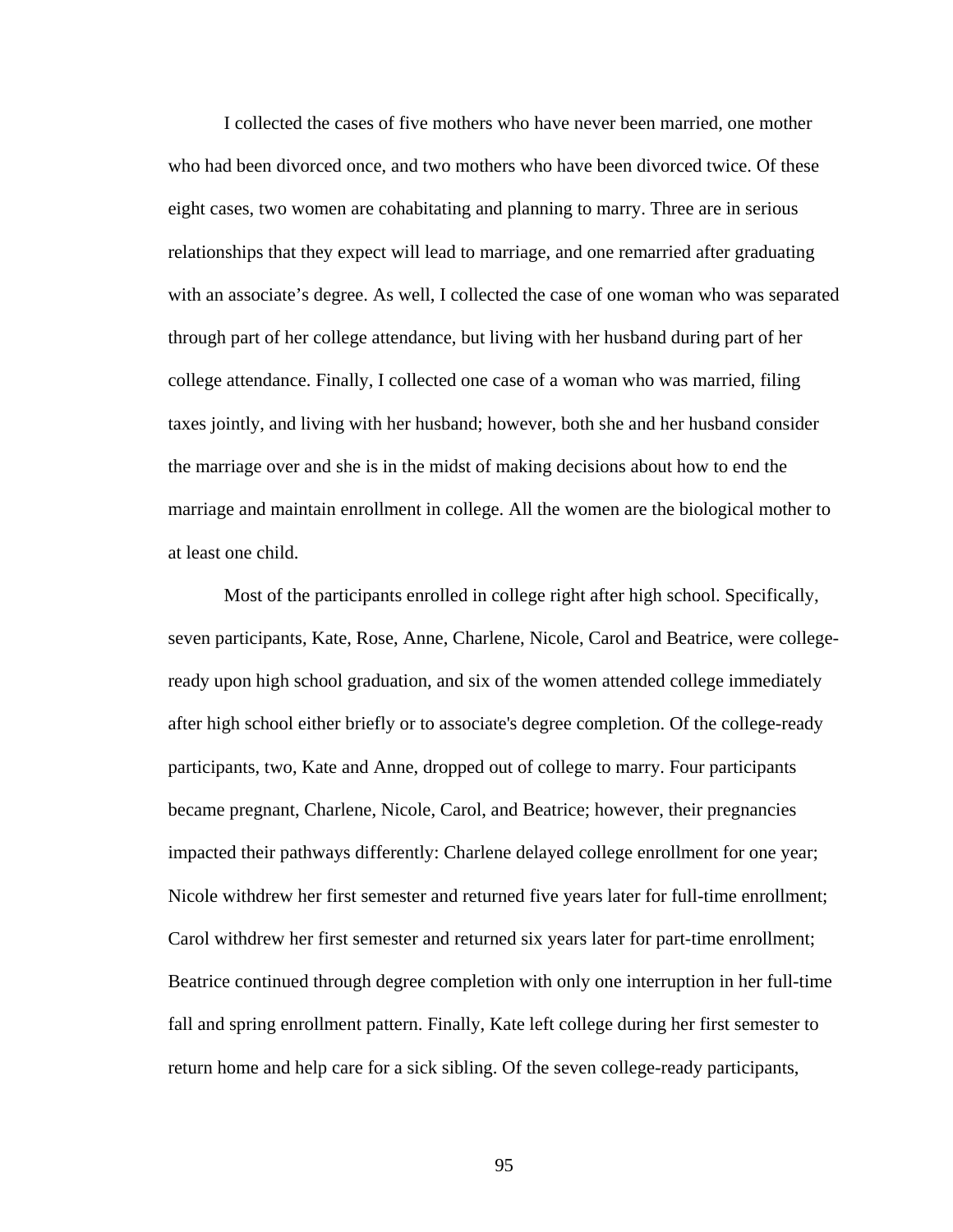I collected the cases of five mothers who have never been married, one mother who had been divorced once, and two mothers who have been divorced twice. Of these eight cases, two women are cohabitating and planning to marry. Three are in serious relationships that they expect will lead to marriage, and one remarried after graduating with an associate's degree. As well, I collected the case of one woman who was separated through part of her college attendance, but living with her husband during part of her college attendance. Finally, I collected one case of a woman who was married, filing taxes jointly, and living with her husband; however, both she and her husband consider the marriage over and she is in the midst of making decisions about how to end the marriage and maintain enrollment in college. All the women are the biological mother to at least one child.

 Most of the participants enrolled in college right after high school. Specifically, seven participants, Kate, Rose, Anne, Charlene, Nicole, Carol and Beatrice, were collegeready upon high school graduation, and six of the women attended college immediately after high school either briefly or to associate's degree completion. Of the college-ready participants, two, Kate and Anne, dropped out of college to marry. Four participants became pregnant, Charlene, Nicole, Carol, and Beatrice; however, their pregnancies impacted their pathways differently: Charlene delayed college enrollment for one year; Nicole withdrew her first semester and returned five years later for full-time enrollment; Carol withdrew her first semester and returned six years later for part-time enrollment; Beatrice continued through degree completion with only one interruption in her full-time fall and spring enrollment pattern. Finally, Kate left college during her first semester to return home and help care for a sick sibling. Of the seven college-ready participants,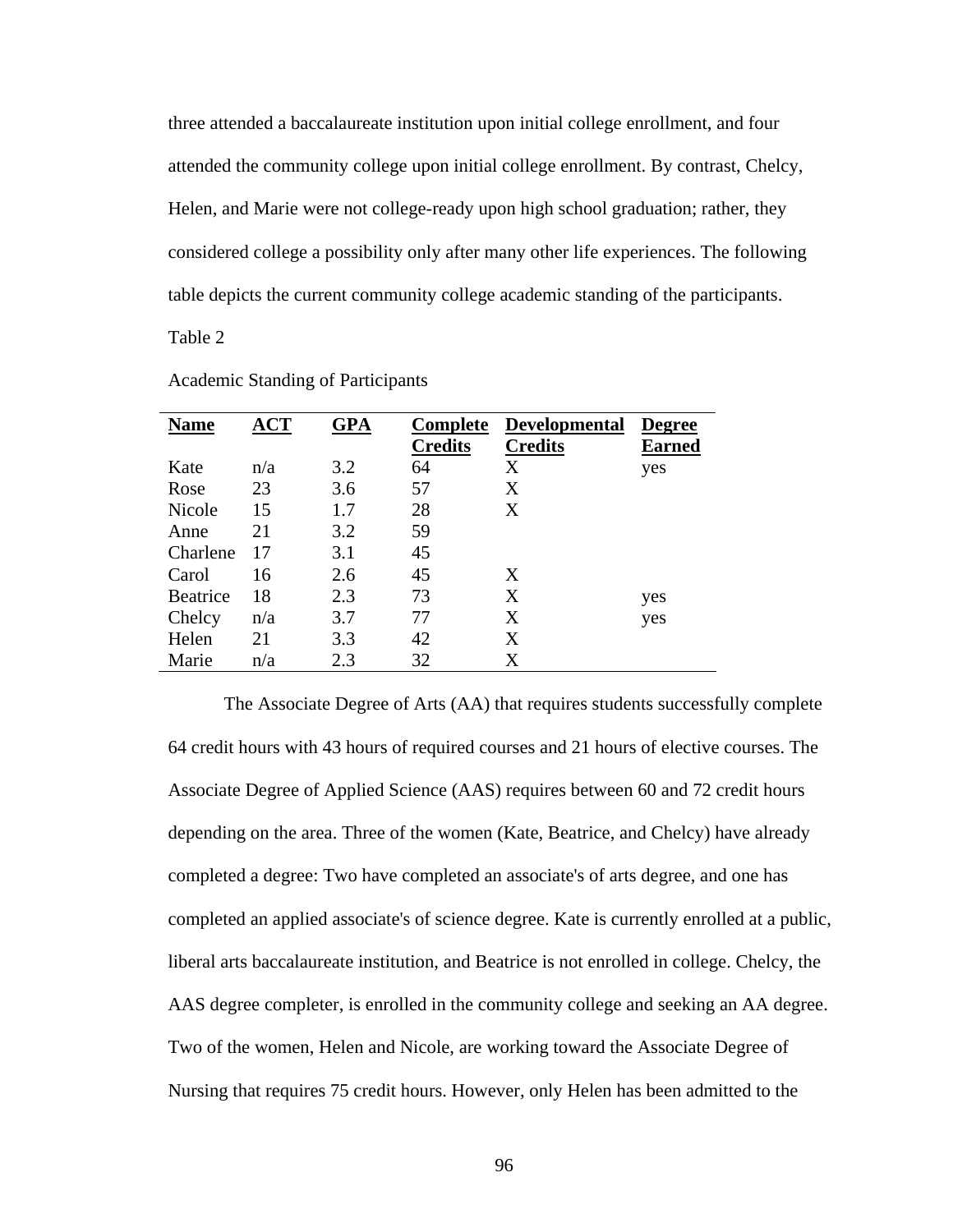three attended a baccalaureate institution upon initial college enrollment, and four attended the community college upon initial college enrollment. By contrast, Chelcy, Helen, and Marie were not college-ready upon high school graduation; rather, they considered college a possibility only after many other life experiences. The following table depicts the current community college academic standing of the participants.

Table 2

| <b>Name</b>     | $\bf{ACT}$ | <b>GPA</b> | <b>Complete</b> | <b>Developmental</b> | <b>Degree</b> |
|-----------------|------------|------------|-----------------|----------------------|---------------|
|                 |            |            | <b>Credits</b>  | <b>Credits</b>       | <b>Earned</b> |
| Kate            | n/a        | 3.2        | 64              | Χ                    | yes           |
| Rose            | 23         | 3.6        | 57              | X                    |               |
| Nicole          | 15         | 1.7        | 28              | X                    |               |
| Anne            | 21         | 3.2        | 59              |                      |               |
| Charlene        | 17         | 3.1        | 45              |                      |               |
| Carol           | 16         | 2.6        | 45              | X                    |               |
| <b>Beatrice</b> | 18         | 2.3        | 73              | X                    | yes           |
| Chelcy          | n/a        | 3.7        | 77              | X                    | yes           |
| Helen           | 21         | 3.3        | 42              | X                    |               |
| Marie           | n/a        | 2.3        | 32              | X                    |               |

Academic Standing of Participants

The Associate Degree of Arts (AA) that requires students successfully complete 64 credit hours with 43 hours of required courses and 21 hours of elective courses. The Associate Degree of Applied Science (AAS) requires between 60 and 72 credit hours depending on the area. Three of the women (Kate, Beatrice, and Chelcy) have already completed a degree: Two have completed an associate's of arts degree, and one has completed an applied associate's of science degree. Kate is currently enrolled at a public, liberal arts baccalaureate institution, and Beatrice is not enrolled in college. Chelcy, the AAS degree completer, is enrolled in the community college and seeking an AA degree. Two of the women, Helen and Nicole, are working toward the Associate Degree of Nursing that requires 75 credit hours. However, only Helen has been admitted to the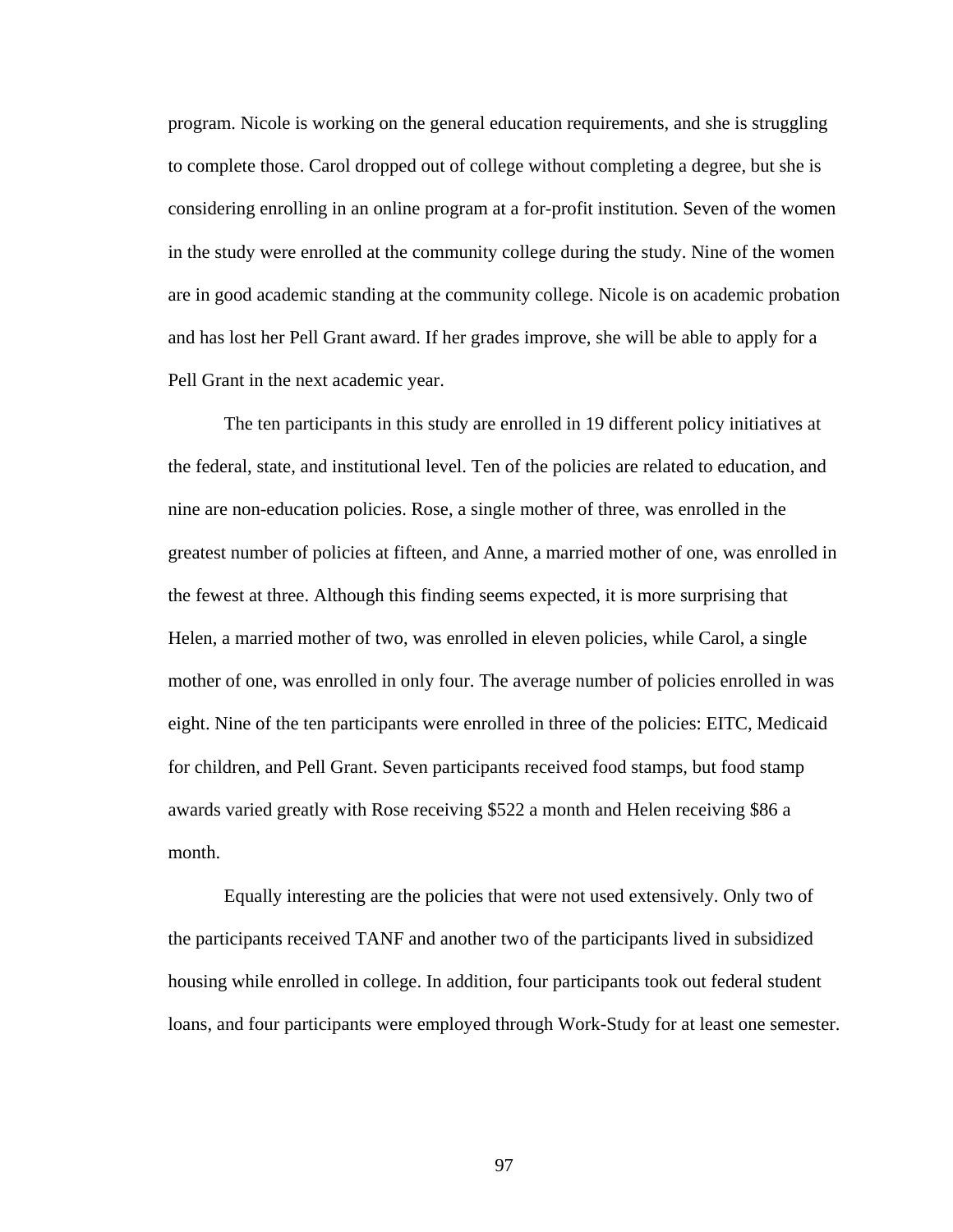program. Nicole is working on the general education requirements, and she is struggling to complete those. Carol dropped out of college without completing a degree, but she is considering enrolling in an online program at a for-profit institution. Seven of the women in the study were enrolled at the community college during the study. Nine of the women are in good academic standing at the community college. Nicole is on academic probation and has lost her Pell Grant award. If her grades improve, she will be able to apply for a Pell Grant in the next academic year.

The ten participants in this study are enrolled in 19 different policy initiatives at the federal, state, and institutional level. Ten of the policies are related to education, and nine are non-education policies. Rose, a single mother of three, was enrolled in the greatest number of policies at fifteen, and Anne, a married mother of one, was enrolled in the fewest at three. Although this finding seems expected, it is more surprising that Helen, a married mother of two, was enrolled in eleven policies, while Carol, a single mother of one, was enrolled in only four. The average number of policies enrolled in was eight. Nine of the ten participants were enrolled in three of the policies: EITC, Medicaid for children, and Pell Grant. Seven participants received food stamps, but food stamp awards varied greatly with Rose receiving \$522 a month and Helen receiving \$86 a month.

Equally interesting are the policies that were not used extensively. Only two of the participants received TANF and another two of the participants lived in subsidized housing while enrolled in college. In addition, four participants took out federal student loans, and four participants were employed through Work-Study for at least one semester.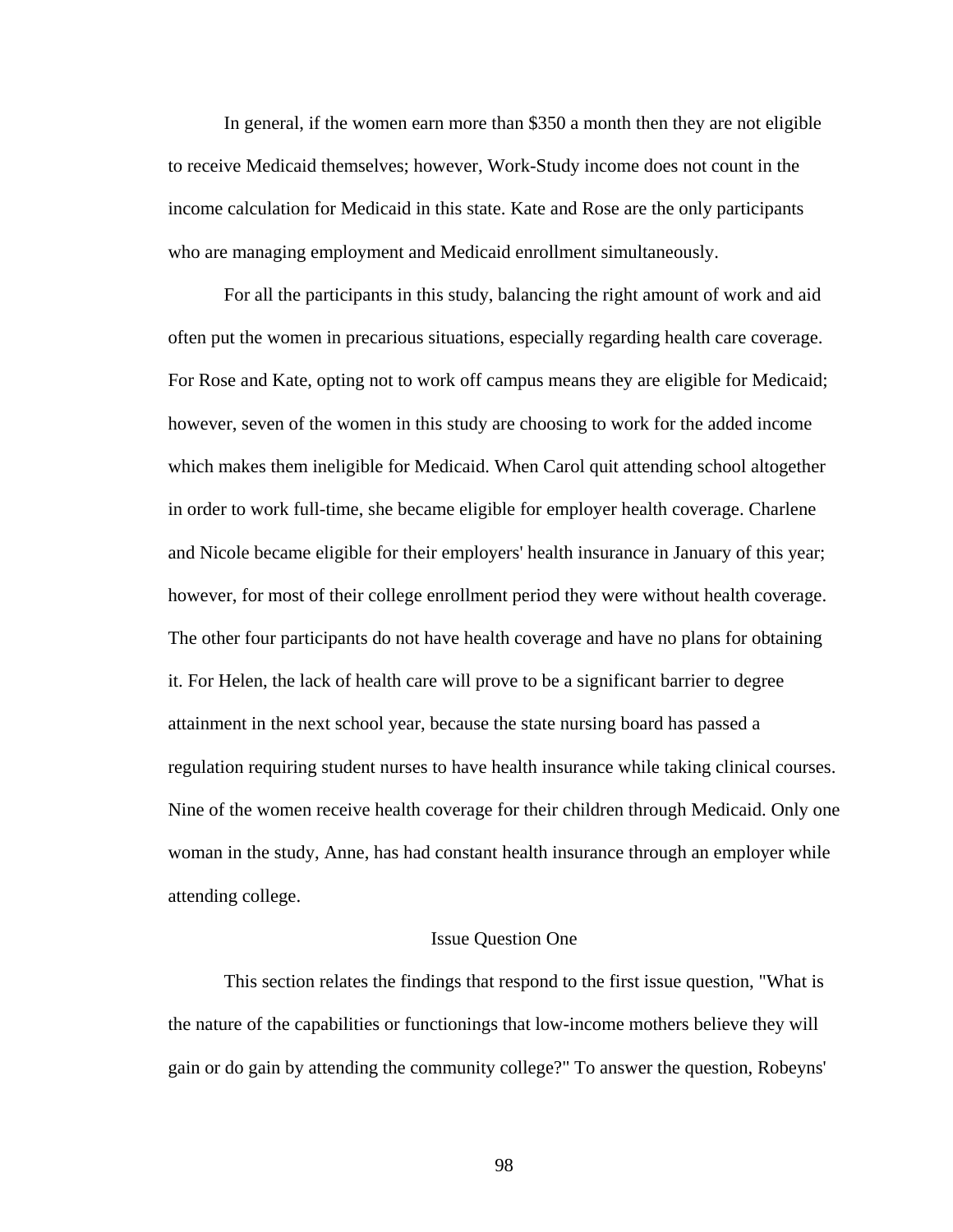In general, if the women earn more than \$350 a month then they are not eligible to receive Medicaid themselves; however, Work-Study income does not count in the income calculation for Medicaid in this state. Kate and Rose are the only participants who are managing employment and Medicaid enrollment simultaneously.

For all the participants in this study, balancing the right amount of work and aid often put the women in precarious situations, especially regarding health care coverage. For Rose and Kate, opting not to work off campus means they are eligible for Medicaid; however, seven of the women in this study are choosing to work for the added income which makes them ineligible for Medicaid. When Carol quit attending school altogether in order to work full-time, she became eligible for employer health coverage. Charlene and Nicole became eligible for their employers' health insurance in January of this year; however, for most of their college enrollment period they were without health coverage. The other four participants do not have health coverage and have no plans for obtaining it. For Helen, the lack of health care will prove to be a significant barrier to degree attainment in the next school year, because the state nursing board has passed a regulation requiring student nurses to have health insurance while taking clinical courses. Nine of the women receive health coverage for their children through Medicaid. Only one woman in the study, Anne, has had constant health insurance through an employer while attending college.

## Issue Question One

 This section relates the findings that respond to the first issue question, "What is the nature of the capabilities or functionings that low-income mothers believe they will gain or do gain by attending the community college?" To answer the question, Robeyns'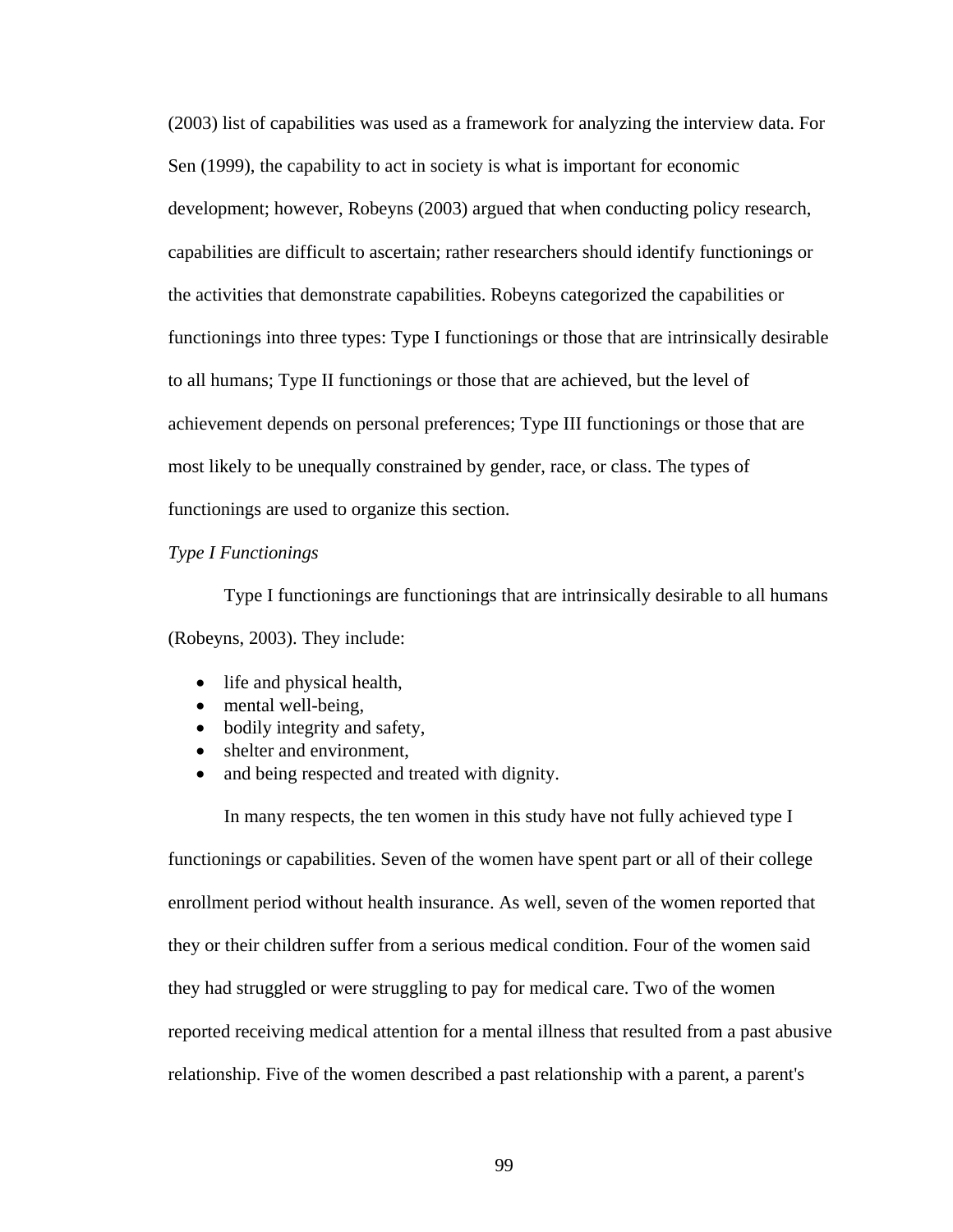(2003) list of capabilities was used as a framework for analyzing the interview data. For Sen (1999), the capability to act in society is what is important for economic development; however, Robeyns (2003) argued that when conducting policy research, capabilities are difficult to ascertain; rather researchers should identify functionings or the activities that demonstrate capabilities. Robeyns categorized the capabilities or functionings into three types: Type I functionings or those that are intrinsically desirable to all humans; Type II functionings or those that are achieved, but the level of achievement depends on personal preferences; Type III functionings or those that are most likely to be unequally constrained by gender, race, or class. The types of functionings are used to organize this section.

## *Type I Functionings*

 Type I functionings are functionings that are intrinsically desirable to all humans (Robeyns, 2003). They include:

- life and physical health,
- mental well-being,
- bodily integrity and safety,
- shelter and environment.
- and being respected and treated with dignity.

In many respects, the ten women in this study have not fully achieved type I functionings or capabilities. Seven of the women have spent part or all of their college enrollment period without health insurance. As well, seven of the women reported that they or their children suffer from a serious medical condition. Four of the women said they had struggled or were struggling to pay for medical care. Two of the women reported receiving medical attention for a mental illness that resulted from a past abusive relationship. Five of the women described a past relationship with a parent, a parent's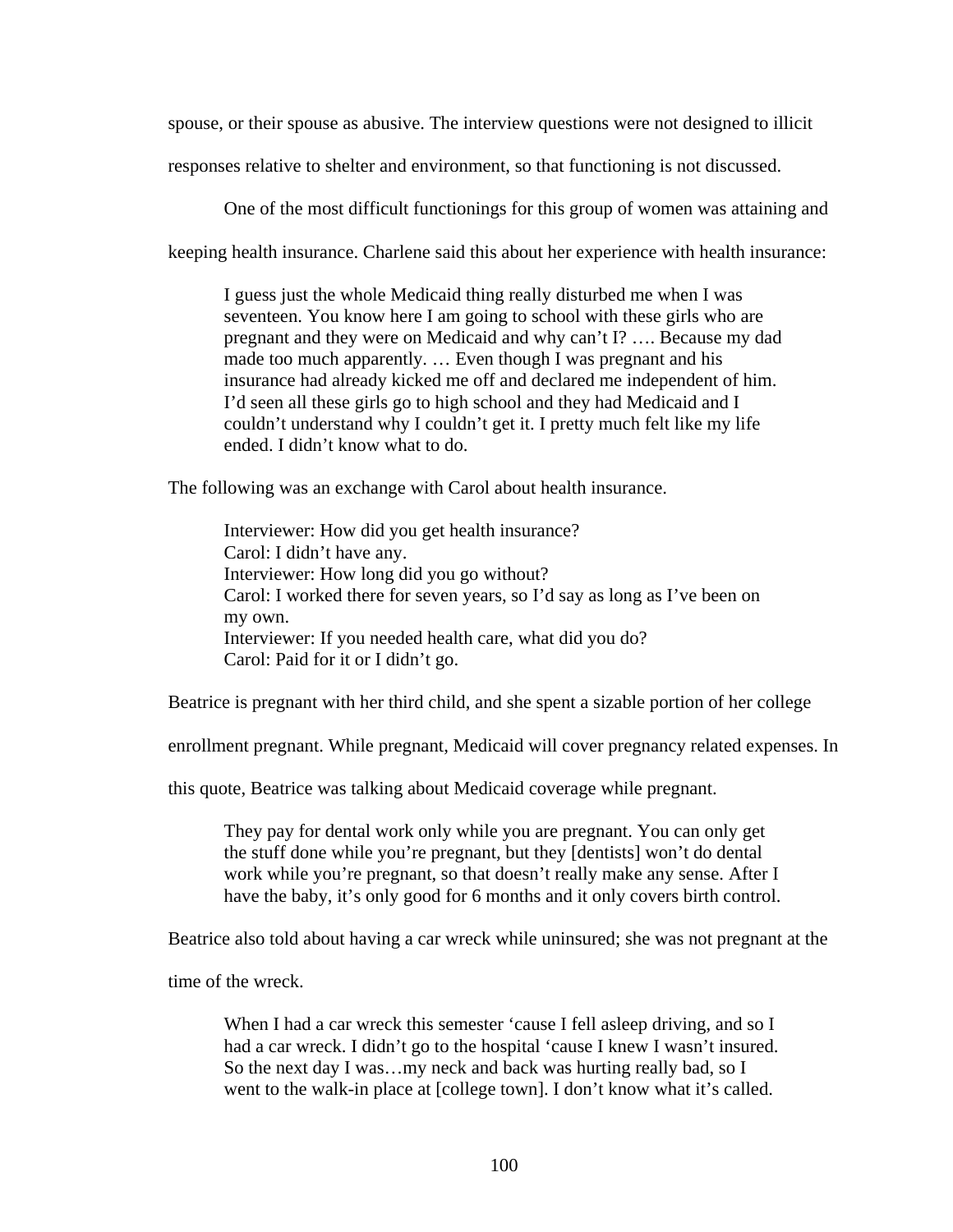spouse, or their spouse as abusive. The interview questions were not designed to illicit

responses relative to shelter and environment, so that functioning is not discussed.

One of the most difficult functionings for this group of women was attaining and

keeping health insurance. Charlene said this about her experience with health insurance:

I guess just the whole Medicaid thing really disturbed me when I was seventeen. You know here I am going to school with these girls who are pregnant and they were on Medicaid and why can't I? …. Because my dad made too much apparently. … Even though I was pregnant and his insurance had already kicked me off and declared me independent of him. I'd seen all these girls go to high school and they had Medicaid and I couldn't understand why I couldn't get it. I pretty much felt like my life ended. I didn't know what to do.

The following was an exchange with Carol about health insurance.

Interviewer: How did you get health insurance? Carol: I didn't have any. Interviewer: How long did you go without? Carol: I worked there for seven years, so I'd say as long as I've been on my own. Interviewer: If you needed health care, what did you do? Carol: Paid for it or I didn't go.

Beatrice is pregnant with her third child, and she spent a sizable portion of her college

enrollment pregnant. While pregnant, Medicaid will cover pregnancy related expenses. In

this quote, Beatrice was talking about Medicaid coverage while pregnant.

They pay for dental work only while you are pregnant. You can only get the stuff done while you're pregnant, but they [dentists] won't do dental work while you're pregnant, so that doesn't really make any sense. After I have the baby, it's only good for 6 months and it only covers birth control.

Beatrice also told about having a car wreck while uninsured; she was not pregnant at the

time of the wreck.

When I had a car wreck this semester 'cause I fell asleep driving, and so I had a car wreck. I didn't go to the hospital 'cause I knew I wasn't insured. So the next day I was…my neck and back was hurting really bad, so I went to the walk-in place at [college town]. I don't know what it's called.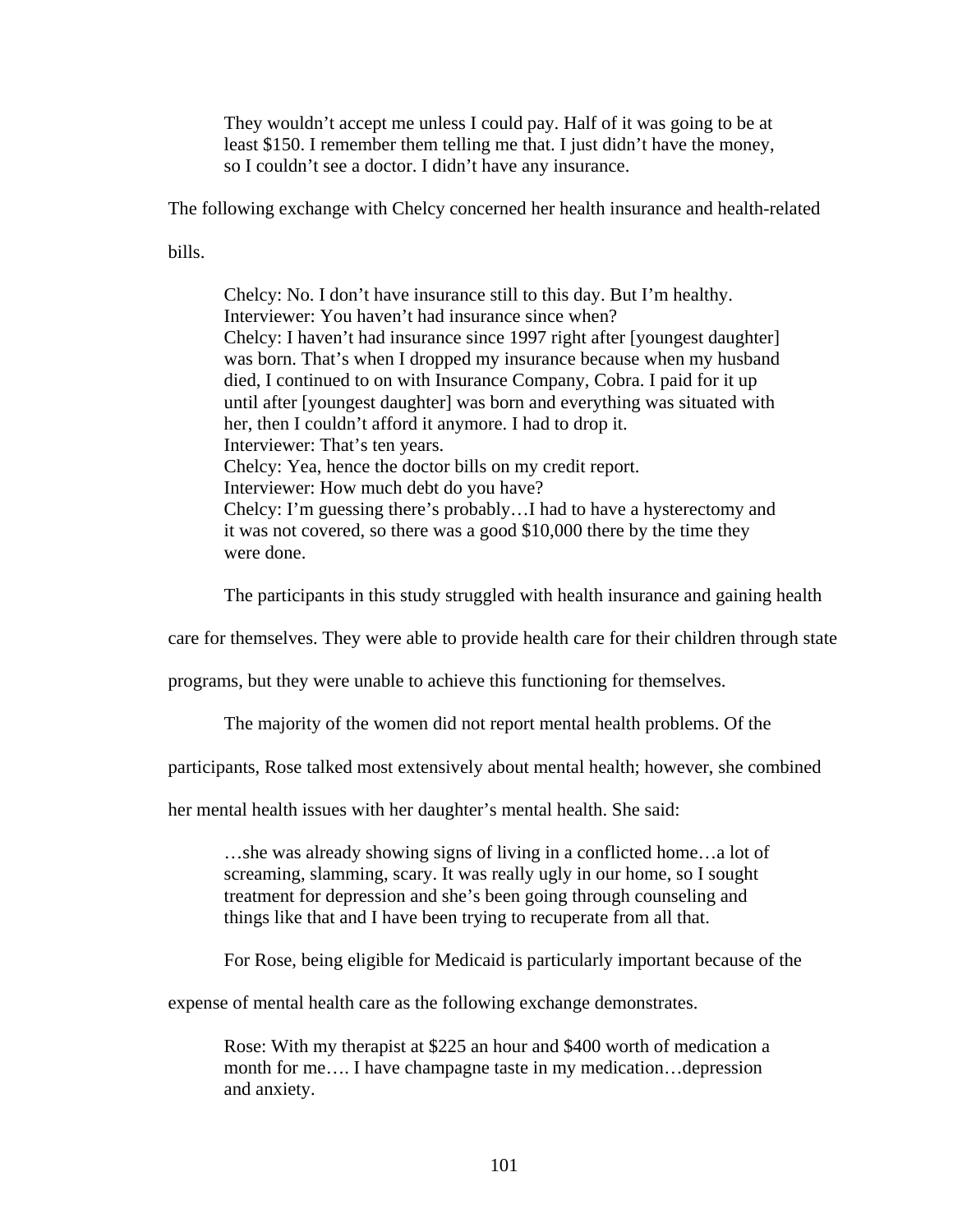They wouldn't accept me unless I could pay. Half of it was going to be at least \$150. I remember them telling me that. I just didn't have the money, so I couldn't see a doctor. I didn't have any insurance.

The following exchange with Chelcy concerned her health insurance and health-related

bills.

Chelcy: No. I don't have insurance still to this day. But I'm healthy. Interviewer: You haven't had insurance since when? Chelcy: I haven't had insurance since 1997 right after [youngest daughter] was born. That's when I dropped my insurance because when my husband died, I continued to on with Insurance Company, Cobra. I paid for it up until after [youngest daughter] was born and everything was situated with her, then I couldn't afford it anymore. I had to drop it. Interviewer: That's ten years. Chelcy: Yea, hence the doctor bills on my credit report. Interviewer: How much debt do you have? Chelcy: I'm guessing there's probably…I had to have a hysterectomy and it was not covered, so there was a good \$10,000 there by the time they were done.

The participants in this study struggled with health insurance and gaining health

care for themselves. They were able to provide health care for their children through state

programs, but they were unable to achieve this functioning for themselves.

The majority of the women did not report mental health problems. Of the

participants, Rose talked most extensively about mental health; however, she combined

her mental health issues with her daughter's mental health. She said:

…she was already showing signs of living in a conflicted home…a lot of screaming, slamming, scary. It was really ugly in our home, so I sought treatment for depression and she's been going through counseling and things like that and I have been trying to recuperate from all that.

For Rose, being eligible for Medicaid is particularly important because of the

expense of mental health care as the following exchange demonstrates.

Rose: With my therapist at \$225 an hour and \$400 worth of medication a month for me…. I have champagne taste in my medication…depression and anxiety.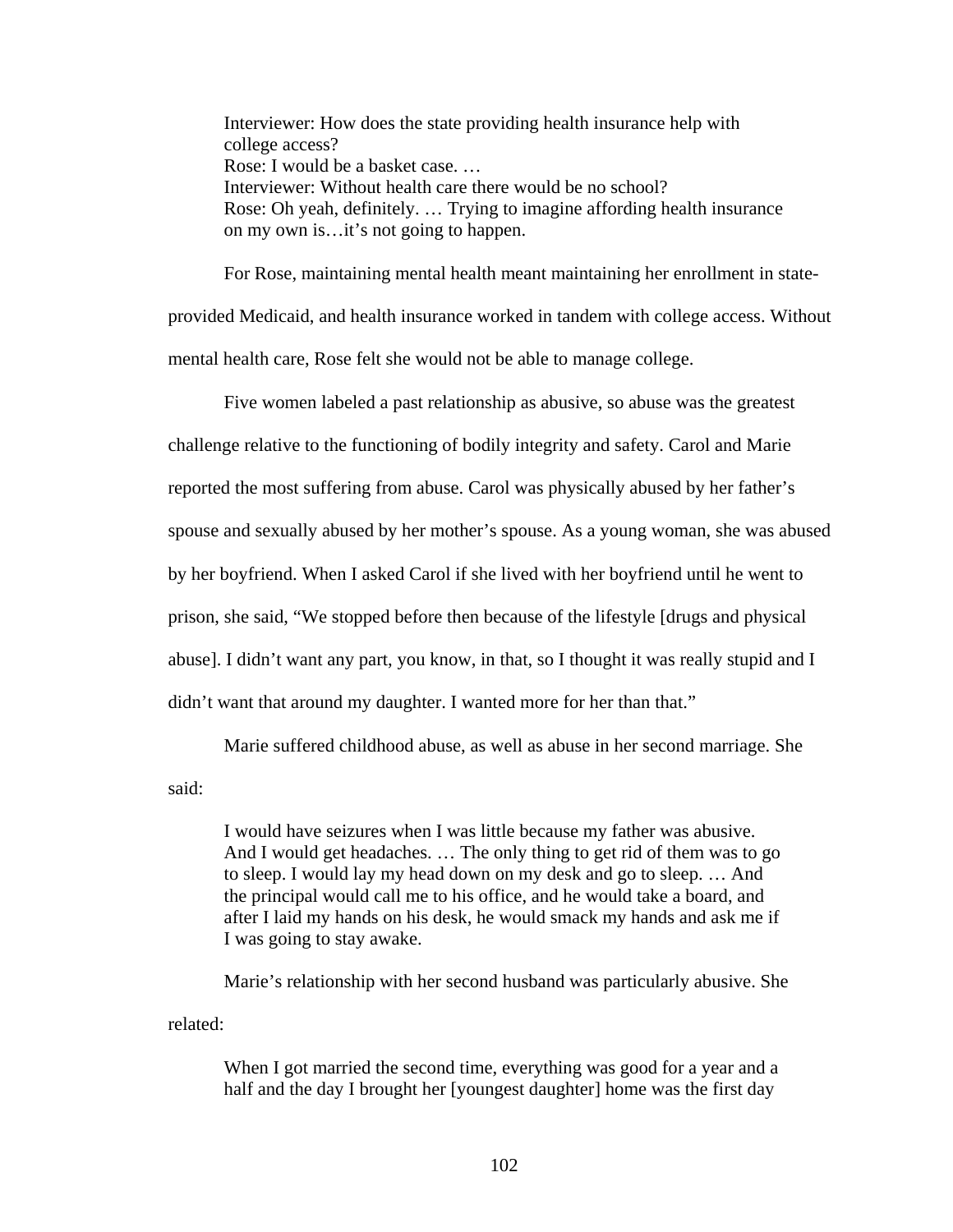Interviewer: How does the state providing health insurance help with college access? Rose: I would be a basket case. … Interviewer: Without health care there would be no school? Rose: Oh yeah, definitely. … Trying to imagine affording health insurance on my own is…it's not going to happen.

For Rose, maintaining mental health meant maintaining her enrollment in stateprovided Medicaid, and health insurance worked in tandem with college access. Without mental health care, Rose felt she would not be able to manage college.

Five women labeled a past relationship as abusive, so abuse was the greatest challenge relative to the functioning of bodily integrity and safety. Carol and Marie reported the most suffering from abuse. Carol was physically abused by her father's spouse and sexually abused by her mother's spouse. As a young woman, she was abused by her boyfriend. When I asked Carol if she lived with her boyfriend until he went to prison, she said, "We stopped before then because of the lifestyle [drugs and physical abuse]. I didn't want any part, you know, in that, so I thought it was really stupid and I didn't want that around my daughter. I wanted more for her than that."

Marie suffered childhood abuse, as well as abuse in her second marriage. She

said:

I would have seizures when I was little because my father was abusive. And I would get headaches. … The only thing to get rid of them was to go to sleep. I would lay my head down on my desk and go to sleep. … And the principal would call me to his office, and he would take a board, and after I laid my hands on his desk, he would smack my hands and ask me if I was going to stay awake.

Marie's relationship with her second husband was particularly abusive. She related:

When I got married the second time, everything was good for a year and a half and the day I brought her [youngest daughter] home was the first day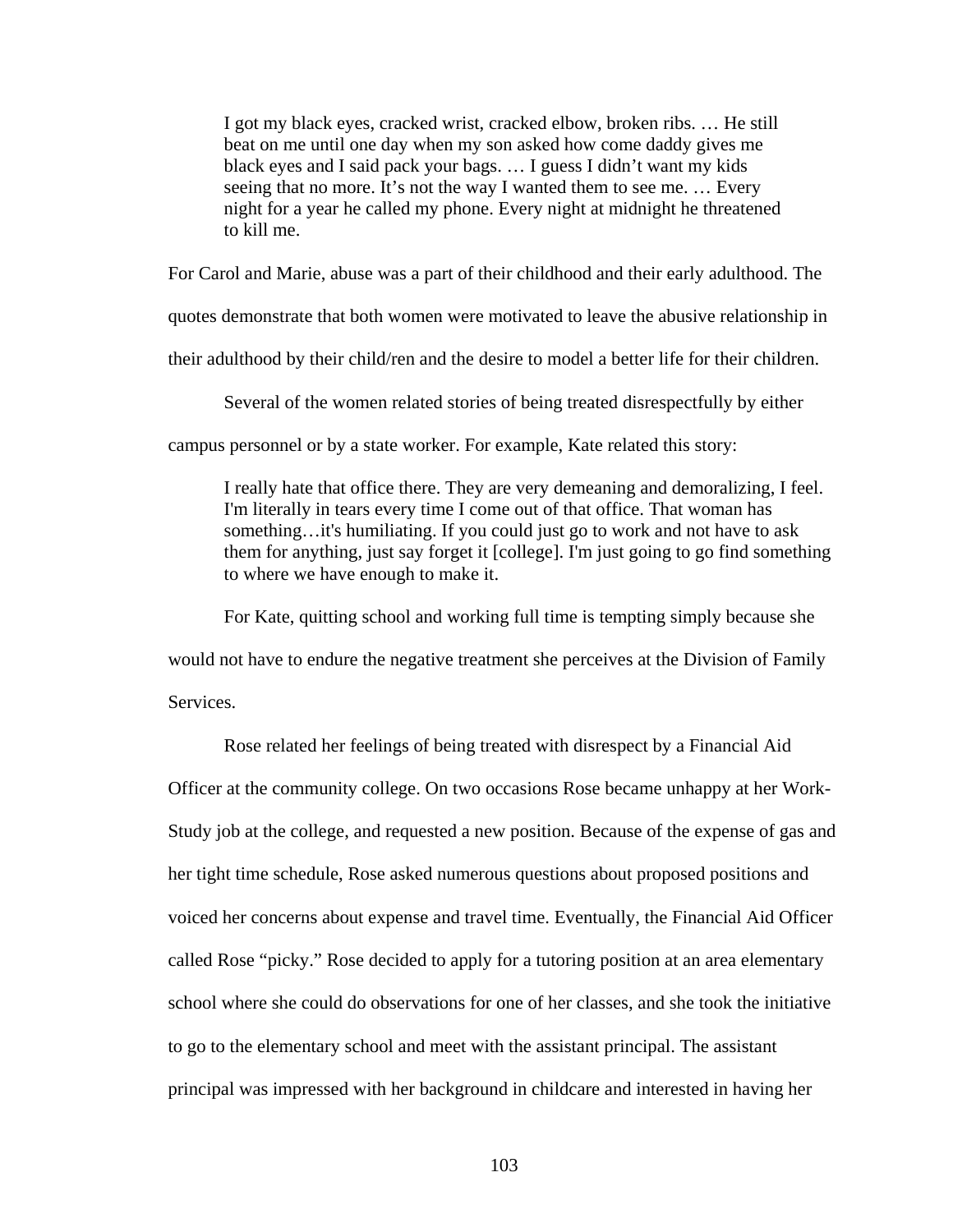I got my black eyes, cracked wrist, cracked elbow, broken ribs. … He still beat on me until one day when my son asked how come daddy gives me black eyes and I said pack your bags. … I guess I didn't want my kids seeing that no more. It's not the way I wanted them to see me. … Every night for a year he called my phone. Every night at midnight he threatened to kill me.

For Carol and Marie, abuse was a part of their childhood and their early adulthood. The

quotes demonstrate that both women were motivated to leave the abusive relationship in

their adulthood by their child/ren and the desire to model a better life for their children.

Several of the women related stories of being treated disrespectfully by either

campus personnel or by a state worker. For example, Kate related this story:

I really hate that office there. They are very demeaning and demoralizing, I feel. I'm literally in tears every time I come out of that office. That woman has something…it's humiliating. If you could just go to work and not have to ask them for anything, just say forget it [college]. I'm just going to go find something to where we have enough to make it.

For Kate, quitting school and working full time is tempting simply because she

would not have to endure the negative treatment she perceives at the Division of Family

**Services**.

Rose related her feelings of being treated with disrespect by a Financial Aid Officer at the community college. On two occasions Rose became unhappy at her Work-Study job at the college, and requested a new position. Because of the expense of gas and her tight time schedule, Rose asked numerous questions about proposed positions and voiced her concerns about expense and travel time. Eventually, the Financial Aid Officer called Rose "picky." Rose decided to apply for a tutoring position at an area elementary school where she could do observations for one of her classes, and she took the initiative to go to the elementary school and meet with the assistant principal. The assistant principal was impressed with her background in childcare and interested in having her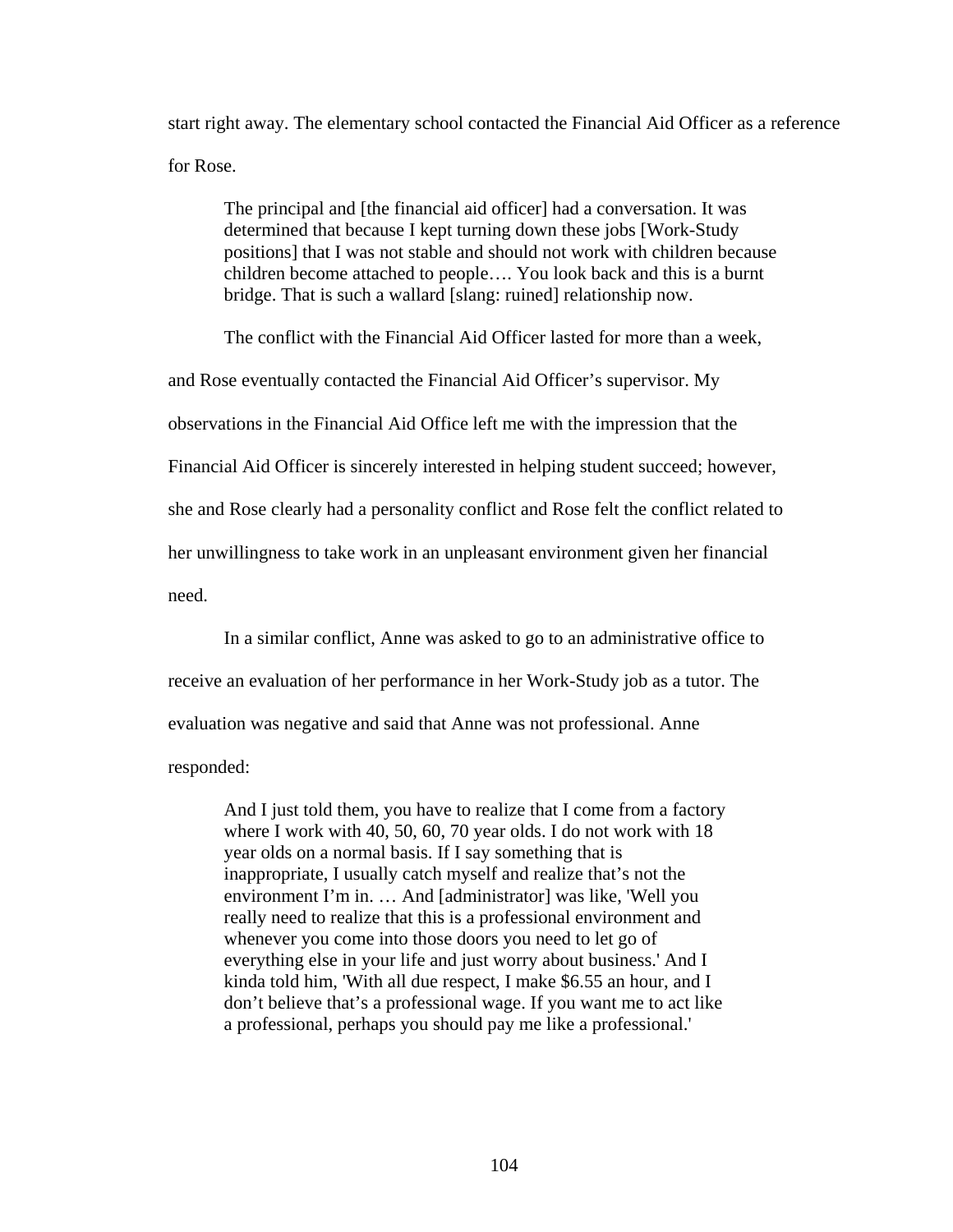start right away. The elementary school contacted the Financial Aid Officer as a reference for Rose.

The principal and [the financial aid officer] had a conversation. It was determined that because I kept turning down these jobs [Work-Study positions] that I was not stable and should not work with children because children become attached to people…. You look back and this is a burnt bridge. That is such a wallard [slang: ruined] relationship now.

The conflict with the Financial Aid Officer lasted for more than a week,

and Rose eventually contacted the Financial Aid Officer's supervisor. My

observations in the Financial Aid Office left me with the impression that the

Financial Aid Officer is sincerely interested in helping student succeed; however,

she and Rose clearly had a personality conflict and Rose felt the conflict related to

her unwillingness to take work in an unpleasant environment given her financial

need.

In a similar conflict, Anne was asked to go to an administrative office to

receive an evaluation of her performance in her Work-Study job as a tutor. The

evaluation was negative and said that Anne was not professional. Anne

responded:

And I just told them, you have to realize that I come from a factory where I work with 40, 50, 60, 70 year olds. I do not work with 18 year olds on a normal basis. If I say something that is inappropriate, I usually catch myself and realize that's not the environment I'm in. … And [administrator] was like, 'Well you really need to realize that this is a professional environment and whenever you come into those doors you need to let go of everything else in your life and just worry about business.' And I kinda told him, 'With all due respect, I make \$6.55 an hour, and I don't believe that's a professional wage. If you want me to act like a professional, perhaps you should pay me like a professional.'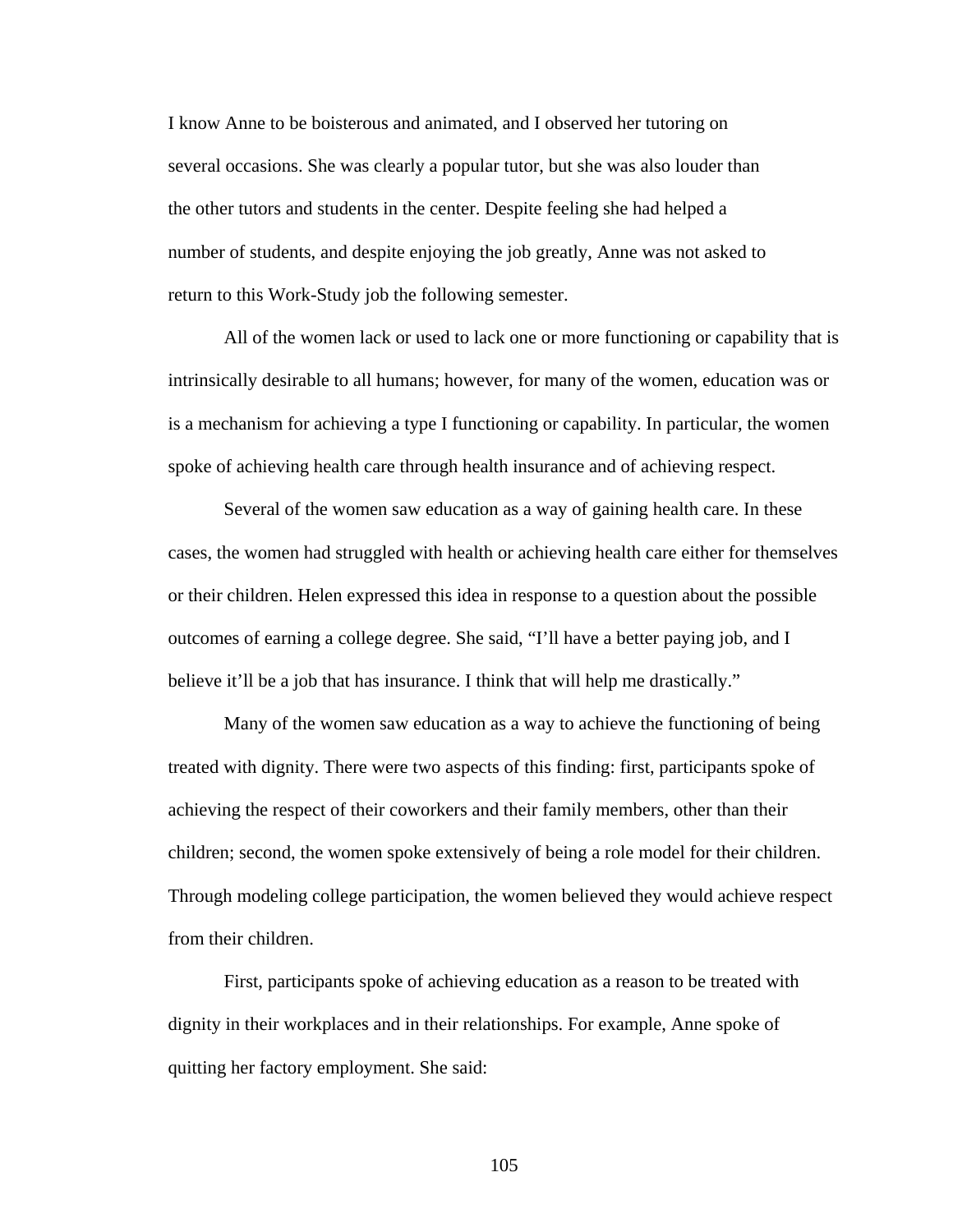I know Anne to be boisterous and animated, and I observed her tutoring on several occasions. She was clearly a popular tutor, but she was also louder than the other tutors and students in the center. Despite feeling she had helped a number of students, and despite enjoying the job greatly, Anne was not asked to return to this Work-Study job the following semester.

All of the women lack or used to lack one or more functioning or capability that is intrinsically desirable to all humans; however, for many of the women, education was or is a mechanism for achieving a type I functioning or capability. In particular, the women spoke of achieving health care through health insurance and of achieving respect.

Several of the women saw education as a way of gaining health care. In these cases, the women had struggled with health or achieving health care either for themselves or their children. Helen expressed this idea in response to a question about the possible outcomes of earning a college degree. She said, "I'll have a better paying job, and I believe it'll be a job that has insurance. I think that will help me drastically."

Many of the women saw education as a way to achieve the functioning of being treated with dignity. There were two aspects of this finding: first, participants spoke of achieving the respect of their coworkers and their family members, other than their children; second, the women spoke extensively of being a role model for their children. Through modeling college participation, the women believed they would achieve respect from their children.

First, participants spoke of achieving education as a reason to be treated with dignity in their workplaces and in their relationships. For example, Anne spoke of quitting her factory employment. She said: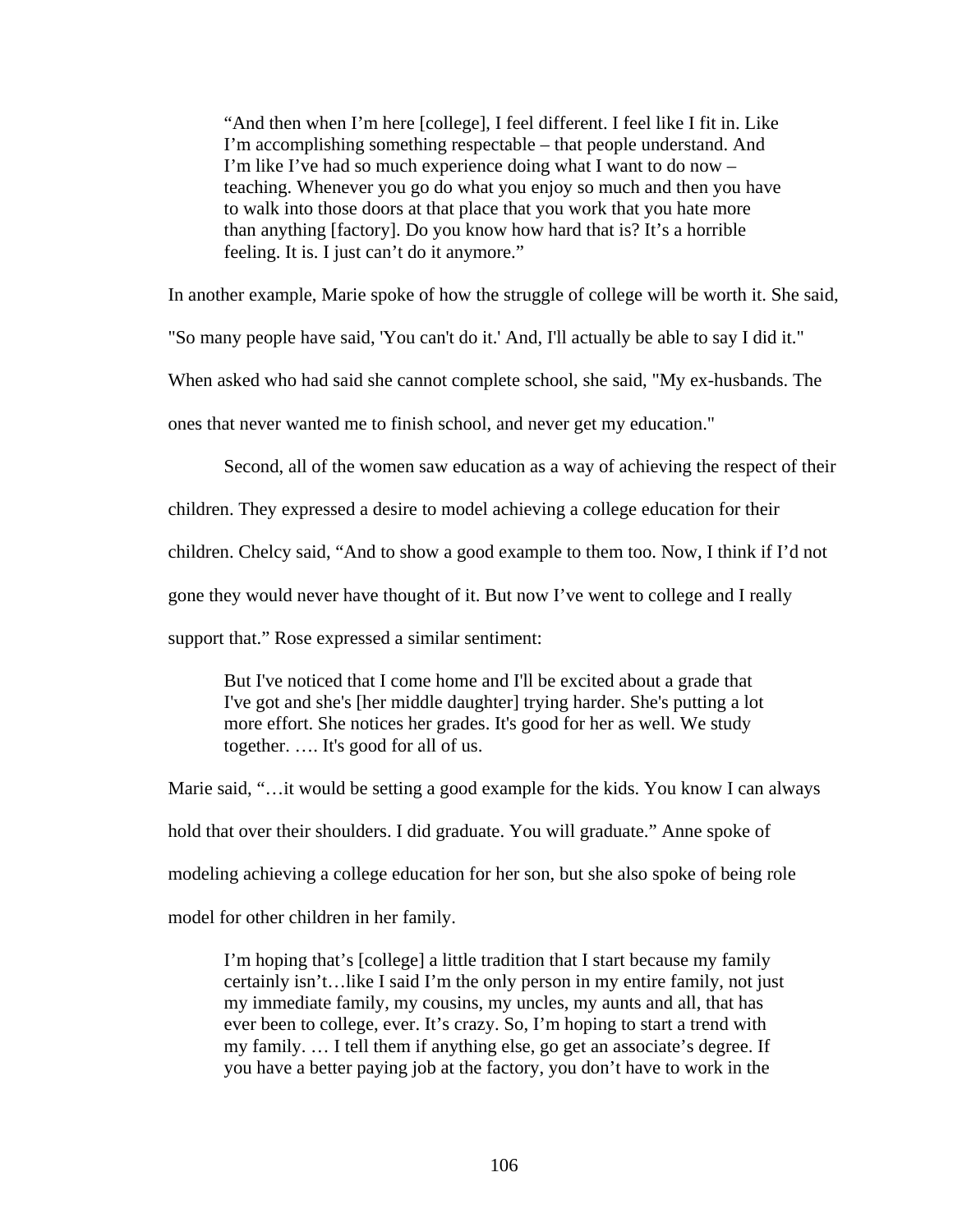"And then when I'm here [college], I feel different. I feel like I fit in. Like I'm accomplishing something respectable – that people understand. And I'm like I've had so much experience doing what I want to do now – teaching. Whenever you go do what you enjoy so much and then you have to walk into those doors at that place that you work that you hate more than anything [factory]. Do you know how hard that is? It's a horrible feeling. It is. I just can't do it anymore."

In another example, Marie spoke of how the struggle of college will be worth it. She said,

"So many people have said, 'You can't do it.' And, I'll actually be able to say I did it."

When asked who had said she cannot complete school, she said, "My ex-husbands. The

ones that never wanted me to finish school, and never get my education."

Second, all of the women saw education as a way of achieving the respect of their

children. They expressed a desire to model achieving a college education for their

children. Chelcy said, "And to show a good example to them too. Now, I think if I'd not

gone they would never have thought of it. But now I've went to college and I really

support that." Rose expressed a similar sentiment:

But I've noticed that I come home and I'll be excited about a grade that I've got and she's [her middle daughter] trying harder. She's putting a lot more effort. She notices her grades. It's good for her as well. We study together. …. It's good for all of us.

Marie said, "…it would be setting a good example for the kids. You know I can always hold that over their shoulders. I did graduate. You will graduate." Anne spoke of modeling achieving a college education for her son, but she also spoke of being role model for other children in her family.

I'm hoping that's [college] a little tradition that I start because my family certainly isn't…like I said I'm the only person in my entire family, not just my immediate family, my cousins, my uncles, my aunts and all, that has ever been to college, ever. It's crazy. So, I'm hoping to start a trend with my family. … I tell them if anything else, go get an associate's degree. If you have a better paying job at the factory, you don't have to work in the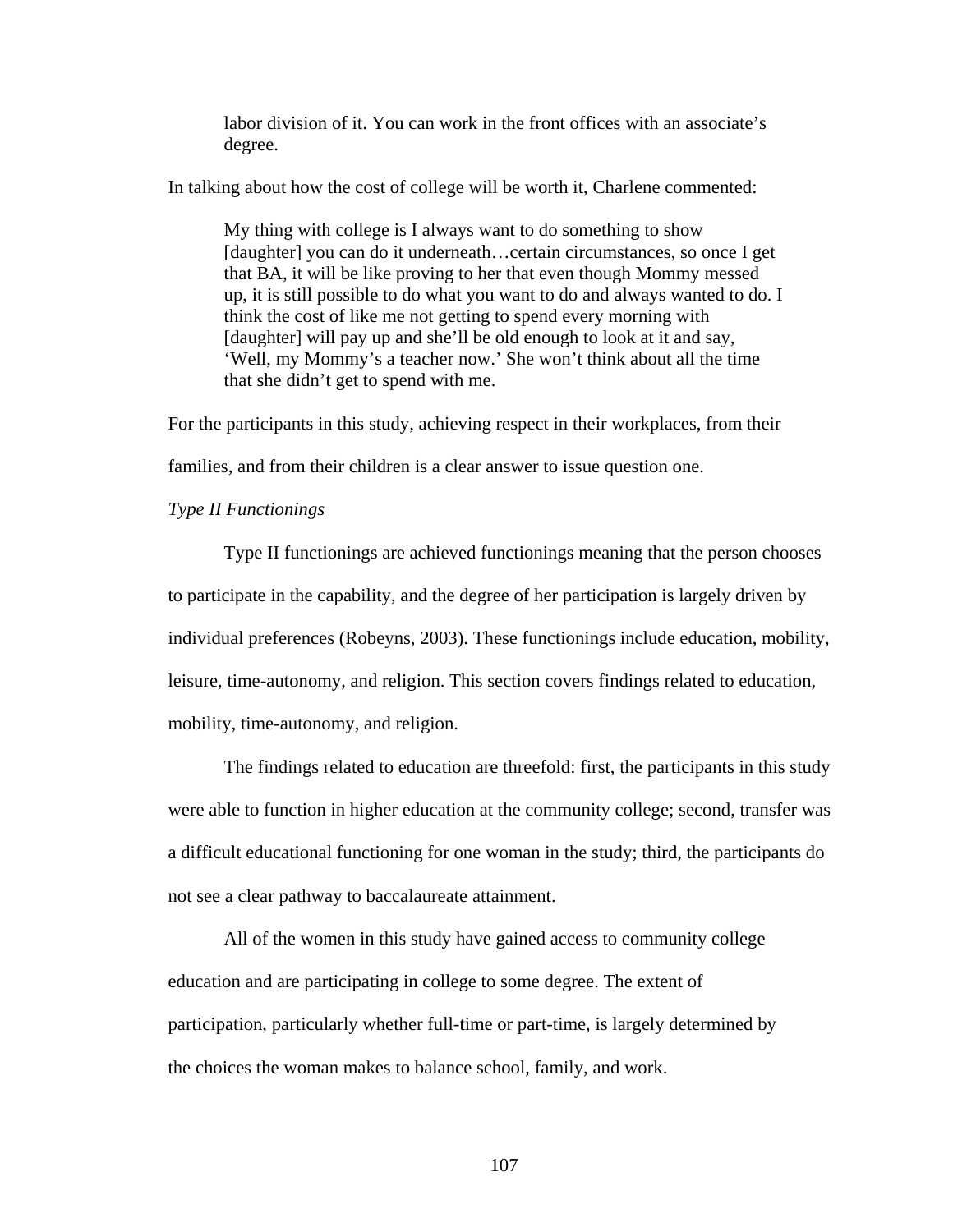labor division of it. You can work in the front offices with an associate's degree.

In talking about how the cost of college will be worth it, Charlene commented:

My thing with college is I always want to do something to show [daughter] you can do it underneath...certain circumstances, so once I get that BA, it will be like proving to her that even though Mommy messed up, it is still possible to do what you want to do and always wanted to do. I think the cost of like me not getting to spend every morning with [daughter] will pay up and she'll be old enough to look at it and say, 'Well, my Mommy's a teacher now.' She won't think about all the time that she didn't get to spend with me.

For the participants in this study, achieving respect in their workplaces, from their families, and from their children is a clear answer to issue question one.

*Type II Functionings* 

 Type II functionings are achieved functionings meaning that the person chooses to participate in the capability, and the degree of her participation is largely driven by individual preferences (Robeyns, 2003). These functionings include education, mobility, leisure, time-autonomy, and religion. This section covers findings related to education, mobility, time-autonomy, and religion.

 The findings related to education are threefold: first, the participants in this study were able to function in higher education at the community college; second, transfer was a difficult educational functioning for one woman in the study; third, the participants do not see a clear pathway to baccalaureate attainment.

 All of the women in this study have gained access to community college education and are participating in college to some degree. The extent of participation, particularly whether full-time or part-time, is largely determined by the choices the woman makes to balance school, family, and work.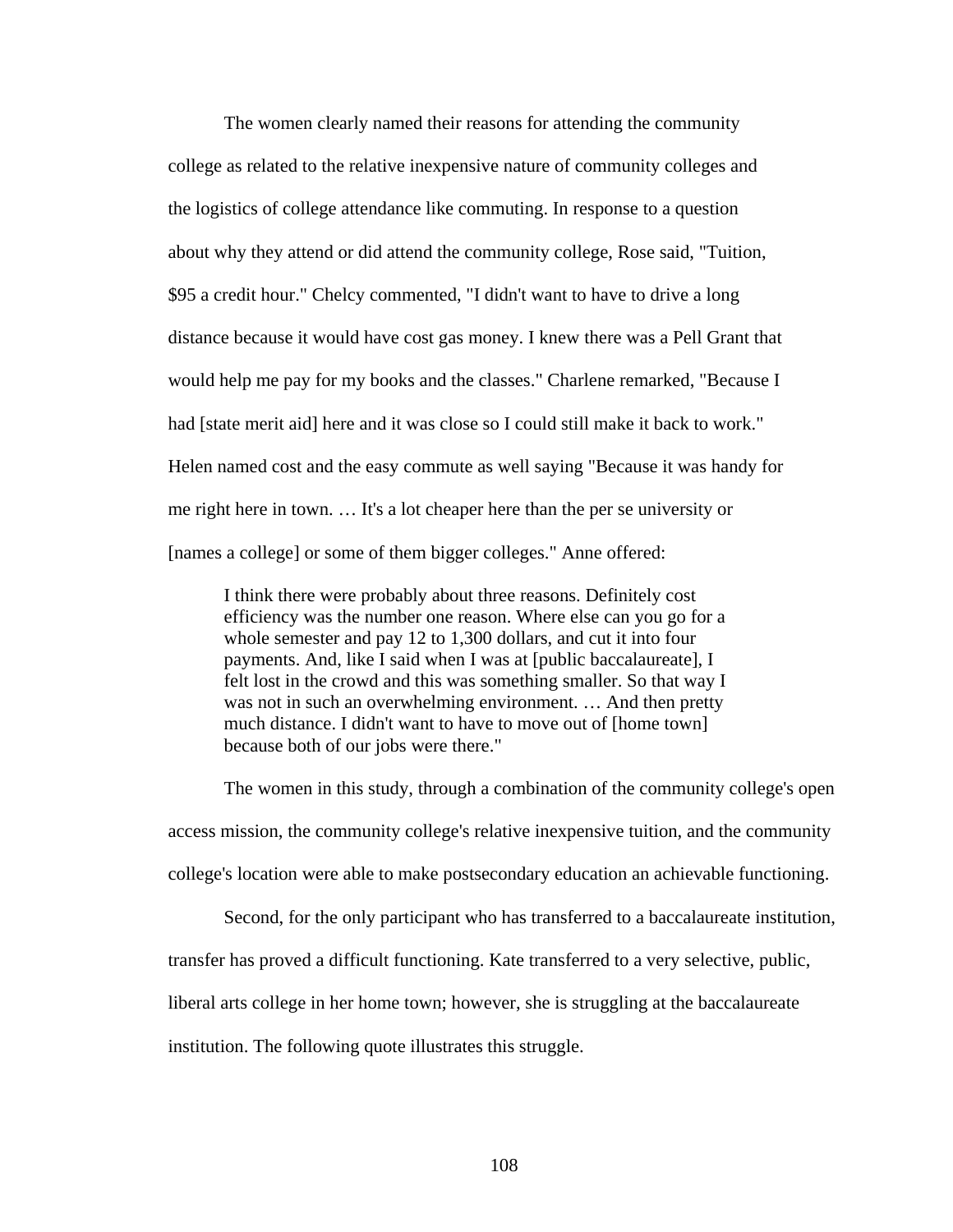The women clearly named their reasons for attending the community college as related to the relative inexpensive nature of community colleges and the logistics of college attendance like commuting. In response to a question about why they attend or did attend the community college, Rose said, "Tuition, \$95 a credit hour." Chelcy commented, "I didn't want to have to drive a long distance because it would have cost gas money. I knew there was a Pell Grant that would help me pay for my books and the classes." Charlene remarked, "Because I had [state merit aid] here and it was close so I could still make it back to work." Helen named cost and the easy commute as well saying "Because it was handy for me right here in town. … It's a lot cheaper here than the per se university or [names a college] or some of them bigger colleges." Anne offered:

I think there were probably about three reasons. Definitely cost efficiency was the number one reason. Where else can you go for a whole semester and pay 12 to 1,300 dollars, and cut it into four payments. And, like I said when I was at [public baccalaureate], I felt lost in the crowd and this was something smaller. So that way I was not in such an overwhelming environment. … And then pretty much distance. I didn't want to have to move out of [home town] because both of our jobs were there."

 The women in this study, through a combination of the community college's open access mission, the community college's relative inexpensive tuition, and the community college's location were able to make postsecondary education an achievable functioning.

Second, for the only participant who has transferred to a baccalaureate institution,

transfer has proved a difficult functioning. Kate transferred to a very selective, public,

liberal arts college in her home town; however, she is struggling at the baccalaureate

institution. The following quote illustrates this struggle.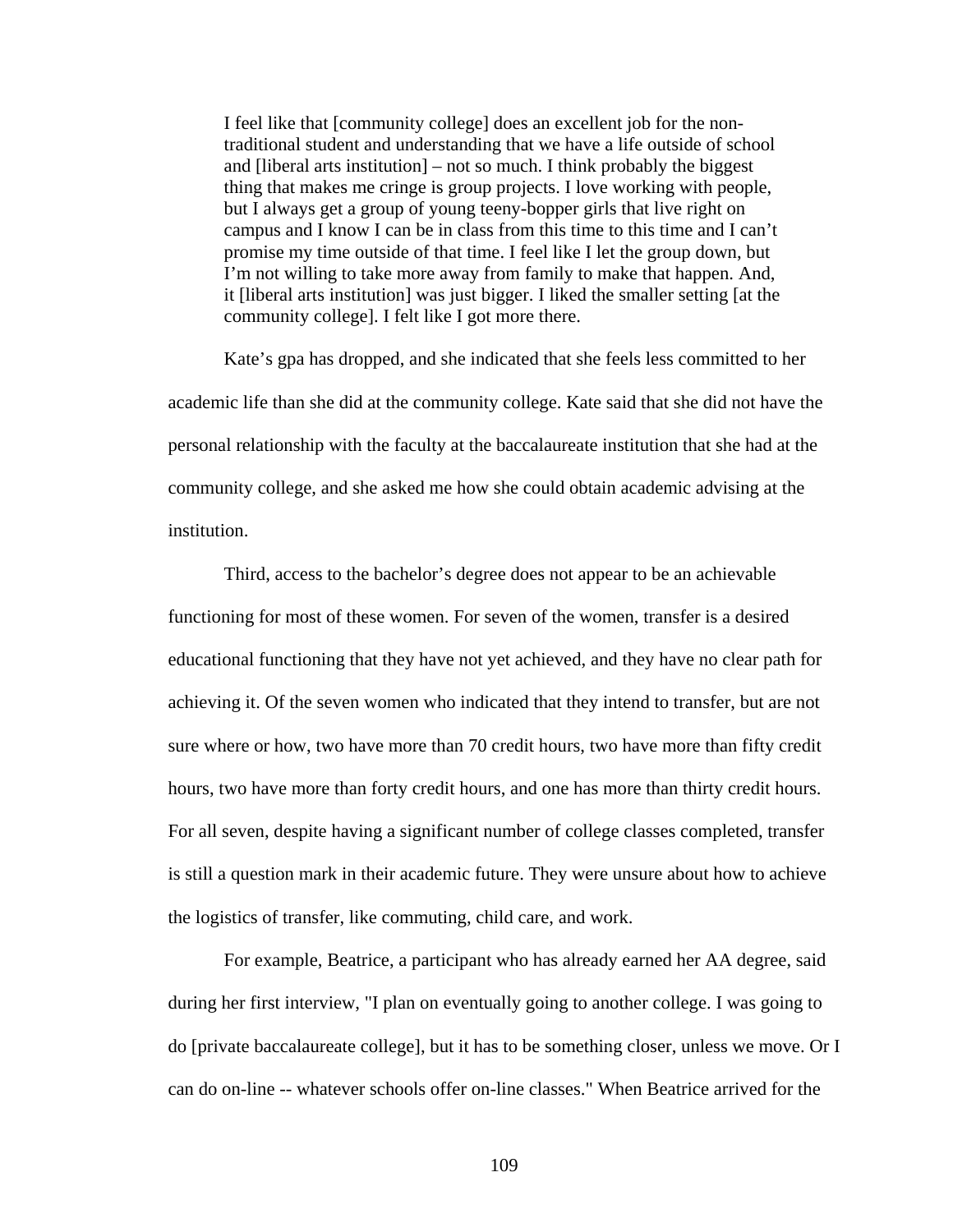I feel like that [community college] does an excellent job for the nontraditional student and understanding that we have a life outside of school and [liberal arts institution] – not so much. I think probably the biggest thing that makes me cringe is group projects. I love working with people, but I always get a group of young teeny-bopper girls that live right on campus and I know I can be in class from this time to this time and I can't promise my time outside of that time. I feel like I let the group down, but I'm not willing to take more away from family to make that happen. And, it [liberal arts institution] was just bigger. I liked the smaller setting [at the community college]. I felt like I got more there.

 Kate's gpa has dropped, and she indicated that she feels less committed to her academic life than she did at the community college. Kate said that she did not have the personal relationship with the faculty at the baccalaureate institution that she had at the community college, and she asked me how she could obtain academic advising at the institution.

Third, access to the bachelor's degree does not appear to be an achievable functioning for most of these women. For seven of the women, transfer is a desired educational functioning that they have not yet achieved, and they have no clear path for achieving it. Of the seven women who indicated that they intend to transfer, but are not sure where or how, two have more than 70 credit hours, two have more than fifty credit hours, two have more than forty credit hours, and one has more than thirty credit hours. For all seven, despite having a significant number of college classes completed, transfer is still a question mark in their academic future. They were unsure about how to achieve the logistics of transfer, like commuting, child care, and work.

For example, Beatrice, a participant who has already earned her AA degree, said during her first interview, "I plan on eventually going to another college. I was going to do [private baccalaureate college], but it has to be something closer, unless we move. Or I can do on-line -- whatever schools offer on-line classes." When Beatrice arrived for the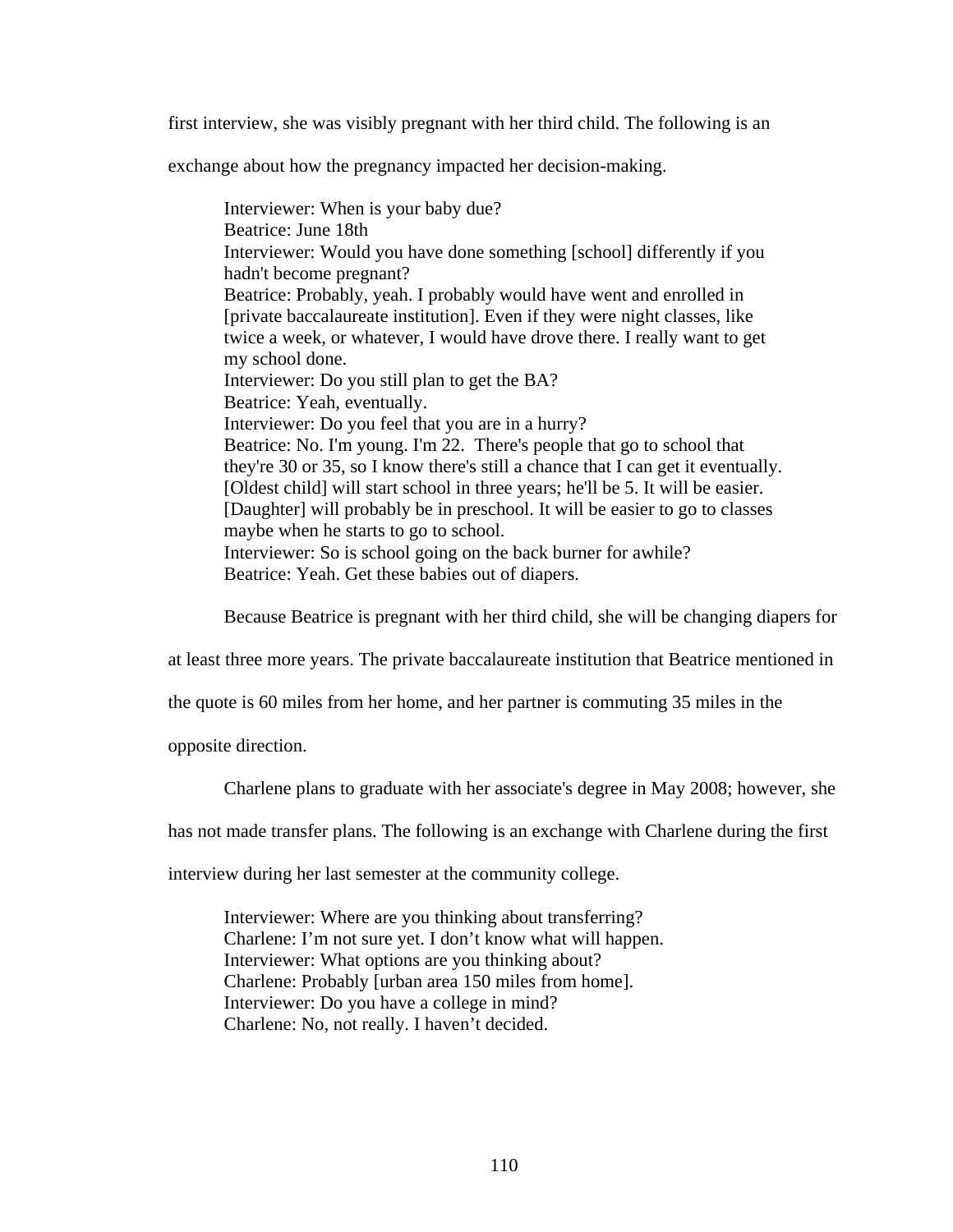first interview, she was visibly pregnant with her third child. The following is an

exchange about how the pregnancy impacted her decision-making.

Interviewer: When is your baby due? Beatrice: June 18th Interviewer: Would you have done something [school] differently if you hadn't become pregnant? Beatrice: Probably, yeah. I probably would have went and enrolled in [private baccalaureate institution]. Even if they were night classes, like twice a week, or whatever, I would have drove there. I really want to get my school done. Interviewer: Do you still plan to get the BA? Beatrice: Yeah, eventually. Interviewer: Do you feel that you are in a hurry? Beatrice: No. I'm young. I'm 22. There's people that go to school that they're 30 or 35, so I know there's still a chance that I can get it eventually. [Oldest child] will start school in three years; he'll be 5. It will be easier. [Daughter] will probably be in preschool. It will be easier to go to classes maybe when he starts to go to school. Interviewer: So is school going on the back burner for awhile? Beatrice: Yeah. Get these babies out of diapers.

Because Beatrice is pregnant with her third child, she will be changing diapers for

at least three more years. The private baccalaureate institution that Beatrice mentioned in

the quote is 60 miles from her home, and her partner is commuting 35 miles in the

opposite direction.

Charlene plans to graduate with her associate's degree in May 2008; however, she

has not made transfer plans. The following is an exchange with Charlene during the first

interview during her last semester at the community college.

Interviewer: Where are you thinking about transferring? Charlene: I'm not sure yet. I don't know what will happen. Interviewer: What options are you thinking about? Charlene: Probably [urban area 150 miles from home]. Interviewer: Do you have a college in mind? Charlene: No, not really. I haven't decided.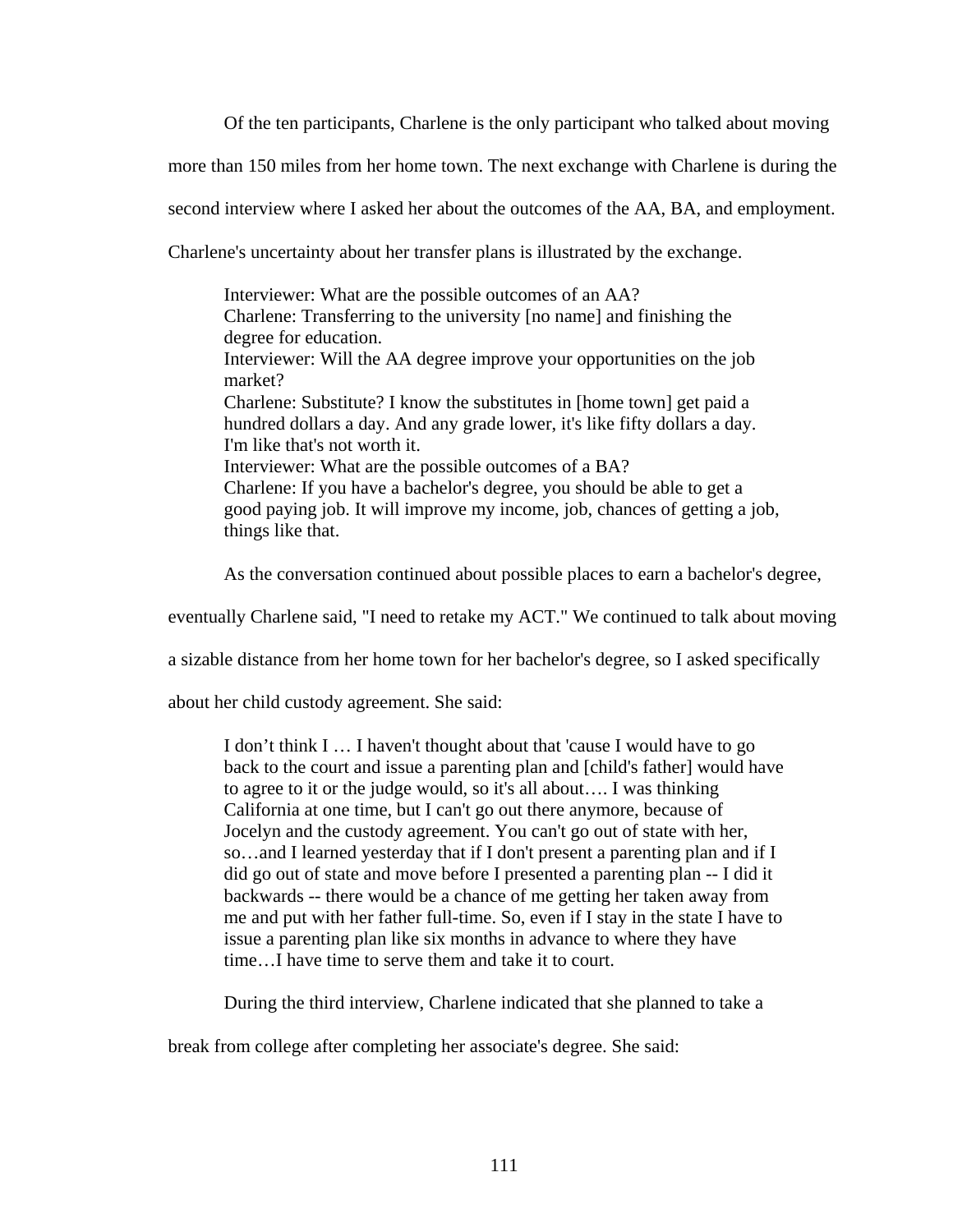Of the ten participants, Charlene is the only participant who talked about moving

more than 150 miles from her home town. The next exchange with Charlene is during the

second interview where I asked her about the outcomes of the AA, BA, and employment.

Charlene's uncertainty about her transfer plans is illustrated by the exchange.

Interviewer: What are the possible outcomes of an AA? Charlene: Transferring to the university [no name] and finishing the degree for education. Interviewer: Will the AA degree improve your opportunities on the job market? Charlene: Substitute? I know the substitutes in [home town] get paid a hundred dollars a day. And any grade lower, it's like fifty dollars a day. I'm like that's not worth it. Interviewer: What are the possible outcomes of a BA? Charlene: If you have a bachelor's degree, you should be able to get a good paying job. It will improve my income, job, chances of getting a job, things like that.

As the conversation continued about possible places to earn a bachelor's degree,

eventually Charlene said, "I need to retake my ACT." We continued to talk about moving

a sizable distance from her home town for her bachelor's degree, so I asked specifically

about her child custody agreement. She said:

I don't think I … I haven't thought about that 'cause I would have to go back to the court and issue a parenting plan and [child's father] would have to agree to it or the judge would, so it's all about…. I was thinking California at one time, but I can't go out there anymore, because of Jocelyn and the custody agreement. You can't go out of state with her, so…and I learned yesterday that if I don't present a parenting plan and if I did go out of state and move before I presented a parenting plan -- I did it backwards -- there would be a chance of me getting her taken away from me and put with her father full-time. So, even if I stay in the state I have to issue a parenting plan like six months in advance to where they have time…I have time to serve them and take it to court.

During the third interview, Charlene indicated that she planned to take a

break from college after completing her associate's degree. She said: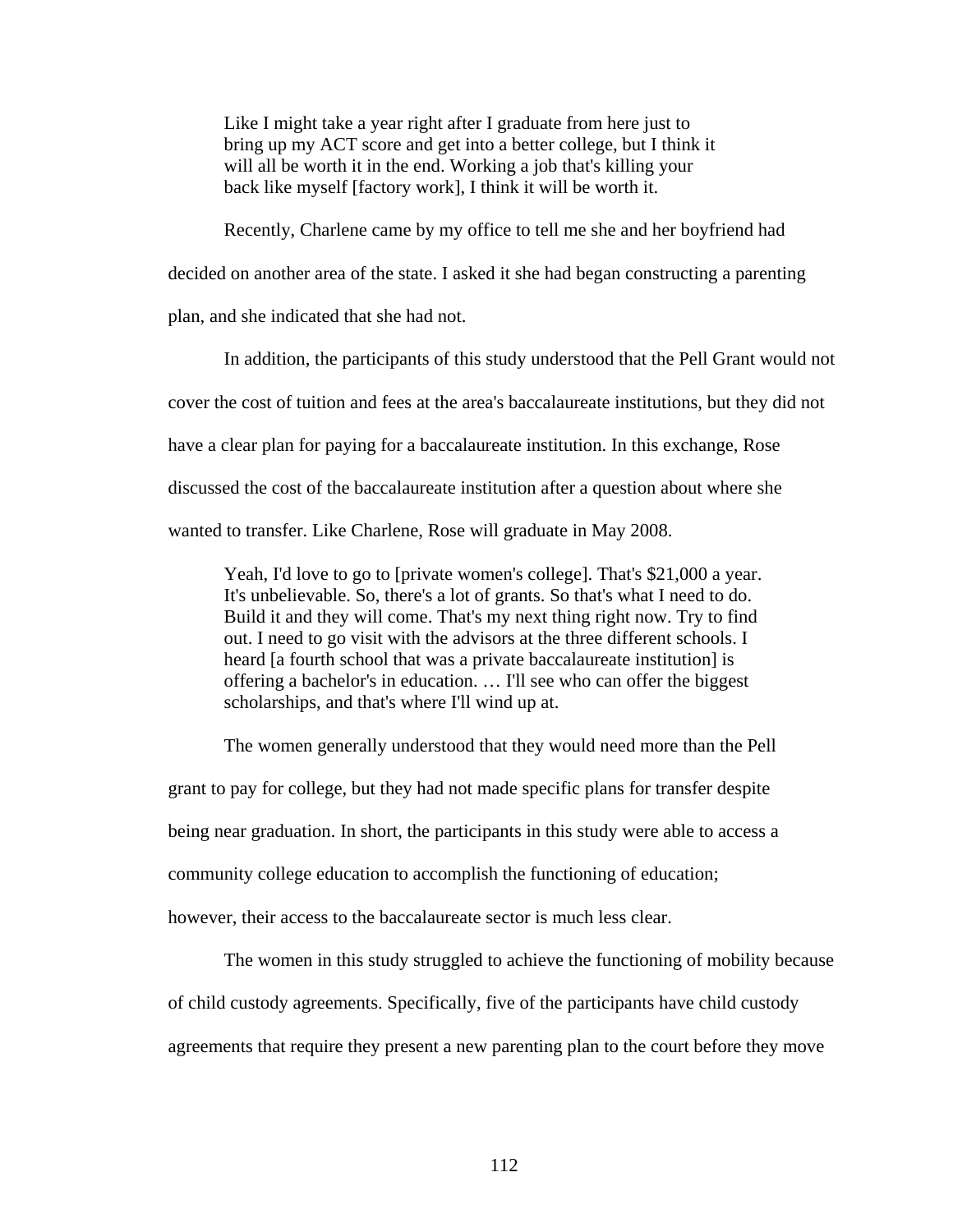Like I might take a year right after I graduate from here just to bring up my ACT score and get into a better college, but I think it will all be worth it in the end. Working a job that's killing your back like myself [factory work], I think it will be worth it.

Recently, Charlene came by my office to tell me she and her boyfriend had

decided on another area of the state. I asked it she had began constructing a parenting

plan, and she indicated that she had not.

In addition, the participants of this study understood that the Pell Grant would not cover the cost of tuition and fees at the area's baccalaureate institutions, but they did not have a clear plan for paying for a baccalaureate institution. In this exchange, Rose discussed the cost of the baccalaureate institution after a question about where she wanted to transfer. Like Charlene, Rose will graduate in May 2008.

Yeah, I'd love to go to [private women's college]. That's \$21,000 a year. It's unbelievable. So, there's a lot of grants. So that's what I need to do. Build it and they will come. That's my next thing right now. Try to find out. I need to go visit with the advisors at the three different schools. I heard [a fourth school that was a private baccalaureate institution] is offering a bachelor's in education. … I'll see who can offer the biggest scholarships, and that's where I'll wind up at.

The women generally understood that they would need more than the Pell

grant to pay for college, but they had not made specific plans for transfer despite

being near graduation. In short, the participants in this study were able to access a

community college education to accomplish the functioning of education;

however, their access to the baccalaureate sector is much less clear.

 The women in this study struggled to achieve the functioning of mobility because of child custody agreements. Specifically, five of the participants have child custody agreements that require they present a new parenting plan to the court before they move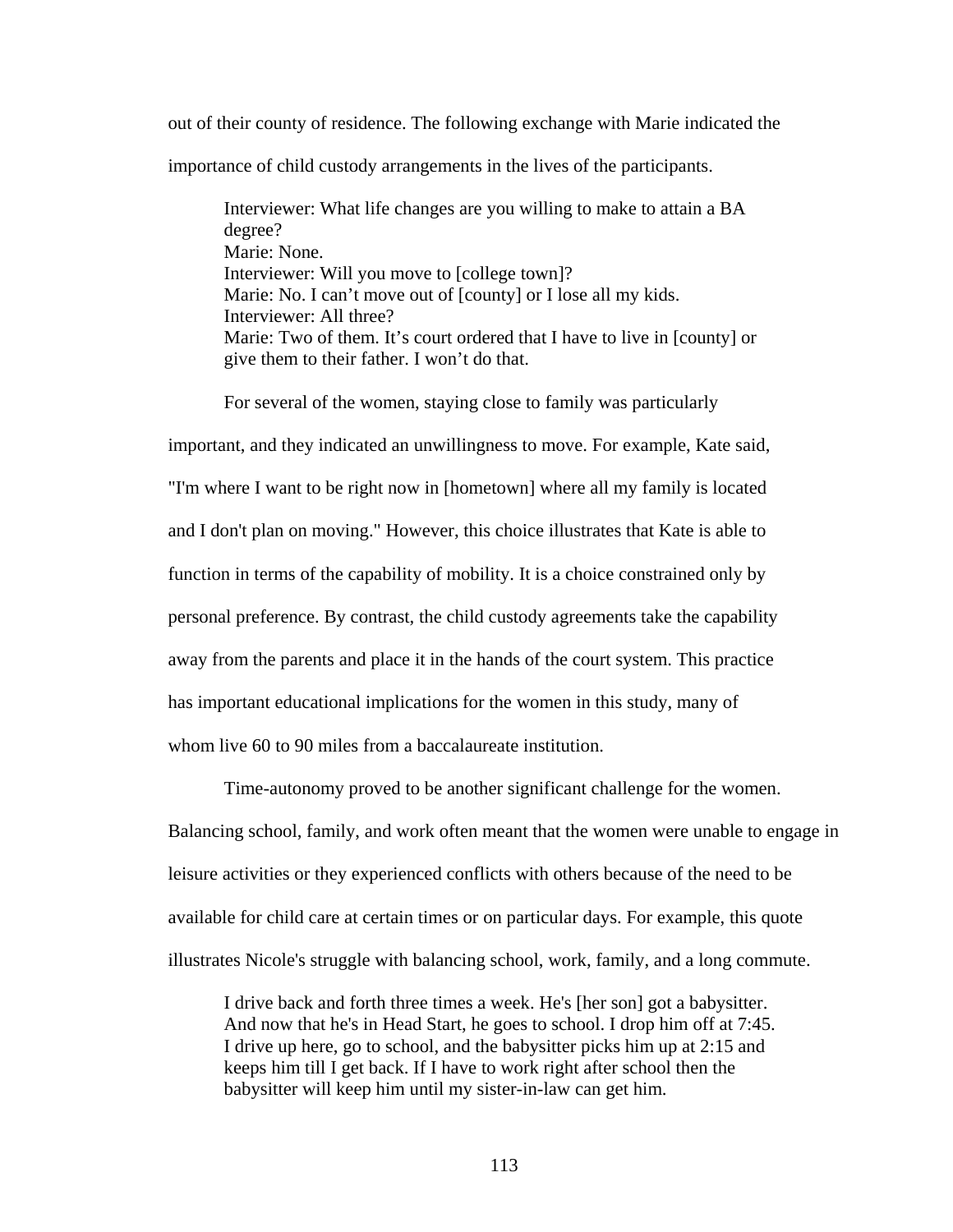out of their county of residence. The following exchange with Marie indicated the importance of child custody arrangements in the lives of the participants.

Interviewer: What life changes are you willing to make to attain a BA degree? Marie: None. Interviewer: Will you move to [college town]? Marie: No. I can't move out of [county] or I lose all my kids. Interviewer: All three? Marie: Two of them. It's court ordered that I have to live in [county] or give them to their father. I won't do that.

For several of the women, staying close to family was particularly

important, and they indicated an unwillingness to move. For example, Kate said, "I'm where I want to be right now in [hometown] where all my family is located and I don't plan on moving." However, this choice illustrates that Kate is able to function in terms of the capability of mobility. It is a choice constrained only by personal preference. By contrast, the child custody agreements take the capability away from the parents and place it in the hands of the court system. This practice has important educational implications for the women in this study, many of whom live 60 to 90 miles from a baccalaureate institution.

 Time-autonomy proved to be another significant challenge for the women. Balancing school, family, and work often meant that the women were unable to engage in leisure activities or they experienced conflicts with others because of the need to be available for child care at certain times or on particular days. For example, this quote illustrates Nicole's struggle with balancing school, work, family, and a long commute.

I drive back and forth three times a week. He's [her son] got a babysitter. And now that he's in Head Start, he goes to school. I drop him off at 7:45. I drive up here, go to school, and the babysitter picks him up at 2:15 and keeps him till I get back. If I have to work right after school then the babysitter will keep him until my sister-in-law can get him.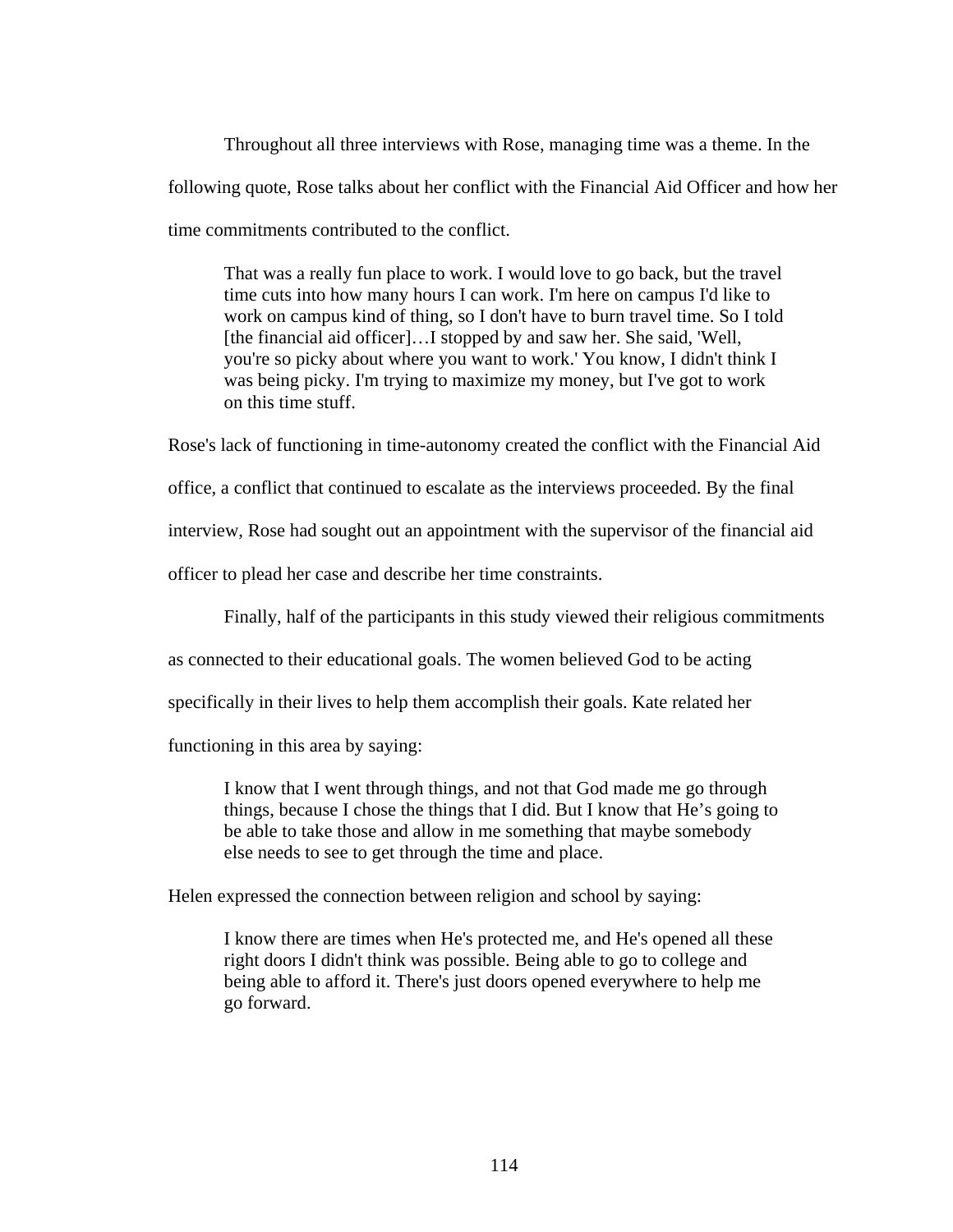Throughout all three interviews with Rose, managing time was a theme. In the following quote, Rose talks about her conflict with the Financial Aid Officer and how her time commitments contributed to the conflict.

That was a really fun place to work. I would love to go back, but the travel time cuts into how many hours I can work. I'm here on campus I'd like to work on campus kind of thing, so I don't have to burn travel time. So I told [the financial aid officer]...I stopped by and saw her. She said, 'Well, you're so picky about where you want to work.' You know, I didn't think I was being picky. I'm trying to maximize my money, but I've got to work on this time stuff.

Rose's lack of functioning in time-autonomy created the conflict with the Financial Aid office, a conflict that continued to escalate as the interviews proceeded. By the final interview, Rose had sought out an appointment with the supervisor of the financial aid officer to plead her case and describe her time constraints.

Finally, half of the participants in this study viewed their religious commitments

as connected to their educational goals. The women believed God to be acting

specifically in their lives to help them accomplish their goals. Kate related her

functioning in this area by saying:

I know that I went through things, and not that God made me go through things, because I chose the things that I did. But I know that He's going to be able to take those and allow in me something that maybe somebody else needs to see to get through the time and place.

Helen expressed the connection between religion and school by saying:

I know there are times when He's protected me, and He's opened all these right doors I didn't think was possible. Being able to go to college and being able to afford it. There's just doors opened everywhere to help me go forward.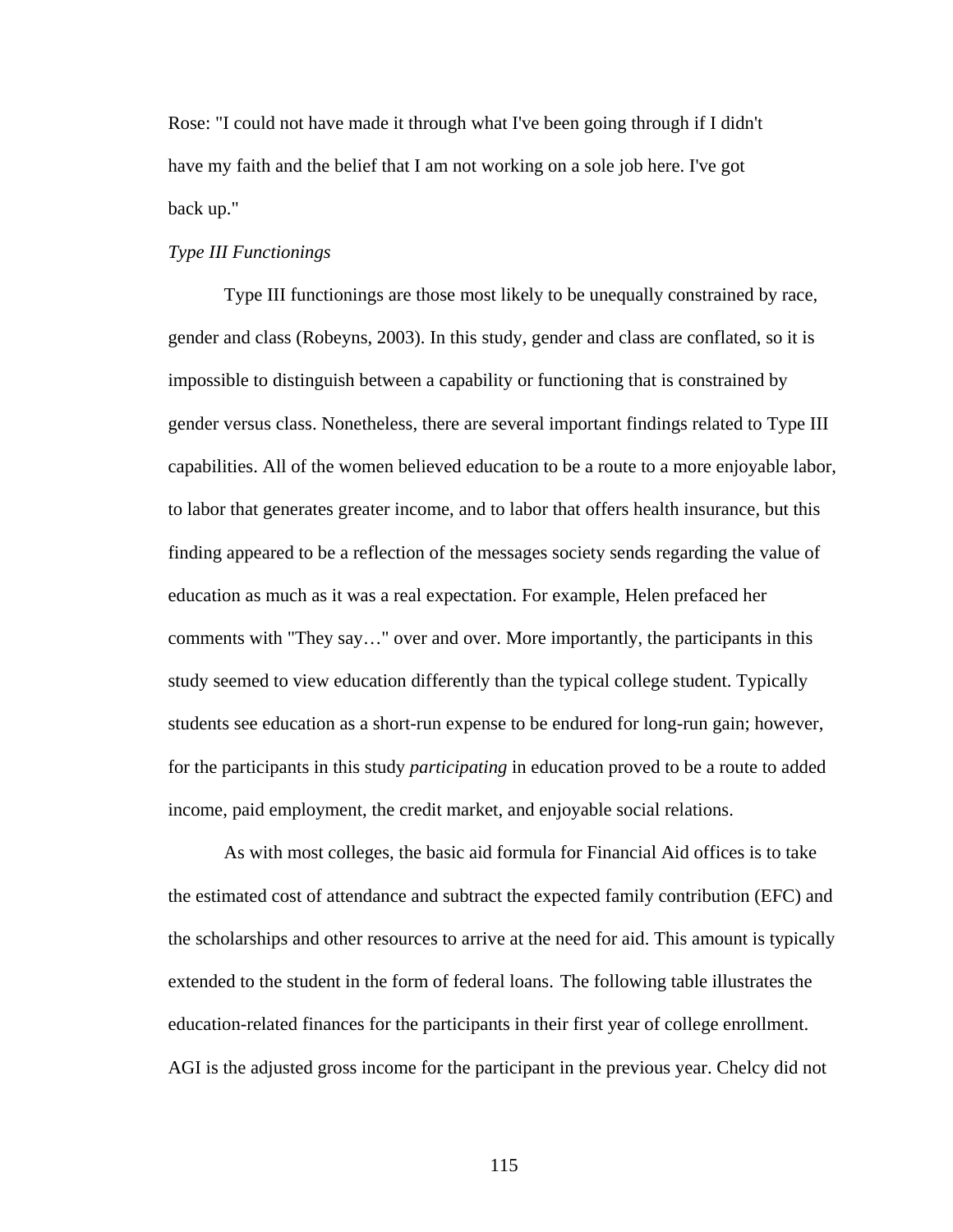Rose: "I could not have made it through what I've been going through if I didn't have my faith and the belief that I am not working on a sole job here. I've got back up."

# *Type III Functionings*

 Type III functionings are those most likely to be unequally constrained by race, gender and class (Robeyns, 2003). In this study, gender and class are conflated, so it is impossible to distinguish between a capability or functioning that is constrained by gender versus class. Nonetheless, there are several important findings related to Type III capabilities. All of the women believed education to be a route to a more enjoyable labor, to labor that generates greater income, and to labor that offers health insurance, but this finding appeared to be a reflection of the messages society sends regarding the value of education as much as it was a real expectation. For example, Helen prefaced her comments with "They say…" over and over. More importantly, the participants in this study seemed to view education differently than the typical college student. Typically students see education as a short-run expense to be endured for long-run gain; however, for the participants in this study *participating* in education proved to be a route to added income, paid employment, the credit market, and enjoyable social relations.

 As with most colleges, the basic aid formula for Financial Aid offices is to take the estimated cost of attendance and subtract the expected family contribution (EFC) and the scholarships and other resources to arrive at the need for aid. This amount is typically extended to the student in the form of federal loans. The following table illustrates the education-related finances for the participants in their first year of college enrollment. AGI is the adjusted gross income for the participant in the previous year. Chelcy did not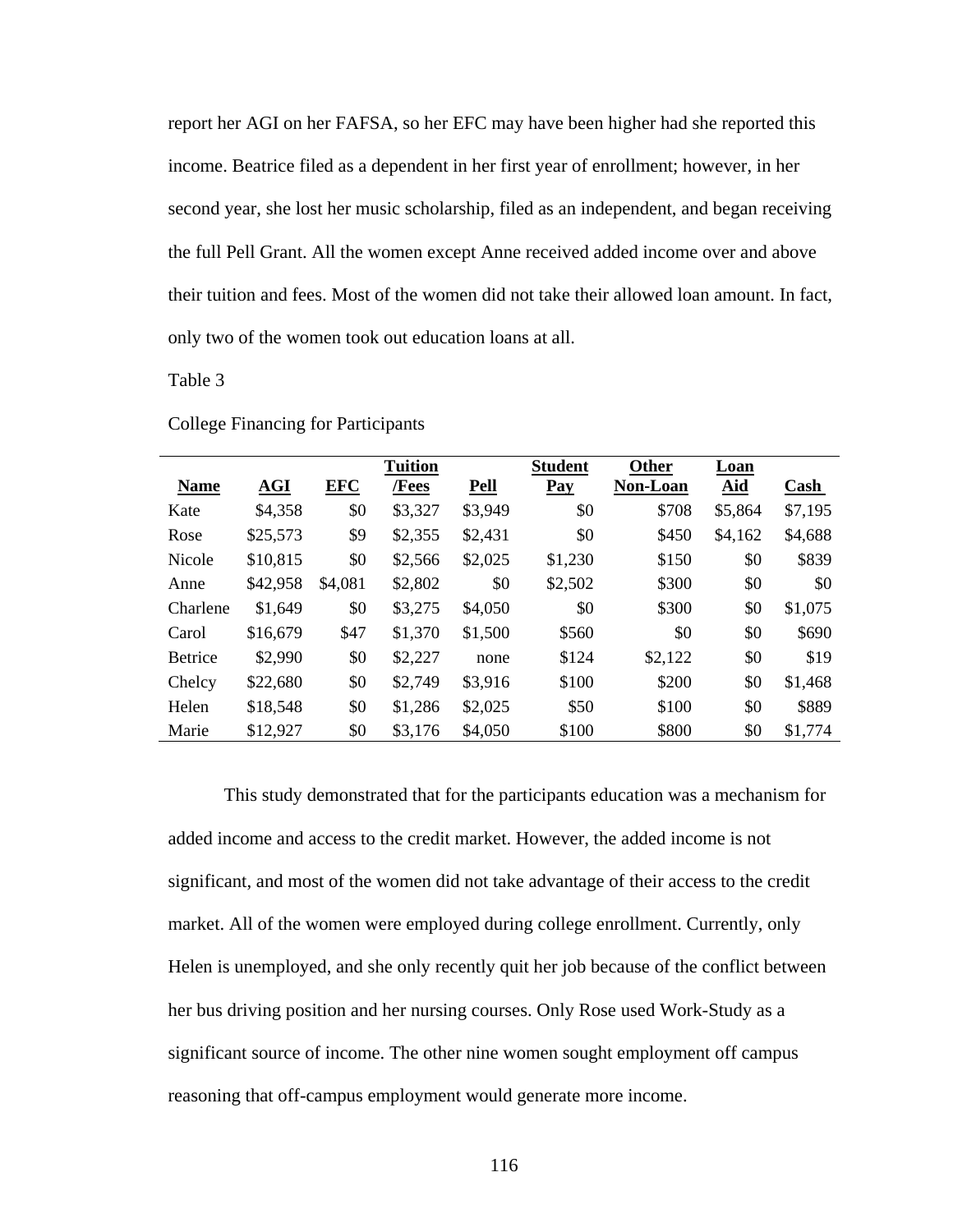report her AGI on her FAFSA, so her EFC may have been higher had she reported this income. Beatrice filed as a dependent in her first year of enrollment; however, in her second year, she lost her music scholarship, filed as an independent, and began receiving the full Pell Grant. All the women except Anne received added income over and above their tuition and fees. Most of the women did not take their allowed loan amount. In fact, only two of the women took out education loans at all.

Table 3

|                |          |            | <b>Tuition</b> |             | <b>Student</b> | Other           | Loan       |         |
|----------------|----------|------------|----------------|-------------|----------------|-----------------|------------|---------|
| <b>Name</b>    | AGI      | <b>EFC</b> | /Fees          | <b>Pell</b> | Pay            | <b>Non-Loan</b> | <b>Aid</b> | Cash    |
| Kate           | \$4,358  | \$0        | \$3,327        | \$3,949     | \$0            | \$708           | \$5,864    | \$7,195 |
| Rose           | \$25,573 | \$9        | \$2,355        | \$2,431     | \$0            | \$450           | \$4,162    | \$4,688 |
| Nicole         | \$10,815 | \$0        | \$2,566        | \$2,025     | \$1,230        | \$150           | \$0        | \$839   |
| Anne           | \$42,958 | \$4,081    | \$2,802        | \$0         | \$2,502        | \$300           | \$0        | \$0     |
| Charlene       | \$1,649  | \$0        | \$3,275        | \$4,050     | \$0            | \$300           | \$0        | \$1,075 |
| Carol          | \$16,679 | \$47       | \$1,370        | \$1,500     | \$560          | \$0             | \$0        | \$690   |
| <b>Betrice</b> | \$2,990  | \$0        | \$2,227        | none        | \$124          | \$2,122         | \$0        | \$19    |
| Chelcy         | \$22,680 | \$0        | \$2,749        | \$3,916     | \$100          | \$200           | \$0        | \$1,468 |
| Helen          | \$18,548 | \$0        | \$1,286        | \$2,025     | \$50           | \$100           | \$0        | \$889   |
| Marie          | \$12,927 | \$0        | \$3,176        | \$4,050     | \$100          | \$800           | \$0        | \$1,774 |

College Financing for Participants

 This study demonstrated that for the participants education was a mechanism for added income and access to the credit market. However, the added income is not significant, and most of the women did not take advantage of their access to the credit market. All of the women were employed during college enrollment. Currently, only Helen is unemployed, and she only recently quit her job because of the conflict between her bus driving position and her nursing courses. Only Rose used Work-Study as a significant source of income. The other nine women sought employment off campus reasoning that off-campus employment would generate more income.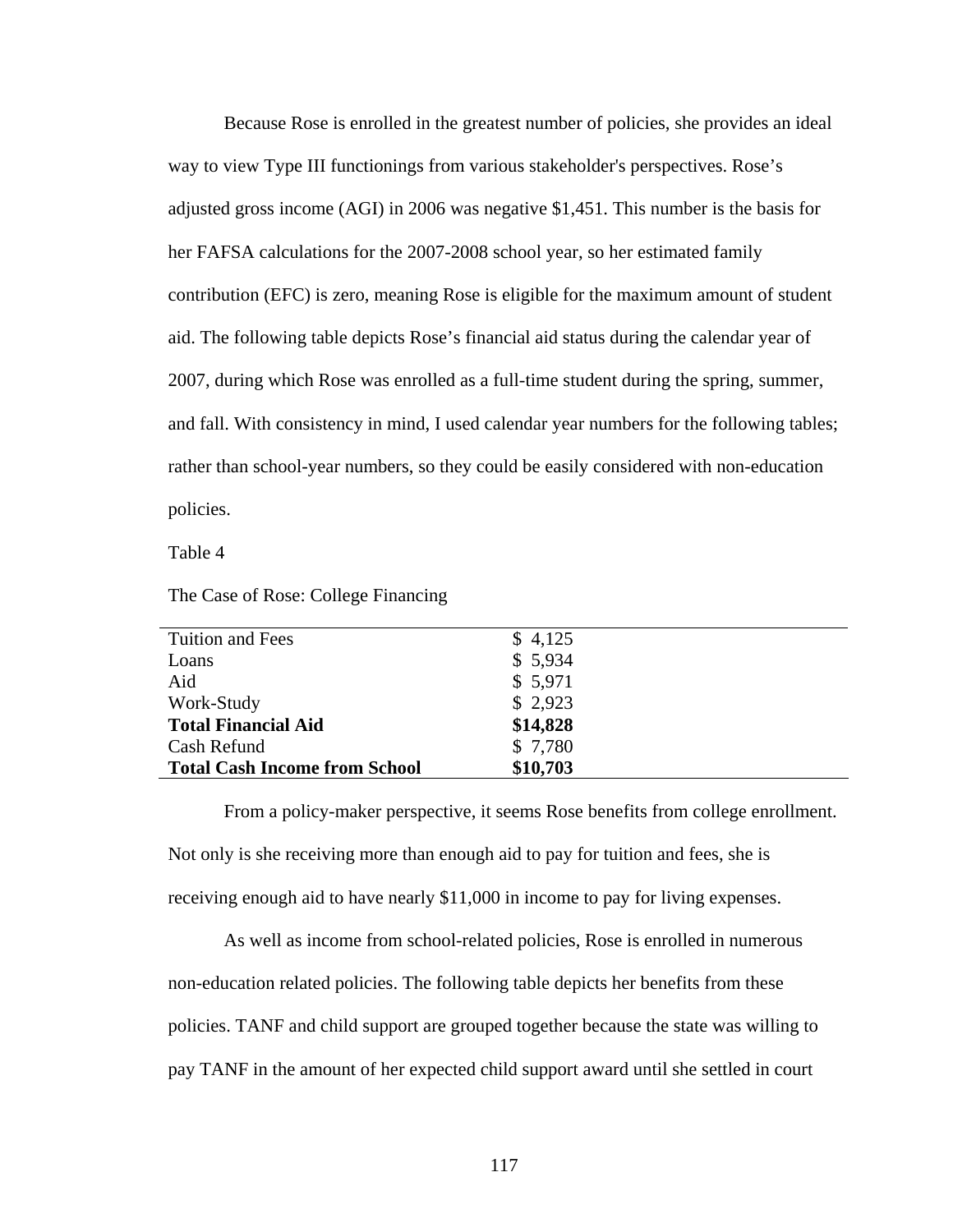Because Rose is enrolled in the greatest number of policies, she provides an ideal way to view Type III functionings from various stakeholder's perspectives. Rose's adjusted gross income (AGI) in 2006 was negative \$1,451. This number is the basis for her FAFSA calculations for the 2007-2008 school year, so her estimated family contribution (EFC) is zero, meaning Rose is eligible for the maximum amount of student aid. The following table depicts Rose's financial aid status during the calendar year of 2007, during which Rose was enrolled as a full-time student during the spring, summer, and fall. With consistency in mind, I used calendar year numbers for the following tables; rather than school-year numbers, so they could be easily considered with non-education policies.

Table 4

The Case of Rose: College Financing

| Tuition and Fees                     | \$4,125  |  |
|--------------------------------------|----------|--|
| Loans                                | \$5,934  |  |
| Aid                                  | \$5,971  |  |
| Work-Study                           | \$2,923  |  |
| <b>Total Financial Aid</b>           | \$14,828 |  |
| Cash Refund                          | \$7,780  |  |
| <b>Total Cash Income from School</b> | \$10,703 |  |
|                                      |          |  |

From a policy-maker perspective, it seems Rose benefits from college enrollment.

Not only is she receiving more than enough aid to pay for tuition and fees, she is receiving enough aid to have nearly \$11,000 in income to pay for living expenses.

 As well as income from school-related policies, Rose is enrolled in numerous non-education related policies. The following table depicts her benefits from these policies. TANF and child support are grouped together because the state was willing to pay TANF in the amount of her expected child support award until she settled in court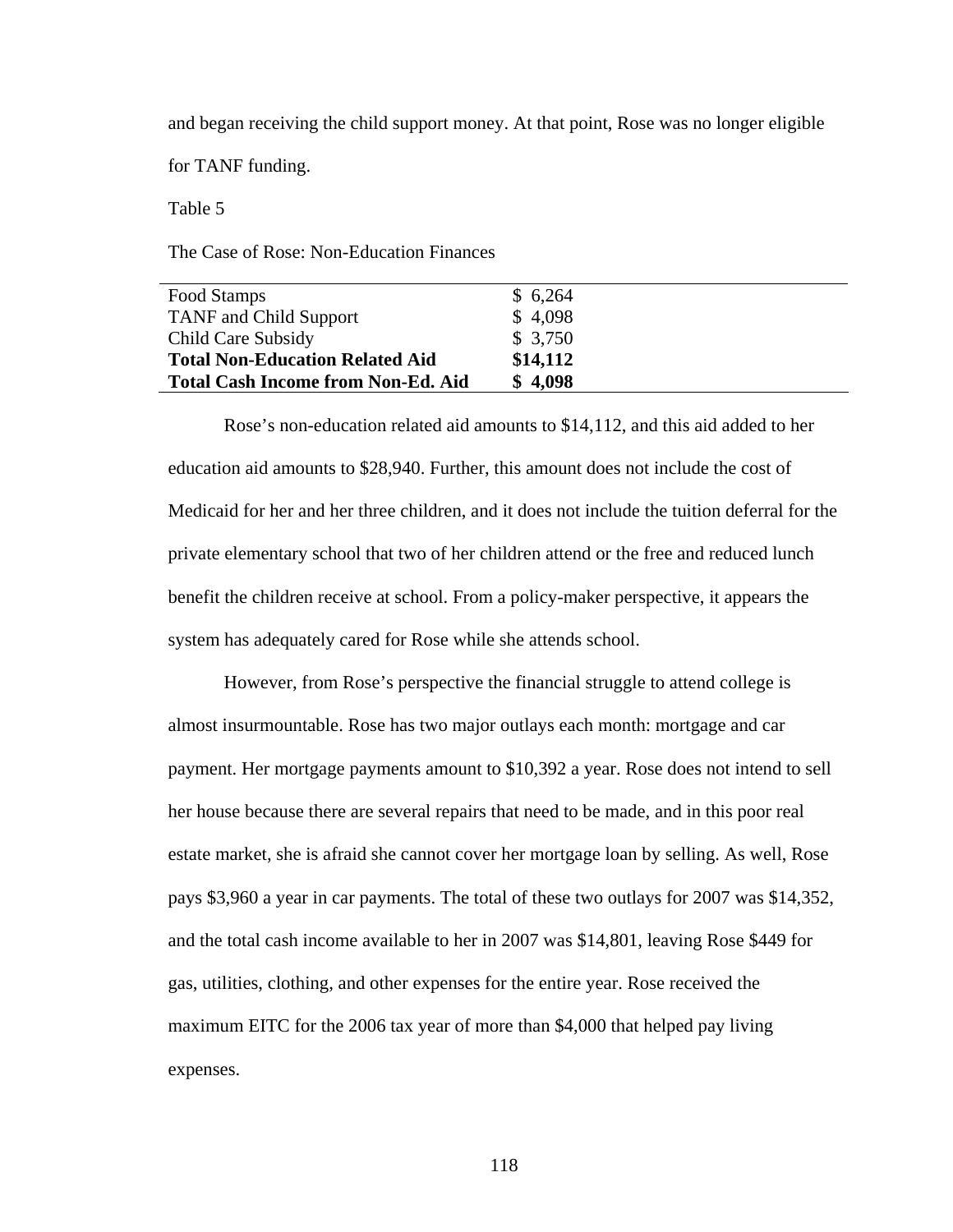and began receiving the child support money. At that point, Rose was no longer eligible

for TANF funding.

Table 5

The Case of Rose: Non-Education Finances

| Food Stamps                               | \$6,264  |
|-------------------------------------------|----------|
| <b>TANF</b> and Child Support             | \$4,098  |
| Child Care Subsidy                        | \$3,750  |
| <b>Total Non-Education Related Aid</b>    | \$14,112 |
| <b>Total Cash Income from Non-Ed. Aid</b> | \$4,098  |

 Rose's non-education related aid amounts to \$14,112, and this aid added to her education aid amounts to \$28,940. Further, this amount does not include the cost of Medicaid for her and her three children, and it does not include the tuition deferral for the private elementary school that two of her children attend or the free and reduced lunch benefit the children receive at school. From a policy-maker perspective, it appears the system has adequately cared for Rose while she attends school.

 However, from Rose's perspective the financial struggle to attend college is almost insurmountable. Rose has two major outlays each month: mortgage and car payment. Her mortgage payments amount to \$10,392 a year. Rose does not intend to sell her house because there are several repairs that need to be made, and in this poor real estate market, she is afraid she cannot cover her mortgage loan by selling. As well, Rose pays \$3,960 a year in car payments. The total of these two outlays for 2007 was \$14,352, and the total cash income available to her in 2007 was \$14,801, leaving Rose \$449 for gas, utilities, clothing, and other expenses for the entire year. Rose received the maximum EITC for the 2006 tax year of more than \$4,000 that helped pay living expenses.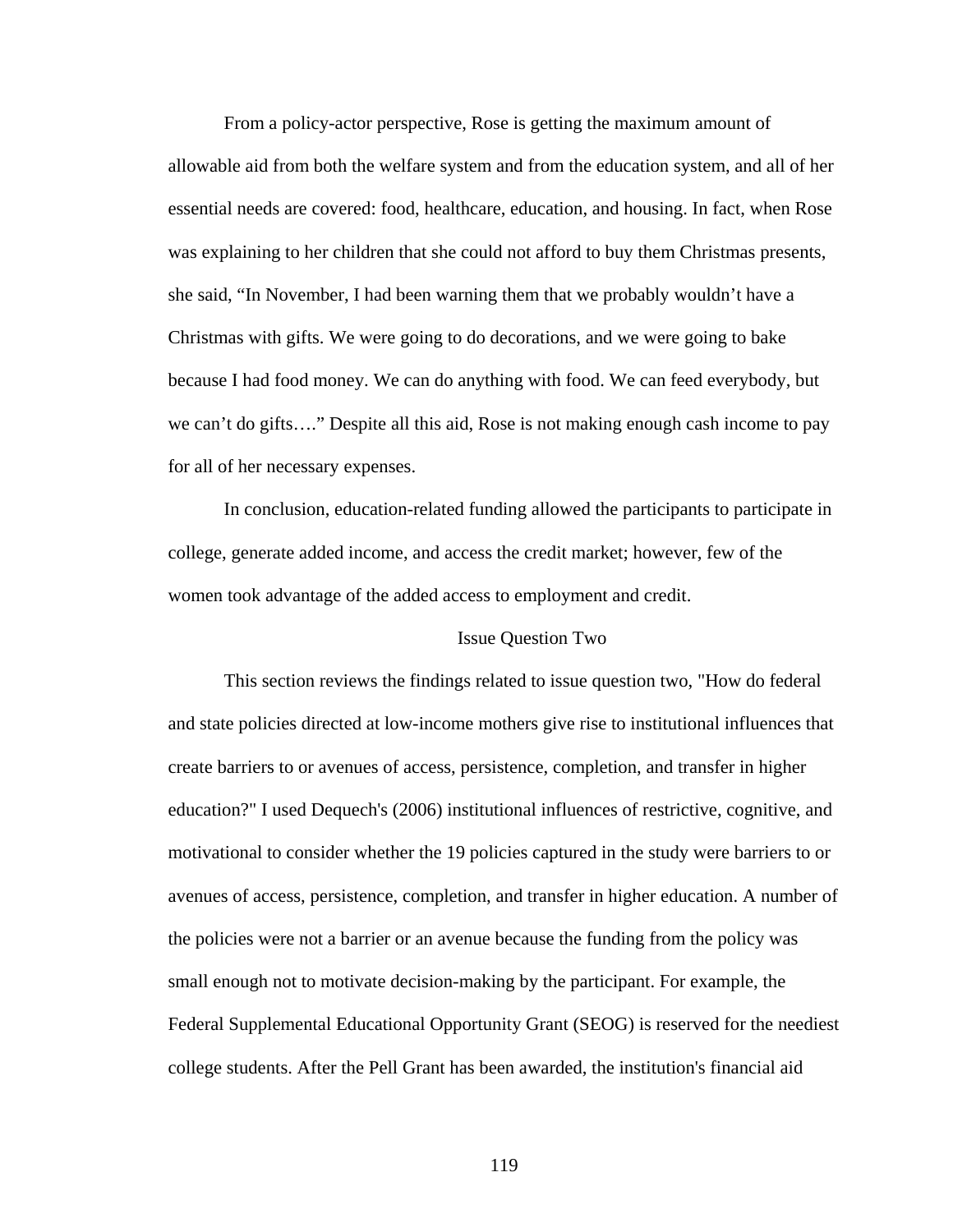From a policy-actor perspective, Rose is getting the maximum amount of allowable aid from both the welfare system and from the education system, and all of her essential needs are covered: food, healthcare, education, and housing. In fact, when Rose was explaining to her children that she could not afford to buy them Christmas presents, she said, "In November, I had been warning them that we probably wouldn't have a Christmas with gifts. We were going to do decorations, and we were going to bake because I had food money. We can do anything with food. We can feed everybody, but we can't do gifts…." Despite all this aid, Rose is not making enough cash income to pay for all of her necessary expenses.

 In conclusion, education-related funding allowed the participants to participate in college, generate added income, and access the credit market; however, few of the women took advantage of the added access to employment and credit.

### Issue Question Two

 This section reviews the findings related to issue question two, "How do federal and state policies directed at low-income mothers give rise to institutional influences that create barriers to or avenues of access, persistence, completion, and transfer in higher education?" I used Dequech's (2006) institutional influences of restrictive, cognitive, and motivational to consider whether the 19 policies captured in the study were barriers to or avenues of access, persistence, completion, and transfer in higher education. A number of the policies were not a barrier or an avenue because the funding from the policy was small enough not to motivate decision-making by the participant. For example, the Federal Supplemental Educational Opportunity Grant (SEOG) is reserved for the neediest college students. After the Pell Grant has been awarded, the institution's financial aid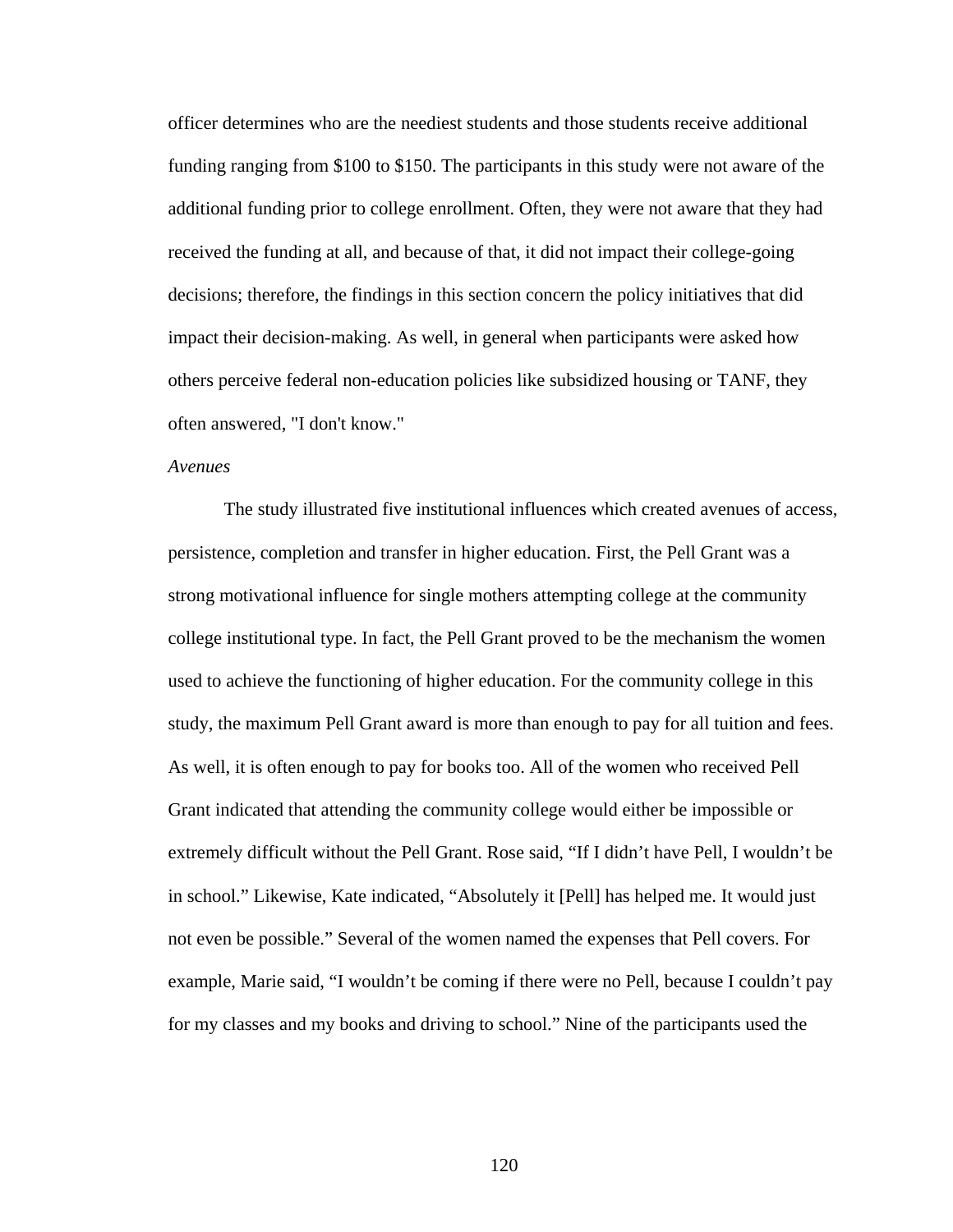officer determines who are the neediest students and those students receive additional funding ranging from \$100 to \$150. The participants in this study were not aware of the additional funding prior to college enrollment. Often, they were not aware that they had received the funding at all, and because of that, it did not impact their college-going decisions; therefore, the findings in this section concern the policy initiatives that did impact their decision-making. As well, in general when participants were asked how others perceive federal non-education policies like subsidized housing or TANF, they often answered, "I don't know."

## *Avenues*

 The study illustrated five institutional influences which created avenues of access, persistence, completion and transfer in higher education. First, the Pell Grant was a strong motivational influence for single mothers attempting college at the community college institutional type. In fact, the Pell Grant proved to be the mechanism the women used to achieve the functioning of higher education. For the community college in this study, the maximum Pell Grant award is more than enough to pay for all tuition and fees. As well, it is often enough to pay for books too. All of the women who received Pell Grant indicated that attending the community college would either be impossible or extremely difficult without the Pell Grant. Rose said, "If I didn't have Pell, I wouldn't be in school." Likewise, Kate indicated, "Absolutely it [Pell] has helped me. It would just not even be possible." Several of the women named the expenses that Pell covers. For example, Marie said, "I wouldn't be coming if there were no Pell, because I couldn't pay for my classes and my books and driving to school." Nine of the participants used the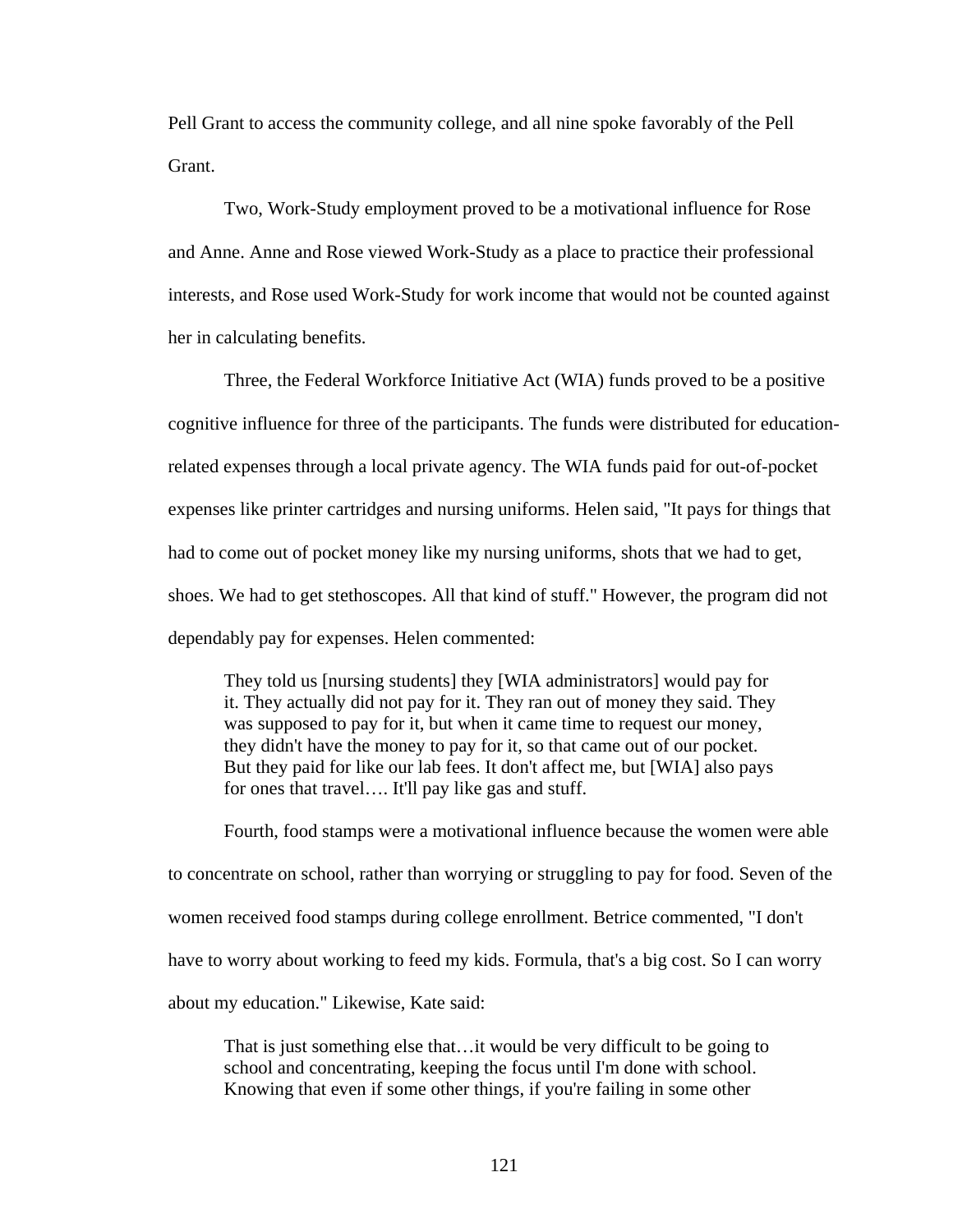Pell Grant to access the community college, and all nine spoke favorably of the Pell Grant.

 Two, Work-Study employment proved to be a motivational influence for Rose and Anne. Anne and Rose viewed Work-Study as a place to practice their professional interests, and Rose used Work-Study for work income that would not be counted against her in calculating benefits.

 Three, the Federal Workforce Initiative Act (WIA) funds proved to be a positive cognitive influence for three of the participants. The funds were distributed for educationrelated expenses through a local private agency. The WIA funds paid for out-of-pocket expenses like printer cartridges and nursing uniforms. Helen said, "It pays for things that had to come out of pocket money like my nursing uniforms, shots that we had to get, shoes. We had to get stethoscopes. All that kind of stuff." However, the program did not dependably pay for expenses. Helen commented:

They told us [nursing students] they [WIA administrators] would pay for it. They actually did not pay for it. They ran out of money they said. They was supposed to pay for it, but when it came time to request our money, they didn't have the money to pay for it, so that came out of our pocket. But they paid for like our lab fees. It don't affect me, but [WIA] also pays for ones that travel…. It'll pay like gas and stuff.

 Fourth, food stamps were a motivational influence because the women were able to concentrate on school, rather than worrying or struggling to pay for food. Seven of the women received food stamps during college enrollment. Betrice commented, "I don't have to worry about working to feed my kids. Formula, that's a big cost. So I can worry about my education." Likewise, Kate said:

That is just something else that…it would be very difficult to be going to school and concentrating, keeping the focus until I'm done with school. Knowing that even if some other things, if you're failing in some other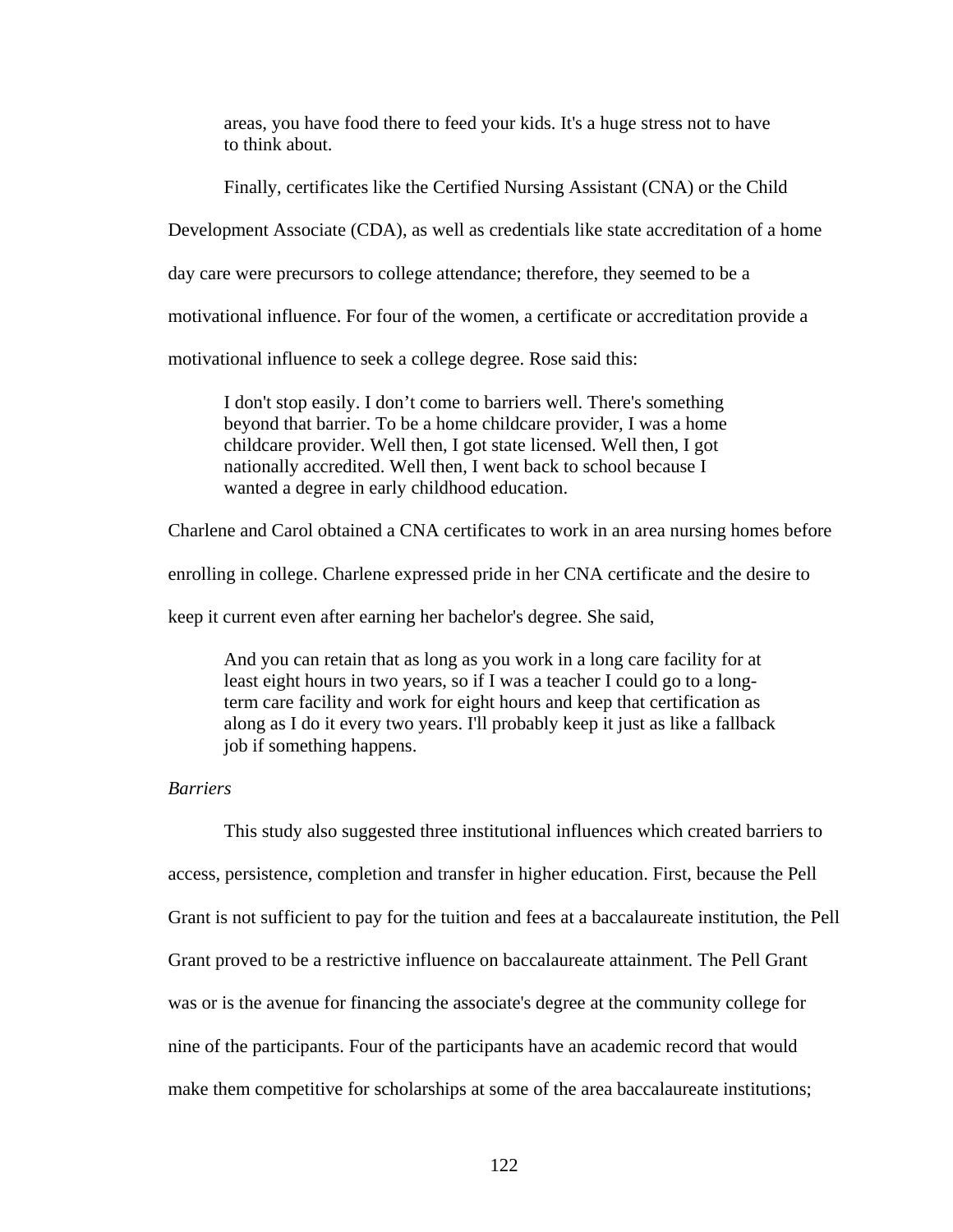areas, you have food there to feed your kids. It's a huge stress not to have to think about.

Finally, certificates like the Certified Nursing Assistant (CNA) or the Child

Development Associate (CDA), as well as credentials like state accreditation of a home

day care were precursors to college attendance; therefore, they seemed to be a

motivational influence. For four of the women, a certificate or accreditation provide a

motivational influence to seek a college degree. Rose said this:

I don't stop easily. I don't come to barriers well. There's something beyond that barrier. To be a home childcare provider, I was a home childcare provider. Well then, I got state licensed. Well then, I got nationally accredited. Well then, I went back to school because I wanted a degree in early childhood education.

Charlene and Carol obtained a CNA certificates to work in an area nursing homes before

enrolling in college. Charlene expressed pride in her CNA certificate and the desire to

keep it current even after earning her bachelor's degree. She said,

And you can retain that as long as you work in a long care facility for at least eight hours in two years, so if I was a teacher I could go to a longterm care facility and work for eight hours and keep that certification as along as I do it every two years. I'll probably keep it just as like a fallback job if something happens.

### *Barriers*

 This study also suggested three institutional influences which created barriers to access, persistence, completion and transfer in higher education. First, because the Pell Grant is not sufficient to pay for the tuition and fees at a baccalaureate institution, the Pell Grant proved to be a restrictive influence on baccalaureate attainment. The Pell Grant was or is the avenue for financing the associate's degree at the community college for nine of the participants. Four of the participants have an academic record that would make them competitive for scholarships at some of the area baccalaureate institutions;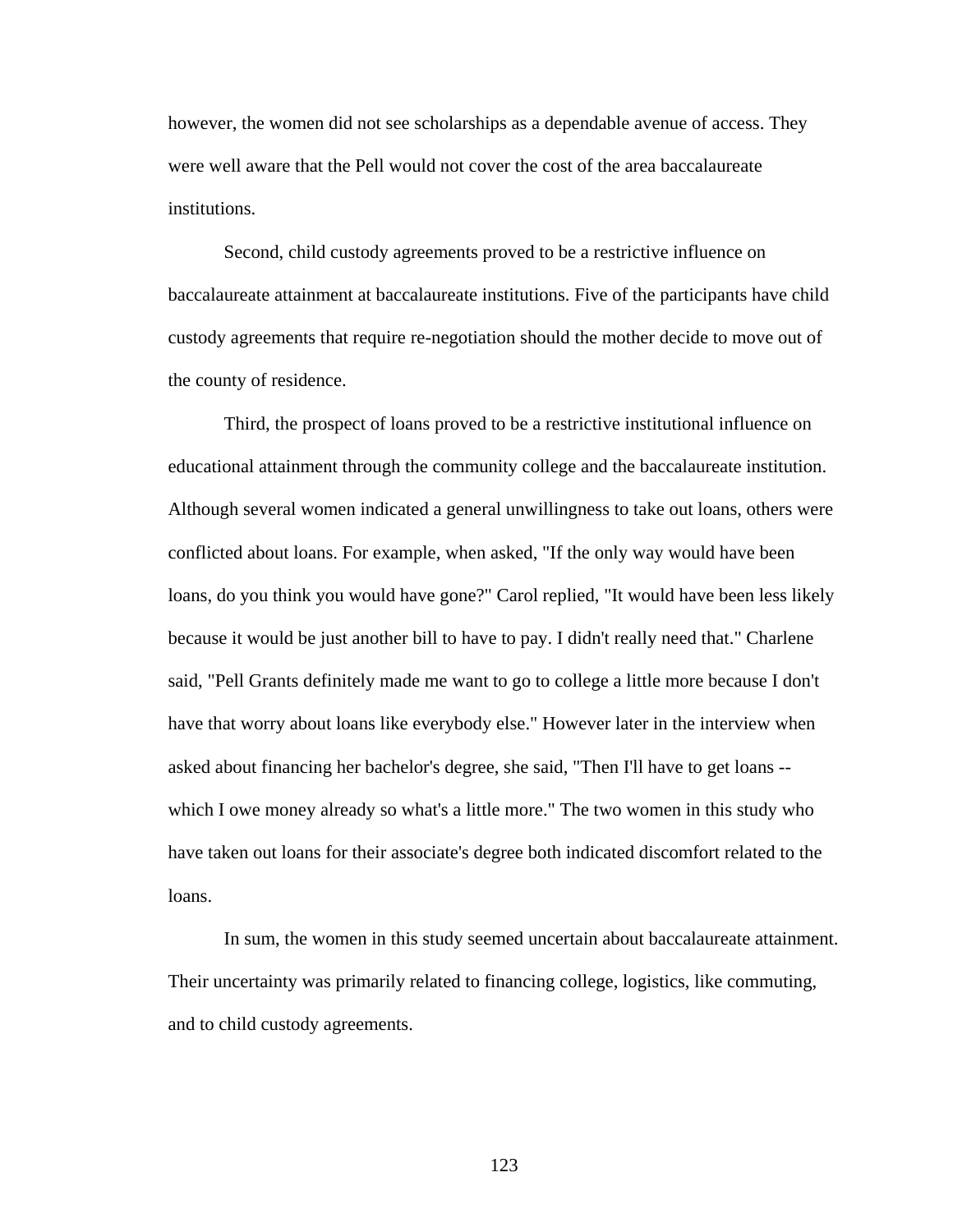however, the women did not see scholarships as a dependable avenue of access. They were well aware that the Pell would not cover the cost of the area baccalaureate institutions.

 Second, child custody agreements proved to be a restrictive influence on baccalaureate attainment at baccalaureate institutions. Five of the participants have child custody agreements that require re-negotiation should the mother decide to move out of the county of residence.

 Third, the prospect of loans proved to be a restrictive institutional influence on educational attainment through the community college and the baccalaureate institution. Although several women indicated a general unwillingness to take out loans, others were conflicted about loans. For example, when asked, "If the only way would have been loans, do you think you would have gone?" Carol replied, "It would have been less likely because it would be just another bill to have to pay. I didn't really need that." Charlene said, "Pell Grants definitely made me want to go to college a little more because I don't have that worry about loans like everybody else." However later in the interview when asked about financing her bachelor's degree, she said, "Then I'll have to get loans - which I owe money already so what's a little more." The two women in this study who have taken out loans for their associate's degree both indicated discomfort related to the loans.

 In sum, the women in this study seemed uncertain about baccalaureate attainment. Their uncertainty was primarily related to financing college, logistics, like commuting, and to child custody agreements.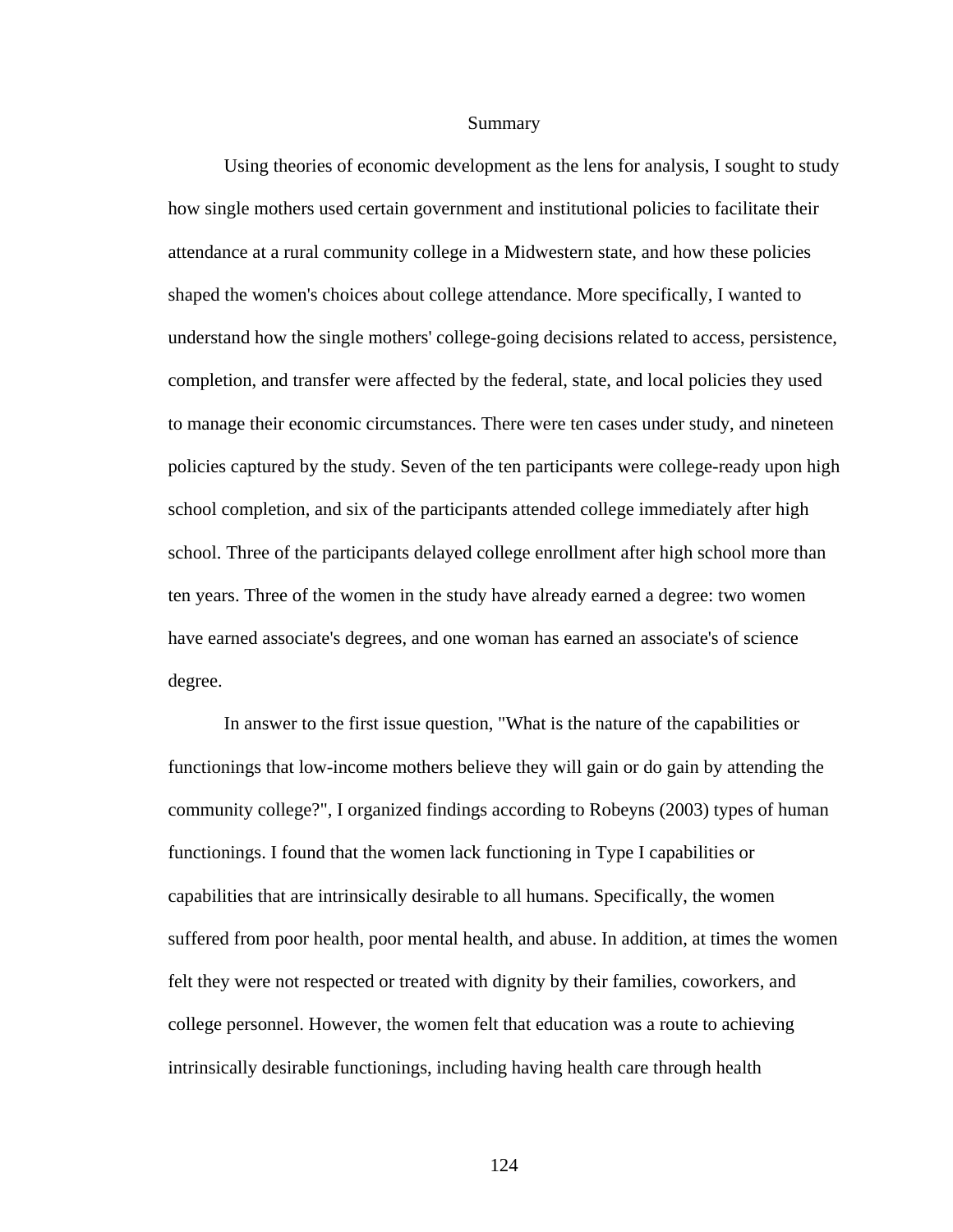#### Summary

 Using theories of economic development as the lens for analysis, I sought to study how single mothers used certain government and institutional policies to facilitate their attendance at a rural community college in a Midwestern state, and how these policies shaped the women's choices about college attendance. More specifically, I wanted to understand how the single mothers' college-going decisions related to access, persistence, completion, and transfer were affected by the federal, state, and local policies they used to manage their economic circumstances. There were ten cases under study, and nineteen policies captured by the study. Seven of the ten participants were college-ready upon high school completion, and six of the participants attended college immediately after high school. Three of the participants delayed college enrollment after high school more than ten years. Three of the women in the study have already earned a degree: two women have earned associate's degrees, and one woman has earned an associate's of science degree.

 In answer to the first issue question, "What is the nature of the capabilities or functionings that low-income mothers believe they will gain or do gain by attending the community college?", I organized findings according to Robeyns (2003) types of human functionings. I found that the women lack functioning in Type I capabilities or capabilities that are intrinsically desirable to all humans. Specifically, the women suffered from poor health, poor mental health, and abuse. In addition, at times the women felt they were not respected or treated with dignity by their families, coworkers, and college personnel. However, the women felt that education was a route to achieving intrinsically desirable functionings, including having health care through health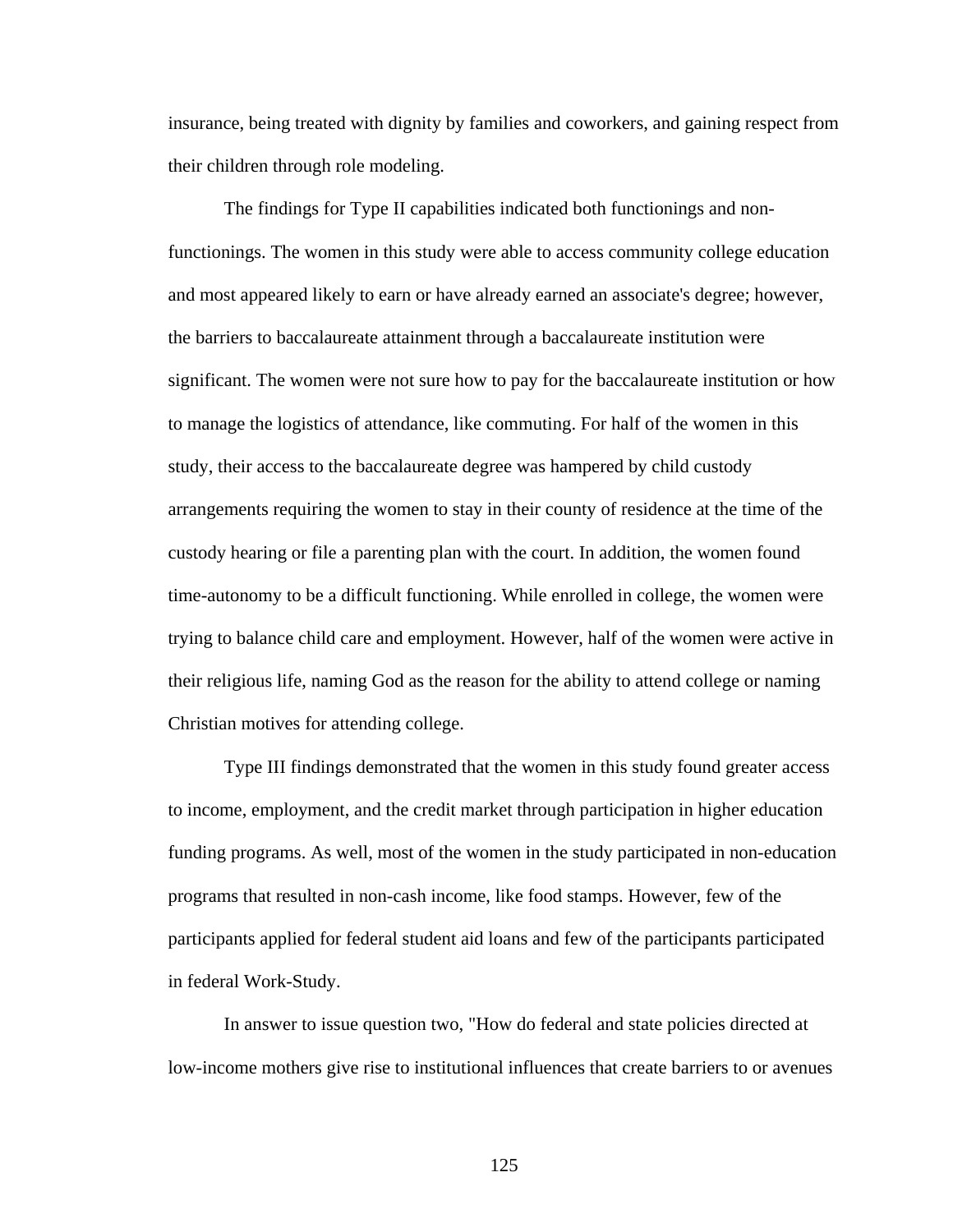insurance, being treated with dignity by families and coworkers, and gaining respect from their children through role modeling.

 The findings for Type II capabilities indicated both functionings and nonfunctionings. The women in this study were able to access community college education and most appeared likely to earn or have already earned an associate's degree; however, the barriers to baccalaureate attainment through a baccalaureate institution were significant. The women were not sure how to pay for the baccalaureate institution or how to manage the logistics of attendance, like commuting. For half of the women in this study, their access to the baccalaureate degree was hampered by child custody arrangements requiring the women to stay in their county of residence at the time of the custody hearing or file a parenting plan with the court. In addition, the women found time-autonomy to be a difficult functioning. While enrolled in college, the women were trying to balance child care and employment. However, half of the women were active in their religious life, naming God as the reason for the ability to attend college or naming Christian motives for attending college.

 Type III findings demonstrated that the women in this study found greater access to income, employment, and the credit market through participation in higher education funding programs. As well, most of the women in the study participated in non-education programs that resulted in non-cash income, like food stamps. However, few of the participants applied for federal student aid loans and few of the participants participated in federal Work-Study.

 In answer to issue question two, "How do federal and state policies directed at low-income mothers give rise to institutional influences that create barriers to or avenues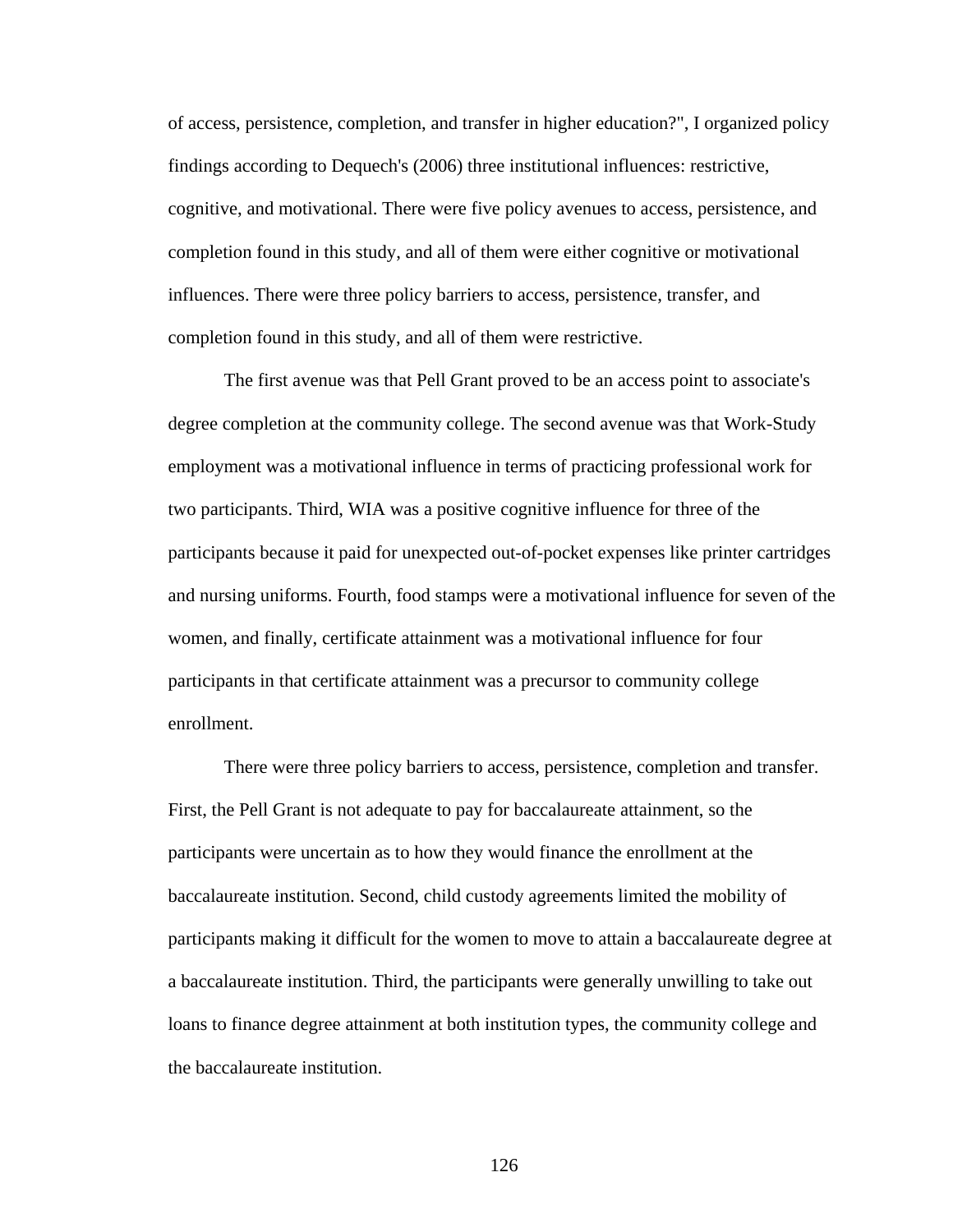of access, persistence, completion, and transfer in higher education?", I organized policy findings according to Dequech's (2006) three institutional influences: restrictive, cognitive, and motivational. There were five policy avenues to access, persistence, and completion found in this study, and all of them were either cognitive or motivational influences. There were three policy barriers to access, persistence, transfer, and completion found in this study, and all of them were restrictive.

 The first avenue was that Pell Grant proved to be an access point to associate's degree completion at the community college. The second avenue was that Work-Study employment was a motivational influence in terms of practicing professional work for two participants. Third, WIA was a positive cognitive influence for three of the participants because it paid for unexpected out-of-pocket expenses like printer cartridges and nursing uniforms. Fourth, food stamps were a motivational influence for seven of the women, and finally, certificate attainment was a motivational influence for four participants in that certificate attainment was a precursor to community college enrollment.

 There were three policy barriers to access, persistence, completion and transfer. First, the Pell Grant is not adequate to pay for baccalaureate attainment, so the participants were uncertain as to how they would finance the enrollment at the baccalaureate institution. Second, child custody agreements limited the mobility of participants making it difficult for the women to move to attain a baccalaureate degree at a baccalaureate institution. Third, the participants were generally unwilling to take out loans to finance degree attainment at both institution types, the community college and the baccalaureate institution.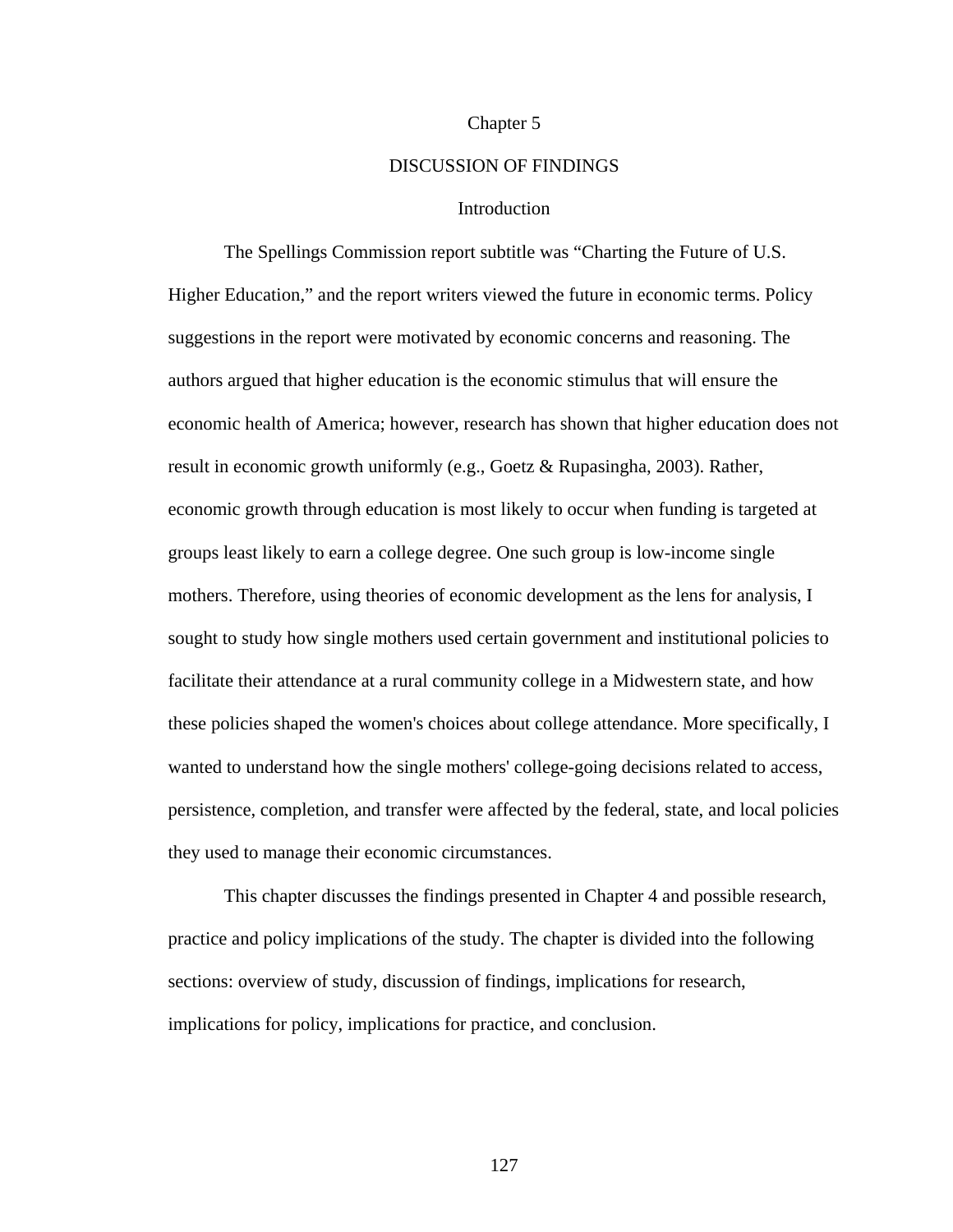#### Chapter 5

## DISCUSSION OF FINDINGS

## Introduction

 The Spellings Commission report subtitle was "Charting the Future of U.S. Higher Education," and the report writers viewed the future in economic terms. Policy suggestions in the report were motivated by economic concerns and reasoning. The authors argued that higher education is the economic stimulus that will ensure the economic health of America; however, research has shown that higher education does not result in economic growth uniformly (e.g., Goetz & Rupasingha, 2003). Rather, economic growth through education is most likely to occur when funding is targeted at groups least likely to earn a college degree. One such group is low-income single mothers. Therefore, using theories of economic development as the lens for analysis, I sought to study how single mothers used certain government and institutional policies to facilitate their attendance at a rural community college in a Midwestern state, and how these policies shaped the women's choices about college attendance. More specifically, I wanted to understand how the single mothers' college-going decisions related to access, persistence, completion, and transfer were affected by the federal, state, and local policies they used to manage their economic circumstances.

This chapter discusses the findings presented in Chapter 4 and possible research, practice and policy implications of the study. The chapter is divided into the following sections: overview of study, discussion of findings, implications for research, implications for policy, implications for practice, and conclusion.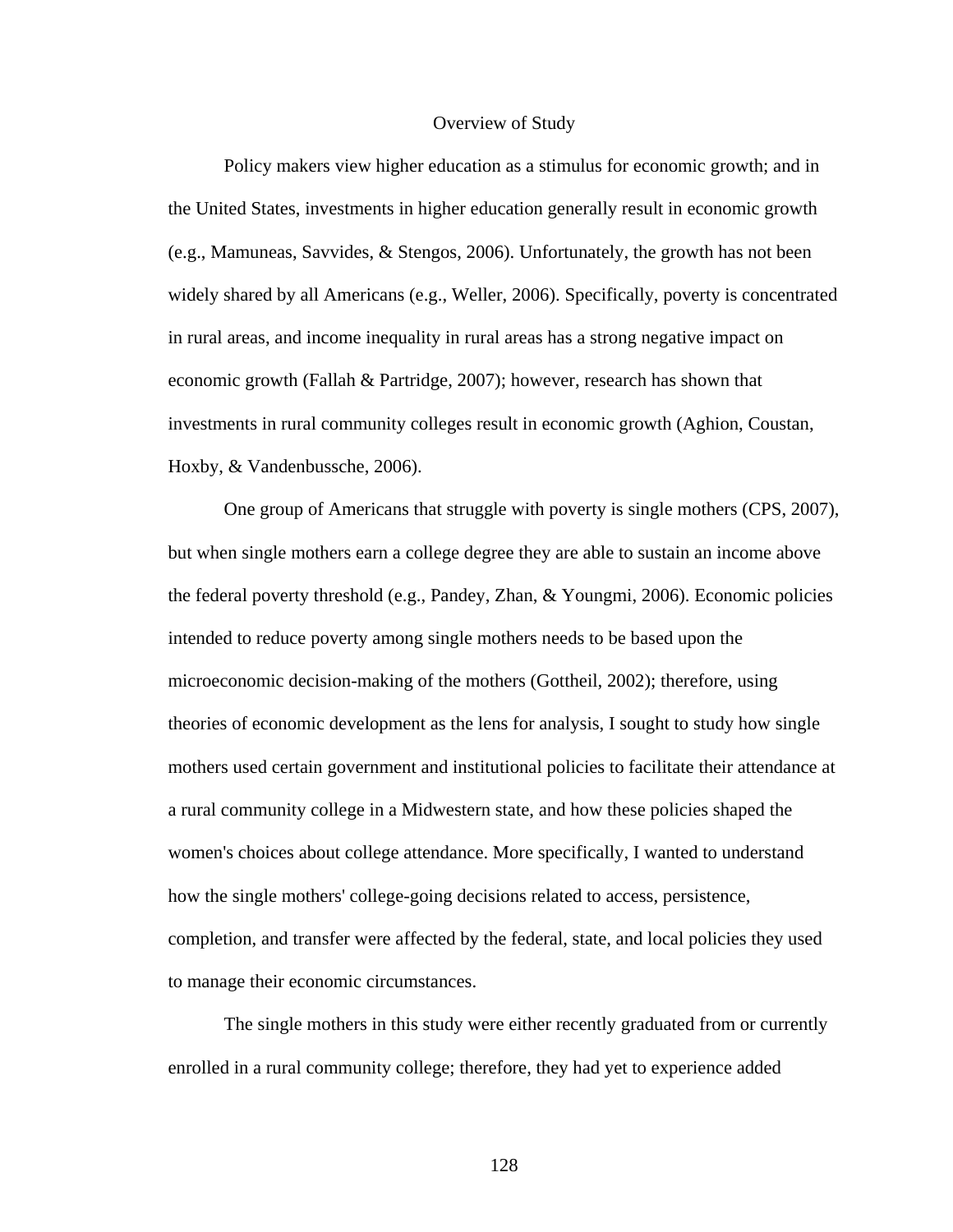### Overview of Study

Policy makers view higher education as a stimulus for economic growth; and in the United States, investments in higher education generally result in economic growth (e.g., Mamuneas, Savvides, & Stengos, 2006). Unfortunately, the growth has not been widely shared by all Americans (e.g., Weller, 2006). Specifically, poverty is concentrated in rural areas, and income inequality in rural areas has a strong negative impact on economic growth (Fallah & Partridge, 2007); however, research has shown that investments in rural community colleges result in economic growth (Aghion, Coustan, Hoxby, & Vandenbussche, 2006).

 One group of Americans that struggle with poverty is single mothers (CPS, 2007), but when single mothers earn a college degree they are able to sustain an income above the federal poverty threshold (e.g., Pandey, Zhan, & Youngmi, 2006). Economic policies intended to reduce poverty among single mothers needs to be based upon the microeconomic decision-making of the mothers (Gottheil, 2002); therefore, using theories of economic development as the lens for analysis, I sought to study how single mothers used certain government and institutional policies to facilitate their attendance at a rural community college in a Midwestern state, and how these policies shaped the women's choices about college attendance. More specifically, I wanted to understand how the single mothers' college-going decisions related to access, persistence, completion, and transfer were affected by the federal, state, and local policies they used to manage their economic circumstances.

The single mothers in this study were either recently graduated from or currently enrolled in a rural community college; therefore, they had yet to experience added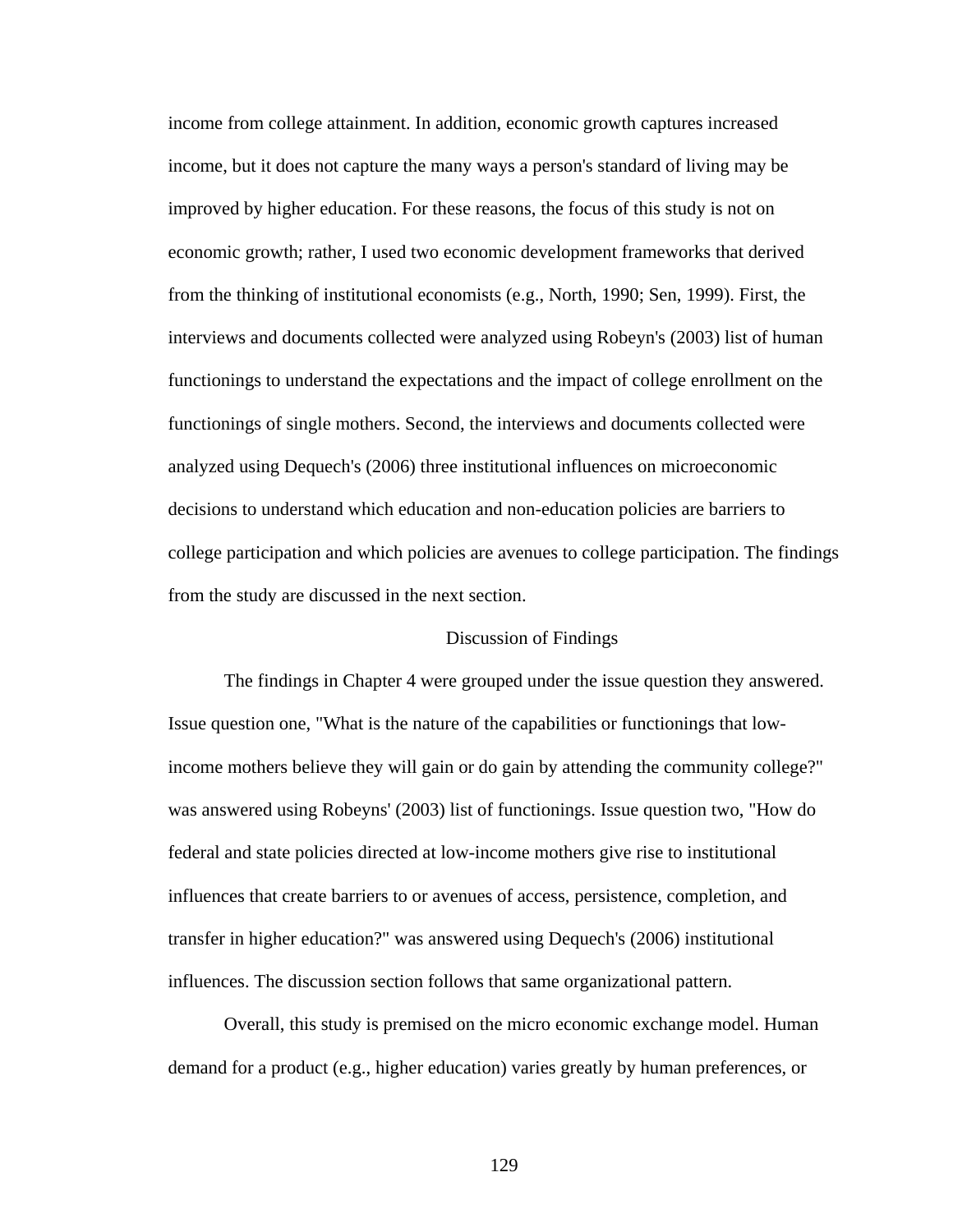income from college attainment. In addition, economic growth captures increased income, but it does not capture the many ways a person's standard of living may be improved by higher education. For these reasons, the focus of this study is not on economic growth; rather, I used two economic development frameworks that derived from the thinking of institutional economists (e.g., North, 1990; Sen, 1999). First, the interviews and documents collected were analyzed using Robeyn's (2003) list of human functionings to understand the expectations and the impact of college enrollment on the functionings of single mothers. Second, the interviews and documents collected were analyzed using Dequech's (2006) three institutional influences on microeconomic decisions to understand which education and non-education policies are barriers to college participation and which policies are avenues to college participation. The findings from the study are discussed in the next section.

# Discussion of Findings

The findings in Chapter 4 were grouped under the issue question they answered. Issue question one, "What is the nature of the capabilities or functionings that lowincome mothers believe they will gain or do gain by attending the community college?" was answered using Robeyns' (2003) list of functionings. Issue question two, "How do federal and state policies directed at low-income mothers give rise to institutional influences that create barriers to or avenues of access, persistence, completion, and transfer in higher education?" was answered using Dequech's (2006) institutional influences. The discussion section follows that same organizational pattern.

 Overall, this study is premised on the micro economic exchange model. Human demand for a product (e.g., higher education) varies greatly by human preferences, or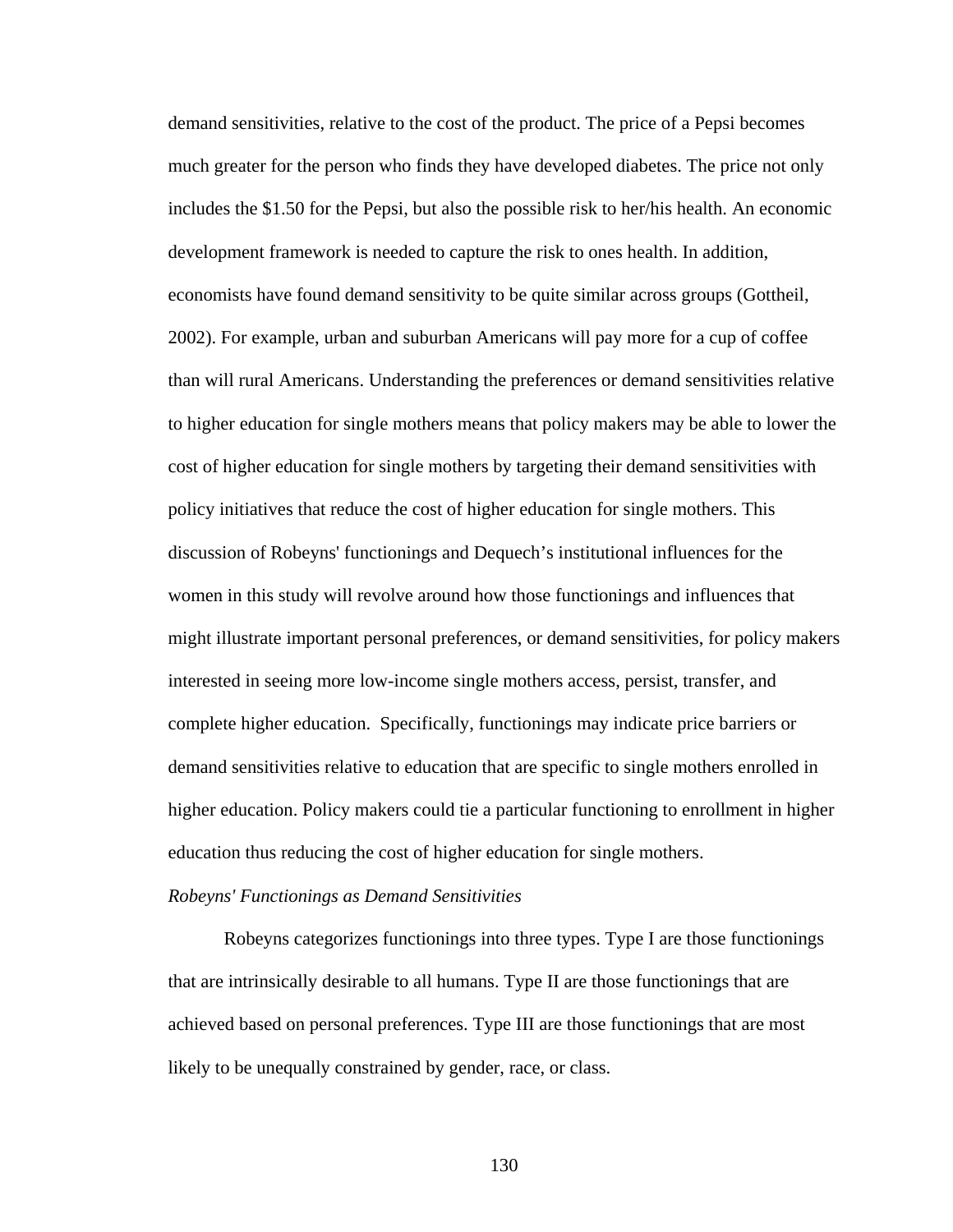demand sensitivities, relative to the cost of the product. The price of a Pepsi becomes much greater for the person who finds they have developed diabetes. The price not only includes the \$1.50 for the Pepsi, but also the possible risk to her/his health. An economic development framework is needed to capture the risk to ones health. In addition, economists have found demand sensitivity to be quite similar across groups (Gottheil, 2002). For example, urban and suburban Americans will pay more for a cup of coffee than will rural Americans. Understanding the preferences or demand sensitivities relative to higher education for single mothers means that policy makers may be able to lower the cost of higher education for single mothers by targeting their demand sensitivities with policy initiatives that reduce the cost of higher education for single mothers. This discussion of Robeyns' functionings and Dequech's institutional influences for the women in this study will revolve around how those functionings and influences that might illustrate important personal preferences, or demand sensitivities, for policy makers interested in seeing more low-income single mothers access, persist, transfer, and complete higher education. Specifically, functionings may indicate price barriers or demand sensitivities relative to education that are specific to single mothers enrolled in higher education. Policy makers could tie a particular functioning to enrollment in higher education thus reducing the cost of higher education for single mothers.

#### *Robeyns' Functionings as Demand Sensitivities*

 Robeyns categorizes functionings into three types. Type I are those functionings that are intrinsically desirable to all humans. Type II are those functionings that are achieved based on personal preferences. Type III are those functionings that are most likely to be unequally constrained by gender, race, or class.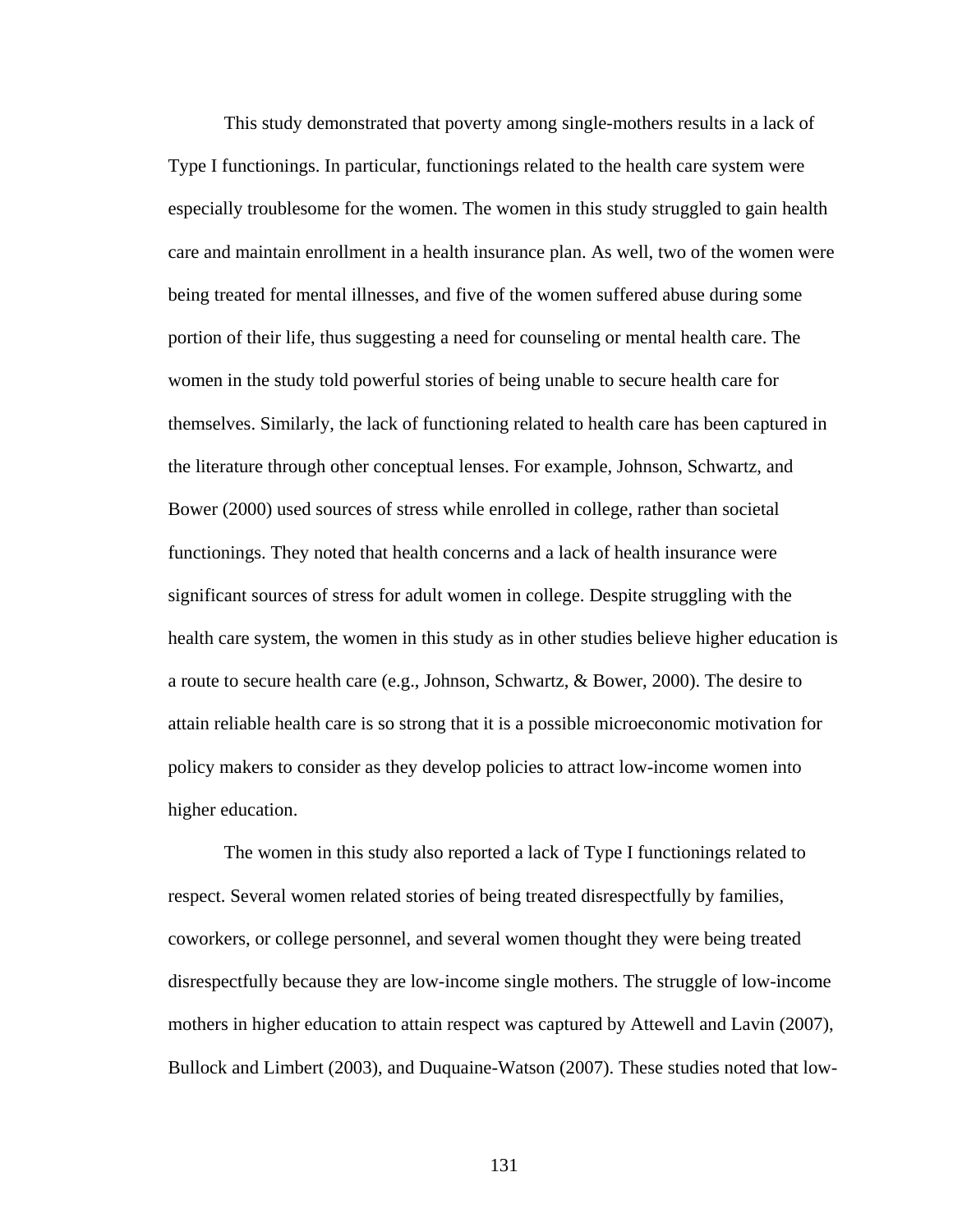This study demonstrated that poverty among single-mothers results in a lack of Type I functionings. In particular, functionings related to the health care system were especially troublesome for the women. The women in this study struggled to gain health care and maintain enrollment in a health insurance plan. As well, two of the women were being treated for mental illnesses, and five of the women suffered abuse during some portion of their life, thus suggesting a need for counseling or mental health care. The women in the study told powerful stories of being unable to secure health care for themselves. Similarly, the lack of functioning related to health care has been captured in the literature through other conceptual lenses. For example, Johnson, Schwartz, and Bower (2000) used sources of stress while enrolled in college, rather than societal functionings. They noted that health concerns and a lack of health insurance were significant sources of stress for adult women in college. Despite struggling with the health care system, the women in this study as in other studies believe higher education is a route to secure health care (e.g., Johnson, Schwartz, & Bower, 2000). The desire to attain reliable health care is so strong that it is a possible microeconomic motivation for policy makers to consider as they develop policies to attract low-income women into higher education.

 The women in this study also reported a lack of Type I functionings related to respect. Several women related stories of being treated disrespectfully by families, coworkers, or college personnel, and several women thought they were being treated disrespectfully because they are low-income single mothers. The struggle of low-income mothers in higher education to attain respect was captured by Attewell and Lavin (2007), Bullock and Limbert (2003), and Duquaine-Watson (2007). These studies noted that low-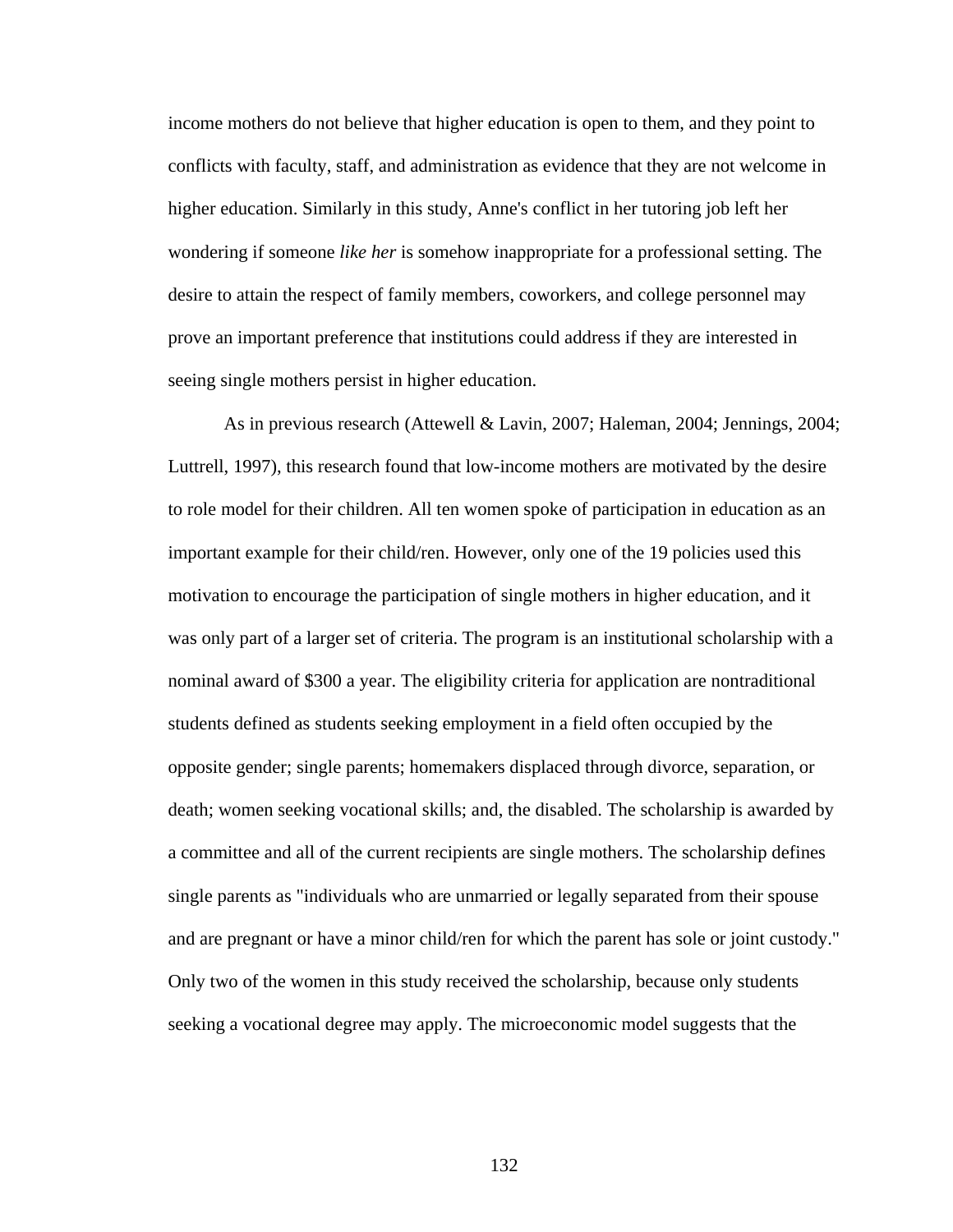income mothers do not believe that higher education is open to them, and they point to conflicts with faculty, staff, and administration as evidence that they are not welcome in higher education. Similarly in this study, Anne's conflict in her tutoring job left her wondering if someone *like her* is somehow inappropriate for a professional setting. The desire to attain the respect of family members, coworkers, and college personnel may prove an important preference that institutions could address if they are interested in seeing single mothers persist in higher education.

 As in previous research (Attewell & Lavin, 2007; Haleman, 2004; Jennings, 2004; Luttrell, 1997), this research found that low-income mothers are motivated by the desire to role model for their children. All ten women spoke of participation in education as an important example for their child/ren. However, only one of the 19 policies used this motivation to encourage the participation of single mothers in higher education, and it was only part of a larger set of criteria. The program is an institutional scholarship with a nominal award of \$300 a year. The eligibility criteria for application are nontraditional students defined as students seeking employment in a field often occupied by the opposite gender; single parents; homemakers displaced through divorce, separation, or death; women seeking vocational skills; and, the disabled. The scholarship is awarded by a committee and all of the current recipients are single mothers. The scholarship defines single parents as "individuals who are unmarried or legally separated from their spouse and are pregnant or have a minor child/ren for which the parent has sole or joint custody." Only two of the women in this study received the scholarship, because only students seeking a vocational degree may apply. The microeconomic model suggests that the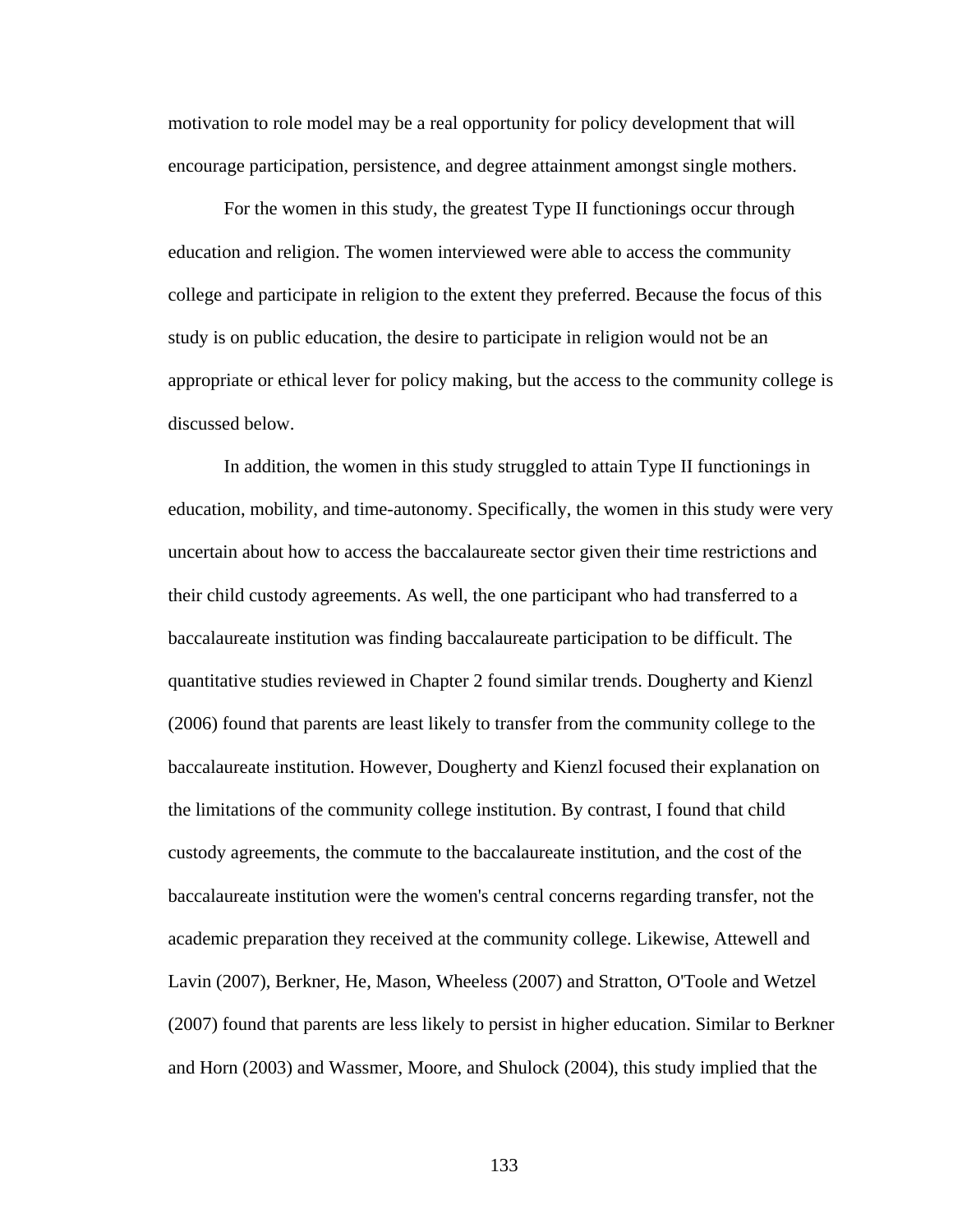motivation to role model may be a real opportunity for policy development that will encourage participation, persistence, and degree attainment amongst single mothers.

 For the women in this study, the greatest Type II functionings occur through education and religion. The women interviewed were able to access the community college and participate in religion to the extent they preferred. Because the focus of this study is on public education, the desire to participate in religion would not be an appropriate or ethical lever for policy making, but the access to the community college is discussed below.

In addition, the women in this study struggled to attain Type II functionings in education, mobility, and time-autonomy. Specifically, the women in this study were very uncertain about how to access the baccalaureate sector given their time restrictions and their child custody agreements. As well, the one participant who had transferred to a baccalaureate institution was finding baccalaureate participation to be difficult. The quantitative studies reviewed in Chapter 2 found similar trends. Dougherty and Kienzl (2006) found that parents are least likely to transfer from the community college to the baccalaureate institution. However, Dougherty and Kienzl focused their explanation on the limitations of the community college institution. By contrast, I found that child custody agreements, the commute to the baccalaureate institution, and the cost of the baccalaureate institution were the women's central concerns regarding transfer, not the academic preparation they received at the community college. Likewise, Attewell and Lavin (2007), Berkner, He, Mason, Wheeless (2007) and Stratton, O'Toole and Wetzel (2007) found that parents are less likely to persist in higher education. Similar to Berkner and Horn (2003) and Wassmer, Moore, and Shulock (2004), this study implied that the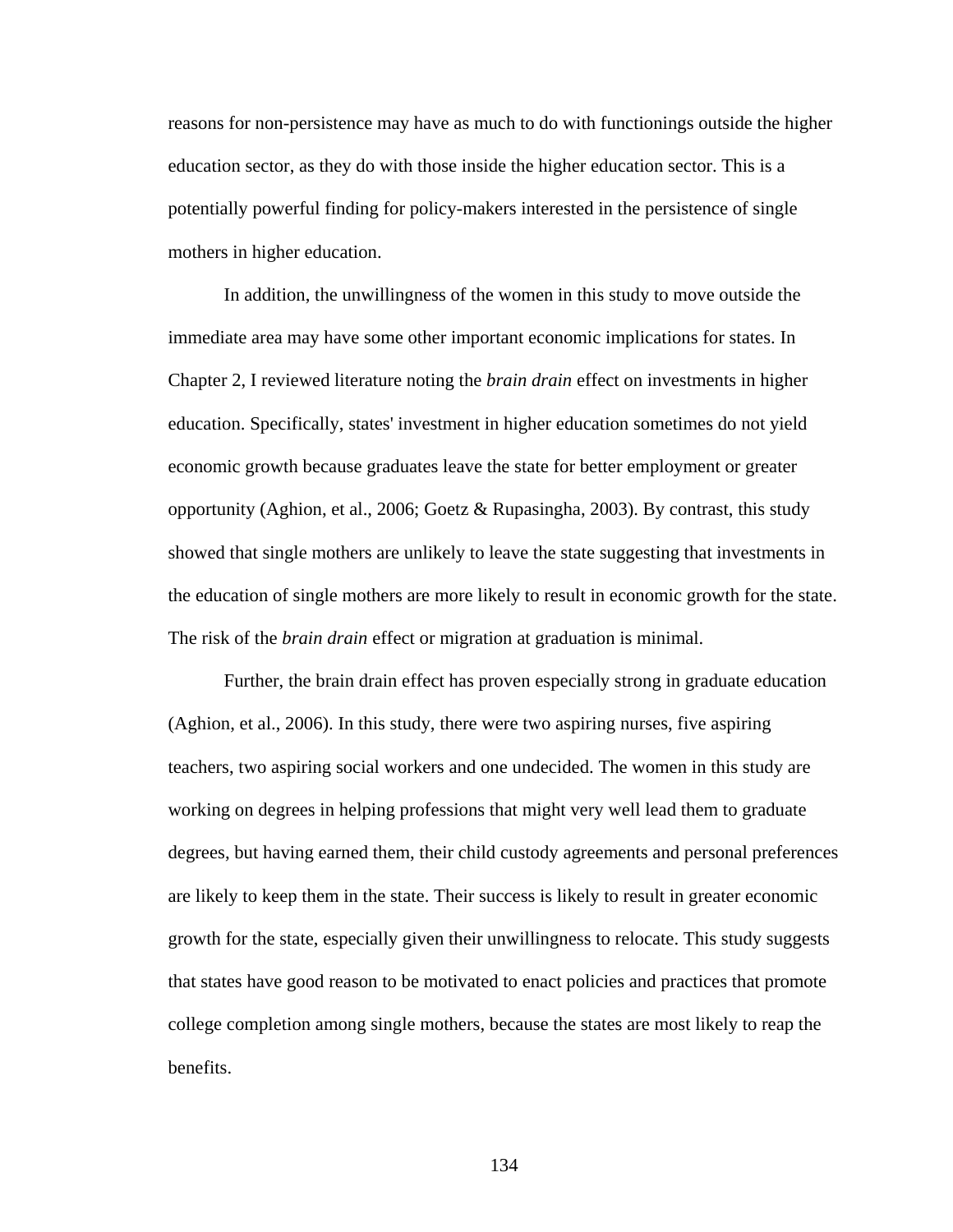reasons for non-persistence may have as much to do with functionings outside the higher education sector, as they do with those inside the higher education sector. This is a potentially powerful finding for policy-makers interested in the persistence of single mothers in higher education.

 In addition, the unwillingness of the women in this study to move outside the immediate area may have some other important economic implications for states. In Chapter 2, I reviewed literature noting the *brain drain* effect on investments in higher education. Specifically, states' investment in higher education sometimes do not yield economic growth because graduates leave the state for better employment or greater opportunity (Aghion, et al., 2006; Goetz & Rupasingha, 2003). By contrast, this study showed that single mothers are unlikely to leave the state suggesting that investments in the education of single mothers are more likely to result in economic growth for the state. The risk of the *brain drain* effect or migration at graduation is minimal.

 Further, the brain drain effect has proven especially strong in graduate education (Aghion, et al., 2006). In this study, there were two aspiring nurses, five aspiring teachers, two aspiring social workers and one undecided. The women in this study are working on degrees in helping professions that might very well lead them to graduate degrees, but having earned them, their child custody agreements and personal preferences are likely to keep them in the state. Their success is likely to result in greater economic growth for the state, especially given their unwillingness to relocate. This study suggests that states have good reason to be motivated to enact policies and practices that promote college completion among single mothers, because the states are most likely to reap the benefits.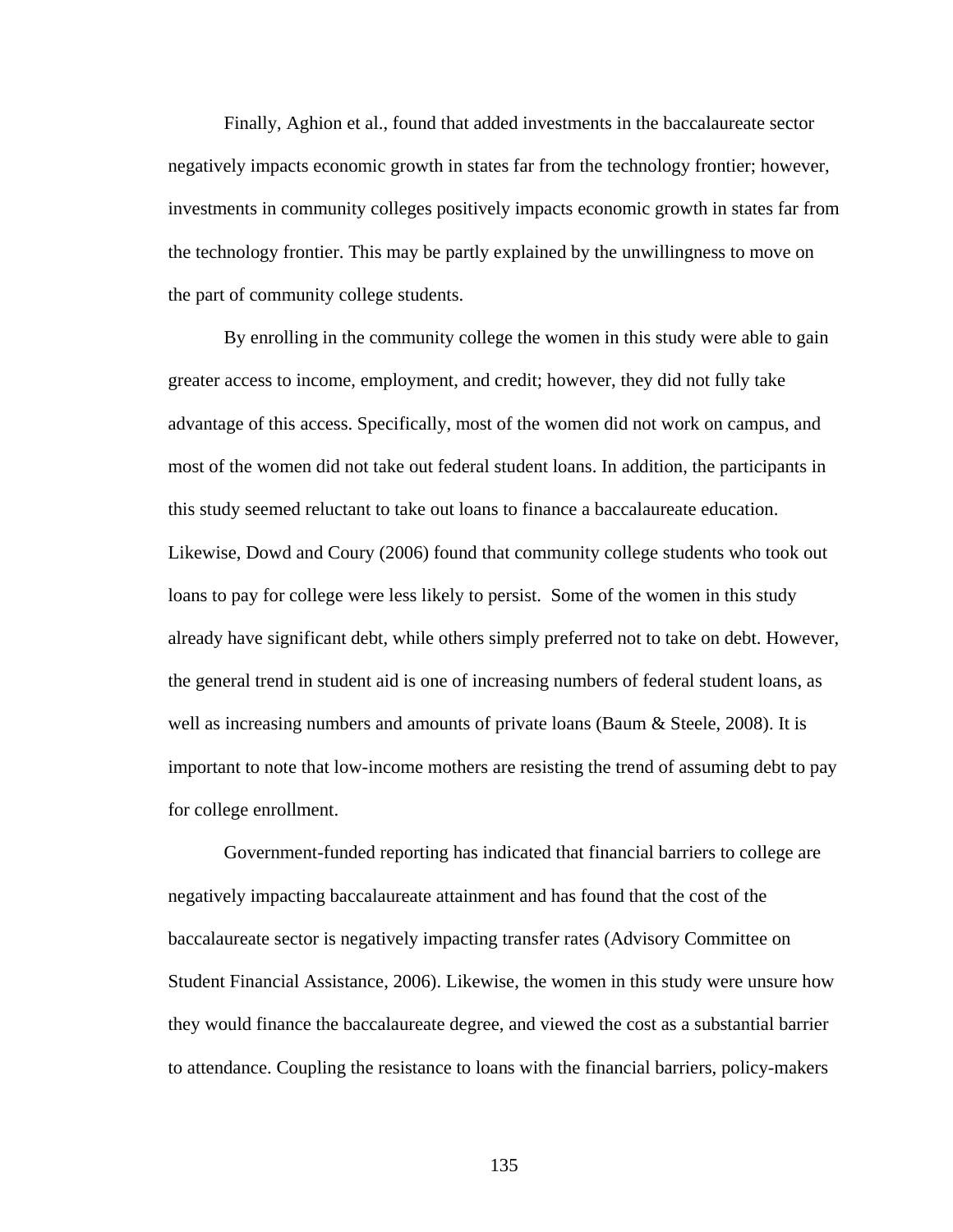Finally, Aghion et al., found that added investments in the baccalaureate sector negatively impacts economic growth in states far from the technology frontier; however, investments in community colleges positively impacts economic growth in states far from the technology frontier. This may be partly explained by the unwillingness to move on the part of community college students.

By enrolling in the community college the women in this study were able to gain greater access to income, employment, and credit; however, they did not fully take advantage of this access. Specifically, most of the women did not work on campus, and most of the women did not take out federal student loans. In addition, the participants in this study seemed reluctant to take out loans to finance a baccalaureate education. Likewise, Dowd and Coury (2006) found that community college students who took out loans to pay for college were less likely to persist. Some of the women in this study already have significant debt, while others simply preferred not to take on debt. However, the general trend in student aid is one of increasing numbers of federal student loans, as well as increasing numbers and amounts of private loans (Baum & Steele, 2008). It is important to note that low-income mothers are resisting the trend of assuming debt to pay for college enrollment.

 Government-funded reporting has indicated that financial barriers to college are negatively impacting baccalaureate attainment and has found that the cost of the baccalaureate sector is negatively impacting transfer rates (Advisory Committee on Student Financial Assistance, 2006). Likewise, the women in this study were unsure how they would finance the baccalaureate degree, and viewed the cost as a substantial barrier to attendance. Coupling the resistance to loans with the financial barriers, policy-makers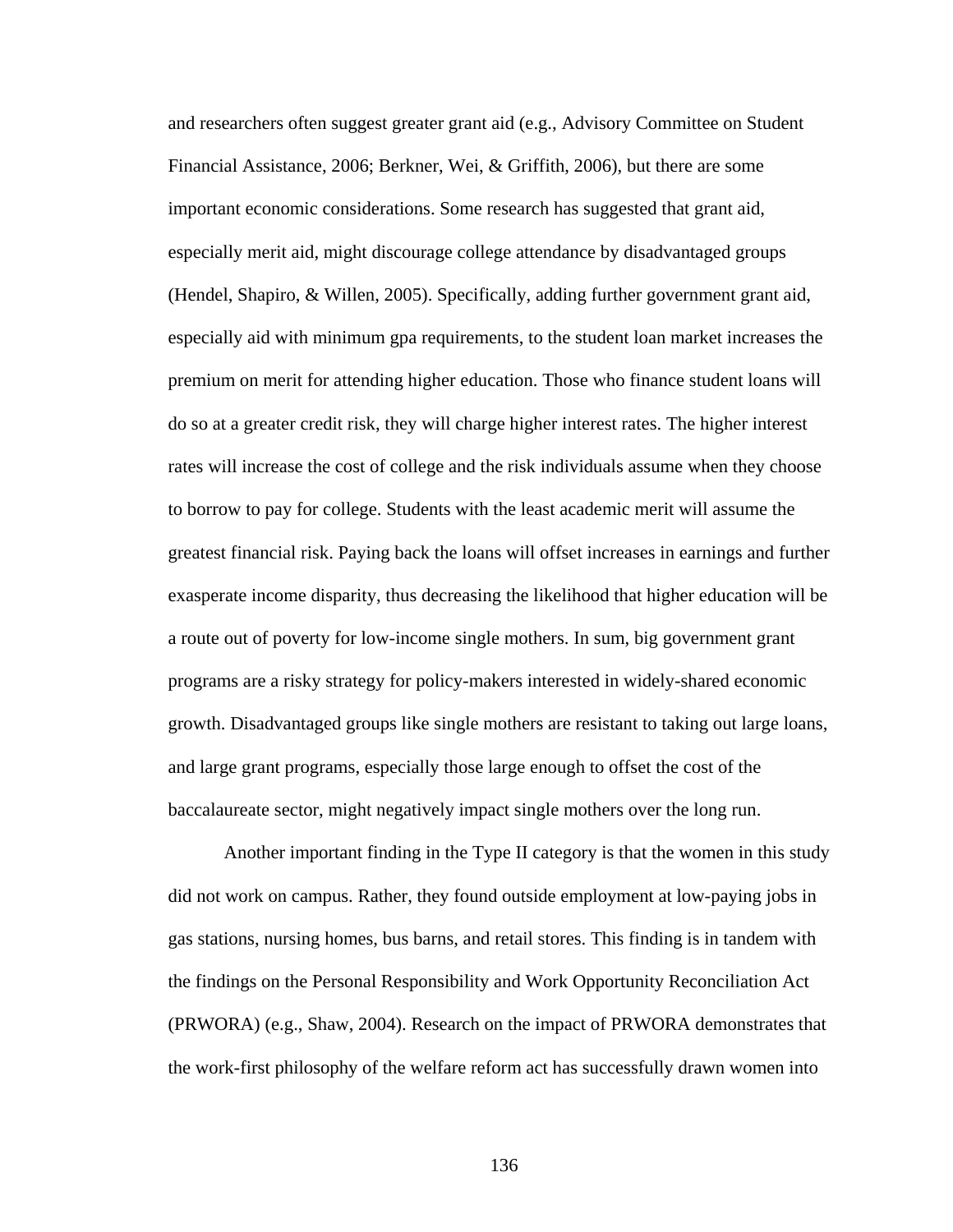and researchers often suggest greater grant aid (e.g., Advisory Committee on Student Financial Assistance, 2006; Berkner, Wei, & Griffith, 2006), but there are some important economic considerations. Some research has suggested that grant aid, especially merit aid, might discourage college attendance by disadvantaged groups (Hendel, Shapiro, & Willen, 2005). Specifically, adding further government grant aid, especially aid with minimum gpa requirements, to the student loan market increases the premium on merit for attending higher education. Those who finance student loans will do so at a greater credit risk, they will charge higher interest rates. The higher interest rates will increase the cost of college and the risk individuals assume when they choose to borrow to pay for college. Students with the least academic merit will assume the greatest financial risk. Paying back the loans will offset increases in earnings and further exasperate income disparity, thus decreasing the likelihood that higher education will be a route out of poverty for low-income single mothers. In sum, big government grant programs are a risky strategy for policy-makers interested in widely-shared economic growth. Disadvantaged groups like single mothers are resistant to taking out large loans, and large grant programs, especially those large enough to offset the cost of the baccalaureate sector, might negatively impact single mothers over the long run.

 Another important finding in the Type II category is that the women in this study did not work on campus. Rather, they found outside employment at low-paying jobs in gas stations, nursing homes, bus barns, and retail stores. This finding is in tandem with the findings on the Personal Responsibility and Work Opportunity Reconciliation Act (PRWORA) (e.g., Shaw, 2004). Research on the impact of PRWORA demonstrates that the work-first philosophy of the welfare reform act has successfully drawn women into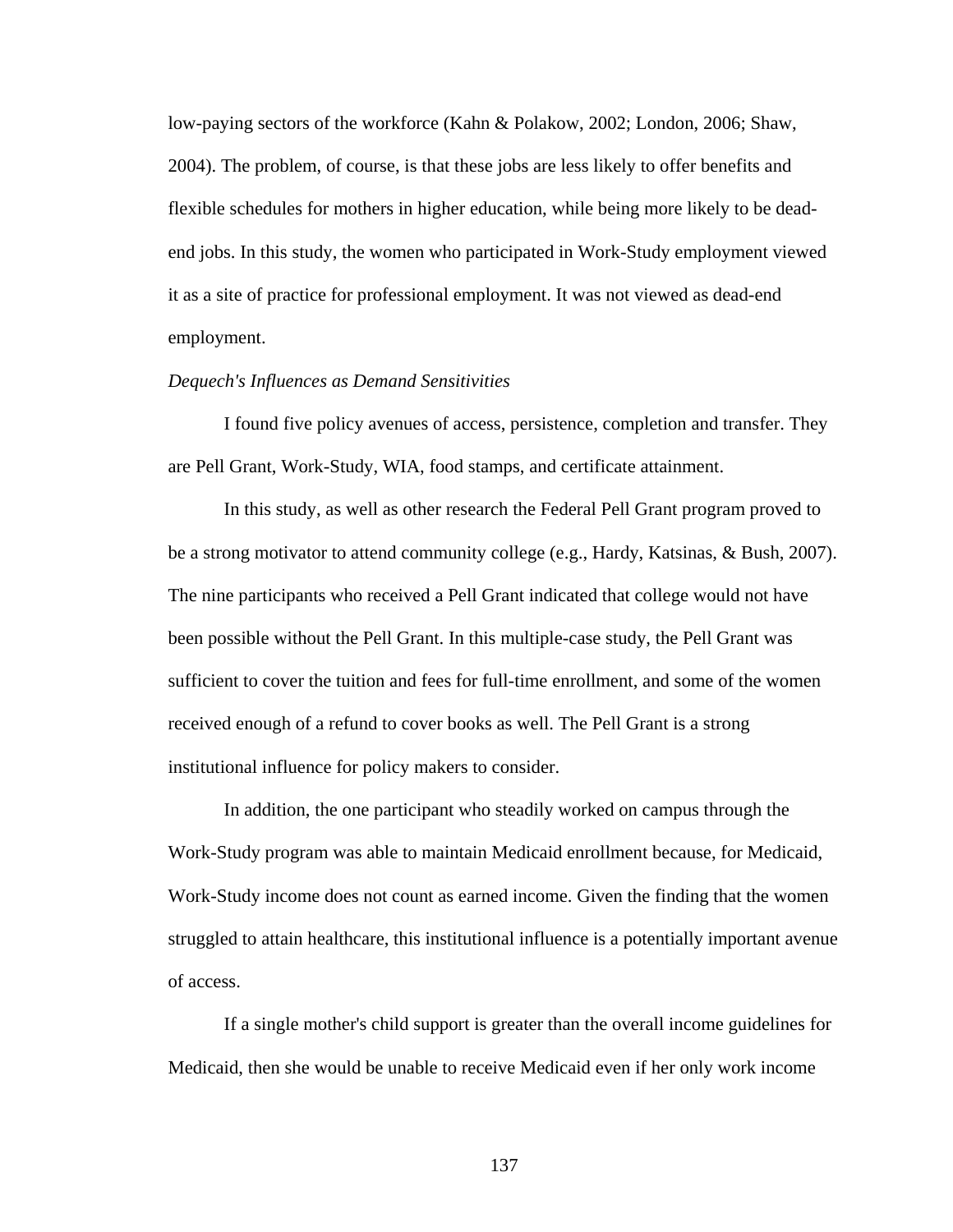low-paying sectors of the workforce (Kahn & Polakow, 2002; London, 2006; Shaw, 2004). The problem, of course, is that these jobs are less likely to offer benefits and flexible schedules for mothers in higher education, while being more likely to be deadend jobs. In this study, the women who participated in Work-Study employment viewed it as a site of practice for professional employment. It was not viewed as dead-end employment.

### *Dequech's Influences as Demand Sensitivities*

 I found five policy avenues of access, persistence, completion and transfer. They are Pell Grant, Work-Study, WIA, food stamps, and certificate attainment.

 In this study, as well as other research the Federal Pell Grant program proved to be a strong motivator to attend community college (e.g., Hardy, Katsinas, & Bush, 2007). The nine participants who received a Pell Grant indicated that college would not have been possible without the Pell Grant. In this multiple-case study, the Pell Grant was sufficient to cover the tuition and fees for full-time enrollment, and some of the women received enough of a refund to cover books as well. The Pell Grant is a strong institutional influence for policy makers to consider.

In addition, the one participant who steadily worked on campus through the Work-Study program was able to maintain Medicaid enrollment because, for Medicaid, Work-Study income does not count as earned income. Given the finding that the women struggled to attain healthcare, this institutional influence is a potentially important avenue of access.

If a single mother's child support is greater than the overall income guidelines for Medicaid, then she would be unable to receive Medicaid even if her only work income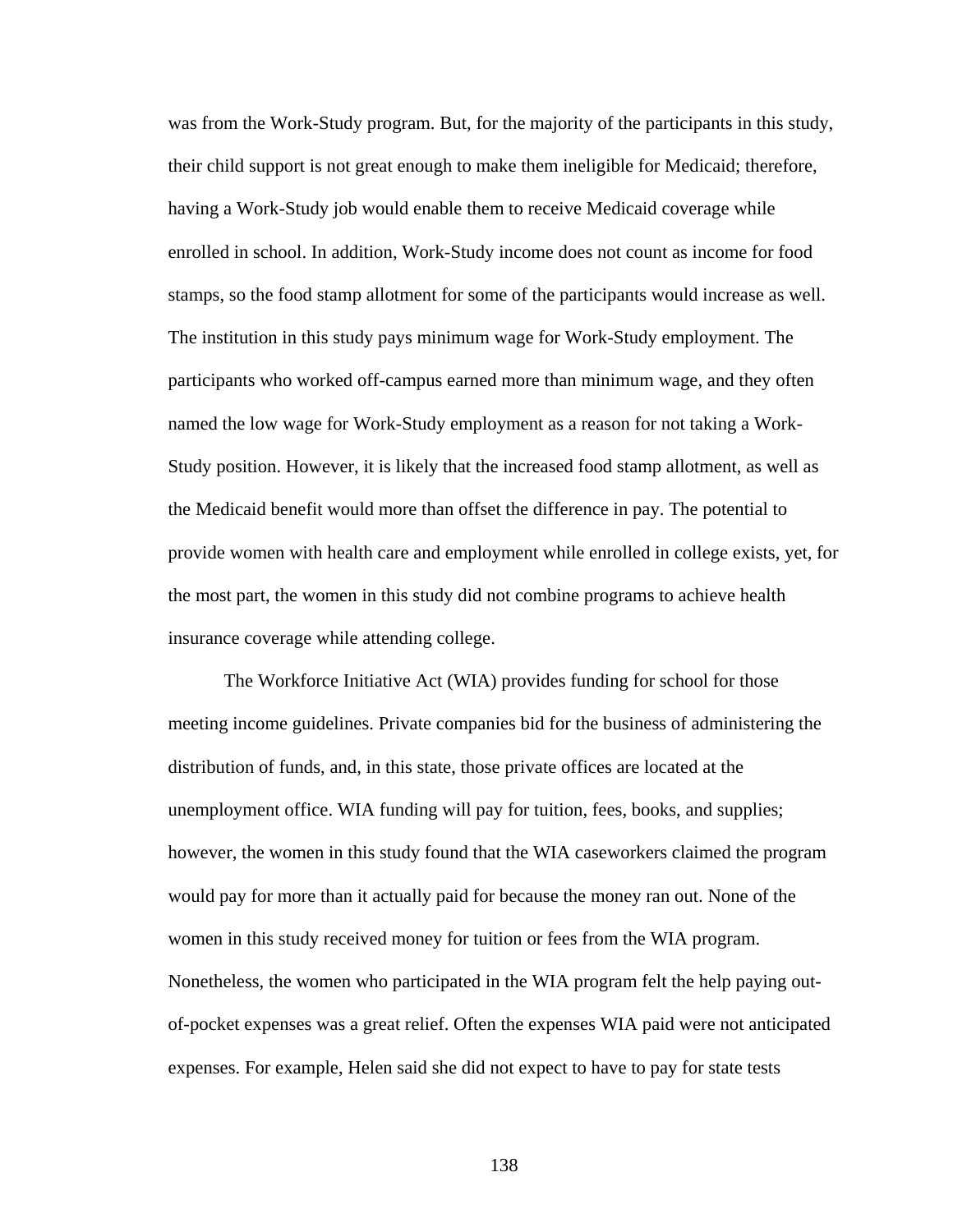was from the Work-Study program. But, for the majority of the participants in this study, their child support is not great enough to make them ineligible for Medicaid; therefore, having a Work-Study job would enable them to receive Medicaid coverage while enrolled in school. In addition, Work-Study income does not count as income for food stamps, so the food stamp allotment for some of the participants would increase as well. The institution in this study pays minimum wage for Work-Study employment. The participants who worked off-campus earned more than minimum wage, and they often named the low wage for Work-Study employment as a reason for not taking a Work-Study position. However, it is likely that the increased food stamp allotment, as well as the Medicaid benefit would more than offset the difference in pay. The potential to provide women with health care and employment while enrolled in college exists, yet, for the most part, the women in this study did not combine programs to achieve health insurance coverage while attending college.

The Workforce Initiative Act (WIA) provides funding for school for those meeting income guidelines. Private companies bid for the business of administering the distribution of funds, and, in this state, those private offices are located at the unemployment office. WIA funding will pay for tuition, fees, books, and supplies; however, the women in this study found that the WIA caseworkers claimed the program would pay for more than it actually paid for because the money ran out. None of the women in this study received money for tuition or fees from the WIA program. Nonetheless, the women who participated in the WIA program felt the help paying outof-pocket expenses was a great relief. Often the expenses WIA paid were not anticipated expenses. For example, Helen said she did not expect to have to pay for state tests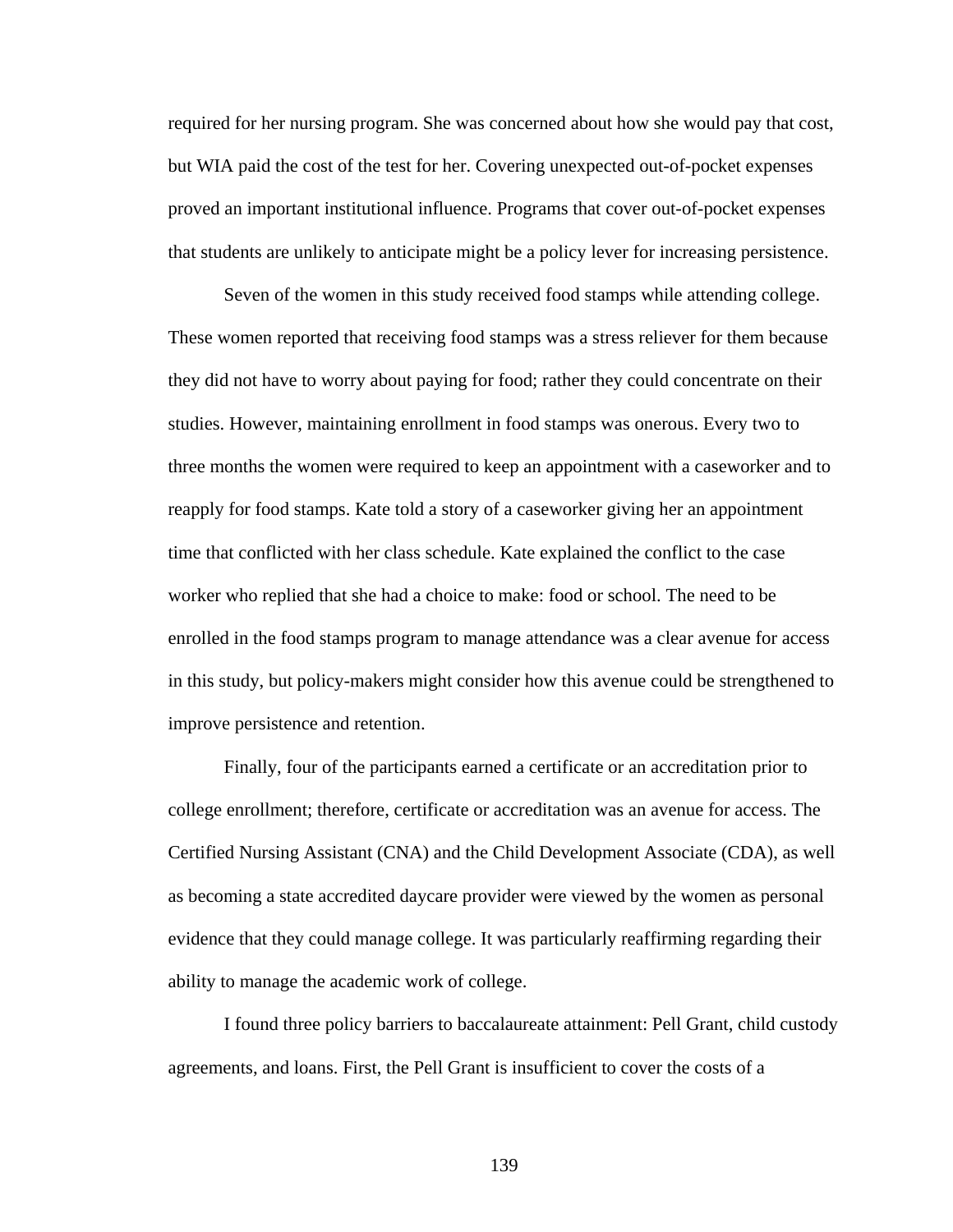required for her nursing program. She was concerned about how she would pay that cost, but WIA paid the cost of the test for her. Covering unexpected out-of-pocket expenses proved an important institutional influence. Programs that cover out-of-pocket expenses that students are unlikely to anticipate might be a policy lever for increasing persistence.

 Seven of the women in this study received food stamps while attending college. These women reported that receiving food stamps was a stress reliever for them because they did not have to worry about paying for food; rather they could concentrate on their studies. However, maintaining enrollment in food stamps was onerous. Every two to three months the women were required to keep an appointment with a caseworker and to reapply for food stamps. Kate told a story of a caseworker giving her an appointment time that conflicted with her class schedule. Kate explained the conflict to the case worker who replied that she had a choice to make: food or school. The need to be enrolled in the food stamps program to manage attendance was a clear avenue for access in this study, but policy-makers might consider how this avenue could be strengthened to improve persistence and retention.

 Finally, four of the participants earned a certificate or an accreditation prior to college enrollment; therefore, certificate or accreditation was an avenue for access. The Certified Nursing Assistant (CNA) and the Child Development Associate (CDA), as well as becoming a state accredited daycare provider were viewed by the women as personal evidence that they could manage college. It was particularly reaffirming regarding their ability to manage the academic work of college.

 I found three policy barriers to baccalaureate attainment: Pell Grant, child custody agreements, and loans. First, the Pell Grant is insufficient to cover the costs of a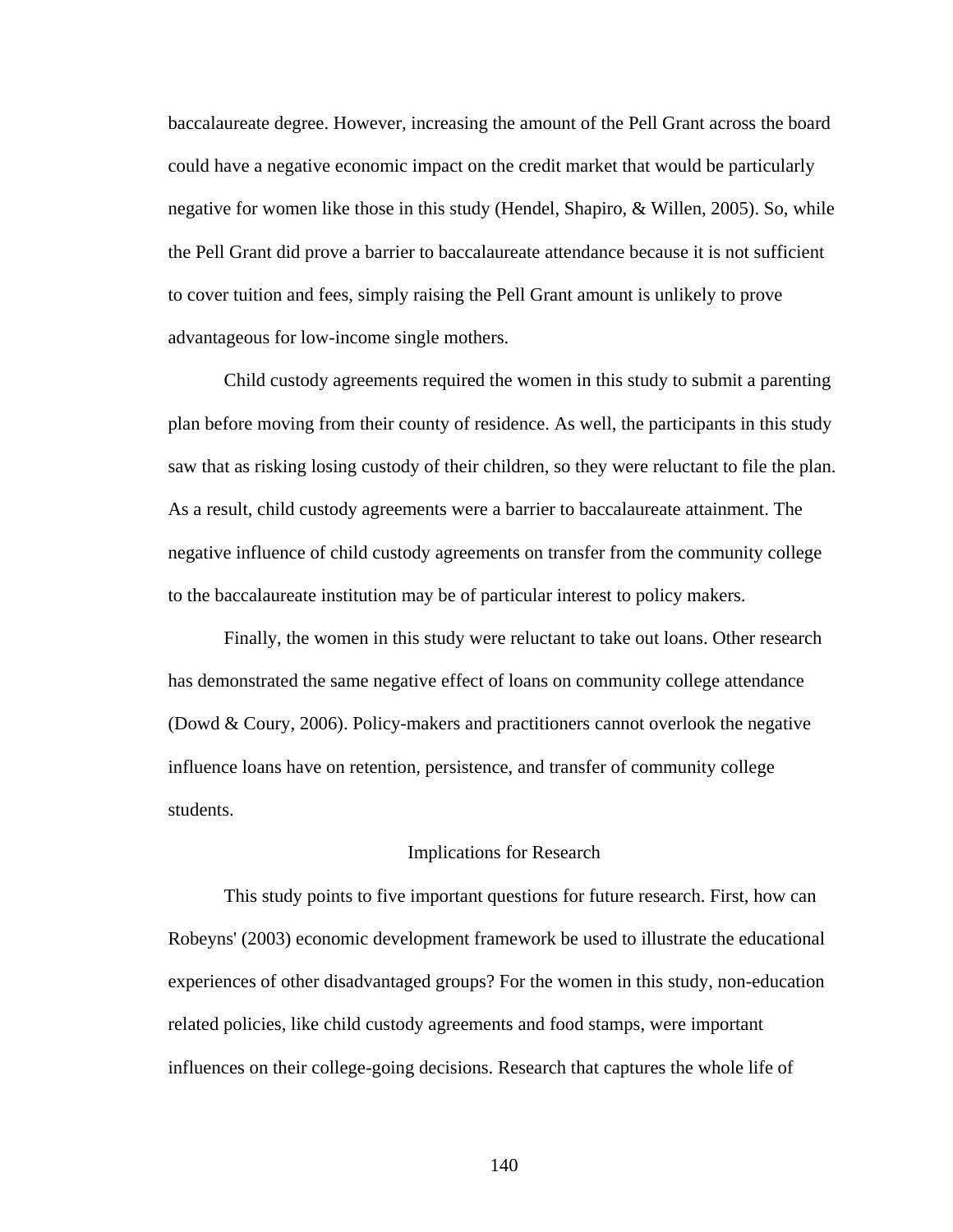baccalaureate degree. However, increasing the amount of the Pell Grant across the board could have a negative economic impact on the credit market that would be particularly negative for women like those in this study (Hendel, Shapiro, & Willen, 2005). So, while the Pell Grant did prove a barrier to baccalaureate attendance because it is not sufficient to cover tuition and fees, simply raising the Pell Grant amount is unlikely to prove advantageous for low-income single mothers.

 Child custody agreements required the women in this study to submit a parenting plan before moving from their county of residence. As well, the participants in this study saw that as risking losing custody of their children, so they were reluctant to file the plan. As a result, child custody agreements were a barrier to baccalaureate attainment. The negative influence of child custody agreements on transfer from the community college to the baccalaureate institution may be of particular interest to policy makers.

 Finally, the women in this study were reluctant to take out loans. Other research has demonstrated the same negative effect of loans on community college attendance (Dowd & Coury, 2006). Policy-makers and practitioners cannot overlook the negative influence loans have on retention, persistence, and transfer of community college students.

#### Implications for Research

 This study points to five important questions for future research. First, how can Robeyns' (2003) economic development framework be used to illustrate the educational experiences of other disadvantaged groups? For the women in this study, non-education related policies, like child custody agreements and food stamps, were important influences on their college-going decisions. Research that captures the whole life of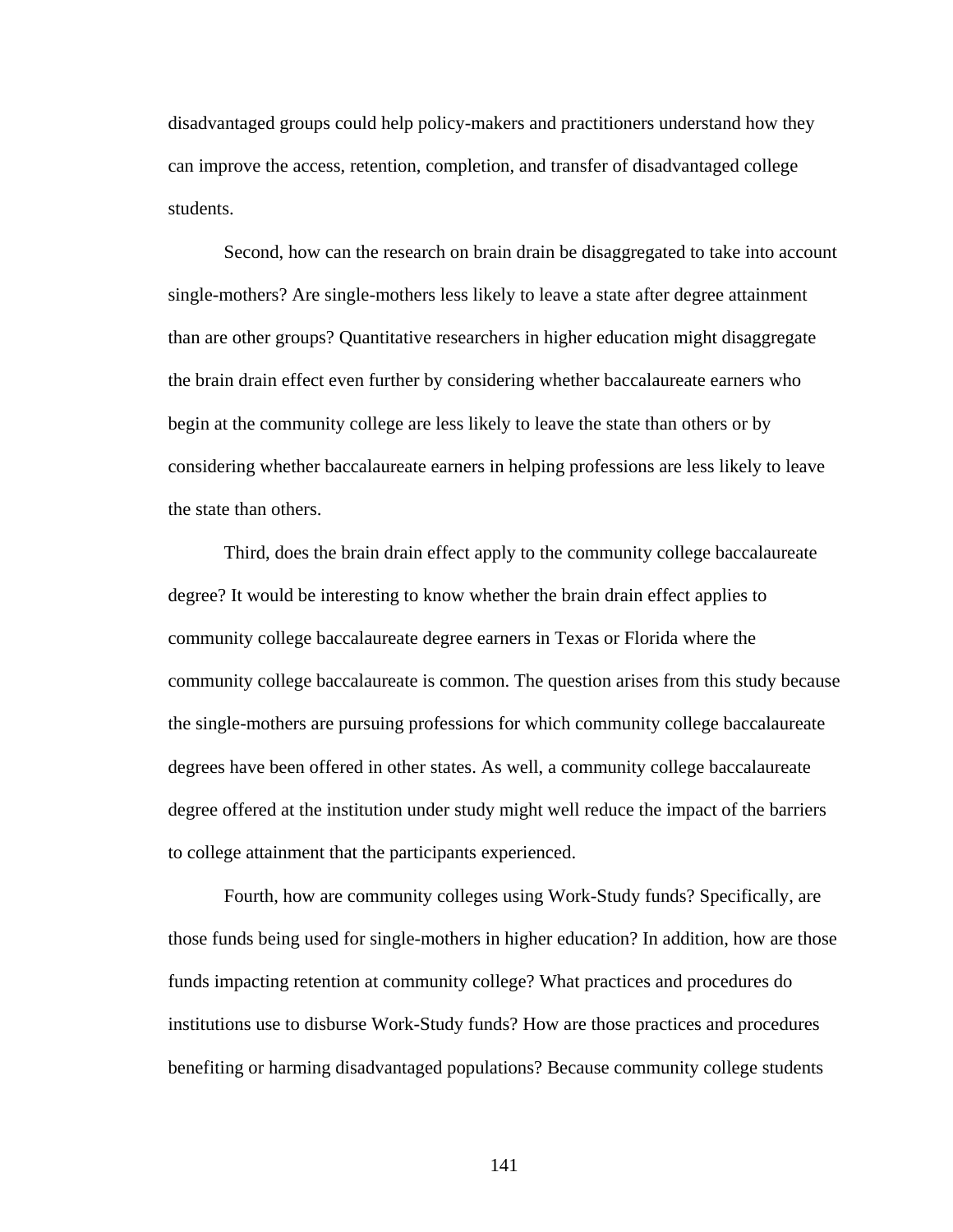disadvantaged groups could help policy-makers and practitioners understand how they can improve the access, retention, completion, and transfer of disadvantaged college students.

 Second, how can the research on brain drain be disaggregated to take into account single-mothers? Are single-mothers less likely to leave a state after degree attainment than are other groups? Quantitative researchers in higher education might disaggregate the brain drain effect even further by considering whether baccalaureate earners who begin at the community college are less likely to leave the state than others or by considering whether baccalaureate earners in helping professions are less likely to leave the state than others.

 Third, does the brain drain effect apply to the community college baccalaureate degree? It would be interesting to know whether the brain drain effect applies to community college baccalaureate degree earners in Texas or Florida where the community college baccalaureate is common. The question arises from this study because the single-mothers are pursuing professions for which community college baccalaureate degrees have been offered in other states. As well, a community college baccalaureate degree offered at the institution under study might well reduce the impact of the barriers to college attainment that the participants experienced.

 Fourth, how are community colleges using Work-Study funds? Specifically, are those funds being used for single-mothers in higher education? In addition, how are those funds impacting retention at community college? What practices and procedures do institutions use to disburse Work-Study funds? How are those practices and procedures benefiting or harming disadvantaged populations? Because community college students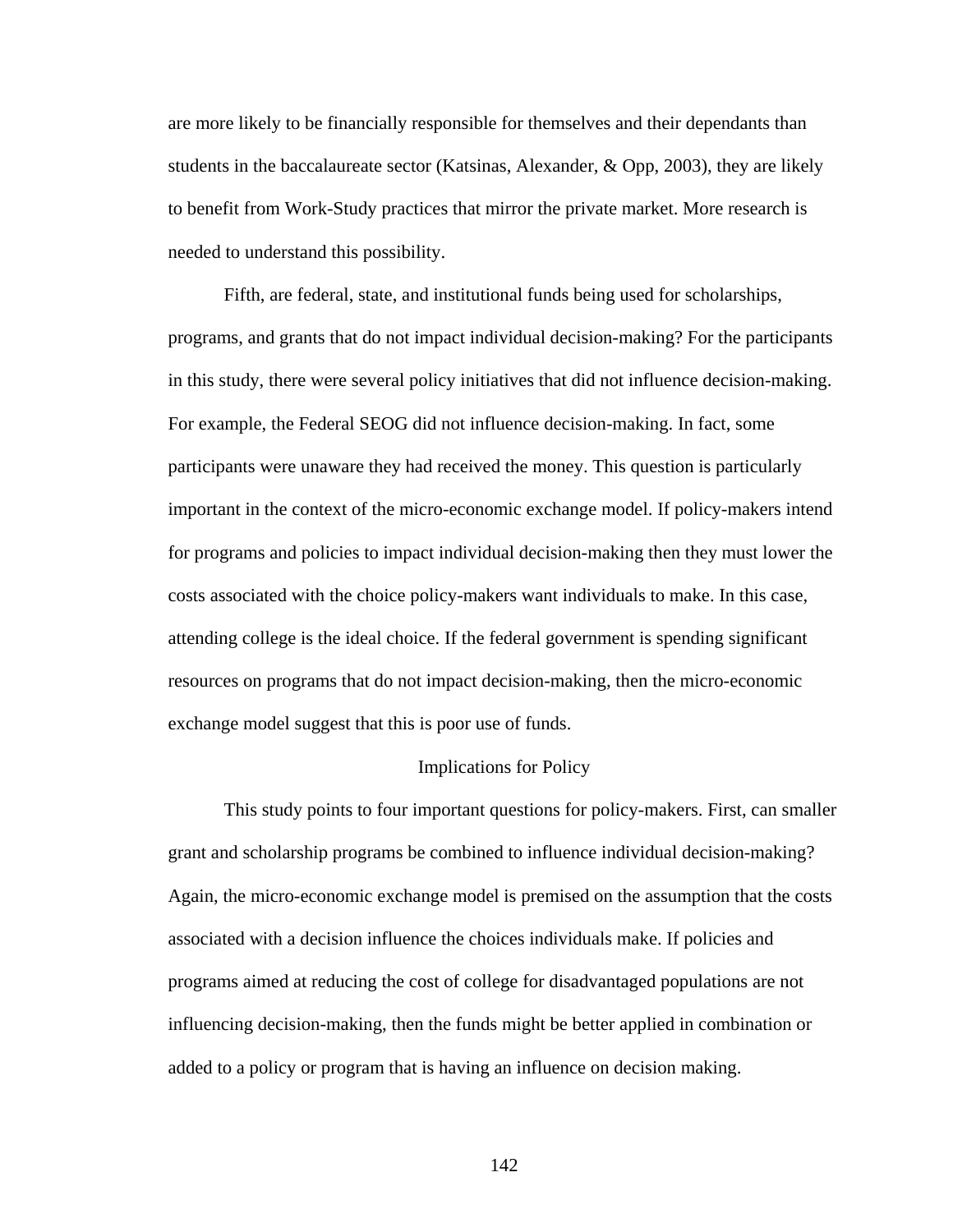are more likely to be financially responsible for themselves and their dependants than students in the baccalaureate sector (Katsinas, Alexander,  $\&$  Opp, 2003), they are likely to benefit from Work-Study practices that mirror the private market. More research is needed to understand this possibility.

Fifth, are federal, state, and institutional funds being used for scholarships, programs, and grants that do not impact individual decision-making? For the participants in this study, there were several policy initiatives that did not influence decision-making. For example, the Federal SEOG did not influence decision-making. In fact, some participants were unaware they had received the money. This question is particularly important in the context of the micro-economic exchange model. If policy-makers intend for programs and policies to impact individual decision-making then they must lower the costs associated with the choice policy-makers want individuals to make. In this case, attending college is the ideal choice. If the federal government is spending significant resources on programs that do not impact decision-making, then the micro-economic exchange model suggest that this is poor use of funds.

#### Implications for Policy

 This study points to four important questions for policy-makers. First, can smaller grant and scholarship programs be combined to influence individual decision-making? Again, the micro-economic exchange model is premised on the assumption that the costs associated with a decision influence the choices individuals make. If policies and programs aimed at reducing the cost of college for disadvantaged populations are not influencing decision-making, then the funds might be better applied in combination or added to a policy or program that is having an influence on decision making.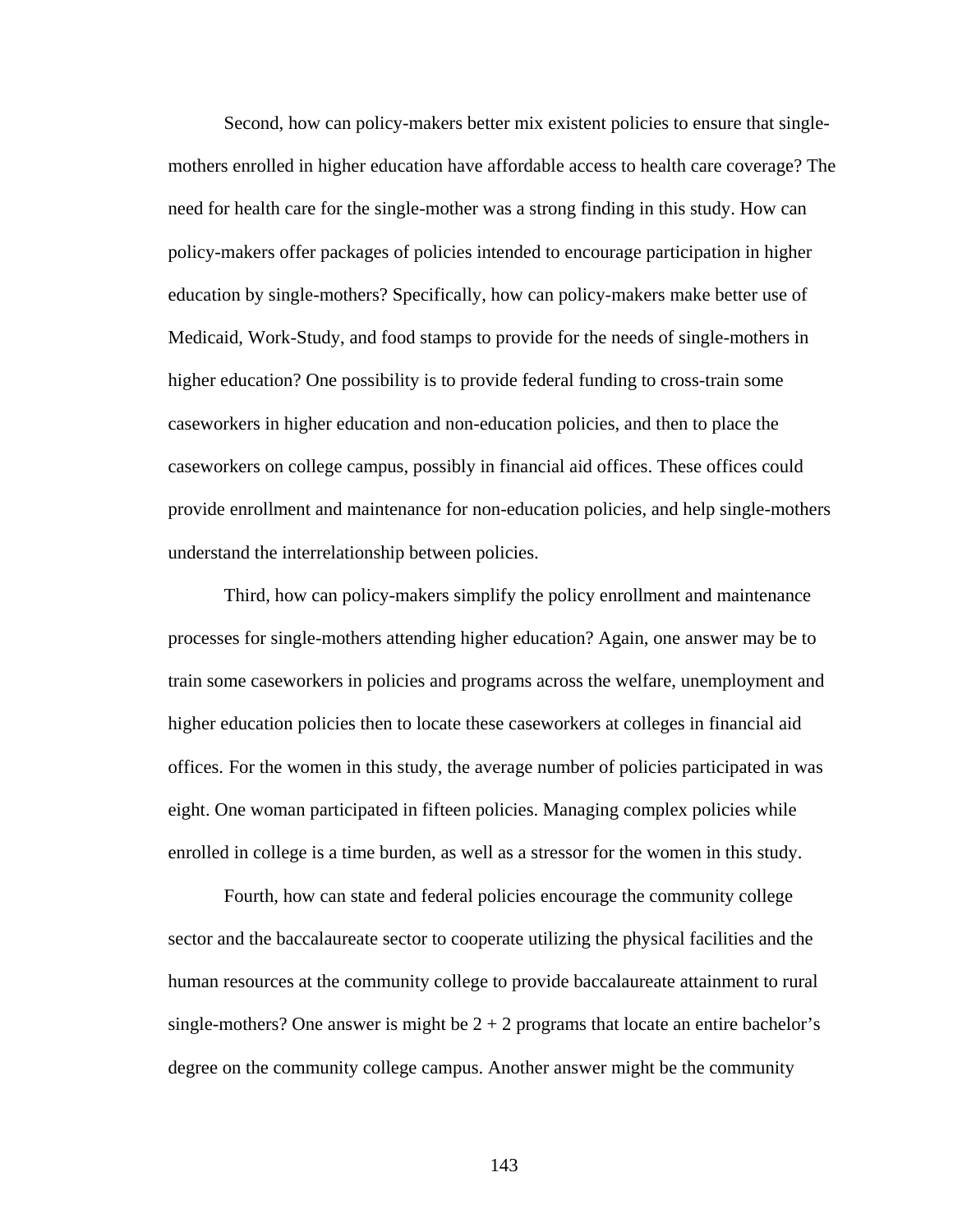Second, how can policy-makers better mix existent policies to ensure that singlemothers enrolled in higher education have affordable access to health care coverage? The need for health care for the single-mother was a strong finding in this study. How can policy-makers offer packages of policies intended to encourage participation in higher education by single-mothers? Specifically, how can policy-makers make better use of Medicaid, Work-Study, and food stamps to provide for the needs of single-mothers in higher education? One possibility is to provide federal funding to cross-train some caseworkers in higher education and non-education policies, and then to place the caseworkers on college campus, possibly in financial aid offices. These offices could provide enrollment and maintenance for non-education policies, and help single-mothers understand the interrelationship between policies.

 Third, how can policy-makers simplify the policy enrollment and maintenance processes for single-mothers attending higher education? Again, one answer may be to train some caseworkers in policies and programs across the welfare, unemployment and higher education policies then to locate these caseworkers at colleges in financial aid offices. For the women in this study, the average number of policies participated in was eight. One woman participated in fifteen policies. Managing complex policies while enrolled in college is a time burden, as well as a stressor for the women in this study.

 Fourth, how can state and federal policies encourage the community college sector and the baccalaureate sector to cooperate utilizing the physical facilities and the human resources at the community college to provide baccalaureate attainment to rural single-mothers? One answer is might be  $2 + 2$  programs that locate an entire bachelor's degree on the community college campus. Another answer might be the community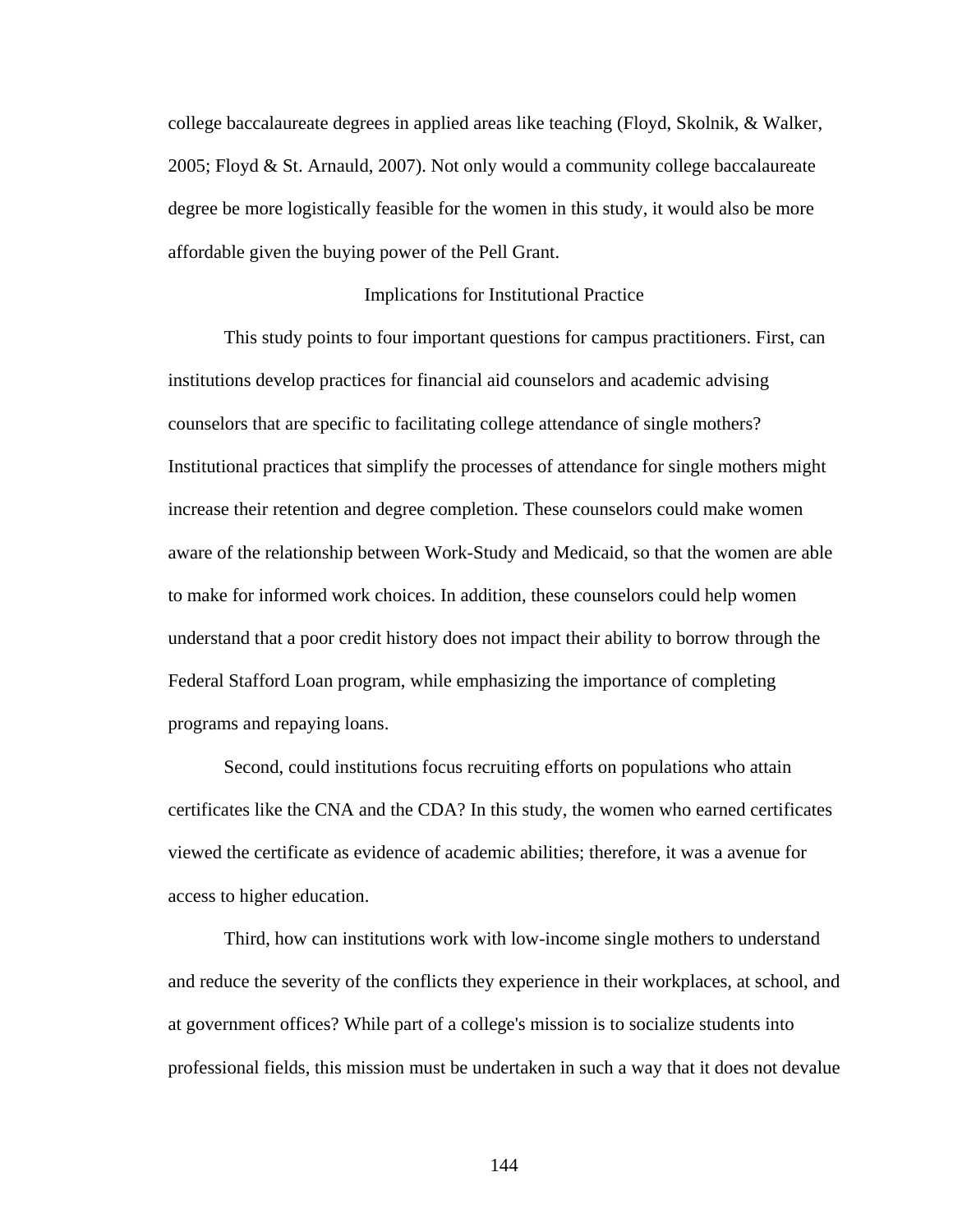college baccalaureate degrees in applied areas like teaching (Floyd, Skolnik, & Walker, 2005; Floyd & St. Arnauld, 2007). Not only would a community college baccalaureate degree be more logistically feasible for the women in this study, it would also be more affordable given the buying power of the Pell Grant.

#### Implications for Institutional Practice

 This study points to four important questions for campus practitioners. First, can institutions develop practices for financial aid counselors and academic advising counselors that are specific to facilitating college attendance of single mothers? Institutional practices that simplify the processes of attendance for single mothers might increase their retention and degree completion. These counselors could make women aware of the relationship between Work-Study and Medicaid, so that the women are able to make for informed work choices. In addition, these counselors could help women understand that a poor credit history does not impact their ability to borrow through the Federal Stafford Loan program, while emphasizing the importance of completing programs and repaying loans.

Second, could institutions focus recruiting efforts on populations who attain certificates like the CNA and the CDA? In this study, the women who earned certificates viewed the certificate as evidence of academic abilities; therefore, it was a avenue for access to higher education.

Third, how can institutions work with low-income single mothers to understand and reduce the severity of the conflicts they experience in their workplaces, at school, and at government offices? While part of a college's mission is to socialize students into professional fields, this mission must be undertaken in such a way that it does not devalue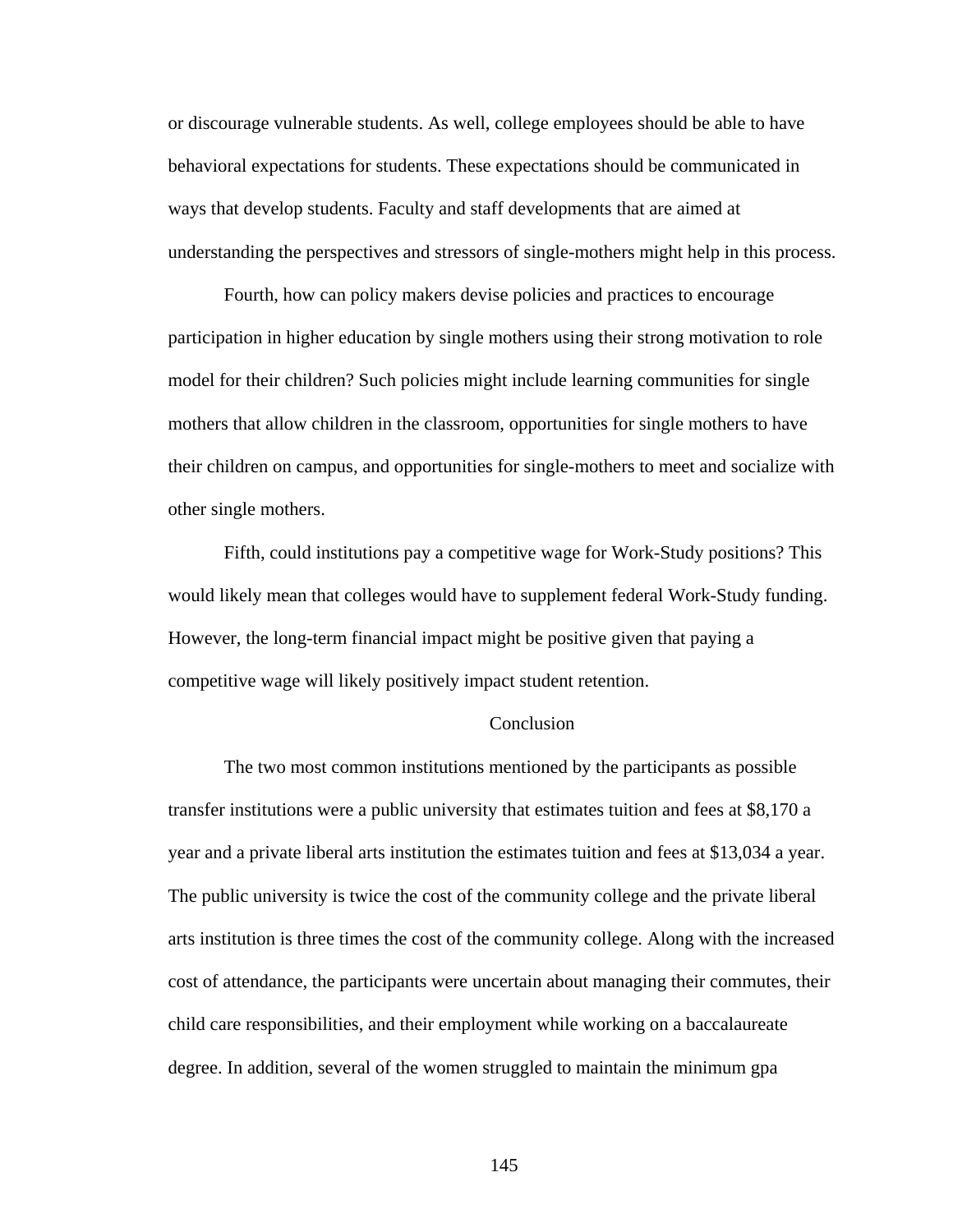or discourage vulnerable students. As well, college employees should be able to have behavioral expectations for students. These expectations should be communicated in ways that develop students. Faculty and staff developments that are aimed at understanding the perspectives and stressors of single-mothers might help in this process.

Fourth, how can policy makers devise policies and practices to encourage participation in higher education by single mothers using their strong motivation to role model for their children? Such policies might include learning communities for single mothers that allow children in the classroom, opportunities for single mothers to have their children on campus, and opportunities for single-mothers to meet and socialize with other single mothers.

Fifth, could institutions pay a competitive wage for Work-Study positions? This would likely mean that colleges would have to supplement federal Work-Study funding. However, the long-term financial impact might be positive given that paying a competitive wage will likely positively impact student retention.

### **Conclusion**

 The two most common institutions mentioned by the participants as possible transfer institutions were a public university that estimates tuition and fees at \$8,170 a year and a private liberal arts institution the estimates tuition and fees at \$13,034 a year. The public university is twice the cost of the community college and the private liberal arts institution is three times the cost of the community college. Along with the increased cost of attendance, the participants were uncertain about managing their commutes, their child care responsibilities, and their employment while working on a baccalaureate degree. In addition, several of the women struggled to maintain the minimum gpa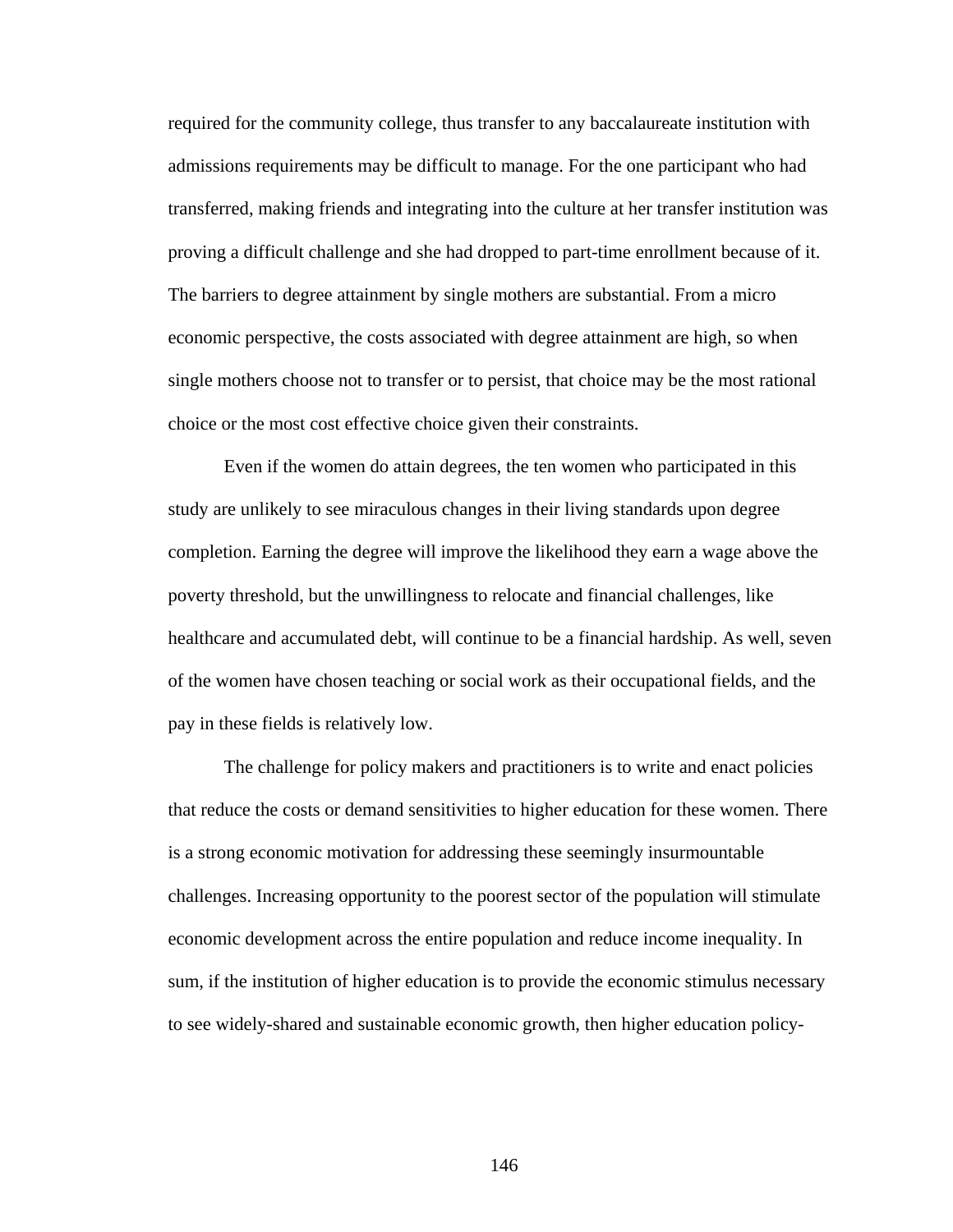required for the community college, thus transfer to any baccalaureate institution with admissions requirements may be difficult to manage. For the one participant who had transferred, making friends and integrating into the culture at her transfer institution was proving a difficult challenge and she had dropped to part-time enrollment because of it. The barriers to degree attainment by single mothers are substantial. From a micro economic perspective, the costs associated with degree attainment are high, so when single mothers choose not to transfer or to persist, that choice may be the most rational choice or the most cost effective choice given their constraints.

 Even if the women do attain degrees, the ten women who participated in this study are unlikely to see miraculous changes in their living standards upon degree completion. Earning the degree will improve the likelihood they earn a wage above the poverty threshold, but the unwillingness to relocate and financial challenges, like healthcare and accumulated debt, will continue to be a financial hardship. As well, seven of the women have chosen teaching or social work as their occupational fields, and the pay in these fields is relatively low.

 The challenge for policy makers and practitioners is to write and enact policies that reduce the costs or demand sensitivities to higher education for these women. There is a strong economic motivation for addressing these seemingly insurmountable challenges. Increasing opportunity to the poorest sector of the population will stimulate economic development across the entire population and reduce income inequality. In sum, if the institution of higher education is to provide the economic stimulus necessary to see widely-shared and sustainable economic growth, then higher education policy-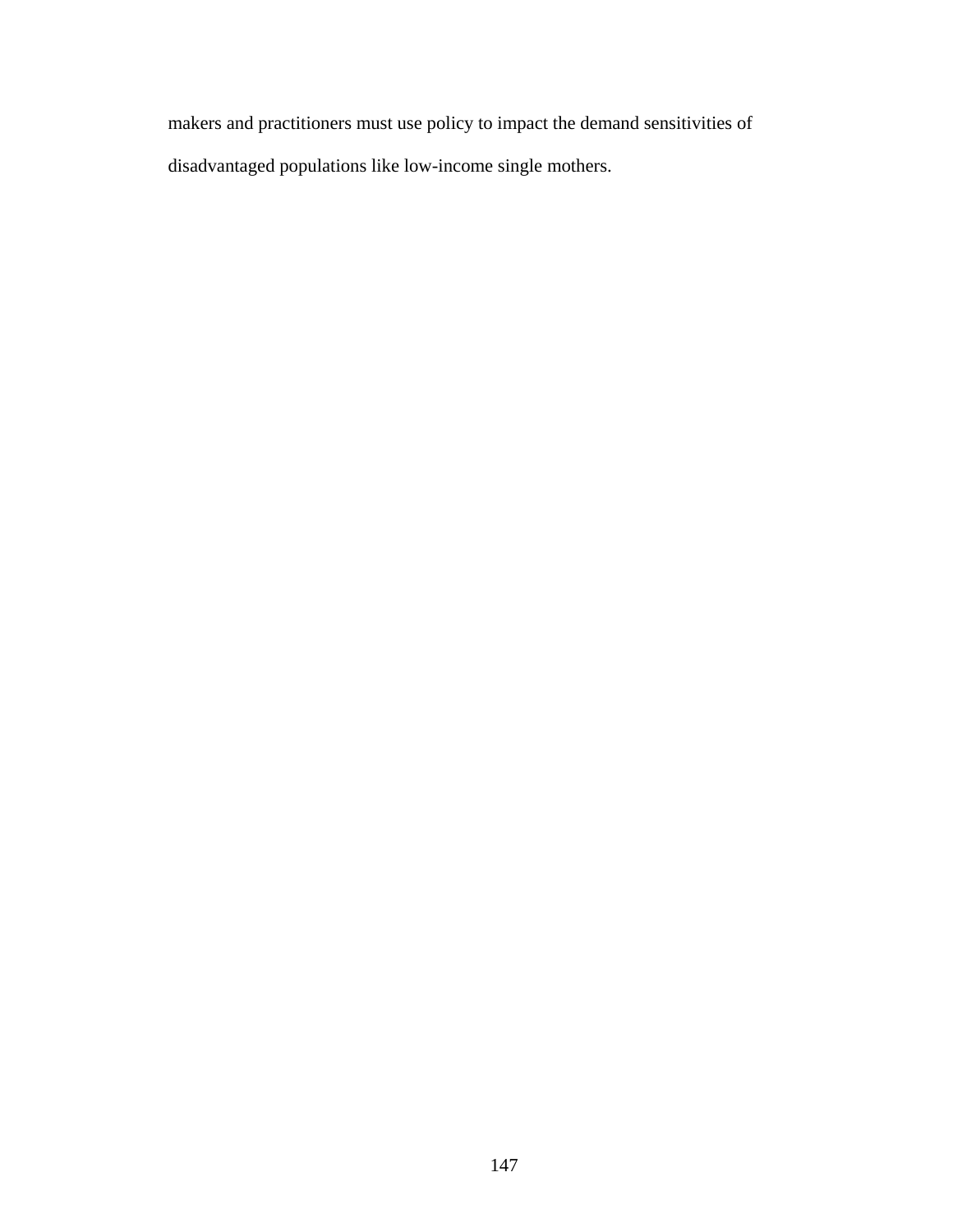makers and practitioners must use policy to impact the demand sensitivities of disadvantaged populations like low-income single mothers.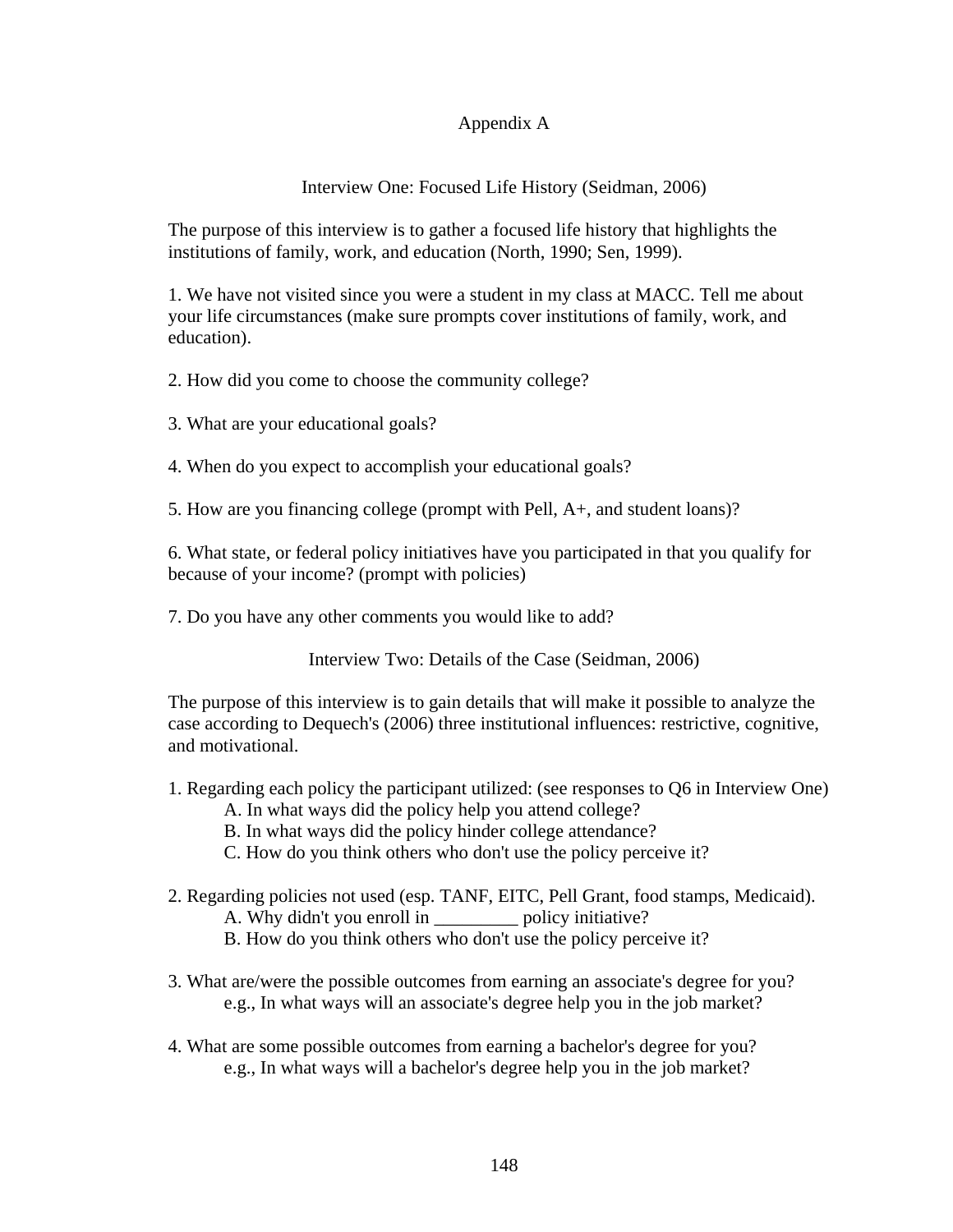# Appendix A

# Interview One: Focused Life History (Seidman, 2006)

The purpose of this interview is to gather a focused life history that highlights the institutions of family, work, and education (North, 1990; Sen, 1999).

1. We have not visited since you were a student in my class at MACC. Tell me about your life circumstances (make sure prompts cover institutions of family, work, and education).

2. How did you come to choose the community college?

3. What are your educational goals?

4. When do you expect to accomplish your educational goals?

5. How are you financing college (prompt with Pell, A+, and student loans)?

6. What state, or federal policy initiatives have you participated in that you qualify for because of your income? (prompt with policies)

7. Do you have any other comments you would like to add?

Interview Two: Details of the Case (Seidman, 2006)

The purpose of this interview is to gain details that will make it possible to analyze the case according to Dequech's (2006) three institutional influences: restrictive, cognitive, and motivational.

- 1. Regarding each policy the participant utilized: (see responses to Q6 in Interview One) A. In what ways did the policy help you attend college?
	- B. In what ways did the policy hinder college attendance?
	- C. How do you think others who don't use the policy perceive it?
- 2. Regarding policies not used (esp. TANF, EITC, Pell Grant, food stamps, Medicaid). A. Why didn't you enroll in policy initiative? B. How do you think others who don't use the policy perceive it?
- 3. What are/were the possible outcomes from earning an associate's degree for you? e.g., In what ways will an associate's degree help you in the job market?
- 4. What are some possible outcomes from earning a bachelor's degree for you? e.g., In what ways will a bachelor's degree help you in the job market?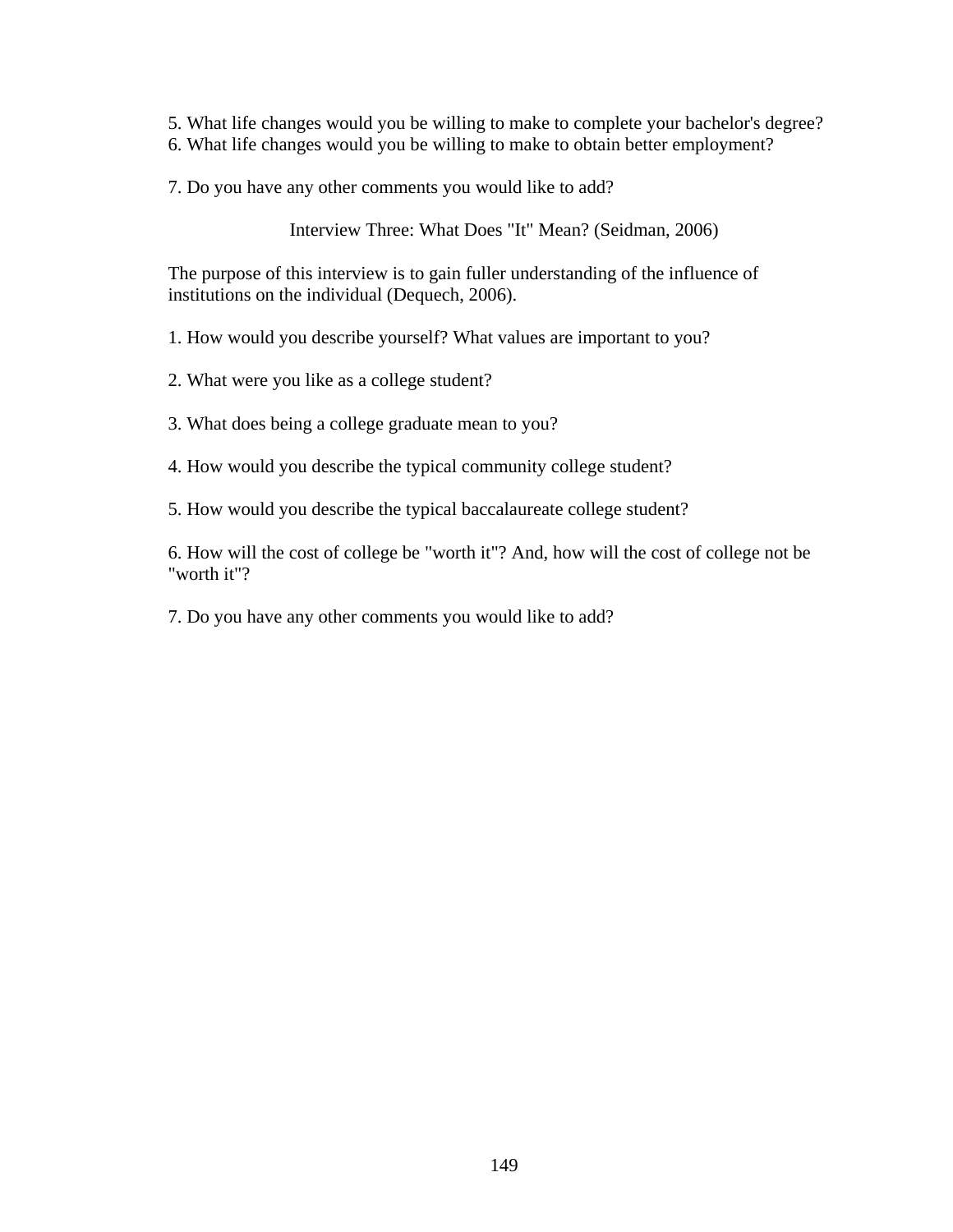- 5. What life changes would you be willing to make to complete your bachelor's degree?
- 6. What life changes would you be willing to make to obtain better employment?
- 7. Do you have any other comments you would like to add?

Interview Three: What Does "It" Mean? (Seidman, 2006)

The purpose of this interview is to gain fuller understanding of the influence of institutions on the individual (Dequech, 2006).

1. How would you describe yourself? What values are important to you?

2. What were you like as a college student?

3. What does being a college graduate mean to you?

4. How would you describe the typical community college student?

5. How would you describe the typical baccalaureate college student?

6. How will the cost of college be "worth it"? And, how will the cost of college not be "worth it"?

7. Do you have any other comments you would like to add?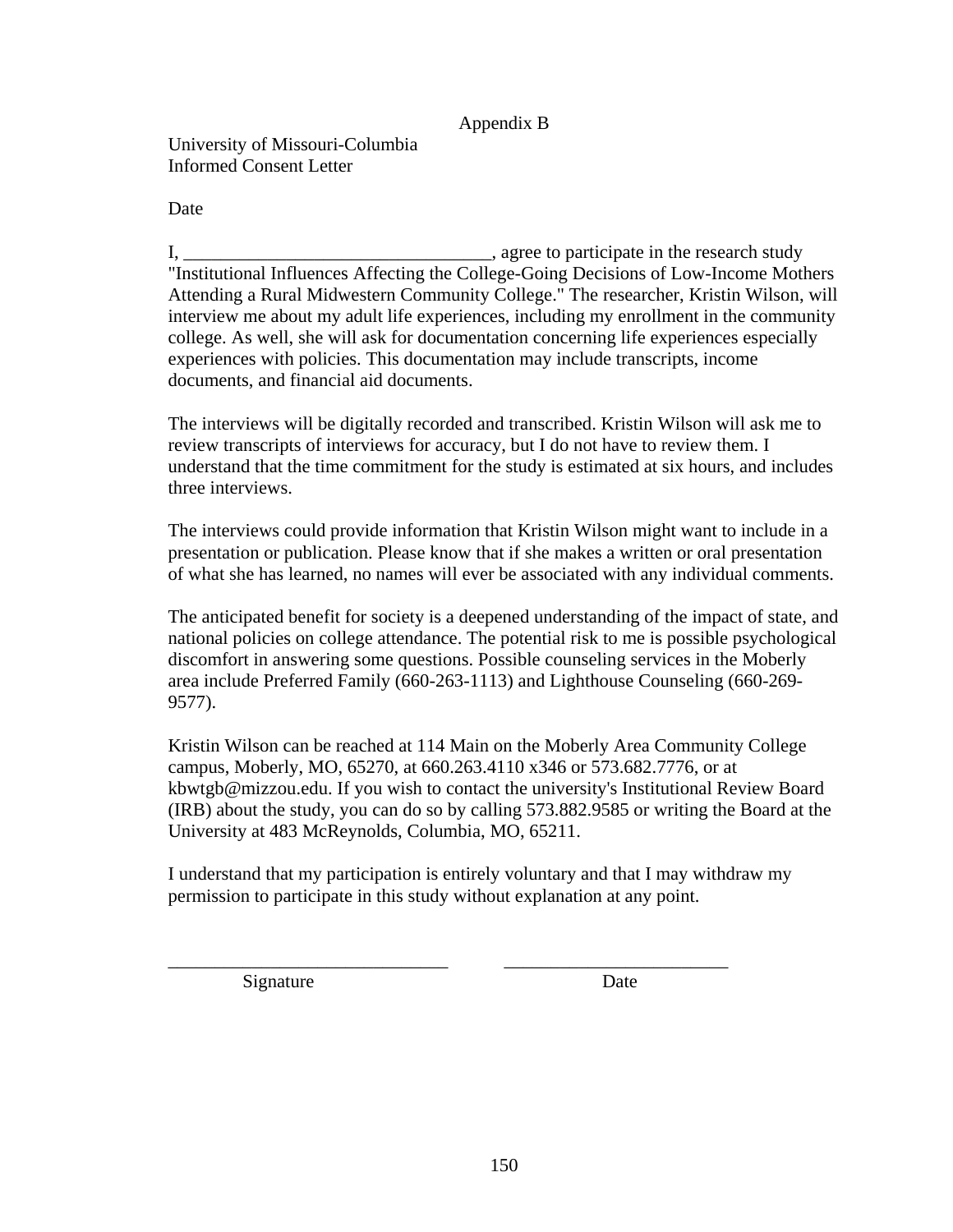# Appendix B

University of Missouri-Columbia Informed Consent Letter

Date

I, \_\_\_\_\_\_\_\_\_\_\_\_\_\_\_\_\_\_\_\_\_\_\_\_\_\_\_\_\_\_\_\_\_, agree to participate in the research study "Institutional Influences Affecting the College-Going Decisions of Low-Income Mothers Attending a Rural Midwestern Community College." The researcher, Kristin Wilson, will interview me about my adult life experiences, including my enrollment in the community college. As well, she will ask for documentation concerning life experiences especially experiences with policies. This documentation may include transcripts, income documents, and financial aid documents.

The interviews will be digitally recorded and transcribed. Kristin Wilson will ask me to review transcripts of interviews for accuracy, but I do not have to review them. I understand that the time commitment for the study is estimated at six hours, and includes three interviews.

The interviews could provide information that Kristin Wilson might want to include in a presentation or publication. Please know that if she makes a written or oral presentation of what she has learned, no names will ever be associated with any individual comments.

The anticipated benefit for society is a deepened understanding of the impact of state, and national policies on college attendance. The potential risk to me is possible psychological discomfort in answering some questions. Possible counseling services in the Moberly area include Preferred Family (660-263-1113) and Lighthouse Counseling (660-269- 9577).

Kristin Wilson can be reached at 114 Main on the Moberly Area Community College campus, Moberly, MO, 65270, at 660.263.4110 x346 or 573.682.7776, or at kbwtgb@mizzou.edu. If you wish to contact the university's Institutional Review Board (IRB) about the study, you can do so by calling 573.882.9585 or writing the Board at the University at 483 McReynolds, Columbia, MO, 65211.

I understand that my participation is entirely voluntary and that I may withdraw my permission to participate in this study without explanation at any point.

\_\_\_\_\_\_\_\_\_\_\_\_\_\_\_\_\_\_\_\_\_\_\_\_\_\_\_\_\_\_ \_\_\_\_\_\_\_\_\_\_\_\_\_\_\_\_\_\_\_\_\_\_\_\_

Signature Date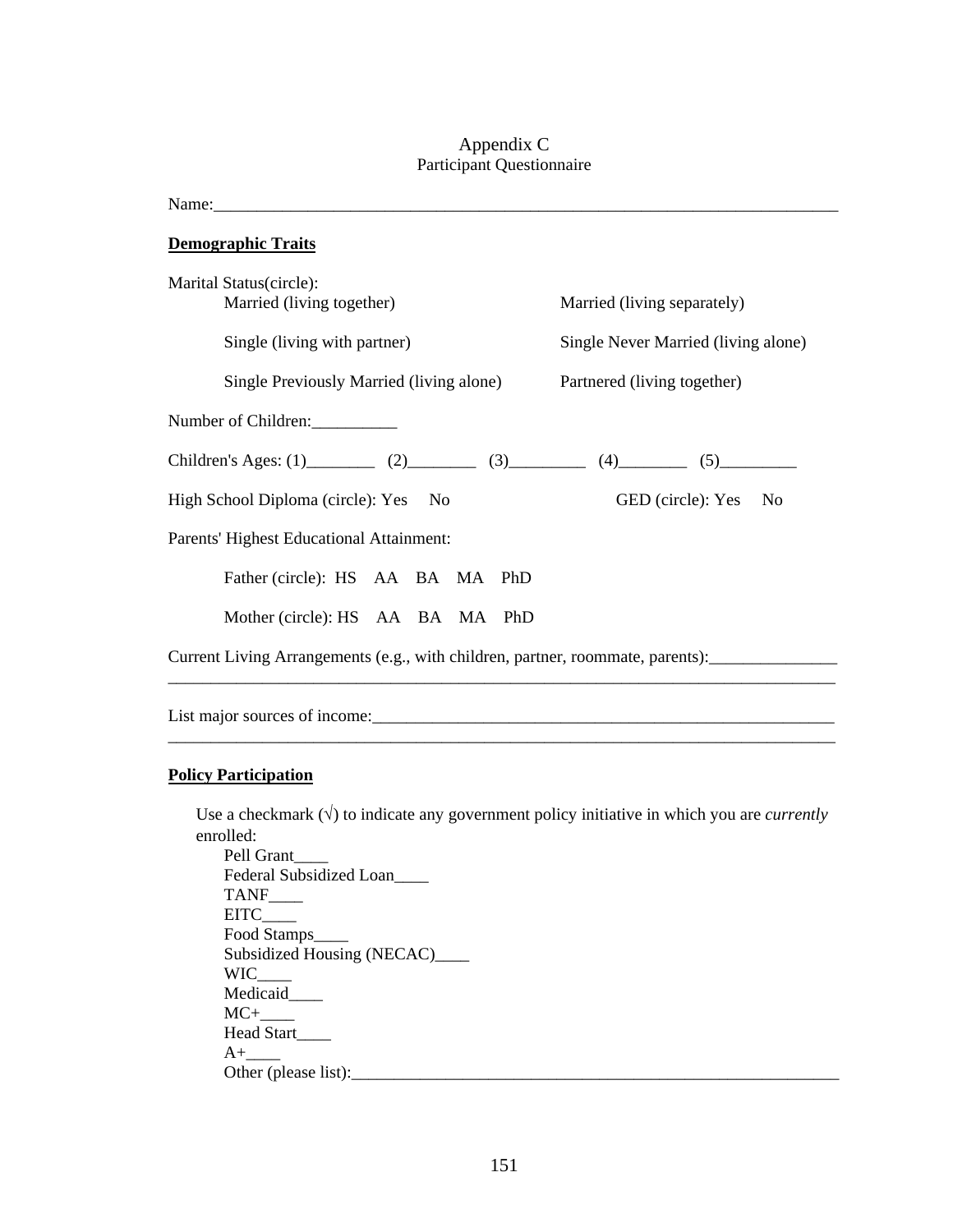## Appendix C Participant Questionnaire

Name:

**Demographic Traits** Marital Status(circle): Married (living together) Married (living separately) Single (living with partner) Single Never Married (living alone) Single Previously Married (living alone) Partnered (living together) Number of Children: Children's Ages: (1)\_\_\_\_\_\_\_\_ (2)\_\_\_\_\_\_\_\_ (3)\_\_\_\_\_\_\_\_ (4)\_\_\_\_\_\_\_\_ (5)\_\_\_\_\_\_\_\_\_ High School Diploma (circle): Yes No GED (circle): Yes No Parents' Highest Educational Attainment: Father (circle): HS AA BA MA PhD Mother (circle): HS AA BA MA PhD Current Living Arrangements (e.g., with children, partner, roommate, parents): \_\_\_\_\_\_\_\_\_\_\_\_\_\_\_\_\_\_\_\_\_\_\_\_\_\_\_\_\_\_\_\_\_\_\_\_\_\_\_\_\_\_\_\_\_\_\_\_\_\_\_\_\_\_\_\_\_\_\_\_\_\_\_\_\_\_\_\_\_\_\_\_\_\_\_\_\_\_

List major sources of income:\_\_\_\_\_\_\_\_\_\_\_\_\_\_\_\_\_\_\_\_\_\_\_\_\_\_\_\_\_\_\_\_\_\_\_\_\_\_\_\_\_\_\_\_\_\_\_\_\_\_\_\_\_\_

### **Policy Participation**

Use a checkmark  $(\sqrt{})$  to indicate any government policy initiative in which you are *currently* enrolled:

\_\_\_\_\_\_\_\_\_\_\_\_\_\_\_\_\_\_\_\_\_\_\_\_\_\_\_\_\_\_\_\_\_\_\_\_\_\_\_\_\_\_\_\_\_\_\_\_\_\_\_\_\_\_\_\_\_\_\_\_\_\_\_\_\_\_\_\_\_\_\_\_\_\_\_\_\_\_

 Pell Grant\_\_\_\_ Federal Subsidized Loan\_\_\_\_ TANF\_\_\_\_ EITC\_\_\_\_ Food Stamps\_\_\_\_ Subsidized Housing (NECAC)\_\_\_\_ WIC\_\_\_\_ Medicaid\_\_\_\_  $MC+$  Head Start\_\_\_\_  $A+$ Other (please list):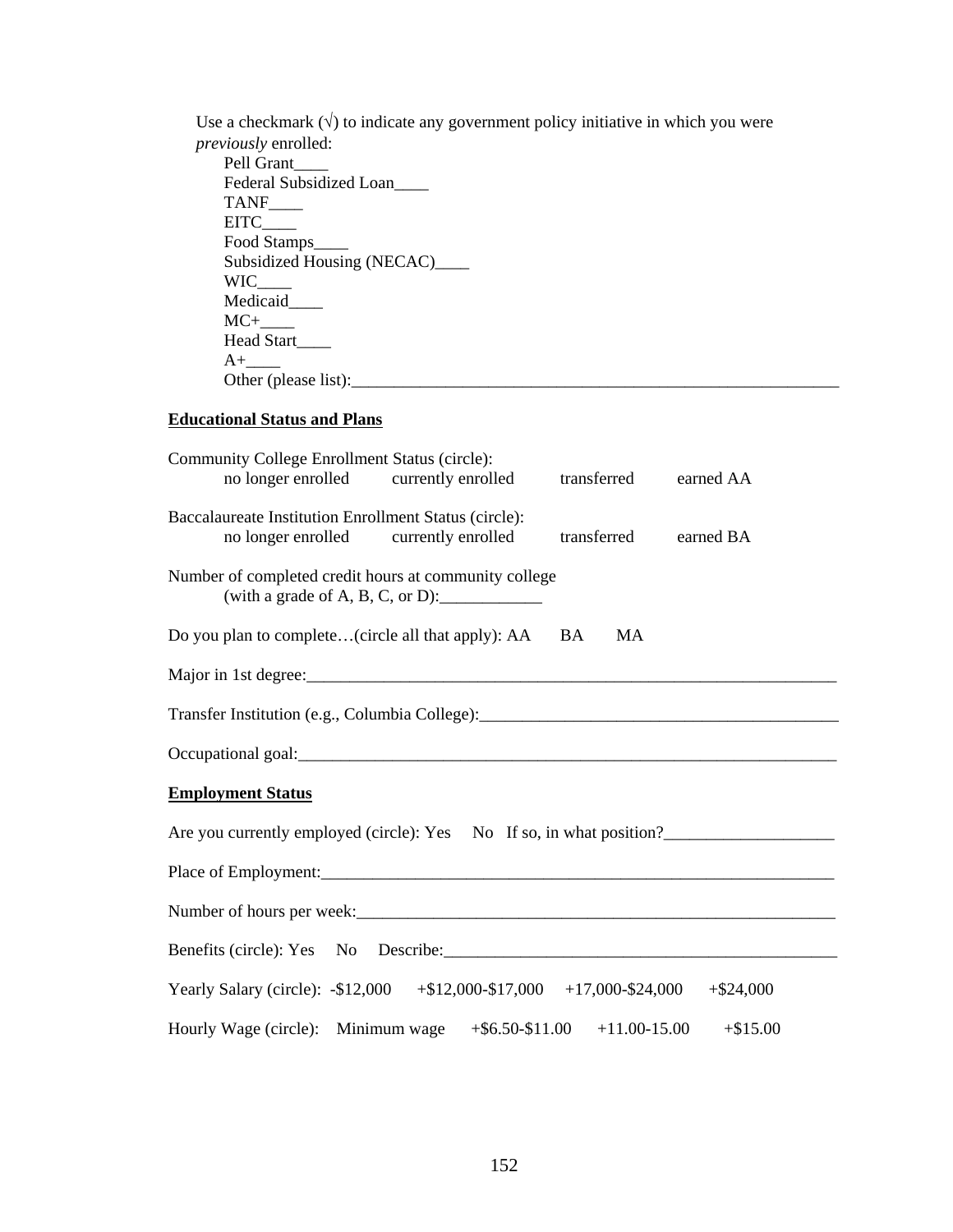Use a checkmark  $(\sqrt{})$  to indicate any government policy initiative in which you were *previously* enrolled: Pell Grant\_\_\_\_ Federal Subsidized Loan TANF\_\_\_\_  $EITC$ Food Stamps\_\_\_\_\_ Subsidized Housing (NECAC)\_\_\_\_\_ WIC\_\_\_\_ Medicaid\_\_\_\_  $MC+$ Head Start\_\_\_\_  $A+$ Other (please list): $\frac{1}{2}$  and  $\frac{1}{2}$  and  $\frac{1}{2}$  and  $\frac{1}{2}$  and  $\frac{1}{2}$  and  $\frac{1}{2}$  and  $\frac{1}{2}$  and  $\frac{1}{2}$  and  $\frac{1}{2}$  and  $\frac{1}{2}$  and  $\frac{1}{2}$  and  $\frac{1}{2}$  and  $\frac{1}{2}$  and  $\frac{1}{2}$  and  $\frac{1$ 

# **Educational Status and Plans**

| Community College Enrollment Status (circle):<br>no longer enrolled currently enrolled<br>transferred<br>earned AA         |                                                                                       |    |            |  |  |  |
|----------------------------------------------------------------------------------------------------------------------------|---------------------------------------------------------------------------------------|----|------------|--|--|--|
| Baccalaureate Institution Enrollment Status (circle):<br>no longer enrolled currently enrolled<br>transferred<br>earned BA |                                                                                       |    |            |  |  |  |
| Number of completed credit hours at community college                                                                      | (with a grade of A, B, C, or D): $\_\_\_\_\_\_\_\_\_\_\_\_\_\_\_\_\_\_\_\_\_\_\_\_\_$ |    |            |  |  |  |
| Do you plan to complete(circle all that apply): AA BA                                                                      |                                                                                       | MA |            |  |  |  |
|                                                                                                                            |                                                                                       |    |            |  |  |  |
|                                                                                                                            |                                                                                       |    |            |  |  |  |
|                                                                                                                            |                                                                                       |    |            |  |  |  |
| <b>Employment Status</b>                                                                                                   |                                                                                       |    |            |  |  |  |
| Are you currently employed (circle): Yes No If so, in what position?                                                       |                                                                                       |    |            |  |  |  |
|                                                                                                                            |                                                                                       |    |            |  |  |  |
| Number of hours per week:<br><u> </u>                                                                                      |                                                                                       |    |            |  |  |  |
|                                                                                                                            |                                                                                       |    |            |  |  |  |
| Yearly Salary (circle): -\$12,000 +\$12,000-\$17,000 +17,000-\$24,000 +\$24,000                                            |                                                                                       |    |            |  |  |  |
| Hourly Wage (circle): Minimum wage $+$ \$6.50-\$11.00 $+$ 11.00-15.00                                                      |                                                                                       |    | $+ $15.00$ |  |  |  |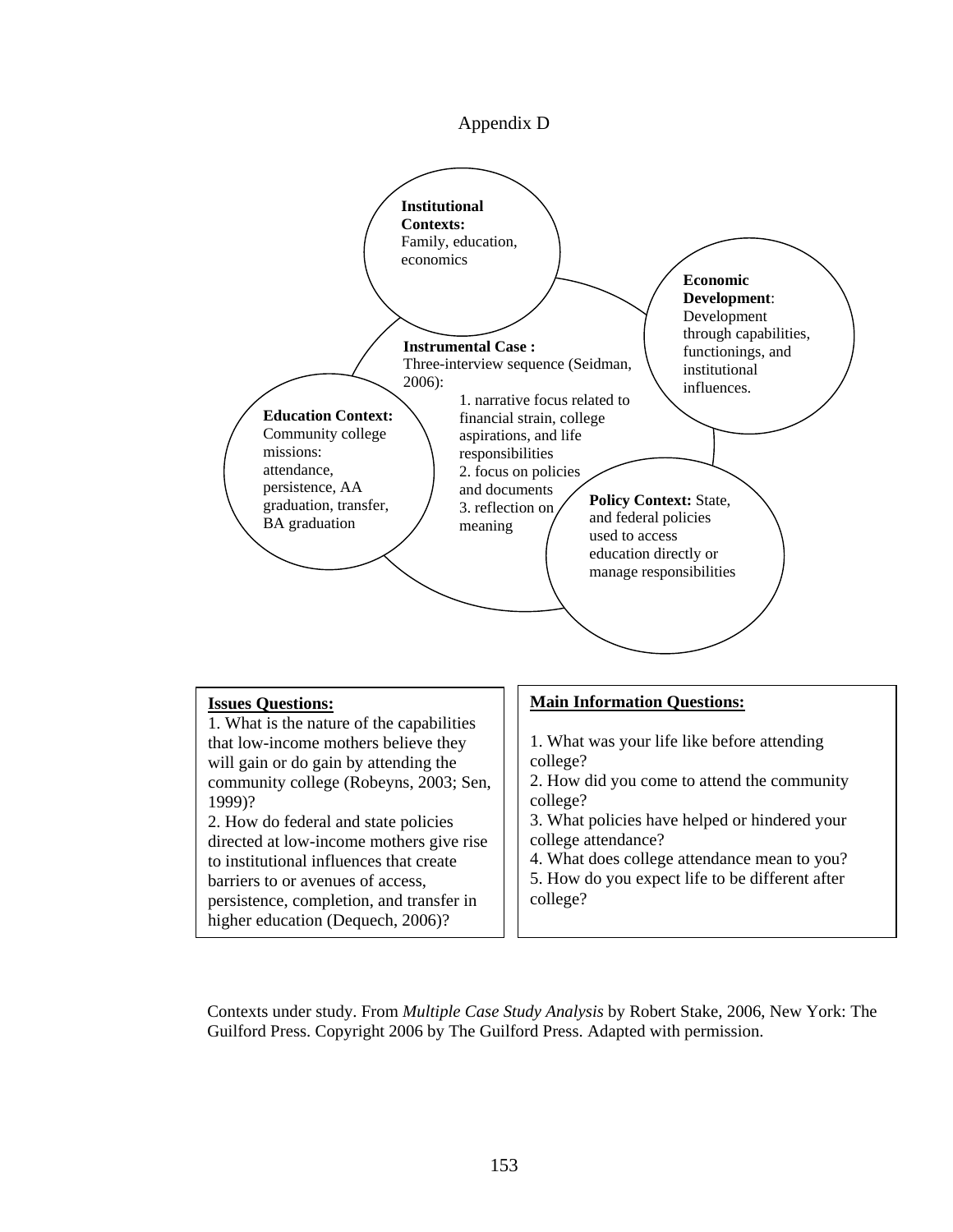



4. What does college attendance mean to you?

5. How do you expect life to be different after college?

Contexts under study. From *Multiple Case Study Analysis* by Robert Stake, 2006, New York: The Guilford Press. Copyright 2006 by The Guilford Press. Adapted with permission.

barriers to or avenues of access,

persistence, completion, and transfer in higher education (Dequech, 2006)?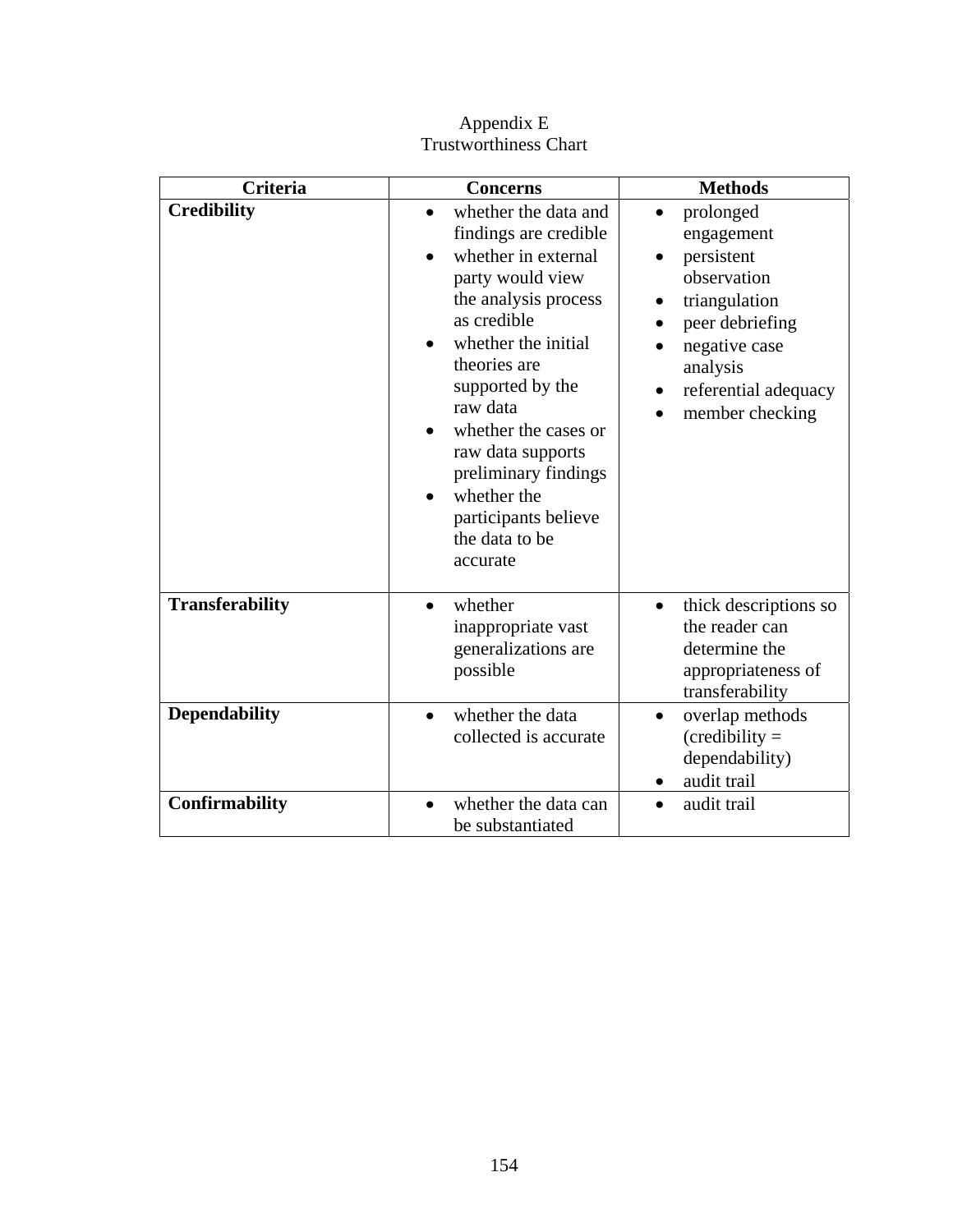| <b>Criteria</b>        | <b>Concerns</b>                                                                                                                                                                                                                                                                                                                                                                                      | <b>Methods</b>                                                                                                                                                                     |
|------------------------|------------------------------------------------------------------------------------------------------------------------------------------------------------------------------------------------------------------------------------------------------------------------------------------------------------------------------------------------------------------------------------------------------|------------------------------------------------------------------------------------------------------------------------------------------------------------------------------------|
| <b>Credibility</b>     | whether the data and<br>$\bullet$<br>findings are credible<br>whether in external<br>$\bullet$<br>party would view<br>the analysis process<br>as credible<br>whether the initial<br>$\bullet$<br>theories are<br>supported by the<br>raw data<br>whether the cases or<br>raw data supports<br>preliminary findings<br>whether the<br>$\bullet$<br>participants believe<br>the data to be<br>accurate | prolonged<br>$\bullet$<br>engagement<br>persistent<br>observation<br>triangulation<br>٠<br>peer debriefing<br>negative case<br>analysis<br>referential adequacy<br>member checking |
| <b>Transferability</b> | whether<br>$\bullet$<br>inappropriate vast<br>generalizations are<br>possible                                                                                                                                                                                                                                                                                                                        | thick descriptions so<br>$\bullet$<br>the reader can<br>determine the<br>appropriateness of<br>transferability                                                                     |
| <b>Dependability</b>   | whether the data<br>collected is accurate                                                                                                                                                                                                                                                                                                                                                            | overlap methods<br>$\bullet$<br>$(creditly =$<br>dependability)<br>audit trail                                                                                                     |
| Confirmability         | whether the data can<br>be substantiated                                                                                                                                                                                                                                                                                                                                                             | audit trail                                                                                                                                                                        |

Appendix E Trustworthiness Chart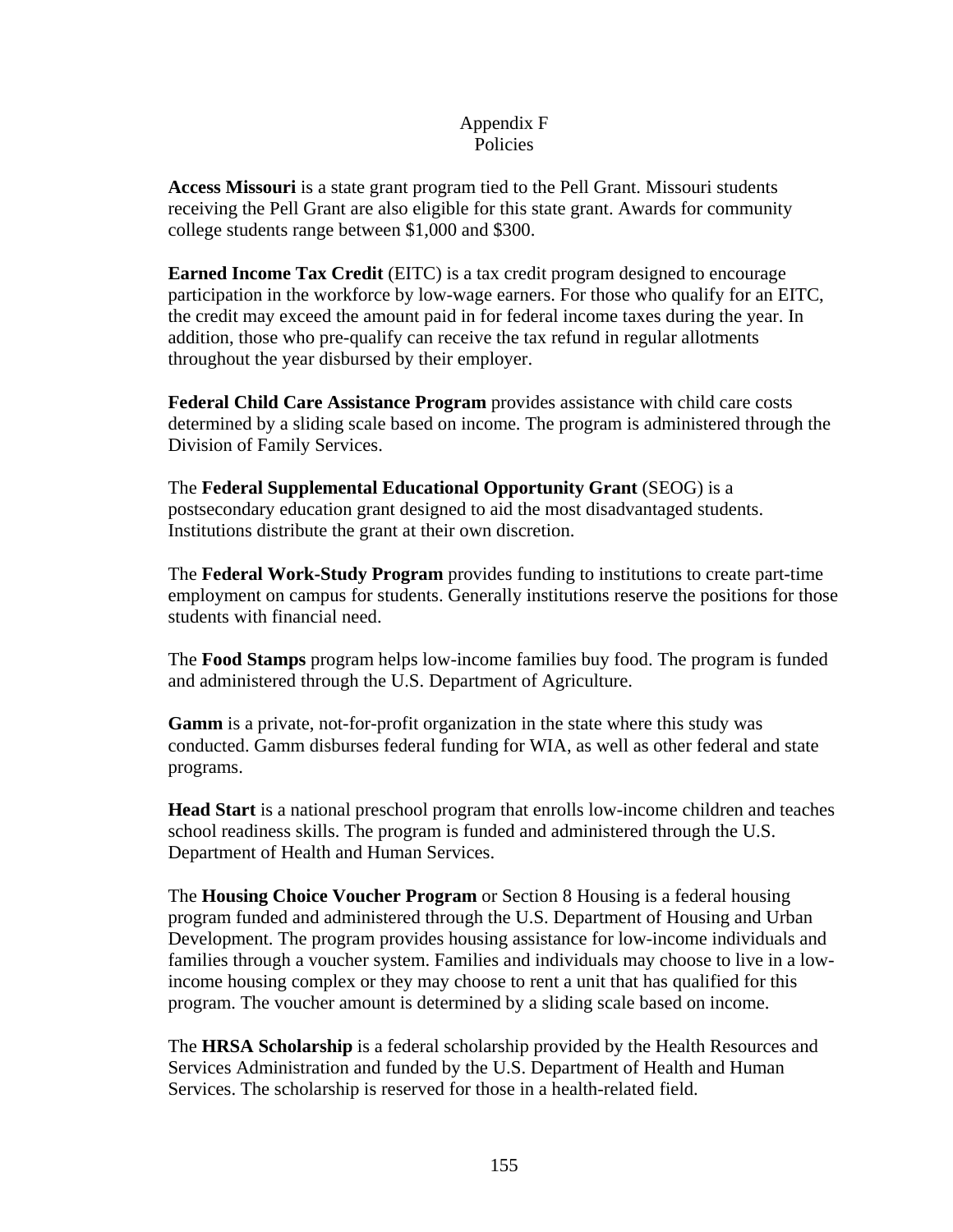## Appendix F Policies

**Access Missouri** is a state grant program tied to the Pell Grant. Missouri students receiving the Pell Grant are also eligible for this state grant. Awards for community college students range between \$1,000 and \$300.

**Earned Income Tax Credit** (EITC) is a tax credit program designed to encourage participation in the workforce by low-wage earners. For those who qualify for an EITC, the credit may exceed the amount paid in for federal income taxes during the year. In addition, those who pre-qualify can receive the tax refund in regular allotments throughout the year disbursed by their employer.

**Federal Child Care Assistance Program** provides assistance with child care costs determined by a sliding scale based on income. The program is administered through the Division of Family Services.

The **Federal Supplemental Educational Opportunity Grant** (SEOG) is a postsecondary education grant designed to aid the most disadvantaged students. Institutions distribute the grant at their own discretion.

The **Federal Work-Study Program** provides funding to institutions to create part-time employment on campus for students. Generally institutions reserve the positions for those students with financial need.

The **Food Stamps** program helps low-income families buy food. The program is funded and administered through the U.S. Department of Agriculture.

**Gamm** is a private, not-for-profit organization in the state where this study was conducted. Gamm disburses federal funding for WIA, as well as other federal and state programs.

**Head Start** is a national preschool program that enrolls low-income children and teaches school readiness skills. The program is funded and administered through the U.S. Department of Health and Human Services.

The **Housing Choice Voucher Program** or Section 8 Housing is a federal housing program funded and administered through the U.S. Department of Housing and Urban Development. The program provides housing assistance for low-income individuals and families through a voucher system. Families and individuals may choose to live in a lowincome housing complex or they may choose to rent a unit that has qualified for this program. The voucher amount is determined by a sliding scale based on income.

The **HRSA Scholarship** is a federal scholarship provided by the Health Resources and Services Administration and funded by the U.S. Department of Health and Human Services. The scholarship is reserved for those in a health-related field.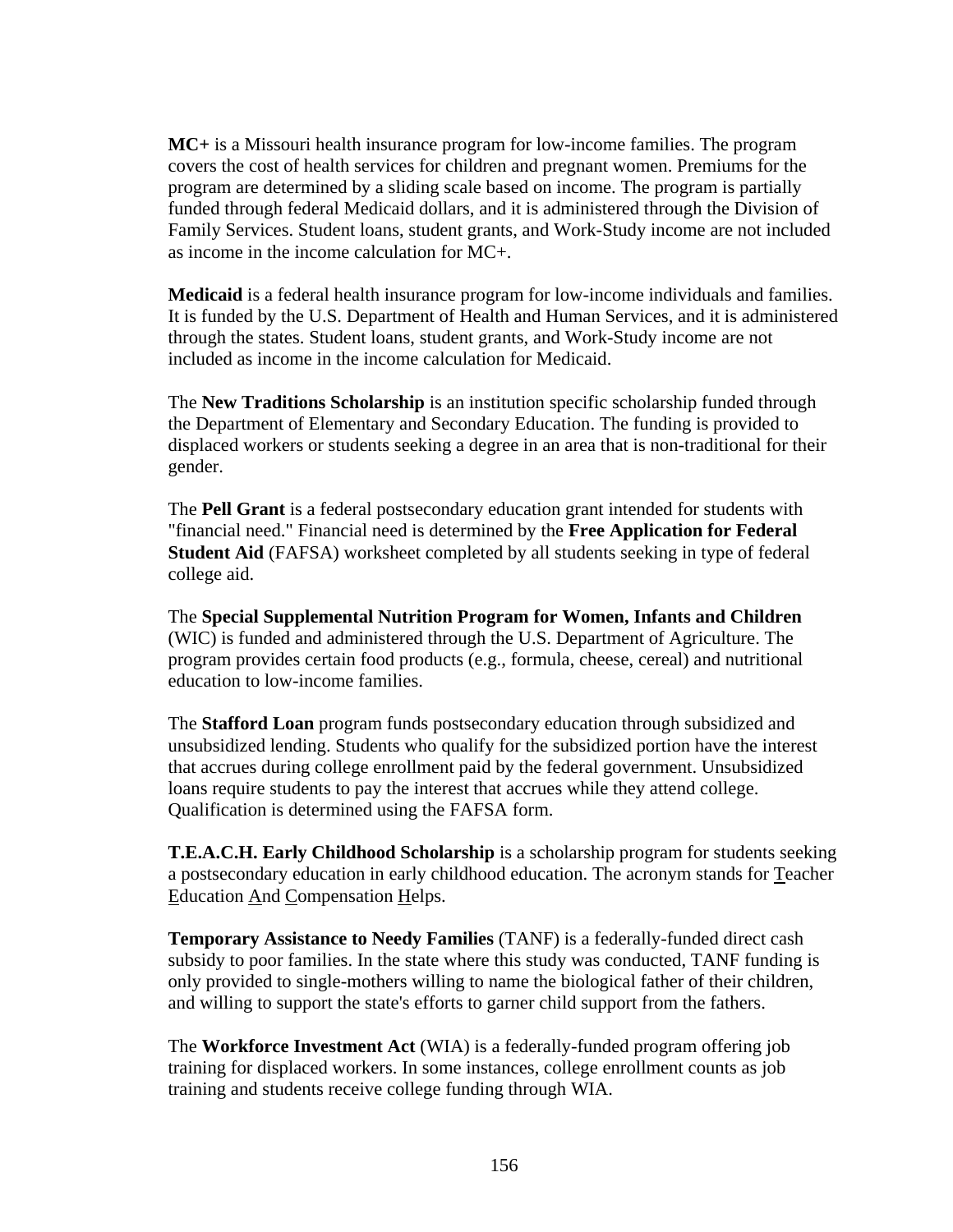**MC+** is a Missouri health insurance program for low-income families. The program covers the cost of health services for children and pregnant women. Premiums for the program are determined by a sliding scale based on income. The program is partially funded through federal Medicaid dollars, and it is administered through the Division of Family Services. Student loans, student grants, and Work-Study income are not included as income in the income calculation for MC+.

**Medicaid** is a federal health insurance program for low-income individuals and families. It is funded by the U.S. Department of Health and Human Services, and it is administered through the states. Student loans, student grants, and Work-Study income are not included as income in the income calculation for Medicaid.

The **New Traditions Scholarship** is an institution specific scholarship funded through the Department of Elementary and Secondary Education. The funding is provided to displaced workers or students seeking a degree in an area that is non-traditional for their gender.

The **Pell Grant** is a federal postsecondary education grant intended for students with "financial need." Financial need is determined by the **Free Application for Federal Student Aid** (FAFSA) worksheet completed by all students seeking in type of federal college aid.

The **Special Supplemental Nutrition Program for Women, Infants and Children** (WIC) is funded and administered through the U.S. Department of Agriculture. The program provides certain food products (e.g., formula, cheese, cereal) and nutritional education to low-income families.

The **Stafford Loan** program funds postsecondary education through subsidized and unsubsidized lending. Students who qualify for the subsidized portion have the interest that accrues during college enrollment paid by the federal government. Unsubsidized loans require students to pay the interest that accrues while they attend college. Qualification is determined using the FAFSA form.

**T.E.A.C.H. Early Childhood Scholarship** is a scholarship program for students seeking a postsecondary education in early childhood education. The acronym stands for Teacher Education And Compensation Helps.

**Temporary Assistance to Needy Families** (TANF) is a federally-funded direct cash subsidy to poor families. In the state where this study was conducted, TANF funding is only provided to single-mothers willing to name the biological father of their children, and willing to support the state's efforts to garner child support from the fathers.

The **Workforce Investment Act** (WIA) is a federally-funded program offering job training for displaced workers. In some instances, college enrollment counts as job training and students receive college funding through WIA.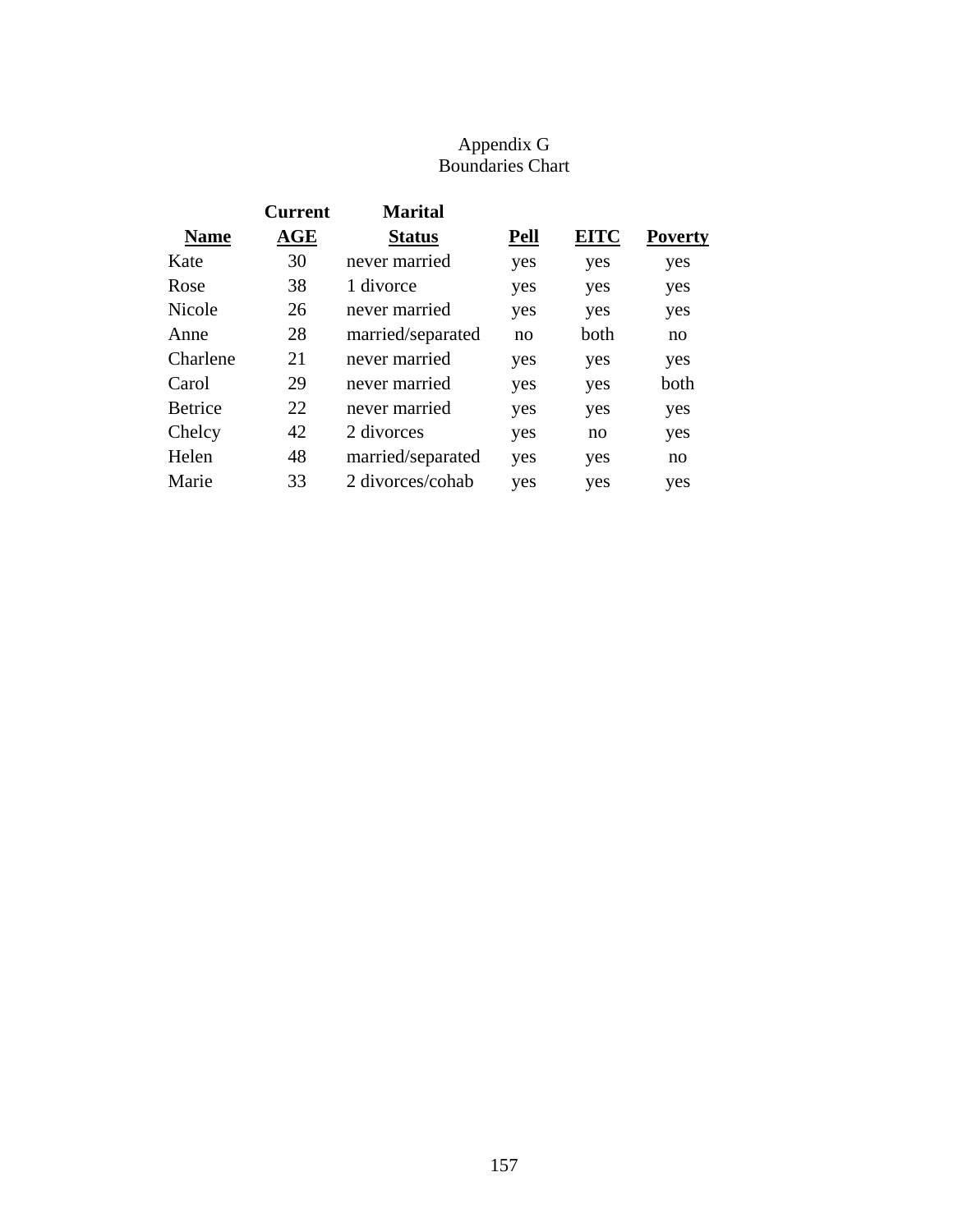# Appendix G Boundaries Chart

|                | <b>Current</b> | <b>Marital</b>    |             |             |                |
|----------------|----------------|-------------------|-------------|-------------|----------------|
| <b>Name</b>    | AGE            | <b>Status</b>     | <b>Pell</b> | <b>EITC</b> | <b>Poverty</b> |
| Kate           | 30             | never married     | yes         | yes         | yes            |
| Rose           | 38             | 1 divorce         | yes         | yes         | yes            |
| Nicole         | 26             | never married     | yes         | yes         | yes            |
| Anne           | 28             | married/separated | no          | both        | no             |
| Charlene       | 21             | never married     | yes         | yes         | yes            |
| Carol          | 29             | never married     | yes         | yes         | both           |
| <b>Betrice</b> | 22             | never married     | yes         | yes         | yes            |
| Chelcy         | 42             | 2 divorces        | yes         | no          | yes            |
| Helen          | 48             | married/separated | yes         | yes         | no             |
| Marie          | 33             | 2 divorces/cohab  | yes         | yes         | yes            |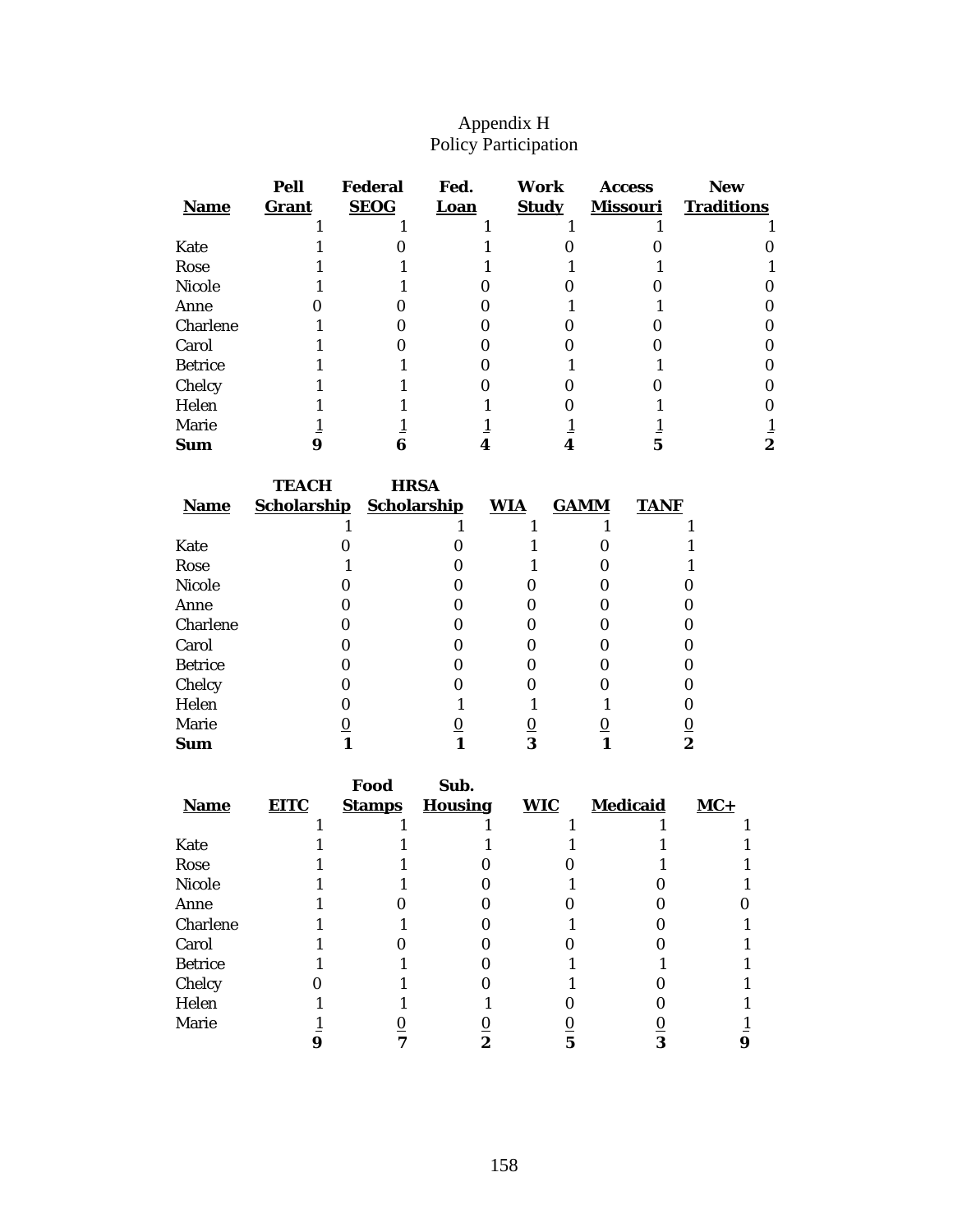## Appendix H Policy Participation

| <b>Name</b>    | Pell<br>Grant | <b>Federal</b><br><b>SEOG</b> | Fed.<br>Loan | Work<br><b>Study</b> | <b>Access</b><br><b>Missouri</b> | <b>New</b><br><b>Traditions</b> |
|----------------|---------------|-------------------------------|--------------|----------------------|----------------------------------|---------------------------------|
|                |               |                               |              |                      |                                  |                                 |
| Kate           |               |                               |              |                      |                                  |                                 |
| Rose           |               |                               |              |                      |                                  |                                 |
| <b>Nicole</b>  |               |                               |              |                      |                                  |                                 |
| Anne           |               |                               |              |                      |                                  |                                 |
| Charlene       |               |                               |              |                      |                                  |                                 |
| Carol          |               |                               |              |                      |                                  |                                 |
| <b>Betrice</b> |               |                               |              |                      |                                  |                                 |
| Chelcy         |               |                               |              |                      |                                  |                                 |
| Helen          |               |                               |              |                      |                                  |                                 |
| <b>Marie</b>   |               |                               |              |                      |                                  |                                 |
| Sum            |               |                               |              |                      |                                  |                                 |

|                | <b>TEACH</b>       | <b>HRSA</b>        |                |             |             |
|----------------|--------------------|--------------------|----------------|-------------|-------------|
| <b>Name</b>    | <b>Scholarship</b> | <b>Scholarship</b> | <b>WIA</b>     | <b>GAMM</b> | <b>TANF</b> |
|                |                    |                    |                |             |             |
| Kate           |                    |                    |                |             |             |
| Rose           |                    |                    |                |             |             |
| <b>Nicole</b>  |                    |                    |                |             |             |
| Anne           |                    |                    |                |             |             |
| Charlene       |                    |                    |                |             |             |
| Carol          |                    |                    |                |             |             |
| <b>Betrice</b> |                    |                    |                |             |             |
| Chelcy         |                    |                    |                |             |             |
| Helen          |                    |                    |                |             |             |
| Marie          | $\bf{0}$           | U                  | $\overline{0}$ |             |             |
| Sum            |                    |                    | 3              |             | 2           |

|                |             | Food          | Sub.           |            |                 |       |
|----------------|-------------|---------------|----------------|------------|-----------------|-------|
| <b>Name</b>    | <b>EITC</b> | <b>Stamps</b> | <b>Housing</b> | <b>WIC</b> | <b>Medicaid</b> | $MC+$ |
|                |             |               |                |            |                 |       |
| Kate           |             |               |                |            |                 |       |
| Rose           |             |               |                |            |                 |       |
| <b>Nicole</b>  |             |               |                |            |                 |       |
| Anne           |             |               |                |            |                 |       |
| Charlene       |             |               |                |            |                 |       |
| Carol          |             |               |                |            |                 |       |
| <b>Betrice</b> |             |               |                |            |                 |       |
| Chelcy         |             |               |                |            |                 |       |
| Helen          |             |               |                |            |                 |       |
| Marie          |             |               |                |            |                 |       |
|                |             |               | 2              |            |                 |       |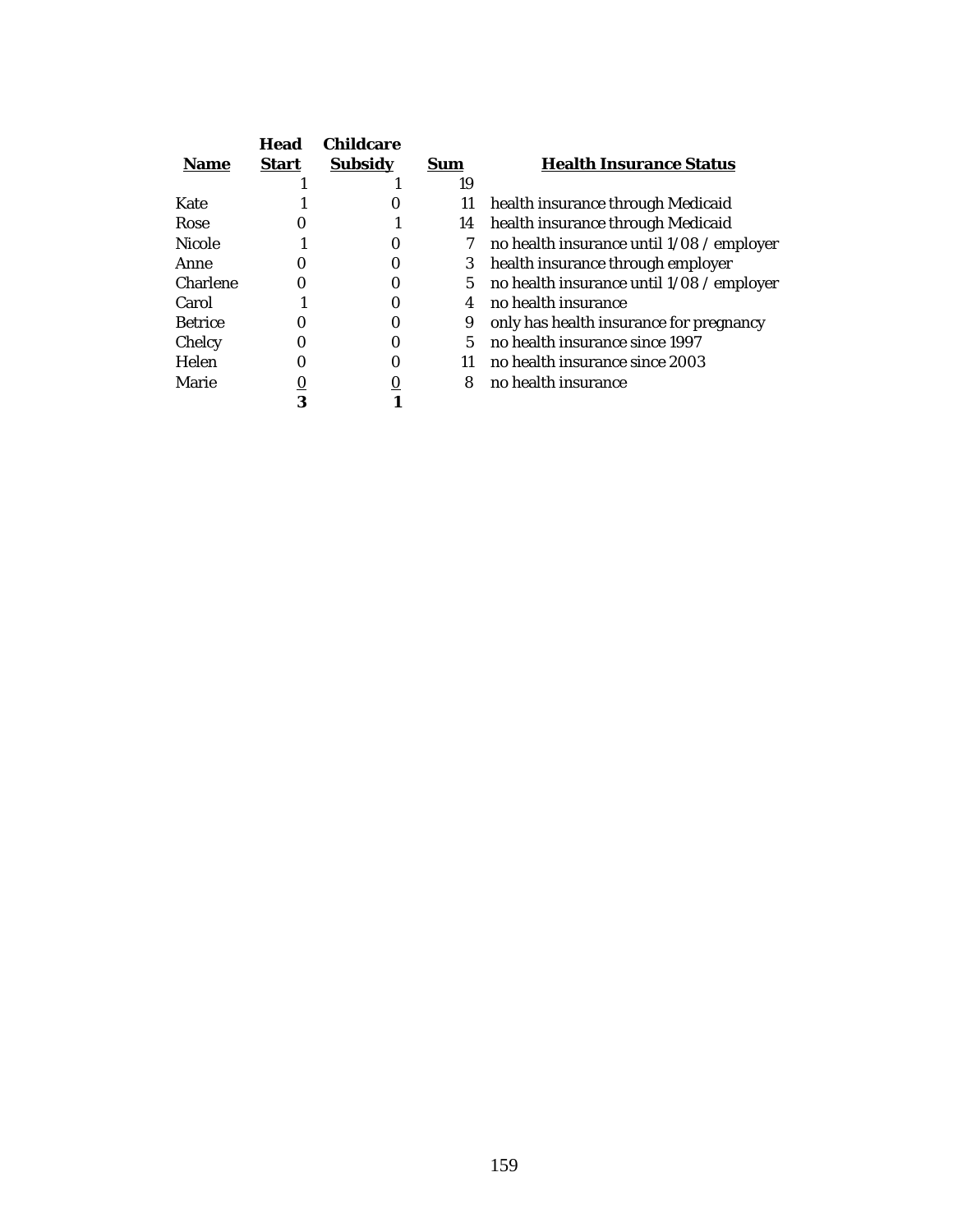|                 | Head         | <b>Childcare</b> |     |                                           |
|-----------------|--------------|------------------|-----|-------------------------------------------|
| <b>Name</b>     | <b>Start</b> | <b>Subsidy</b>   | Sum | <b>Health Insurance Status</b>            |
|                 |              |                  | 19  |                                           |
| Kate            |              |                  | 11  | health insurance through Medicaid         |
| Rose            |              |                  | 14  | health insurance through Medicaid         |
| <b>Nicole</b>   |              |                  | 7   | no health insurance until 1/08 / employer |
| Anne            |              |                  | 3   | health insurance through employer         |
| <b>Charlene</b> |              |                  | 5   | no health insurance until 1/08 / employer |
| Carol           |              |                  | 4   | no health insurance                       |
| <b>Betrice</b>  |              |                  | 9   | only has health insurance for pregnancy   |
| Chelcy          |              |                  | 5   | no health insurance since 1997            |
| Helen           |              |                  | 11  | no health insurance since 2003            |
| Marie           |              |                  | 8   | no health insurance                       |
|                 | 3            |                  |     |                                           |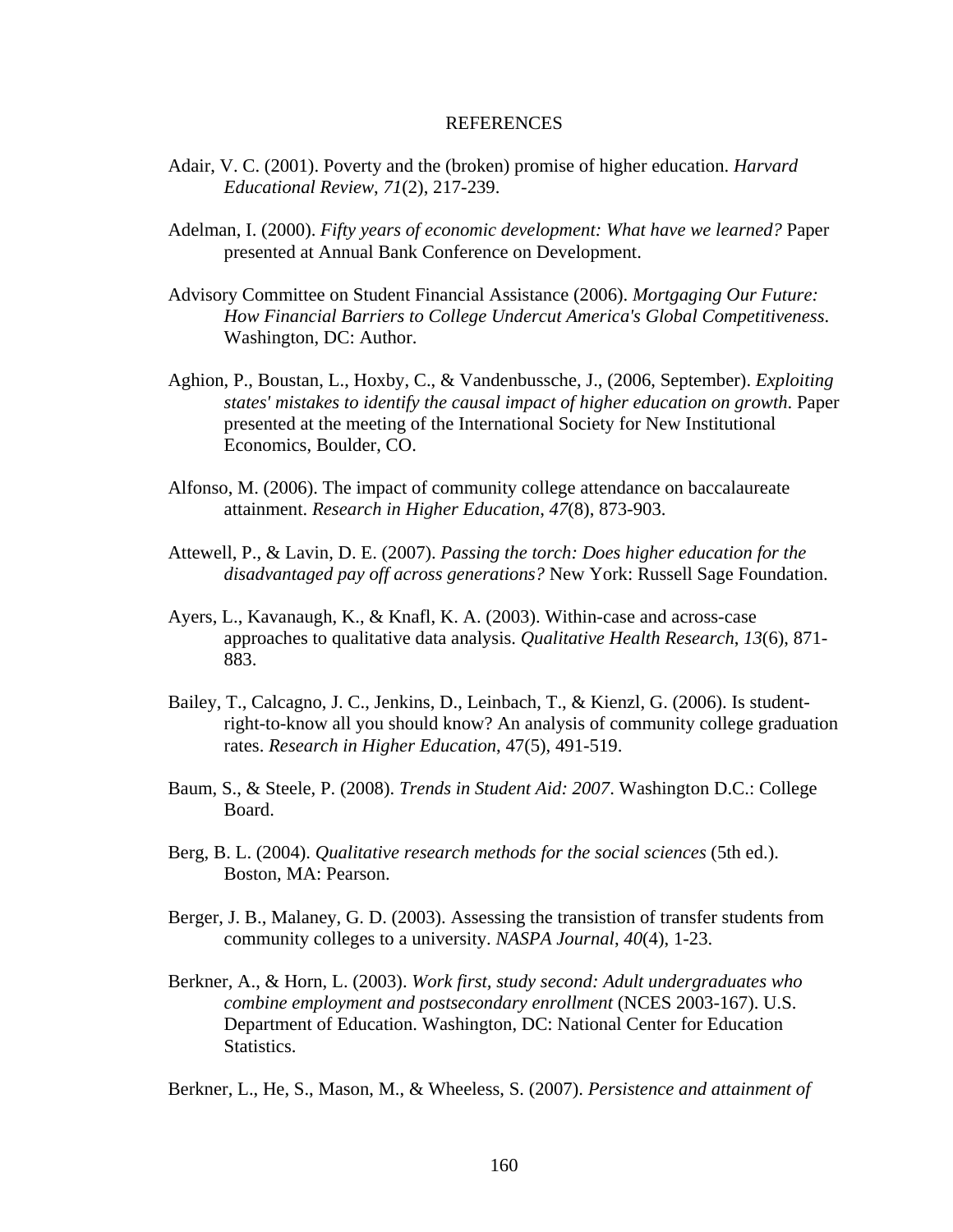#### **REFERENCES**

- Adair, V. C. (2001). Poverty and the (broken) promise of higher education. *Harvard Educational Review*, *71*(2), 217-239.
- Adelman, I. (2000). *Fifty years of economic development: What have we learned?* Paper presented at Annual Bank Conference on Development.
- Advisory Committee on Student Financial Assistance (2006). *Mortgaging Our Future: How Financial Barriers to College Undercut America's Global Competitiveness*. Washington, DC: Author.
- Aghion, P., Boustan, L., Hoxby, C., & Vandenbussche, J., (2006, September). *Exploiting states' mistakes to identify the causal impact of higher education on growth*. Paper presented at the meeting of the International Society for New Institutional Economics, Boulder, CO.
- Alfonso, M. (2006). The impact of community college attendance on baccalaureate attainment. *Research in Higher Education*, *47*(8), 873-903.
- Attewell, P., & Lavin, D. E. (2007). *Passing the torch: Does higher education for the disadvantaged pay off across generations?* New York: Russell Sage Foundation.
- Ayers, L., Kavanaugh, K., & Knafl, K. A. (2003). Within-case and across-case approaches to qualitative data analysis. *Qualitative Health Research*, *13*(6), 871- 883.
- Bailey, T., Calcagno, J. C., Jenkins, D., Leinbach, T., & Kienzl, G. (2006). Is student right-to-know all you should know? An analysis of community college graduation rates. *Research in Higher Education*, 47(5), 491-519.
- Baum, S., & Steele, P. (2008). *Trends in Student Aid: 2007*. Washington D.C.: College Board.
- Berg, B. L. (2004). *Qualitative research methods for the social sciences* (5th ed.). Boston, MA: Pearson.
- Berger, J. B., Malaney, G. D. (2003). Assessing the transistion of transfer students from community colleges to a university. *NASPA Journal*, *40*(4), 1-23.
- Berkner, A., & Horn, L. (2003). *Work first, study second: Adult undergraduates who combine employment and postsecondary enrollment* (NCES 2003-167). U.S. Department of Education. Washington, DC: National Center for Education Statistics.

Berkner, L., He, S., Mason, M., & Wheeless, S. (2007). *Persistence and attainment of*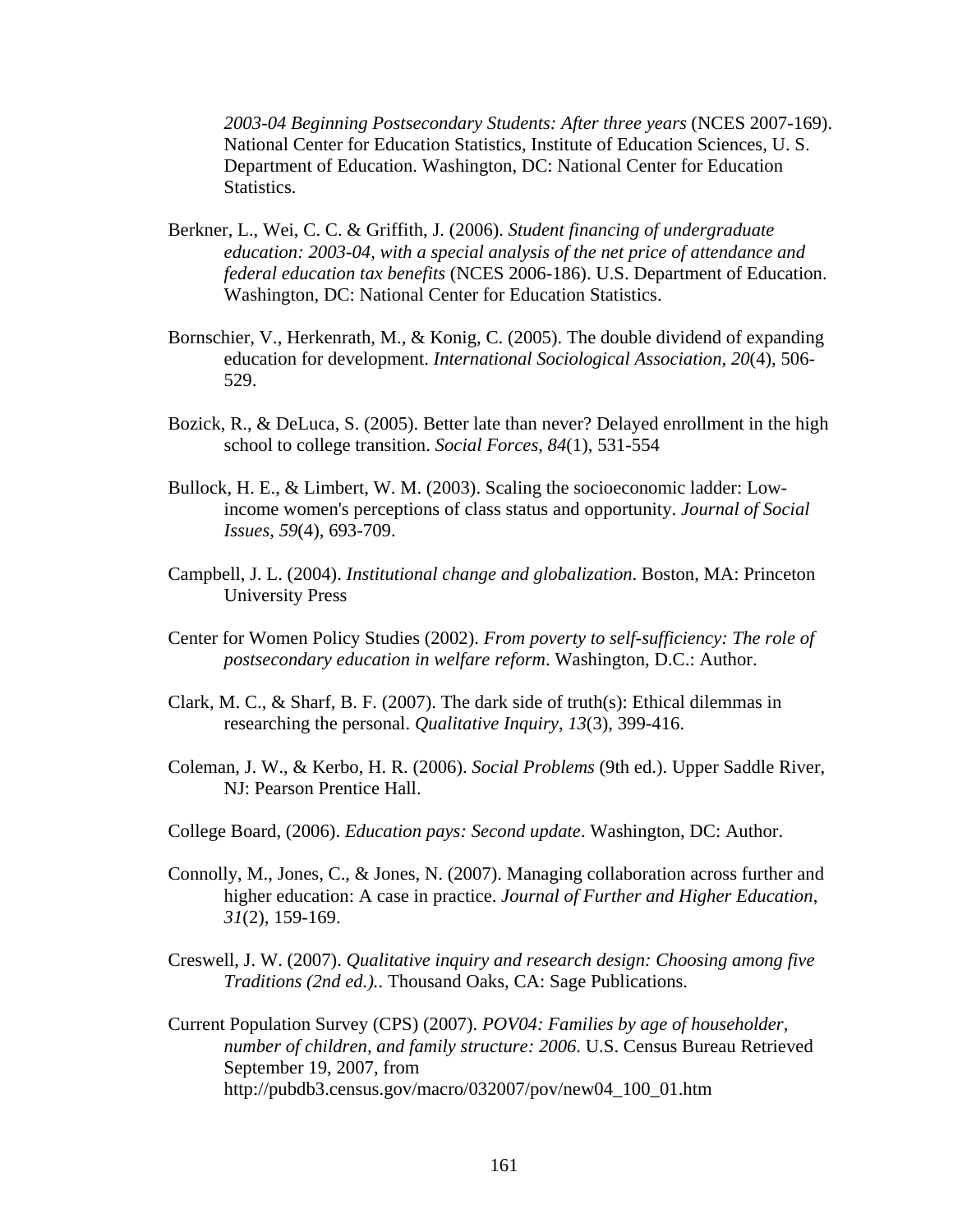*2003-04 Beginning Postsecondary Students: After three years* (NCES 2007-169). National Center for Education Statistics, Institute of Education Sciences, U. S. Department of Education. Washington, DC: National Center for Education Statistics.

- Berkner, L., Wei, C. C. & Griffith, J. (2006). *Student financing of undergraduate education: 2003-04, with a special analysis of the net price of attendance and federal education tax benefits* (NCES 2006-186). U.S. Department of Education. Washington, DC: National Center for Education Statistics.
- Bornschier, V., Herkenrath, M., & Konig, C. (2005). The double dividend of expanding education for development. *International Sociological Association*, *20*(4), 506- 529.
- Bozick, R., & DeLuca, S. (2005). Better late than never? Delayed enrollment in the high school to college transition. *Social Forces*, *84*(1), 531-554
- Bullock, H. E., & Limbert, W. M. (2003). Scaling the socioeconomic ladder: Low income women's perceptions of class status and opportunity. *Journal of Social Issues*, *59*(4), 693-709.
- Campbell, J. L. (2004). *Institutional change and globalization*. Boston, MA: Princeton University Press
- Center for Women Policy Studies (2002). *From poverty to self-sufficiency: The role of postsecondary education in welfare reform*. Washington, D.C.: Author.
- Clark, M. C., & Sharf, B. F. (2007). The dark side of truth(s): Ethical dilemmas in researching the personal. *Qualitative Inquiry*, *13*(3), 399-416.
- Coleman, J. W., & Kerbo, H. R. (2006). *Social Problems* (9th ed.). Upper Saddle River, NJ: Pearson Prentice Hall.
- College Board, (2006). *Education pays: Second update*. Washington, DC: Author.
- Connolly, M., Jones, C., & Jones, N. (2007). Managing collaboration across further and higher education: A case in practice. *Journal of Further and Higher Education*, *31*(2), 159-169.
- Creswell, J. W. (2007). *Qualitative inquiry and research design: Choosing among five Traditions (2nd ed.).*. Thousand Oaks, CA: Sage Publications.
- Current Population Survey (CPS) (2007). *POV04: Families by age of householder, number of children, and family structure: 2006*. U.S. Census Bureau Retrieved September 19, 2007, from http://pubdb3.census.gov/macro/032007/pov/new04\_100\_01.htm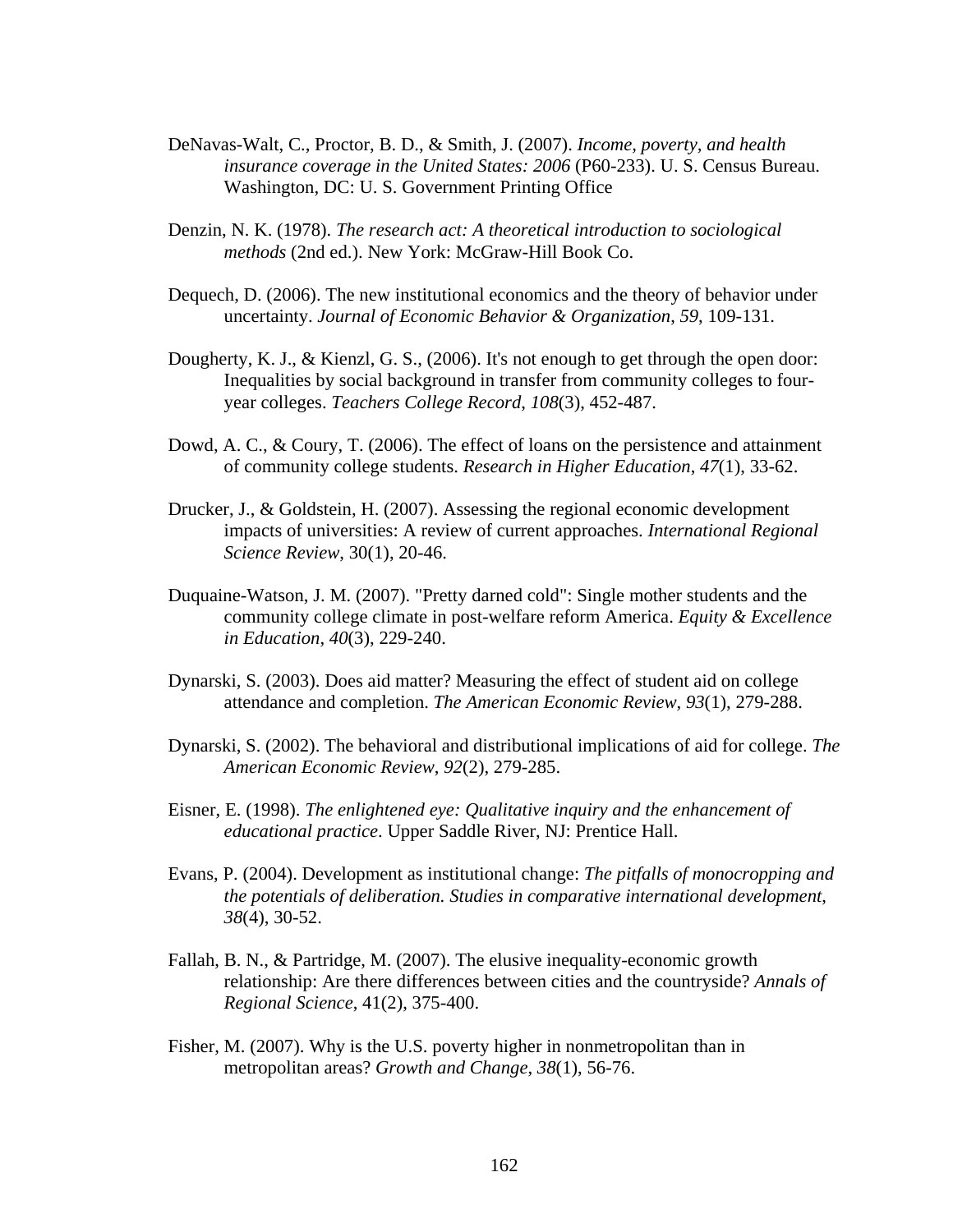- DeNavas-Walt, C., Proctor, B. D., & Smith, J. (2007). *Income, poverty, and health insurance coverage in the United States: 2006 (P60-233). U.S. Census Bureau.* Washington, DC: U. S. Government Printing Office
- Denzin, N. K. (1978). *The research act: A theoretical introduction to sociological methods* (2nd ed.). New York: McGraw-Hill Book Co.
- Dequech, D. (2006). The new institutional economics and the theory of behavior under uncertainty. *Journal of Economic Behavior & Organization*, *59*, 109-131.
- Dougherty, K. J., & Kienzl, G. S., (2006). It's not enough to get through the open door: Inequalities by social background in transfer from community colleges to four year colleges. *Teachers College Record*, *108*(3), 452-487.
- Dowd, A. C., & Coury, T. (2006). The effect of loans on the persistence and attainment of community college students. *Research in Higher Education*, *47*(1), 33-62.
- Drucker, J., & Goldstein, H. (2007). Assessing the regional economic development impacts of universities: A review of current approaches. *International Regional Science Review*, 30(1), 20-46.
- Duquaine-Watson, J. M. (2007). "Pretty darned cold": Single mother students and the community college climate in post-welfare reform America. *Equity & Excellence in Education*, *40*(3), 229-240.
- Dynarski, S. (2003). Does aid matter? Measuring the effect of student aid on college attendance and completion. *The American Economic Review*, *93*(1), 279-288.
- Dynarski, S. (2002). The behavioral and distributional implications of aid for college. *The American Economic Review*, *92*(2), 279-285.
- Eisner, E. (1998). *The enlightened eye: Qualitative inquiry and the enhancement of educational practice*. Upper Saddle River, NJ: Prentice Hall.
- Evans, P. (2004). Development as institutional change: *The pitfalls of monocropping and the potentials of deliberation. Studies in comparative international development*, *38*(4), 30-52.
- Fallah, B. N., & Partridge, M. (2007). The elusive inequality-economic growth relationship: Are there differences between cities and the countryside? *Annals of Regional Science*, 41(2), 375-400.
- Fisher, M. (2007). Why is the U.S. poverty higher in nonmetropolitan than in metropolitan areas? *Growth and Change*, *38*(1), 56-76.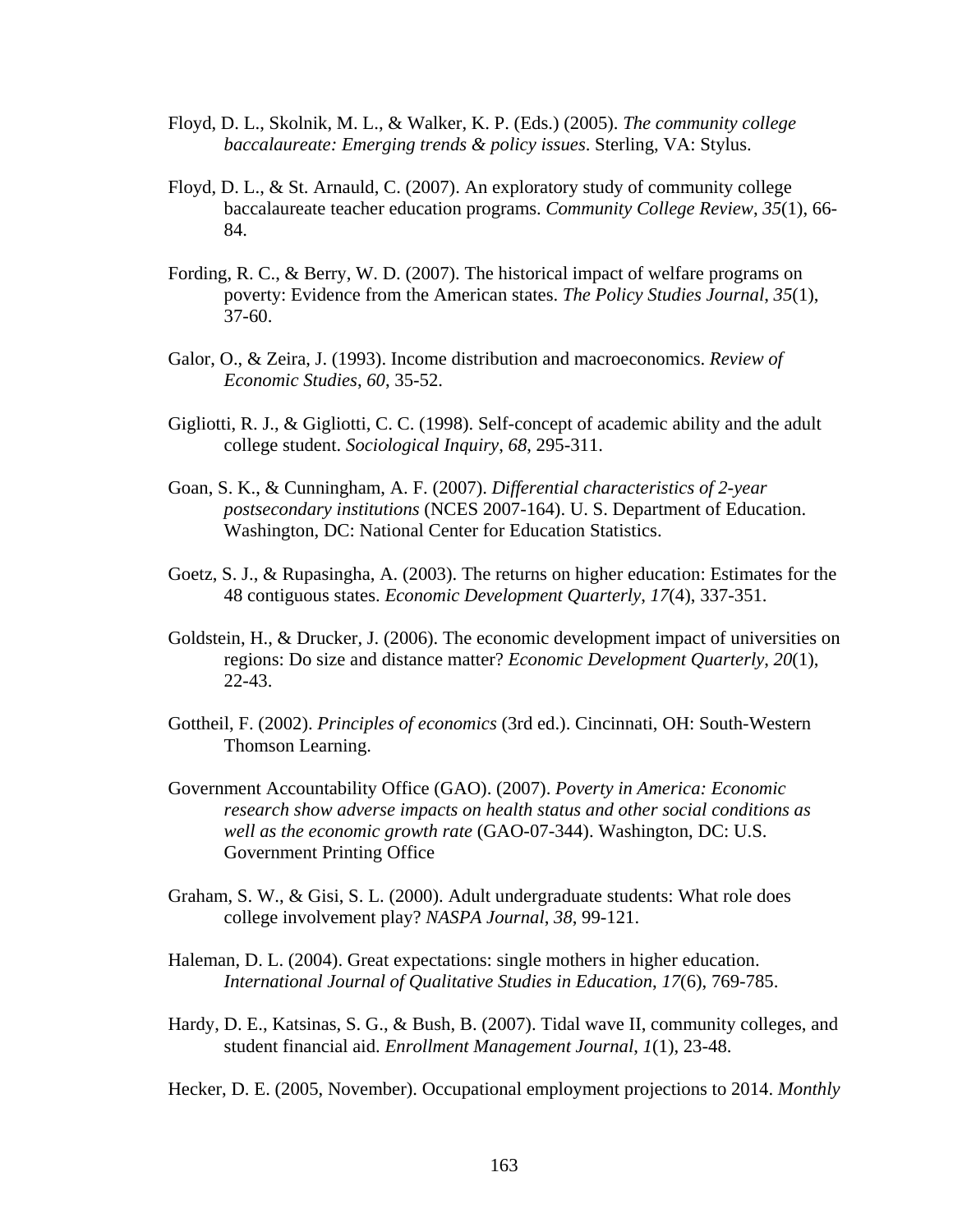- Floyd, D. L., Skolnik, M. L., & Walker, K. P. (Eds.) (2005). *The community college baccalaureate: Emerging trends & policy issues*. Sterling, VA: Stylus.
- Floyd, D. L., & St. Arnauld, C. (2007). An exploratory study of community college baccalaureate teacher education programs. *Community College Review*, *35*(1), 66- 84.
- Fording, R. C., & Berry, W. D. (2007). The historical impact of welfare programs on poverty: Evidence from the American states. *The Policy Studies Journal*, *35*(1), 37-60.
- Galor, O., & Zeira, J. (1993). Income distribution and macroeconomics. *Review of Economic Studies*, *60*, 35-52.
- Gigliotti, R. J., & Gigliotti, C. C. (1998). Self-concept of academic ability and the adult college student. *Sociological Inquiry*, *68*, 295-311.
- Goan, S. K., & Cunningham, A. F. (2007). *Differential characteristics of 2-year postsecondary institutions* (NCES 2007-164). U. S. Department of Education. Washington, DC: National Center for Education Statistics.
- Goetz, S. J., & Rupasingha, A. (2003). The returns on higher education: Estimates for the 48 contiguous states. *Economic Development Quarterly*, *17*(4), 337-351.
- Goldstein, H., & Drucker, J. (2006). The economic development impact of universities on regions: Do size and distance matter? *Economic Development Quarterly*, *20*(1), 22-43.
- Gottheil, F. (2002). *Principles of economics* (3rd ed.). Cincinnati, OH: South-Western Thomson Learning.
- Government Accountability Office (GAO). (2007). *Poverty in America: Economic research show adverse impacts on health status and other social conditions as well as the economic growth rate* (GAO-07-344). Washington, DC: U.S. Government Printing Office
- Graham, S. W., & Gisi, S. L. (2000). Adult undergraduate students: What role does college involvement play? *NASPA Journal*, *38*, 99-121.
- Haleman, D. L. (2004). Great expectations: single mothers in higher education. *International Journal of Qualitative Studies in Education*, *17*(6), 769-785.
- Hardy, D. E., Katsinas, S. G., & Bush, B. (2007). Tidal wave II, community colleges, and student financial aid. *Enrollment Management Journal*, *1*(1), 23-48.
- Hecker, D. E. (2005, November). Occupational employment projections to 2014. *Monthly*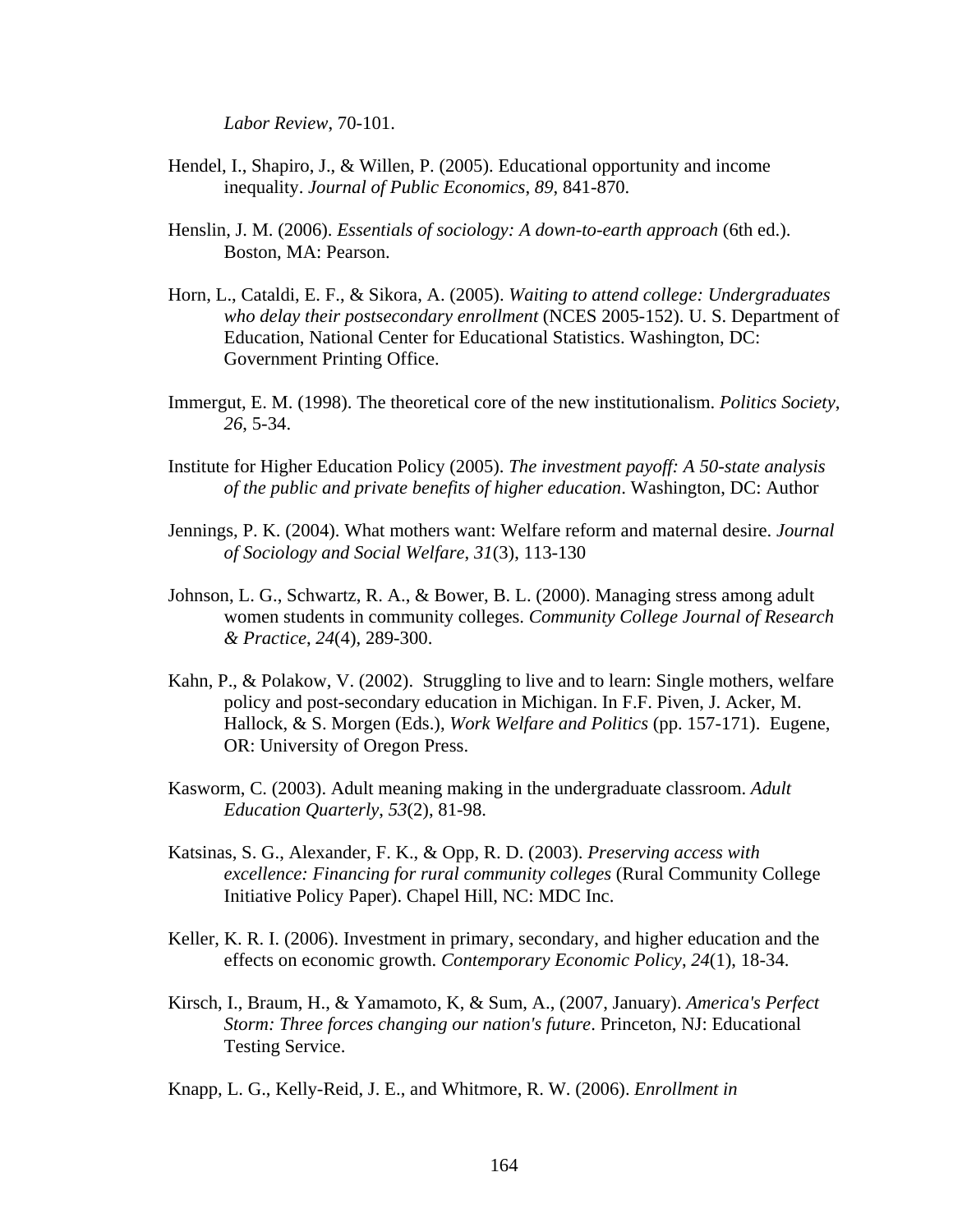*Labor Review*, 70-101.

- Hendel, I., Shapiro, J., & Willen, P. (2005). Educational opportunity and income inequality. *Journal of Public Economics*, *89*, 841-870.
- Henslin, J. M. (2006). *Essentials of sociology: A down-to-earth approach* (6th ed.). Boston, MA: Pearson.
- Horn, L., Cataldi, E. F., & Sikora, A. (2005). *Waiting to attend college: Undergraduates who delay their postsecondary enrollment* (NCES 2005-152). U. S. Department of Education, National Center for Educational Statistics. Washington, DC: Government Printing Office.
- Immergut, E. M. (1998). The theoretical core of the new institutionalism. *Politics Society*, *26*, 5-34.
- Institute for Higher Education Policy (2005). *The investment payoff: A 50-state analysis of the public and private benefits of higher education*. Washington, DC: Author
- Jennings, P. K. (2004). What mothers want: Welfare reform and maternal desire. *Journal of Sociology and Social Welfare*, *31*(3), 113-130
- Johnson, L. G., Schwartz, R. A., & Bower, B. L. (2000). Managing stress among adult women students in community colleges. *Community College Journal of Research & Practice*, *24*(4), 289-300.
- Kahn, P., & Polakow, V. (2002). Struggling to live and to learn: Single mothers, welfare policy and post-secondary education in Michigan. In F.F. Piven, J. Acker, M. Hallock, & S. Morgen (Eds.), *Work Welfare and Politics* (pp. 157-171). Eugene, OR: University of Oregon Press.
- Kasworm, C. (2003). Adult meaning making in the undergraduate classroom. *Adult Education Quarterly*, *53*(2), 81-98.
- Katsinas, S. G., Alexander, F. K., & Opp, R. D. (2003). *Preserving access with excellence: Financing for rural community colleges* (Rural Community College Initiative Policy Paper). Chapel Hill, NC: MDC Inc.
- Keller, K. R. I. (2006). Investment in primary, secondary, and higher education and the effects on economic growth. *Contemporary Economic Policy*, *24*(1), 18-34.
- Kirsch, I., Braum, H., & Yamamoto, K, & Sum, A., (2007, January). *America's Perfect Storm: Three forces changing our nation's future*. Princeton, NJ: Educational Testing Service.
- Knapp, L. G., Kelly-Reid, J. E., and Whitmore, R. W. (2006). *Enrollment in*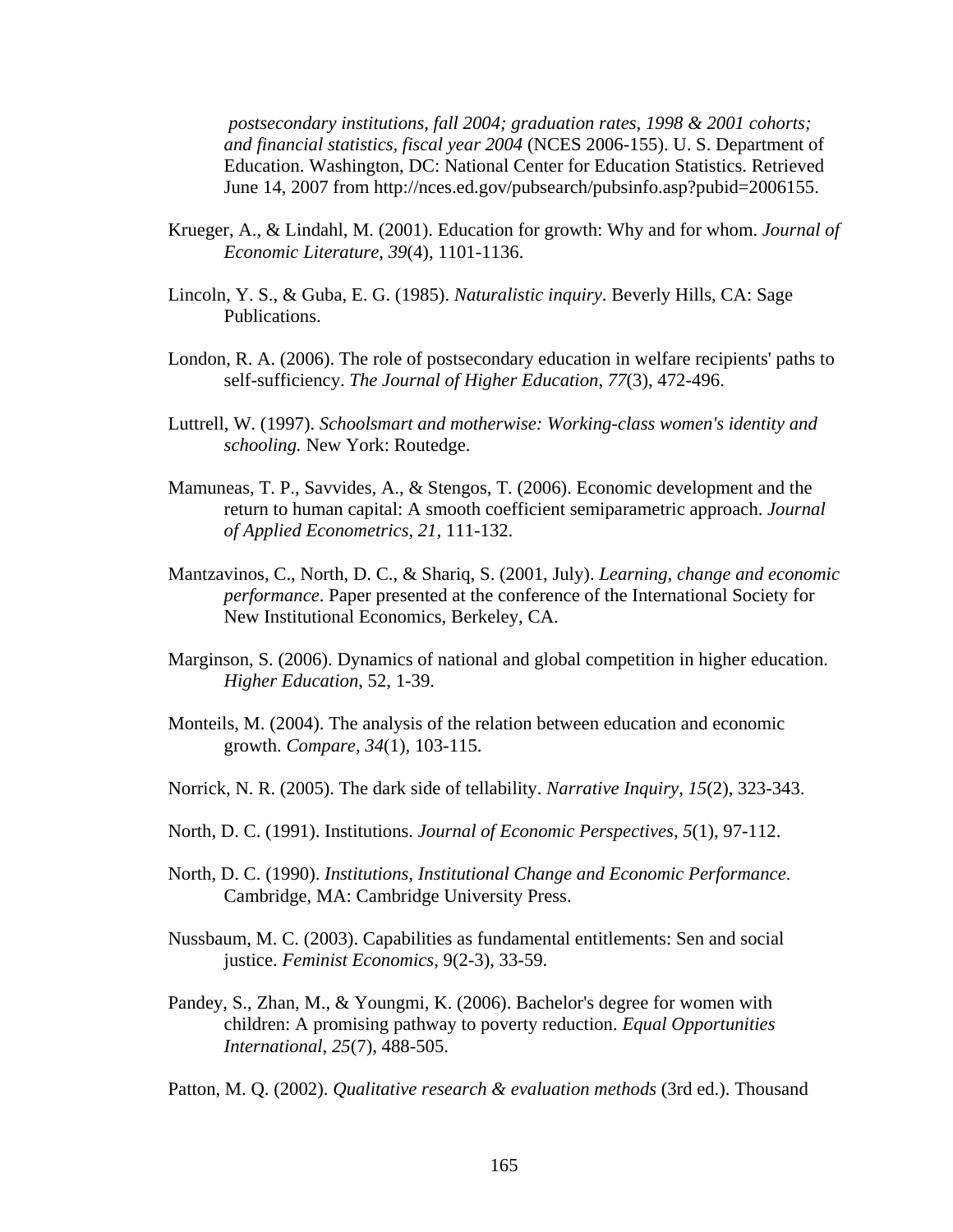*postsecondary institutions, fall 2004; graduation rates, 1998 & 2001 cohorts; and financial statistics, fiscal year 2004* (NCES 2006-155). U. S. Department of Education. Washington, DC: National Center for Education Statistics. Retrieved June 14, 2007 from http://nces.ed.gov/pubsearch/pubsinfo.asp?pubid=2006155.

- Krueger, A., & Lindahl, M. (2001). Education for growth: Why and for whom. *Journal of Economic Literature*, *39*(4), 1101-1136.
- Lincoln, Y. S., & Guba, E. G. (1985). *Naturalistic inquiry*. Beverly Hills, CA: Sage Publications.
- London, R. A. (2006). The role of postsecondary education in welfare recipients' paths to self-sufficiency. *The Journal of Higher Education*, *77*(3), 472-496.
- Luttrell, W. (1997). *Schoolsmart and motherwise: Working-class women's identity and schooling.* New York: Routedge.
- Mamuneas, T. P., Savvides, A., & Stengos, T. (2006). Economic development and the return to human capital: A smooth coefficient semiparametric approach. *Journal of Applied Econometrics*, *21*, 111-132.
- Mantzavinos, C., North, D. C., & Shariq, S. (2001, July). *Learning, change and economic performance*. Paper presented at the conference of the International Society for New Institutional Economics, Berkeley, CA.
- Marginson, S. (2006). Dynamics of national and global competition in higher education. *Higher Education*, 52, 1-39.
- Monteils, M. (2004). The analysis of the relation between education and economic growth. *Compare*, *34*(1), 103-115.
- Norrick, N. R. (2005). The dark side of tellability. *Narrative Inquiry*, *15*(2), 323-343.
- North, D. C. (1991). Institutions. *Journal of Economic Perspectives*, *5*(1), 97-112.
- North, D. C. (1990). *Institutions, Institutional Change and Economic Performance*. Cambridge, MA: Cambridge University Press.
- Nussbaum, M. C. (2003). Capabilities as fundamental entitlements: Sen and social justice. *Feminist Economics*, 9(2-3), 33-59.
- Pandey, S., Zhan, M., & Youngmi, K. (2006). Bachelor's degree for women with children: A promising pathway to poverty reduction. *Equal Opportunities International*, *25*(7), 488-505.

Patton, M. Q. (2002). *Qualitative research & evaluation methods* (3rd ed.). Thousand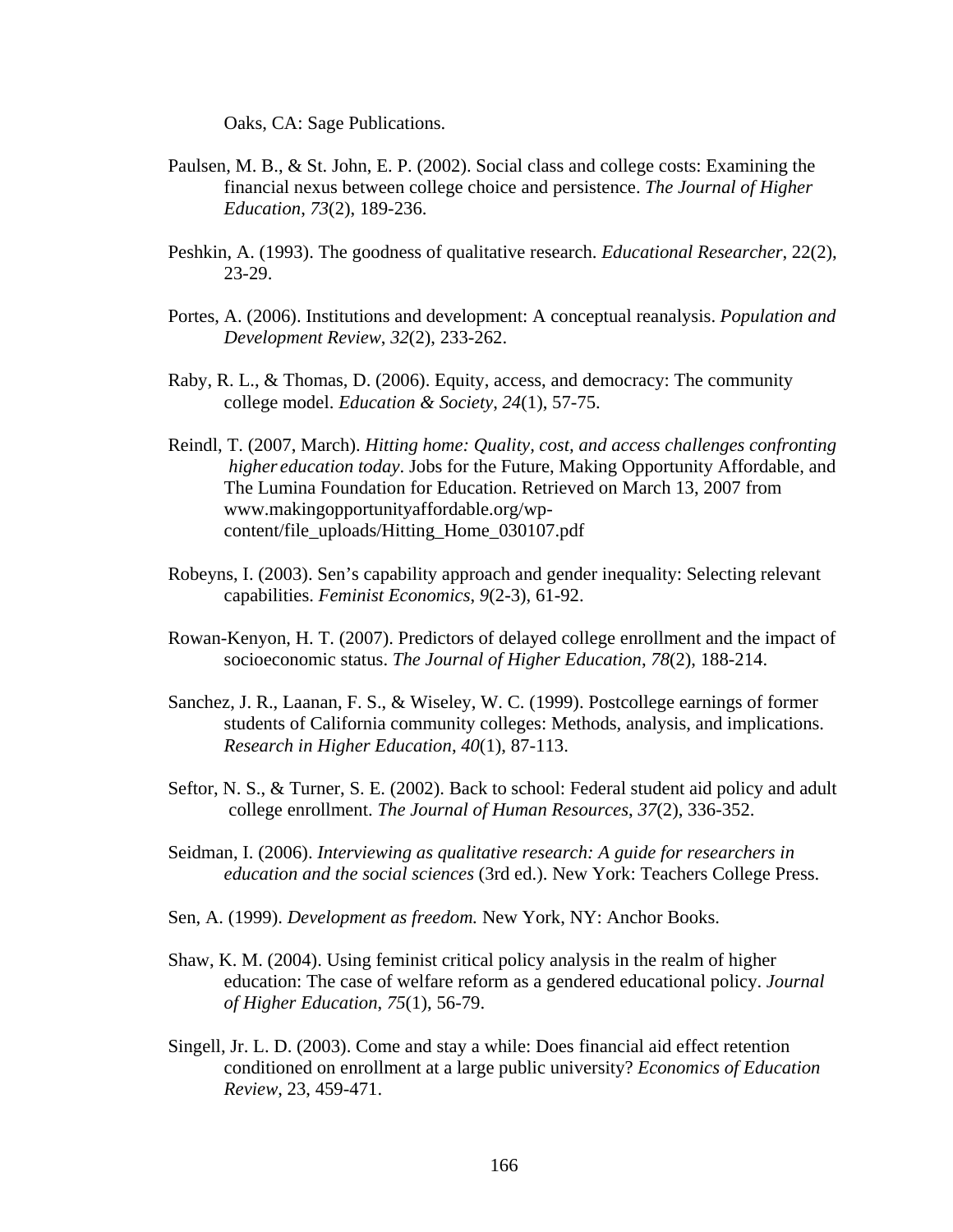Oaks, CA: Sage Publications.

- Paulsen, M. B., & St. John, E. P. (2002). Social class and college costs: Examining the financial nexus between college choice and persistence. *The Journal of Higher Education*, *73*(2), 189-236.
- Peshkin, A. (1993). The goodness of qualitative research. *Educational Researcher*, 22(2), 23-29.
- Portes, A. (2006). Institutions and development: A conceptual reanalysis. *Population and Development Review*, *32*(2), 233-262.
- Raby, R. L., & Thomas, D. (2006). Equity, access, and democracy: The community college model. *Education & Society*, *24*(1), 57-75.
- Reindl, T. (2007, March). *Hitting home: Quality, cost, and access challenges confronting higher education today*. Jobs for the Future, Making Opportunity Affordable, and The Lumina Foundation for Education. Retrieved on March 13, 2007 from www.makingopportunityaffordable.org/wp content/file\_uploads/Hitting\_Home\_030107.pdf
- Robeyns, I. (2003). Sen's capability approach and gender inequality: Selecting relevant capabilities. *Feminist Economics*, *9*(2-3), 61-92.
- Rowan-Kenyon, H. T. (2007). Predictors of delayed college enrollment and the impact of socioeconomic status. *The Journal of Higher Education*, *78*(2), 188-214.
- Sanchez, J. R., Laanan, F. S., & Wiseley, W. C. (1999). Postcollege earnings of former students of California community colleges: Methods, analysis, and implications. *Research in Higher Education*, *40*(1), 87-113.
- Seftor, N. S., & Turner, S. E. (2002). Back to school: Federal student aid policy and adult college enrollment. *The Journal of Human Resources*, *37*(2), 336-352.
- Seidman, I. (2006). *Interviewing as qualitative research: A guide for researchers in education and the social sciences* (3rd ed.). New York: Teachers College Press.
- Sen, A. (1999). *Development as freedom.* New York, NY: Anchor Books.
- Shaw, K. M. (2004). Using feminist critical policy analysis in the realm of higher education: The case of welfare reform as a gendered educational policy. *Journal of Higher Education*, *75*(1), 56-79.
- Singell, Jr. L. D. (2003). Come and stay a while: Does financial aid effect retention conditioned on enrollment at a large public university? *Economics of Education Review*, 23, 459-471.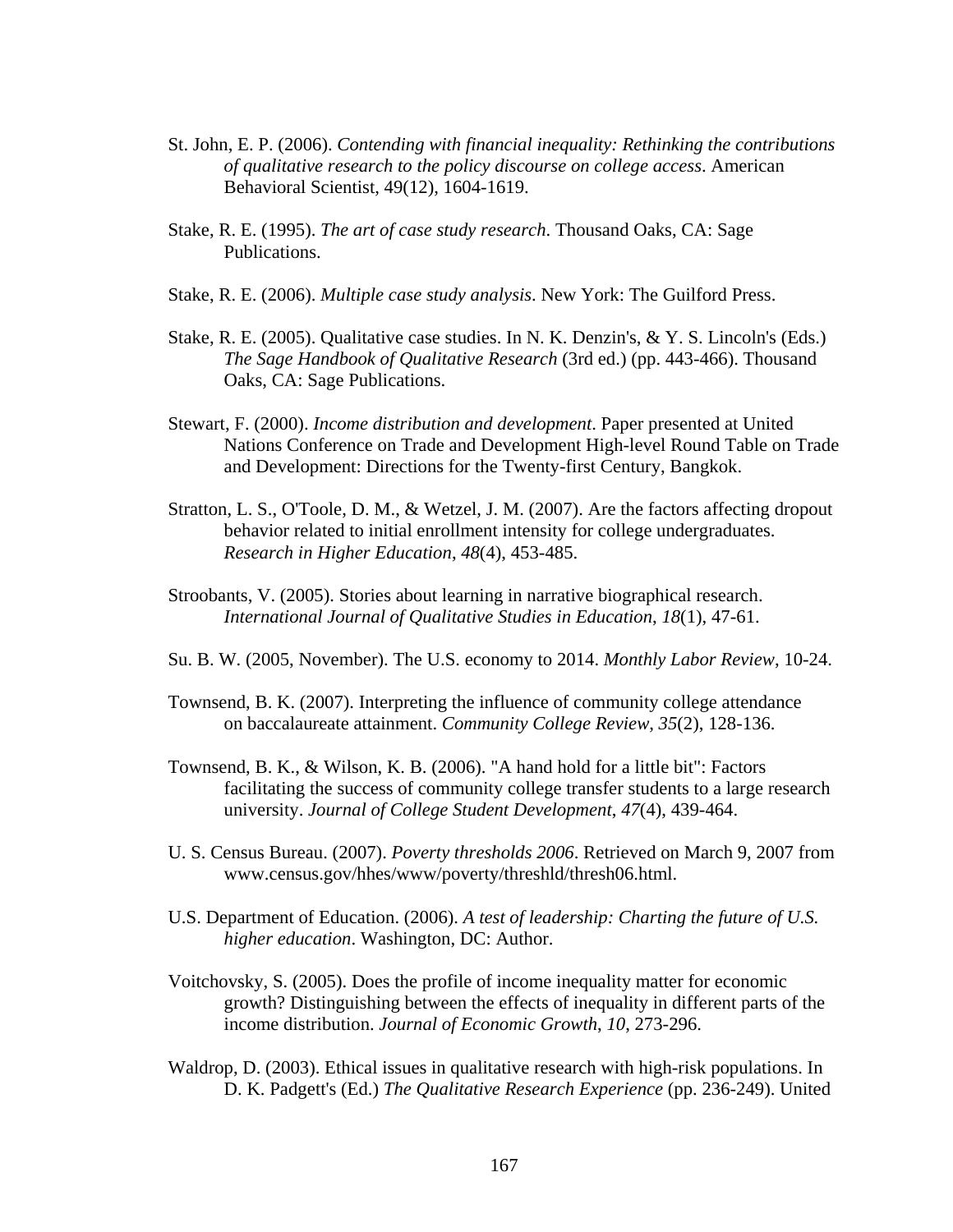- St. John, E. P. (2006). *Contending with financial inequality: Rethinking the contributions of qualitative research to the policy discourse on college access*. American Behavioral Scientist, 49(12), 1604-1619.
- Stake, R. E. (1995). *The art of case study research*. Thousand Oaks, CA: Sage Publications.
- Stake, R. E. (2006). *Multiple case study analysis*. New York: The Guilford Press.
- Stake, R. E. (2005). Qualitative case studies. In N. K. Denzin's, & Y. S. Lincoln's (Eds.) *The Sage Handbook of Qualitative Research* (3rd ed.) (pp. 443-466). Thousand Oaks, CA: Sage Publications.
- Stewart, F. (2000). *Income distribution and development*. Paper presented at United Nations Conference on Trade and Development High-level Round Table on Trade and Development: Directions for the Twenty-first Century, Bangkok.
- Stratton, L. S., O'Toole, D. M., & Wetzel, J. M. (2007). Are the factors affecting dropout behavior related to initial enrollment intensity for college undergraduates. *Research in Higher Education*, *48*(4), 453-485.
- Stroobants, V. (2005). Stories about learning in narrative biographical research. *International Journal of Qualitative Studies in Education*, *18*(1), 47-61.
- Su. B. W. (2005, November). The U.S. economy to 2014. *Monthly Labor Review*, 10-24.
- Townsend, B. K. (2007). Interpreting the influence of community college attendance on baccalaureate attainment. *Community College Review*, *35*(2), 128-136.
- Townsend, B. K., & Wilson, K. B. (2006). "A hand hold for a little bit": Factors facilitating the success of community college transfer students to a large research university. *Journal of College Student Development*, *47*(4), 439-464.
- U. S. Census Bureau. (2007). *Poverty thresholds 2006*. Retrieved on March 9, 2007 from www.census.gov/hhes/www/poverty/threshld/thresh06.html.
- U.S. Department of Education. (2006). *A test of leadership: Charting the future of U.S. higher education*. Washington, DC: Author.
- Voitchovsky, S. (2005). Does the profile of income inequality matter for economic growth? Distinguishing between the effects of inequality in different parts of the income distribution. *Journal of Economic Growth*, *10*, 273-296.
- Waldrop, D. (2003). Ethical issues in qualitative research with high-risk populations. In D. K. Padgett's (Ed.) *The Qualitative Research Experience* (pp. 236-249). United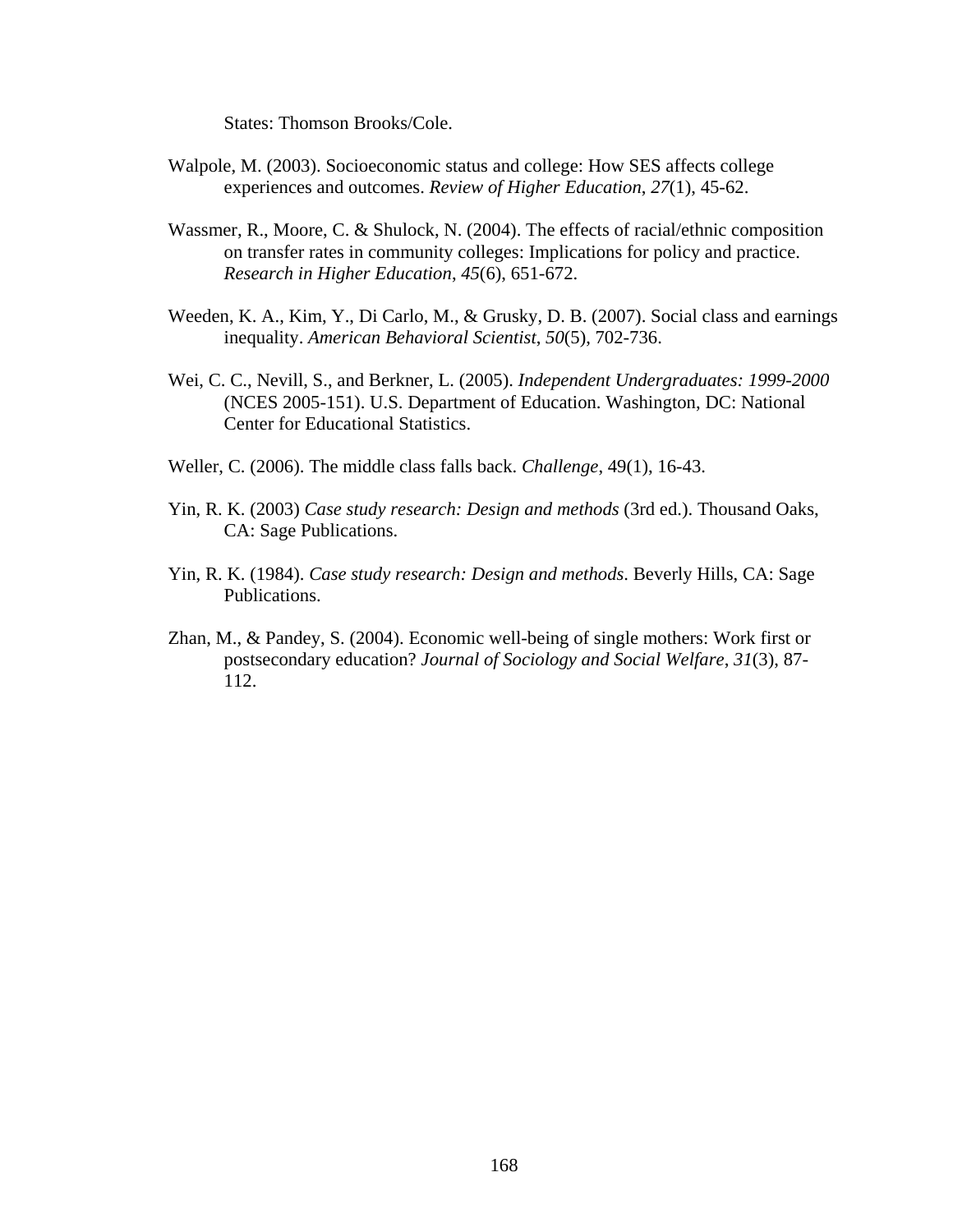States: Thomson Brooks/Cole.

- Walpole, M. (2003). Socioeconomic status and college: How SES affects college experiences and outcomes. *Review of Higher Education*, *27*(1), 45-62.
- Wassmer, R., Moore, C. & Shulock, N. (2004). The effects of racial/ethnic composition on transfer rates in community colleges: Implications for policy and practice. *Research in Higher Education*, *45*(6), 651-672.
- Weeden, K. A., Kim, Y., Di Carlo, M., & Grusky, D. B. (2007). Social class and earnings inequality. *American Behavioral Scientist*, *50*(5), 702-736.
- Wei, C. C., Nevill, S., and Berkner, L. (2005). *Independent Undergraduates: 1999-2000* (NCES 2005-151). U.S. Department of Education. Washington, DC: National Center for Educational Statistics.
- Weller, C. (2006). The middle class falls back. *Challenge*, 49(1), 16-43.
- Yin, R. K. (2003) *Case study research: Design and methods* (3rd ed.). Thousand Oaks, CA: Sage Publications.
- Yin, R. K. (1984). *Case study research: Design and methods*. Beverly Hills, CA: Sage Publications.
- Zhan, M., & Pandey, S. (2004). Economic well-being of single mothers: Work first or postsecondary education? *Journal of Sociology and Social Welfare*, *31*(3), 87- 112.